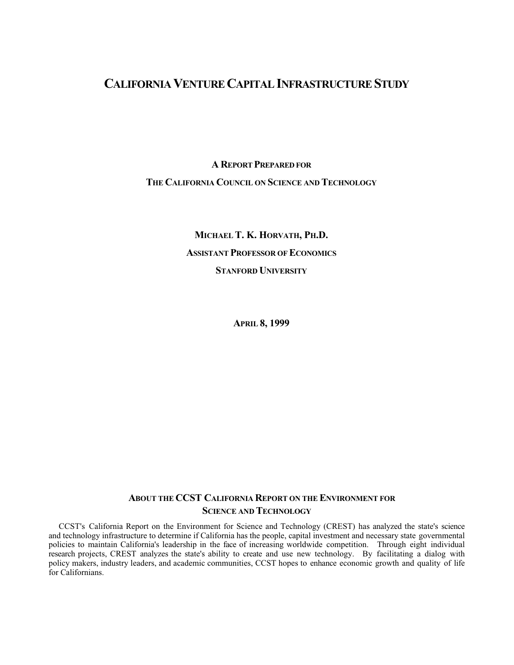# **CALIFORNIA VENTURE CAPITAL INFRASTRUCTURE STUDY**

**A REPORT PREPARED FOR THE CALIFORNIA COUNCIL ON SCIENCE AND TECHNOLOGY**

> **MICHAEL T. K. HORVATH, PH.D. ASSISTANT PROFESSOR OF ECONOMICS STANFORD UNIVERSITY**

> > **APRIL 8, 1999**

# **ABOUT THE CCST CALIFORNIA REPORT ON THE ENVIRONMENT FOR SCIENCE AND TECHNOLOGY**

CCST's California Report on the Environment for Science and Technology (CREST) has analyzed the state's science and technology infrastructure to determine if California has the people, capital investment and necessary state governmental policies to maintain California's leadership in the face of increasing worldwide competition. Through eight individual research projects, CREST analyzes the state's ability to create and use new technology. By facilitating a dialog with policy makers, industry leaders, and academic communities, CCST hopes to enhance economic growth and quality of life for Californians.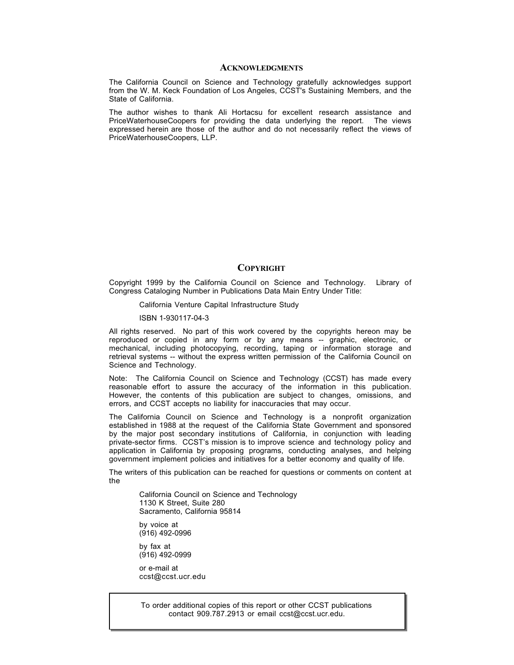#### **ACKNOWLEDGMENTS**

The California Council on Science and Technology gratefully acknowledges support from the W. M. Keck Foundation of Los Angeles, CCST's Sustaining Members, and the State of California.

The author wishes to thank Ali Hortacsu for excellent research assistance and PriceWaterhouseCoopers for providing the data underlying the report. The views expressed herein are those of the author and do not necessarily reflect the views of PriceWaterhouseCoopers, LLP.

#### **COPYRIGHT**

Copyright 1999 by the California Council on Science and Technology. Library of Congress Cataloging Number in Publications Data Main Entry Under Title:

California Venture Capital Infrastructure Study

ISBN 1-930117-04-3

All rights reserved. No part of this work covered by the copyrights hereon may be reproduced or copied in any form or by any means -- graphic, electronic, or mechanical, including photocopying, recording, taping or information storage and retrieval systems -- without the express written permission of the California Council on Science and Technology.

Note: The California Council on Science and Technology (CCST) has made every reasonable effort to assure the accuracy of the information in this publication. However, the contents of this publication are subject to changes, omissions, and errors, and CCST accepts no liability for inaccuracies that may occur.

The California Council on Science and Technology is a nonprofit organization established in 1988 at the request of the California State Government and sponsored by the major post secondary institutions of California, in conjunction with leading private-sector firms. CCST's mission is to improve science and technology policy and application in California by proposing programs, conducting analyses, and helping government implement policies and initiatives for a better economy and quality of life.

The writers of this publication can be reached for questions or comments on content at the

California Council on Science and Technology 1130 K Street, Suite 280 Sacramento, California 95814

by voice at (916) 492-0996

by fax at (916) 492-0999

or e-mail at ccst@ccst.ucr.edu

To order additional copies of this report or other CCST publications contact 909.787.2913 or email ccst@ccst.ucr.edu.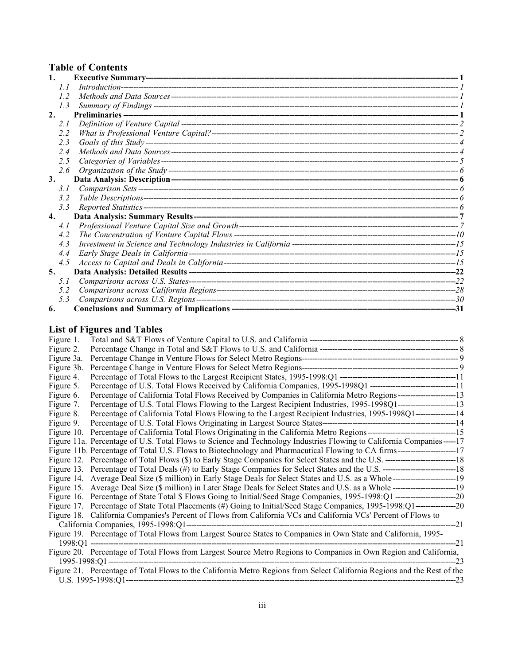# **Table of Contents**

| 1. |     |       |
|----|-----|-------|
|    | 1.1 |       |
|    | 1.2 |       |
|    | 1.3 |       |
| 2. |     |       |
|    | 2.1 |       |
|    | 2.2 |       |
|    | 2.3 |       |
|    | 2.4 |       |
|    | 2.5 |       |
|    | 2.6 |       |
| 3. |     |       |
|    | 3.1 |       |
|    | 3.2 |       |
|    | 3.3 |       |
| 4. |     |       |
|    | 4.1 |       |
|    | 4.2 |       |
|    | 4.3 |       |
|    | 4.4 |       |
|    | 4.5 |       |
| 5. |     | $-22$ |
|    | 5.1 |       |
|    | 5.2 |       |
|    | 5.3 |       |
| 6. |     | -31   |

# **List of Figures and Tables**

| Figure 1.  |                                                                                                                            |  |  |  |  |  |  |  |  |  |
|------------|----------------------------------------------------------------------------------------------------------------------------|--|--|--|--|--|--|--|--|--|
| Figure 2.  |                                                                                                                            |  |  |  |  |  |  |  |  |  |
| Figure 3a. |                                                                                                                            |  |  |  |  |  |  |  |  |  |
| Figure 3b. |                                                                                                                            |  |  |  |  |  |  |  |  |  |
| Figure 4.  |                                                                                                                            |  |  |  |  |  |  |  |  |  |
| Figure 5.  | Percentage of U.S. Total Flows Received by California Companies, 1995-1998Q1 ---------------------------------11           |  |  |  |  |  |  |  |  |  |
| Figure 6.  | Percentage of California Total Flows Received by Companies in California Metro Regions-----------------------13            |  |  |  |  |  |  |  |  |  |
| Figure 7.  | Percentage of U.S. Total Flows Flowing to the Largest Recipient Industries, 1995-1998Q1----------------------13            |  |  |  |  |  |  |  |  |  |
| Figure 8.  | Percentage of California Total Flows Flowing to the Largest Recipient Industries, 1995-1998Q1----------------14            |  |  |  |  |  |  |  |  |  |
| Figure 9.  |                                                                                                                            |  |  |  |  |  |  |  |  |  |
|            |                                                                                                                            |  |  |  |  |  |  |  |  |  |
|            | Figure 11a. Percentage of U.S. Total Flows to Science and Technology Industries Flowing to California Companies-----17     |  |  |  |  |  |  |  |  |  |
|            |                                                                                                                            |  |  |  |  |  |  |  |  |  |
|            | Figure 12. Percentage of Total Flows (\$) to Early Stage Companies for Select States and the U.S. ————————————————————18   |  |  |  |  |  |  |  |  |  |
|            | Figure 13. Percentage of Total Deals (#) to Early Stage Companies for Select States and the U.S. ————————————————————18    |  |  |  |  |  |  |  |  |  |
|            |                                                                                                                            |  |  |  |  |  |  |  |  |  |
|            |                                                                                                                            |  |  |  |  |  |  |  |  |  |
|            |                                                                                                                            |  |  |  |  |  |  |  |  |  |
|            | Figure 17. Percentage of State Total Placements (#) Going to Initial/Seed Stage Companies, 1995-1998:Q1-----------------20 |  |  |  |  |  |  |  |  |  |
|            | Figure 18. California Companies's Percent of Flows from California VCs and California VCs' Percent of Flows to             |  |  |  |  |  |  |  |  |  |
|            | -------------21                                                                                                            |  |  |  |  |  |  |  |  |  |
|            | Figure 19. Percentage of Total Flows from Largest Source States to Companies in Own State and California, 1995-            |  |  |  |  |  |  |  |  |  |
|            |                                                                                                                            |  |  |  |  |  |  |  |  |  |
|            | Figure 20. Percentage of Total Flows from Largest Source Metro Regions to Companies in Own Region and California,          |  |  |  |  |  |  |  |  |  |
|            |                                                                                                                            |  |  |  |  |  |  |  |  |  |
|            | Figure 21. Percentage of Total Flows to the California Metro Regions from Select California Regions and the Rest of the    |  |  |  |  |  |  |  |  |  |
|            |                                                                                                                            |  |  |  |  |  |  |  |  |  |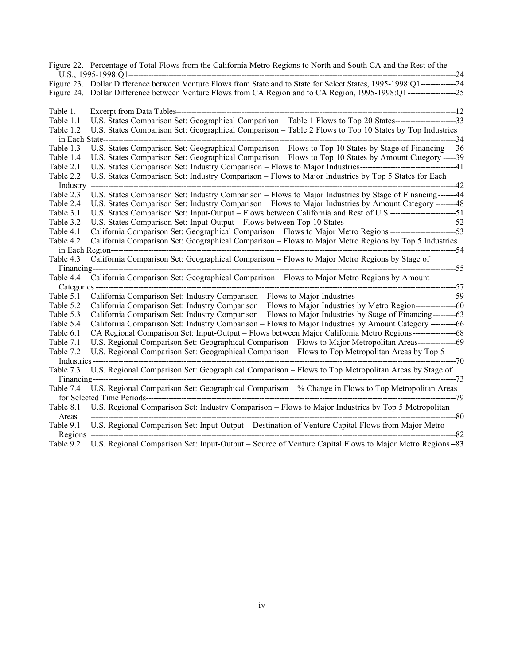| Figure 22. Percentage of Total Flows from the California Metro Regions to North and South CA and the Rest of the<br>---24                                          |
|--------------------------------------------------------------------------------------------------------------------------------------------------------------------|
| Figure 23. Dollar Difference between Venture Flows from State and to State for Select States, 1995-1998:Q1---------------24                                        |
| Table 1.<br>Excerpt from Data Tables--------------                                                                                                                 |
| U.S. States Comparison Set: Geographical Comparison - Table 1 Flows to Top 20 States--------------------------33<br>Table 1.1                                      |
| U.S. States Comparison Set: Geographical Comparison - Table 2 Flows to Top 10 States by Top Industries<br>Table 1.2                                                |
| $-34$<br>in Each State-                                                                                                                                            |
| U.S. States Comparison Set: Geographical Comparison - Flows to Top 10 States by Stage of Financing ---- 36<br>Table 1.3                                            |
| U.S. States Comparison Set: Geographical Comparison – Flows to Top 10 States by Amount Category ----- 39<br>Table 1.4                                              |
| Table 2.1                                                                                                                                                          |
| U.S. States Comparison Set: Industry Comparison - Flows to Major Industries by Top 5 States for Each<br>Table 2.2                                                  |
| Industry<br>--42<br>------------------------------                                                                                                                 |
| U.S. States Comparison Set: Industry Comparison - Flows to Major Industries by Stage of Financing------- 44<br>Table 2.3                                           |
| U.S. States Comparison Set: Industry Comparison – Flows to Major Industries by Amount Category -------48<br>Table 2.4                                              |
| Table 3.1                                                                                                                                                          |
| Table 3.2                                                                                                                                                          |
| California Comparison Set: Geographical Comparison - Flows to Major Metro Regions ---------------------------53<br>Table 4.1                                       |
| California Comparison Set: Geographical Comparison - Flows to Major Metro Regions by Top 5 Industries<br>Table 4.2                                                 |
| -------54<br>in Each Region-------                                                                                                                                 |
| California Comparison Set: Geographical Comparison – Flows to Major Metro Regions by Stage of<br>Table 4.3                                                         |
| ----------55<br>Financing-                                                                                                                                         |
| California Comparison Set: Geographical Comparison – Flows to Major Metro Regions by Amount<br>Table 4.4                                                           |
| ------------------------------57<br>Categories -                                                                                                                   |
| Table 5.1                                                                                                                                                          |
| California Comparison Set: Industry Comparison – Flows to Major Industries by Metro Region-----------------60<br>Table 5.2                                         |
| California Comparison Set: Industry Comparison – Flows to Major Industries by Stage of Financing---------63<br>Table 5.3                                           |
| California Comparison Set: Industry Comparison – Flows to Major Industries by Amount Category ----------66<br>Table 5.4                                            |
| CA Regional Comparison Set: Input-Output – Flows between Major California Metro Regions----------------------68<br>Table 6.1                                       |
| U.S. Regional Comparison Set: Geographical Comparison – Flows to Major Metropolitan Areas-----------------69<br>Table 7.1                                          |
| U.S. Regional Comparison Set: Geographical Comparison - Flows to Top Metropolitan Areas by Top 5<br>Table 7.2                                                      |
| $-70$<br>Industries -                                                                                                                                              |
| U.S. Regional Comparison Set: Geographical Comparison - Flows to Top Metropolitan Areas by Stage of<br>Table 7.3<br>Financing-<br>$-73$                            |
| U.S. Regional Comparison Set: Geographical Comparison - % Change in Flows to Top Metropolitan Areas<br>Table 7.4<br>for Selected Time Periods----------<br>--79    |
| U.S. Regional Comparison Set: Industry Comparison - Flows to Major Industries by Top 5 Metropolitan<br>Table 8.1<br>$-80$<br>Areas                                 |
| U.S. Regional Comparison Set: Input-Output – Destination of Venture Capital Flows from Major Metro<br>Table 9.1<br>----------------------------------82<br>Regions |

Table 9.2 U.S. Regional Comparison Set: Input-Output – Source of Venture Capital Flows to Major Metro Regions--83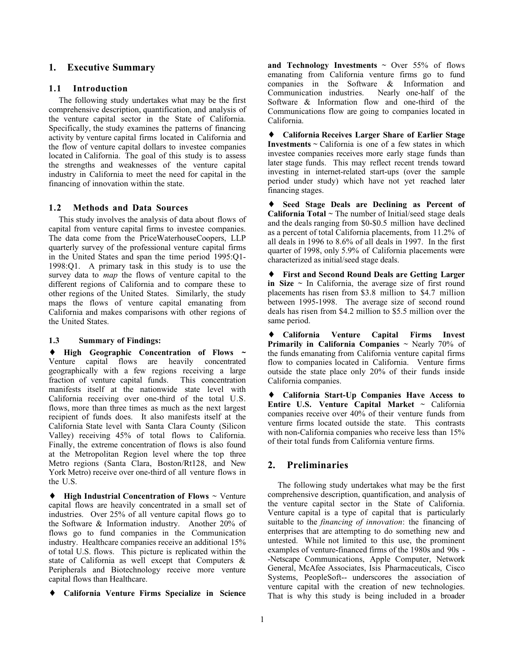## **1. Executive Summary**

#### **1.1 Introduction**

The following study undertakes what may be the first comprehensive description, quantification, and analysis of the venture capital sector in the State of California. Specifically, the study examines the patterns of financing activity by venture capital firms located in California and the flow of venture capital dollars to investee companies located in California. The goal of this study is to assess the strengths and weaknesses of the venture capital industry in California to meet the need for capital in the financing of innovation within the state.

## **1.2 Methods and Data Sources**

This study involves the analysis of data about flows of capital from venture capital firms to investee companies. The data come from the PriceWaterhouseCoopers, LLP quarterly survey of the professional venture capital firms in the United States and span the time period 1995:Q1- 1998:Q1. A primary task in this study is to use the survey data to *map* the flows of venture capital to the different regions of California and to compare these to other regions of the United States. Similarly, the study maps the flows of venture capital emanating from California and makes comparisons with other regions of the United States.

#### **1.3 Summary of Findings:**

♦ **High Geographic Concentration of Flows ~** Venture capital flows are heavily concentrated geographically with a few regions receiving a large fraction of venture capital funds. This concentration manifests itself at the nationwide state level with California receiving over one-third of the total U.S. flows, more than three times as much as the next largest recipient of funds does. It also manifests itself at the California State level with Santa Clara County (Silicon Valley) receiving 45% of total flows to California. Finally, the extreme concentration of flows is also found at the Metropolitan Region level where the top three Metro regions (Santa Clara, Boston/Rt128, and New York Metro) receive over one-third of all venture flows in the U.S.

♦ **High Industrial Concentration of Flows** ~ Venture capital flows are heavily concentrated in a small set of industries. Over 25% of all venture capital flows go to the Software & Information industry. Another 20% of flows go to fund companies in the Communication industry. Healthcare companies receive an additional 15% of total U.S. flows. This picture is replicated within the state of California as well except that Computers & Peripherals and Biotechnology receive more venture capital flows than Healthcare.

♦ **California Venture Firms Specialize in Science**

and Technology Investments  $\sim$  Over 55% of flows emanating from California venture firms go to fund companies in the Software & Information and<br>Communication industries. Nearly one-half of the Communication industries. Software & Information flow and one-third of the Communications flow are going to companies located in California.

♦ **California Receives Larger Share of Earlier Stage Investments**  $\sim$  California is one of a few states in which investee companies receives more early stage funds than later stage funds. This may reflect recent trends toward investing in internet-related start-ups (over the sample period under study) which have not yet reached later financing stages.

♦ **Seed Stage Deals are Declining as Percent of California Total** ~ The number of Initial/seed stage deals and the deals ranging from \$0-\$0.5 million have declined as a percent of total California placements, from 11.2% of all deals in 1996 to 8.6% of all deals in 1997. In the first quarter of 1998, only 5.9% of California placements were characterized as initial/seed stage deals.

**First and Second Round Deals are Getting Larger in Size**  $\sim$  In California, the average size of first round placements has risen from \$3.8 million to \$4.7 million between 1995-1998. The average size of second round deals has risen from \$4.2 million to \$5.5 million over the same period.

♦ **California Venture Capital Firms Invest Primarily in California Companies**  $\sim$  **Nearly 70% of** the funds emanating from California venture capital firms flow to companies located in California. Venture firms outside the state place only 20% of their funds inside California companies.

♦ **California Start-Up Companies Have Access to Entire U.S. Venture Capital Market** ~ California companies receive over 40% of their venture funds from venture firms located outside the state. This contrasts with non-California companies who receive less than 15% of their total funds from California venture firms.

## **2. Preliminaries**

The following study undertakes what may be the first comprehensive description, quantification, and analysis of the venture capital sector in the State of California. Venture capital is a type of capital that is particularly suitable to the *financing of innovation*: the financing of enterprises that are attempting to do something new and untested. While not limited to this use, the prominent examples of venture-financed firms of the 1980s and 90s - -Netscape Communications, Apple Computer, Network General, McAfee Associates, Isis Pharmaceuticals, Cisco Systems, PeopleSoft-- underscores the association of venture capital with the creation of new technologies. That is why this study is being included in a broader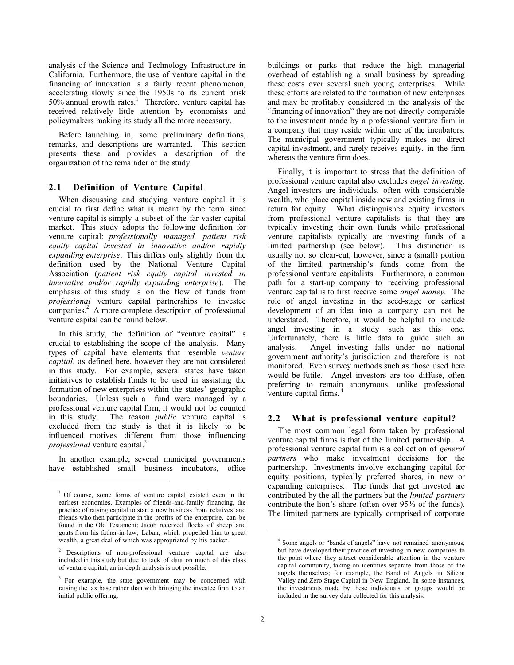analysis of the Science and Technology Infrastructure in California. Furthermore, the use of venture capital in the financing of innovation is a fairly recent phenomenon, accelerating slowly since the 1950s to its current brisk  $50\%$  annual growth rates.<sup>1</sup> Therefore, venture capital has received relatively little attention by economists and policymakers making its study all the more necessary.

Before launching in, some preliminary definitions, remarks, and descriptions are warranted. This section presents these and provides a description of the organization of the remainder of the study.

#### **2.1 Definition of Venture Capital**

When discussing and studying venture capital it is crucial to first define what is meant by the term since venture capital is simply a subset of the far vaster capital market. This study adopts the following definition for venture capital: *professionally managed, patient risk equity capital invested in innovative and/or rapidly expanding enterprise*. This differs only slightly from the definition used by the National Venture Capital Association (*patient risk equity capital invested in innovative and/or rapidly expanding enterprise*). The emphasis of this study is on the flow of funds from *professional* venture capital partnerships to investee companies.<sup>2</sup> A more complete description of professional venture capital can be found below.

In this study, the definition of "venture capital" is crucial to establishing the scope of the analysis. Many types of capital have elements that resemble *venture capital*, as defined here, however they are not considered in this study. For example, several states have taken initiatives to establish funds to be used in assisting the formation of new enterprises within the states' geographic boundaries. Unless such a fund were managed by a professional venture capital firm, it would not be counted in this study. The reason *public* venture capital is excluded from the study is that it is likely to be influenced motives different from those influencing *professional* venture capital.<sup>3</sup>

In another example, several municipal governments have established small business incubators, office

 $\overline{a}$ 

buildings or parks that reduce the high managerial overhead of establishing a small business by spreading these costs over several such young enterprises. While these efforts are related to the formation of new enterprises and may be profitably considered in the analysis of the "financing of innovation" they are not directly comparable to the investment made by a professional venture firm in a company that may reside within one of the incubators. The municipal government typically makes no direct capital investment, and rarely receives equity, in the firm whereas the venture firm does.

Finally, it is important to stress that the definition of professional venture capital also excludes *angel investing*. Angel investors are individuals, often with considerable wealth, who place capital inside new and existing firms in return for equity. What distinguishes equity investors from professional venture capitalists is that they are typically investing their own funds while professional venture capitalists typically are investing funds of a limited partnership (see below). This distinction is usually not so clear-cut, however, since a (small) portion of the limited partnership's funds come from the professional venture capitalists. Furthermore, a common path for a start-up company to receiving professional venture capital is to first receive some *angel money*. The role of angel investing in the seed-stage or earliest development of an idea into a company can not be understated. Therefore, it would be helpful to include angel investing in a study such as this one. Unfortunately, there is little data to guide such an analysis. Angel investing falls under no national government authority's jurisdiction and therefore is not monitored. Even survey methods such as those used here would be futile. Angel investors are too diffuse, often preferring to remain anonymous, unlike professional venture capital firms.<sup>4</sup>

#### **2.2 What is professional venture capital?**

The most common legal form taken by professional venture capital firms is that of the limited partnership. A professional venture capital firm is a collection of *general partners* who make investment decisions for the partnership. Investments involve exchanging capital for equity positions, typically preferred shares, in new or expanding enterprises. The funds that get invested are contributed by the all the partners but the *limited partners* contribute the lion's share (often over 95% of the funds). The limited partners are typically comprised of corporate

<sup>&</sup>lt;sup>1</sup> Of course, some forms of venture capital existed even in the earliest economies. Examples of friends-and-family financing, the practice of raising capital to start a new business from relatives and friends who then participate in the profits of the enterprise, can be found in the Old Testament: Jacob received flocks of sheep and goats from his father-in-law, Laban, which propelled him to great wealth, a great deal of which was appropriated by his backer.

<sup>&</sup>lt;sup>2</sup> Descriptions of non-professional venture capital are also included in this study but due to lack of data on much of this class of venture capital, an in-depth analysis is not possible.

<sup>&</sup>lt;sup>3</sup> For example, the state government may be concerned with raising the tax base rather than with bringing the investee firm to an initial public offering.

<sup>&</sup>lt;sup>4</sup> Some angels or "bands of angels" have not remained anonymous, but have developed their practice of investing in new companies to the point where they attract considerable attention in the venture capital community, taking on identities separate from those of the angels themselves; for example, the Band of Angels in Silicon Valley and Zero Stage Capital in New England. In some instances, the investments made by these individuals or groups would be included in the survey data collected for this analysis.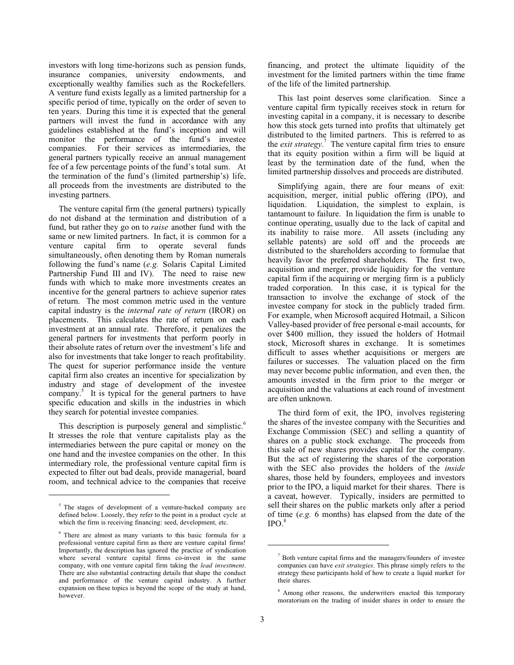investors with long time-horizons such as pension funds, insurance companies, university endowments, and exceptionally wealthy families such as the Rockefellers. A venture fund exists legally as a limited partnership for a specific period of time, typically on the order of seven to ten years. During this time it is expected that the general partners will invest the fund in accordance with any guidelines established at the fund's inception and will monitor the performance of the fund's investee companies. For their services as intermediaries, the general partners typically receive an annual management fee of a few percentage points of the fund's total sum. At the termination of the fund's (limited partnership's) life, all proceeds from the investments are distributed to the investing partners.

The venture capital firm (the general partners) typically do not disband at the termination and distribution of a fund, but rather they go on to *raise* another fund with the same or new limited partners. In fact, it is common for a venture capital firm to operate several funds simultaneously, often denoting them by Roman numerals following the fund's name (*e.g.* Solaris Capital Limited Partnership Fund III and IV). The need to raise new funds with which to make more investments creates an incentive for the general partners to achieve superior rates of return. The most common metric used in the venture capital industry is the *internal rate of return* (IROR) on placements. This calculates the rate of return on each investment at an annual rate. Therefore, it penalizes the general partners for investments that perform poorly in their absolute rates of return over the investment's life and also for investments that take longer to reach profitability. The quest for superior performance inside the venture capital firm also creates an incentive for specialization by industry and stage of development of the investee company.<sup>5</sup> It is typical for the general partners to have specific education and skills in the industries in which they search for potential investee companies.

This description is purposely general and simplistic.<sup>6</sup> It stresses the role that venture capitalists play as the intermediaries between the pure capital or money on the one hand and the investee companies on the other. In this intermediary role, the professional venture capital firm is expected to filter out bad deals, provide managerial, board room, and technical advice to the companies that receive

 $\overline{a}$ 

financing, and protect the ultimate liquidity of the investment for the limited partners within the time frame of the life of the limited partnership.

This last point deserves some clarification. Since a venture capital firm typically receives stock in return for investing capital in a company, it is necessary to describe how this stock gets turned into profits that ultimately get distributed to the limited partners. This is referred to as the *exit strategy*.<sup>7</sup> The venture capital firm tries to ensure that its equity position within a firm will be liquid at least by the termination date of the fund, when the limited partnership dissolves and proceeds are distributed.

Simplifying again, there are four means of exit: acquisition, merger, initial public offering (IPO), and liquidation. Liquidation, the simplest to explain, is tantamount to failure. In liquidation the firm is unable to continue operating, usually due to the lack of capital and its inability to raise more. All assets (including any sellable patents) are sold off and the proceeds are distributed to the shareholders according to formulae that heavily favor the preferred shareholders. The first two, acquisition and merger, provide liquidity for the venture capital firm if the acquiring or merging firm is a publicly traded corporation. In this case, it is typical for the transaction to involve the exchange of stock of the investee company for stock in the publicly traded firm. For example, when Microsoft acquired Hotmail, a Silicon Valley-based provider of free personal e-mail accounts, for over \$400 million, they issued the holders of Hotmail stock, Microsoft shares in exchange. It is sometimes difficult to asses whether acquisitions or mergers are failures or successes. The valuation placed on the firm may never become public information, and even then, the amounts invested in the firm prior to the merger or acquisition and the valuations at each round of investment are often unknown.

The third form of exit, the IPO, involves registering the shares of the investee company with the Securities and Exchange Commission (SEC) and selling a quantity of shares on a public stock exchange. The proceeds from this sale of new shares provides capital for the company. But the act of registering the shares of the corporation with the SEC also provides the holders of the *inside* shares, those held by founders, employees and investors prior to the IPO, a liquid market for their shares. There is a caveat, however. Typically, insiders are permitted to sell their shares on the public markets only after a period of time (*e.g.* 6 months) has elapsed from the date of the  $IPO.<sup>8</sup>$ 

<sup>&</sup>lt;sup>5</sup> The stages of development of a venture-backed company are defined below. Loosely, they refer to the point in a product cycle at which the firm is receiving financing: seed, development, etc.

<sup>6</sup> There are almost as many variants to this basic formula for a professional venture capital firm as there are venture capital firms! Importantly, the description has ignored the practice of syndication where several venture capital firms co-invest in the same company, with one venture capital firm taking the *lead investment*. There are also substantial contracting details that shape the conduct and performance of the venture capital industry. A further expansion on these topics is beyond the scope of the study at hand, however.

<sup>7</sup> Both venture capital firms and the managers/founders of investee companies can have *exit strategies*. This phrase simply refers to the strategy these participants hold of how to create a liquid market for their shares.

<sup>&</sup>lt;sup>8</sup> Among other reasons, the underwriters enacted this temporary moratorium on the trading of insider shares in order to ensure the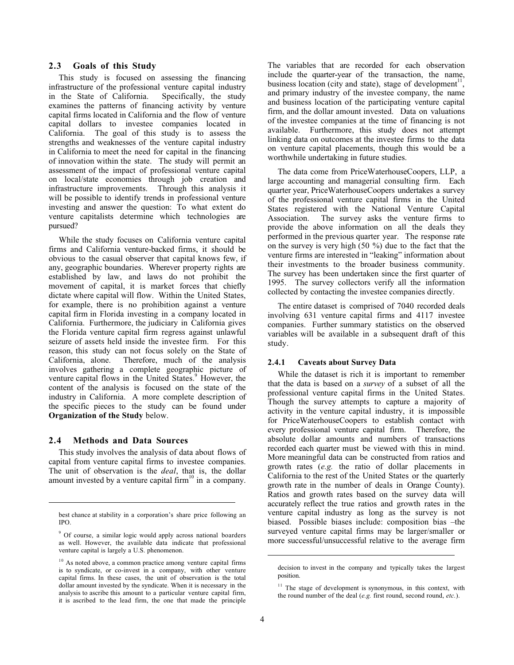#### **2.3 Goals of this Study**

This study is focused on assessing the financing infrastructure of the professional venture capital industry<br>in the State of California. Specifically, the study in the State of California. examines the patterns of financing activity by venture capital firms located in California and the flow of venture capital dollars to investee companies located in California. The goal of this study is to assess the strengths and weaknesses of the venture capital industry in California to meet the need for capital in the financing of innovation within the state. The study will permit an assessment of the impact of professional venture capital on local/state economies through job creation and infrastructure improvements. Through this analysis it will be possible to identify trends in professional venture investing and answer the question: To what extent do venture capitalists determine which technologies are pursued?

While the study focuses on California venture capital firms and California venture-backed firms, it should be obvious to the casual observer that capital knows few, if any, geographic boundaries. Wherever property rights are established by law, and laws do not prohibit the movement of capital, it is market forces that chiefly dictate where capital will flow. Within the United States, for example, there is no prohibition against a venture capital firm in Florida investing in a company located in California. Furthermore, the judiciary in California gives the Florida venture capital firm regress against unlawful seizure of assets held inside the investee firm. For this reason, this study can not focus solely on the State of California, alone. Therefore, much of the analysis Therefore, much of the analysis involves gathering a complete geographic picture of venture capital flows in the United States.<sup>9</sup> However, the content of the analysis is focused on the state of the industry in California. A more complete description of the specific pieces to the study can be found under **Organization of the Study** below.

## **2.4 Methods and Data Sources**

 $\overline{a}$ 

This study involves the analysis of data about flows of capital from venture capital firms to investee companies. The unit of observation is the *deal*, that is, the dollar amount invested by a venture capital firm $10$  in a company.

The variables that are recorded for each observation include the quarter-year of the transaction, the name, business location (city and state), stage of development $11$ . and primary industry of the investee company, the name and business location of the participating venture capital firm, and the dollar amount invested. Data on valuations of the investee companies at the time of financing is not available. Furthermore, this study does not attempt linking data on outcomes at the investee firms to the data on venture capital placements, though this would be a worthwhile undertaking in future studies.

The data come from PriceWaterhouseCoopers, LLP, a large accounting and managerial consulting firm. Each quarter year, PriceWaterhouseCoopers undertakes a survey of the professional venture capital firms in the United States registered with the National Venture Capital Association. The survey asks the venture firms to provide the above information on all the deals they performed in the previous quarter year. The response rate on the survey is very high (50 %) due to the fact that the venture firms are interested in "leaking" information about their investments to the broader business community. The survey has been undertaken since the first quarter of 1995. The survey collectors verify all the information collected by contacting the investee companies directly.

The entire dataset is comprised of 7040 recorded deals involving 631 venture capital firms and 4117 investee companies. Further summary statistics on the observed variables will be available in a subsequent draft of this study.

#### **2.4.1 Caveats about Survey Data**

While the dataset is rich it is important to remember that the data is based on a *survey* of a subset of all the professional venture capital firms in the United States. Though the survey attempts to capture a majority of activity in the venture capital industry, it is impossible for PriceWaterhouseCoopers to establish contact with every professional venture capital firm. Therefore, the absolute dollar amounts and numbers of transactions recorded each quarter must be viewed with this in mind. More meaningful data can be constructed from ratios and growth rates (*e.g.* the ratio of dollar placements in California to the rest of the United States or the quarterly growth rate in the number of deals in Orange County). Ratios and growth rates based on the survey data will accurately reflect the true ratios and growth rates in the venture capital industry as long as the survey is not biased. Possible biases include: composition bias –the surveyed venture capital firms may be larger/smaller or more successful/unsuccessful relative to the average firm

best chance at stability in a corporation's share price following an IPO.

<sup>&</sup>lt;sup>9</sup> Of course, a similar logic would apply across national boarders as well. However, the available data indicate that professional venture capital is largely a U.S. phenomenon.

<sup>&</sup>lt;sup>10</sup> As noted above, a common practice among venture capital firms is to syndicate, or co-invest in a company, with other venture capital firms. In these cases, the unit of observation is the total dollar amount invested by the syndicate. When it is necessary in the analysis to ascribe this amount to a particular venture capital firm, it is ascribed to the lead firm, the one that made the principle

decision to invest in the company and typically takes the largest position.

 $11$  The stage of development is synonymous, in this context, with the round number of the deal (*e.g.* first round, second round, *etc.*).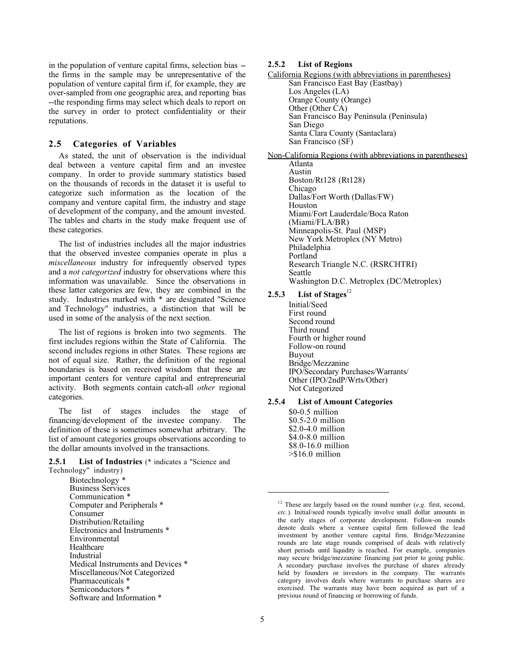in the population of venture capital firms, selection bias -the firms in the sample may be unrepresentative of the population of venture capital firm if, for example, they are over-sampled from one geographic area, and reporting bias --the responding firms may select which deals to report on the survey in order to protect confidentiality or their reputations.

## **2.5 Categories of Variables**

As stated, the unit of observation is the individual deal between a venture capital firm and an investee company. In order to provide summary statistics based on the thousands of records in the dataset it is useful to categorize such information as the location of the company and venture capital firm, the industry and stage of development of the company, and the amount invested. The tables and charts in the study make frequent use of these categories.

The list of industries includes all the major industries that the observed investee companies operate in plus a *miscellaneous* industry for infrequently observed types and a *not categorized* industry for observations where this information was unavailable. Since the observations in these latter categories are few, they are combined in the study. Industries marked with \* are designated "Science and Technology" industries, a distinction that will be used in some of the analysis of the next section.

The list of regions is broken into two segments. The first includes regions within the State of California. The second includes regions in other States. These regions are not of equal size. Rather, the definition of the regional boundaries is based on received wisdom that these are important centers for venture capital and entrepreneurial activity. Both segments contain catch-all *other* regional categories.

The list of stages includes the stage of financing/development of the investee company. The definition of these is sometimes somewhat arbitrary. The list of amount categories groups observations according to the dollar amounts involved in the transactions.

#### **2.5.1 List of Industries** (\* indicates a "Science and Technology" industry)

Biotechnology \* Business Services Communication ' Computer and Peripherals \* Consumer Distribution/Retailing Electronics and Instruments \* Environmental Healthcare Industrial Medical Instruments and Devices \* Miscellaneous/Not Categorized Pharmaceuticals \* Semiconductors \* Software and Information \*

#### **2.5.2 List of Regions**

California Regions (with abbreviations in parentheses) San Francisco East Bay (Eastbay) Los Angeles (LA) Orange County (Orange) Other (Other CA) San Francisco Bay Peninsula (Peninsula) San Diego Santa Clara County (Santaclara) San Francisco (SF)

Non-California Regions (with abbreviations in parentheses) Atlanta Austin Boston/Rt128 (Rt128) Chicago Dallas/Fort Worth (Dallas/FW) Houston Miami/Fort Lauderdale/Boca Raton (Miami/FLA/BR) Minneapolis-St. Paul (MSP) New York Metroplex (NY Metro) Philadelphia Portland Research Triangle N.C. (RSRCHTRI) Seattle

Washington D.C. Metroplex (DC/Metroplex)

## 2.5.3 List of Stages<sup>12</sup>

Initial/Seed First round Second round Third round Fourth or higher round Follow-on round Buyout Bridge/Mezzanine IPO/Secondary Purchases/Warrants/ Other (IPO/2ndP/Wrts/Other) Not Categorized

## **2.5.4 List of Amount Categories**

\$0-0.5 million \$0.5-2.0 million \$2.0-4.0 million \$4.0-8.0 million \$8.0-16.0 million >\$16.0 million

<sup>&</sup>lt;sup>12</sup> These are largely based on the round number (*e.g.* first, second, *etc.*). Initial/seed rounds typically involve small dollar amounts in the early stages of corporate development. Follow-on rounds denote deals where a venture capital firm followed the lead investment by another venture capital firm. Bridge/Mezzanine rounds are late stage rounds comprised of deals with relatively short periods until liquidity is reached. For example, companies may secure bridge/mezzanine financing just prior to going public. A secondary purchase involves the purchase of shares already held by founders or investors in the company. The warrants category involves deals where warrants to purchase shares are exercised. The warrants may have been acquired as part of a previous round of financing or borrowing of funds.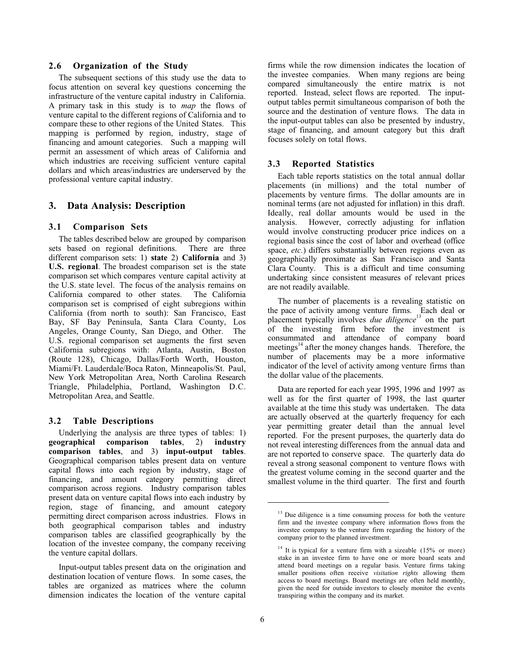## **2.6 Organization of the Study**

The subsequent sections of this study use the data to focus attention on several key questions concerning the infrastructure of the venture capital industry in California. A primary task in this study is to *map* the flows of venture capital to the different regions of California and to compare these to other regions of the United States. This mapping is performed by region, industry, stage of financing and amount categories. Such a mapping will permit an assessment of which areas of California and which industries are receiving sufficient venture capital dollars and which areas/industries are underserved by the professional venture capital industry.

## **3. Data Analysis: Description**

## **3.1 Comparison Sets**

The tables described below are grouped by comparison sets based on regional definitions. There are three different comparison sets: 1) **state** 2) **California** and 3) **U.S. regional**. The broadest comparison set is the state comparison set which compares venture capital activity at the U.S. state level. The focus of the analysis remains on California compared to other states. The California comparison set is comprised of eight subregions within California (from north to south): San Francisco, East Bay, SF Bay Peninsula, Santa Clara County, Los Angeles, Orange County, San Diego, and Other. The U.S. regional comparison set augments the first seven California subregions with: Atlanta, Austin, Boston (Route 128), Chicago, Dallas/Forth Worth, Houston, Miami/Ft. Lauderdale/Boca Raton, Minneapolis/St. Paul, New York Metropolitan Area, North Carolina Research Triangle, Philadelphia, Portland, Washington D.C. Metropolitan Area, and Seattle.

#### **3.2 Table Descriptions**

Underlying the analysis are three types of tables: 1) **geographical comparison tables**, 2) **industry comparison tables**, and 3) **input-output tables**. Geographical comparison tables present data on venture capital flows into each region by industry, stage of financing, and amount category permitting direct comparison across regions. Industry comparison tables present data on venture capital flows into each industry by region, stage of financing, and amount category permitting direct comparison across industries. Flows in both geographical comparison tables and industry comparison tables are classified geographically by the location of the investee company, the company receiving the venture capital dollars.

Input-output tables present data on the origination and destination location of venture flows. In some cases, the tables are organized as matrices where the column dimension indicates the location of the venture capital firms while the row dimension indicates the location of the investee companies. When many regions are being compared simultaneously the entire matrix is not reported. Instead, select flows are reported. The inputoutput tables permit simultaneous comparison of both the source and the destination of venture flows. The data in the input-output tables can also be presented by industry, stage of financing, and amount category but this draft focuses solely on total flows.

#### **3.3 Reported Statistics**

Each table reports statistics on the total annual dollar placements (in millions) and the total number of placements by venture firms. The dollar amounts are in nominal terms (are not adjusted for inflation) in this draft. Ideally, real dollar amounts would be used in the analysis. However, correctly adjusting for inflation would involve constructing producer price indices on a regional basis since the cost of labor and overhead (office space, *etc.*) differs substantially between regions even as geographically proximate as San Francisco and Santa Clara County. This is a difficult and time consuming undertaking since consistent measures of relevant prices are not readily available.

The number of placements is a revealing statistic on the pace of activity among venture firms. Each deal or placement typically involves *due diligence*<sup>13</sup> on the part of the investing firm before the investment is consummated and attendance of company board meetings<sup>14</sup> after the money changes hands. Therefore, the number of placements may be a more informative indicator of the level of activity among venture firms than the dollar value of the placements.

Data are reported for each year 1995, 1996 and 1997 as well as for the first quarter of 1998, the last quarter available at the time this study was undertaken. The data are actually observed at the quarterly frequency for each year permitting greater detail than the annual level reported. For the present purposes, the quarterly data do not reveal interesting differences from the annual data and are not reported to conserve space. The quarterly data do reveal a strong seasonal component to venture flows with the greatest volume coming in the second quarter and the smallest volume in the third quarter. The first and fourth

 $13$  Due diligence is a time consuming process for both the venture firm and the investee company where information flows from the investee company to the venture firm regarding the history of the company prior to the planned investment.

 $14$  It is typical for a venture firm with a sizeable (15% or more) stake in an investee firm to have one or more board seats and attend board meetings on a regular basis. Venture firms taking smaller positions often receive *visitation rights* allowing them access to board meetings. Board meetings are often held monthly, given the need for outside investors to closely monitor the events transpiring within the company and its market.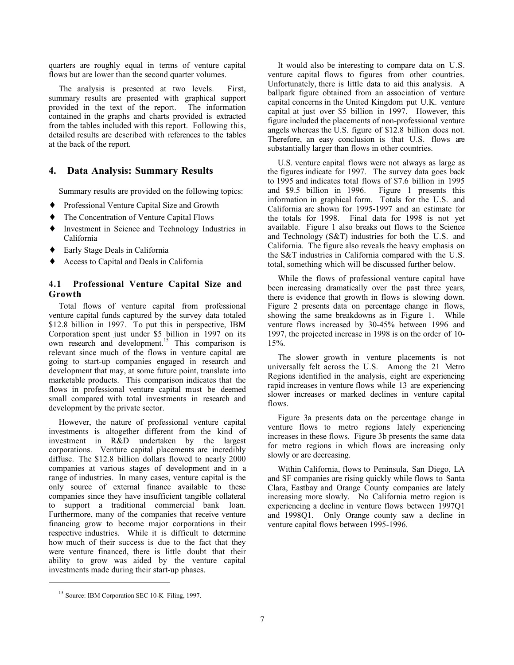quarters are roughly equal in terms of venture capital flows but are lower than the second quarter volumes.

The analysis is presented at two levels. First, summary results are presented with graphical support provided in the text of the report. The information contained in the graphs and charts provided is extracted from the tables included with this report. Following this, detailed results are described with references to the tables at the back of the report.

## **4. Data Analysis: Summary Results**

Summary results are provided on the following topics:

- ♦ Professional Venture Capital Size and Growth
- ♦ The Concentration of Venture Capital Flows
- Investment in Science and Technology Industries in California
- ♦ Early Stage Deals in California
- ♦ Access to Capital and Deals in California

## **4.1 Professional Venture Capital Size and Growth**

Total flows of venture capital from professional venture capital funds captured by the survey data totaled \$12.8 billion in 1997. To put this in perspective, IBM Corporation spent just under \$5 billion in 1997 on its own research and development.<sup>15</sup> This comparison is relevant since much of the flows in venture capital are going to start-up companies engaged in research and development that may, at some future point, translate into marketable products. This comparison indicates that the flows in professional venture capital must be deemed small compared with total investments in research and development by the private sector.

However, the nature of professional venture capital investments is altogether different from the kind of investment in R&D undertaken by the largest corporations. Venture capital placements are incredibly diffuse. The \$12.8 billion dollars flowed to nearly 2000 companies at various stages of development and in a range of industries. In many cases, venture capital is the only source of external finance available to these companies since they have insufficient tangible collateral to support a traditional commercial bank loan. Furthermore, many of the companies that receive venture financing grow to become major corporations in their respective industries. While it is difficult to determine how much of their success is due to the fact that they were venture financed, there is little doubt that their ability to grow was aided by the venture capital investments made during their start-up phases.

It would also be interesting to compare data on U.S. venture capital flows to figures from other countries. Unfortunately, there is little data to aid this analysis. A ballpark figure obtained from an association of venture capital concerns in the United Kingdom put U.K. venture capital at just over \$5 billion in 1997. However, this figure included the placements of non-professional venture angels whereas the U.S. figure of \$12.8 billion does not. Therefore, an easy conclusion is that U.S. flows are substantially larger than flows in other countries.

U.S. venture capital flows were not always as large as the figures indicate for 1997. The survey data goes back to 1995 and indicates total flows of \$7.6 billion in 1995 and \$9.5 billion in 1996. Figure 1 presents this information in graphical form. Totals for the U.S. and California are shown for 1995-1997 and an estimate for the totals for 1998. Final data for 1998 is not yet available. Figure 1 also breaks out flows to the Science and Technology (S&T) industries for both the U.S. and California. The figure also reveals the heavy emphasis on the S&T industries in California compared with the U.S. total, something which will be discussed further below.

While the flows of professional venture capital have been increasing dramatically over the past three years, there is evidence that growth in flows is slowing down. Figure 2 presents data on percentage change in flows, showing the same breakdowns as in Figure 1. While venture flows increased by 30-45% between 1996 and 1997, the projected increase in 1998 is on the order of 10- 15%.

The slower growth in venture placements is not universally felt across the U.S. Among the 21 Metro Regions identified in the analysis, eight are experiencing rapid increases in venture flows while 13 are experiencing slower increases or marked declines in venture capital flows.

Figure 3a presents data on the percentage change in venture flows to metro regions lately experiencing increases in these flows. Figure 3b presents the same data for metro regions in which flows are increasing only slowly or are decreasing.

Within California, flows to Peninsula, San Diego, LA and SF companies are rising quickly while flows to Santa Clara, Eastbay and Orange County companies are lately increasing more slowly. No California metro region is experiencing a decline in venture flows between 1997Q1 and 1998Q1. Only Orange county saw a decline in venture capital flows between 1995-1996.

<sup>&</sup>lt;sup>15</sup> Source: IBM Corporation SEC 10-K Filing, 1997.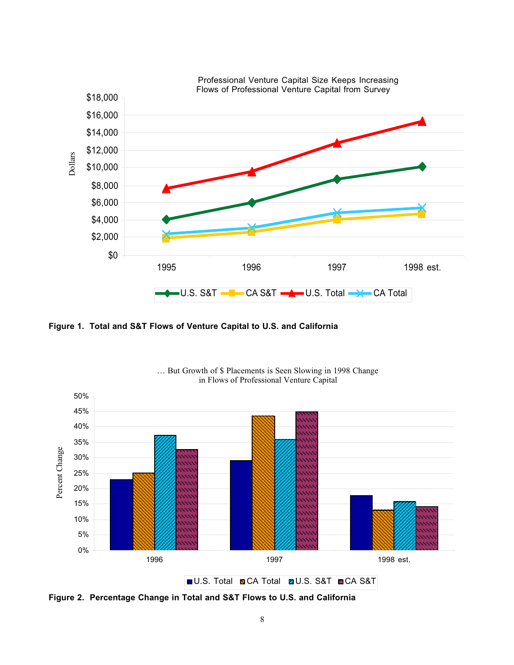

**Figure 1. Total and S&T Flows of Venture Capital to U.S. and California**



… But Growth of \$ Placements is Seen Slowing in 1998 Change in Flows of Professional Venture Capital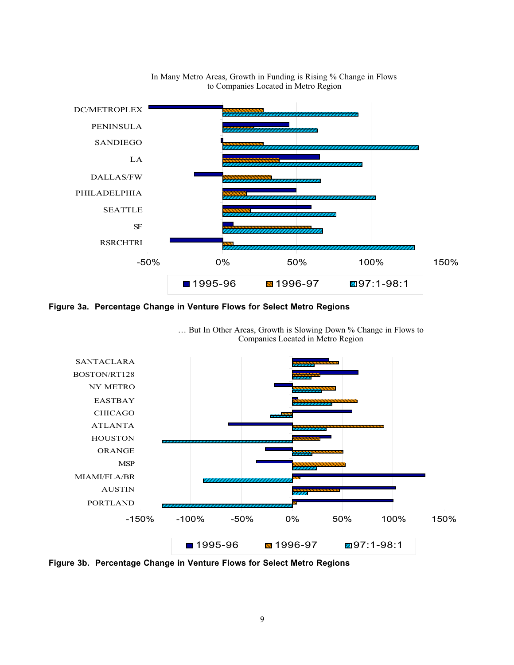

## In Many Metro Areas, Growth in Funding is Rising % Change in Flows to Companies Located in Metro Region

**Figure 3a. Percentage Change in Venture Flows for Select Metro Regions**



… But In Other Areas, Growth is Slowing Down % Change in Flows to Companies Located in Metro Region

**Figure 3b. Percentage Change in Venture Flows for Select Metro Regions**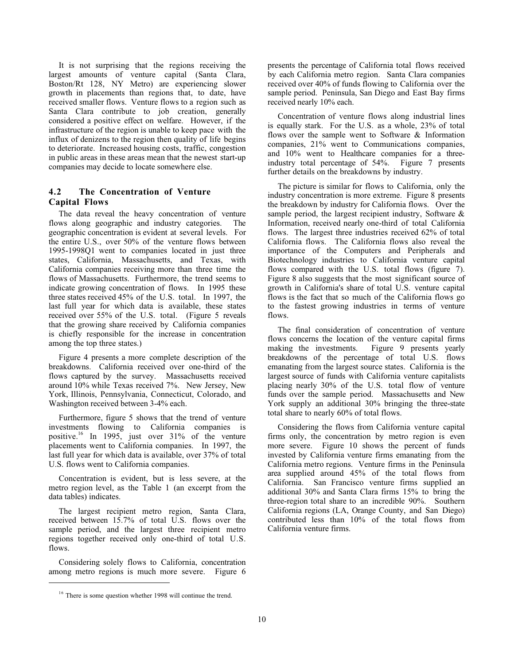It is not surprising that the regions receiving the largest amounts of venture capital (Santa Clara, Boston/Rt 128, NY Metro) are experiencing slower growth in placements than regions that, to date, have received smaller flows. Venture flows to a region such as Santa Clara contribute to job creation, generally considered a positive effect on welfare. However, if the infrastructure of the region is unable to keep pace with the influx of denizens to the region then quality of life begins to deteriorate. Increased housing costs, traffic, congestion in public areas in these areas mean that the newest start-up companies may decide to locate somewhere else.

## **4.2 The Concentration of Venture Capital Flows**

The data reveal the heavy concentration of venture flows along geographic and industry categories. The geographic concentration is evident at several levels. For the entire U.S., over 50% of the venture flows between 1995-1998Q1 went to companies located in just three states, California, Massachusetts, and Texas, with California companies receiving more than three time the flows of Massachusetts. Furthermore, the trend seems to indicate growing concentration of flows. In 1995 these three states received 45% of the U.S. total. In 1997, the last full year for which data is available, these states received over 55% of the U.S. total. (Figure 5 reveals that the growing share received by California companies is chiefly responsible for the increase in concentration among the top three states.)

Figure 4 presents a more complete description of the breakdowns. California received over one-third of the flows captured by the survey. Massachusetts received around 10% while Texas received 7%. New Jersey, New York, Illinois, Pennsylvania, Connecticut, Colorado, and Washington received between 3-4% each.

Furthermore, figure 5 shows that the trend of venture investments flowing to California companies is positive.16 In 1995, just over 31% of the venture placements went to California companies. In 1997, the last full year for which data is available, over 37% of total U.S. flows went to California companies.

Concentration is evident, but is less severe, at the metro region level, as the Table 1 (an excerpt from the data tables) indicates.

The largest recipient metro region, Santa Clara, received between 15.7% of total U.S. flows over the sample period, and the largest three recipient metro regions together received only one-third of total U.S. flows.

Considering solely flows to California, concentration among metro regions is much more severe. Figure 6

 $\overline{a}$ 

presents the percentage of California total flows received by each California metro region. Santa Clara companies received over 40% of funds flowing to California over the sample period. Peninsula, San Diego and East Bay firms received nearly 10% each.

Concentration of venture flows along industrial lines is equally stark. For the U.S. as a whole, 23% of total flows over the sample went to Software & Information companies, 21% went to Communications companies, and 10% went to Healthcare companies for a threeindustry total percentage of 54%. Figure 7 presents further details on the breakdowns by industry.

The picture is similar for flows to California, only the industry concentration is more extreme. Figure 8 presents the breakdown by industry for California flows. Over the sample period, the largest recipient industry, Software & Information, received nearly one-third of total California flows. The largest three industries received 62% of total California flows. The California flows also reveal the importance of the Computers and Peripherals and Biotechnology industries to California venture capital flows compared with the U.S. total flows (figure 7). Figure 8 also suggests that the most significant source of growth in California's share of total U.S. venture capital flows is the fact that so much of the California flows go to the fastest growing industries in terms of venture flows.

The final consideration of concentration of venture flows concerns the location of the venture capital firms making the investments. Figure 9 presents yearly breakdowns of the percentage of total U.S. flows emanating from the largest source states. California is the largest source of funds with California venture capitalists placing nearly 30% of the U.S. total flow of venture funds over the sample period. Massachusetts and New York supply an additional 30% bringing the three-state total share to nearly 60% of total flows.

Considering the flows from California venture capital firms only, the concentration by metro region is even more severe. Figure 10 shows the percent of funds invested by California venture firms emanating from the California metro regions. Venture firms in the Peninsula area supplied around 45% of the total flows from California. San Francisco venture firms supplied an additional 30% and Santa Clara firms 15% to bring the three-region total share to an incredible 90%. Southern California regions (LA, Orange County, and San Diego) contributed less than 10% of the total flows from California venture firms.

<sup>&</sup>lt;sup>16</sup> There is some question whether 1998 will continue the trend.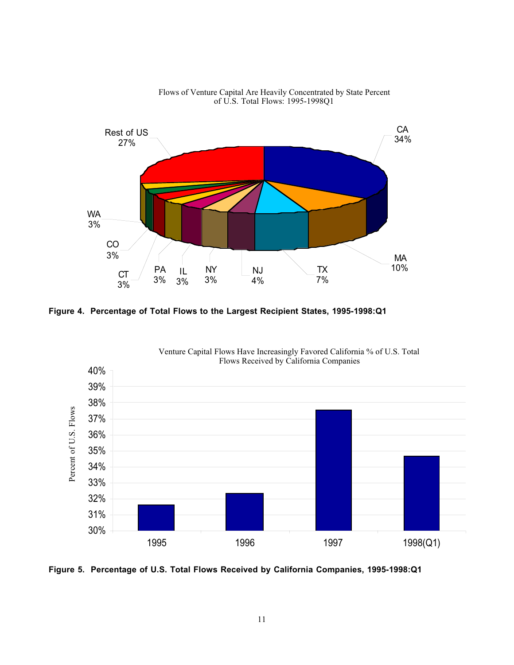

Flows of Venture Capital Are Heavily Concentrated by State Percent of U.S. Total Flows: 1995-1998Q1

**Figure 4. Percentage of Total Flows to the Largest Recipient States, 1995-1998:Q1**



Venture Capital Flows Have Increasingly Favored California % of U.S. Total Flows Received by California Companies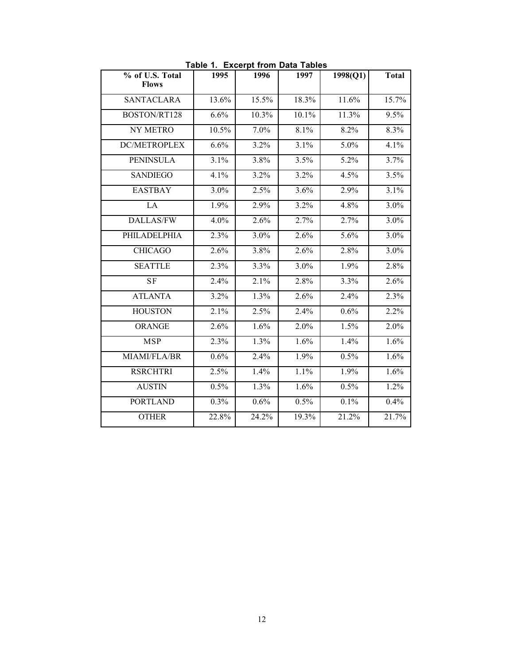| % of U.S. Total<br><b>Flows</b> | 1995  | 1996  | 1997  | 1998(Q1) | <b>Total</b> |
|---------------------------------|-------|-------|-------|----------|--------------|
| <b>SANTACLARA</b>               | 13.6% | 15.5% | 18.3% | 11.6%    | 15.7%        |
| BOSTON/RT128                    | 6.6%  | 10.3% | 10.1% | 11.3%    | 9.5%         |
| NY METRO                        | 10.5% | 7.0%  | 8.1%  | 8.2%     | 8.3%         |
| <b>DC/METROPLEX</b>             | 6.6%  | 3.2%  | 3.1%  | 5.0%     | 4.1%         |
| <b>PENINSULA</b>                | 3.1%  | 3.8%  | 3.5%  | 5.2%     | 3.7%         |
| <b>SANDIEGO</b>                 | 4.1%  | 3.2%  | 3.2%  | 4.5%     | 3.5%         |
| <b>EASTBAY</b>                  | 3.0%  | 2.5%  | 3.6%  | 2.9%     | 3.1%         |
| LA                              | 1.9%  | 2.9%  | 3.2%  | 4.8%     | 3.0%         |
| <b>DALLAS/FW</b>                | 4.0%  | 2.6%  | 2.7%  | 2.7%     | 3.0%         |
| PHILADELPHIA                    | 2.3%  | 3.0%  | 2.6%  | 5.6%     | 3.0%         |
| <b>CHICAGO</b>                  | 2.6%  | 3.8%  | 2.6%  | 2.8%     | 3.0%         |
| <b>SEATTLE</b>                  | 2.3%  | 3.3%  | 3.0%  | 1.9%     | 2.8%         |
| <b>SF</b>                       | 2.4%  | 2.1%  | 2.8%  | 3.3%     | 2.6%         |
| <b>ATLANTA</b>                  | 3.2%  | 1.3%  | 2.6%  | 2.4%     | 2.3%         |
| <b>HOUSTON</b>                  | 2.1%  | 2.5%  | 2.4%  | 0.6%     | 2.2%         |
| ORANGE                          | 2.6%  | 1.6%  | 2.0%  | 1.5%     | 2.0%         |
| <b>MSP</b>                      | 2.3%  | 1.3%  | 1.6%  | 1.4%     | 1.6%         |
| MIAMI/FLA/BR                    | 0.6%  | 2.4%  | 1.9%  | 0.5%     | 1.6%         |
| <b>RSRCHTRI</b>                 | 2.5%  | 1.4%  | 1.1%  | 1.9%     | 1.6%         |
| <b>AUSTIN</b>                   | 0.5%  | 1.3%  | 1.6%  | 0.5%     | 1.2%         |
| <b>PORTLAND</b>                 | 0.3%  | 0.6%  | 0.5%  | 0.1%     | 0.4%         |
| <b>OTHER</b>                    | 22.8% | 24.2% | 19.3% | 21.2%    | 21.7%        |

**Table 1. Excerpt from Data Tables**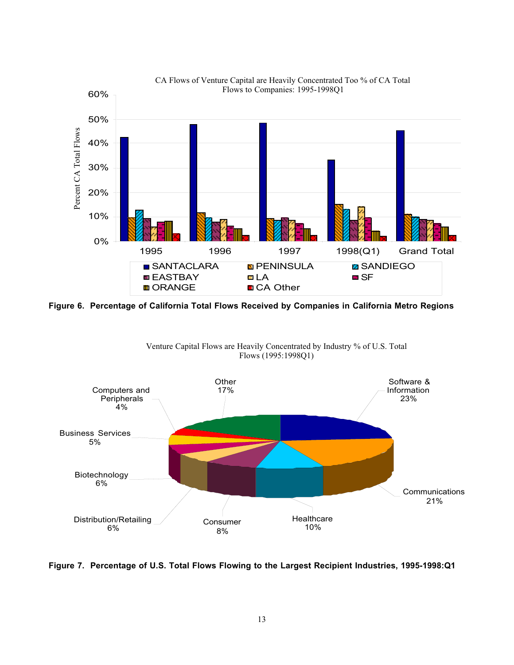

**Figure 6. Percentage of California Total Flows Received by Companies in California Metro Regions**



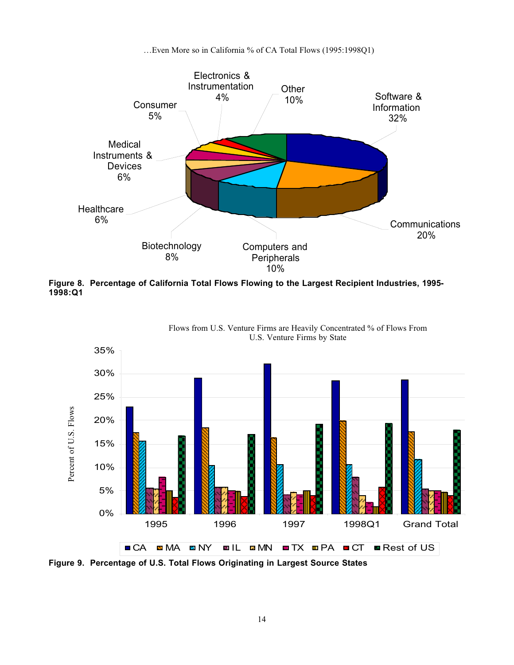…Even More so in California % of CA Total Flows (1995:1998Q1)



**Figure 8. Percentage of California Total Flows Flowing to the Largest Recipient Industries, 1995- 1998:Q1**



Flows from U.S. Venture Firms are Heavily Concentrated % of Flows From U.S. Venture Firms by State

14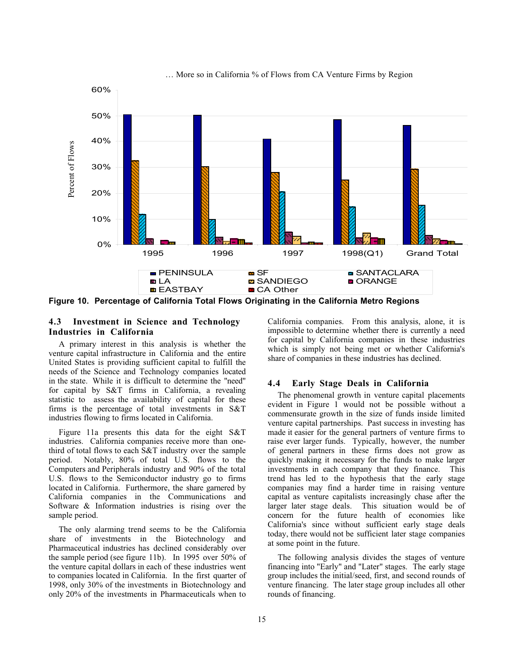

… More so in California % of Flows from CA Venture Firms by Region

**Figure 10. Percentage of California Total Flows Originating in the California Metro Regions**

## **4.3 Investment in Science and Technology Industries in California**

A primary interest in this analysis is whether the venture capital infrastructure in California and the entire United States is providing sufficient capital to fulfill the needs of the Science and Technology companies located in the state. While it is difficult to determine the "need" for capital by S&T firms in California, a revealing statistic to assess the availability of capital for these firms is the percentage of total investments in S&T industries flowing to firms located in California.

Figure 11a presents this data for the eight S&T industries. California companies receive more than onethird of total flows to each S&T industry over the sample period. Notably, 80% of total U.S. flows to the Computers and Peripherals industry and 90% of the total U.S. flows to the Semiconductor industry go to firms located in California. Furthermore, the share garnered by California companies in the Communications and Software & Information industries is rising over the sample period.

The only alarming trend seems to be the California share of investments in the Biotechnology and Pharmaceutical industries has declined considerably over the sample period (see figure 11b). In 1995 over 50% of the venture capital dollars in each of these industries went to companies located in California. In the first quarter of 1998, only 30% of the investments in Biotechnology and only 20% of the investments in Pharmaceuticals when to

California companies. From this analysis, alone, it is impossible to determine whether there is currently a need for capital by California companies in these industries which is simply not being met or whether California's share of companies in these industries has declined.

#### **4.4 Early Stage Deals in California**

The phenomenal growth in venture capital placements evident in Figure 1 would not be possible without a commensurate growth in the size of funds inside limited venture capital partnerships. Past success in investing has made it easier for the general partners of venture firms to raise ever larger funds. Typically, however, the number of general partners in these firms does not grow as quickly making it necessary for the funds to make larger investments in each company that they finance. This trend has led to the hypothesis that the early stage companies may find a harder time in raising venture capital as venture capitalists increasingly chase after the larger later stage deals. This situation would be of concern for the future health of economies like California's since without sufficient early stage deals today, there would not be sufficient later stage companies at some point in the future.

The following analysis divides the stages of venture financing into "Early" and "Later" stages. The early stage group includes the initial/seed, first, and second rounds of venture financing. The later stage group includes all other rounds of financing.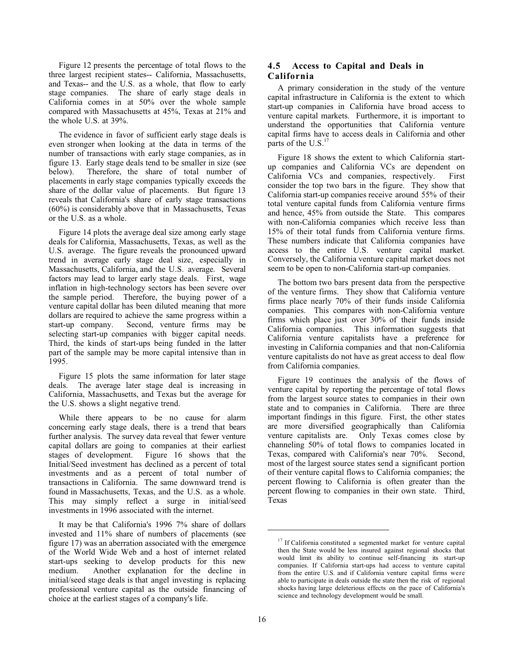Figure 12 presents the percentage of total flows to the three largest recipient states-- California, Massachusetts, and Texas-- and the U.S. as a whole, that flow to early stage companies. The share of early stage deals in California comes in at 50% over the whole sample compared with Massachusetts at 45%, Texas at 21% and the whole U.S. at 39%.

The evidence in favor of sufficient early stage deals is even stronger when looking at the data in terms of the number of transactions with early stage companies, as in figure 13. Early stage deals tend to be smaller in size (see below). Therefore, the share of total number of placements in early stage companies typically exceeds the share of the dollar value of placements. But figure 13 reveals that California's share of early stage transactions (60%) is considerably above that in Massachusetts, Texas or the U.S. as a whole.

Figure 14 plots the average deal size among early stage deals for California, Massachusetts, Texas, as well as the U.S. average. The figure reveals the pronounced upward trend in average early stage deal size, especially in Massachusetts, California, and the U.S. average. Several factors may lead to larger early stage deals. First, wage inflation in high-technology sectors has been severe over the sample period. Therefore, the buying power of a venture capital dollar has been diluted meaning that more dollars are required to achieve the same progress within a start-up company. Second, venture firms may be selecting start-up companies with bigger capital needs. Third, the kinds of start-ups being funded in the latter part of the sample may be more capital intensive than in 1995.

Figure 15 plots the same information for later stage deals. The average later stage deal is increasing in California, Massachusetts, and Texas but the average for the U.S. shows a slight negative trend.

While there appears to be no cause for alarm concerning early stage deals, there is a trend that bears further analysis. The survey data reveal that fewer venture capital dollars are going to companies at their earliest stages of development. Figure 16 shows that the Initial/Seed investment has declined as a percent of total investments and as a percent of total number of transactions in California. The same downward trend is found in Massachusetts, Texas, and the U.S. as a whole. This may simply reflect a surge in initial/seed investments in 1996 associated with the internet.

It may be that California's 1996 7% share of dollars invested and 11% share of numbers of placements (see figure 17) was an aberration associated with the emergence of the World Wide Web and a host of internet related start-ups seeking to develop products for this new medium. Another explanation for the decline in initial/seed stage deals is that angel investing is replacing professional venture capital as the outside financing of choice at the earliest stages of a company's life.

## **4.5 Access to Capital and Deals in California**

A primary consideration in the study of the venture capital infrastructure in California is the extent to which start-up companies in California have broad access to venture capital markets. Furthermore, it is important to understand the opportunities that California venture capital firms have to access deals in California and other parts of the  $U.S.<sup>1</sup>$ 

Figure 18 shows the extent to which California startup companies and California VCs are dependent on California VCs and companies, respectively. First consider the top two bars in the figure. They show that California start-up companies receive around 55% of their total venture capital funds from California venture firms and hence, 45% from outside the State. This compares with non-California companies which receive less than 15% of their total funds from California venture firms. These numbers indicate that California companies have access to the entire U.S. venture capital market. Conversely, the California venture capital market does not seem to be open to non-California start-up companies.

The bottom two bars present data from the perspective of the venture firms. They show that California venture firms place nearly 70% of their funds inside California companies. This compares with non-California venture firms which place just over 30% of their funds inside California companies. This information suggests that California venture capitalists have a preference for investing in California companies and that non-California venture capitalists do not have as great access to deal flow from California companies.

Figure 19 continues the analysis of the flows of venture capital by reporting the percentage of total flows from the largest source states to companies in their own state and to companies in California. There are three important findings in this figure. First, the other states are more diversified geographically than California venture capitalists are. Only Texas comes close by channeling 50% of total flows to companies located in Texas, compared with California's near 70%. Second, most of the largest source states send a significant portion of their venture capital flows to California companies; the percent flowing to California is often greater than the percent flowing to companies in their own state. Third, Texas

<sup>&</sup>lt;sup>17</sup> If California constituted a segmented market for venture capital then the State would be less insured against regional shocks that would limit its ability to continue self-financing its start-up companies. If California start-ups had access to venture capital from the entire U.S. and if California venture capital firms were able to participate in deals outside the state then the risk of regional shocks having large deleterious effects on the pace of California's science and technology development would be small.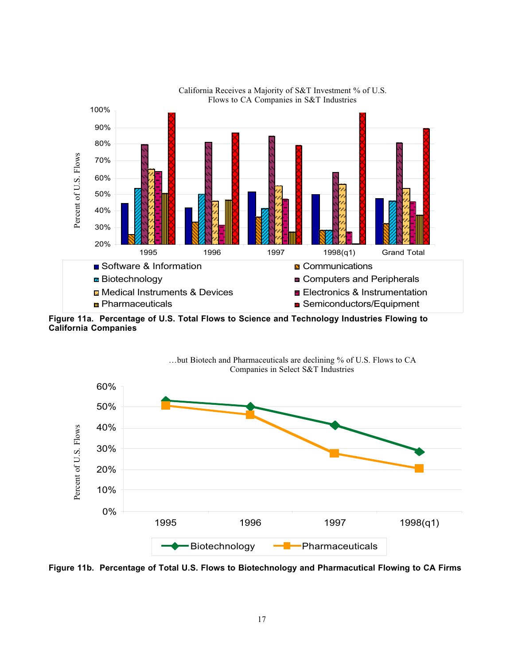

California Receives a Majority of S&T Investment % of U.S.

**Figure 11a. Percentage of U.S. Total Flows to Science and Technology Industries Flowing to California Companies**



…but Biotech and Pharmaceuticals are declining % of U.S. Flows to CA Companies in Select S&T Industries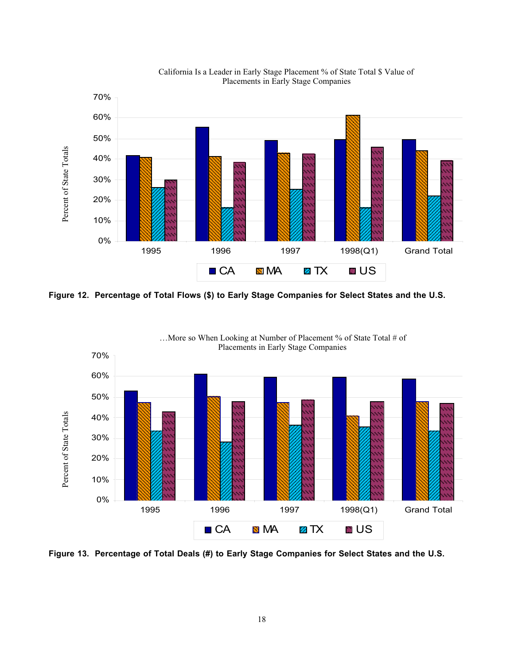

California Is a Leader in Early Stage Placement % of State Total \$ Value of Placements in Early Stage Companies

**Figure 12. Percentage of Total Flows (\$) to Early Stage Companies for Select States and the U.S.**



…More so When Looking at Number of Placement % of State Total # of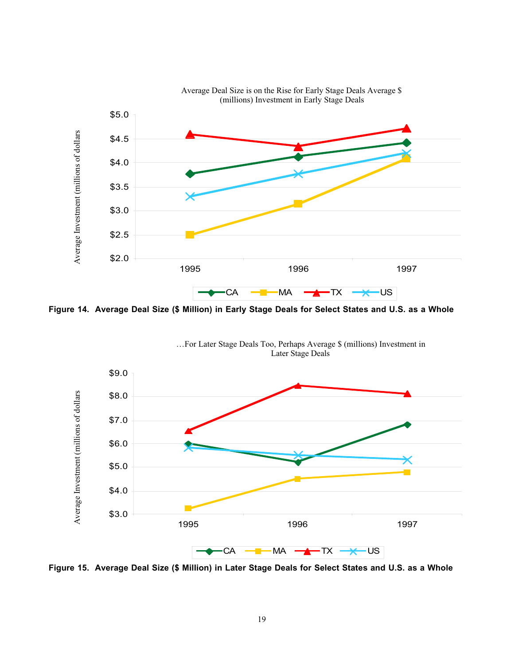

Average Deal Size is on the Rise for Early Stage Deals Average \$

**Figure 14. Average Deal Size (\$ Million) in Early Stage Deals for Select States and U.S. as a Whole**



…For Later Stage Deals Too, Perhaps Average \$ (millions) Investment in Later Stage Deals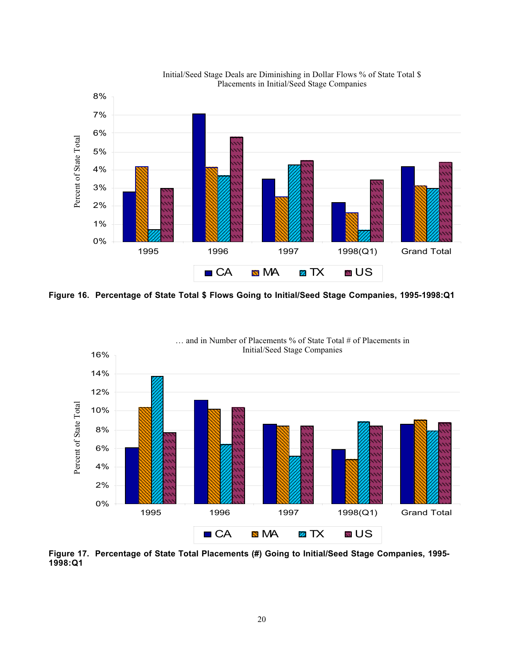

Initial/Seed Stage Deals are Diminishing in Dollar Flows % of State Total \$ Placements in Initial/Seed Stage Companies

**Figure 16. Percentage of State Total \$ Flows Going to Initial/Seed Stage Companies, 1995-1998:Q1**



**Figure 17. Percentage of State Total Placements (#) Going to Initial/Seed Stage Companies, 1995-**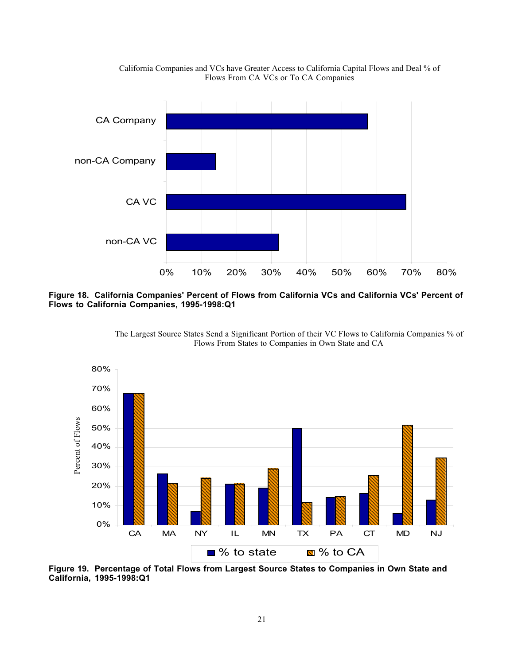

California Companies and VCs have Greater Access to California Capital Flows and Deal % of Flows From CA VCs or To CA Companies

**Figure 18. California Companies' Percent of Flows from California VCs and California VCs' Percent of Flows to California Companies, 1995-1998:Q1**





**Figure 19. Percentage of Total Flows from Largest Source States to Companies in Own State and**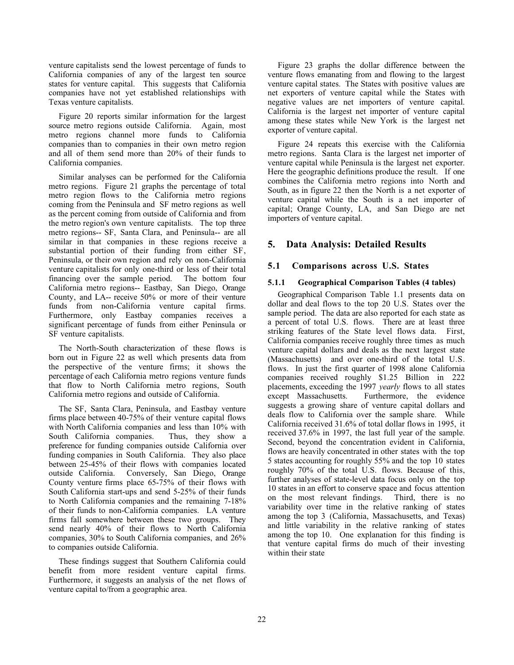venture capitalists send the lowest percentage of funds to California companies of any of the largest ten source states for venture capital. This suggests that California companies have not yet established relationships with Texas venture capitalists.

Figure 20 reports similar information for the largest source metro regions outside California. Again, most metro regions channel more funds to California companies than to companies in their own metro region and all of them send more than 20% of their funds to California companies.

Similar analyses can be performed for the California metro regions. Figure 21 graphs the percentage of total metro region flows to the California metro regions coming from the Peninsula and SF metro regions as well as the percent coming from outside of California and from the metro region's own venture capitalists. The top three metro regions-- SF, Santa Clara, and Peninsula-- are all similar in that companies in these regions receive a substantial portion of their funding from either SF, Peninsula, or their own region and rely on non-California venture capitalists for only one-third or less of their total financing over the sample period. The bottom four California metro regions-- Eastbay, San Diego, Orange County, and LA-- receive 50% or more of their venture funds from non-California venture capital firms. Furthermore, only Eastbay companies receives a significant percentage of funds from either Peninsula or SF venture capitalists.

The North-South characterization of these flows is born out in Figure 22 as well which presents data from the perspective of the venture firms; it shows the percentage of each California metro regions venture funds that flow to North California metro regions, South California metro regions and outside of California.

The SF, Santa Clara, Peninsula, and Eastbay venture firms place between 40-75% of their venture capital flows with North California companies and less than 10% with South California companies. Thus, they show a preference for funding companies outside California over funding companies in South California. They also place between 25-45% of their flows with companies located outside California. Conversely, San Diego, Orange County venture firms place 65-75% of their flows with South California start-ups and send 5-25% of their funds to North California companies and the remaining 7-18% of their funds to non-California companies. LA venture firms fall somewhere between these two groups. They send nearly 40% of their flows to North California companies, 30% to South California companies, and 26% to companies outside California.

These findings suggest that Southern California could benefit from more resident venture capital firms. Furthermore, it suggests an analysis of the net flows of venture capital to/from a geographic area.

Figure 23 graphs the dollar difference between the venture flows emanating from and flowing to the largest venture capital states. The States with positive values are net exporters of venture capital while the States with negative values are net importers of venture capital. California is the largest net importer of venture capital among these states while New York is the largest net exporter of venture capital.

Figure 24 repeats this exercise with the California metro regions. Santa Clara is the largest net importer of venture capital while Peninsula is the largest net exporter. Here the geographic definitions produce the result. If one combines the California metro regions into North and South, as in figure 22 then the North is a net exporter of venture capital while the South is a net importer of capital; Orange County, LA, and San Diego are net importers of venture capital.

## **5. Data Analysis: Detailed Results**

## **5.1 Comparisons across U.S. States**

#### **5.1.1 Geographical Comparison Tables (4 tables)**

Geographical Comparison Table 1.1 presents data on dollar and deal flows to the top 20 U.S. States over the sample period. The data are also reported for each state as a percent of total U.S. flows. There are at least three striking features of the State level flows data. First, California companies receive roughly three times as much venture capital dollars and deals as the next largest state (Massachusetts) and over one-third of the total U.S. flows. In just the first quarter of 1998 alone California companies received roughly \$1.25 Billion in 222 placements, exceeding the 1997 *yearly* flows to all states except Massachusetts. Furthermore, the evidence suggests a growing share of venture capital dollars and deals flow to California over the sample share. While California received 31.6% of total dollar flows in 1995, it received 37.6% in 1997, the last full year of the sample. Second, beyond the concentration evident in California, flows are heavily concentrated in other states with the top 5 states accounting for roughly 55% and the top 10 states roughly 70% of the total U.S. flows. Because of this, further analyses of state-level data focus only on the top 10 states in an effort to conserve space and focus attention on the most relevant findings. Third, there is no variability over time in the relative ranking of states among the top 3 (California, Massachusetts, and Texas) and little variability in the relative ranking of states among the top 10. One explanation for this finding is that venture capital firms do much of their investing within their state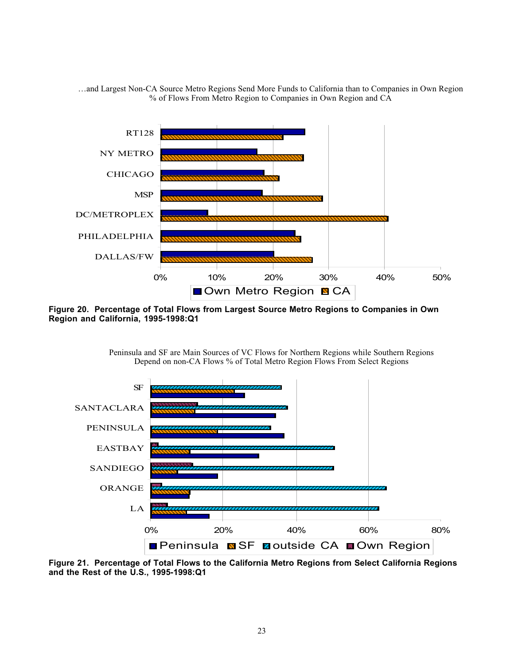…and Largest Non-CA Source Metro Regions Send More Funds to California than to Companies in Own Region % of Flows From Metro Region to Companies in Own Region and CA



**Figure 20. Percentage of Total Flows from Largest Source Metro Regions to Companies in Own Region and California, 1995-1998:Q1**





**Figure 21. Percentage of Total Flows to the California Metro Regions from Select California Regions and the Rest of the U.S., 1995-1998:Q1**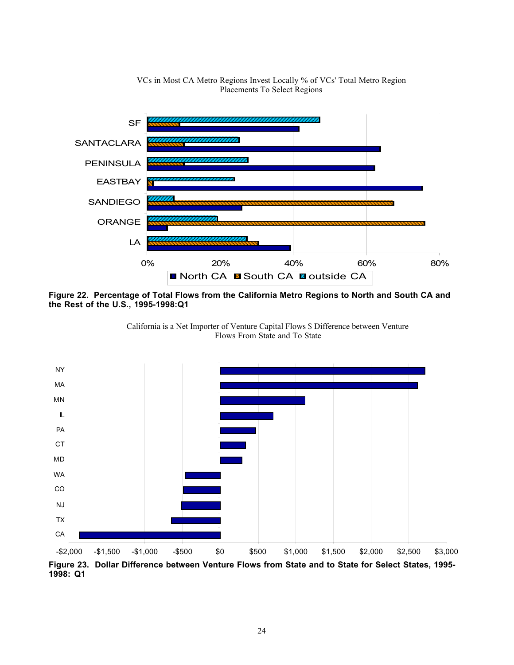

VCs in Most CA Metro Regions Invest Locally % of VCs' Total Metro Region Placements To Select Regions

**Figure 22. Percentage of Total Flows from the California Metro Regions to North and South CA and the Rest of the U.S., 1995-1998:Q1**



California is a Net Importer of Venture Capital Flows \$ Difference between Venture Flows From State and To State

**Figure 23. Dollar Difference between Venture Flows from State and to State for Select States, 1995- 1998: Q1**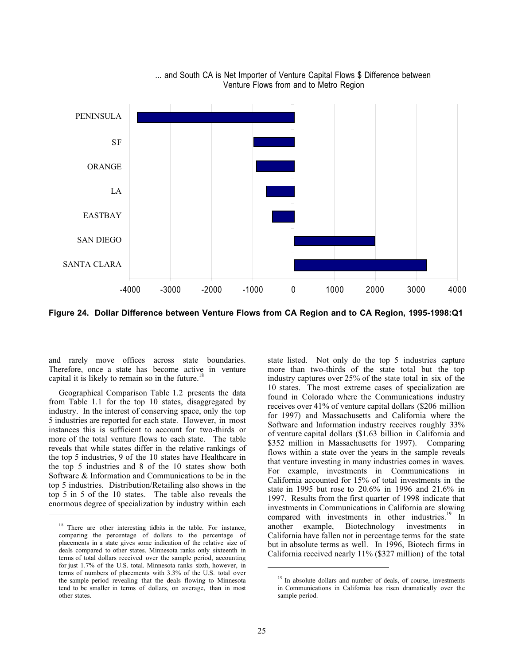

... and South CA is Net Importer of Venture Capital Flows \$ Difference between Venture Flows from and to Metro Region

**Figure 24. Dollar Difference between Venture Flows from CA Region and to CA Region, 1995-1998:Q1**

and rarely move offices across state boundaries. Therefore, once a state has become active in venture capital it is likely to remain so in the future.<sup>1</sup>

Geographical Comparison Table 1.2 presents the data from Table 1.1 for the top 10 states, disaggregated by industry. In the interest of conserving space, only the top 5 industries are reported for each state. However, in most instances this is sufficient to account for two-thirds or more of the total venture flows to each state. The table reveals that while states differ in the relative rankings of the top 5 industries, 9 of the 10 states have Healthcare in the top 5 industries and 8 of the 10 states show both Software & Information and Communications to be in the top 5 industries. Distribution/Retailing also shows in the top 5 in 5 of the 10 states. The table also reveals the enormous degree of specialization by industry within each

 $\overline{a}$ 

state listed. Not only do the top 5 industries capture more than two-thirds of the state total but the top industry captures over 25% of the state total in six of the 10 states. The most extreme cases of specialization are found in Colorado where the Communications industry receives over 41% of venture capital dollars (\$206 million for 1997) and Massachusetts and California where the Software and Information industry receives roughly 33% of venture capital dollars (\$1.63 billion in California and \$352 million in Massachusetts for 1997). Comparing flows within a state over the years in the sample reveals that venture investing in many industries comes in waves. For example, investments in Communications in California accounted for 15% of total investments in the state in 1995 but rose to 20.6% in 1996 and 21.6% in 1997. Results from the first quarter of 1998 indicate that investments in Communications in California are slowing compared with investments in other industries.<sup>19</sup> In another example, Biotechnology investments in another example, Biotechnology investments in California have fallen not in percentage terms for the state but in absolute terms as well. In 1996, Biotech firms in California received nearly 11% (\$327 million) of the total

<sup>&</sup>lt;sup>18</sup> There are other interesting tidbits in the table. For instance, comparing the percentage of dollars to the percentage of placements in a state gives some indication of the relative size of deals compared to other states. Minnesota ranks only sixteenth in terms of total dollars received over the sample period, accounting for just 1.7% of the U.S. total. Minnesota ranks sixth, however, in terms of numbers of placements with 3.3% of the U.S. total over the sample period revealing that the deals flowing to Minnesota tend to be smaller in terms of dollars, on average, than in most other states.

<sup>&</sup>lt;sup>19</sup> In absolute dollars and number of deals, of course, investments in Communications in California has risen dramatically over the sample period.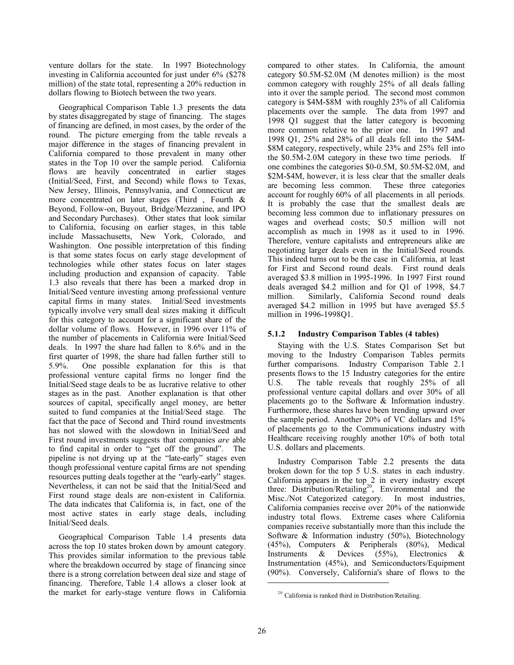venture dollars for the state. In 1997 Biotechnology investing in California accounted for just under 6% (\$278 million) of the state total, representing a 20% reduction in dollars flowing to Biotech between the two years.

Geographical Comparison Table 1.3 presents the data by states disaggregated by stage of financing. The stages of financing are defined, in most cases, by the order of the round. The picture emerging from the table reveals a major difference in the stages of financing prevalent in California compared to those prevalent in many other states in the Top 10 over the sample period. California flows are heavily concentrated in earlier stages (Initial/Seed, First, and Second) while flows to Texas, New Jersey, Illinois, Pennsylvania, and Connecticut are more concentrated on later stages (Third , Fourth & Beyond, Follow-on, Buyout, Bridge/Mezzanine, and IPO and Secondary Purchases). Other states that look similar to California, focusing on earlier stages, in this table include Massachusetts, New York, Colorado, and Washington. One possible interpretation of this finding is that some states focus on early stage development of technologies while other states focus on later stages including production and expansion of capacity. Table 1.3 also reveals that there has been a marked drop in Initial/Seed venture investing among professional venture capital firms in many states. Initial/Seed investments typically involve very small deal sizes making it difficult for this category to account for a significant share of the dollar volume of flows. However, in 1996 over 11% of the number of placements in California were Initial/Seed deals. In 1997 the share had fallen to 8.6% and in the first quarter of 1998, the share had fallen further still to 5.9%. One possible explanation for this is that professional venture capital firms no longer find the Initial/Seed stage deals to be as lucrative relative to other stages as in the past. Another explanation is that other sources of capital, specifically angel money, are better suited to fund companies at the Initial/Seed stage. The fact that the pace of Second and Third round investments has not slowed with the slowdown in Initial/Seed and First round investments suggests that companies *are* able to find capital in order to "get off the ground". The pipeline is not drying up at the "late-early" stages even though professional venture capital firms are not spending resources putting deals together at the "early-early" stages. Nevertheless, it can not be said that the Initial/Seed and First round stage deals are non-existent in California. The data indicates that California is, in fact, one of the most active states in early stage deals, including Initial/Seed deals.

Geographical Comparison Table 1.4 presents data across the top 10 states broken down by amount category. This provides similar information to the previous table where the breakdown occurred by stage of financing since there is a strong correlation between deal size and stage of financing. Therefore, Table 1.4 allows a closer look at the market for early-stage venture flows in California compared to other states. In California, the amount category \$0.5M-\$2.0M (M denotes million) is the most common category with roughly 25% of all deals falling into it over the sample period. The second most common category is \$4M-\$8M with roughly 23% of all California placements over the sample. The data from 1997 and 1998 Q1 suggest that the latter category is becoming more common relative to the prior one. In 1997 and 1998 Q1, 25% and 28% of all deals fell into the \$4M- \$8M category, respectively, while 23% and 25% fell into the \$0.5M-2.0M category in these two time periods. If one combines the categories \$0-0.5M, \$0.5M-\$2.0M, and \$2M-\$4M, however, it is less clear that the smaller deals are becoming less common. These three categories account for roughly 60% of all placements in all periods. It is probably the case that the smallest deals are becoming less common due to inflationary pressures on wages and overhead costs; \$0.5 million will not accomplish as much in 1998 as it used to in 1996. Therefore, venture capitalists and entrepreneurs alike are negotiating larger deals even in the Initial/Seed rounds. This indeed turns out to be the case in California, at least for First and Second round deals. First round deals averaged \$3.8 million in 1995-1996. In 1997 First round deals averaged \$4.2 million and for Q1 of 1998, \$4.7 million. Similarly, California Second round deals averaged \$4.2 million in 1995 but have averaged \$5.5 million in 1996-1998Q1.

#### **5.1.2 Industry Comparison Tables (4 tables)**

Staying with the U.S. States Comparison Set but moving to the Industry Comparison Tables permits further comparisons. Industry Comparison Table 2.1 presents flows to the 15 Industry categories for the entire U.S. The table reveals that roughly 25% of all professional venture capital dollars and over 30% of all placements go to the Software & Information industry. Furthermore, these shares have been trending upward over the sample period. Another 20% of VC dollars and 15% of placements go to the Communications industry with Healthcare receiving roughly another 10% of both total U.S. dollars and placements.

Industry Comparison Table 2.2 presents the data broken down for the top 5 U.S. states in each industry. California appears in the top 2 in every industry except three: Distribution/Retailing<sup>20</sup>, Environmental and the Misc./Not Categorized category. In most industries, California companies receive over 20% of the nationwide industry total flows. Extreme cases where California companies receive substantially more than this include the Software & Information industry (50%), Biotechnology (45%), Computers & Peripherals (80%), Medical Instruments & Devices (55%), Electronics & Instrumentation (45%), and Semiconductors/Equipment (90%). Conversely, California's share of flows to the

<sup>&</sup>lt;sup>20</sup> California is ranked third in Distribution/Retailing.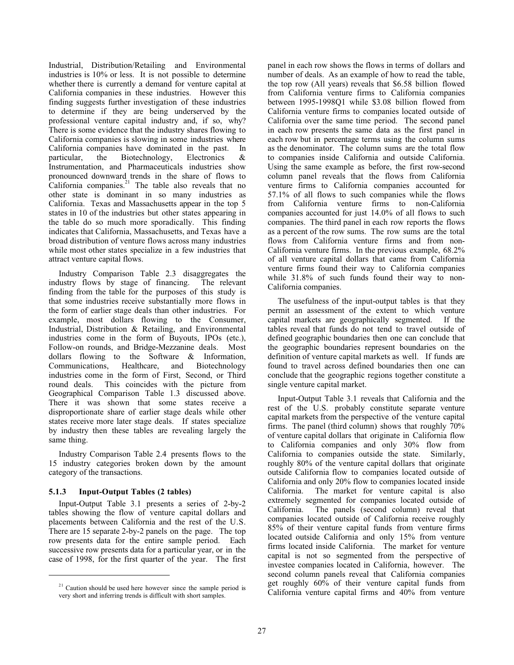Industrial, Distribution/Retailing and Environmental industries is 10% or less. It is not possible to determine whether there is currently a demand for venture capital at California companies in these industries. However this finding suggests further investigation of these industries to determine if they are being underserved by the professional venture capital industry and, if so, why? There is some evidence that the industry shares flowing to California companies is slowing in some industries where California companies have dominated in the past. In particular, the Biotechnology, Electronics & Instrumentation, and Pharmaceuticals industries show pronounced downward trends in the share of flows to California companies. $21$  The table also reveals that no other state is dominant in so many industries as California. Texas and Massachusetts appear in the top 5 states in 10 of the industries but other states appearing in the table do so much more sporadically. This finding indicates that California, Massachusetts, and Texas have a broad distribution of venture flows across many industries while most other states specialize in a few industries that attract venture capital flows.

Industry Comparison Table 2.3 disaggregates the industry flows by stage of financing. The relevant finding from the table for the purposes of this study is that some industries receive substantially more flows in the form of earlier stage deals than other industries. For example, most dollars flowing to the Consumer, Industrial, Distribution & Retailing, and Environmental industries come in the form of Buyouts, IPOs (etc.), Follow-on rounds, and Bridge-Mezzanine deals. Most dollars flowing to the Software & Information, Communications, Healthcare, and Biotechnology industries come in the form of First, Second, or Third round deals. This coincides with the picture from Geographical Comparison Table 1.3 discussed above. There it was shown that some states receive a disproportionate share of earlier stage deals while other states receive more later stage deals. If states specialize by industry then these tables are revealing largely the same thing.

Industry Comparison Table 2.4 presents flows to the 15 industry categories broken down by the amount category of the transactions.

## **5.1.3 Input-Output Tables (2 tables)**

 $\overline{a}$ 

Input-Output Table 3.1 presents a series of 2-by-2 tables showing the flow of venture capital dollars and placements between California and the rest of the U.S. There are 15 separate 2-by-2 panels on the page. The top row presents data for the entire sample period. Each successive row presents data for a particular year, or in the case of 1998, for the first quarter of the year. The first panel in each row shows the flows in terms of dollars and number of deals. As an example of how to read the table, the top row (All years) reveals that \$6.58 billion flowed from California venture firms to California companies between 1995-1998Q1 while \$3.08 billion flowed from California venture firms to companies located outside of California over the same time period. The second panel in each row presents the same data as the first panel in each row but in percentage terms using the column sums as the denominator. The column sums are the total flow to companies inside California and outside California. Using the same example as before, the first row-second column panel reveals that the flows from California venture firms to California companies accounted for 57.1% of all flows to such companies while the flows from California venture firms to non-California companies accounted for just 14.0% of all flows to such companies. The third panel in each row reports the flows as a percent of the row sums. The row sums are the total flows from California venture firms and from non-California venture firms. In the previous example, 68.2% of all venture capital dollars that came from California venture firms found their way to California companies while 31.8% of such funds found their way to non-California companies.

The usefulness of the input-output tables is that they permit an assessment of the extent to which venture capital markets are geographically segmented. If the tables reveal that funds do not tend to travel outside of defined geographic boundaries then one can conclude that the geographic boundaries represent boundaries on the definition of venture capital markets as well. If funds are found to travel across defined boundaries then one can conclude that the geographic regions together constitute a single venture capital market.

Input-Output Table 3.1 reveals that California and the rest of the U.S. probably constitute separate venture capital markets from the perspective of the venture capital firms. The panel (third column) shows that roughly 70% of venture capital dollars that originate in California flow to California companies and only 30% flow from California to companies outside the state. Similarly, roughly 80% of the venture capital dollars that originate outside California flow to companies located outside of California and only 20% flow to companies located inside California. The market for venture capital is also extremely segmented for companies located outside of California. The panels (second column) reveal that companies located outside of California receive roughly 85% of their venture capital funds from venture firms located outside California and only 15% from venture firms located inside California. The market for venture capital is not so segmented from the perspective of investee companies located in California, however. The second column panels reveal that California companies get roughly 60% of their venture capital funds from California venture capital firms and 40% from venture

 $21$  Caution should be used here however since the sample period is very short and inferring trends is difficult with short samples.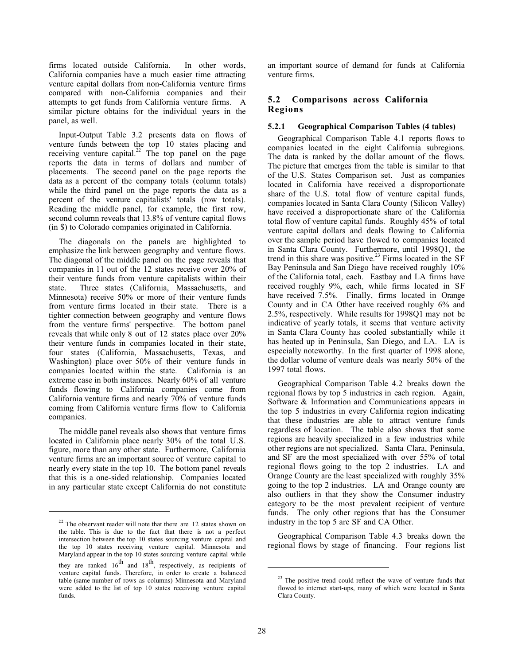firms located outside California. In other words, California companies have a much easier time attracting venture capital dollars from non-California venture firms compared with non-California companies and their attempts to get funds from California venture firms. A similar picture obtains for the individual years in the panel, as well.

Input-Output Table 3.2 presents data on flows of venture funds between the top 10 states placing and receiving venture capital.<sup>22</sup> The top panel on the page reports the data in terms of dollars and number of placements. The second panel on the page reports the data as a percent of the company totals (column totals) while the third panel on the page reports the data as a percent of the venture capitalists' totals (row totals). Reading the middle panel, for example, the first row, second column reveals that 13.8% of venture capital flows (in \$) to Colorado companies originated in California.

The diagonals on the panels are highlighted to emphasize the link between geography and venture flows. The diagonal of the middle panel on the page reveals that companies in 11 out of the 12 states receive over 20% of their venture funds from venture capitalists within their state. Three states (California, Massachusetts, and Minnesota) receive 50% or more of their venture funds from venture firms located in their state. There is a tighter connection between geography and venture flows from the venture firms' perspective. The bottom panel reveals that while only 8 out of 12 states place over 20% their venture funds in companies located in their state, four states (California, Massachusetts, Texas, and Washington) place over 50% of their venture funds in companies located within the state. California is an extreme case in both instances. Nearly 60% of all venture funds flowing to California companies come from California venture firms and nearly 70% of venture funds coming from California venture firms flow to California companies.

The middle panel reveals also shows that venture firms located in California place nearly 30% of the total U.S. figure, more than any other state. Furthermore, California venture firms are an important source of venture capital to nearly every state in the top 10. The bottom panel reveals that this is a one-sided relationship. Companies located in any particular state except California do not constitute

 $\overline{a}$ 

an important source of demand for funds at California venture firms.

## **5.2 Comparisons across California Regions**

## **5.2.1 Geographical Comparison Tables (4 tables)**

Geographical Comparison Table 4.1 reports flows to companies located in the eight California subregions. The data is ranked by the dollar amount of the flows. The picture that emerges from the table is similar to that of the U.S. States Comparison set. Just as companies located in California have received a disproportionate share of the U.S. total flow of venture capital funds, companies located in Santa Clara County (Silicon Valley) have received a disproportionate share of the California total flow of venture capital funds. Roughly 45% of total venture capital dollars and deals flowing to California over the sample period have flowed to companies located in Santa Clara County. Furthermore, until 1998Q1, the trend in this share was positive.<sup>23</sup> Firms located in the SF Bay Peninsula and San Diego have received roughly 10% of the California total, each. Eastbay and LA firms have received roughly 9%, each, while firms located in SF have received 7.5%. Finally, firms located in Orange County and in CA Other have received roughly 6% and 2.5%, respectively. While results for 1998Q1 may not be indicative of yearly totals, it seems that venture activity in Santa Clara County has cooled substantially while it has heated up in Peninsula, San Diego, and LA. LA is especially noteworthy. In the first quarter of 1998 alone, the dollar volume of venture deals was nearly 50% of the 1997 total flows.

Geographical Comparison Table 4.2 breaks down the regional flows by top 5 industries in each region. Again, Software & Information and Communications appears in the top 5 industries in every California region indicating that these industries are able to attract venture funds regardless of location. The table also shows that some regions are heavily specialized in a few industries while other regions are not specialized. Santa Clara, Peninsula, and SF are the most specialized with over 55% of total regional flows going to the top 2 industries. LA and Orange County are the least specialized with roughly 35% going to the top 2 industries. LA and Orange county are also outliers in that they show the Consumer industry category to be the most prevalent recipient of venture funds. The only other regions that has the Consumer industry in the top 5 are SF and CA Other.

Geographical Comparison Table 4.3 breaks down the regional flows by stage of financing. Four regions list

 $22$  The observant reader will note that there are 12 states shown on the table. This is due to the fact that there is not a perfect intersection between the top 10 states sourcing venture capital and the top 10 states receiving venture capital. Minnesota and Maryland appear in the top 10 states sourcing venture capital while they are ranked  $16^{th}$  and  $18^{th}$ , respectively, as recipients of venture capital funds. Therefore, in order to create a balanced table (same number of rows as columns) Minnesota and Maryland were added to the list of top 10 states receiving venture capital funds.

<sup>&</sup>lt;sup>23</sup> The positive trend could reflect the wave of venture funds that flowed to internet start-ups, many of which were located in Santa Clara County.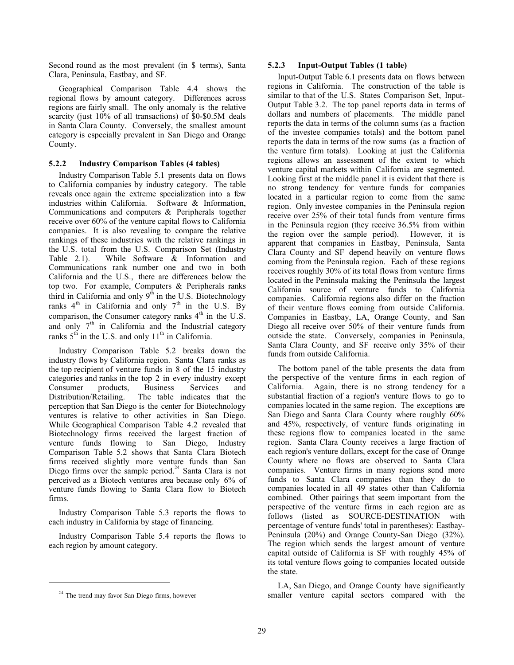Second round as the most prevalent (in \$ terms), Santa Clara, Peninsula, Eastbay, and SF.

Geographical Comparison Table 4.4 shows the regional flows by amount category. Differences across regions are fairly small. The only anomaly is the relative scarcity (just 10% of all transactions) of \$0-\$0.5M deals in Santa Clara County. Conversely, the smallest amount category is especially prevalent in San Diego and Orange County.

## **5.2.2 Industry Comparison Tables (4 tables)**

Industry Comparison Table 5.1 presents data on flows to California companies by industry category. The table reveals once again the extreme specialization into a few industries within California. Software & Information, Communications and computers & Peripherals together receive over 60% of the venture capital flows to California companies. It is also revealing to compare the relative rankings of these industries with the relative rankings in the U.S. total from the U.S. Comparison Set (Industry Table 2.1). While Software & Information and Communications rank number one and two in both California and the U.S., there are differences below the top two. For example, Computers & Peripherals ranks third in California and only  $9^{\overline{th}}$  in the U.S. Biotechnology ranks  $4<sup>th</sup>$  in California and only  $7<sup>th</sup>$  in the U.S. By comparison, the Consumer category ranks  $4<sup>th</sup>$  in the U.S. and only  $7<sup>th</sup>$  in California and the Industrial category ranks  $5<sup>th</sup>$  in the U.S. and only 11<sup>th</sup> in California.

Industry Comparison Table 5.2 breaks down the industry flows by California region. Santa Clara ranks as the top recipient of venture funds in 8 of the 15 industry categories and ranks in the top 2 in every industry except Consumer products, Business Services and Distribution/Retailing. The table indicates that the perception that San Diego is the center for Biotechnology ventures is relative to other activities in San Diego. While Geographical Comparison Table 4.2 revealed that Biotechnology firms received the largest fraction of venture funds flowing to San Diego, Industry Comparison Table 5.2 shows that Santa Clara Biotech firms received slightly more venture funds than San Diego firms over the sample period.<sup>24</sup> Santa Clara is not perceived as a Biotech ventures area because only 6% of venture funds flowing to Santa Clara flow to Biotech firms.

Industry Comparison Table 5.3 reports the flows to each industry in California by stage of financing.

Industry Comparison Table 5.4 reports the flows to each region by amount category.

 $\overline{a}$ 

#### **5.2.3 Input-Output Tables (1 table)**

Input-Output Table 6.1 presents data on flows between regions in California. The construction of the table is similar to that of the U.S. States Comparison Set, Input-Output Table 3.2. The top panel reports data in terms of dollars and numbers of placements. The middle panel reports the data in terms of the column sums (as a fraction of the investee companies totals) and the bottom panel reports the data in terms of the row sums (as a fraction of the venture firm totals). Looking at just the California regions allows an assessment of the extent to which venture capital markets within California are segmented. Looking first at the middle panel it is evident that there is no strong tendency for venture funds for companies located in a particular region to come from the same region. Only investee companies in the Peninsula region receive over 25% of their total funds from venture firms in the Peninsula region (they receive 36.5% from within the region over the sample period). However, it is apparent that companies in Eastbay, Peninsula, Santa Clara County and SF depend heavily on venture flows coming from the Peninsula region. Each of these regions receives roughly 30% of its total flows from venture firms located in the Peninsula making the Peninsula the largest California source of venture funds to California companies. California regions also differ on the fraction of their venture flows coming from outside California. Companies in Eastbay, LA, Orange County, and San Diego all receive over 50% of their venture funds from outside the state. Conversely, companies in Peninsula, Santa Clara County, and SF receive only 35% of their funds from outside California.

The bottom panel of the table presents the data from the perspective of the venture firms in each region of California. Again, there is no strong tendency for a substantial fraction of a region's venture flows to go to companies located in the same region. The exceptions are San Diego and Santa Clara County where roughly 60% and 45%, respectively, of venture funds originating in these regions flow to companies located in the same region. Santa Clara County receives a large fraction of each region's venture dollars, except for the case of Orange County where no flows are observed to Santa Clara companies. Venture firms in many regions send more funds to Santa Clara companies than they do to companies located in all 49 states other than California combined. Other pairings that seem important from the perspective of the venture firms in each region are as follows (listed as SOURCE-DESTINATION with percentage of venture funds' total in parentheses): Eastbay-Peninsula (20%) and Orange County-San Diego (32%). The region which sends the largest amount of venture capital outside of California is SF with roughly 45% of its total venture flows going to companies located outside the state.

LA, San Diego, and Orange County have significantly smaller venture capital sectors compared with the

<sup>&</sup>lt;sup>24</sup> The trend may favor San Diego firms, however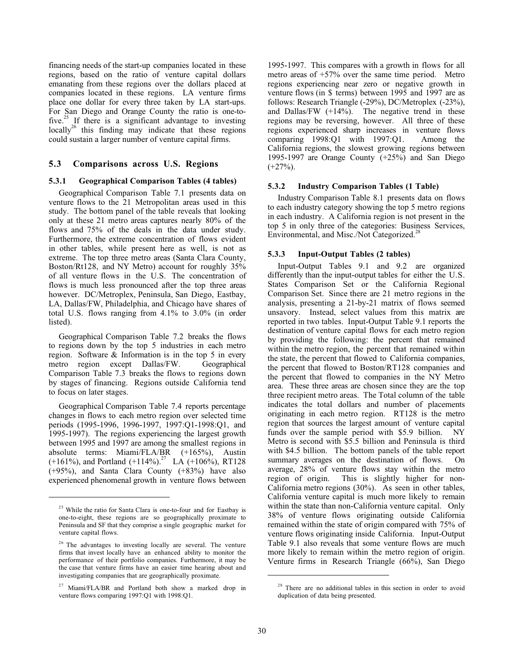financing needs of the start-up companies located in these regions, based on the ratio of venture capital dollars emanating from these regions over the dollars placed at companies located in these regions. LA venture firms place one dollar for every three taken by LA start-ups. For San Diego and Orange County the ratio is one-to-For sall  $D \times \infty$  in  $\infty$  in  $\infty$  in  $\infty$  investing  $\frac{1}{2}$  is a significant advantage to investing locally<sup>26</sup> this finding may indicate that these regions could sustain a larger number of venture capital firms.

## **5.3 Comparisons across U.S. Regions**

#### **5.3.1 Geographical Comparison Tables (4 tables)**

Geographical Comparison Table 7.1 presents data on venture flows to the 21 Metropolitan areas used in this study. The bottom panel of the table reveals that looking only at these 21 metro areas captures nearly 80% of the flows and 75% of the deals in the data under study. Furthermore, the extreme concentration of flows evident in other tables, while present here as well, is not as extreme. The top three metro areas (Santa Clara County, Boston/Rt128, and NY Metro) account for roughly 35% of all venture flows in the U.S. The concentration of flows is much less pronounced after the top three areas however. DC/Metroplex, Peninsula, San Diego, Eastbay, LA, Dallas/FW, Philadelphia, and Chicago have shares of total U.S. flows ranging from 4.1% to 3.0% (in order listed).

Geographical Comparison Table 7.2 breaks the flows to regions down by the top 5 industries in each metro region. Software & Information is in the top 5 in every metro region except Dallas/FW. Geographical Comparison Table 7.3 breaks the flows to regions down by stages of financing. Regions outside California tend to focus on later stages.

Geographical Comparison Table 7.4 reports percentage changes in flows to each metro region over selected time periods (1995-1996, 1996-1997, 1997:Q1-1998:Q1, and 1995-1997). The regions experiencing the largest growth between 1995 and 1997 are among the smallest regions in absolute terms: Miami/FLA/BR (+165%), Austin  $(+161\%)$ , and Portland  $(+114\%)$ .<sup>27</sup> LA  $(+106\%)$ , RT128 (+95%), and Santa Clara County (+83%) have also experienced phenomenal growth in venture flows between

 $\overline{a}$ 

1995-1997. This compares with a growth in flows for all metro areas of +57% over the same time period. Metro regions experiencing near zero or negative growth in venture flows (in \$ terms) between 1995 and 1997 are as follows: Research Triangle (-29%), DC/Metroplex (-23%), and Dallas/FW  $(+14%)$ . The negative trend in these regions may be reversing, however. All three of these regions experienced sharp increases in venture flows comparing 1998:Q1 with 1997:Q1. Among the California regions, the slowest growing regions between 1995-1997 are Orange County (+25%) and San Diego  $(+27\%)$ .

#### **5.3.2 Industry Comparison Tables (1 Table)**

Industry Comparison Table 8.1 presents data on flows to each industry category showing the top 5 metro regions in each industry. A California region is not present in the top 5 in only three of the categories: Business Services, Environmental, and Misc./Not Categorized.<sup>28</sup>

#### **5.3.3 Input-Output Tables (2 tables)**

Input-Output Tables 9.1 and 9.2 are organized differently than the input-output tables for either the U.S. States Comparison Set or the California Regional Comparison Set. Since there are 21 metro regions in the analysis, presenting a 21-by-21 matrix of flows seemed unsavory. Instead, select values from this matrix are reported in two tables. Input-Output Table 9.1 reports the destination of venture capital flows for each metro region by providing the following: the percent that remained within the metro region, the percent that remained within the state, the percent that flowed to California companies, the percent that flowed to Boston/RT128 companies and the percent that flowed to companies in the NY Metro area. These three areas are chosen since they are the top three recipient metro areas. The Total column of the table indicates the total dollars and number of placements originating in each metro region. RT128 is the metro region that sources the largest amount of venture capital funds over the sample period with \$5.9 billion. NY Metro is second with \$5.5 billion and Peninsula is third with \$4.5 billion. The bottom panels of the table report summary averages on the destination of flows. On average, 28% of venture flows stay within the metro region of origin. This is slightly higher for non-California metro regions (30%). As seen in other tables, California venture capital is much more likely to remain within the state than non-California venture capital. Only 38% of venture flows originating outside California remained within the state of origin compared with 75% of venture flows originating inside California. Input-Output Table 9.1 also reveals that some venture flows are much more likely to remain within the metro region of origin. Venture firms in Research Triangle (66%), San Diego

<sup>&</sup>lt;sup>25</sup> While the ratio for Santa Clara is one-to-four and for Eastbay is one-to-eight, these regions are so geographically proximate to Peninsula and SF that they comprise a single geographic market for venture capital flows.

<sup>&</sup>lt;sup>26</sup> The advantages to investing locally are several. The venture firms that invest locally have an enhanced ability to monitor the performance of their portfolio companies. Furthermore, it may be the case that venture firms have an easier time hearing about and investigating companies that are geographically proximate.

 $27$  Miami/FLA/BR and Portland both show a marked drop in venture flows comparing 1997:Q1 with 1998:Q1.

<sup>&</sup>lt;sup>28</sup> There are no additional tables in this section in order to avoid duplication of data being presented.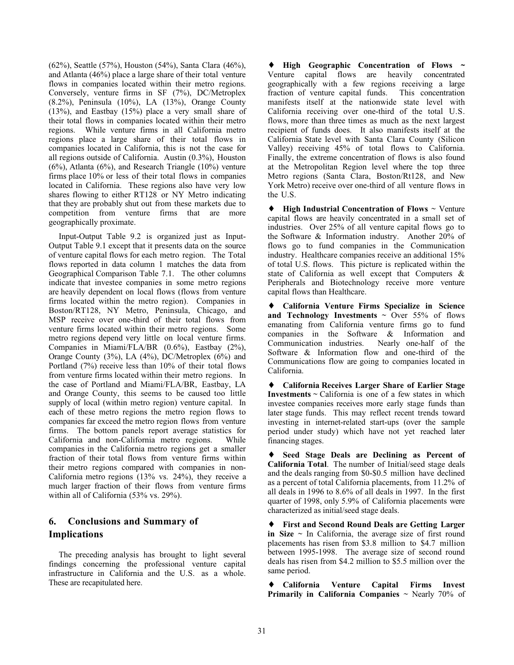(62%), Seattle (57%), Houston (54%), Santa Clara (46%), and Atlanta (46%) place a large share of their total venture flows in companies located within their metro regions. Conversely, venture firms in SF (7%), DC/Metroplex (8.2%), Peninsula (10%), LA (13%), Orange County (13%), and Eastbay (15%) place a very small share of their total flows in companies located within their metro regions. While venture firms in all California metro regions place a large share of their total flows in companies located in California, this is not the case for all regions outside of California. Austin (0.3%), Houston (6%), Atlanta (6%), and Research Triangle (10%) venture firms place 10% or less of their total flows in companies located in California. These regions also have very low shares flowing to either RT128 or NY Metro indicating that they are probably shut out from these markets due to competition from venture firms that are more geographically proximate.

Input-Output Table 9.2 is organized just as Input-Output Table 9.1 except that it presents data on the source of venture capital flows for each metro region. The Total flows reported in data column 1 matches the data from Geographical Comparison Table 7.1. The other columns indicate that investee companies in some metro regions are heavily dependent on local flows (flows from venture firms located within the metro region). Companies in Boston/RT128, NY Metro, Peninsula, Chicago, and MSP receive over one-third of their total flows from venture firms located within their metro regions. Some metro regions depend very little on local venture firms. Companies in Miami/FLA/BR (0.6%), Eastbay (2%), Orange County (3%), LA (4%), DC/Metroplex (6%) and Portland (7%) receive less than 10% of their total flows from venture firms located within their metro regions. In the case of Portland and Miami/FLA/BR, Eastbay, LA and Orange County, this seems to be caused too little supply of local (within metro region) venture capital. In each of these metro regions the metro region flows to companies far exceed the metro region flows from venture firms. The bottom panels report average statistics for California and non-California metro regions. While companies in the California metro regions get a smaller fraction of their total flows from venture firms within their metro regions compared with companies in non-California metro regions (13% vs. 24%), they receive a much larger fraction of their flows from venture firms within all of California (53% vs. 29%).

# **6. Conclusions and Summary of Implications**

The preceding analysis has brought to light several findings concerning the professional venture capital infrastructure in California and the U.S. as a whole. These are recapitulated here.

♦ **High Geographic Concentration of Flows ~** Venture capital flows are heavily concentrated geographically with a few regions receiving a large fraction of venture capital funds. This concentration manifests itself at the nationwide state level with California receiving over one-third of the total U.S. flows, more than three times as much as the next largest recipient of funds does. It also manifests itself at the California State level with Santa Clara County (Silicon Valley) receiving 45% of total flows to California. Finally, the extreme concentration of flows is also found at the Metropolitan Region level where the top three Metro regions (Santa Clara, Boston/Rt128, and New York Metro) receive over one-third of all venture flows in the U.S.

♦ **High Industrial Concentration of Flows** ~ Venture capital flows are heavily concentrated in a small set of industries. Over 25% of all venture capital flows go to the Software & Information industry. Another 20% of flows go to fund companies in the Communication industry. Healthcare companies receive an additional 15% of total U.S. flows. This picture is replicated within the state of California as well except that Computers & Peripherals and Biotechnology receive more venture capital flows than Healthcare.

♦ **California Venture Firms Specialize in Science and Technology Investments**  $\sim$  **Over 55% of flows** emanating from California venture firms go to fund companies in the Software & Information and Communication industries. Nearly one-half of the Software & Information flow and one-third of the Communications flow are going to companies located in California.

♦ **California Receives Larger Share of Earlier Stage Investments**  $\sim$  California is one of a few states in which investee companies receives more early stage funds than later stage funds. This may reflect recent trends toward investing in internet-related start-ups (over the sample period under study) which have not yet reached later financing stages.

Seed Stage Deals are Declining as Percent of **California Total**. The number of Initial/seed stage deals and the deals ranging from \$0-\$0.5 million have declined as a percent of total California placements, from 11.2% of all deals in 1996 to 8.6% of all deals in 1997. In the first quarter of 1998, only 5.9% of California placements were characterized as initial/seed stage deals.

♦ **First and Second Round Deals are Getting Larger in Size**  $\sim$  In California, the average size of first round placements has risen from \$3.8 million to \$4.7 million between 1995-1998. The average size of second round deals has risen from \$4.2 million to \$5.5 million over the same period.

♦ **California Venture Capital Firms Invest Primarily in California Companies ~ Nearly 70% of**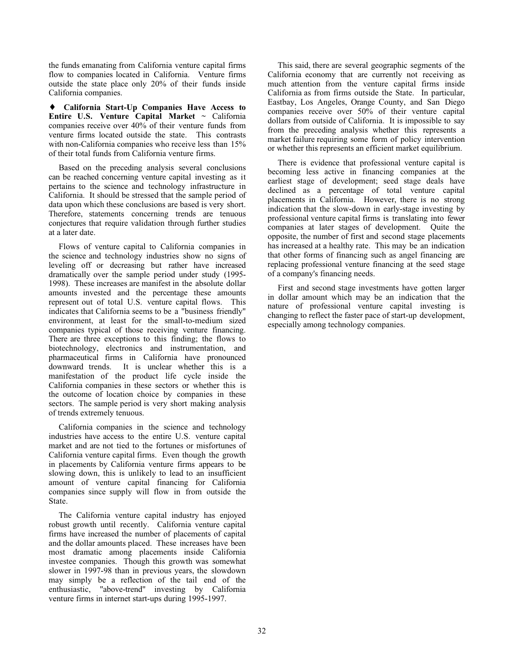the funds emanating from California venture capital firms flow to companies located in California. Venture firms outside the state place only 20% of their funds inside California companies.

♦ **California Start-Up Companies Have Access to Entire U.S. Venture Capital Market** ~ California companies receive over 40% of their venture funds from venture firms located outside the state. This contrasts with non-California companies who receive less than  $15\%$ of their total funds from California venture firms.

Based on the preceding analysis several conclusions can be reached concerning venture capital investing as it pertains to the science and technology infrastructure in California. It should be stressed that the sample period of data upon which these conclusions are based is very short. Therefore, statements concerning trends are tenuous conjectures that require validation through further studies at a later date.

Flows of venture capital to California companies in the science and technology industries show no signs of leveling off or decreasing but rather have increased dramatically over the sample period under study (1995- 1998). These increases are manifest in the absolute dollar amounts invested and the percentage these amounts represent out of total U.S. venture capital flows. This indicates that California seems to be a "business friendly" environment, at least for the small-to-medium sized companies typical of those receiving venture financing. There are three exceptions to this finding; the flows to biotechnology, electronics and instrumentation, and pharmaceutical firms in California have pronounced downward trends. It is unclear whether this is a manifestation of the product life cycle inside the California companies in these sectors or whether this is the outcome of location choice by companies in these sectors. The sample period is very short making analysis of trends extremely tenuous.

California companies in the science and technology industries have access to the entire U.S. venture capital market and are not tied to the fortunes or misfortunes of California venture capital firms. Even though the growth in placements by California venture firms appears to be slowing down, this is unlikely to lead to an insufficient amount of venture capital financing for California companies since supply will flow in from outside the State.

The California venture capital industry has enjoyed robust growth until recently. California venture capital firms have increased the number of placements of capital and the dollar amounts placed. These increases have been most dramatic among placements inside California investee companies. Though this growth was somewhat slower in 1997-98 than in previous years, the slowdown may simply be a reflection of the tail end of the enthusiastic, "above-trend" investing by California venture firms in internet start-ups during 1995-1997.

This said, there are several geographic segments of the California economy that are currently not receiving as much attention from the venture capital firms inside California as from firms outside the State. In particular, Eastbay, Los Angeles, Orange County, and San Diego companies receive over 50% of their venture capital dollars from outside of California. It is impossible to say from the preceding analysis whether this represents a market failure requiring some form of policy intervention or whether this represents an efficient market equilibrium.

There is evidence that professional venture capital is becoming less active in financing companies at the earliest stage of development; seed stage deals have declined as a percentage of total venture capital placements in California. However, there is no strong indication that the slow-down in early-stage investing by professional venture capital firms is translating into fewer companies at later stages of development. Quite the opposite, the number of first and second stage placements has increased at a healthy rate. This may be an indication that other forms of financing such as angel financing are replacing professional venture financing at the seed stage of a company's financing needs.

First and second stage investments have gotten larger in dollar amount which may be an indication that the nature of professional venture capital investing is changing to reflect the faster pace of start-up development, especially among technology companies.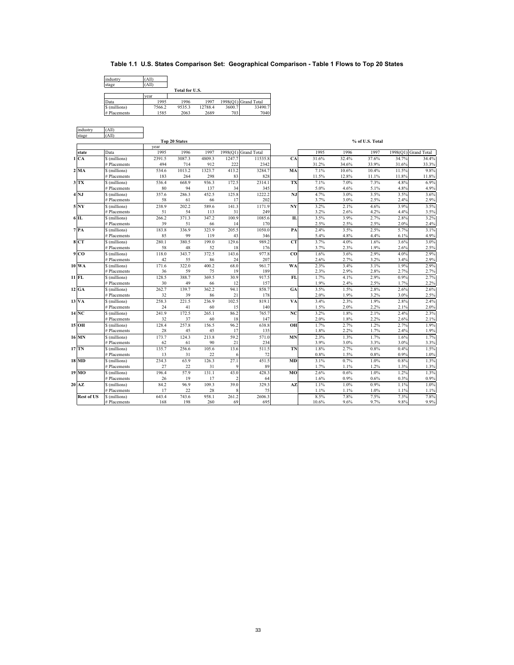## **Table 1.1 U.S. States Comparison Set: Geographical Comparison - Table 1 Flows to Top 20 States**

| industry      | 'All)  |                |         |        |                      |
|---------------|--------|----------------|---------|--------|----------------------|
| stage         | 'All)  |                |         |        |                      |
|               |        | Total for U.S. |         |        |                      |
|               | vear   |                |         |        |                      |
| Data          | 1995   | 1996           | 1997    |        | 1998(Q1) Grand Total |
| \$ (millions) | 7566.2 | 9535.3         | 12788.4 | 3600.7 | 33490.7              |
| # Placements  | 1585   | 2063           | 2689    | 703    | 7040                 |

| industry          | (All)                         |             |                      |              |             |                    |                |              |              |                 |                      |              |
|-------------------|-------------------------------|-------------|----------------------|--------------|-------------|--------------------|----------------|--------------|--------------|-----------------|----------------------|--------------|
| stage             | (AII)                         |             |                      |              |             |                    |                |              |              |                 |                      |              |
|                   |                               |             | <b>Top 20 States</b> |              |             |                    |                |              |              | % of U.S. Total |                      |              |
|                   |                               | vear        |                      |              |             |                    |                |              |              |                 |                      |              |
| state             | Data                          | 1995        | 1996                 | 1997         | 1998(O1)    | <b>Grand Total</b> |                | 1995         | 1996         | 1997            | 1998(Q1) Grand Total |              |
| 1 CA              | \$ (millions)                 | 2391.5      | 3087.3               | 4809.3       | 1247.7      | 11535.8            | CA             | 31.6%        | 32.4%        | 37.6%           | 34.7%                | 34.4%        |
|                   | # Placements                  | 494         | 714                  | 912          | 222         | 2342               |                | 31.2%        | 34.6%        | 33.9%           | 31.6%                | 33.3%        |
| $2$ MA            | \$ (millions)                 | 534.6       | 1013.2               | 1323.7       | 413.2       | 3284.7             | MA             | 7.1%         | 10.6%        | 10.4%           | 11.5%                | 9.8%         |
|                   | # Placements                  | 183         | 264                  | 298          | 83          | 828                |                | 11.5%        | 12.8%        | 11.1%           | 11.8%                | 11.8%        |
| $3$ TX            | \$ (millions)<br># Placements | 536.4<br>80 | 668.9<br>94          | 936.3<br>137 | 172.5       | 2314.1<br>345      | TX             | 7.1%<br>5.0% | 7.0%<br>4.6% | 7.3%<br>5.1%    | 4.8%<br>4.8%         | 6.9%<br>4.9% |
| $4$ NJ            | \$ (millions)                 | 357.6       | 286.3                | 452.5        | 34<br>125.8 | 1222.2             | NJ             | 4.7%         | 3.0%         | 3.5%            | 3.5%                 | 3.6%         |
|                   | # Placements                  | 58          | 61                   | 66           | 17          | 202                |                | 3.7%         | 3.0%         | 2.5%            | 2.4%                 | 2.9%         |
| 5 NY              | \$ (millions)                 | 238.9       | 202.2                | 589.6        | 141.3       | 1171.9             | NY             | 3.2%         | 2.1%         | 4.6%            | 3.9%                 | 3.5%         |
|                   | # Placements                  | 51          | 54                   | 113          | 31          | 249                |                | 3.2%         | 2.6%         | 4.2%            | 4.4%                 | 3.5%         |
| $6$ IL            | \$ (millions)                 | 266.2       | 371.3                | 347.2        | 100.9       | 1085.6             | IL             | 3.5%         | 3.9%         | 2.7%            | 2.8%                 | 3.2%         |
|                   | # Placements                  | 39          | 51                   | 66           | 14          | 170                |                | 2.5%         | 2.5%         | 2.5%            | 2.0%                 | 2.4%         |
| $7$ $PA$          | \$ (millions)                 | 183.8       | 336.9                | 323.9        | 205.5       | 1050.0             | PA             | 2.4%         | 3.5%         | 2.5%            | 5.7%                 | 3.1%         |
|                   | # Placements                  | 85          | 99                   | 119          | 43          | 346                |                | 5.4%         | 4.8%         | 4.4%            | 6.1%                 | 4.9%         |
| 8 CT              | \$ (millions)                 | 280.1       | 380.5                | 199.0        | 129.6       | 989.2              | <b>CT</b>      | 3.7%         | 4.0%         | 1.6%            | 3.6%                 | 3.0%         |
|                   | # Placements                  | 58          | 48                   | 52           | 18          | 176                |                | 3.7%         | 2.3%         | 1.9%            | 2.6%                 | 2.5%         |
| 9 <sub>CO</sub>   | \$ (millions)                 | 118.0       | 343.7                | 372.5        | 143.6       | 977.8              | C <sub>O</sub> | 1.6%         | 3.6%         | 2.9%            | 4.0%                 | 2.9%         |
|                   | # Placements                  | 42          | 55                   | 86           | 24          | 207                |                | 2.6%         | 2.7%         | 3.2%            | 3.4%                 | 2.9%         |
| 10 WA             | \$ (millions)                 | 171.6       | 322.0                | 400.2        | 68.0        | 961.7              | WA             | 2.3%         | 3.4%         | 3.1%            | 1.9%                 | 2.9%         |
|                   | # Placements                  | 36          | 59                   | 75           | 19          | 189                |                | 2.3%         | 2.9%         | 2.8%            | 2.7%                 | 2.7%         |
| 11 FL             | \$ (millions)                 | 128.5       | 388.7                | 369.5        | 30.9        | 917.5              | FL             | 1.7%         | 4.1%         | 2.9%            | 0.9%                 | 2.7%         |
|                   | # Placements                  | 30          | 49                   | 66           | 12          | 157                |                | 1.9%         | 2.4%         | 2.5%            | 1.7%                 | 2.2%         |
| 12 GA             | \$ (millions)                 | 262.7       | 139.7                | 362.2        | 94.1        | 858.7              | GA             | 3.5%         | 1.5%         | 2.8%            | 2.6%                 | 2.6%         |
|                   | # Placements                  | 32          | 39                   | 86           | 21          | 178                |                | 2.0%         | 1.9%         | 3.2%            | 3.0%                 | 2.5%         |
| 13 VA             | \$ (millions)                 | 258.3       | 221.5                | 236.9        | 102.5       | 819.1              | VA             | 3.4%         | 2.3%         | 1.9%            | 2.8%                 | 2.4%         |
|                   | # Placements                  | 24          | 41                   | 60           | 15          | 140                |                | 1.5%         | 2.0%         | 2.2%            | 2.1%                 | 2.0%         |
| $14\overline{NC}$ | \$ (millions)                 | 241.9       | 172.5                | 265.1        | 86.2        | 765.7              | NC             | 3.2%         | 1.8%         | 2.1%            | 2.4%                 | 2.3%         |
|                   | # Placements                  | 32          | 37                   | 60           | 18          | 147                |                | 2.0%         | 1.8%         | 2.2%            | 2.6%                 | 2.1%         |
| 15 OH             | \$ (millions)                 | 128.4       | 257.8                | 156.5        | 96.2        | 638.8              | OH             | 1.7%         | 2.7%         | 1.2%            | 2.7%                 | 1.9%         |
|                   | # Placements                  | 28          | 45                   | 45           | 17          | 135                |                | 1.8%         | 2.2%         | 1.7%            | 2.4%                 | 1.9%         |
| 16 MN             | \$ (millions)                 | 173.7       | 124.3                | 213.8        | 59.2        | 571.0              | <b>MN</b>      | 2.3%         | 1.3%         | 1.7%            | 1.6%                 | 1.7%         |
|                   | # Placements                  | 62          | 61                   | 90           | 21          | 234                |                | 3.9%         | 3.0%         | 3.3%            | 3.0%                 | 3.3%         |
| 17 TN             | \$ (millions)                 | 135.7       | 256.6                | 105.6        | 13.6        | 511.5              | TN             | 1.8%         | 2.7%         | 0.8%            | 0.4%                 | 1.5%         |
|                   | # Placements                  | 13          | 31                   | 22           |             | 72                 |                | 0.8%         | 1.5%         | 0.8%            | 0.9%                 | 1.0%         |
| 18 MD             | \$ (millions)                 | 234.3       | 63.9                 | 126.3        | 27.1        | 451.5              | <b>MD</b>      | 3.1%         | 0.7%         | 1.0%            | 0.8%                 | 1.3%         |
|                   | # Placements                  | 27          | 22                   | 31           |             | 89                 |                | 1.7%         | 1.1%         | 1.2%            | 1.3%                 | 1.3%         |
| 19 MO             | \$ (millions)                 | 196.4       | 57.9                 | 131.1        | 43.0        | 428.3              | MO             | 2.6%         | 0.6%         | 1.0%            | 1.2%                 | 1.3%         |
|                   | # Placements                  | 26          | 19                   | 17           |             | 64                 |                | 1.6%         | 0.9%         | 0.6%            | 0.3%                 | 0.9%         |
| $20$ AZ           | \$ (millions)                 | 84.2        | 96.9                 | 109.3        | 39.0        | 329.3              | AZ             | 1.1%         | 1.0%         | 0.9%            | 1.1%                 | 1.0%         |
|                   | # Placements                  | 17          | 22                   | 28           |             | 75                 |                | 1.1%         | 1.1%         | 1.0%            | 1.1%                 | 1.1%         |
| <b>Rest of US</b> | \$ (millions)                 | 643.4       | 743.6                | 958.1        | 261.2       | 2606.3             |                | 8.5%         | 7.8%         | 7.5%            | 7.3%                 | 7.8%         |
|                   | # Placements                  | 168         | 198                  | 260          | 69          | 695                |                | 10.6%        | 9.6%         | 9.7%            | 9.8%                 | 9.9%         |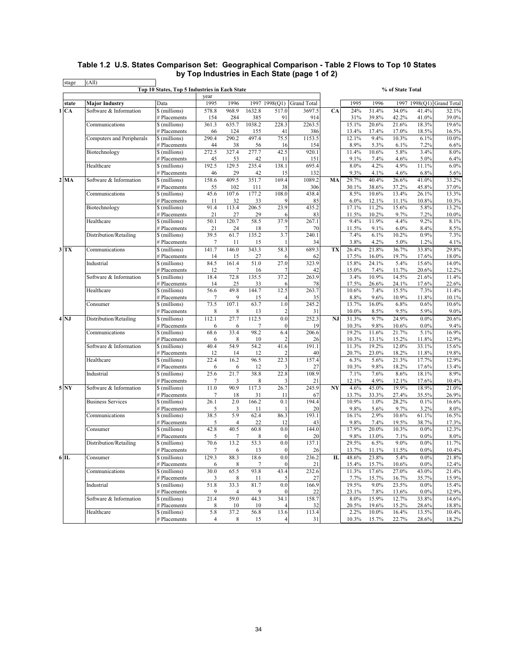#### **Table 1.2 U.S. States Comparison Set: Geographical Comparison - Table 2 Flows to Top 10 States by Top Industries in Each State (page 1 of 2)** stage (All)

|                           |                           | Top 10 States, Top 5 Industries in Each State | year           |             |                  |                         |                    |    |                |                | % of State Total |                 |                    |
|---------------------------|---------------------------|-----------------------------------------------|----------------|-------------|------------------|-------------------------|--------------------|----|----------------|----------------|------------------|-----------------|--------------------|
| state                     | <b>Major Industry</b>     | Data                                          | 1995           | 1996        |                  | 1997 1998(Q1)           | <b>Grand Total</b> |    | 1995           | 1996           | 1997             | 1998(Q1)        | <b>Grand Total</b> |
| 1 CA                      | Software & Information    | \$ (millions)                                 | 578.8          | 968.9       | 1632.8           | 517.0                   | 3697.5             | CA | 24%            | 31.4%          | 34.0%            | 41.4%           | 32.1%              |
|                           |                           | # Placements                                  | 154            | 284         | 385              | 91                      | 914                |    | 31%            | 39.8%          | 42.2%            | 41.0%           | 39.0%              |
|                           | Communications            | \$ (millions)                                 | 361.3          | 635.7       | 1038.2           | 228.3                   | 2263.5             |    | 15.1%          | 20.6%          | 21.6%            | 18.3%           | 19.6%              |
|                           |                           | # Placements                                  | 66             | 124         | 155              | 41                      | 386                |    | 13.4%          | 17.4%          | 17.0%            | 18.5%           | 16.5%              |
|                           | Computers and Peripherals | \$ (millions)                                 | 290.4          | 290.2       | 497.4            | 75.5                    | 1153.5             |    | 12.1%          | 9.4%           | 10.3%            | 6.1%            | 10.0%              |
|                           |                           | # Placements                                  | 44             | 38          | 56               | 16                      | 154                |    | 8.9%           | 5.3%           | 6.1%             | 7.2%            | 6.6%               |
|                           | Biotechnology             | \$ (millions)                                 | 272.5          | 327.4       | 277.7            | 42.5                    | 920.1              |    | 11.4%          | 10.6%          | 5.8%             | 3.4%            | 8.0%               |
|                           |                           | # Placements                                  | 45             | 53          | 42               | 11                      | 151                |    | 9.1%           | 7.4%           | 4.6%             | 5.0%            | 6.4%               |
|                           | Healthcare                | \$ (millions)                                 | 192.5          | 129.5       | 235.4            | 138.1                   | 695.4              |    | 8.0%           | 4.2%           | 4.9%             | 11.1%           | 6.0%               |
|                           |                           | # Placements                                  | 46             | 29          | 42               | 15                      | 132                |    | 9.3%           | 4.1%           | 4.6%             | 6.8%            | 5.6%               |
| $2$ MA                    | Software & Information    | \$ (millions)                                 | 158.6          | 409.5       | 351.7            | 169.4                   | 1089.2             | MA | 29.7%          | 40.4%          | 26.6%            | 41.0%           | 33.2%              |
|                           |                           | # Placements                                  | 55             | 102         | 111              | 38                      | 306                |    | 30.1%          | 38.6%          | 37.2%            | 45.8%           | 37.0%              |
|                           | Communications            | \$ (millions)<br># Placements                 | 45.6           | 107.6       | 177.2            | 108.0<br>9              | 438.4              |    | 8.5%<br>6.0%   | 10.6%          | 13.4%            | 26.1%           | 13.3%              |
|                           | Biotechnology             | \$ (millions)                                 | 11<br>91.4     | 32<br>113.4 | 33<br>206.5      | 23.9                    | 85<br>435.2        |    | 17.1%          | 12.1%<br>11.2% | 11.1%<br>15.6%   | 10.8%<br>5.8%   | 10.3%<br>13.2%     |
|                           |                           | # Placements                                  | 21             | 27          | 29               | 6                       | 83                 |    | 11.5%          | 10.2%          | 9.7%             | 7.2%            | 10.0%              |
|                           | Healthcare                | \$ (millions)                                 | 50.1           | 120.7       | 58.5             | 37.9                    | 267.1              |    | 9.4%           | 11.9%          | 4.4%             | 9.2%            | 8.1%               |
|                           |                           | # Placements                                  | 21             | 24          | 18               | 7                       | 70                 |    | 11.5%          | 9.1%           | 6.0%             | 8.4%            | 8.5%               |
|                           | Distribution/Retailing    | \$ (millions)                                 | 39.5           | 61.7        | 135.2            | 3.7                     | 240.1              |    | 7.4%           | 6.1%           | 10.2%            | 0.9%            | 7.3%               |
|                           |                           | # Placements                                  | 7              | 11          | 15               | 1                       | 34                 |    | 3.8%           | 4.2%           | 5.0%             | 1.2%            | 4.1%               |
| $3$ TX                    | Communications            | \$ (millions)                                 | 141.7          | 146.0       | 343.3            | 58.3                    | 689.3              | TX | 26.4%          | 21.8%          | 36.7%            | 33.8%           | 29.8%              |
|                           |                           | # Placements                                  | 14             | 15          | 27               | 6                       | 62                 |    | 17.5%          | 16.0%          | 19.7%            | 17.6%           | 18.0%              |
|                           | Industrial                | \$ (millions)                                 | 84.5           | 161.4       | 51.0             | 27.0                    | 323.9              |    | 15.8%          | 24.1%          | 5.4%             | 15.6%           | 14.0%              |
|                           |                           | # Placements                                  | 12             | 7           | 16               | 7                       | 42                 |    | 15.0%          | 7.4%           | 11.7%            | 20.6%           | 12.2%              |
|                           | Software & Information    | \$ (millions)                                 | 18.4           | 72.8        | 135.5            | 37.2                    | 263.9              |    | 3.4%           | 10.9%          | 14.5%            | 21.6%           | 11.4%              |
|                           |                           | # Placements                                  | 14             | 25          | 33               | 6                       | 78                 |    | 17.5%          | 26.6%          | 24.1%            | 17.6%           | 22.6%              |
|                           | Healthcare                | \$ (millions)                                 | 56.6           | 49.8        | 144.7            | 12.5                    | 263.7              |    | 10.6%          | 7.4%           | 15.5%            | 7.3%            | 11.4%              |
|                           |                           | # Placements                                  | 7              | 9           | 15               | $\overline{4}$          | 35                 |    | 8.8%           | 9.6%           | 10.9%            | 11.8%           | 10.1%              |
|                           | Consumer                  | \$ (millions)                                 | 73.5           | 107.1       | 63.7             | 1.0                     | 245.2              |    | 13.7%          | 16.0%          | 6.8%             | 0.6%            | 10.6%              |
|                           |                           | # Placements                                  | 8              | 8           | 13               | $\overline{2}$          | 31                 |    | 10.0%          | 8.5%           | 9.5%             | 5.9%            | 9.0%               |
| $4\overline{\mathrm{NJ}}$ | Distribution/Retailing    | \$ (millions)                                 | 112.1          | 27.7        | 112.5            | 0.0<br>$\boldsymbol{0}$ | 252.3              | NJ | 31.3%          | 9.7%<br>9.8%   | 24.9%            | $0.0\%$<br>0.0% | 20.6%              |
|                           | Communications            | # Placements<br>\$ (millions)                 | 6<br>68.6      | 6<br>33.4   | 7<br>98.2        | 6.4                     | 19<br>206.6        |    | 10.3%<br>19.2% | 11.6%          | 10.6%<br>21.7%   | 5.1%            | 9.4%<br>16.9%      |
|                           |                           | # Placements                                  | 6              | 8           | 10               | $\overline{2}$          | 26                 |    | 10.3%          | 13.1%          | 15.2%            | 11.8%           | 12.9%              |
|                           | Software & Information    | \$ (millions)                                 | 40.4           | 54.9        | 54.2             | 41.6                    | 191.1              |    | 11.3%          | 19.2%          | 12.0%            | 33.1%           | 15.6%              |
|                           |                           | # Placements                                  | 12             | 14          | 12               | $\overline{2}$          | 40                 |    | 20.7%          | 23.0%          | 18.2%            | 11.8%           | 19.8%              |
|                           | Healthcare                | \$ (millions)                                 | 22.4           | 16.2        | 96.5             | 22.3                    | 157.4              |    | 6.3%           | 5.6%           | 21.3%            | 17.7%           | 12.9%              |
|                           |                           | # Placements                                  | 6              | 6           | 12               | 3                       | 27                 |    | 10.3%          | 9.8%           | 18.2%            | 17.6%           | 13.4%              |
|                           | Industrial                | \$ (millions)                                 | 25.6           | 21.7        | 38.8             | 22.8                    | 108.9              |    | 7.1%           | 7.6%           | 8.6%             | 18.1%           | 8.9%               |
|                           |                           | # Placements                                  | 7              | 3           | 8                | 3                       | 21                 |    | 12.1%          | 4.9%           | 12.1%            | 17.6%           | 10.4%              |
| 5 NY                      | Software & Information    | \$ (millions)                                 | 11.0           | 90.9        | 117.3            | 26.7                    | 245.9              | NY | 4.6%           | 45.0%          | 19.9%            | 18.9%           | 21.0%              |
|                           |                           | # Placements                                  | 7              | 18          | 31               | 11                      | 67                 |    | 13.7%          | 33.3%          | 27.4%            | 35.5%           | 26.9%              |
|                           | <b>Business Services</b>  | \$ (millions)                                 | 26.1           | 2.0         | 166.2            | 0.1                     | 194.4              |    | 10.9%          | 1.0%           | 28.2%            | 0.1%            | 16.6%              |
|                           |                           | # Placements                                  | 5              | 3           | 11               | 1                       | 20                 |    | 9.8%           | 5.6%           | 9.7%             | 3.2%            | 8.0%               |
|                           | Communications            | \$ (millions)                                 | 38.5           | 5.9         | 62.4             | 86.3                    | 193.1              |    | 16.1%          | 2.9%           | 10.6%            | 61.1%           | 16.5%              |
|                           |                           | # Placements                                  | 5<br>42.8      | 4<br>40.5   | 22               | 12                      | 43                 |    | 9.8%           | 7.4%           | 19.5%            | 38.7%           | 17.3%              |
|                           | Consumer                  | \$ (millions)<br># Placements                 | 5              | 7           | 60.8<br>8        | 0.0<br>$\mathbf{0}$     | 144.0<br>20        |    | 17.9%<br>9.8%  | 20.0%<br>13.0% | 10.3%<br>7.1%    | 0.0%<br>$0.0\%$ | 12.3%<br>8.0%      |
|                           | Distribution/Retailing    | \$(millions)                                  | 70.6           | 13.2        | 53.3             | 0.0                     | 137.1              |    | 29.5%          | 6.5%           | $9.0\%$          | 0.0%            | 11.7%              |
|                           |                           | # Placements                                  | 7              | 6           | 13               | $\boldsymbol{0}$        | 26                 |    | 13.7%          | 11.1%          | 11.5%            | $0.0\%$         | 10.4%              |
| $6\overline{1}$           | Consumer                  | \$ (millions)                                 | 129.3          | 88.3        | 18.6             | 0.0                     | 236.2              | IL | 48.6%          | 23.8%          | 5.4%             | $0.0\%$         | 21.8%              |
|                           |                           | # Placements                                  | 6              | $\,$ 8 $\,$ | $\boldsymbol{7}$ | $\boldsymbol{0}$        | 21                 |    | 15.4%          | 15.7%          | 10.6%            | $0.0\%$         | 12.4%              |
|                           | Communications            | \$ (millions)                                 | 30.0           | 65.5        | 93.8             | 43.4                    | 232.6              |    | 11.3%          | 17.6%          | 27.0%            | 43.0%           | 21.4%              |
|                           |                           | # Placements                                  | 3              | 8           | 11               | 5                       | 27                 |    | 7.7%           | 15.7%          | 16.7%            | 35.7%           | 15.9%              |
|                           | Industrial                | \$ (millions)                                 | 51.8           | 33.3        | 81.7             | 0.0                     | 166.9              |    | 19.5%          | 9.0%           | 23.5%            | $0.0\%$         | 15.4%              |
|                           |                           | # Placements                                  | 9              | 4           | 9                | $\boldsymbol{0}$        | 22                 |    | 23.1%          | 7.8%           | 13.6%            | $0.0\%$         | 12.9%              |
|                           | Software & Information    | \$ (millions)                                 | 21.4           | 59.0        | 44.3             | 34.1                    | 158.7              |    | 8.0%           | 15.9%          | 12.7%            | 33.8%           | 14.6%              |
|                           |                           | # Placements                                  | 8              | 10          | 10               |                         | 32                 |    | 20.5%          | 19.6%          | 15.2%            | 28.6%           | 18.8%              |
|                           | Healthcare                | \$ (millions)                                 | 5.8            | 37.2        | 56.8             | 13.6                    | 113.4              |    | 2.2%           | 10.0%          | 16.4%            | 13.5%           | 10.4%              |
|                           |                           | # Placements                                  | $\overline{4}$ | $\,$ 8 $\,$ | 15               | 4                       | 31                 |    | 10.3%          | 15.7%          | 22.7%            | 28.6%           | 18.2%              |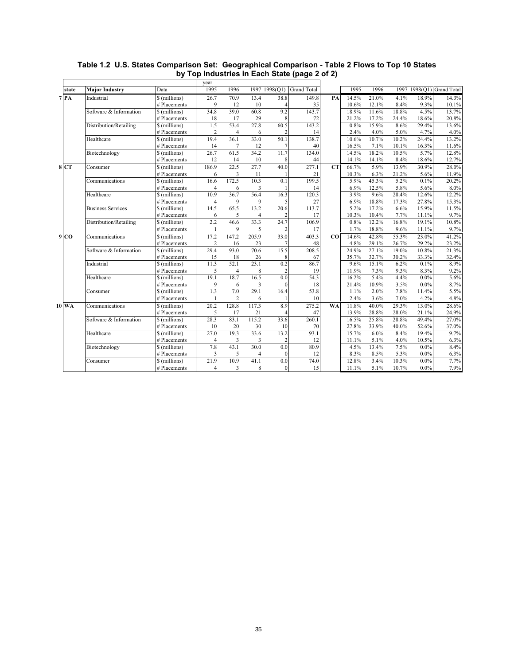|                 |                          |               | year              |                         |                |                |                    |             |       |       |       |         |                           |
|-----------------|--------------------------|---------------|-------------------|-------------------------|----------------|----------------|--------------------|-------------|-------|-------|-------|---------|---------------------------|
| state           | <b>Major Industry</b>    | Data          | 1995              | 1996                    |                | 1997 1998(Q1)  | <b>Grand Total</b> |             | 1995  | 1996  |       |         | 1997 1998(O1) Grand Total |
| 7R              | Industrial               | \$ (millions) | 26.7              | 70.9                    | 13.4           | 38.8           | 149.8              | PA          | 14.5% | 21.0% | 4.1%  | 18.9%   | 14.3%                     |
|                 |                          | # Placements  | 9                 | 12                      | 10             | 4              | 35                 |             | 10.6% | 12.1% | 8.4%  | 9.3%    | 10.1%                     |
|                 | Software & Information   | \$ (millions) | 34.8              | 39.0                    | 60.8           | 9.2            | 143.7              |             | 18.9% | 11.6% | 18.8% | 4.5%    | 13.7%                     |
|                 |                          | # Placements  | 18                | 17                      | 29             | 8              | 72                 |             | 21.2% | 17.2% | 24.4% | 18.6%   | 20.8%                     |
|                 | Distribution/Retailing   | \$ (millions) | 1.5               | 53.4                    | 27.8           | 60.5           | 143.2              |             | 0.8%  | 15.9% | 8.6%  | 29.4%   | 13.6%                     |
|                 |                          | # Placements  | $\overline{2}$    | $\overline{4}$          | 6              | $\overline{2}$ | 14                 |             | 2.4%  | 4.0%  | 5.0%  | 4.7%    | 4.0%                      |
|                 | Healthcare               | \$ (millions) | 19.4              | 36.1                    | 33.0           | 50.1           | 138.7              |             | 10.6% | 10.7% | 10.2% | 24.4%   | 13.2%                     |
|                 |                          | # Placements  | 14                | $\overline{7}$          | 12             | 7              | 40                 |             | 16.5% | 7.1%  | 10.1% | 16.3%   | 11.6%                     |
|                 | Biotechnology            | \$ (millions) | 26.7              | 61.5                    | 34.2           | 11.7           | 134.0              |             | 14.5% | 18.2% | 10.5% | 5.7%    | 12.8%                     |
|                 |                          | # Placements  | 12                | 14                      | 10             | 8              | 44                 |             | 14.1% | 14.1% | 8.4%  | 18.6%   | 12.7%                     |
| 8 CT            | Consumer                 | \$ (millions) | 186.9             | 22.5                    | 27.7           | 40.0           | 277.1              | <b>CT</b>   | 66.7% | 5.9%  | 13.9% | 30.9%   | 28.0%                     |
|                 |                          | # Placements  | 6                 | 3                       | 11             |                | 21                 |             | 10.3% | 6.3%  | 21.2% | 5.6%    | 11.9%                     |
|                 | Communications           | \$ (millions) | 16.6              | 172.5                   | 10.3           | 0.1            | 199.5              |             | 5.9%  | 45.3% | 5.2%  | 0.1%    | 20.2%                     |
|                 |                          | # Placements  | $\overline{4}$    | 6                       | 3              |                | 14                 |             | 6.9%  | 12.5% | 5.8%  | 5.6%    | 8.0%                      |
|                 | Healthcare               | \$ (millions) | 10.9              | 36.7                    | 56.4           | 16.3           | 120.3              |             | 3.9%  | 9.6%  | 28.4% | 12.6%   | 12.2%                     |
|                 |                          | # Placements  | $\overline{4}$    | 9                       | 9              | 5              | 27                 |             | 6.9%  | 18.8% | 17.3% | 27.8%   | 15.3%                     |
|                 | <b>Business Services</b> | \$ (millions) | 14.5              | 65.5                    | 13.2           | 20.6           | 113.7              |             | 5.2%  | 17.2% | 6.6%  | 15.9%   | 11.5%                     |
|                 |                          | # Placements  | 6                 | 5                       | $\overline{4}$ | $\overline{2}$ | 17                 |             | 10.3% | 10.4% | 7.7%  | 11.1%   | 9.7%                      |
|                 | Distribution/Retailing   | \$ (millions) | 2.2               | 46.6                    | 33.3           | 24.7           | 106.9              |             | 0.8%  | 12.2% | 16.8% | 19.1%   | 10.8%                     |
|                 |                          | # Placements  | 1                 | 9                       | 5              | $\overline{2}$ | 17                 |             | 1.7%  | 18.8% | 9.6%  | 11.1%   | 9.7%                      |
| 9 <sub>CO</sub> | Communications           | \$ (millions) | 17.2              | 147.2                   | 205.9          | 33.0           | 403.3              | $_{\rm CO}$ | 14.6% | 42.8% | 55.3% | 23.0%   | 41.2%                     |
|                 |                          | # Placements  | $\overline{2}$    | 16                      | 23             | 7              | 48                 |             | 4.8%  | 29.1% | 26.7% | 29.2%   | 23.2%                     |
|                 | Software & Information   | \$ (millions) | 29.4              | 93.0                    | 70.6           | 15.5           | 208.5              |             | 24.9% | 27.1% | 19.0% | 10.8%   | 21.3%                     |
|                 |                          | # Placements  | 15                | 18                      | 26             | 8              | 67                 |             | 35.7% | 32.7% | 30.2% | 33.3%   | 32.4%                     |
|                 | Industrial               | \$ (millions) | 11.3              | 52.1                    | 23.1           | 0.2            | 86.7               |             | 9.6%  | 15.1% | 6.2%  | 0.1%    | 8.9%                      |
|                 |                          | # Placements  | 5                 | $\overline{4}$          | 8              | $\overline{2}$ | 19                 |             | 11.9% | 7.3%  | 9.3%  | 8.3%    | 9.2%                      |
|                 | Healthcare               | \$ (millions) | 19.1              | 18.7                    | 16.5           | 0.0            | 54.3               |             | 16.2% | 5.4%  | 4.4%  | $0.0\%$ | 5.6%                      |
|                 |                          | # Placements  | 9                 | 6                       | 3              | $\mathbf{0}$   | 18                 |             | 21.4% | 10.9% | 3.5%  | $0.0\%$ | 8.7%                      |
|                 | Consumer                 | \$ (millions) | 1.3               | 7.0                     | 29.1           | 16.4           | 53.8               |             | 1.1%  | 2.0%  | 7.8%  | 11.4%   | 5.5%                      |
|                 |                          | # Placements  | $\mathbf{1}$      | $\overline{c}$          | 6              |                | 10                 |             | 2.4%  | 3.6%  | 7.0%  | 4.2%    | 4.8%                      |
| $10$ WA         | Communications           | \$ (millions) | $\overline{20.2}$ | 128.8                   | 117.3          | 8.9            | 275.2              | <b>WA</b>   | 11.8% | 40.0% | 29.3% | 13.0%   | 28.6%                     |
|                 |                          | # Placements  | 5                 | 17                      | 21             | $\Delta$       | 47                 |             | 13.9% | 28.8% | 28.0% | 21.1%   | 24.9%                     |
|                 | Software & Information   | \$ (millions) | 28.3              | 83.1                    | 115.2          | 33.6           | 260.1              |             | 16.5% | 25.8% | 28.8% | 49.4%   | 27.0%                     |
|                 |                          | # Placements  | 10                | 20                      | 30             | 10             | 70                 |             | 27.8% | 33.9% | 40.0% | 52.6%   | 37.0%                     |
|                 | Healthcare               | \$ (millions) | 27.0              | 19.3                    | 33.6           | 13.2           | 93.1               |             | 15.7% | 6.0%  | 8.4%  | 19.4%   | 9.7%                      |
|                 |                          | # Placements  | $\overline{4}$    | $\overline{\mathbf{3}}$ | 3              | $\overline{c}$ | 12                 |             | 11.1% | 5.1%  | 4.0%  | 10.5%   | 6.3%                      |
|                 | Biotechnology            | \$ (millions) | 7.8               | 43.1                    | 30.0           | 0.0            | 80.9               |             | 4.5%  | 13.4% | 7.5%  | $0.0\%$ | 8.4%                      |
|                 |                          | # Placements  | 3                 | 5                       | $\overline{4}$ | $\mathbf{0}$   | 12                 |             | 8.3%  | 8.5%  | 5.3%  | $0.0\%$ | 6.3%                      |
|                 | Consumer                 | \$ (millions) | 21.9              | 10.9                    | 41.1           | 0.0            | 74.0               |             | 12.8% | 3.4%  | 10.3% | 0.0%    | 7.7%                      |
|                 |                          | # Placements  | $\overline{4}$    | 3                       | 8              | $\Omega$       | 15                 |             | 11.1% | 5.1%  | 10.7% | $0.0\%$ | 7.9%                      |

## **Table 1.2 U.S. States Comparison Set: Geographical Comparison - Table 2 Flows to Top 10 States by Top Industries in Each State (page 2 of 2)**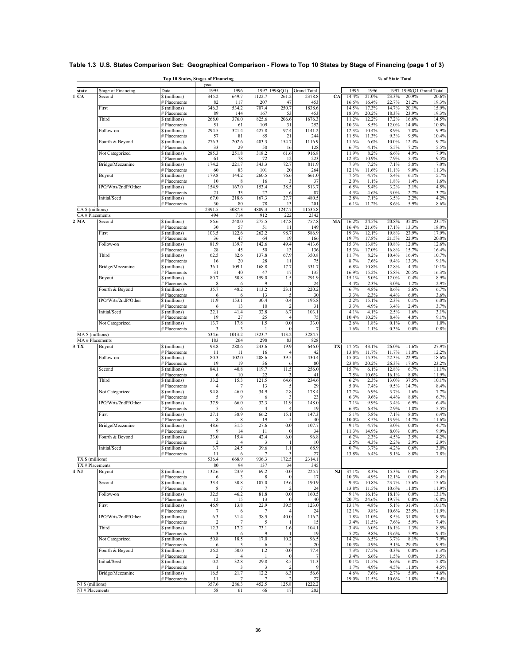|                  |                           | Top 10 States, Stages of Financing |                        |                        |                      |                     |                    |    |                |                  | % of State Total |                |                     |
|------------------|---------------------------|------------------------------------|------------------------|------------------------|----------------------|---------------------|--------------------|----|----------------|------------------|------------------|----------------|---------------------|
| state            | <b>Stage of Financing</b> | Data                               | year<br>1995           | 1996                   | 1997                 | 1998(Q1)            | <b>Grand Total</b> |    | 1995           | 1996             | 1997             |                | 1998(Q1 Grand Total |
| CA<br>1          | Second                    | \$ (millions)                      | 345.2                  | 649.7                  | 1122.7               | 261.2               | 2378.8             | CA | 14.4%          | 21.0%            | 23.3%            | 20.9%          | 20.6%               |
|                  | First                     | # Placements<br>\$ (millions)      | 82<br>346.3            | 117<br>534.2           | 207<br>707.4         | 47<br>250.7         | 453<br>1838.6      |    | 16.6%<br>14.5% | 16.4%<br>17.3%   | 22.7%<br>14.7%   | 21.2%<br>20.1% | 19.3%<br>15.9%      |
|                  |                           | # Placements                       | 89                     | 144                    | 167                  | 53                  | 453                |    | 18.0%          | 20.2%            | 18.3%            | 23.9%          | 19.3%               |
|                  | Third                     | \$ (millions)                      | 268.0                  | 376.0                  | 825.6                | 206.6               | 1676.3             |    | 11.2%          | 12.2%            | 17.2%            | 16.6%          | 14.5%               |
|                  | Follow-on                 | # Placements<br>\$ (millions)      | 51<br>294.5            | 61<br>321.4            | 109<br>427.8         | 31<br>97.4          | 252<br>1141.2      |    | 10.3%<br>12.3% | 8.5%<br>10.4%    | 12.0%<br>8.9%    | 14.0%<br>7.8%  | 10.8%<br>9.9%       |
|                  |                           | # Placements                       | 57                     | 81                     | 85                   | 21                  | 244                |    | 11.5%          | 11.3%            | 9.3%             | 9.5%           | 10.4%               |
|                  | Fourth & Beyond           | \$ (millions)<br># Placements      | 276.3<br>33            | 202.6<br>29            | 483.3<br>50          | 154.7<br>16         | 1116.9<br>128      |    | 11.6%<br>6.7%  | 6.6%<br>4.1%     | 10.0%<br>5.5%    | 12.4%<br>7.2%  | 9.7%<br>5.5%        |
|                  | Not Categorized           | \$ (millions)                      | 285.3                  | 251.8                  | 318.2                | 61.6                | 916.8              |    | 11.9%          | 8.2%             | 6.6%             | 4.9%           | 7.9%                |
|                  | Bridge/Mezzanine          | # Placements<br>\$ (millions)      | 61<br>174.2            | 78<br>221.7            | 72<br>343.3          | 12<br>72.7          | 223<br>811.9       |    | 12.3%<br>7.3%  | 10.9%<br>7.2%    | 7.9%<br>7.1%     | 5.4%<br>5.8%   | 9.5%<br>7.0%        |
|                  |                           | # Placements                       | 60                     | 83                     | 101                  | 20                  | 264                |    | 12.1%          | 11.6%            | 11.1%            | 9.0%           | 11.3%               |
|                  | Buyout                    | \$ (millions)<br># Placements      | 179.8<br>10            | 144.2<br>8             | 260.5<br>16          | 76.6<br>З           | 661.0<br>37        |    | 7.5%<br>2.0%   | 4.7%<br>1.1%     | 5.4%<br>1.8%     | 6.1%<br>1.4%   | 5.7%<br>1.6%        |
|                  | IPO/Wrts/2ndP/Other       | \$ (millions)                      | 154.9                  | 167.0                  | 153.4                | 38.5                | 513.7              |    | 6.5%           | 5.4%             | 3.2%             | 3.1%           | 4.5%                |
|                  | Initial/Seed              | # Placements<br>\$ (millions)      | 21<br>67.0             | 33<br>218.6            | 27<br>167.3          | 6<br>27.7           | 87<br>480.5        |    | 4.3%<br>2.8%   | 4.6%<br>7.1%     | 3.0%<br>3.5%     | 2.7%<br>2.2%   | 3.7%<br>4.2%        |
|                  |                           | # Placements                       | 30                     | 80                     | 78                   | 13                  | 201                |    | 6.1%           | 11.2%            | 8.6%             | 5.9%           | 8.6%                |
| CA \$ (millions) |                           |                                    | 2391.5                 | 3087.3                 | 4809.3               | 1247.7              | 11535.8            |    |                |                  |                  |                |                     |
| $2$ MA           | CA # Placements<br>Second | \$ (millions)                      | 494<br>86.6            | 714<br>248.0           | 912<br>275.5         | 222<br>147.8        | 2342<br>757.8      | MA | 16.2%          | 24.5%            | 20.8%            | 35.8%          | 23.1%               |
|                  |                           | # Placements                       | 30                     | 57                     | 51                   | 11                  | 149                |    | 16.4%          | 21.6%            | 17.1%            | 13.3%          | 18.0%               |
|                  | First                     | \$ (millions)<br># Placements      | 103.5<br>36            | 122.6<br>47            | 262.2<br>64          | 98.7<br>19          | 586.9<br>166       |    | 19.3%<br>19.7% | 12.1%<br>17.8%   | 19.8%<br>21.5%   | 23.9%<br>22.9% | 17.9%<br>20.0%      |
|                  | Follow-on                 | \$ (millions)                      | 81.9                   | 139.7                  | 142.6                | 49.4                | 413.6              |    | 15.3%          | 13.8%            | 10.8%            | 12.0%          | 12.6%               |
|                  | Third                     | # Placements<br>\$ (millions)      | 28<br>62.5             | 45<br>82.6             | 50<br>137.8          | 13<br>67.9          | 136<br>350.8       |    | 15.3%<br>11.7% | 17.0%<br>8.2%    | 16.8%<br>10.4%   | 15.7%<br>16.4% | 16.4%<br>10.7%      |
|                  |                           | # Placements                       | 16                     | 20                     | 28                   | 11                  | 75                 |    | 8.7%           | 7.6%             | 9.4%             | 13.3%          | 9.1%                |
|                  | Bridge/Mezzanine          | \$ (millions)<br># Placements      | 36.1<br>31             | 109.1<br>40            | 168.8<br>47          | 17.7<br>17          | 331.7<br>135       |    | 6.8%<br>16.9%  | 10.8%<br>15.2%   | 12.8%<br>15.8%   | 4.3%<br>20.5%  | 10.1%<br>16.3%      |
|                  | Buyout                    | \$ (millions)                      | 80.7                   | 50.8                   | 159.0                | 1.5                 | 291.9              |    | 15.1%          | 5.0%             | 12.0%            | 0.4%           | 8.9%                |
|                  | Fourth & Beyond           | # Placements<br>\$ (millions)      | 8<br>35.7              | 6<br>48.2              | 9<br>113.2           | 23.1                | 24<br>220.2        |    | 4.4%<br>6.7%   | 2.3%<br>4.8%     | 3.0%<br>8.6%     | 1.2%<br>5.6%   | 2.9%<br>6.7%        |
|                  |                           | # Placements                       | 6                      | 6                      | 13                   | 5                   | 30                 |    | 3.3%           | 2.3%             | 4.4%             | 6.0%           | 3.6%                |
|                  | IPO/Wrts/2ndP/Other       | \$ (millions)<br># Placements      | 11.9<br>6              | 153.1<br>13            | 30.4<br>10           | 0.4                 | 195.8<br>31        |    | 2.2%<br>3.3%   | 15.1%<br>4.9%    | 2.3%<br>3.4%     | 0.1%<br>2.4%   | 6.0%<br>3.7%        |
|                  | Initial/Seed              | \$ (millions)                      | 22.1                   | 41.4                   | 32.8                 | 6.7                 | 103.1              |    | 4.1%           | 4.1%             | 2.5%             | 1.6%           | 3.1%                |
|                  | Not Categorized           | # Placements<br>\$ (millions)      | 19<br>13.7             | 27<br>17.8             | 25<br>1.5            | 4<br>0.0            | 75<br>33.0         |    | 10.4%<br>2.6%  | 10.2%<br>1.8%    | 8.4%<br>0.1%     | 4.8%<br>0.0%   | 9.1%<br>1.0%        |
|                  |                           | # Placements                       | 3                      | 3                      |                      | $\Omega$            |                    |    | 1.6%           | 1.1%             | 0.3%             | 0.0%           | 0.8%                |
| MA \$ (millions) | MA # Placements           |                                    | 534.6<br>183           | 1013.2<br>264          | 1323.7<br>298        | 413.2<br>83         | 3284.7<br>828      |    |                |                  |                  |                |                     |
| $3$ TX           | Buyout                    | \$ (millions)                      | 93.8                   | 288.6                  | 243.6                | 19.9                | 646.0              | TX | 17.5%          | 43.1%            | 26.0%            | 11.6%          | 27.9%               |
|                  | Follow-on                 | # Placements<br>\$ (millions)      | 11<br>80.3             | 11<br>102.0            | 16<br>208.6          | 39.5                | 42<br>430.4        |    | 13.8%<br>15.0% | 11.7%<br>15.3%   | 11.7%<br>22.3%   | 11.8%<br>22.9% | 12.2%<br>18.6%      |
|                  |                           | # Placements                       | 19                     | 19                     | 36                   |                     | 80                 |    | 23.8%          | 20.2%            | 26.3%            | 17.6%          | 23.2%               |
|                  | Second                    | \$ (millions)<br># Placements      | 84.1<br>6              | 40.8<br>10             | 119.7<br>22          | 11.5                | 256.0<br>41        |    | 15.7%<br>7.5%  | $6.1\%$<br>10.6% | 12.8%<br>16.1%   | 6.7%<br>8.8%   | 11.1%<br>11.9%      |
|                  | Third                     | \$ (millions)                      | 33.2                   | 15.3                   | 121.5                | 64.6                | 234.6              |    | 6.2%           | 2.3%             | 13.0%            | 37.5%          | 10.1%               |
|                  | Not Categorized           | # Placements<br>\$ (millions)      | $\overline{4}$<br>94.8 | 7<br>46.0              | 13<br>34.9           | 5<br>2.8            | 29<br>178.4        |    | 5.0%<br>17.7%  | 7.4%<br>6.9%     | 9.5%<br>3.7%     | 14.7%<br>1.6%  | 8.4%<br>7.7%        |
|                  |                           | # Placements                       | 5                      | 9                      | 6                    |                     | 23                 |    | 6.3%           | 9.6%             | 4.4%             | 8.8%           | 6.7%                |
|                  | IPO/Wrts/2ndP/Other       | \$ (millions)<br># Placements      | 37.9<br>5              | 66.0<br>6              | 32.3<br>4            | 11.9                | 148.0<br>19        |    | 7.1%<br>6.3%   | 9.9%<br>6.4%     | 3.4%<br>2.9%     | 6.9%<br>11.8%  | 6.4%<br>5.5%        |
|                  | First                     | \$ (millions)                      | 27.1                   | 38.9                   | 66.2                 | 15.1                | 147.3              |    | 5.1%           | 5.8%             | 7.1%             | 8.8%           | 6.4%                |
|                  | Bridge/Mezzanine          | # Placements<br>\$ (millions)      | 8<br>48.6              | 8<br>31.5              | 19<br>27.6           | 5<br>0.0            | 40<br>107.7        |    | 10.0%<br>9.1%  | 8.5%<br>4.7%     | 13.9%<br>3.0%    | 14.7%<br>0.0%  | 11.6%<br>4.7%       |
|                  |                           | # Placements                       | 9                      | 14                     | 11                   | $\mathbf{0}$        | 34                 |    | 11.3%          | 14.9%            | 8.0%             | 0.0%           | 9.9%                |
|                  | Fourth & Beyond           | \$ (millions)<br># Placements      | 33.0<br>$\overline{2}$ | 15.4<br>$\overline{4}$ | 42.4<br>3            | 6.0                 | 96.8<br>10         |    | 6.2%<br>2.5%   | 2.3%<br>4.3%     | 4.5%<br>2.2%     | 3.5%<br>2.9%   | 4.2%<br>2.9%        |
|                  | Initial/Seed              | \$ (millions)                      | 3.7                    | 24.5                   | 39.6                 | 1.1                 | 68.9               |    | 0.7%           | 3.7%             | 4.2%             | 0.6%           | 3.0%                |
| TX \$ (millions) |                           | # Placements                       | 11<br>536.4            | 6<br>668.9             | 936.3                | 172.5               | 27<br>2314.1       |    | 13.8%          | $6.4\%$          | 5.1%             | 8.8%           | 7.8%                |
|                  | TX # Placements           |                                    | 80                     | 94                     | 137                  | 34                  | 345                |    |                |                  |                  |                |                     |
| NJ               | Buyout                    | $\sqrt{\frac{1}{2}}$ (millions)    | 132.6                  | 23.9                   | 69.2                 | 0.0                 | 225.7              | NJ | 37.1%          | 8.3%             | 15.3%            | 0.0%           | 18.5%               |
|                  | Second                    | # Placements<br>\$ (millions)      | 6<br>33.4              | 3<br>30.8              | $\,$ 8 $\,$<br>107.0 | $\Omega$<br>19.6    | 17<br>190.9        |    | 10.3%<br>9.3%  | 4.9%<br>10.8%    | 12.1%<br>23.7%   | 0.0%<br>15.6%  | 8.4%<br>15.6%       |
|                  |                           | # Placements                       | 8                      | 7                      | $\overline{7}$       |                     | 24                 |    | 13.8%          | 11.5%            | 10.6%            | 11.8%          | 11.9%               |
|                  | Follow-on                 | \$ (millions)<br># Placements      | 32.5<br>12             | 46.2<br>15             | 81.8<br>13           | 0.0<br>$\mathbf{0}$ | 160.5<br>40        |    | 9.1%<br>20.7%  | 16.1%<br>24.6%   | 18.1%<br>19.7%   | 0.0%<br>0.0%   | 13.1%<br>19.8%      |
|                  | First                     | \$ (millions)                      | 46.9                   | 13.8                   | 22.9                 | 39.5                | 123.0              |    | 13.1%          | 4.8%             | 5.1%             | 31.4%          | 10.1%               |
|                  | IPO/Wrts/2ndP/Other       | # Placements<br>\$ (millions)      | 7<br>6.3               | 6<br>31.4              | 7<br>38.5            | 40.0                | 24<br>116.2        |    | 12.1%<br>1.8%  | 9.8%<br>11.0%    | 10.6%<br>8.5%    | 23.5%<br>31.8% | 11.9%<br>9.5%       |
|                  |                           | # Placements                       | $\overline{2}$         | 7                      | 5                    |                     | 15                 |    | 3.4%           | 11.5%            | 7.6%             | 5.9%           | 7.4%                |
|                  | Third                     | \$ (millions)<br># Placements      | 12.3<br>3              | 17.2<br>6              | 73.1<br>9            | 1.6                 | 104.1<br>19        |    | 3.4%<br>5.2%   | 6.0%<br>9.8%     | 16.1%<br>13.6%   | 1.3%<br>5.9%   | 8.5%<br>9.4%        |
|                  | Not Categorized           | \$ (millions)                      | 50.8                   | 18.5                   | 17.0                 | 10.2                | 96.5               |    | 14.2%          | 6.5%             | 3.7%             | 8.1%           | 7.9%                |
|                  | Fourth & Beyond           | # Placements<br>\$ (millions)      | 6<br>26.2              | 3<br>50.0              | 6<br>1.2             | 0.0                 | 20<br>77.4         |    | 10.3%<br>7.3%  | 4.9%<br>17.5%    | 9.1%<br>0.3%     | 29.4%<br>0.0%  | 9.9%<br>6.3%        |
|                  |                           | # Placements                       | 2                      | $\overline{4}$         |                      | $\theta$            | 7                  |    | 3.4%           | 6.6%             | 1.5%             | $0.0\%$        | 3.5%                |
|                  | Initial/Seed              | \$ (millions)<br># Placements      | 0.2<br>-1              | 32.8<br>3              | 29.8<br>3            | 8.5                 | 71.3               |    | 0.1%<br>1.7%   | 11.5%<br>4.9%    | 6.6%<br>4.5%     | 6.8%<br>11.8%  | 5.8%<br>4.5%        |
|                  | Bridge/Mezzanine          | \$ (millions)                      | 16.5                   | 21.7                   | 12.2                 | 6.3                 | 56.6               |    | 4.6%           | 7.6%             | 2.7%             | 5.0%           | 4.6%                |
| NJ \$ (millions) |                           | # Placements                       | 11<br>357.6            | 7<br>286.3             | $\tau$<br>452.5      | 125.8               | 27<br>1222.2       |    | 19.0%          | 11.5%            | 10.6%            | 11.8%          | 13.4%               |
| NJ # Placements  |                           |                                    | 58                     | 61                     | 66                   | 17                  | 202                |    |                |                  |                  |                |                     |

## **Table 1.3 U.S. States Comparison Set: Geographical Comparison - Flows to Top 10 States by Stage of Financing (page 1 of 3)**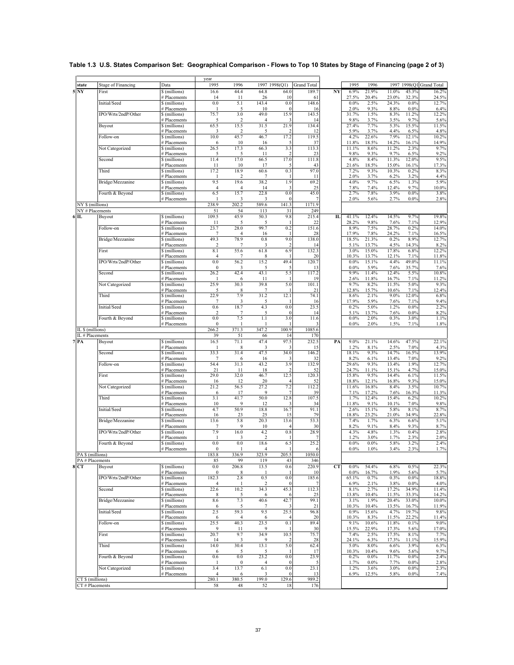| Table 1.3 U.S. States Comparison Set: Geographical Comparison - Flows to Top 10 States by Stage of Financing (page 2 of 3) |  |  |  |
|----------------------------------------------------------------------------------------------------------------------------|--|--|--|
|----------------------------------------------------------------------------------------------------------------------------|--|--|--|

|                         |                           |                                    | year                    |                        |                        |                   |                    |           |                 |                |                |                |                    |
|-------------------------|---------------------------|------------------------------------|-------------------------|------------------------|------------------------|-------------------|--------------------|-----------|-----------------|----------------|----------------|----------------|--------------------|
| state                   | Stage of Financing        | Data                               | 1995                    | 1996                   | 1997                   | 1998(Q1)          | <b>Grand Total</b> |           | 1995            | 1996           | 1997           | 1998(Q1        | <b>Grand Total</b> |
| $5\overline{\text{NY}}$ | First                     | \$ (millions)                      | 16.6                    | 44.4                   | 64.8                   | 64.0              | 189.7              | NY        | 6.9%            | 21.9%          | 11.0%          | 45.3%          | 16.2%              |
|                         |                           | # Placements                       | 14                      | 11                     | 26                     | 10                | 61                 |           | 27.5%           | 20.4%          | 23.0%          | 32.3%          | 24.5%              |
|                         | Initial/Seed              | \$ (millions)<br># Placements      | 0.0<br>-1               | 5.1<br>5               | 143.4<br>10            | 0.0<br>$\epsilon$ | 148.6<br>16        |           | 0.0%<br>2.0%    | 2.5%<br>9.3%   | 24.3%<br>8.8%  | 0.0%<br>0.0%   | 12.7%<br>6.4%      |
|                         | IPO/Wrts/2ndP/Other       | \$ (millions)                      | 75.7                    | 3.0                    | 49.0                   | 15.9              | 143.5              |           | 31.7%           | 1.5%           | 8.3%           | 11.2%          | 12.2%              |
|                         |                           | # Placements                       | 5                       | 2                      |                        |                   | 14                 |           | 9.8%            | 3.7%           | 3.5%           | 9.7%           | 5.6%               |
|                         | Buyout                    | \$ (millions)                      | 65.5                    | 15.5<br>$\overline{2}$ | 31.5<br>5              | 21.9              | 134.4              |           | 27.4%<br>5.9%   | 7.7%<br>3.7%   | 5.3%<br>4.4%   | 15.5%<br>6.5%  | 11.5%              |
|                         | Follow-on                 | # Placements<br>\$(millions)       | 3<br>10.0               | 45.7                   | 46.7                   | 17.2              | 12<br>119.5        |           | 4.2%            | 22.6%          | 7.9%           | 12.1%          | 4.8%<br>10.2%      |
|                         |                           | # Placements                       | 6                       | 10                     | 16                     | 5                 | 37                 |           | 11.8%           | 18.5%          | 14.2%          | 16.1%          | 14.9%              |
|                         | Not Categorized           | \$ (millions)                      | 26.5                    | 17.3                   | 66.3                   | 3.3               | 113.3              |           | 11.1%           | 8.6%           | 11.2%          | 2.3%           | 9.7%               |
|                         | Second                    | <b>Placements</b><br>\$ (millions) | 5<br>11.4               | 5<br>17.0              | 11<br>66.5             | 2<br>17.0         | 23<br>111.8        |           | 9.8%<br>4.8%    | 9.3%<br>8.4%   | 9.7%<br>11.3%  | 6.5%<br>12.0%  | 9.2%<br>9.5%       |
|                         |                           | # Placements                       | 11                      | 10                     | 17                     | 5                 | 43                 |           | 21.6%           | 18.5%          | 15.0%          | 16.1%          | 17.3%              |
|                         | Third                     | \$ (millions)                      | 17.2                    | 18.9                   | 60.6                   | 0.3               | 97.0               |           | 7.2%            | 9.3%           | 10.3%          | 0.2%           | 8.3%               |
|                         |                           | # Placements                       | -1                      | $\overline{2}$         | 7                      |                   | 11                 |           | 2.0%            | 3.7%           | 6.2%           | 3.2%           | 4.4%               |
|                         | Bridge/Mezzanine          | \$(millions)<br># Placements       | 9.5<br>$\overline{4}$   | 19.6<br>$\overline{4}$ | 38.2<br>14             | 1.9               | 69.2<br>25         |           | 4.0%<br>7.8%    | 9.7%<br>7.4%   | 6.5%<br>12.4%  | 1.3%<br>9.7%   | 5.9%<br>10.0%      |
|                         | Fourth & Beyond           | \$ (millions)                      | 6.5                     | 15.7                   | 22.8                   | 0.0               | 45.0               |           | 2.7%            | 7.8%           | 3.9%           | 0.0%           | 3.8%               |
|                         |                           | # Placements                       |                         | 3                      | 3                      | $\epsilon$        | 7                  |           | 2.0%            | 5.6%           | 2.7%           | 0.0%           | 2.8%               |
| NY \$ (millions)        |                           |                                    | 238.9                   | 202.2                  | 589.6                  | 141.3             | 1171.9             |           |                 |                |                |                |                    |
| 6 IL                    | NY # Placements<br>Buyout | \$ (millions)                      | 51<br>109.5             | 54<br>45.9             | 113<br>50.3            | 31<br>9.8         | 249<br>215.4       | IL        | 41.1%           | 12.4%          | 14.5%          | 9.7%           | 19.8%              |
|                         |                           | # Placements                       | 11                      | 5                      | 5                      |                   | 22                 |           | 28.2%           | 9.8%           | 7.6%           | 7.1%           | 12.9%              |
|                         | Follow-on                 | \$(millions)                       | 23.7                    | 28.0                   | 99.7                   | 0.2               | 151.6              |           | 8.9%            | 7.5%           | 28.7%          | 0.2%           | 14.0%              |
|                         |                           | # Placements                       | 7                       | 4<br>78.9              | 16                     | n                 | 28                 |           | 17.9%           | 7.8%           | 24.2%          | 7.1%           | 16.5%              |
|                         | Bridge/Mezzanine          | \$ (millions)<br># Placements      | 49.3<br>$\overline{2}$  | $\overline{7}$         | 0.8<br>3               | 9.0<br>-2         | 138.0<br>14        |           | 18.5%<br>5.1%   | 21.3%<br>13.7% | 0.2%<br>4.5%   | 8.9%<br>14.3%  | 12.7%<br>8.2%      |
|                         | First                     | \$ (millions)                      | 8.1                     | 55.6                   | 61.8                   | 6.9               | 132.3              |           | 3.0%            | 15.0%          | 17.8%          | 6.8%           | 12.2%              |
|                         |                           | # Placements                       | $\overline{4}$          | 7                      | 8                      |                   | 20                 |           | 10.3%           | 13.7%          | 12.1%          | 7.1%           | 11.8%              |
|                         | IPO/Wrts/2ndP/Other       | \$ (millions)                      | 0.0                     | 56.2                   | 15.2<br>5              | 49.4              | 120.7              |           | 0.0%            | 15.1%<br>5.9%  | 4.4%           | 49.0%          | 11.1%              |
|                         | Second                    | # Placements<br>\$ (millions)      | $\mathbf{0}$<br>26.2    | 3<br>42.4              | 43.1                   | 5.5               | 13<br>117.2        |           | $0.0\%$<br>9.9% | 11.4%          | 7.6%<br>12.4%  | 35.7%<br>5.5%  | 7.6%<br>10.8%      |
|                         |                           | # Placements                       |                         | 6                      | 11                     |                   | 19                 |           | 2.6%            | 11.8%          | 16.7%          | 7.1%           | 11.2%              |
|                         | Not Categorized           | \$ (millions)                      | 25.9                    | 30.3                   | 39.8                   | 5.0               | 101.1              |           | 9.7%            | 8.2%           | 11.5%          | 5.0%           | 9.3%               |
|                         | Third                     | <b>Placements</b><br>\$ (millions) | 5<br>22.9               | 8<br>7.9               | $\overline{7}$<br>31.2 | 12.1              | 21<br>74.1         |           | 12.8%<br>8.6%   | 15.7%<br>2.1%  | 10.6%<br>9.0%  | 7.1%<br>12.0%  | 12.4%<br>6.8%      |
|                         |                           | # Placements                       | 7                       | 3                      | 5                      |                   | 16                 |           | 17.9%           | 5.9%           | 7.6%           | 7.1%           | 9.4%               |
|                         | Initial/Seed              | \$ (millions)                      | 0.6                     | 18.7                   | 4.3                    | 0.0               | 23.5               |           | 0.2%            | 5.0%           | 1.2%           | 0.0%           | 2.2%               |
|                         |                           | # Placements                       | $\overline{2}$          | 7                      | 5                      | $\epsilon$        | 14                 |           | 5.1%            | 13.7%          | 7.6%           | 0.0%           | 8.2%               |
|                         | Fourth & Beyond           | \$(millions)<br># Placements       | 0.0<br>$\boldsymbol{0}$ | 7.5<br>-1              | 1.1                    | 3.0               | 11.6               |           | 0.0%<br>$0.0\%$ | 2.0%<br>2.0%   | 0.3%<br>1.5%   | 3.0%<br>7.1%   | 1.1%<br>1.8%       |
| IL \$ (millions)        |                           |                                    | 266.2                   | 371.3                  | 347.2                  | 100.9             | 1085.6             |           |                 |                |                |                |                    |
|                         | IL # Placements           |                                    | 39                      | 51                     | 66                     | 14                | 170                |           |                 |                |                |                |                    |
| $7$ $PA$                | Buyout                    | \$ (millions)                      | 16.5                    | 71.1                   | 47.4                   | 97.5              | 232.5              | PA        | $9.0\%$         | 21.1%          | 14.6%          | 47.5%          | 22.1%              |
|                         | Second                    | # Placements<br>\$ (millions)      | 33.3                    | 8<br>31.4              | 3<br>47.5              | 34.0              | 15<br>146.2        |           | 1.2%<br>18.1%   | 8.1%<br>9.3%   | 2.5%<br>14.7%  | 7.0%<br>16.5%  | 4.3%<br>13.9%      |
|                         |                           | # Placements                       | $\overline{7}$          | 6                      | 16                     |                   | 32                 |           | 8.2%            | 6.1%           | 13.4%          | 7.0%           | 9.2%               |
|                         | Follow-on                 | \$ (millions)                      | 54.4                    | 31.3                   | 43.2                   | 3.9               | 132.9              |           | 29.6%           | 9.3%           | 13.4%          | 1.9%           | 12.7%              |
|                         |                           | # Placements                       | 21                      | 11                     | 18                     | 2                 | 52                 |           | 24.7%           | 11.1%          | 15.1%          | 4.7%           | 15.0%              |
|                         | First                     | \$ (millions)<br># Placements      | 29.0<br>16              | 32.0<br>12             | 46.7<br>20             | 12.5              | 120.3<br>52        |           | 15.8%<br>18.8%  | 9.5%<br>12.1%  | 14.4%<br>16.8% | 6.1%<br>9.3%   | 11.5%<br>15.0%     |
|                         | Not Categorized           | \$ (millions)                      | 21.2                    | 56.5                   | 27.2                   | 7.2               | 112.2              |           | 11.6%           | 16.8%          | 8.4%           | 3.5%           | 10.7%              |
|                         |                           | # Placements                       | 6                       | 17                     | 9                      | 7                 | 39                 |           | 7.1%            | 17.2%          | 7.6%           | 16.3%          | 11.3%              |
|                         | Third                     | \$ (millions)                      | 3.1                     | 41.7<br>9              | 50.0                   | 12.8              | 107.5              |           | 1.7%            | 12.4%          | 15.4%          | 6.2%           | 10.2%              |
|                         | Initial/Seed              | # Placements<br>\$ (millions)      | 10<br>4.7               | 50.9                   | 12<br>18.8             | 16.7              | 34<br>91.1         |           | 11.8%<br>2.6%   | 9.1%<br>15.1%  | 10.1%<br>5.8%  | 7.0%<br>8.1%   | 9.8%<br>8.7%       |
|                         |                           | # Placements                       | 16                      | 23                     | 25                     | 15                | 79                 |           | 18.8%           | 23.2%          | 21.0%          | 34.9%          | 22.8%              |
|                         | Bridge/Mezzanine          | \$ (millions)                      | 13.6                    | 5.8                    | 20.3                   | 13.6              | 53.3               |           | 7.4%            | 1.7%           | 6.3%           | 6.6%           | 5.1%               |
|                         | IPO/Wrts/2ndP/Other       | # Placements<br>\$ (millions)      | $\overline{7}$<br>7.9   | 9<br>16.0              | 10<br>4.2              | 0.8               | 30<br>28.9         |           | 8.2%<br>4.3%    | 9.1%<br>4.8%   | 8.4%<br>1.3%   | 9.3%<br>0.4%   | 8.7%<br>2.8%       |
|                         |                           | # Placements                       | -1                      | 3                      | $\overline{2}$         |                   | 7                  |           | 1.2%            | 3.0%           | 1.7%           | 2.3%           | 2.0%               |
|                         | Fourth & Beyond           | \$ (millions)                      | 0.0                     | 0.0                    | 18.6                   | 6.5               | 25.2               |           | 0.0%            | 0.0%           | 5.8%           | 3.2%           | 2.4%               |
|                         |                           | # Placements                       | $\mathbf{0}$            | 1                      | $\overline{4}$         |                   | 6                  |           | $0.0\%$         | 1.0%           | 3.4%           | 2.3%           | 1.7%               |
| PA <u>\$ (milions)</u>  | PA # Placements           |                                    | 183.8<br>85             | 330.<br>99             | 323.S<br>119           | 205.,<br>43       | 1050.0<br>346      |           |                 |                |                |                |                    |
| 8 CT                    | Buyout                    | \$ (millions)                      | 0.0                     | 206.8                  | 13.5                   | 0.6               | 220.9              | <b>CT</b> | $0.0\%$         | 54.4%          | 6.8%           | 0.5%           | 22.3%              |
|                         |                           | # Placements                       | $\bf{0}$                | 8                      |                        |                   | 10                 |           | $0.0\%$         | 16.7%          | 1.9%           | 5.6%           | 5.7%               |
|                         | IPO/Wrts/2ndP/Other       | \$ (millions)                      | 182.3                   | 2.8                    | 0.5                    | 0.0               | 185.6              |           | 65.1%           | 0.7%           | 0.3%           | 0.0%           | 18.8%              |
|                         | Second                    | # Placements<br>\$ (millions)      | 22.6                    | -1<br>10.2             | 2<br>34.3              | -0<br>45.3        | 112.3              |           | 6.9%<br>8.1%    | 2.1%<br>2.7%   | 3.8%<br>17.2%  | 0.0%<br>34.9%  | 4.0%<br>11.4%      |
|                         |                           | # Placements                       | 8                       | 5                      | 6                      |                   | 25                 |           | 13.8%           | 10.4%          | 11.5%          | 33.3%          | 14.2%              |
|                         | Bridge/Mezzanine          | \$ (millions)                      | 8.6                     | 7.3                    | 40.6                   | 42.7              | 99.1               |           | 3.1%            | 1.9%           | 20.4%          | 33.0%          | 10.0%              |
|                         |                           | # Placements                       | 6                       | 5                      | 7                      |                   | 21                 |           | 10.3%           | 10.4%          | 13.5%          | 16.7%          | 11.9%              |
|                         | Initial/Seed              | \$ (millions)<br># Placements      | 2.5<br>6                | 59.3<br>4              | 9.5<br>6               | 25.5              | 96.8<br>20         |           | 0.9%<br>10.3%   | 15.6%<br>8.3%  | 4.7%<br>11.5%  | 19.7%<br>22.2% | 9.8%<br>11.4%      |
|                         | Follow-on                 | \$ (millions)                      | 25.5                    | 40.3                   | 23.5                   | 0.1               | 89.4               |           | 9.1%            | 10.6%          | 11.8%          | 0.1%           | 9.0%               |
|                         |                           | # Placements                       | 9                       | 11                     | 9                      |                   | 30                 |           | 15.5%           | 22.9%          | 17.3%          | 5.6%           | 17.0%              |
|                         | First                     | \$ (millions)                      | 20.7                    | 9.7                    | 34.9                   | 10.5              | 75.7               |           | 7.4%            | 2.5%           | 17.5%          | 8.1%           | 7.7%               |
|                         | Third                     | # Placements<br>\$ (millions)      | 14<br>14.0              | 3<br>30.4              | 9<br>13.1              | 5.0               | 28<br>62.4         |           | 24.1%<br>5.0%   | 6.3%<br>8.0%   | 17.3%<br>6.6%  | 11.1%<br>3.9%  | 15.9%<br>6.3%      |
|                         |                           | # Placements                       | 6                       | 5                      | 5                      |                   | 17                 |           | 10.3%           | 10.4%          | 9.6%           | 5.6%           | 9.7%               |
|                         | Fourth & Beyond           | \$ (millions)                      | 0.6                     | 0.0                    | 23.2                   | 0.0               | 23.9               |           | 0.2%            | 0.0%           | 11.7%          | 0.0%           | 2.4%               |
|                         | Not Categorized           | # Placements                       |                         | 0                      | $\overline{4}$         | -0                |                    |           | 1.7%            | 0.0%           | 7.7%<br>3.0%   | 0.0%           | 2.8%<br>2.3%       |
|                         |                           | \$ (millions)<br># Placements      | 3.4<br>$\overline{4}$   | 13.7<br>6              | 6.1<br>3               | 0.0<br>$\epsilon$ | 23.1<br>13         |           | 1.2%<br>6.9%    | 3.6%<br>12.5%  | 5.8%           | 0.0%<br>0.0%   | 7.4%               |
| CT \$ (millions)        |                           |                                    | 280.1                   | 380.5                  | 199.0                  | 129.6             | 989.2              |           |                 |                |                |                |                    |
|                         | CT # Placements           |                                    | 58                      | 48                     | 52                     | 18                | 176                |           |                 |                |                |                |                    |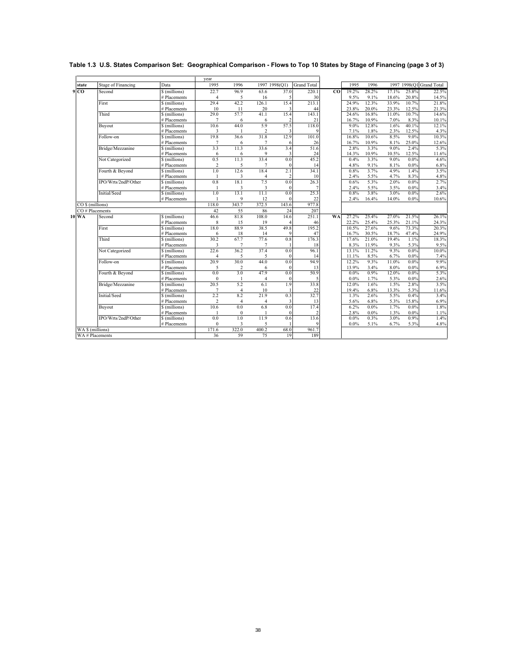|                 |                           |                               | vear           |                |                |                   |                    |                |                |                |               |                |                          |
|-----------------|---------------------------|-------------------------------|----------------|----------------|----------------|-------------------|--------------------|----------------|----------------|----------------|---------------|----------------|--------------------------|
| state           | <b>Stage of Financing</b> | Data                          | 1995           | 1996           |                | 1997 1998(Q1)     | <b>Grand Total</b> |                | 1995           | 1996           |               |                | 1997 1998(Q1 Grand Total |
| 9 <sub>CO</sub> | Second                    | \$ (millions)                 | 22.7           | 96.9           | 63.6           | 37.0              | 220.1              | C <sub>0</sub> | 19.2%          | 28.2%          | 17.1%         | 25.8%          | 22.5%                    |
|                 |                           | # Placements                  | 4              | 5              | 16             | 5                 | 30                 |                | 9.5%           | 9.1%           | 18.6%         | 20.8%          | 14.5%                    |
|                 | First                     | \$ (millions)                 | 29.4           | 42.2           | 126.1          | 15.4              | 213.1              |                | 24.9%          | 12.3%          | 33.9%         | 10.7%          | 21.8%                    |
|                 |                           | # Placements                  | 10             | 11             | 20             | 3                 | 44                 |                | 23.8%          | 20.0%          | 23.3%         | 12.5%          | 21.3%                    |
|                 | Third                     | \$ (millions)                 | 29.0           | 57.7           | 41.1           | 15.4              | 143.1              |                | 24.6%          | 16.8%          | 11.0%         | 10.7%          | 14.6%                    |
|                 |                           | # Placements                  | 7              | 6              | 6              | p                 | 21                 |                | 16.7%          | 10.9%          | 7.0%          | 8.3%           | 10.1%                    |
|                 | Buyout                    | \$ (millions)                 | 10.6           | 44.0           | 5.9            | 57.5              | 118.0              |                | 9.0%           | 12.8%          | 1.6%          | 40.1%          | 12.1%                    |
|                 |                           | # Placements                  | 3              | 1              | $\overline{c}$ | 3                 |                    |                | 7.1%           | 1.8%           | 2.3%          | 12.5%          | 4.3%                     |
|                 | Follow-on                 | \$ (millions)                 | 19.8           | 36.6           | 31.8           | 12.9              | 101.0              |                | 16.8%          | 10.6%          | 8.5%          | 9.0%           | 10.3%                    |
|                 |                           | # Placements                  | 7              | 6              | 7              | -6                | 26                 |                | 16.7%          | 10.9%          | 8.1%          | 25.0%          | 12.6%                    |
|                 | Bridge/Mezzanine          | \$ (millions)                 | 3.3            | 11.3           | 33.6           | 3.4               | 51.6               |                | 2.8%           | 3.3%           | 9.0%          | 2.4%           | 5.3%                     |
|                 |                           | # Placements                  | 6              | 6              | 9              | 3                 | 24                 |                | 14.3%          | 10.9%          | 10.5%         | 12.5%          | 11.6%                    |
|                 | Not Categorized           | \$ (millions)                 | 0.5            | 11.3           | 33.4           | 0.0               | 45.2               |                | 0.4%           | 3.3%           | 9.0%          | $0.0\%$        | 4.6%                     |
|                 |                           | # Placements                  | $\overline{c}$ | 5              | $\overline{7}$ | $\theta$          | 14                 |                | 4.8%           | 9.1%           | 8.1%          | 0.0%           | 6.8%                     |
|                 | Fourth & Beyond           | \$ (millions)                 | 1.0            | 12.6           | 18.4           | 2.1               | 34.1               |                | 0.8%           | 3.7%           | 4.9%          | 1.4%           | 3.5%                     |
|                 |                           | # Placements                  | $\mathbf{1}$   | 3              | $\overline{4}$ | 2                 | 10                 |                | 2.4%           | 5.5%           | 4.7%          | 8.3%           | 4.8%                     |
|                 | IPO/Wrts/2ndP/Other       | \$ (millions)                 | 0.8            | 18.1           | 7.5            | 0.0               | 26.3               |                | 0.6%           | 5.3%           | 2.0%          | $0.0\%$        | 2.7%                     |
|                 |                           | # Placements                  | $\mathbf{1}$   | 3              | 3              | $\theta$          | $\overline{7}$     |                | 2.4%           | 5.5%           | 3.5%          | 0.0%           | 3.4%                     |
|                 | Initial/Seed              | \$ (millions)                 | 1.0            | 13.1           | 11.1           | 0.0<br>$\epsilon$ | 25.3               |                | 0.8%           | 3.8%           | 3.0%          | 0.0%           | 2.6%                     |
|                 |                           | # Placements                  | 1              | 9              | 12<br>372.5    |                   | 22                 |                | 2.4%           | 16.4%          | 14.0%         | 0.0%           | 10.6%                    |
|                 | CO \$ (millions)          |                               | 118.0          | 343.7          |                | 143.6             | 977.8              |                |                |                |               |                |                          |
|                 | CO# Placements            |                               | 42             | 55             | 86             | 24                | 207                |                |                |                |               |                |                          |
| 10 WA           | Second                    | \$ (millions)                 | 46.6           | 81.8           | 108.0          | 14.6              | 251.1              | <b>WA</b>      | 27.2%          | 25.4%          | 27.0%         | 21.5%          | 26.1%                    |
|                 |                           | # Placements                  | 8              | 15             | 19             |                   | 46                 |                | 22.2%          | 25.4%          | 25.3%         | 21.1%          | 24.3%                    |
|                 | First                     | \$ (millions)<br># Placements | 18.0<br>6      | 88.9<br>18     | 38.5<br>14     | 49.8<br>ę         | 195.2<br>47        |                | 10.5%<br>16.7% | 27.6%          | 9.6%<br>18.7% | 73.3%<br>47.4% | 20.3%                    |
|                 | Third                     | \$ (millions)                 | 30.2           | 67.7           | 77.6           | 0.8               | 176.3              |                | 17.6%          | 30.5%<br>21.0% | 19.4%         | 1.1%           | 24.9%<br>18.3%           |
|                 |                           | # Placements                  | 3              | $\overline{7}$ | 7              |                   | 18                 |                | 8.3%           |                |               | 5.3%           |                          |
|                 | Not Categorized           | \$ (millions)                 | 22.6           | 36.2           | 37.4           | 0.0               | 96.1               |                | 13.1%          | 11.9%<br>11.2% | 9.3%<br>9.3%  | 0.0%           | 9.5%<br>10.0%            |
|                 |                           | # Placements                  | 4              | 5              | 5              | $\theta$          | 14                 |                | 11.1%          | 8.5%           | 6.7%          | $0.0\%$        | 7.4%                     |
|                 | Follow-on                 | \$ (millions)                 | 20.9           | 30.0           | 44.0           | 0.0               | 94.9               |                | 12.2%          | 9.3%           | 11.0%         | 0.0%           | 9.9%                     |
|                 |                           | # Placements                  | 5              | $\overline{c}$ | 6              | $\theta$          | 13                 |                | 13.9%          | 3.4%           | 8.0%          | $0.0\%$        | 6.9%                     |
|                 | Fourth & Beyond           | \$ (millions)                 | 0.0            | 3.0            | 47.9           | 0.0               | 50.9               |                | $0.0\%$        | 0.9%           | 12.0%         | 0.0%           | 5.3%                     |
|                 |                           | # Placements                  | $\mathbf{0}$   | $\mathbf{1}$   | $\overline{4}$ | $\theta$          | 5                  |                | $0.0\%$        | 1.7%           | 5.3%          | $0.0\%$        | 2.6%                     |
|                 | Bridge/Mezzanine          | \$ (millions)                 | 20.5           | 5.2            | 6.1            | 1.9               | 33.8               |                | 12.0%          | 1.6%           | 1.5%          | 2.8%           | 3.5%                     |
|                 |                           | # Placements                  | $\overline{7}$ | $\overline{4}$ | 10             |                   | 22                 |                | 19.4%          | 6.8%           | 13.3%         | 5.3%           | 11.6%                    |
|                 | Initial/Seed              | \$ (millions)                 | 2.2            | 8.2            | 21.9           | 0.3               | 32.7               |                | 1.3%           | 2.6%           | 5.5%          | 0.4%           | 3.4%                     |
|                 |                           | # Placements                  | $\overline{c}$ | $\overline{4}$ | $\overline{4}$ | 3                 | 13                 |                | 5.6%           | 6.8%           | 5.3%          | 15.8%          | 6.9%                     |
|                 | Buyout                    | \$ (millions)                 | 10.6           | 0.0            | 6.8            | 0.0               | 17.4               |                | 6.2%           | 0.0%           | 1.7%          | 0.0%           | 1.8%                     |
|                 |                           | # Placements                  | $\mathbf{1}$   | $\theta$       |                | $\epsilon$        | $\overline{c}$     |                | 2.8%           | 0.0%           | 1.3%          | 0.0%           | 1.1%                     |
|                 | IPO/Wrts/2ndP/Other       | \$ (millions)                 | 0.0            | 1.0            | 11.9           | 0.6               | 13.6               |                | $0.0\%$        | 0.3%           | 3.0%          | 0.9%           | 1.4%                     |
|                 |                           | # Placements                  | $\mathbf{0}$   | 3              | 5              |                   |                    |                | $0.0\%$        | 5.1%           | 6.7%          | 5.3%           | 4.8%                     |
|                 | WA \$ (millions)          |                               | 171.6          | 322.0          | 400.2          | 68.0              | 961.7              |                |                |                |               |                |                          |
|                 | WA # Placements           |                               | 36             | 59             | 75             | 19                | 189                |                |                |                |               |                |                          |
|                 |                           |                               |                |                |                |                   |                    |                |                |                |               |                |                          |

## **Table 1.3 U.S. States Comparison Set: Geographical Comparison - Flows to Top 10 States by Stage of Financing (page 3 of 3)**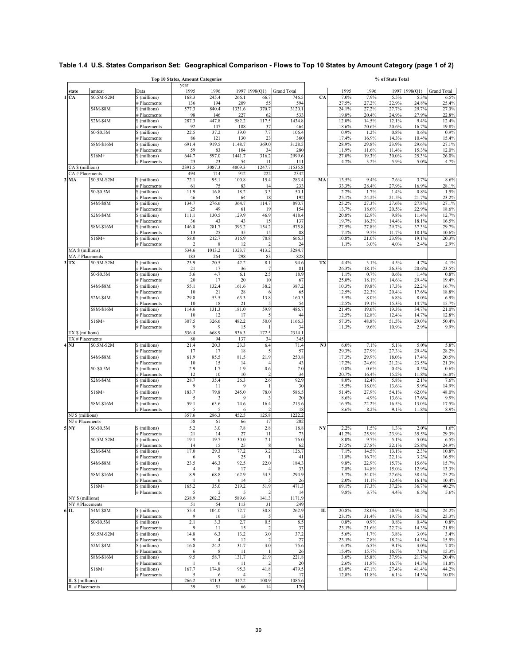|                                      |                                |                               | <b>Top 10 States, Amount Categories</b> |                        |                        |               |                    |              |                |                | % of State Total |                |                    |
|--------------------------------------|--------------------------------|-------------------------------|-----------------------------------------|------------------------|------------------------|---------------|--------------------|--------------|----------------|----------------|------------------|----------------|--------------------|
| state                                | amtcat                         | Data                          | year<br>1995                            | 1996                   |                        | 1997 1998(Q1) | <b>Grand Total</b> |              | 1995           | 1996           |                  | 1997 1998(Q1)  | <b>Grand Total</b> |
| 1 <sub>C</sub> A                     | \$0.5M-\$2M                    | \$ (millions)                 | 168.3                                   | 245.4                  | 266.1                  | 66.7          | 746.5              | CA           | 7.0%           | 7.9%           | 5.5%             | 5.3%           | 6.5%               |
|                                      |                                | # Placements                  | 136                                     | 194                    | 209                    | 55            | 594                |              | 27.5%          | 27.2%          | 22.9%            | 24.8%          | 25.4%              |
|                                      | \$4M-\$8M                      | \$ (millions)<br># Placements | 577.3<br>98                             | 840.4<br>146           | 1331.6<br>227          | 370.7<br>62   | 3120.1<br>533      |              | 24.1%<br>19.8% | 27.2%<br>20.4% | 27.7%<br>24.9%   | 29.7%<br>27.9% | 27.0%<br>22.8%     |
|                                      | $$2M-$4M$                      | \$ (millions)                 | 287.3                                   | 447.8                  | 582.2                  | 117.5         | 1434.8             |              | 12.0%          | 14.5%          | 12.1%            | 9.4%           | 12.4%              |
|                                      |                                | # Placements                  | 92                                      | 147                    | 188                    | 37            | 464                |              | 18.6%          | 20.6%          | 20.6%            | 16.7%          | 19.8%              |
|                                      | \$0-\$0.5M                     | \$ (millions)                 | 22.5                                    | 37.2                   | 39.0                   | 7.7           | 106.4              |              | 0.9%           | 1.2%           | 0.8%             | 0.6%           | 0.9%               |
|                                      | \$8M-\$16M                     | # Placements<br>\$ (millions) | 86<br>691.4                             | 121<br>919.5           | 130<br>1148.7          | 23<br>369.0   | 360<br>3128.5      |              | 17.4%<br>28.9% | 16.9%<br>29.8% | 14.3%<br>23.9%   | 10.4%<br>29.6% | 15.4%<br>27.1%     |
|                                      |                                | # Placements                  | 59                                      | 83                     | 104                    | 34            | 280                |              | 11.9%          | 11.6%          | 11.4%            | 15.3%          | 12.0%              |
|                                      | $$16M+$                        | \$ (millions)                 | 644.7                                   | 597.0                  | 1441.7                 | 316.2         | 2999.6             |              | 27.0%          | 19.3%          | 30.0%            | 25.3%          | 26.0%              |
|                                      |                                | # Placements                  | 23<br>2391.5                            | 23<br>3087.3           | 54<br>4809.3           | 11<br>1247.7  | 111                |              | 4.7%           | 3.2%           | 5.9%             | 5.0%           | 4.7%               |
| CA \$ (millions)                     | CA # Placements                |                               | 494                                     | 714                    | 912                    | 222           | 11535.8<br>2342    |              |                |                |                  |                |                    |
| 2 <sub>MA</sub>                      | \$0.5M-\$2M                    | \$ (millions)                 | 72.1                                    | 95.1                   | 100.8                  | 15.4          | 283.4              | MA           | 13.5%          | 9.4%           | 7.6%             | 3.7%           | 8.6%               |
|                                      |                                | # Placements                  | 61                                      | 75                     | 83                     | 14            | 233                |              | 33.3%          | 28.4%          | 27.9%            | 16.9%          | 28.1%              |
|                                      | \$0-\$0.5M                     | \$ (millions)<br># Placements | 11.9<br>46                              | 16.8<br>64             | 18.2<br>64             | 3.3<br>18     | 50.1<br>192        |              | 2.2%<br>25.1%  | 1.7%<br>24.2%  | 1.4%<br>21.5%    | 0.8%<br>21.7%  | 1.5%<br>23.2%      |
|                                      | \$4M-\$8M                      | \$ (millions)                 | 134.7                                   | 276.6                  | 364.7                  | 114.7         | 890.7              |              | 25.2%          | 27.3%          | 27.6%            | 27.8%          | 27.1%              |
|                                      |                                | # Placements                  | 25                                      | 49                     | 61                     | 19            | 154                |              | 13.7%          | 18.6%          | 20.5%            | 22.9%          | 18.6%              |
|                                      | \$2M-\$4M                      | \$ (millions)                 | 111.1                                   | 130.5                  | 129.9                  | 46.9          | 418.4              |              | 20.8%          | 12.9%          | 9.8%             | 11.4%          | 12.7%              |
|                                      | \$8M-\$16M                     | # Placements<br>\$ (millions) | 36<br>146.8                             | 43<br>281.7            | 43<br>393.2            | 15<br>154.2   | 137<br>975.8       |              | 19.7%<br>27.5% | 16.3%<br>27.8% | 14.4%<br>29.7%   | 18.1%<br>37.3% | 16.5%<br>29.7%     |
|                                      |                                | # Placements                  | 13                                      | 25                     | 35                     | 15            | 88                 |              | 7.1%           | 9.5%           | 11.7%            | 18.1%          | 10.6%              |
|                                      | $$16M+$                        | \$ (millions)                 | 58.0                                    | 212.7                  | 316.9                  | 78.8          | 666.3              |              | 10.8%          | 21.0%          | 23.9%            | 19.1%          | 20.3%              |
|                                      |                                | # Placements                  | 2                                       | 8                      | 12                     |               | 24                 |              | 1.1%           | 3.0%           | 4.0%             | 2.4%           | 2.9%               |
| $\overline{\text{MA}}$ \$ (millions) |                                |                               | 534.6                                   | 1013.2                 | 1323.7                 | 413.2<br>83   | 3284.7             |              |                |                |                  |                |                    |
| $3$ TX                               | MA # Placements<br>\$0.5M-\$2M | \$ (millions)                 | 183<br>23.9                             | 264<br>20.5            | 298<br>42.2            | 8.1           | 828<br>94.6        | TX           | 4.4%           | 3.1%           | 4.5%             | 4.7%           | 4.1%               |
|                                      |                                | # Placements                  | 21                                      | 17                     | 36                     |               | 81                 |              | 26.3%          | 18.1%          | 26.3%            | 20.6%          | 23.5%              |
|                                      | \$0-\$0.5M                     | \$ (millions)                 | 5.6                                     | 4.7                    | 6.1                    | 2.5           | 18.9               |              | 1.1%           | 0.7%           | 0.6%             | 1.4%           | 0.8%               |
|                                      | \$4M-\$8M                      | # Placements<br>\$ (millions) | 20<br>55.1                              | 17<br>132.4            | 20<br>161.6            | 10<br>38.2    | 67<br>387.2        |              | 25.0%<br>10.3% | 18.1%<br>19.8% | 14.6%<br>17.3%   | 29.4%<br>22.2% | 19.4%<br>16.7%     |
|                                      |                                | # Placements                  | 10                                      | 21                     | 28                     |               | 65                 |              | 12.5%          | 22.3%          | 20.4%            | 17.6%          | 18.8%              |
|                                      | $$2M-$4M$                      | \$ (millions)                 | 29.8                                    | 53.5                   | 63.3                   | 13.8          | 160.3              |              | 5.5%           | 8.0%           | 6.8%             | 8.0%           | 6.9%               |
|                                      |                                | # Placements                  | 10                                      | 18                     | 21                     |               | 54                 |              | 12.5%          | 19.1%          | 15.3%            | 14.7%          | 15.7%              |
|                                      | \$8M-\$16M                     | \$ (millions)<br># Placements | 114.6<br>10                             | 131.3<br>12            | 181.0<br>17            | 59.9          | 486.7<br>44        |              | 21.4%<br>12.5% | 19.6%<br>12.8% | 19.3%<br>12.4%   | 34.7%<br>14.7% | 21.0%<br>12.8%     |
|                                      | $$16M+$                        | \$ (millions)                 | 307.5                                   | 326.6                  | 482.2                  | 50.0          | 1166.3             |              | 57.3%          | 48.8%          | 51.5%            | 29.0%          | 50.4%              |
|                                      |                                | # Placements                  | 9                                       | 9                      | 15                     |               | 34                 |              | 11.3%          | 9.6%           | 10.9%            | 2.9%           | 9.9%               |
| TX \$ (millions)                     |                                |                               | 536.4                                   | 668.9                  | 936.3                  | 172.5         | 2314.1             |              |                |                |                  |                |                    |
| $4$ NJ                               | TX # Placements<br>\$0.5M-\$2M |                               | 80<br>21.4                              | 94<br>20.3             | 137<br>23.3            | 34<br>6.4     | 345<br>71.4        | NJ           | 6.0%           | 7.1%           | 5.1%             | 5.0%           | 5.8%               |
|                                      |                                | \$ (millions)<br># Placements | 17                                      | 17                     | 18                     |               | 57                 |              | 29.3%          | 27.9%          | 27.3%            | 29.4%          | 28.2%              |
|                                      | \$4M-\$8M                      | \$ (millions)                 | 61.9                                    | 85.5                   | 81.5                   | 21.9          | 250.8              |              | 17.3%          | 29.9%          | 18.0%            | 17.4%          | 20.5%              |
|                                      |                                | # Placements                  | 10                                      | 15                     | 14                     |               | 43                 |              | 17.2%          | 24.6%          | 21.2%            | 23.5%          | 21.3%              |
|                                      | \$0-\$0.5M                     | \$ (millions)<br># Placements | 2.9<br>12                               | 1.7<br>10              | 1.9<br>10              | 0.6           | 7.0<br>34          |              | 0.8%<br>20.7%  | 0.6%<br>16.4%  | 0.4%<br>15.2%    | 0.5%<br>11.8%  | 0.6%<br>16.8%      |
|                                      | \$2M-\$4M                      | \$ (millions)                 | 28.7                                    | 35.4                   | 26.3                   | 2.6           | 92.9               |              | 8.0%           | 12.4%          | 5.8%             | 2.1%           | 7.6%               |
|                                      |                                | # Placements                  | 9                                       | 11                     | 9                      |               | 30                 |              | 15.5%          | 18.0%          | 13.6%            | 5.9%           | 14.9%              |
|                                      | $$16M+$                        | \$ (millions)                 | 183.7                                   | 79.8                   | 245.0                  | 78.0          | 586.5              |              | 51.4%          | 27.9%          | 54.1%            | 62.0%          | 48.0%              |
|                                      | \$8M-\$16M                     | # Placements<br>\$ (millions) | 5<br>59.1                               | 3<br>63.6              | 9<br>74.6              | 16.4          | 20<br>213.6        |              | 8.6%<br>16.5%  | 4.9%<br>22.2%  | 13.6%<br>16.5%   | 17.6%<br>13.0% | 9.9%<br>17.5%      |
|                                      |                                | # Placements                  | 5                                       | 5                      | 6                      |               | 18                 |              | 8.6%           | 8.2%           | 9.1%             | 11.8%          | 8.9%               |
| NJ \$ (millions)                     |                                |                               | 357.6                                   | 286.3                  | 452.5                  | 125.8         | 1222.2             |              |                |                |                  |                |                    |
|                                      | NJ#Placements                  |                               | 58                                      | 61                     | 66                     | 17            | 202                |              |                |                |                  |                |                    |
| <b>5 NY</b>                          | \$0-\$0.5M                     | \$ (millions)<br># Placements | 5.2<br>21                               | 3.0<br>14              | 7.8<br>27              | 2.8<br>11     | 18.8<br>73         | NY           | 2.2%<br>41.2%  | 1.5%<br>25.9%  | 1.3%<br>23.9%    | 2.0%<br>35.5%  | 1.6%<br>29.3%      |
|                                      | \$0.5M-\$2M                    | \$ (millions)                 | 19.1                                    | 19.7                   | 30.0                   | 7.1           | 76.0               |              | 8.0%           | 9.7%           | 5.1%             | $5.0\%$        | 6.5%               |
|                                      |                                | # Placements                  | 14                                      | 15                     | 25                     | 8             | 62                 |              | 27.5%          | 27.8%          | 22.1%            | 25.8%          | 24.9%              |
|                                      | \$2M-\$4M                      | \$ (millions)                 | 17.0                                    | 29.3                   | 77.2                   | 3.2           | 126.7              |              | 7.1%           | 14.5%          | 13.1%            | 2.3%           | 10.8%              |
|                                      | \$4M-\$8M                      | # Placements<br>\$ (millions) | 6<br>23.5                               | 46.3                   | 25<br>92.5             | 22.0          | 41<br>184.3        |              | 11.8%<br>9.8%  | 16.7%<br>22.9% | 22.1%<br>15.7%   | 3.2%<br>15.6%  | 16.5%<br>15.7%     |
|                                      |                                | # Placements                  | 4                                       | 8                      | 17                     |               | 33                 |              | 7.8%           | 14.8%          | 15.0%            | 12.9%          | 13.3%              |
|                                      | \$8M-\$16M                     | \$ (millions)                 | 8.9                                     | 68.8                   | 162.9                  | 54.3          | 294.9              |              | 3.7%           | 34.0%          | 27.6%            | 38.4%          | 25.2%              |
|                                      | \$16M+                         | # Placements                  | -1                                      | 6<br>35.0              | 14<br>219.2            |               | 26                 |              | 2.0%           | 11.1%<br>17.3% | 12.4%            | 16.1%          | 10.4%<br>40.2%     |
|                                      |                                | \$ (millions)<br># Placements | 165.2<br>5                              | $\overline{2}$         | 5                      | 51.9          | 471.3<br>14        |              | 69.1%<br>9.8%  | 3.7%           | 37.2%<br>4.4%    | 36.7%<br>6.5%  | 5.6%               |
| NY \$ (millions)                     |                                |                               | 238.9                                   | 202.2                  | 589.6                  | 141.3         | 1171.9             |              |                |                |                  |                |                    |
|                                      | NY#Placements                  |                               | 51                                      | 54                     | 113                    | 31            | 249                |              |                |                |                  |                |                    |
| 6 IL                                 | \$4M-\$8M                      | \$ (millions)                 | 55.4                                    | 104.0                  | 72.7                   | 30.8<br>f     | 262.9              | $\mathbf{L}$ | 20.8%          | 28.0%          | 20.9%            | 30.5%          | 24.2%              |
|                                      | \$0-\$0.5M                     | # Placements<br>\$ (millions) | 9<br>2.1                                | 16<br>3.3              | 13<br>2.7              | 0.5           | 43<br>8.5          |              | 23.1%<br>0.8%  | 31.4%<br>0.9%  | 19.7%<br>0.8%    | 35.7%<br>0.4%  | 25.3%<br>0.8%      |
|                                      |                                | # Placements                  | 9                                       | 11                     | 15                     |               | 37                 |              | 23.1%          | 21.6%          | 22.7%            | 14.3%          | 21.8%              |
|                                      | \$0.5M-\$2M                    | \$ (millions)                 | 14.8                                    | 6.3                    | 13.2                   | 3.0           | 37.2               |              | 5.6%           | 1.7%           | 3.8%             | 3.0%           | 3.4%               |
|                                      | \$2M-\$4M                      | # Placements<br>\$ (millions) | 9<br>16.8                               | $\overline{4}$<br>24.2 | 12<br>31.7             | 3.0           | 27<br>75.6         |              | 23.1%<br>6.3%  | 7.8%<br>6.5%   | 18.2%<br>9.1%    | 14.3%<br>3.0%  | 15.9%<br>7.0%      |
|                                      |                                | # Placements                  | 6                                       | 8                      | 11                     |               | 26                 |              | 15.4%          | 15.7%          | 16.7%            | 7.1%           | 15.3%              |
|                                      | \$8M-\$16M                     | \$ (millions)                 | 9.5                                     | 58.7                   | 131.7                  | 21.9          | 221.8              |              | 3.6%           | 15.8%          | 37.9%            | 21.7%          | 20.4%              |
|                                      |                                | # Placements                  | $\mathbf{I}$                            | 6                      | 11                     |               | 20                 |              | 2.6%           | 11.8%          | 16.7%            | 14.3%          | 11.8%              |
|                                      | $$16M+$                        | \$ (millions)<br># Placements | 167.7<br>5                              | 174.8<br>6             | 95.3<br>$\overline{4}$ | 41.8          | 479.5<br>17        |              | 63.0%<br>12.8% | 47.1%<br>11.8% | 27.4%<br>6.1%    | 41.4%<br>14.3% | 44.2%<br>10.0%     |
| IL \$ (millions)                     |                                |                               | 266.2                                   | 371.3                  | 347.2                  | 100.9         | 1085.6             |              |                |                |                  |                |                    |
| IL # Placements                      |                                |                               | 39                                      | 51                     | 66                     | 14            | 170                |              |                |                |                  |                |                    |

# **Table 1.4 U.S. States Comparison Set: Geographical Comparison - Flows to Top 10 States by Amount Category (page 1 of 2)**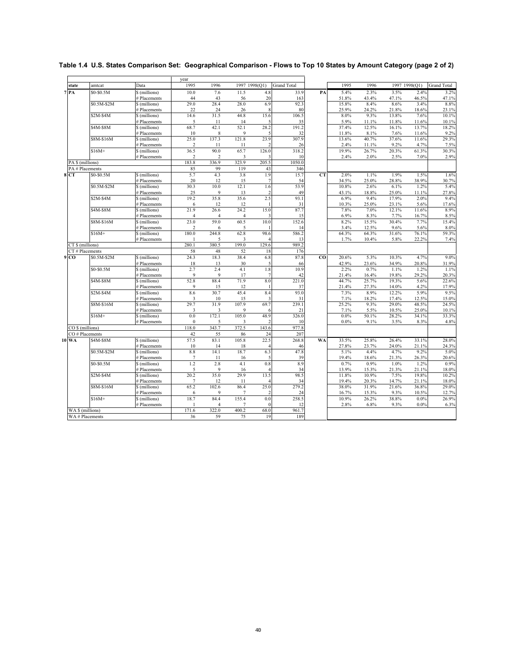|                  |                  |                               | year            |                |                |                          |                    |           |         |       |       |               |                    |
|------------------|------------------|-------------------------------|-----------------|----------------|----------------|--------------------------|--------------------|-----------|---------|-------|-------|---------------|--------------------|
| state            | amtcat           | Data                          | 1995            | 1996           |                | 1997 1998(Q1)            | <b>Grand Total</b> |           | 1995    | 1996  |       | 1997 1998(Q1) | <b>Grand Total</b> |
| 7R               | \$0-\$0.5M       | \$ (millions)                 | 10.0            | 7.6            | 11.5           | 4.8                      | 33.9               | PA        | 5.4%    | 2.3%  | 3.5%  | 2.4%          | 3.2%               |
|                  |                  | # Placements                  | 44              | 43             | 56             | 20                       | 163                |           | 51.8%   | 43.4% | 47.1% | 46.5%         | 47.1%              |
|                  | \$0.5M-\$2M      | \$ (millions)                 | 29.0            | 28.4           | 28.0           | 6.9                      | 92.3               |           | 15.8%   | 8.4%  | 8.6%  | 3.4%          | 8.8%               |
|                  |                  | # Placements                  | 22              | 24             | 26             | 8                        | 80                 |           | 25.9%   | 24.2% | 21.8% | 18.6%         | 23.1%              |
|                  | $$2M-S4M$        | \$ (millions)                 | 14.6            | 31.5           | 44.8           | 15.6                     | 106.5              |           | 8.0%    | 9.3%  | 13.8% | 7.6%          | 10.1%              |
|                  |                  | # Placements                  | 5               | 11             | 14             | 5                        | 35                 |           | 5.9%    | 11.1% | 11.8% | 11.6%         | 10.1%              |
|                  | \$4M-\$8M        | \$ (millions)                 | 68.7            | 42.1           | 52.1           | 28.2                     | 191.2              |           | 37.4%   | 12.5% | 16.1% | 13.7%         | 18.2%              |
|                  |                  | # Placements                  | 10              | 8              | 9              | $\overline{\phantom{0}}$ | 32                 |           | 11.8%   | 8.1%  | 7.6%  | 11.6%         | 9.2%               |
|                  | <b>S8M-\$16M</b> | \$ (millions)                 | 25.0            | 137.3          | 121.8          | 23.9                     | 307.9              |           | 13.6%   | 40.7% | 37.6% | 11.6%         | 29.3%              |
|                  |                  | # Placements                  | $\overline{c}$  | 11             | 11             | $\overline{2}$           | 26                 |           | 2.4%    | 11.1% | 9.2%  | 4.7%          | 7.5%               |
|                  | $$16M+$          | \$ (millions)                 | 36.5            | 90.0           | 65.7           | 126.0                    | 318.2              |           | 19.9%   | 26.7% | 20.3% | 61.3%         | 30.3%              |
|                  |                  | # Placements                  | $\overline{c}$  | $\overline{2}$ | 3              |                          | 10                 |           | 2.4%    | 2.0%  | 2.5%  | 7.0%          | 2.9%               |
| PA \$ (millions) |                  |                               | 183.8           | 336.9          | 323.9          | 205.5                    | 1050.0             |           |         |       |       |               |                    |
|                  | PA # Placements  |                               | 85              | 99             | 119            | 43                       | 346                |           |         |       |       |               |                    |
| 8 <sub>CT</sub>  | \$0-\$0.5M       | \$ (millions)                 | 5.7             | 4.3            | 3.8            | 1.9                      | 15.7               | CT        | 2.0%    | 1.1%  | 1.9%  | 1.5%          | 1.6%               |
|                  |                  | # Placements                  | 20              | 12             | 15             | $\overline{7}$           | 54                 |           | 34.5%   | 25.0% | 28.8% | 38.9%         | 30.7%              |
|                  | \$0.5M-\$2M      | \$ (millions)                 | 30.3            | 10.0           | 12.1           | 1.6                      | 53.9               |           | 10.8%   | 2.6%  | 6.1%  | 1.2%          | 5.4%               |
|                  |                  | # Placements                  | 25              | 9              | 13             | $\overline{2}$           | 49                 |           | 43.1%   | 18.8% | 25.0% | 11.1%         | 27.8%              |
|                  | $$2M-$4M$        | \$ (millions)                 | 19.2            | 35.8           | 35.6           | 2.5                      | 93.1               |           | 6.9%    | 9.4%  | 17.9% | 2.0%          | 9.4%               |
|                  |                  | # Placements                  | 6               | 12             | 12             |                          | 31                 |           | 10.3%   | 25.0% | 23.1% | 5.6%          | 17.6%              |
|                  | \$4M-\$8M        | \$ (millions)                 | 21.9            | 26.6           | 24.2           | 15.0                     | 87.7               |           | 7.8%    | 7.0%  | 12.1% | 11.6%         | 8.9%               |
|                  |                  | # Placements                  | $\overline{4}$  | $\overline{4}$ | $\overline{4}$ | 3                        | 15                 |           | 6.9%    | 8.3%  | 7.7%  | 16.7%         | 8.5%               |
|                  | \$8M-\$16M       | \$ (millions)                 | 23.0            | 59.0           | 60.5           | 10.0                     | 152.6              |           | 8.2%    | 15.5% | 30.4% | 7.7%          | 15.4%              |
|                  |                  | # Placements                  | $\overline{c}$  | 6              | 5              |                          | 14                 |           | 3.4%    | 12.5% | 9.6%  | 5.6%          | 8.0%               |
|                  | $$16M+$          |                               | 180.0           | 244.8          | 62.8           | 98.6                     | 586.2              |           | 64.3%   | 64.3% | 31.6% | 76.1%         | 59.3%              |
|                  |                  | \$ (millions)<br># Placements |                 | 5              | 3              |                          |                    |           | 1.7%    | 10.4% |       | 22.2%         | 7.4%               |
|                  |                  |                               | 280.1           | 380.5          | 199.0          | 129.6                    | 13<br>989.2        |           |         |       | 5.8%  |               |                    |
| CT \$ (millions) |                  |                               |                 |                |                |                          |                    |           |         |       |       |               |                    |
|                  | CT#Placements    |                               | 58              | 48             | 52             | 18                       | 176                |           |         |       |       |               |                    |
| 9 <sub>CO</sub>  | \$0.5M-\$2M      | \$ (millions)                 | 24.3            | 18.3           | 38.4           | 6.8                      | 87.8               | <b>CO</b> | 20.6%   | 5.3%  | 10.3% | 4.7%          | 9.0%               |
|                  |                  | # Placements                  | 18              | 13             | 30             | 5                        | 66                 |           | 42.9%   | 23.6% | 34.9% | 20.8%         | 31.9%              |
|                  | \$0-\$0.5M       | \$ (millions)                 | 2.7             | 2.4            | 4.1            | 1.8                      | 10.9               |           | 2.2%    | 0.7%  | 1.1%  | 1.2%          | 1.1%               |
|                  |                  | # Placements                  | 9               | 9              | 17             | $\overline{7}$           | 42                 |           | 21.4%   | 16.4% | 19.8% | 29.2%         | 20.3%              |
|                  | \$4M-\$8M        | \$ (millions)                 | 52.8            | 88.4           | 71.9           | 8.0                      | 221.0              |           | 44.7%   | 25.7% | 19.3% | 5.6%          | 22.6%              |
|                  |                  | # Placements                  | 9               | 15             | 12             |                          | 37                 |           | 21.4%   | 27.3% | 14.0% | 4.2%          | 17.9%              |
|                  | $$2M-S4M$        | \$ (millions)                 | 8.6             | 30.7           | 45.4           | 8.4                      | 93.0               |           | 7.3%    | 8.9%  | 12.2% | 5.9%          | 9.5%               |
|                  |                  | # Placements                  | 3               | 10             | 15             | 3                        | 31                 |           | 7.1%    | 18.2% | 17.4% | 12.5%         | 15.0%              |
|                  | $$8M-$16M$       | \$ (millions)                 | 29.7            | 31.9           | 107.9          | 69.7                     | 239.               |           | 25.2%   | 9.3%  | 29.0% | 48.5%         | 24.5%              |
|                  |                  | # Placements                  | 3               | 3              | 9              |                          | 21                 |           | 7.1%    | 5.5%  | 10.5% | 25.0%         | 10.1%              |
|                  | $$16M+$          | \$ (millions)                 | 0.0             | 172.1          | 105.0          | 48.9                     | 326.0              |           | $0.0\%$ | 50.1% | 28.2% | 34.1%         | 33.3%              |
|                  |                  | # Placements                  | $\theta$        | 5              | 3              | $\overline{2}$           | 10                 |           | $0.0\%$ | 9.1%  | 3.5%  | 8.3%          | 4.8%               |
| CO \$ (millions) |                  |                               | 118.0           | 343.7          | 372.5          | 143.6                    | 977.8              |           |         |       |       |               |                    |
|                  | CO # Placements  |                               | 42              | 55             | 86             | 24                       | 207                |           |         |       |       |               |                    |
| 10 WA            | \$4M-\$8M        | \$ (millions)                 | 57.5            | 83.1           | 105.8          | 22.5                     | 268.8              | WA        | 33.5%   | 25.8% | 26.4% | 33.1%         | 28.0%              |
|                  |                  | # Placements                  | 10              | 14             | 18             | $\overline{A}$           | 46                 |           | 27.8%   | 23.7% | 24.0% | 21.1%         | 24.3%              |
|                  | \$0.5M-\$2M      | \$ (millions)                 | 8.8             | 14.1           | 18.7           | 6.3                      | 47.8               |           | 5.1%    | 4.4%  | 4.7%  | 9.2%          | 5.0%               |
|                  |                  | # Placements                  | $\tau$          | 11             | 16             | 5                        | 39                 |           | 19.4%   | 18.6% | 21.3% | 26.3%         | 20.6%              |
|                  | $$0 - $0.5M$     | \$ (millions)                 | 1.2             | 2.8            | 4.1            | 0.8                      | 8.9                |           | 0.7%    | 0.9%  | 1.0%  | 1.2%          | 0.9%               |
|                  |                  | # Placements                  | 5               | $\mathbf{Q}$   | 16             | $\overline{4}$           | 34                 |           | 13.9%   | 15.3% | 21.3% | 21.1%         | 18.0%              |
|                  | $$2M-$4M$        | \$ (millions)                 | 20.2            | 35.0           | 29.9           | 13.5                     | 98.5               |           | 11.8%   | 10.9% | 7.5%  | 19.8%         | 10.2%              |
|                  |                  | # Placements                  | $7\phantom{.0}$ | 12             | 11             | $\overline{4}$           | 34                 |           | 19.4%   | 20.3% | 14.7% | 21.1%         | 18.0%              |
|                  | \$8M-\$16M       | \$ (millions)                 | 65.2            | 102.6          | 86.4           | 25.0                     | 279.2              |           | 38.0%   | 31.9% | 21.6% | 36.8%         | 29.0%              |
|                  |                  | # Placements                  | 6               | 9              | 7              | $\overline{2}$           | 24                 |           | 16.7%   | 15.3% | 9.3%  | 10.5%         | 12.7%              |
|                  | $$16M+$          | \$ (millions)                 | 18.7            | 84.4           | 155.4          | 0.0                      | 258.5              |           | 10.9%   | 26.2% | 38.8% | 0.0%          | 26.9%              |
|                  |                  | # Placements                  |                 | $\overline{4}$ | 7              | $\mathbf{0}$             | 12                 |           | 2.8%    | 6.8%  | 9.3%  | 0.0%          | 6.3%               |
| WA \$ (millions) |                  |                               | 171.6           | 322.0          | 400.2          | 68.0                     | 961.7              |           |         |       |       |               |                    |
|                  | WA# Placements   |                               | 36              | 59             | 75             | 19                       | 189                |           |         |       |       |               |                    |
|                  |                  |                               |                 |                |                |                          |                    |           |         |       |       |               |                    |

# **Table 1.4 U.S. States Comparison Set: Geographical Comparison - Flows to Top 10 States by Amount Category (page 2 of 2)**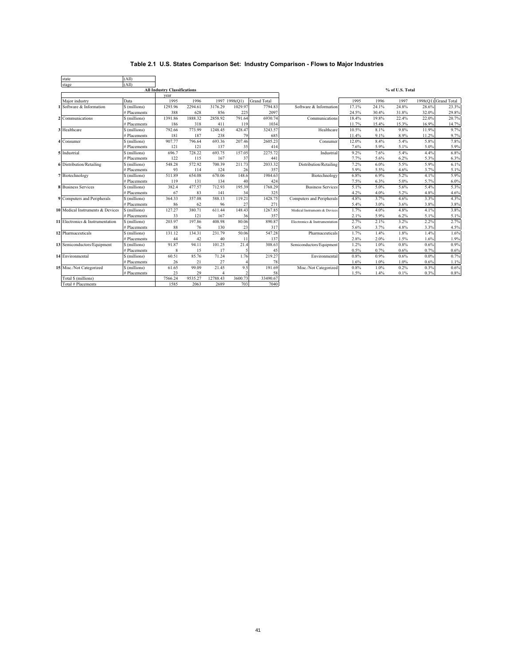| state                            | (A1I)         |                                     |         |          |               |                    |                               |       |       |                 |       |                      |
|----------------------------------|---------------|-------------------------------------|---------|----------|---------------|--------------------|-------------------------------|-------|-------|-----------------|-------|----------------------|
| stage                            | (AII)         |                                     |         |          |               |                    |                               |       |       |                 |       |                      |
|                                  |               | <b>All Industry Classifications</b> |         |          |               |                    |                               |       |       | % of U.S. Total |       |                      |
|                                  |               | year                                |         |          |               |                    |                               |       |       |                 |       |                      |
| Major industry                   | Data          | 1995                                | 1996    |          | 1997 1998(Q1) | <b>Grand Total</b> |                               | 1995  | 1996  | 1997            |       | 1998(Q1) Grand Total |
| 1 Software & Information         | \$ (millions) | 1293.96                             | 2294.61 | 3176.29  | 1029.97       | 7794.83            | Software & Information        | 17.1% | 24.1% | 24.8%           | 28.6% | 23.3%                |
|                                  | # Placements  | 388                                 | 628     | 856      | 225           | 2097               |                               | 24.5% | 30.4% | 31.8%           | 32.0% | 29.8%                |
| 2 Communications                 | \$ (millions) | 1391.86                             | 1888.32 | 2858.92  | 791.64        | 6930.74            | Communications                | 18.4% | 19.8% | 22.4%           | 22.0% | 20.7%                |
|                                  | # Placements  | 186                                 | 318     | 411      | 119           | 1034               |                               | 11.7% | 15.4% | 15.3%           | 16.9% | 14.7%                |
| 3 Healthcare                     | \$ (millions) | 792.66                              | 773.99  | 1248.45  | 428.47        | 3243.57            | Healthcare                    | 10.5% | 8.1%  | 9.8%            | 11.9% | 9.7%                 |
|                                  | # Placements  | 181                                 | 187     | 238      | 79            | 685                |                               | 11.4% | 9.1%  | 8.9%            | 11.2% | 9.7%                 |
| 4 Consumer                       | \$ (millions) | 907.77                              | 796.64  | 693.36   | 207.46        | 2605.23            | Consumer                      | 12.0% | 8.4%  | 5.4%            | 5.8%  | 7.8%                 |
|                                  | # Placements  | 121                                 | 121     | 137      | 35            | 414                |                               | 7.6%  | 5.9%  | 5.1%            | 5.0%  | 5.9%                 |
| 5 Industrial                     | \$ (millions) | 696.7                               | 728.22  | 693.75   | 157.05        | 2275.72            | Industrial                    | 9.2%  | 7.6%  | 5.4%            | 4.4%  | 6.8%                 |
|                                  | # Placements  | 122                                 | 115     | 167      | 37            | 441                |                               | 7.7%  | 5.6%  | 6.2%            | 5.3%  | 6.3%                 |
| 6 Distribution/Retailing         | \$ (millions) | 548.28                              | 572.92  | 700.39   | 211.73        | 2033.32            | Distribution/Retailing        | 7.2%  | 6.0%  | 5.5%            | 5.9%  | 6.1%                 |
|                                  | # Placements  | 93                                  | 114     | 124      | 26            | 357                |                               | 5.9%  | 5.5%  | 4.6%            | 3.7%  | 5.1%                 |
| 7 Biotechnology                  | \$ (millions) | 511.89                              | 654.08  | 670.06   | 148.6         | 1984.63            | Biotechnology                 | 6.8%  | 6.9%  | 5.2%            | 4.1%  | 5.9%                 |
|                                  | # Placements  | 119                                 | 131     | 134      | 40            | 424                |                               | 7.5%  | 6.3%  | 5.0%            | 5.7%  | 6.0%                 |
| <b>8</b> Business Services       | \$ (millions) | 382.4                               | 477.57  | 712.93   | 195.39        | 1768.29            | <b>Business Services</b>      | 5.1%  | 5.0%  | 5.6%            | 5.4%  | 5.3%                 |
|                                  | # Placements  | 67                                  | 83      | 141      | 34            | 325                |                               | 4.2%  | 4.0%  | 5.2%            | 4.8%  | 4.6%                 |
| 9 Computers and Peripherals      | \$ (millions) | 364.33                              | 357.08  | 588.13   | 119.21        | 1428.75            | Computers and Peripherals     | 4.8%  | 3.7%  | 4.6%            | 3.3%  | 4.3%                 |
|                                  | # Placements  | 86                                  | 62      | 96       | 27            | 271                |                               | 5.4%  | 3.0%  | 3.6%            | 3.8%  | 3.8%                 |
| 10 Medical Instruments & Devices | \$ (millions) | 127.27                              | 380.71  | 611.44   | 148.43        | 1267.85            | Medical Instruments & Devices | 1.7%  | 4.0%  | 4.8%            | 4.1%  | 3.8%                 |
|                                  | # Placements  | 33                                  | 121     | 167      | 36            | 357                |                               | 2.1%  | 5.9%  | 6.2%            | 5.1%  | 5.1%                 |
| 11 Electronics & Instrumentation | \$ (millions) | 203.97                              | 197.86  | 408.98   | 80.06         | 890.87             | Electronics & Instrumentation | 2.7%  | 2.1%  | 3.2%            | 2.2%  | 2.7%                 |
|                                  | # Placements  | 88                                  | 76      | 130      | 23            | 317                |                               | 5.6%  | 3.7%  | 4.8%            | 3.3%  | 4.5%                 |
| 12 Pharmaceuticals               | \$ (millions) | 131.12                              | 134.31  | 231.79   | 50.06         | 547.28             | Pharmaceuticals               | 1.7%  | 1.4%  | 1.8%            | 1.4%  | 1.6%                 |
|                                  | # Placements  | 44                                  | 42      | 40       | 11            | 137                |                               | 2.8%  | 2.0%  | 1.5%            | 1.6%  | 1.9%                 |
| 13 Semiconductors/Equipment      | \$ (millions) | 91.87                               | 94.11   | 101.25   | 21.4          | 308.63             | Semiconductors/Equipment      | 1.2%  | 1.0%  | 0.8%            | 0.6%  | 0.9%                 |
|                                  | # Placements  | 8                                   | 15      | 17       | 5             | 45                 |                               | 0.5%  | 0.7%  | 0.6%            | 0.7%  | 0.6%                 |
| 14 Environmental                 | \$(millions)  | 60.51                               | 85.76   | 71.24    | 1.76          | 219.27             | Environmental                 | 0.8%  | 0.9%  | 0.6%            | 0.0%  | 0.7%                 |
|                                  | # Placements  | 26                                  | 21      | 27       |               | 78                 |                               | 1.6%  | 1.0%  | 1.0%            | 0.6%  | 1.1%                 |
| 15 Misc./Not Categorized         | \$(millions)  | 61.65                               | 99.09   | 21.45    | 9.5           | 191.69             | Misc./Not Categorized         | 0.8%  | 1.0%  | 0.2%            | 0.3%  | 0.6%                 |
|                                  | # Placements  | 23                                  | 29      |          |               | 58                 |                               | 1.5%  | 1.4%  | 0.1%            | 0.3%  | 0.8%                 |
| Total \$ (millions)              |               | 7566.24                             | 9535.27 | 12788.43 | 3600.73       | 33490.67           |                               |       |       |                 |       |                      |
| Total # Placements               |               | 1585                                | 2063    | 2689     | 703           | 7040               |                               |       |       |                 |       |                      |

## **Table 2.1 U.S. States Comparison Set: Industry Comparison - Flows to Major Industries**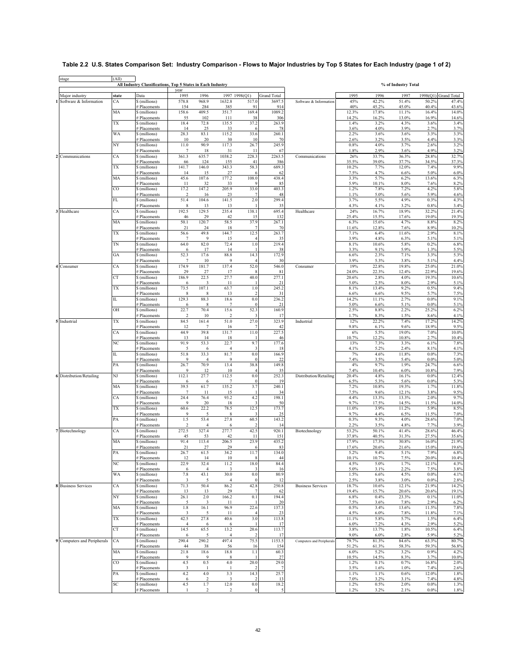# **Table 2.2 U.S. States Comparison Set: Industry Comparison - Flows to Major Industries by Top 5 States for Each Industry (page 1 of 2)**

÷

| stage                           | (All)         | All Industry Classifications, Top 5 States in Each Industry |                          |                         |                                 |                  |                        |                           |                |                | % of Industry Total |                |                      |
|---------------------------------|---------------|-------------------------------------------------------------|--------------------------|-------------------------|---------------------------------|------------------|------------------------|---------------------------|----------------|----------------|---------------------|----------------|----------------------|
| Major industry                  | state         | Data                                                        | vear<br>1995             | 1996                    |                                 | 1997 1998(Q1)    | <b>Grand Total</b>     |                           | 1995           | 1996           | 1997                |                | 1998(Q1) Grand Total |
| Software & Information          | CA            | \$ (millions)                                               | 578.8                    | 968.9                   | 1632.8                          | 517.0            | 3697.5                 | Software & Information    | 45%            | 42.2%          | 51.4%               | 50.2%          | 47.4%                |
|                                 |               | # Placements                                                | 154                      | 284                     | 385                             | 91               | 914                    |                           | 40%            | 45.2%          | 45.0%               | 40.4%          | 43.6%                |
|                                 | MA            | \$ (millions)<br># Placements                               | 158.6<br>55              | 409.5<br>102            | 351.7<br>111                    | 169.4<br>38      | 1089.2<br>306          |                           | 12.3%<br>14.2% | 17.8%<br>16.2% | 11.1%<br>13.0%      | 16.4%<br>16.9% | 14.0%<br>14.6%       |
|                                 | TX            | \$ (millions)                                               | 18.4                     | 72.8                    | 135.5                           | 37.2             | 263.9                  |                           | 1.4%           | 3.2%           | 4.3%                | 3.6%           | 3.4%                 |
|                                 | <b>WA</b>     | # Placements<br>\$ (millions)                               | 14<br>28.3               | 25<br>83.1              | 33<br>115.2                     | 33.6             | 78<br>260.1            |                           | 3.6%<br>2.2%   | 4.0%<br>3.6%   | 3.9%<br>3.6%        | 2.7%<br>3.3%   | 3.7%<br>3.3%         |
|                                 |               | # Placements                                                | 10                       | 20                      | 30                              | 10               | 70                     |                           | 2.6%           | 3.2%           | 3.5%                | 4.4%           | 3.3%                 |
|                                 | NY            | \$ (millions)                                               | 11.0                     | 90.9                    | 117.3                           | 26.7             | 245.9                  |                           | 0.8%           | 4.0%           | 3.7%                | 2.6%           | 3.2%                 |
| 2 Communications                | CA            | # Placements<br>\$ (millions)                               | $7\phantom{.0}$<br>361.3 | 18<br>635.7             | 31<br>1038.2                    | 11<br>228.3      | 67<br>2263.5           | Communications            | 1.8%<br>26%    | 2.9%<br>33.7%  | 3.6%<br>36.3%       | 4.9%<br>28.8%  | 3.2%<br>32.7%        |
|                                 |               | # Placements                                                | 66                       | 124                     | 155                             | 41               | 386                    |                           | 35.5%          | 39.0%          | 37.7%               | 34.5%          | 37.3%                |
|                                 | TX            | \$ (millions)                                               | 141.7                    | 146.0                   | 343.3                           | 58.3             | 689.3                  |                           | 10.2%          | 7.7%           | 12.0%               | 7.4%           | 9.9%                 |
|                                 | MA            | # Placements<br>\$ (millions)                               | 14<br>45.6               | 15<br>107.6             | 27<br>177.2                     | 108.0            | 62<br>438.4            |                           | 7.5%<br>3.3%   | 4.7%<br>5.7%   | 6.6%<br>6.2%        | 5.0%<br>13.6%  | 6.0%<br>6.3%         |
|                                 |               | # Placements                                                | 11                       | 32                      | 33                              |                  | 85                     |                           | 5.9%           | 10.1%          | 8.0%                | 7.6%           | 8.2%                 |
|                                 | $_{\rm CO}$   | \$ (millions)<br># Placements                               | 17.2<br>$\overline{2}$   | 147.2<br>16             | 205.9<br>23                     | 33.0             | 403.3<br>48            |                           | 1.2%<br>1.1%   | 7.8%<br>5.0%   | 7.2%<br>5.6%        | 4.2%<br>5.9%   | 5.8%<br>4.6%         |
|                                 | $\mathbf{FL}$ | \$ (millions)                                               | 51.4                     | 104.6                   | 141.5                           | 2.0              | 299.4                  |                           | 3.7%           | 5.5%           | 4.9%                | 0.3%           | 4.3%                 |
|                                 |               | # Placements                                                | 8                        | 13                      | 13                              |                  | 35                     |                           | 4.3%           | 4.1%           | 3.2%                | 0.8%           | 3.4%                 |
| 3 Healthcare                    | CA            | \$ (millions)<br># Placements                               | 192.5<br>46              | 129.5<br>29             | 235.4<br>42                     | 138.1<br>15      | 695.4<br>132           | Healthcare                | 24%<br>25.4%   | 16.7%<br>15.5% | 18.9%<br>17.6%      | 32.2%<br>19.0% | 21.4%<br>19.3%       |
|                                 | MA            | \$ (millions)                                               | 50.1                     | 120.7                   | 58.5                            | 37.9             | 267.1                  |                           | 6.3%           | 15.6%          | 4.7%                | 8.8%           | 8.2%                 |
|                                 |               | # Placements                                                | 21                       | 24                      | 18                              |                  | 70                     |                           | 11.6%          | 12.8%          | 7.6%                | 8.9%           | 10.2%                |
|                                 | <b>TX</b>     | \$ (millions)<br># Placements                               | 56.6<br>7                | 49.8<br>9               | 144.7<br>15                     | 12.5             | 263.7<br>35            |                           | 7.1%<br>3.9%   | 6.4%<br>4.8%   | 11.6%<br>6.3%       | 2.9%<br>5.1%   | 8.1%<br>5.1%         |
|                                 | TN            | \$ (millions)                                               | 64.0                     | 82.0                    | 72.4                            | 1.0              | 219.4                  |                           | 8.1%           | 10.6%          | 5.8%                | 0.2%           | 6.8%                 |
|                                 | GA            | # Placements<br>\$ (millions)                               | 6<br>52.3                | 17<br>17.6              | 14<br>88.8                      | 14.3             | 38<br>172.9            |                           | 3.3%<br>6.6%   | 9.1%<br>2.3%   | 5.9%<br>7.1%        | 1.3%<br>3.3%   | 5.5%<br>5.3%         |
|                                 |               | # Placements                                                | 7                        | 10                      | 9                               |                  | 30                     |                           | 3.9%           | 5.3%           | 3.8%                | 5.1%           | 4.4%                 |
| 4 Consumer                      | CA            | \$ (millions)                                               | 174.9                    | 181.7                   | 137.4                           | 52.0             | 546.0                  | Consumer                  | 19%            | 22.8%          | 19.8%               | 25.0%          | 21.0%                |
|                                 | <b>CT</b>     | # Placements<br>\$ (millions)                               | 29<br>186.9              | 27<br>22.5              | 17<br>27.7                      | 40.0             | 81<br>277.1            |                           | 24.0%<br>20.6% | 22.3%<br>2.8%  | 12.4%<br>4.0%       | 22.9%<br>19.3% | 19.6%<br>10.6%       |
|                                 |               | # Placements                                                | 6                        | 3                       | 11                              |                  | 21                     |                           | 5.0%           | 2.5%           | 8.0%                | 2.9%           | 5.1%                 |
|                                 | TX            | \$ (millions)                                               | 73.5                     | 107.1                   | 63.7                            | 1.0              | 245.2<br>31            |                           | 8.1%<br>6.6%   | 13.4%<br>6.6%  | 9.2%<br>9.5%        | 0.5%<br>5.7%   | 9.4%<br>7.5%         |
|                                 | $\rm IL$      | # Placements<br>\$ (millions)                               | 8<br>129.3               | 8<br>88.3               | 13<br>18.6                      | 0.0              | 236.2                  |                           | 14.2%          | 11.1%          | 2.7%                | 0.0%           | 9.1%                 |
|                                 |               | # Placements                                                | 6                        | -8                      | 7                               | $\Omega$         | 21                     |                           | 5.0%           | 6.6%           | 5.1%                | 0.0%           | 5.1%                 |
|                                 | OH            | \$ (millions)<br># Placements                               | 22.7<br>$\sqrt{2}$       | 70.4<br>10              | 15.6<br>$\overline{\mathbf{c}}$ | 52.3<br>3        | 160.9<br>17            |                           | 2.5%<br>1.7%   | 8.8%<br>8.3%   | 2.2%<br>1.5%        | 25.2%<br>8.6%  | 6.2%<br>4.1%         |
| 5 Industrial                    | TX            | \$ (millions)                                               | 84.5                     | 161.4                   | 51.0                            | 27.0             | 323.9                  | Industrial                | 12%            | 22.2%          | 7.4%                | 17.2%          | 14.2%                |
|                                 |               | # Placements                                                | 12                       | $\overline{7}$          | 16                              |                  | 42                     |                           | 9.8%           | 6.1%           | 9.6%                | 18.9%          | 9.5%                 |
|                                 | CA            | \$ (millions)<br># Placements                               | 44.9<br>13               | 39.8<br>14              | 131.7<br>18                     | 11.0             | 227.5<br>46            |                           | $6\%$<br>10.7% | 5.5%<br>12.2%  | 19.0%<br>10.8%      | 7.0%<br>2.7%   | 10.0%<br>10.4%       |
|                                 | NC            | \$ (millions)                                               | 91.9                     | 53.3                    | 22.7                            | 9.7              | 177.6                  |                           | 13%            | 7.3%           | 3.3%                | 6.1%           | 7.8%                 |
|                                 | $\rm IL$      | # Placements<br>\$ (millions)                               | 5<br>51.8                | 6<br>33.3               | $\overline{4}$<br>81.7          | 3<br>0.0         | 18<br>166.9            |                           | 4.1%<br>7%     | 5.2%<br>4.6%   | 2.4%<br>11.8%       | 8.1%<br>0.0%   | 4.1%<br>7.3%         |
|                                 |               | # Placements                                                | 9                        | $\overline{4}$          | 9                               | $\Omega$         | 22                     |                           | 7.4%           | 3.5%           | 5.4%                | 0.0%           | 5.0%                 |
|                                 | PA            | \$ (millions)                                               | 26.7                     | 70.9                    | 13.4                            | 38.8             | 149.8                  |                           | 4%             | 9.7%           | 1.9%                | 24.7%          | 6.6%                 |
| <b>6</b> Distribution/Retailing | NJ            | # Placements<br>\$ (millions)                               | 9<br>112.1               | 12<br>27.7              | 10<br>112.5                     | 0.0              | 35<br>252.3            | Distribution/Retailing    | 7.4%<br>20.4%  | 10.4%<br>4.8%  | 6.0%<br>16.1%       | 10.8%<br>0.0%  | 7.9%<br>12.4%        |
|                                 |               | # Placements                                                | 6                        | 6                       | $\overline{7}$                  | $\overline{0}$   | 19                     |                           | 6.5%           | 5.3%           | 5.6%                | 0.0%           | 5.3%                 |
|                                 | MA            | \$ (millions)<br># Placements                               | 39.5<br>$\overline{7}$   | 61.7<br>11              | 135.2<br>15                     | 3.7              | 240.1<br>34            |                           | 7.2%<br>7.5%   | 10.8%<br>9.6%  | 19.3%<br>12.1%      | 1.7%<br>3.8%   | 11.8%<br>9.5%        |
|                                 | CA            | \$ (millions)                                               | 24.4                     | 76.4                    | 93.2                            | 4.2              | 198.1                  |                           | 4.4%           | 13.3%          | 13.3%               | 2.0%           | 9.7%                 |
|                                 |               | # Placements                                                | 9                        | 20                      | 18                              |                  | 50                     |                           | 9.7%           | 17.5%          | 14.5%               | 11.5%          | 14.0%                |
|                                 | TX            | \$ (millions)<br># Placements                               | 60.6<br>$\mathbf Q$      | 22.2<br>5               | 78.5<br>8                       | 12.5             | 173.7<br>25            |                           | 11.0%<br>9.7%  | 3.9%<br>4.4%   | 11.2%<br>6.5%       | 5.9%<br>11.5%  | 8.5%<br>7.0%         |
|                                 | PA            | \$ (millions)                                               | 1.5                      | 53.4                    | 27.8                            | 60.5             | 143.2                  |                           | 0.3%           | 9.3%           | 4.0%                | 28.6%          | 7.0%                 |
|                                 |               | # Placements                                                | $\overline{2}$           | $\overline{4}$          | 6                               |                  | 14                     |                           | 2.2%           | 3.5%           | 4.8%                | 7.7%           | 3.9%                 |
| 7 Biotechnology                 | СA            | \$ (millions)<br># Placements                               | 272.5<br>45              | 327.4<br>53             | 277.7<br>42                     | 42.5<br>11       | 920.1<br>151           | Biotechnology             | 53.2%<br>37.8% | 50.1%<br>40.5% | 41.4%<br>31.3%      | 28.6%<br>27.5% | 46.4%<br>35.6%       |
|                                 | MA            | \$ (millions)                                               | 91.4                     | 113.4                   | 206.5                           | 23.9             | 435.2                  |                           | 17.9%          | 17.3%          | 30.8%               | 16.0%          | 21.9%                |
|                                 | $\mathbf{PA}$ | # Placements<br>\$ (millions)                               | 21<br>26.7               | 27<br>61.5              | 29<br>34.2                      | 6<br>11.7        | 83<br>134.0            |                           | 17.6%<br>5.2%  | 20.6%<br>9.4%  | 21.6%<br>5.1%       | 15.0%<br>7.9%  | 19.6%<br>6.8%        |
|                                 |               | # Placements                                                | 12                       | 14                      | 10                              | 8                | 44                     |                           | 10.1%          | 10.7%          | 7.5%                | 20.0%          | 10.4%                |
|                                 | NC            | \$ (millions)<br># Placements                               | 22.9<br>6                | 32.4<br>$\overline{4}$  | 11.2<br>3                       | 18.0<br>3        | 84.4<br>16             |                           | 4.5%<br>5.0%   | 5.0%<br>3.1%   | 1.7%<br>2.2%        | 12.1%<br>7.5%  | 4.3%<br>3.8%         |
|                                 | WA            | \$ (millions)                                               | $7.8\,$                  | 43.1                    | 30.0                            | 0.0              | 80.9                   |                           | 1.5%           | 6.6%           | 4.5%                | 0.0%           | 4.1%                 |
|                                 |               | # Placements                                                | 3                        | 5                       | 4                               | $\theta$         | 12                     |                           | 2.5%           | 3.8%           | 3.0%                | 0.0%           | 2.8%                 |
| <b>8</b> Business Services      | CA            | \$ (millions)<br># Placements                               | 71.3<br>13               | 50.4<br>13              | 86.2<br>29                      | 42.8             | 250.8<br>62            | <b>Business Services</b>  | 18.7%<br>19.4% | 10.6%<br>15.7% | 12.1%<br>20.6%      | 21.9%<br>20.6% | 14.2%<br>19.1%       |
|                                 | NY            | \$ (millions)                                               | 26.1                     | $2.0\,$                 | 166.2                           | 0.1              | 194.4                  |                           | 6.8%           | 0.4%           | 23.3%               | 0.1%           | 11.0%                |
|                                 |               | # Placements                                                | 5                        | $\overline{\mathbf{3}}$ | 11                              |                  | 20                     |                           | 7.5%           | 3.6%           | 7.8%                | 2.9%           | 6.2%                 |
|                                 | MA            | \$ (millions)<br># Placements                               | 1.8<br>3                 | 16.1<br>5               | 96.9<br>11                      | 22.6             | 137.3<br>23            |                           | 0.5%<br>4.5%   | 3.4%<br>6.0%   | 13.6%<br>7.8%       | 11.5%<br>11.8% | 7.8%<br>7.1%         |
|                                 | TX            | \$ (millions)                                               | 42.5                     | 27.8                    | 40.6                            | 3.0              | 113.8                  |                           | 11.1%          | 5.8%           | 5.7%                | 1.5%           | 6.4%                 |
|                                 | CT            | # Placements<br>\$ (millions)                               | $\overline{4}$<br>14.5   | -6<br>65.5              | -6<br>13.2                      | 20.6             | 17<br>113.7            |                           | 6.0%<br>3.8%   | 7.2%<br>13.7%  | 4.3%<br>1.8%        | 2.9%<br>10.5%  | 5.2%<br>6.4%         |
|                                 |               | # Placements                                                | 6                        | 5                       | 4                               | $\mathcal{L}$    | 17                     |                           | 9.0%           | 6.0%           | 2.8%                | 5.9%           | 5.2%                 |
| 9 Computers and Peripherals     | CA            | \$ (millions)                                               | 290.4                    | 290.2                   | 497.4                           | 75.5             | 1153.5                 | Computers and Peripherals | 79.7%          | 81.3%          | 84.6%               | 63.3%          | 80.7%                |
|                                 | MA            | # Placements<br>\$ (millions)                               | 44<br>21.8               | 38<br>18.6              | 56<br>18.8                      | 16<br>1.1        | 154<br>60.3            |                           | 51.2%<br>6.0%  | 61.3%<br>5.2%  | 58.3%<br>3.2%       | 59.3%<br>0.9%  | 56.8%<br>4.2%        |
|                                 |               | # Placements                                                | 9                        | -9                      | 8                               |                  | 27                     |                           | 10.5%          | 14.5%          | 8.3%                | 3.7%           | 10.0%                |
|                                 | $_{\rm CO}$   | \$ (millions)                                               | 4.5                      | 0.5                     | $4.0\,$                         | 20.0             | 29.0                   |                           | 1.2%           | 0.1%           | 0.7%                | 16.8%          | 2.0%                 |
|                                 | PA            | # Placements<br>\$ (millions)                               | 3<br>4.2                 | 4.0                     | 3.3                             | 14.3             | $\overline{7}$<br>25.7 |                           | 3.5%<br>1.1%   | 1.6%<br>1.1%   | 1.0%<br>0.6%        | 7.4%<br>12.0%  | 2.6%<br>1.8%         |
|                                 |               | # Placements                                                | 6                        | $\overline{2}$          | $\overline{\mathbf{3}}$         | $\mathcal{D}$    | 13                     |                           | 7.0%           | 3.2%           | 3.1%                | 7.4%           | 4.8%                 |
|                                 | SC            | \$ (millions)                                               | 4.5                      | 1.7                     | 12.0                            | 0.0              | 18.2                   |                           | 1.2%           | 0.5%           | 2.0%                | $0.0\%$        | 1.3%                 |
|                                 |               | # Placements                                                | 1                        | $\sqrt{2}$              | $\overline{\mathbf{c}}$         | $\boldsymbol{0}$ | 5                      |                           | 1.2%           | 3.2%           | 2.1%                | 0.0%           | 1.8%                 |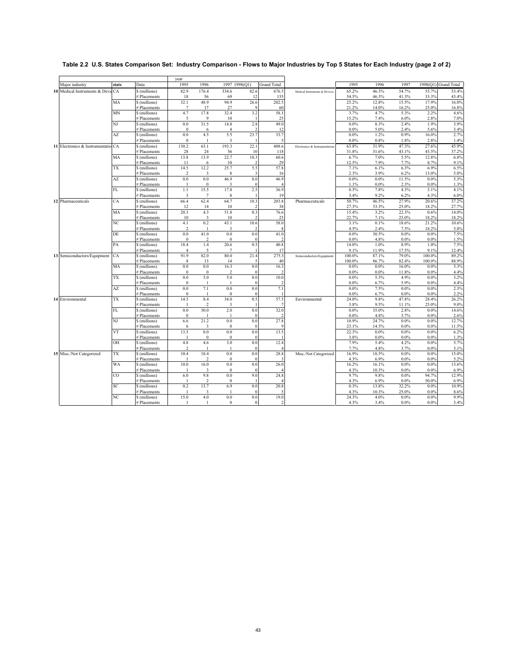|                                    |                |                               | year                    |                          |                         |                     |                                 |                               |               |               |                 |                 |                      |
|------------------------------------|----------------|-------------------------------|-------------------------|--------------------------|-------------------------|---------------------|---------------------------------|-------------------------------|---------------|---------------|-----------------|-----------------|----------------------|
| Major industry                     | state          | Data                          | 1995                    | 1996                     | 1997 1998(Q1)           |                     | <b>Grand Total</b>              |                               | 1995          | 1996          | 1997            |                 | 1998(Q1) Grand Total |
| 10 Medical Instruments & Devic CA  |                | \$ (millions)                 | 82.9                    | 176.4                    | 334.6                   | 82.6                | 676.5                           | Medical Instruments & Devices | 65.2%         | 46.3%         | 54.7%           | 55.7%           | 53.4%                |
|                                    |                | # Placements                  | 18                      | 56                       | 69                      | 12                  | 155                             |                               | 54.5%         | 46.3%         | 41.3%           | 33.3%           | 43.4%                |
|                                    | MA             | \$ (millions)                 | 32.1                    | 48.9                     | 94.9                    | 26.6                | 202.5                           |                               | 25.2%         | 12.8%         | 15.5%           | 17.9%           | 16.0%                |
|                                    |                | # Placements                  | $7\phantom{.0}$         | 17                       | 27                      | 9                   | 60                              |                               | 21.2%         | 14.0%         | 16.2%           | 25.0%           | 16.8%                |
|                                    | <b>MN</b>      | \$ (millions)                 | 4.7                     | 17.8                     | 32.4                    | 3.2                 | 58.1                            |                               | 3.7%          | 4.7%          | 5.3%            | 2.2%            | 4.6%                 |
|                                    |                | # Placements                  | 5                       | 9                        | 10                      |                     | 25                              |                               | 15.2%         | 7.4%          | 6.0%            | 2.8%            | 7.0%                 |
|                                    | NJ             | \$ (millions)                 | $0.0\,$                 | 31.5                     | 14.8                    | 2.8                 | 49.0                            |                               | 0.0%          | 8.3%          | 2.4%            | 1.9%            | 3.9%                 |
|                                    |                | # Placements                  | $\mathbf{0}$            | 6                        | $\overline{4}$          | $\mathfrak{D}$      | 12                              |                               | 0.0%          | 5.0%          | 2.4%            | 5.6%            | 3.4%                 |
|                                    | AZ             | \$ (millions)                 | $0.0\,$                 | 4.5                      | 5.5                     | 23.7                | 33.7                            |                               | 0.0%          | 1.2%          | 0.9%            | 16.0%           | 2.7%                 |
|                                    |                | # Placements                  | $\bf{0}$                | 1                        | $\overline{\mathbf{3}}$ |                     | 5                               |                               | 0.0%          | 0.8%          | 1.8%            | 2.8%            | 1.4%                 |
| 11 Electronics & Instrumentatio CA |                | \$ (millions)                 | 130.2                   | 63.1                     | 193.3                   | 22.1                | 408.6                           | Electronics & Instrumentation | 63.8%         | 31.9%         | 47.3%           | 27.6%           | 45.9%                |
|                                    | MA             | # Placements                  | 28<br>13.8              | 24<br>13.9               | 56<br>22.7              | 10<br>10.3          | 118<br>60.6                     |                               | 31.8%<br>6.7% | 31.6%<br>7.0% | 43.1%<br>5.5%   | 43.5%<br>12.8%  | 37.2%<br>6.8%        |
|                                    |                | \$ (millions)                 |                         |                          |                         |                     | 29                              |                               |               | 7.9%          |                 |                 |                      |
|                                    | TX             | # Placements<br>\$ (millions) | 11<br>14.5              | 6<br>12.2                | 10<br>25.7              | 5.5                 | 57.8                            |                               | 12.5%<br>7.1% | 6.1%          | 7.7%<br>6.3%    | 8.7%<br>6.9%    | 9.1%<br>6.5%         |
|                                    |                | # Placements                  | $\overline{2}$          | 3                        | 8                       | -3                  | 16                              |                               | 2.3%          | 3.9%          | 6.2%            | 13.0%           | 5.0%                 |
|                                    | AZ             | \$ (millions)                 | 0.0                     | 0.0                      | 46.9                    | 0.0                 | 46.9                            |                               | 0.0%          | 0.0%          | 11.5%           | 0.0%            | 5.3%                 |
|                                    |                | # Placements                  |                         | $\mathbf{0}$             | 3                       |                     | $\boldsymbol{\Delta}$           |                               | 1.1%          | 0.0%          | 2.3%            | 0.0%            | 1.3%                 |
|                                    | $\mathbf{FL}$  | \$ (millions)                 | 1.1                     | 15.5                     | 17.8                    | 2.5                 | 36.9                            |                               | 0.5%          | 7.8%          | 4.3%            | 3.1%            | 4.1%                 |
|                                    |                | # Placements                  | $\overline{\mathbf{3}}$ | $7\phantom{.0}$          | 8                       | -1                  | 19                              |                               | 3.4%          | 9.2%          | 6.2%            | 4.3%            | 6.0%                 |
| 12 Pharmaceuticals                 | CA             | \$ (millions)                 | 66.4                    | 62.4                     | 64.7                    | 10.3                | 203.8                           | Pharmaceuticals               | 50.7%         | 46.5%         | 27.9%           | 20.6%           | 37.2%                |
|                                    |                | # Placements                  | 12                      | 14                       | 10                      |                     | 38                              |                               | 27.3%         | 33.3%         | 25.0%           | 18.2%           | 27.7%                |
|                                    | MA             | \$ (millions)                 | 20.3                    | 4.3                      | 51.8                    | 0.3                 | 76.6                            |                               | 15.4%         | 3.2%          | 22.3%           | 0.6%            | 14.0%                |
|                                    |                | # Placements                  | 10                      | $\overline{\mathbf{3}}$  | 10                      | $\mathfrak{D}$      | 25                              |                               | 22.7%         | 7.1%          | 25.0%           | 18.2%           | 18.2%                |
|                                    | NC             | \$ (millions)                 | 4.1                     | 0.2                      | 43.1                    | 10.6                | 58.0                            |                               | 3.1%          | 0.1%          | 18.6%           | 21.2%           | 10.6%                |
|                                    |                | # Placements                  | $\overline{2}$          | $\overline{1}$           | $\overline{\mathbf{3}}$ |                     |                                 |                               | 4.5%          | 2.4%          | 7.5%            | 18.2%           | 5.8%                 |
|                                    | DE             | \$ (millions)                 | 0.0                     | 41.0                     | 0.0                     | 0.0                 | 41.0                            |                               | 0.0%          | 30.5%         | $0.0\%$         | 0.0%            | 7.5%                 |
|                                    |                | # Placements                  | $\boldsymbol{0}$        | $\overline{c}$           | $\theta$                |                     | $\overline{2}$                  |                               | 0.0%          | 4.8%          | $0.0\%$         | 0.0%            | 1.5%                 |
|                                    | PA             | \$ (millions)                 | 18.4                    | 1.4                      | 20.6                    | 0.5                 | 40.8                            |                               | 14.0%         | 1.0%          | 8.9%            | 1.0%            | 7.5%                 |
|                                    |                | # Placements                  | $\overline{4}$          | 5                        | $\overline{7}$          |                     | 17                              |                               | 9.1%          | 11.9%         | 17.5%           | 9.1%            | 12.4%                |
| 13 Semiconductors/Equipment        | CA             | \$ (millions)                 | 91.9                    | 82.0                     | 80.0                    | 21.4                | 275.3                           | Semiconductors/Equipment      | 100.0%        | 87.1%         | 79.0%           | 100.0%          | 89.2%                |
|                                    |                | # Placements                  | 8                       | 13                       | 14                      |                     | 40                              |                               | 100.0%        | 86.7%         | 82.4%           | 100.0%          | 88.9%                |
|                                    | MA             | \$ (millions)                 | 0.0                     | 0.0                      | 16.3                    | 0.0                 | 16.3<br>$\overline{\mathbf{c}}$ |                               | 0.0%          | 0.0%          | 16.0%           | 0.0%            | 5.3%                 |
|                                    | TX             | # Placements<br>\$ (millions) | $\bf{0}$<br>$0.0\,$     | $\boldsymbol{0}$<br>5.0  | $\overline{2}$<br>5.0   | $\mathbf{0}$<br>0.0 | 10.0                            |                               | 0.0%<br>0.0%  | 0.0%<br>5.3%  | 11.8%<br>4.9%   | $0.0\%$<br>0.0% | 4.4%<br>3.2%         |
|                                    |                | # Placements                  | $\boldsymbol{0}$        |                          |                         |                     | $\overline{\mathbf{c}}$         |                               | 0.0%          | 6.7%          | 5.9%            | 0.0%            | 4.4%                 |
|                                    | AZ             | \$ (millions)                 | 0.0                     | 7.1                      | 0.0                     | 0.0                 | 7.1                             |                               | 0.0%          | 7.5%          | 0.0%            | 0.0%            | 2.3%                 |
|                                    |                | # Placements                  | $\bf{0}$                | $\overline{1}$           | $\theta$                | $\bf{0}$            | -1                              |                               | 0.0%          | 6.7%          | 0.0%            | 0.0%            | 2.2%                 |
| 14 Environmental                   | <b>TX</b>      | \$ (millions)                 | 14.5                    | 8.4                      | 34.0                    | 0.5                 | 57.5                            | Environmental                 | 24.0%         | 9.8%          | 47.8%           | 28.4%           | 26.2%                |
|                                    |                | # Placements                  |                         | $\mathfrak{D}$           | 3                       |                     | 7                               |                               | 3.8%          | 9.5%          | 11.1%           | 25.0%           | 9.0%                 |
|                                    | FL             | \$ (millions)                 | 0.0                     | 30.0                     | 2.0                     | 0.0                 | 32.0                            |                               | 0.0%          | 35.0%         | 2.8%            | 0.0%            | 14.6%                |
|                                    |                | # Placements                  | $\bf{0}$                |                          |                         | $\mathbf{0}$        | $\overline{2}$                  |                               | 0.0%          | 4.8%          | 3.7%            | $0.0\%$         | 2.6%                 |
|                                    | NJ             | \$ (millions)                 | 6.6                     | 21.2                     | 0.0                     | 0.0                 | 27.8                            |                               | 10.9%         | 24.7%         | 0.0%            | $0.0\%$         | 12.7%                |
|                                    |                | # Placements                  | 6                       | $\overline{\mathbf{3}}$  | $\mathbf{0}$            | $\Omega$            | $\Omega$                        |                               | 23.1%         | 14.3%         | $0.0\%$         | 0.0%            | 11.5%                |
|                                    | VT             | \$ (millions)                 | 13.5                    | 0.0                      | $0.0\,$                 | 0.0                 | 13.5                            |                               | 22.3%         | 0.0%          | 0.0%            | $0.0\%$         | 6.2%                 |
|                                    |                | # Placements                  | -1                      | $\mathbf{0}$             | $\mathbf{0}$            | $\theta$            |                                 |                               | 3.8%          | 0.0%          | 0.0%            | 0.0%            | 1.3%                 |
|                                    | OH             | \$ (millions)                 | 4.8                     | 4.6                      | 3.0                     | 0.0                 | 12.4                            |                               | 7.9%          | 5.4%          | 4.2%            | 0.0%            | 5.7%                 |
|                                    |                | # Placements                  | $\overline{2}$          |                          |                         |                     | $\overline{4}$                  |                               | 7.7%          | 4.8%          | 3.7%            | 0.0%            | 5.1%                 |
| 15 Misc./Not Categorized           | TX             | \$ (millions)                 | 10.4                    | 18.4                     | 0.0                     | 0.0                 | 28.8                            | Misc./Not Categorized         | 16.9%         | 18.5%         | 0.0%            | 0.0%            | 15.0%                |
|                                    |                | # Placements                  |                         | $\overline{2}$           | $\theta$                |                     | 3                               |                               | 4.3%          | 6.9%          | 0.0%            | $0.0\%$         | 5.2%                 |
|                                    | <b>WA</b>      | \$ (millions)                 | 10.0                    | 16.0                     | $0.0\,$                 | 0.0<br>$\Omega$     | 26.0                            |                               | 16.2%         | 16.1%         | 0.0%            | 0.0%            | 13.6%                |
|                                    | $_{\rm CO}$    | # Placements<br>\$ (millions) | 6.0                     | 3<br>9.8                 | $\mathbf{0}$<br>$0.0\,$ | 9.0                 | $\overline{4}$<br>24.8          |                               | 4.3%<br>9.7%  | 10.3%<br>9.8% | $0.0\%$<br>0.0% | 0.0%<br>94.7%   | 6.9%<br>12.9%        |
|                                    |                | # Placements                  | $\mathbf{1}$            | $\overline{\mathcal{L}}$ | $\theta$                |                     | $\overline{4}$                  |                               | 4.3%          | 6.9%          | 0.0%            | 50.0%           | 6.9%                 |
|                                    | SC             | \$ (millions)                 | 0.2                     | 13.7                     | 6.9                     | 0.0                 | 20.8                            |                               | 0.3%          | 13.8%         | 32.2%           | 0.0%            | 10.9%                |
|                                    |                | # Placements                  | $\mathbf{1}$            | $\overline{\mathbf{3}}$  | $\overline{1}$          | $\theta$            | 5                               |                               | 4.3%          | 10.3%         | 25.0%           | 0.0%            | 8.6%                 |
|                                    | N <sub>C</sub> | \$ (millions)                 | 15.0                    | 4.0                      | 0.0                     | 0.0                 | 19.0                            |                               | 24.3%         | 4.0%          | 0.0%            | 0.0%            | 9.9%                 |
|                                    |                | # Placements                  |                         |                          | $\Omega$                | $\theta$            |                                 |                               | 4.3%          | 3.4%          | 0.0%            | 0.0%            | 3.4%                 |

# **Table 2.2 U.S. States Comparison Set: Industry Comparison - Flows to Major Industries by Top 5 States for Each Industry (page 2 of 2)**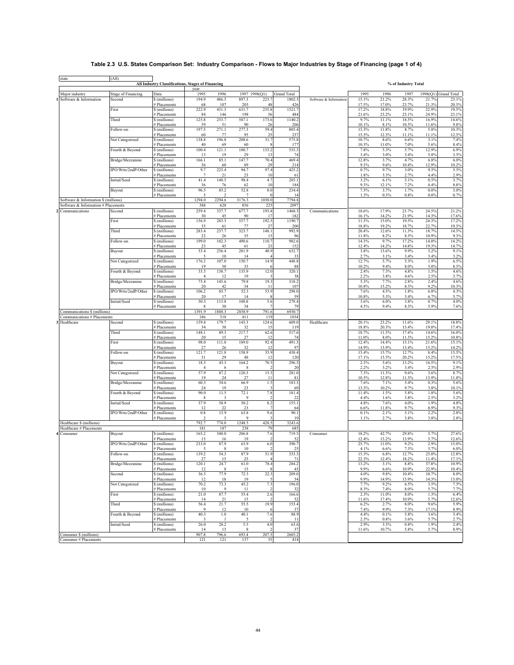# **Table 2.3 U.S. States Comparison Set: Industry Comparison - Flows to Major Industries by Stage of Financing (page 1 of 4)**

 $\overline{\phantom{0}}$ 

| 1995<br>1996<br>1997 1998(Q1)<br>1995<br>1996<br>1998(Q1) Grand Total<br><b>Stage of Financing</b><br>Data<br><b>Grand Total</b><br>1997<br>Major industry<br>15.1%<br>21.2%<br>\$ (millions)<br>194.9<br>486.5<br>897.3<br>223.7<br>1802.5<br>28.3%<br>21.7%<br>23.1%<br>Software & Information<br>Second<br>Software & Information<br>107<br>203<br>17.5%<br>17.0%<br>23.7%<br>21.3%<br>20.3%<br># Placements<br>68<br>48<br>426<br>First<br>\$ (millions)<br>222.9<br>431.3<br>631.7<br>235.8<br>1521.7<br>17.2%<br>18.8%<br>19.9%<br>22.9%<br>19.5%<br>21.6%<br>23.2%<br>24.9%<br>23.1%<br># Placements<br>84<br>146<br>198<br>56<br>484<br>23.1%<br>Third<br>\$ (millions)<br>125.8<br>253.7<br>587.1<br>173.6<br>1140.2<br>9.7%<br>11.1%<br>18.5%<br>16.9%<br>14.6%<br>10.1%<br>10.5%<br>9.8%<br><b>Placements</b><br>39<br>51<br>90<br>26<br>206<br>8.1%<br>11.6%<br>Follow-on<br>197.5<br>271.1<br>277.3<br>59.4<br>805.4<br>15.3%<br>11.8%<br>8.7%<br>5.8%<br>10.3%<br>\$ (millions)<br>257<br>15.5%<br>12.3%<br>11.1%<br>12.3%<br><b>Placements</b><br>60<br>77<br>95<br>25<br>11.1%<br>Not Categorized<br>138.8<br>196.8<br>208.6<br>31.7<br>575.8<br>10.7%<br>8.6%<br>3.1%<br>7.4%<br>\$ (millions)<br>6.6%<br>10.3%<br>8.4%<br><b>Placements</b><br>40<br>69<br>60<br>177<br>11.0%<br>7.0%<br>3.6%<br>Fourth & Beyond<br>100.4<br>121.1<br>180.7<br>133.2<br>535.3<br>7.8%<br>5.3%<br>5.7%<br>12.9%<br>6.9%<br>\$ (millions)<br>3.4%<br>3.0%<br>5.8%<br>3.5%<br># Placements<br>13<br>19<br>29<br>13<br>74<br>3.4%<br>Bridge/Mezzanine<br>166.1<br>85.1<br>147.7<br>70.4<br>469.4<br>12.8%<br>3.7%<br>4.7%<br>6.8%<br>6.0%<br>\$ (millions)<br>9.3%<br>12.9%<br>10.2%<br># Placements<br>36<br>60<br>89<br>29<br>214<br>9.6%<br>10.4%<br>IPO/Wrts/2ndP/Other<br>9.7<br>223.4<br>94.7<br>97.4<br>425.2<br>0.7%<br>9.7%<br>3.0%<br>9.5%<br>5.5%<br>\$ (millions)<br>23<br>1.8%<br>3.3%<br>2.7%<br>2.9%<br><b>Placements</b><br>$\overline{7}$<br>21<br>10<br>61<br>4.4%<br>Initial/Seed<br>41.4<br>140.5<br>98.4<br>4.7<br>285.1<br>3.2%<br>6.1%<br>3.1%<br>0.5%<br>3.7%<br>\$ (millions)<br>9.3%<br>12.1%<br>8.8%<br><b>Placements</b><br>36<br>76<br>62<br>10<br>184<br>7.2%<br>4.4%<br>Buyout<br>96.5<br>85.2<br>52.8<br>0.0<br>234.4<br>7.5%<br>3.7%<br>1.7%<br>$0.0\%$<br>3.0%<br>\$ (millions)<br>1.3%<br>0.3%<br>0.8%<br>0.0%<br>0.7%<br><b>Placements</b><br>$\overline{5}$<br>$\overline{\phantom{a}}$<br>7<br>$\bf{0}$<br>-14<br>1294.0<br>2294.6<br>3176.3<br>1030.0<br>7794.8<br>Software & Information \$ (millions)<br>225<br>2097<br>Software & Information # Placements<br>388<br>628<br>856<br>259.4<br>1468.5<br>18.6%<br>17.9%<br>23.7%<br>24.5%<br>21.2%<br>\$ (millions)<br>337.7<br>677.7<br>193.8<br>Communications<br>Second<br>Communications<br>21.9%<br>14.3%<br>17.6%<br><b>Placements</b><br>30<br>45<br>90<br>17<br>182<br>16.1%<br>14.2%<br>283.5<br>557.7<br>192.5<br>1190.7<br>11.3%<br>24.3%<br>17.2%<br>First<br>156.9<br>15.0%<br>19.5%<br>\$ (millions)<br>19.2%<br>18.7%<br>22.7%<br>19.3%<br># Placements<br>35<br>61<br>27<br>200<br>18.8%<br>77<br>148.1<br>Third<br>283.4<br>237.7<br>323.7<br>992.9<br>20.4%<br>11.3%<br>18.7%<br>14.3%<br>\$ (millions)<br>12.6%<br>9.3%<br>22<br>96<br>11.8%<br>8.2%<br>8.5%<br>10.9%<br># Placements<br>26<br>35<br>13<br>9.7%<br>14.2%<br>Follow-on<br>199.0<br>182.3<br>490.6<br>110.7<br>982.6<br>14.3%<br>17.2%<br>14.0%<br>\$ (millions)<br>152<br>14.2%<br>19.3%<br>14.7%<br># Placements<br>23<br>45<br>23<br>12.4%<br>14.8%<br>61<br>5.2%<br>53.4<br>256.4<br>281.9<br>40.9<br>632.7<br>3.8%<br>9.9%<br>9.1%<br>Buyout<br>\$ (millions)<br>13.6%<br>2.7%<br>3.4%<br>3.2%<br>33<br>3.1%<br>3.4%<br># Placements<br>5<br>10<br>14<br>$\overline{4}$<br>150.7<br>14.9<br>1.9%<br>Not Categorized<br>176.3<br>107.0<br>448.8<br>12.7%<br>5.7%<br>5.3%<br>6.5%<br>\$ (millions)<br>88<br>10.2%<br>9.4%<br>8.0%<br>5.0%<br>8.5%<br>19<br>30<br>33<br># Placements<br>33.5<br>135.9<br>320.1<br>2.4%<br>1.5%<br>Fourth & Beyond<br>138.7<br>12.0<br>7.3%<br>4.8%<br>4.6%<br>\$ (millions)<br>2.2%<br>3.8%<br>2.5%<br>3.7%<br>19<br>38<br>4.6%<br># Placements<br>$\overline{4}$<br>12<br>318.2<br>2.4%<br>Bridge/Mezzanine<br>73.4<br>145.6<br>79.8<br>19.3<br>5.3%<br>7.7%<br>2.8%<br>4.6%<br>\$ (millions)<br>107<br>10.8%<br>13.2%<br>9.2%<br>10.3%<br>20<br>42<br>34<br>8.3%<br># Placements<br>-11<br>IPO/Wrts/2ndP/Other<br>52.3<br>298.0<br>4.3%<br>106.2<br>85.7<br>53.9<br>7.6%<br>4.5%<br>1.8%<br>6.8%<br>\$ (millions)<br>59<br>5.3%<br>6.7%<br>5.7%<br>20<br>17<br>14<br>10.8%<br>3.4%<br># Placements<br>50.3<br>278.4<br>4.0%<br>Initial/Seed<br>113.8<br>108.8<br>5.6<br>6.0%<br>3.8%<br>0.7%<br>\$ (millions)<br>3.6%<br>79<br>4.3%<br>9.4%<br>5.9%<br>7.6%<br># Placements<br>30<br>34<br>8.3%<br>-8<br>1391.9<br>1888.3<br>2858.9<br>6930.7<br>791.6<br>Communications \$ (millions)<br>411<br>119<br>1034<br>Communications # Placements<br>186<br>318<br>145.3<br>159.4<br>179.7<br>124.6<br>609.0<br>20.1%<br>23.2%<br>11.6%<br>29.1%<br>18.8%<br>Healthcare<br>Second<br>\$ (millions)<br>Healthcare<br>17.4%<br># Placements<br>34<br>38<br>32<br>119<br>18.8%<br>20.3%<br>13.4%<br>19.0%<br>15<br>Third<br>148.1<br>217.7<br>517.6<br>\$ (millions)<br>89.3<br>62.6<br>18.7%<br>11.5%<br>17.4%<br>14.6%<br>16.0%<br>10.8%<br># Placements<br>20<br>15<br>27<br>12<br>74<br>11.0%<br>8.0%<br>11.3%<br>15.2%<br>98.0<br>92.4<br>491.3<br>12.4%<br>14.4%<br>First<br>\$ (millions)<br>111.8<br>189.0<br>15.1%<br>21.6%<br>15.1%<br># Placements<br>27<br>26<br>32<br>12<br>97<br>14.9%<br>13.9%<br>13.4%<br>15.2%<br>14.2%<br>121.7<br>158.9<br>35.9<br>438.4<br>Follow-on<br>\$ (millions)<br>121.8<br>15.4%<br>15.7%<br>12.7%<br>8.4%<br>13.5%<br>17.5%<br># Placements<br>31<br>29<br>48<br>12<br>120<br>17.1%<br>15.5%<br>20.2%<br>15.2%<br>18.5<br>43.3<br>164.2<br>70.5<br>296.5<br>2.3%<br>Buyout<br>\$ (millions)<br>5.6%<br>13.2%<br>16.5%<br>9.1%<br>2.5%<br># Placements<br>20<br>2.2%<br>3.2%<br>3.4%<br>2.9%<br>$\overline{4}$<br>6<br>8<br>57.9<br>120.3<br>15.5<br>281.0<br>Not Categorized<br>\$ (millions)<br>87.2<br>7.3%<br>11.3%<br>9.6%<br>3.6%<br>8.7%<br># Placements<br>19<br>24<br>27<br>81<br>10.5%<br>12.8%<br>11.3%<br>13.9%<br>11.8%<br>11<br>60.3<br>1.5<br>183.3<br>Bridge/Mezzanine<br>\$ (millions)<br>54.6<br>66.9<br>7.6%<br>7.1%<br>5.4%<br>0.3%<br>5.6%<br># Placements<br>24<br>19<br>23<br>69<br>13.3%<br>10.2%<br>9.7%<br>3.8%<br>10.1%<br>90.0<br>72.1<br>7.8<br>Fourth & Beyond<br>\$ (millions)<br>11.5<br>181.4<br>11.4%<br>1.5%<br>5.8%<br>1.8%<br>5.6%<br># Placements<br>9<br>22<br>4.4%<br>1.6%<br>3.8%<br>2.5%<br>3.2%<br>8<br>3<br>2<br>37.9<br>8.2<br>Initial/Seed<br>\$ (millions)<br>58.9<br>50.2<br>155.1<br>4.8%<br>7.6%<br>4.0%<br>1.9%<br>4.8%<br>9.7%<br>9.3%<br># Placements<br>12<br>22<br>23<br>7<br>64<br>6.6%<br>11.8%<br>8.9%<br>IPO/Wrts/2ndP/Other<br>15.9<br>90.1<br>2.2%<br>2.8%<br>\$ (millions)<br>0.8<br>63.8<br>9.6<br>0.1%<br>2.1%<br>5.1%<br># Placements<br>$\overline{2}$<br>9<br>19<br>1.1%<br>2.7%<br>3.8%<br>3.8%<br>2.8%<br>5<br>792.7<br>1248.5<br>428.5<br>3243.6<br>Healthcare \$ (millions)<br>774.0<br>Healthcare # Placements<br>181<br>187<br>238<br>79<br>685<br>165.2<br>340.0<br>206.8<br>7.6<br>719.5<br>18.2%<br>42.7%<br>29.8%<br>3.7%<br>27.6%<br>Buyout<br>\$ (millions)<br>Consumer<br>15<br>52<br>12.4%<br>13.2%<br>13.9%<br>5.7%<br>12.6%<br># Placements<br>16<br>19<br>$\overline{\mathcal{L}}$<br>IPO/Wrts/2ndP/Other<br>233.0<br>87.9<br>63.9<br>6.0<br>390.7<br>25.7%<br>11.0%<br>9.2%<br>2.9%<br>15.0%<br>\$ (millions)<br>5<br>$\,$ 8 $\,$<br>25<br>4.1%<br>6.6%<br>7.3%<br>5.7%<br>6.0%<br># Placements<br>10<br>2<br>51.9<br>333.3<br>12.8%<br>139.2<br>54.3<br>87.9<br>5 3%<br>6.8%<br>27%<br>25.0%<br>Follow-on<br>$\overline{\$ (millions)}$<br>22.3%<br>$27\,$<br>25<br>71<br>12.4%<br>18.2%<br>11.4%<br>17.1%<br># Placements<br>15<br>$\overline{4}$<br>Bridge/Mezzanine<br>120.1<br>24.7<br>61.0<br>78.4<br>284.2<br>13.2%<br>3.1%<br>8.8%<br>37.8%<br>10.9%<br>\$ (millions)<br>10.4%<br># Placements<br>43<br>9.9%<br>6.6%<br>10.9%<br>22.9%<br>12<br>8<br>15<br>$\mathbf{\mathbf{R}}$<br>Second<br>36.5<br>77.9<br>72.3<br>22.3<br>209.0<br>4.0%<br>9.8%<br>10.4%<br>10.7%<br>8.0%<br>\$ (millions)<br># Placements<br>18<br>19<br>9.9%<br>14.9%<br>13.9%<br>14.3%<br>13.0%<br>12<br>$\overline{5}$<br>54<br>7.3<br>Not Categorized<br>70.2<br>73.3<br>45.2<br>196.0<br>7.7%<br>9.2%<br>6.5%<br>3.5%<br>7.5%<br>\$ (millions)<br># Placements<br>9<br>8.3%<br>7.4%<br>8.0%<br>5.7%<br>7.7%<br>10<br>11<br>$\overline{2}$<br>32<br>First<br>21.0<br>87.7<br>55.4<br>2.6<br>166.6<br>2.3%<br>11.0%<br>8.0%<br>1.3%<br>6.4%<br>\$ (millions)<br># Placements<br>21<br>52<br>11.6%<br>17.4%<br>10.9%<br>5.7%<br>12.6%<br>14<br>15<br>$\mathcal{D}$<br>153.4<br>Third<br>56.4<br>21.7<br>55.5<br>19.9<br>6.2%<br>2.7%<br>8.0%<br>9.6%<br>5.9%<br>\$ (millions)<br># Placements<br>9<br>10<br>37<br>7.4%<br>9.9%<br>7.3%<br>17.1%<br>8.9%<br>12<br>6<br>Fourth & Beyond<br>40.3<br>$1.0\,$<br>40.1<br>7.6<br>88.9<br>4.4%<br>0.1%<br>5.8%<br>3.6%<br>3.4%<br>\$ (millions)<br># Placements<br>2.5%<br>$0.8\%$<br>3.6%<br>5.7%<br>2.7%<br>3<br>$\overline{5}$<br>$\mathcal{D}$<br>11<br>-1<br>Initial/Seed<br>26.0<br>28.2<br>5.5<br>4.0<br>63.6<br>2.9%<br>3.5%<br>0.8%<br>1.9%<br>2.4%<br>\$ (millions)<br># Placements<br>$\,$ 8 $\,$<br>37<br>11.6%<br>10.7%<br>5.8%<br>5.7%<br>8.9%<br>14<br>13<br>$\mathcal{D}$<br>2605.2<br>Consumer \$ (millions)<br>907.8<br>796.6<br>693.4<br>207.5<br>Consumer # Placements<br>121<br>121<br>137<br>35<br>414 | state    | (All) | All Industry Classifications, Stages of Financing |      |  |  |  | % of Industry Total |  |
|---------------------------------------------------------------------------------------------------------------------------------------------------------------------------------------------------------------------------------------------------------------------------------------------------------------------------------------------------------------------------------------------------------------------------------------------------------------------------------------------------------------------------------------------------------------------------------------------------------------------------------------------------------------------------------------------------------------------------------------------------------------------------------------------------------------------------------------------------------------------------------------------------------------------------------------------------------------------------------------------------------------------------------------------------------------------------------------------------------------------------------------------------------------------------------------------------------------------------------------------------------------------------------------------------------------------------------------------------------------------------------------------------------------------------------------------------------------------------------------------------------------------------------------------------------------------------------------------------------------------------------------------------------------------------------------------------------------------------------------------------------------------------------------------------------------------------------------------------------------------------------------------------------------------------------------------------------------------------------------------------------------------------------------------------------------------------------------------------------------------------------------------------------------------------------------------------------------------------------------------------------------------------------------------------------------------------------------------------------------------------------------------------------------------------------------------------------------------------------------------------------------------------------------------------------------------------------------------------------------------------------------------------------------------------------------------------------------------------------------------------------------------------------------------------------------------------------------------------------------------------------------------------------------------------------------------------------------------------------------------------------------------------------------------------------------------------------------------------------------------------------------------------------------------------------------------------------------------------------------------------------------------------------------------------------------------------------------------------------------------------------------------------------------------------------------------------------------------------------------------------------------------------------------------------------------------------------------------------------------------------------------------------------------------------------------------------------------------------------------------------------------------------------------------------------------------------------------------------------------------------------------------------------------------------------------------------------------------------------------------------------------------------------------------------------------------------------------------------------------------------------------------------------------------------------------------------------------------------------------------------------------------------------------------------------------------------------------------------------------------------------------------------------------------------------------------------------------------------------------------------------------------------------------------------------------------------------------------------------------------------------------------------------------------------------------------------------------------------------------------------------------------------------------------------------------------------------------------------------------------------------------------------------------------------------------------------------------------------------------------------------------------------------------------------------------------------------------------------------------------------------------------------------------------------------------------------------------------------------------------------------------------------------------------------------------------------------------------------------------------------------------------------------------------------------------------------------------------------------------------------------------------------------------------------------------------------------------------------------------------------------------------------------------------------------------------------------------------------------------------------------------------------------------------------------------------------------------------------------------------------------------------------------------------------------------------------------------------------------------------------------------------------------------------------------------------------------------------------------------------------------------------------------------------------------------------------------------------------------------------------------------------------------------------------------------------------------------------------------------------------------------------------------------------------------------------------------------------------------------------------------------------------------------------------------------------------------------------------------------------------------------------------------------------------------------------------------------------------------------------------------------------------------------------------------------------------------------------------------------------------------------------------------------------------------------------------------------------------------------------------------------------------------------------------------------------------------------------------------------------------------------------------------------------------------------------------------------------------------------------------------------------------------------------------------------------------------------------------------------------------------------------------------------------------------------------------------------------------------------------------------------------------------------------------------------------------------------------------------------------------------------------------------------------------------------------------------------------------------------------------------------------------------------------------------------------------------------------------------------------------------------------------------------------------------------------------------------------------------------------------------------------------------------------------------------------------------------------------------------------------------------------------------------------------------------------------------------------------------------------------------------------------------------------------------------------------------------------------------------------------------------------------------------------------------------------------------------------------------------------------------------------------------------------------------------------------------------------------------------------------------------------------------------------------------------------------------------------------------------------------------------------------------------------------------------------------------------------------------------------------------------------------------------------------------------------------------------------------------------------------------------------------------------------------------------------------------------------------------------------------------------------------------------------------------------------------------------------------------------------------------------------------------------------------------------------------------------------------------------------------------------------------------------------------------------------------------------------------------------------------------------------------------------------------------------------------------------------------------------------------------------------------------------------------------------|----------|-------|---------------------------------------------------|------|--|--|--|---------------------|--|
|                                                                                                                                                                                                                                                                                                                                                                                                                                                                                                                                                                                                                                                                                                                                                                                                                                                                                                                                                                                                                                                                                                                                                                                                                                                                                                                                                                                                                                                                                                                                                                                                                                                                                                                                                                                                                                                                                                                                                                                                                                                                                                                                                                                                                                                                                                                                                                                                                                                                                                                                                                                                                                                                                                                                                                                                                                                                                                                                                                                                                                                                                                                                                                                                                                                                                                                                                                                                                                                                                                                                                                                                                                                                                                                                                                                                                                                                                                                                                                                                                                                                                                                                                                                                                                                                                                                                                                                                                                                                                                                                                                                                                                                                                                                                                                                                                                                                                                                                                                                                                                                                                                                                                                                                                                                                                                                                                                                                                                                                                                                                                                                                                                                                                                                                                                                                                                                                                                                                                                                                                                                                                                                                                                                                                                                                                                                                                                                                                                                                                                                                                                                                                                                                                                                                                                                                                                                                                                                                                                                                                                                                                                                                                                                                                                                                                                                                                                                                                                                                                                                                                                                                                                                                                                                                                                                                                                                                                                                                                                                                                                                                                                                                                                                                                                                                                                                                                                                                                                                                                                                                                                                                                                                                                                                                                                                                                                                                                                                                                                                                                                                                                                                                                                                                                                                                                                                                                                                                                                                                                                                                                                                                                                                                                       |          |       |                                                   | year |  |  |  |                     |  |
|                                                                                                                                                                                                                                                                                                                                                                                                                                                                                                                                                                                                                                                                                                                                                                                                                                                                                                                                                                                                                                                                                                                                                                                                                                                                                                                                                                                                                                                                                                                                                                                                                                                                                                                                                                                                                                                                                                                                                                                                                                                                                                                                                                                                                                                                                                                                                                                                                                                                                                                                                                                                                                                                                                                                                                                                                                                                                                                                                                                                                                                                                                                                                                                                                                                                                                                                                                                                                                                                                                                                                                                                                                                                                                                                                                                                                                                                                                                                                                                                                                                                                                                                                                                                                                                                                                                                                                                                                                                                                                                                                                                                                                                                                                                                                                                                                                                                                                                                                                                                                                                                                                                                                                                                                                                                                                                                                                                                                                                                                                                                                                                                                                                                                                                                                                                                                                                                                                                                                                                                                                                                                                                                                                                                                                                                                                                                                                                                                                                                                                                                                                                                                                                                                                                                                                                                                                                                                                                                                                                                                                                                                                                                                                                                                                                                                                                                                                                                                                                                                                                                                                                                                                                                                                                                                                                                                                                                                                                                                                                                                                                                                                                                                                                                                                                                                                                                                                                                                                                                                                                                                                                                                                                                                                                                                                                                                                                                                                                                                                                                                                                                                                                                                                                                                                                                                                                                                                                                                                                                                                                                                                                                                                                                                       |          |       |                                                   |      |  |  |  |                     |  |
|                                                                                                                                                                                                                                                                                                                                                                                                                                                                                                                                                                                                                                                                                                                                                                                                                                                                                                                                                                                                                                                                                                                                                                                                                                                                                                                                                                                                                                                                                                                                                                                                                                                                                                                                                                                                                                                                                                                                                                                                                                                                                                                                                                                                                                                                                                                                                                                                                                                                                                                                                                                                                                                                                                                                                                                                                                                                                                                                                                                                                                                                                                                                                                                                                                                                                                                                                                                                                                                                                                                                                                                                                                                                                                                                                                                                                                                                                                                                                                                                                                                                                                                                                                                                                                                                                                                                                                                                                                                                                                                                                                                                                                                                                                                                                                                                                                                                                                                                                                                                                                                                                                                                                                                                                                                                                                                                                                                                                                                                                                                                                                                                                                                                                                                                                                                                                                                                                                                                                                                                                                                                                                                                                                                                                                                                                                                                                                                                                                                                                                                                                                                                                                                                                                                                                                                                                                                                                                                                                                                                                                                                                                                                                                                                                                                                                                                                                                                                                                                                                                                                                                                                                                                                                                                                                                                                                                                                                                                                                                                                                                                                                                                                                                                                                                                                                                                                                                                                                                                                                                                                                                                                                                                                                                                                                                                                                                                                                                                                                                                                                                                                                                                                                                                                                                                                                                                                                                                                                                                                                                                                                                                                                                                                                       |          |       |                                                   |      |  |  |  |                     |  |
|                                                                                                                                                                                                                                                                                                                                                                                                                                                                                                                                                                                                                                                                                                                                                                                                                                                                                                                                                                                                                                                                                                                                                                                                                                                                                                                                                                                                                                                                                                                                                                                                                                                                                                                                                                                                                                                                                                                                                                                                                                                                                                                                                                                                                                                                                                                                                                                                                                                                                                                                                                                                                                                                                                                                                                                                                                                                                                                                                                                                                                                                                                                                                                                                                                                                                                                                                                                                                                                                                                                                                                                                                                                                                                                                                                                                                                                                                                                                                                                                                                                                                                                                                                                                                                                                                                                                                                                                                                                                                                                                                                                                                                                                                                                                                                                                                                                                                                                                                                                                                                                                                                                                                                                                                                                                                                                                                                                                                                                                                                                                                                                                                                                                                                                                                                                                                                                                                                                                                                                                                                                                                                                                                                                                                                                                                                                                                                                                                                                                                                                                                                                                                                                                                                                                                                                                                                                                                                                                                                                                                                                                                                                                                                                                                                                                                                                                                                                                                                                                                                                                                                                                                                                                                                                                                                                                                                                                                                                                                                                                                                                                                                                                                                                                                                                                                                                                                                                                                                                                                                                                                                                                                                                                                                                                                                                                                                                                                                                                                                                                                                                                                                                                                                                                                                                                                                                                                                                                                                                                                                                                                                                                                                                                                       |          |       |                                                   |      |  |  |  |                     |  |
|                                                                                                                                                                                                                                                                                                                                                                                                                                                                                                                                                                                                                                                                                                                                                                                                                                                                                                                                                                                                                                                                                                                                                                                                                                                                                                                                                                                                                                                                                                                                                                                                                                                                                                                                                                                                                                                                                                                                                                                                                                                                                                                                                                                                                                                                                                                                                                                                                                                                                                                                                                                                                                                                                                                                                                                                                                                                                                                                                                                                                                                                                                                                                                                                                                                                                                                                                                                                                                                                                                                                                                                                                                                                                                                                                                                                                                                                                                                                                                                                                                                                                                                                                                                                                                                                                                                                                                                                                                                                                                                                                                                                                                                                                                                                                                                                                                                                                                                                                                                                                                                                                                                                                                                                                                                                                                                                                                                                                                                                                                                                                                                                                                                                                                                                                                                                                                                                                                                                                                                                                                                                                                                                                                                                                                                                                                                                                                                                                                                                                                                                                                                                                                                                                                                                                                                                                                                                                                                                                                                                                                                                                                                                                                                                                                                                                                                                                                                                                                                                                                                                                                                                                                                                                                                                                                                                                                                                                                                                                                                                                                                                                                                                                                                                                                                                                                                                                                                                                                                                                                                                                                                                                                                                                                                                                                                                                                                                                                                                                                                                                                                                                                                                                                                                                                                                                                                                                                                                                                                                                                                                                                                                                                                                                       |          |       |                                                   |      |  |  |  |                     |  |
|                                                                                                                                                                                                                                                                                                                                                                                                                                                                                                                                                                                                                                                                                                                                                                                                                                                                                                                                                                                                                                                                                                                                                                                                                                                                                                                                                                                                                                                                                                                                                                                                                                                                                                                                                                                                                                                                                                                                                                                                                                                                                                                                                                                                                                                                                                                                                                                                                                                                                                                                                                                                                                                                                                                                                                                                                                                                                                                                                                                                                                                                                                                                                                                                                                                                                                                                                                                                                                                                                                                                                                                                                                                                                                                                                                                                                                                                                                                                                                                                                                                                                                                                                                                                                                                                                                                                                                                                                                                                                                                                                                                                                                                                                                                                                                                                                                                                                                                                                                                                                                                                                                                                                                                                                                                                                                                                                                                                                                                                                                                                                                                                                                                                                                                                                                                                                                                                                                                                                                                                                                                                                                                                                                                                                                                                                                                                                                                                                                                                                                                                                                                                                                                                                                                                                                                                                                                                                                                                                                                                                                                                                                                                                                                                                                                                                                                                                                                                                                                                                                                                                                                                                                                                                                                                                                                                                                                                                                                                                                                                                                                                                                                                                                                                                                                                                                                                                                                                                                                                                                                                                                                                                                                                                                                                                                                                                                                                                                                                                                                                                                                                                                                                                                                                                                                                                                                                                                                                                                                                                                                                                                                                                                                                                       |          |       |                                                   |      |  |  |  |                     |  |
|                                                                                                                                                                                                                                                                                                                                                                                                                                                                                                                                                                                                                                                                                                                                                                                                                                                                                                                                                                                                                                                                                                                                                                                                                                                                                                                                                                                                                                                                                                                                                                                                                                                                                                                                                                                                                                                                                                                                                                                                                                                                                                                                                                                                                                                                                                                                                                                                                                                                                                                                                                                                                                                                                                                                                                                                                                                                                                                                                                                                                                                                                                                                                                                                                                                                                                                                                                                                                                                                                                                                                                                                                                                                                                                                                                                                                                                                                                                                                                                                                                                                                                                                                                                                                                                                                                                                                                                                                                                                                                                                                                                                                                                                                                                                                                                                                                                                                                                                                                                                                                                                                                                                                                                                                                                                                                                                                                                                                                                                                                                                                                                                                                                                                                                                                                                                                                                                                                                                                                                                                                                                                                                                                                                                                                                                                                                                                                                                                                                                                                                                                                                                                                                                                                                                                                                                                                                                                                                                                                                                                                                                                                                                                                                                                                                                                                                                                                                                                                                                                                                                                                                                                                                                                                                                                                                                                                                                                                                                                                                                                                                                                                                                                                                                                                                                                                                                                                                                                                                                                                                                                                                                                                                                                                                                                                                                                                                                                                                                                                                                                                                                                                                                                                                                                                                                                                                                                                                                                                                                                                                                                                                                                                                                                       |          |       |                                                   |      |  |  |  |                     |  |
|                                                                                                                                                                                                                                                                                                                                                                                                                                                                                                                                                                                                                                                                                                                                                                                                                                                                                                                                                                                                                                                                                                                                                                                                                                                                                                                                                                                                                                                                                                                                                                                                                                                                                                                                                                                                                                                                                                                                                                                                                                                                                                                                                                                                                                                                                                                                                                                                                                                                                                                                                                                                                                                                                                                                                                                                                                                                                                                                                                                                                                                                                                                                                                                                                                                                                                                                                                                                                                                                                                                                                                                                                                                                                                                                                                                                                                                                                                                                                                                                                                                                                                                                                                                                                                                                                                                                                                                                                                                                                                                                                                                                                                                                                                                                                                                                                                                                                                                                                                                                                                                                                                                                                                                                                                                                                                                                                                                                                                                                                                                                                                                                                                                                                                                                                                                                                                                                                                                                                                                                                                                                                                                                                                                                                                                                                                                                                                                                                                                                                                                                                                                                                                                                                                                                                                                                                                                                                                                                                                                                                                                                                                                                                                                                                                                                                                                                                                                                                                                                                                                                                                                                                                                                                                                                                                                                                                                                                                                                                                                                                                                                                                                                                                                                                                                                                                                                                                                                                                                                                                                                                                                                                                                                                                                                                                                                                                                                                                                                                                                                                                                                                                                                                                                                                                                                                                                                                                                                                                                                                                                                                                                                                                                                                       |          |       |                                                   |      |  |  |  |                     |  |
|                                                                                                                                                                                                                                                                                                                                                                                                                                                                                                                                                                                                                                                                                                                                                                                                                                                                                                                                                                                                                                                                                                                                                                                                                                                                                                                                                                                                                                                                                                                                                                                                                                                                                                                                                                                                                                                                                                                                                                                                                                                                                                                                                                                                                                                                                                                                                                                                                                                                                                                                                                                                                                                                                                                                                                                                                                                                                                                                                                                                                                                                                                                                                                                                                                                                                                                                                                                                                                                                                                                                                                                                                                                                                                                                                                                                                                                                                                                                                                                                                                                                                                                                                                                                                                                                                                                                                                                                                                                                                                                                                                                                                                                                                                                                                                                                                                                                                                                                                                                                                                                                                                                                                                                                                                                                                                                                                                                                                                                                                                                                                                                                                                                                                                                                                                                                                                                                                                                                                                                                                                                                                                                                                                                                                                                                                                                                                                                                                                                                                                                                                                                                                                                                                                                                                                                                                                                                                                                                                                                                                                                                                                                                                                                                                                                                                                                                                                                                                                                                                                                                                                                                                                                                                                                                                                                                                                                                                                                                                                                                                                                                                                                                                                                                                                                                                                                                                                                                                                                                                                                                                                                                                                                                                                                                                                                                                                                                                                                                                                                                                                                                                                                                                                                                                                                                                                                                                                                                                                                                                                                                                                                                                                                                                       |          |       |                                                   |      |  |  |  |                     |  |
|                                                                                                                                                                                                                                                                                                                                                                                                                                                                                                                                                                                                                                                                                                                                                                                                                                                                                                                                                                                                                                                                                                                                                                                                                                                                                                                                                                                                                                                                                                                                                                                                                                                                                                                                                                                                                                                                                                                                                                                                                                                                                                                                                                                                                                                                                                                                                                                                                                                                                                                                                                                                                                                                                                                                                                                                                                                                                                                                                                                                                                                                                                                                                                                                                                                                                                                                                                                                                                                                                                                                                                                                                                                                                                                                                                                                                                                                                                                                                                                                                                                                                                                                                                                                                                                                                                                                                                                                                                                                                                                                                                                                                                                                                                                                                                                                                                                                                                                                                                                                                                                                                                                                                                                                                                                                                                                                                                                                                                                                                                                                                                                                                                                                                                                                                                                                                                                                                                                                                                                                                                                                                                                                                                                                                                                                                                                                                                                                                                                                                                                                                                                                                                                                                                                                                                                                                                                                                                                                                                                                                                                                                                                                                                                                                                                                                                                                                                                                                                                                                                                                                                                                                                                                                                                                                                                                                                                                                                                                                                                                                                                                                                                                                                                                                                                                                                                                                                                                                                                                                                                                                                                                                                                                                                                                                                                                                                                                                                                                                                                                                                                                                                                                                                                                                                                                                                                                                                                                                                                                                                                                                                                                                                                                                       |          |       |                                                   |      |  |  |  |                     |  |
|                                                                                                                                                                                                                                                                                                                                                                                                                                                                                                                                                                                                                                                                                                                                                                                                                                                                                                                                                                                                                                                                                                                                                                                                                                                                                                                                                                                                                                                                                                                                                                                                                                                                                                                                                                                                                                                                                                                                                                                                                                                                                                                                                                                                                                                                                                                                                                                                                                                                                                                                                                                                                                                                                                                                                                                                                                                                                                                                                                                                                                                                                                                                                                                                                                                                                                                                                                                                                                                                                                                                                                                                                                                                                                                                                                                                                                                                                                                                                                                                                                                                                                                                                                                                                                                                                                                                                                                                                                                                                                                                                                                                                                                                                                                                                                                                                                                                                                                                                                                                                                                                                                                                                                                                                                                                                                                                                                                                                                                                                                                                                                                                                                                                                                                                                                                                                                                                                                                                                                                                                                                                                                                                                                                                                                                                                                                                                                                                                                                                                                                                                                                                                                                                                                                                                                                                                                                                                                                                                                                                                                                                                                                                                                                                                                                                                                                                                                                                                                                                                                                                                                                                                                                                                                                                                                                                                                                                                                                                                                                                                                                                                                                                                                                                                                                                                                                                                                                                                                                                                                                                                                                                                                                                                                                                                                                                                                                                                                                                                                                                                                                                                                                                                                                                                                                                                                                                                                                                                                                                                                                                                                                                                                                                                       |          |       |                                                   |      |  |  |  |                     |  |
|                                                                                                                                                                                                                                                                                                                                                                                                                                                                                                                                                                                                                                                                                                                                                                                                                                                                                                                                                                                                                                                                                                                                                                                                                                                                                                                                                                                                                                                                                                                                                                                                                                                                                                                                                                                                                                                                                                                                                                                                                                                                                                                                                                                                                                                                                                                                                                                                                                                                                                                                                                                                                                                                                                                                                                                                                                                                                                                                                                                                                                                                                                                                                                                                                                                                                                                                                                                                                                                                                                                                                                                                                                                                                                                                                                                                                                                                                                                                                                                                                                                                                                                                                                                                                                                                                                                                                                                                                                                                                                                                                                                                                                                                                                                                                                                                                                                                                                                                                                                                                                                                                                                                                                                                                                                                                                                                                                                                                                                                                                                                                                                                                                                                                                                                                                                                                                                                                                                                                                                                                                                                                                                                                                                                                                                                                                                                                                                                                                                                                                                                                                                                                                                                                                                                                                                                                                                                                                                                                                                                                                                                                                                                                                                                                                                                                                                                                                                                                                                                                                                                                                                                                                                                                                                                                                                                                                                                                                                                                                                                                                                                                                                                                                                                                                                                                                                                                                                                                                                                                                                                                                                                                                                                                                                                                                                                                                                                                                                                                                                                                                                                                                                                                                                                                                                                                                                                                                                                                                                                                                                                                                                                                                                                                       |          |       |                                                   |      |  |  |  |                     |  |
|                                                                                                                                                                                                                                                                                                                                                                                                                                                                                                                                                                                                                                                                                                                                                                                                                                                                                                                                                                                                                                                                                                                                                                                                                                                                                                                                                                                                                                                                                                                                                                                                                                                                                                                                                                                                                                                                                                                                                                                                                                                                                                                                                                                                                                                                                                                                                                                                                                                                                                                                                                                                                                                                                                                                                                                                                                                                                                                                                                                                                                                                                                                                                                                                                                                                                                                                                                                                                                                                                                                                                                                                                                                                                                                                                                                                                                                                                                                                                                                                                                                                                                                                                                                                                                                                                                                                                                                                                                                                                                                                                                                                                                                                                                                                                                                                                                                                                                                                                                                                                                                                                                                                                                                                                                                                                                                                                                                                                                                                                                                                                                                                                                                                                                                                                                                                                                                                                                                                                                                                                                                                                                                                                                                                                                                                                                                                                                                                                                                                                                                                                                                                                                                                                                                                                                                                                                                                                                                                                                                                                                                                                                                                                                                                                                                                                                                                                                                                                                                                                                                                                                                                                                                                                                                                                                                                                                                                                                                                                                                                                                                                                                                                                                                                                                                                                                                                                                                                                                                                                                                                                                                                                                                                                                                                                                                                                                                                                                                                                                                                                                                                                                                                                                                                                                                                                                                                                                                                                                                                                                                                                                                                                                                                                       |          |       |                                                   |      |  |  |  |                     |  |
|                                                                                                                                                                                                                                                                                                                                                                                                                                                                                                                                                                                                                                                                                                                                                                                                                                                                                                                                                                                                                                                                                                                                                                                                                                                                                                                                                                                                                                                                                                                                                                                                                                                                                                                                                                                                                                                                                                                                                                                                                                                                                                                                                                                                                                                                                                                                                                                                                                                                                                                                                                                                                                                                                                                                                                                                                                                                                                                                                                                                                                                                                                                                                                                                                                                                                                                                                                                                                                                                                                                                                                                                                                                                                                                                                                                                                                                                                                                                                                                                                                                                                                                                                                                                                                                                                                                                                                                                                                                                                                                                                                                                                                                                                                                                                                                                                                                                                                                                                                                                                                                                                                                                                                                                                                                                                                                                                                                                                                                                                                                                                                                                                                                                                                                                                                                                                                                                                                                                                                                                                                                                                                                                                                                                                                                                                                                                                                                                                                                                                                                                                                                                                                                                                                                                                                                                                                                                                                                                                                                                                                                                                                                                                                                                                                                                                                                                                                                                                                                                                                                                                                                                                                                                                                                                                                                                                                                                                                                                                                                                                                                                                                                                                                                                                                                                                                                                                                                                                                                                                                                                                                                                                                                                                                                                                                                                                                                                                                                                                                                                                                                                                                                                                                                                                                                                                                                                                                                                                                                                                                                                                                                                                                                                                       |          |       |                                                   |      |  |  |  |                     |  |
|                                                                                                                                                                                                                                                                                                                                                                                                                                                                                                                                                                                                                                                                                                                                                                                                                                                                                                                                                                                                                                                                                                                                                                                                                                                                                                                                                                                                                                                                                                                                                                                                                                                                                                                                                                                                                                                                                                                                                                                                                                                                                                                                                                                                                                                                                                                                                                                                                                                                                                                                                                                                                                                                                                                                                                                                                                                                                                                                                                                                                                                                                                                                                                                                                                                                                                                                                                                                                                                                                                                                                                                                                                                                                                                                                                                                                                                                                                                                                                                                                                                                                                                                                                                                                                                                                                                                                                                                                                                                                                                                                                                                                                                                                                                                                                                                                                                                                                                                                                                                                                                                                                                                                                                                                                                                                                                                                                                                                                                                                                                                                                                                                                                                                                                                                                                                                                                                                                                                                                                                                                                                                                                                                                                                                                                                                                                                                                                                                                                                                                                                                                                                                                                                                                                                                                                                                                                                                                                                                                                                                                                                                                                                                                                                                                                                                                                                                                                                                                                                                                                                                                                                                                                                                                                                                                                                                                                                                                                                                                                                                                                                                                                                                                                                                                                                                                                                                                                                                                                                                                                                                                                                                                                                                                                                                                                                                                                                                                                                                                                                                                                                                                                                                                                                                                                                                                                                                                                                                                                                                                                                                                                                                                                                                       |          |       |                                                   |      |  |  |  |                     |  |
|                                                                                                                                                                                                                                                                                                                                                                                                                                                                                                                                                                                                                                                                                                                                                                                                                                                                                                                                                                                                                                                                                                                                                                                                                                                                                                                                                                                                                                                                                                                                                                                                                                                                                                                                                                                                                                                                                                                                                                                                                                                                                                                                                                                                                                                                                                                                                                                                                                                                                                                                                                                                                                                                                                                                                                                                                                                                                                                                                                                                                                                                                                                                                                                                                                                                                                                                                                                                                                                                                                                                                                                                                                                                                                                                                                                                                                                                                                                                                                                                                                                                                                                                                                                                                                                                                                                                                                                                                                                                                                                                                                                                                                                                                                                                                                                                                                                                                                                                                                                                                                                                                                                                                                                                                                                                                                                                                                                                                                                                                                                                                                                                                                                                                                                                                                                                                                                                                                                                                                                                                                                                                                                                                                                                                                                                                                                                                                                                                                                                                                                                                                                                                                                                                                                                                                                                                                                                                                                                                                                                                                                                                                                                                                                                                                                                                                                                                                                                                                                                                                                                                                                                                                                                                                                                                                                                                                                                                                                                                                                                                                                                                                                                                                                                                                                                                                                                                                                                                                                                                                                                                                                                                                                                                                                                                                                                                                                                                                                                                                                                                                                                                                                                                                                                                                                                                                                                                                                                                                                                                                                                                                                                                                                                                       |          |       |                                                   |      |  |  |  |                     |  |
|                                                                                                                                                                                                                                                                                                                                                                                                                                                                                                                                                                                                                                                                                                                                                                                                                                                                                                                                                                                                                                                                                                                                                                                                                                                                                                                                                                                                                                                                                                                                                                                                                                                                                                                                                                                                                                                                                                                                                                                                                                                                                                                                                                                                                                                                                                                                                                                                                                                                                                                                                                                                                                                                                                                                                                                                                                                                                                                                                                                                                                                                                                                                                                                                                                                                                                                                                                                                                                                                                                                                                                                                                                                                                                                                                                                                                                                                                                                                                                                                                                                                                                                                                                                                                                                                                                                                                                                                                                                                                                                                                                                                                                                                                                                                                                                                                                                                                                                                                                                                                                                                                                                                                                                                                                                                                                                                                                                                                                                                                                                                                                                                                                                                                                                                                                                                                                                                                                                                                                                                                                                                                                                                                                                                                                                                                                                                                                                                                                                                                                                                                                                                                                                                                                                                                                                                                                                                                                                                                                                                                                                                                                                                                                                                                                                                                                                                                                                                                                                                                                                                                                                                                                                                                                                                                                                                                                                                                                                                                                                                                                                                                                                                                                                                                                                                                                                                                                                                                                                                                                                                                                                                                                                                                                                                                                                                                                                                                                                                                                                                                                                                                                                                                                                                                                                                                                                                                                                                                                                                                                                                                                                                                                                                                       |          |       |                                                   |      |  |  |  |                     |  |
|                                                                                                                                                                                                                                                                                                                                                                                                                                                                                                                                                                                                                                                                                                                                                                                                                                                                                                                                                                                                                                                                                                                                                                                                                                                                                                                                                                                                                                                                                                                                                                                                                                                                                                                                                                                                                                                                                                                                                                                                                                                                                                                                                                                                                                                                                                                                                                                                                                                                                                                                                                                                                                                                                                                                                                                                                                                                                                                                                                                                                                                                                                                                                                                                                                                                                                                                                                                                                                                                                                                                                                                                                                                                                                                                                                                                                                                                                                                                                                                                                                                                                                                                                                                                                                                                                                                                                                                                                                                                                                                                                                                                                                                                                                                                                                                                                                                                                                                                                                                                                                                                                                                                                                                                                                                                                                                                                                                                                                                                                                                                                                                                                                                                                                                                                                                                                                                                                                                                                                                                                                                                                                                                                                                                                                                                                                                                                                                                                                                                                                                                                                                                                                                                                                                                                                                                                                                                                                                                                                                                                                                                                                                                                                                                                                                                                                                                                                                                                                                                                                                                                                                                                                                                                                                                                                                                                                                                                                                                                                                                                                                                                                                                                                                                                                                                                                                                                                                                                                                                                                                                                                                                                                                                                                                                                                                                                                                                                                                                                                                                                                                                                                                                                                                                                                                                                                                                                                                                                                                                                                                                                                                                                                                                                       |          |       |                                                   |      |  |  |  |                     |  |
|                                                                                                                                                                                                                                                                                                                                                                                                                                                                                                                                                                                                                                                                                                                                                                                                                                                                                                                                                                                                                                                                                                                                                                                                                                                                                                                                                                                                                                                                                                                                                                                                                                                                                                                                                                                                                                                                                                                                                                                                                                                                                                                                                                                                                                                                                                                                                                                                                                                                                                                                                                                                                                                                                                                                                                                                                                                                                                                                                                                                                                                                                                                                                                                                                                                                                                                                                                                                                                                                                                                                                                                                                                                                                                                                                                                                                                                                                                                                                                                                                                                                                                                                                                                                                                                                                                                                                                                                                                                                                                                                                                                                                                                                                                                                                                                                                                                                                                                                                                                                                                                                                                                                                                                                                                                                                                                                                                                                                                                                                                                                                                                                                                                                                                                                                                                                                                                                                                                                                                                                                                                                                                                                                                                                                                                                                                                                                                                                                                                                                                                                                                                                                                                                                                                                                                                                                                                                                                                                                                                                                                                                                                                                                                                                                                                                                                                                                                                                                                                                                                                                                                                                                                                                                                                                                                                                                                                                                                                                                                                                                                                                                                                                                                                                                                                                                                                                                                                                                                                                                                                                                                                                                                                                                                                                                                                                                                                                                                                                                                                                                                                                                                                                                                                                                                                                                                                                                                                                                                                                                                                                                                                                                                                                                       |          |       |                                                   |      |  |  |  |                     |  |
|                                                                                                                                                                                                                                                                                                                                                                                                                                                                                                                                                                                                                                                                                                                                                                                                                                                                                                                                                                                                                                                                                                                                                                                                                                                                                                                                                                                                                                                                                                                                                                                                                                                                                                                                                                                                                                                                                                                                                                                                                                                                                                                                                                                                                                                                                                                                                                                                                                                                                                                                                                                                                                                                                                                                                                                                                                                                                                                                                                                                                                                                                                                                                                                                                                                                                                                                                                                                                                                                                                                                                                                                                                                                                                                                                                                                                                                                                                                                                                                                                                                                                                                                                                                                                                                                                                                                                                                                                                                                                                                                                                                                                                                                                                                                                                                                                                                                                                                                                                                                                                                                                                                                                                                                                                                                                                                                                                                                                                                                                                                                                                                                                                                                                                                                                                                                                                                                                                                                                                                                                                                                                                                                                                                                                                                                                                                                                                                                                                                                                                                                                                                                                                                                                                                                                                                                                                                                                                                                                                                                                                                                                                                                                                                                                                                                                                                                                                                                                                                                                                                                                                                                                                                                                                                                                                                                                                                                                                                                                                                                                                                                                                                                                                                                                                                                                                                                                                                                                                                                                                                                                                                                                                                                                                                                                                                                                                                                                                                                                                                                                                                                                                                                                                                                                                                                                                                                                                                                                                                                                                                                                                                                                                                                                       |          |       |                                                   |      |  |  |  |                     |  |
|                                                                                                                                                                                                                                                                                                                                                                                                                                                                                                                                                                                                                                                                                                                                                                                                                                                                                                                                                                                                                                                                                                                                                                                                                                                                                                                                                                                                                                                                                                                                                                                                                                                                                                                                                                                                                                                                                                                                                                                                                                                                                                                                                                                                                                                                                                                                                                                                                                                                                                                                                                                                                                                                                                                                                                                                                                                                                                                                                                                                                                                                                                                                                                                                                                                                                                                                                                                                                                                                                                                                                                                                                                                                                                                                                                                                                                                                                                                                                                                                                                                                                                                                                                                                                                                                                                                                                                                                                                                                                                                                                                                                                                                                                                                                                                                                                                                                                                                                                                                                                                                                                                                                                                                                                                                                                                                                                                                                                                                                                                                                                                                                                                                                                                                                                                                                                                                                                                                                                                                                                                                                                                                                                                                                                                                                                                                                                                                                                                                                                                                                                                                                                                                                                                                                                                                                                                                                                                                                                                                                                                                                                                                                                                                                                                                                                                                                                                                                                                                                                                                                                                                                                                                                                                                                                                                                                                                                                                                                                                                                                                                                                                                                                                                                                                                                                                                                                                                                                                                                                                                                                                                                                                                                                                                                                                                                                                                                                                                                                                                                                                                                                                                                                                                                                                                                                                                                                                                                                                                                                                                                                                                                                                                                                       |          |       |                                                   |      |  |  |  |                     |  |
|                                                                                                                                                                                                                                                                                                                                                                                                                                                                                                                                                                                                                                                                                                                                                                                                                                                                                                                                                                                                                                                                                                                                                                                                                                                                                                                                                                                                                                                                                                                                                                                                                                                                                                                                                                                                                                                                                                                                                                                                                                                                                                                                                                                                                                                                                                                                                                                                                                                                                                                                                                                                                                                                                                                                                                                                                                                                                                                                                                                                                                                                                                                                                                                                                                                                                                                                                                                                                                                                                                                                                                                                                                                                                                                                                                                                                                                                                                                                                                                                                                                                                                                                                                                                                                                                                                                                                                                                                                                                                                                                                                                                                                                                                                                                                                                                                                                                                                                                                                                                                                                                                                                                                                                                                                                                                                                                                                                                                                                                                                                                                                                                                                                                                                                                                                                                                                                                                                                                                                                                                                                                                                                                                                                                                                                                                                                                                                                                                                                                                                                                                                                                                                                                                                                                                                                                                                                                                                                                                                                                                                                                                                                                                                                                                                                                                                                                                                                                                                                                                                                                                                                                                                                                                                                                                                                                                                                                                                                                                                                                                                                                                                                                                                                                                                                                                                                                                                                                                                                                                                                                                                                                                                                                                                                                                                                                                                                                                                                                                                                                                                                                                                                                                                                                                                                                                                                                                                                                                                                                                                                                                                                                                                                                                       |          |       |                                                   |      |  |  |  |                     |  |
|                                                                                                                                                                                                                                                                                                                                                                                                                                                                                                                                                                                                                                                                                                                                                                                                                                                                                                                                                                                                                                                                                                                                                                                                                                                                                                                                                                                                                                                                                                                                                                                                                                                                                                                                                                                                                                                                                                                                                                                                                                                                                                                                                                                                                                                                                                                                                                                                                                                                                                                                                                                                                                                                                                                                                                                                                                                                                                                                                                                                                                                                                                                                                                                                                                                                                                                                                                                                                                                                                                                                                                                                                                                                                                                                                                                                                                                                                                                                                                                                                                                                                                                                                                                                                                                                                                                                                                                                                                                                                                                                                                                                                                                                                                                                                                                                                                                                                                                                                                                                                                                                                                                                                                                                                                                                                                                                                                                                                                                                                                                                                                                                                                                                                                                                                                                                                                                                                                                                                                                                                                                                                                                                                                                                                                                                                                                                                                                                                                                                                                                                                                                                                                                                                                                                                                                                                                                                                                                                                                                                                                                                                                                                                                                                                                                                                                                                                                                                                                                                                                                                                                                                                                                                                                                                                                                                                                                                                                                                                                                                                                                                                                                                                                                                                                                                                                                                                                                                                                                                                                                                                                                                                                                                                                                                                                                                                                                                                                                                                                                                                                                                                                                                                                                                                                                                                                                                                                                                                                                                                                                                                                                                                                                                                       |          |       |                                                   |      |  |  |  |                     |  |
|                                                                                                                                                                                                                                                                                                                                                                                                                                                                                                                                                                                                                                                                                                                                                                                                                                                                                                                                                                                                                                                                                                                                                                                                                                                                                                                                                                                                                                                                                                                                                                                                                                                                                                                                                                                                                                                                                                                                                                                                                                                                                                                                                                                                                                                                                                                                                                                                                                                                                                                                                                                                                                                                                                                                                                                                                                                                                                                                                                                                                                                                                                                                                                                                                                                                                                                                                                                                                                                                                                                                                                                                                                                                                                                                                                                                                                                                                                                                                                                                                                                                                                                                                                                                                                                                                                                                                                                                                                                                                                                                                                                                                                                                                                                                                                                                                                                                                                                                                                                                                                                                                                                                                                                                                                                                                                                                                                                                                                                                                                                                                                                                                                                                                                                                                                                                                                                                                                                                                                                                                                                                                                                                                                                                                                                                                                                                                                                                                                                                                                                                                                                                                                                                                                                                                                                                                                                                                                                                                                                                                                                                                                                                                                                                                                                                                                                                                                                                                                                                                                                                                                                                                                                                                                                                                                                                                                                                                                                                                                                                                                                                                                                                                                                                                                                                                                                                                                                                                                                                                                                                                                                                                                                                                                                                                                                                                                                                                                                                                                                                                                                                                                                                                                                                                                                                                                                                                                                                                                                                                                                                                                                                                                                                                       |          |       |                                                   |      |  |  |  |                     |  |
|                                                                                                                                                                                                                                                                                                                                                                                                                                                                                                                                                                                                                                                                                                                                                                                                                                                                                                                                                                                                                                                                                                                                                                                                                                                                                                                                                                                                                                                                                                                                                                                                                                                                                                                                                                                                                                                                                                                                                                                                                                                                                                                                                                                                                                                                                                                                                                                                                                                                                                                                                                                                                                                                                                                                                                                                                                                                                                                                                                                                                                                                                                                                                                                                                                                                                                                                                                                                                                                                                                                                                                                                                                                                                                                                                                                                                                                                                                                                                                                                                                                                                                                                                                                                                                                                                                                                                                                                                                                                                                                                                                                                                                                                                                                                                                                                                                                                                                                                                                                                                                                                                                                                                                                                                                                                                                                                                                                                                                                                                                                                                                                                                                                                                                                                                                                                                                                                                                                                                                                                                                                                                                                                                                                                                                                                                                                                                                                                                                                                                                                                                                                                                                                                                                                                                                                                                                                                                                                                                                                                                                                                                                                                                                                                                                                                                                                                                                                                                                                                                                                                                                                                                                                                                                                                                                                                                                                                                                                                                                                                                                                                                                                                                                                                                                                                                                                                                                                                                                                                                                                                                                                                                                                                                                                                                                                                                                                                                                                                                                                                                                                                                                                                                                                                                                                                                                                                                                                                                                                                                                                                                                                                                                                                                       |          |       |                                                   |      |  |  |  |                     |  |
|                                                                                                                                                                                                                                                                                                                                                                                                                                                                                                                                                                                                                                                                                                                                                                                                                                                                                                                                                                                                                                                                                                                                                                                                                                                                                                                                                                                                                                                                                                                                                                                                                                                                                                                                                                                                                                                                                                                                                                                                                                                                                                                                                                                                                                                                                                                                                                                                                                                                                                                                                                                                                                                                                                                                                                                                                                                                                                                                                                                                                                                                                                                                                                                                                                                                                                                                                                                                                                                                                                                                                                                                                                                                                                                                                                                                                                                                                                                                                                                                                                                                                                                                                                                                                                                                                                                                                                                                                                                                                                                                                                                                                                                                                                                                                                                                                                                                                                                                                                                                                                                                                                                                                                                                                                                                                                                                                                                                                                                                                                                                                                                                                                                                                                                                                                                                                                                                                                                                                                                                                                                                                                                                                                                                                                                                                                                                                                                                                                                                                                                                                                                                                                                                                                                                                                                                                                                                                                                                                                                                                                                                                                                                                                                                                                                                                                                                                                                                                                                                                                                                                                                                                                                                                                                                                                                                                                                                                                                                                                                                                                                                                                                                                                                                                                                                                                                                                                                                                                                                                                                                                                                                                                                                                                                                                                                                                                                                                                                                                                                                                                                                                                                                                                                                                                                                                                                                                                                                                                                                                                                                                                                                                                                                                       |          |       |                                                   |      |  |  |  |                     |  |
|                                                                                                                                                                                                                                                                                                                                                                                                                                                                                                                                                                                                                                                                                                                                                                                                                                                                                                                                                                                                                                                                                                                                                                                                                                                                                                                                                                                                                                                                                                                                                                                                                                                                                                                                                                                                                                                                                                                                                                                                                                                                                                                                                                                                                                                                                                                                                                                                                                                                                                                                                                                                                                                                                                                                                                                                                                                                                                                                                                                                                                                                                                                                                                                                                                                                                                                                                                                                                                                                                                                                                                                                                                                                                                                                                                                                                                                                                                                                                                                                                                                                                                                                                                                                                                                                                                                                                                                                                                                                                                                                                                                                                                                                                                                                                                                                                                                                                                                                                                                                                                                                                                                                                                                                                                                                                                                                                                                                                                                                                                                                                                                                                                                                                                                                                                                                                                                                                                                                                                                                                                                                                                                                                                                                                                                                                                                                                                                                                                                                                                                                                                                                                                                                                                                                                                                                                                                                                                                                                                                                                                                                                                                                                                                                                                                                                                                                                                                                                                                                                                                                                                                                                                                                                                                                                                                                                                                                                                                                                                                                                                                                                                                                                                                                                                                                                                                                                                                                                                                                                                                                                                                                                                                                                                                                                                                                                                                                                                                                                                                                                                                                                                                                                                                                                                                                                                                                                                                                                                                                                                                                                                                                                                                                                       |          |       |                                                   |      |  |  |  |                     |  |
|                                                                                                                                                                                                                                                                                                                                                                                                                                                                                                                                                                                                                                                                                                                                                                                                                                                                                                                                                                                                                                                                                                                                                                                                                                                                                                                                                                                                                                                                                                                                                                                                                                                                                                                                                                                                                                                                                                                                                                                                                                                                                                                                                                                                                                                                                                                                                                                                                                                                                                                                                                                                                                                                                                                                                                                                                                                                                                                                                                                                                                                                                                                                                                                                                                                                                                                                                                                                                                                                                                                                                                                                                                                                                                                                                                                                                                                                                                                                                                                                                                                                                                                                                                                                                                                                                                                                                                                                                                                                                                                                                                                                                                                                                                                                                                                                                                                                                                                                                                                                                                                                                                                                                                                                                                                                                                                                                                                                                                                                                                                                                                                                                                                                                                                                                                                                                                                                                                                                                                                                                                                                                                                                                                                                                                                                                                                                                                                                                                                                                                                                                                                                                                                                                                                                                                                                                                                                                                                                                                                                                                                                                                                                                                                                                                                                                                                                                                                                                                                                                                                                                                                                                                                                                                                                                                                                                                                                                                                                                                                                                                                                                                                                                                                                                                                                                                                                                                                                                                                                                                                                                                                                                                                                                                                                                                                                                                                                                                                                                                                                                                                                                                                                                                                                                                                                                                                                                                                                                                                                                                                                                                                                                                                                                       |          |       |                                                   |      |  |  |  |                     |  |
|                                                                                                                                                                                                                                                                                                                                                                                                                                                                                                                                                                                                                                                                                                                                                                                                                                                                                                                                                                                                                                                                                                                                                                                                                                                                                                                                                                                                                                                                                                                                                                                                                                                                                                                                                                                                                                                                                                                                                                                                                                                                                                                                                                                                                                                                                                                                                                                                                                                                                                                                                                                                                                                                                                                                                                                                                                                                                                                                                                                                                                                                                                                                                                                                                                                                                                                                                                                                                                                                                                                                                                                                                                                                                                                                                                                                                                                                                                                                                                                                                                                                                                                                                                                                                                                                                                                                                                                                                                                                                                                                                                                                                                                                                                                                                                                                                                                                                                                                                                                                                                                                                                                                                                                                                                                                                                                                                                                                                                                                                                                                                                                                                                                                                                                                                                                                                                                                                                                                                                                                                                                                                                                                                                                                                                                                                                                                                                                                                                                                                                                                                                                                                                                                                                                                                                                                                                                                                                                                                                                                                                                                                                                                                                                                                                                                                                                                                                                                                                                                                                                                                                                                                                                                                                                                                                                                                                                                                                                                                                                                                                                                                                                                                                                                                                                                                                                                                                                                                                                                                                                                                                                                                                                                                                                                                                                                                                                                                                                                                                                                                                                                                                                                                                                                                                                                                                                                                                                                                                                                                                                                                                                                                                                                                       |          |       |                                                   |      |  |  |  |                     |  |
|                                                                                                                                                                                                                                                                                                                                                                                                                                                                                                                                                                                                                                                                                                                                                                                                                                                                                                                                                                                                                                                                                                                                                                                                                                                                                                                                                                                                                                                                                                                                                                                                                                                                                                                                                                                                                                                                                                                                                                                                                                                                                                                                                                                                                                                                                                                                                                                                                                                                                                                                                                                                                                                                                                                                                                                                                                                                                                                                                                                                                                                                                                                                                                                                                                                                                                                                                                                                                                                                                                                                                                                                                                                                                                                                                                                                                                                                                                                                                                                                                                                                                                                                                                                                                                                                                                                                                                                                                                                                                                                                                                                                                                                                                                                                                                                                                                                                                                                                                                                                                                                                                                                                                                                                                                                                                                                                                                                                                                                                                                                                                                                                                                                                                                                                                                                                                                                                                                                                                                                                                                                                                                                                                                                                                                                                                                                                                                                                                                                                                                                                                                                                                                                                                                                                                                                                                                                                                                                                                                                                                                                                                                                                                                                                                                                                                                                                                                                                                                                                                                                                                                                                                                                                                                                                                                                                                                                                                                                                                                                                                                                                                                                                                                                                                                                                                                                                                                                                                                                                                                                                                                                                                                                                                                                                                                                                                                                                                                                                                                                                                                                                                                                                                                                                                                                                                                                                                                                                                                                                                                                                                                                                                                                                                       |          |       |                                                   |      |  |  |  |                     |  |
|                                                                                                                                                                                                                                                                                                                                                                                                                                                                                                                                                                                                                                                                                                                                                                                                                                                                                                                                                                                                                                                                                                                                                                                                                                                                                                                                                                                                                                                                                                                                                                                                                                                                                                                                                                                                                                                                                                                                                                                                                                                                                                                                                                                                                                                                                                                                                                                                                                                                                                                                                                                                                                                                                                                                                                                                                                                                                                                                                                                                                                                                                                                                                                                                                                                                                                                                                                                                                                                                                                                                                                                                                                                                                                                                                                                                                                                                                                                                                                                                                                                                                                                                                                                                                                                                                                                                                                                                                                                                                                                                                                                                                                                                                                                                                                                                                                                                                                                                                                                                                                                                                                                                                                                                                                                                                                                                                                                                                                                                                                                                                                                                                                                                                                                                                                                                                                                                                                                                                                                                                                                                                                                                                                                                                                                                                                                                                                                                                                                                                                                                                                                                                                                                                                                                                                                                                                                                                                                                                                                                                                                                                                                                                                                                                                                                                                                                                                                                                                                                                                                                                                                                                                                                                                                                                                                                                                                                                                                                                                                                                                                                                                                                                                                                                                                                                                                                                                                                                                                                                                                                                                                                                                                                                                                                                                                                                                                                                                                                                                                                                                                                                                                                                                                                                                                                                                                                                                                                                                                                                                                                                                                                                                                                                       |          |       |                                                   |      |  |  |  |                     |  |
|                                                                                                                                                                                                                                                                                                                                                                                                                                                                                                                                                                                                                                                                                                                                                                                                                                                                                                                                                                                                                                                                                                                                                                                                                                                                                                                                                                                                                                                                                                                                                                                                                                                                                                                                                                                                                                                                                                                                                                                                                                                                                                                                                                                                                                                                                                                                                                                                                                                                                                                                                                                                                                                                                                                                                                                                                                                                                                                                                                                                                                                                                                                                                                                                                                                                                                                                                                                                                                                                                                                                                                                                                                                                                                                                                                                                                                                                                                                                                                                                                                                                                                                                                                                                                                                                                                                                                                                                                                                                                                                                                                                                                                                                                                                                                                                                                                                                                                                                                                                                                                                                                                                                                                                                                                                                                                                                                                                                                                                                                                                                                                                                                                                                                                                                                                                                                                                                                                                                                                                                                                                                                                                                                                                                                                                                                                                                                                                                                                                                                                                                                                                                                                                                                                                                                                                                                                                                                                                                                                                                                                                                                                                                                                                                                                                                                                                                                                                                                                                                                                                                                                                                                                                                                                                                                                                                                                                                                                                                                                                                                                                                                                                                                                                                                                                                                                                                                                                                                                                                                                                                                                                                                                                                                                                                                                                                                                                                                                                                                                                                                                                                                                                                                                                                                                                                                                                                                                                                                                                                                                                                                                                                                                                                                       |          |       |                                                   |      |  |  |  |                     |  |
|                                                                                                                                                                                                                                                                                                                                                                                                                                                                                                                                                                                                                                                                                                                                                                                                                                                                                                                                                                                                                                                                                                                                                                                                                                                                                                                                                                                                                                                                                                                                                                                                                                                                                                                                                                                                                                                                                                                                                                                                                                                                                                                                                                                                                                                                                                                                                                                                                                                                                                                                                                                                                                                                                                                                                                                                                                                                                                                                                                                                                                                                                                                                                                                                                                                                                                                                                                                                                                                                                                                                                                                                                                                                                                                                                                                                                                                                                                                                                                                                                                                                                                                                                                                                                                                                                                                                                                                                                                                                                                                                                                                                                                                                                                                                                                                                                                                                                                                                                                                                                                                                                                                                                                                                                                                                                                                                                                                                                                                                                                                                                                                                                                                                                                                                                                                                                                                                                                                                                                                                                                                                                                                                                                                                                                                                                                                                                                                                                                                                                                                                                                                                                                                                                                                                                                                                                                                                                                                                                                                                                                                                                                                                                                                                                                                                                                                                                                                                                                                                                                                                                                                                                                                                                                                                                                                                                                                                                                                                                                                                                                                                                                                                                                                                                                                                                                                                                                                                                                                                                                                                                                                                                                                                                                                                                                                                                                                                                                                                                                                                                                                                                                                                                                                                                                                                                                                                                                                                                                                                                                                                                                                                                                                                                       |          |       |                                                   |      |  |  |  |                     |  |
|                                                                                                                                                                                                                                                                                                                                                                                                                                                                                                                                                                                                                                                                                                                                                                                                                                                                                                                                                                                                                                                                                                                                                                                                                                                                                                                                                                                                                                                                                                                                                                                                                                                                                                                                                                                                                                                                                                                                                                                                                                                                                                                                                                                                                                                                                                                                                                                                                                                                                                                                                                                                                                                                                                                                                                                                                                                                                                                                                                                                                                                                                                                                                                                                                                                                                                                                                                                                                                                                                                                                                                                                                                                                                                                                                                                                                                                                                                                                                                                                                                                                                                                                                                                                                                                                                                                                                                                                                                                                                                                                                                                                                                                                                                                                                                                                                                                                                                                                                                                                                                                                                                                                                                                                                                                                                                                                                                                                                                                                                                                                                                                                                                                                                                                                                                                                                                                                                                                                                                                                                                                                                                                                                                                                                                                                                                                                                                                                                                                                                                                                                                                                                                                                                                                                                                                                                                                                                                                                                                                                                                                                                                                                                                                                                                                                                                                                                                                                                                                                                                                                                                                                                                                                                                                                                                                                                                                                                                                                                                                                                                                                                                                                                                                                                                                                                                                                                                                                                                                                                                                                                                                                                                                                                                                                                                                                                                                                                                                                                                                                                                                                                                                                                                                                                                                                                                                                                                                                                                                                                                                                                                                                                                                                                       |          |       |                                                   |      |  |  |  |                     |  |
|                                                                                                                                                                                                                                                                                                                                                                                                                                                                                                                                                                                                                                                                                                                                                                                                                                                                                                                                                                                                                                                                                                                                                                                                                                                                                                                                                                                                                                                                                                                                                                                                                                                                                                                                                                                                                                                                                                                                                                                                                                                                                                                                                                                                                                                                                                                                                                                                                                                                                                                                                                                                                                                                                                                                                                                                                                                                                                                                                                                                                                                                                                                                                                                                                                                                                                                                                                                                                                                                                                                                                                                                                                                                                                                                                                                                                                                                                                                                                                                                                                                                                                                                                                                                                                                                                                                                                                                                                                                                                                                                                                                                                                                                                                                                                                                                                                                                                                                                                                                                                                                                                                                                                                                                                                                                                                                                                                                                                                                                                                                                                                                                                                                                                                                                                                                                                                                                                                                                                                                                                                                                                                                                                                                                                                                                                                                                                                                                                                                                                                                                                                                                                                                                                                                                                                                                                                                                                                                                                                                                                                                                                                                                                                                                                                                                                                                                                                                                                                                                                                                                                                                                                                                                                                                                                                                                                                                                                                                                                                                                                                                                                                                                                                                                                                                                                                                                                                                                                                                                                                                                                                                                                                                                                                                                                                                                                                                                                                                                                                                                                                                                                                                                                                                                                                                                                                                                                                                                                                                                                                                                                                                                                                                                                       |          |       |                                                   |      |  |  |  |                     |  |
|                                                                                                                                                                                                                                                                                                                                                                                                                                                                                                                                                                                                                                                                                                                                                                                                                                                                                                                                                                                                                                                                                                                                                                                                                                                                                                                                                                                                                                                                                                                                                                                                                                                                                                                                                                                                                                                                                                                                                                                                                                                                                                                                                                                                                                                                                                                                                                                                                                                                                                                                                                                                                                                                                                                                                                                                                                                                                                                                                                                                                                                                                                                                                                                                                                                                                                                                                                                                                                                                                                                                                                                                                                                                                                                                                                                                                                                                                                                                                                                                                                                                                                                                                                                                                                                                                                                                                                                                                                                                                                                                                                                                                                                                                                                                                                                                                                                                                                                                                                                                                                                                                                                                                                                                                                                                                                                                                                                                                                                                                                                                                                                                                                                                                                                                                                                                                                                                                                                                                                                                                                                                                                                                                                                                                                                                                                                                                                                                                                                                                                                                                                                                                                                                                                                                                                                                                                                                                                                                                                                                                                                                                                                                                                                                                                                                                                                                                                                                                                                                                                                                                                                                                                                                                                                                                                                                                                                                                                                                                                                                                                                                                                                                                                                                                                                                                                                                                                                                                                                                                                                                                                                                                                                                                                                                                                                                                                                                                                                                                                                                                                                                                                                                                                                                                                                                                                                                                                                                                                                                                                                                                                                                                                                                                       |          |       |                                                   |      |  |  |  |                     |  |
|                                                                                                                                                                                                                                                                                                                                                                                                                                                                                                                                                                                                                                                                                                                                                                                                                                                                                                                                                                                                                                                                                                                                                                                                                                                                                                                                                                                                                                                                                                                                                                                                                                                                                                                                                                                                                                                                                                                                                                                                                                                                                                                                                                                                                                                                                                                                                                                                                                                                                                                                                                                                                                                                                                                                                                                                                                                                                                                                                                                                                                                                                                                                                                                                                                                                                                                                                                                                                                                                                                                                                                                                                                                                                                                                                                                                                                                                                                                                                                                                                                                                                                                                                                                                                                                                                                                                                                                                                                                                                                                                                                                                                                                                                                                                                                                                                                                                                                                                                                                                                                                                                                                                                                                                                                                                                                                                                                                                                                                                                                                                                                                                                                                                                                                                                                                                                                                                                                                                                                                                                                                                                                                                                                                                                                                                                                                                                                                                                                                                                                                                                                                                                                                                                                                                                                                                                                                                                                                                                                                                                                                                                                                                                                                                                                                                                                                                                                                                                                                                                                                                                                                                                                                                                                                                                                                                                                                                                                                                                                                                                                                                                                                                                                                                                                                                                                                                                                                                                                                                                                                                                                                                                                                                                                                                                                                                                                                                                                                                                                                                                                                                                                                                                                                                                                                                                                                                                                                                                                                                                                                                                                                                                                                                                       |          |       |                                                   |      |  |  |  |                     |  |
|                                                                                                                                                                                                                                                                                                                                                                                                                                                                                                                                                                                                                                                                                                                                                                                                                                                                                                                                                                                                                                                                                                                                                                                                                                                                                                                                                                                                                                                                                                                                                                                                                                                                                                                                                                                                                                                                                                                                                                                                                                                                                                                                                                                                                                                                                                                                                                                                                                                                                                                                                                                                                                                                                                                                                                                                                                                                                                                                                                                                                                                                                                                                                                                                                                                                                                                                                                                                                                                                                                                                                                                                                                                                                                                                                                                                                                                                                                                                                                                                                                                                                                                                                                                                                                                                                                                                                                                                                                                                                                                                                                                                                                                                                                                                                                                                                                                                                                                                                                                                                                                                                                                                                                                                                                                                                                                                                                                                                                                                                                                                                                                                                                                                                                                                                                                                                                                                                                                                                                                                                                                                                                                                                                                                                                                                                                                                                                                                                                                                                                                                                                                                                                                                                                                                                                                                                                                                                                                                                                                                                                                                                                                                                                                                                                                                                                                                                                                                                                                                                                                                                                                                                                                                                                                                                                                                                                                                                                                                                                                                                                                                                                                                                                                                                                                                                                                                                                                                                                                                                                                                                                                                                                                                                                                                                                                                                                                                                                                                                                                                                                                                                                                                                                                                                                                                                                                                                                                                                                                                                                                                                                                                                                                                                       |          |       |                                                   |      |  |  |  |                     |  |
|                                                                                                                                                                                                                                                                                                                                                                                                                                                                                                                                                                                                                                                                                                                                                                                                                                                                                                                                                                                                                                                                                                                                                                                                                                                                                                                                                                                                                                                                                                                                                                                                                                                                                                                                                                                                                                                                                                                                                                                                                                                                                                                                                                                                                                                                                                                                                                                                                                                                                                                                                                                                                                                                                                                                                                                                                                                                                                                                                                                                                                                                                                                                                                                                                                                                                                                                                                                                                                                                                                                                                                                                                                                                                                                                                                                                                                                                                                                                                                                                                                                                                                                                                                                                                                                                                                                                                                                                                                                                                                                                                                                                                                                                                                                                                                                                                                                                                                                                                                                                                                                                                                                                                                                                                                                                                                                                                                                                                                                                                                                                                                                                                                                                                                                                                                                                                                                                                                                                                                                                                                                                                                                                                                                                                                                                                                                                                                                                                                                                                                                                                                                                                                                                                                                                                                                                                                                                                                                                                                                                                                                                                                                                                                                                                                                                                                                                                                                                                                                                                                                                                                                                                                                                                                                                                                                                                                                                                                                                                                                                                                                                                                                                                                                                                                                                                                                                                                                                                                                                                                                                                                                                                                                                                                                                                                                                                                                                                                                                                                                                                                                                                                                                                                                                                                                                                                                                                                                                                                                                                                                                                                                                                                                                                       |          |       |                                                   |      |  |  |  |                     |  |
|                                                                                                                                                                                                                                                                                                                                                                                                                                                                                                                                                                                                                                                                                                                                                                                                                                                                                                                                                                                                                                                                                                                                                                                                                                                                                                                                                                                                                                                                                                                                                                                                                                                                                                                                                                                                                                                                                                                                                                                                                                                                                                                                                                                                                                                                                                                                                                                                                                                                                                                                                                                                                                                                                                                                                                                                                                                                                                                                                                                                                                                                                                                                                                                                                                                                                                                                                                                                                                                                                                                                                                                                                                                                                                                                                                                                                                                                                                                                                                                                                                                                                                                                                                                                                                                                                                                                                                                                                                                                                                                                                                                                                                                                                                                                                                                                                                                                                                                                                                                                                                                                                                                                                                                                                                                                                                                                                                                                                                                                                                                                                                                                                                                                                                                                                                                                                                                                                                                                                                                                                                                                                                                                                                                                                                                                                                                                                                                                                                                                                                                                                                                                                                                                                                                                                                                                                                                                                                                                                                                                                                                                                                                                                                                                                                                                                                                                                                                                                                                                                                                                                                                                                                                                                                                                                                                                                                                                                                                                                                                                                                                                                                                                                                                                                                                                                                                                                                                                                                                                                                                                                                                                                                                                                                                                                                                                                                                                                                                                                                                                                                                                                                                                                                                                                                                                                                                                                                                                                                                                                                                                                                                                                                                                                       |          |       |                                                   |      |  |  |  |                     |  |
|                                                                                                                                                                                                                                                                                                                                                                                                                                                                                                                                                                                                                                                                                                                                                                                                                                                                                                                                                                                                                                                                                                                                                                                                                                                                                                                                                                                                                                                                                                                                                                                                                                                                                                                                                                                                                                                                                                                                                                                                                                                                                                                                                                                                                                                                                                                                                                                                                                                                                                                                                                                                                                                                                                                                                                                                                                                                                                                                                                                                                                                                                                                                                                                                                                                                                                                                                                                                                                                                                                                                                                                                                                                                                                                                                                                                                                                                                                                                                                                                                                                                                                                                                                                                                                                                                                                                                                                                                                                                                                                                                                                                                                                                                                                                                                                                                                                                                                                                                                                                                                                                                                                                                                                                                                                                                                                                                                                                                                                                                                                                                                                                                                                                                                                                                                                                                                                                                                                                                                                                                                                                                                                                                                                                                                                                                                                                                                                                                                                                                                                                                                                                                                                                                                                                                                                                                                                                                                                                                                                                                                                                                                                                                                                                                                                                                                                                                                                                                                                                                                                                                                                                                                                                                                                                                                                                                                                                                                                                                                                                                                                                                                                                                                                                                                                                                                                                                                                                                                                                                                                                                                                                                                                                                                                                                                                                                                                                                                                                                                                                                                                                                                                                                                                                                                                                                                                                                                                                                                                                                                                                                                                                                                                                                       |          |       |                                                   |      |  |  |  |                     |  |
|                                                                                                                                                                                                                                                                                                                                                                                                                                                                                                                                                                                                                                                                                                                                                                                                                                                                                                                                                                                                                                                                                                                                                                                                                                                                                                                                                                                                                                                                                                                                                                                                                                                                                                                                                                                                                                                                                                                                                                                                                                                                                                                                                                                                                                                                                                                                                                                                                                                                                                                                                                                                                                                                                                                                                                                                                                                                                                                                                                                                                                                                                                                                                                                                                                                                                                                                                                                                                                                                                                                                                                                                                                                                                                                                                                                                                                                                                                                                                                                                                                                                                                                                                                                                                                                                                                                                                                                                                                                                                                                                                                                                                                                                                                                                                                                                                                                                                                                                                                                                                                                                                                                                                                                                                                                                                                                                                                                                                                                                                                                                                                                                                                                                                                                                                                                                                                                                                                                                                                                                                                                                                                                                                                                                                                                                                                                                                                                                                                                                                                                                                                                                                                                                                                                                                                                                                                                                                                                                                                                                                                                                                                                                                                                                                                                                                                                                                                                                                                                                                                                                                                                                                                                                                                                                                                                                                                                                                                                                                                                                                                                                                                                                                                                                                                                                                                                                                                                                                                                                                                                                                                                                                                                                                                                                                                                                                                                                                                                                                                                                                                                                                                                                                                                                                                                                                                                                                                                                                                                                                                                                                                                                                                                                                       |          |       |                                                   |      |  |  |  |                     |  |
|                                                                                                                                                                                                                                                                                                                                                                                                                                                                                                                                                                                                                                                                                                                                                                                                                                                                                                                                                                                                                                                                                                                                                                                                                                                                                                                                                                                                                                                                                                                                                                                                                                                                                                                                                                                                                                                                                                                                                                                                                                                                                                                                                                                                                                                                                                                                                                                                                                                                                                                                                                                                                                                                                                                                                                                                                                                                                                                                                                                                                                                                                                                                                                                                                                                                                                                                                                                                                                                                                                                                                                                                                                                                                                                                                                                                                                                                                                                                                                                                                                                                                                                                                                                                                                                                                                                                                                                                                                                                                                                                                                                                                                                                                                                                                                                                                                                                                                                                                                                                                                                                                                                                                                                                                                                                                                                                                                                                                                                                                                                                                                                                                                                                                                                                                                                                                                                                                                                                                                                                                                                                                                                                                                                                                                                                                                                                                                                                                                                                                                                                                                                                                                                                                                                                                                                                                                                                                                                                                                                                                                                                                                                                                                                                                                                                                                                                                                                                                                                                                                                                                                                                                                                                                                                                                                                                                                                                                                                                                                                                                                                                                                                                                                                                                                                                                                                                                                                                                                                                                                                                                                                                                                                                                                                                                                                                                                                                                                                                                                                                                                                                                                                                                                                                                                                                                                                                                                                                                                                                                                                                                                                                                                                                                       |          |       |                                                   |      |  |  |  |                     |  |
|                                                                                                                                                                                                                                                                                                                                                                                                                                                                                                                                                                                                                                                                                                                                                                                                                                                                                                                                                                                                                                                                                                                                                                                                                                                                                                                                                                                                                                                                                                                                                                                                                                                                                                                                                                                                                                                                                                                                                                                                                                                                                                                                                                                                                                                                                                                                                                                                                                                                                                                                                                                                                                                                                                                                                                                                                                                                                                                                                                                                                                                                                                                                                                                                                                                                                                                                                                                                                                                                                                                                                                                                                                                                                                                                                                                                                                                                                                                                                                                                                                                                                                                                                                                                                                                                                                                                                                                                                                                                                                                                                                                                                                                                                                                                                                                                                                                                                                                                                                                                                                                                                                                                                                                                                                                                                                                                                                                                                                                                                                                                                                                                                                                                                                                                                                                                                                                                                                                                                                                                                                                                                                                                                                                                                                                                                                                                                                                                                                                                                                                                                                                                                                                                                                                                                                                                                                                                                                                                                                                                                                                                                                                                                                                                                                                                                                                                                                                                                                                                                                                                                                                                                                                                                                                                                                                                                                                                                                                                                                                                                                                                                                                                                                                                                                                                                                                                                                                                                                                                                                                                                                                                                                                                                                                                                                                                                                                                                                                                                                                                                                                                                                                                                                                                                                                                                                                                                                                                                                                                                                                                                                                                                                                                                       |          |       |                                                   |      |  |  |  |                     |  |
|                                                                                                                                                                                                                                                                                                                                                                                                                                                                                                                                                                                                                                                                                                                                                                                                                                                                                                                                                                                                                                                                                                                                                                                                                                                                                                                                                                                                                                                                                                                                                                                                                                                                                                                                                                                                                                                                                                                                                                                                                                                                                                                                                                                                                                                                                                                                                                                                                                                                                                                                                                                                                                                                                                                                                                                                                                                                                                                                                                                                                                                                                                                                                                                                                                                                                                                                                                                                                                                                                                                                                                                                                                                                                                                                                                                                                                                                                                                                                                                                                                                                                                                                                                                                                                                                                                                                                                                                                                                                                                                                                                                                                                                                                                                                                                                                                                                                                                                                                                                                                                                                                                                                                                                                                                                                                                                                                                                                                                                                                                                                                                                                                                                                                                                                                                                                                                                                                                                                                                                                                                                                                                                                                                                                                                                                                                                                                                                                                                                                                                                                                                                                                                                                                                                                                                                                                                                                                                                                                                                                                                                                                                                                                                                                                                                                                                                                                                                                                                                                                                                                                                                                                                                                                                                                                                                                                                                                                                                                                                                                                                                                                                                                                                                                                                                                                                                                                                                                                                                                                                                                                                                                                                                                                                                                                                                                                                                                                                                                                                                                                                                                                                                                                                                                                                                                                                                                                                                                                                                                                                                                                                                                                                                                                       |          |       |                                                   |      |  |  |  |                     |  |
|                                                                                                                                                                                                                                                                                                                                                                                                                                                                                                                                                                                                                                                                                                                                                                                                                                                                                                                                                                                                                                                                                                                                                                                                                                                                                                                                                                                                                                                                                                                                                                                                                                                                                                                                                                                                                                                                                                                                                                                                                                                                                                                                                                                                                                                                                                                                                                                                                                                                                                                                                                                                                                                                                                                                                                                                                                                                                                                                                                                                                                                                                                                                                                                                                                                                                                                                                                                                                                                                                                                                                                                                                                                                                                                                                                                                                                                                                                                                                                                                                                                                                                                                                                                                                                                                                                                                                                                                                                                                                                                                                                                                                                                                                                                                                                                                                                                                                                                                                                                                                                                                                                                                                                                                                                                                                                                                                                                                                                                                                                                                                                                                                                                                                                                                                                                                                                                                                                                                                                                                                                                                                                                                                                                                                                                                                                                                                                                                                                                                                                                                                                                                                                                                                                                                                                                                                                                                                                                                                                                                                                                                                                                                                                                                                                                                                                                                                                                                                                                                                                                                                                                                                                                                                                                                                                                                                                                                                                                                                                                                                                                                                                                                                                                                                                                                                                                                                                                                                                                                                                                                                                                                                                                                                                                                                                                                                                                                                                                                                                                                                                                                                                                                                                                                                                                                                                                                                                                                                                                                                                                                                                                                                                                                                       | Consumer |       |                                                   |      |  |  |  |                     |  |
|                                                                                                                                                                                                                                                                                                                                                                                                                                                                                                                                                                                                                                                                                                                                                                                                                                                                                                                                                                                                                                                                                                                                                                                                                                                                                                                                                                                                                                                                                                                                                                                                                                                                                                                                                                                                                                                                                                                                                                                                                                                                                                                                                                                                                                                                                                                                                                                                                                                                                                                                                                                                                                                                                                                                                                                                                                                                                                                                                                                                                                                                                                                                                                                                                                                                                                                                                                                                                                                                                                                                                                                                                                                                                                                                                                                                                                                                                                                                                                                                                                                                                                                                                                                                                                                                                                                                                                                                                                                                                                                                                                                                                                                                                                                                                                                                                                                                                                                                                                                                                                                                                                                                                                                                                                                                                                                                                                                                                                                                                                                                                                                                                                                                                                                                                                                                                                                                                                                                                                                                                                                                                                                                                                                                                                                                                                                                                                                                                                                                                                                                                                                                                                                                                                                                                                                                                                                                                                                                                                                                                                                                                                                                                                                                                                                                                                                                                                                                                                                                                                                                                                                                                                                                                                                                                                                                                                                                                                                                                                                                                                                                                                                                                                                                                                                                                                                                                                                                                                                                                                                                                                                                                                                                                                                                                                                                                                                                                                                                                                                                                                                                                                                                                                                                                                                                                                                                                                                                                                                                                                                                                                                                                                                                                       |          |       |                                                   |      |  |  |  |                     |  |
|                                                                                                                                                                                                                                                                                                                                                                                                                                                                                                                                                                                                                                                                                                                                                                                                                                                                                                                                                                                                                                                                                                                                                                                                                                                                                                                                                                                                                                                                                                                                                                                                                                                                                                                                                                                                                                                                                                                                                                                                                                                                                                                                                                                                                                                                                                                                                                                                                                                                                                                                                                                                                                                                                                                                                                                                                                                                                                                                                                                                                                                                                                                                                                                                                                                                                                                                                                                                                                                                                                                                                                                                                                                                                                                                                                                                                                                                                                                                                                                                                                                                                                                                                                                                                                                                                                                                                                                                                                                                                                                                                                                                                                                                                                                                                                                                                                                                                                                                                                                                                                                                                                                                                                                                                                                                                                                                                                                                                                                                                                                                                                                                                                                                                                                                                                                                                                                                                                                                                                                                                                                                                                                                                                                                                                                                                                                                                                                                                                                                                                                                                                                                                                                                                                                                                                                                                                                                                                                                                                                                                                                                                                                                                                                                                                                                                                                                                                                                                                                                                                                                                                                                                                                                                                                                                                                                                                                                                                                                                                                                                                                                                                                                                                                                                                                                                                                                                                                                                                                                                                                                                                                                                                                                                                                                                                                                                                                                                                                                                                                                                                                                                                                                                                                                                                                                                                                                                                                                                                                                                                                                                                                                                                                                                       |          |       |                                                   |      |  |  |  |                     |  |
|                                                                                                                                                                                                                                                                                                                                                                                                                                                                                                                                                                                                                                                                                                                                                                                                                                                                                                                                                                                                                                                                                                                                                                                                                                                                                                                                                                                                                                                                                                                                                                                                                                                                                                                                                                                                                                                                                                                                                                                                                                                                                                                                                                                                                                                                                                                                                                                                                                                                                                                                                                                                                                                                                                                                                                                                                                                                                                                                                                                                                                                                                                                                                                                                                                                                                                                                                                                                                                                                                                                                                                                                                                                                                                                                                                                                                                                                                                                                                                                                                                                                                                                                                                                                                                                                                                                                                                                                                                                                                                                                                                                                                                                                                                                                                                                                                                                                                                                                                                                                                                                                                                                                                                                                                                                                                                                                                                                                                                                                                                                                                                                                                                                                                                                                                                                                                                                                                                                                                                                                                                                                                                                                                                                                                                                                                                                                                                                                                                                                                                                                                                                                                                                                                                                                                                                                                                                                                                                                                                                                                                                                                                                                                                                                                                                                                                                                                                                                                                                                                                                                                                                                                                                                                                                                                                                                                                                                                                                                                                                                                                                                                                                                                                                                                                                                                                                                                                                                                                                                                                                                                                                                                                                                                                                                                                                                                                                                                                                                                                                                                                                                                                                                                                                                                                                                                                                                                                                                                                                                                                                                                                                                                                                                                       |          |       |                                                   |      |  |  |  |                     |  |
|                                                                                                                                                                                                                                                                                                                                                                                                                                                                                                                                                                                                                                                                                                                                                                                                                                                                                                                                                                                                                                                                                                                                                                                                                                                                                                                                                                                                                                                                                                                                                                                                                                                                                                                                                                                                                                                                                                                                                                                                                                                                                                                                                                                                                                                                                                                                                                                                                                                                                                                                                                                                                                                                                                                                                                                                                                                                                                                                                                                                                                                                                                                                                                                                                                                                                                                                                                                                                                                                                                                                                                                                                                                                                                                                                                                                                                                                                                                                                                                                                                                                                                                                                                                                                                                                                                                                                                                                                                                                                                                                                                                                                                                                                                                                                                                                                                                                                                                                                                                                                                                                                                                                                                                                                                                                                                                                                                                                                                                                                                                                                                                                                                                                                                                                                                                                                                                                                                                                                                                                                                                                                                                                                                                                                                                                                                                                                                                                                                                                                                                                                                                                                                                                                                                                                                                                                                                                                                                                                                                                                                                                                                                                                                                                                                                                                                                                                                                                                                                                                                                                                                                                                                                                                                                                                                                                                                                                                                                                                                                                                                                                                                                                                                                                                                                                                                                                                                                                                                                                                                                                                                                                                                                                                                                                                                                                                                                                                                                                                                                                                                                                                                                                                                                                                                                                                                                                                                                                                                                                                                                                                                                                                                                                                       |          |       |                                                   |      |  |  |  |                     |  |
|                                                                                                                                                                                                                                                                                                                                                                                                                                                                                                                                                                                                                                                                                                                                                                                                                                                                                                                                                                                                                                                                                                                                                                                                                                                                                                                                                                                                                                                                                                                                                                                                                                                                                                                                                                                                                                                                                                                                                                                                                                                                                                                                                                                                                                                                                                                                                                                                                                                                                                                                                                                                                                                                                                                                                                                                                                                                                                                                                                                                                                                                                                                                                                                                                                                                                                                                                                                                                                                                                                                                                                                                                                                                                                                                                                                                                                                                                                                                                                                                                                                                                                                                                                                                                                                                                                                                                                                                                                                                                                                                                                                                                                                                                                                                                                                                                                                                                                                                                                                                                                                                                                                                                                                                                                                                                                                                                                                                                                                                                                                                                                                                                                                                                                                                                                                                                                                                                                                                                                                                                                                                                                                                                                                                                                                                                                                                                                                                                                                                                                                                                                                                                                                                                                                                                                                                                                                                                                                                                                                                                                                                                                                                                                                                                                                                                                                                                                                                                                                                                                                                                                                                                                                                                                                                                                                                                                                                                                                                                                                                                                                                                                                                                                                                                                                                                                                                                                                                                                                                                                                                                                                                                                                                                                                                                                                                                                                                                                                                                                                                                                                                                                                                                                                                                                                                                                                                                                                                                                                                                                                                                                                                                                                                                       |          |       |                                                   |      |  |  |  |                     |  |
|                                                                                                                                                                                                                                                                                                                                                                                                                                                                                                                                                                                                                                                                                                                                                                                                                                                                                                                                                                                                                                                                                                                                                                                                                                                                                                                                                                                                                                                                                                                                                                                                                                                                                                                                                                                                                                                                                                                                                                                                                                                                                                                                                                                                                                                                                                                                                                                                                                                                                                                                                                                                                                                                                                                                                                                                                                                                                                                                                                                                                                                                                                                                                                                                                                                                                                                                                                                                                                                                                                                                                                                                                                                                                                                                                                                                                                                                                                                                                                                                                                                                                                                                                                                                                                                                                                                                                                                                                                                                                                                                                                                                                                                                                                                                                                                                                                                                                                                                                                                                                                                                                                                                                                                                                                                                                                                                                                                                                                                                                                                                                                                                                                                                                                                                                                                                                                                                                                                                                                                                                                                                                                                                                                                                                                                                                                                                                                                                                                                                                                                                                                                                                                                                                                                                                                                                                                                                                                                                                                                                                                                                                                                                                                                                                                                                                                                                                                                                                                                                                                                                                                                                                                                                                                                                                                                                                                                                                                                                                                                                                                                                                                                                                                                                                                                                                                                                                                                                                                                                                                                                                                                                                                                                                                                                                                                                                                                                                                                                                                                                                                                                                                                                                                                                                                                                                                                                                                                                                                                                                                                                                                                                                                                                                       |          |       |                                                   |      |  |  |  |                     |  |
|                                                                                                                                                                                                                                                                                                                                                                                                                                                                                                                                                                                                                                                                                                                                                                                                                                                                                                                                                                                                                                                                                                                                                                                                                                                                                                                                                                                                                                                                                                                                                                                                                                                                                                                                                                                                                                                                                                                                                                                                                                                                                                                                                                                                                                                                                                                                                                                                                                                                                                                                                                                                                                                                                                                                                                                                                                                                                                                                                                                                                                                                                                                                                                                                                                                                                                                                                                                                                                                                                                                                                                                                                                                                                                                                                                                                                                                                                                                                                                                                                                                                                                                                                                                                                                                                                                                                                                                                                                                                                                                                                                                                                                                                                                                                                                                                                                                                                                                                                                                                                                                                                                                                                                                                                                                                                                                                                                                                                                                                                                                                                                                                                                                                                                                                                                                                                                                                                                                                                                                                                                                                                                                                                                                                                                                                                                                                                                                                                                                                                                                                                                                                                                                                                                                                                                                                                                                                                                                                                                                                                                                                                                                                                                                                                                                                                                                                                                                                                                                                                                                                                                                                                                                                                                                                                                                                                                                                                                                                                                                                                                                                                                                                                                                                                                                                                                                                                                                                                                                                                                                                                                                                                                                                                                                                                                                                                                                                                                                                                                                                                                                                                                                                                                                                                                                                                                                                                                                                                                                                                                                                                                                                                                                                                       |          |       |                                                   |      |  |  |  |                     |  |
|                                                                                                                                                                                                                                                                                                                                                                                                                                                                                                                                                                                                                                                                                                                                                                                                                                                                                                                                                                                                                                                                                                                                                                                                                                                                                                                                                                                                                                                                                                                                                                                                                                                                                                                                                                                                                                                                                                                                                                                                                                                                                                                                                                                                                                                                                                                                                                                                                                                                                                                                                                                                                                                                                                                                                                                                                                                                                                                                                                                                                                                                                                                                                                                                                                                                                                                                                                                                                                                                                                                                                                                                                                                                                                                                                                                                                                                                                                                                                                                                                                                                                                                                                                                                                                                                                                                                                                                                                                                                                                                                                                                                                                                                                                                                                                                                                                                                                                                                                                                                                                                                                                                                                                                                                                                                                                                                                                                                                                                                                                                                                                                                                                                                                                                                                                                                                                                                                                                                                                                                                                                                                                                                                                                                                                                                                                                                                                                                                                                                                                                                                                                                                                                                                                                                                                                                                                                                                                                                                                                                                                                                                                                                                                                                                                                                                                                                                                                                                                                                                                                                                                                                                                                                                                                                                                                                                                                                                                                                                                                                                                                                                                                                                                                                                                                                                                                                                                                                                                                                                                                                                                                                                                                                                                                                                                                                                                                                                                                                                                                                                                                                                                                                                                                                                                                                                                                                                                                                                                                                                                                                                                                                                                                                                       |          |       |                                                   |      |  |  |  |                     |  |
|                                                                                                                                                                                                                                                                                                                                                                                                                                                                                                                                                                                                                                                                                                                                                                                                                                                                                                                                                                                                                                                                                                                                                                                                                                                                                                                                                                                                                                                                                                                                                                                                                                                                                                                                                                                                                                                                                                                                                                                                                                                                                                                                                                                                                                                                                                                                                                                                                                                                                                                                                                                                                                                                                                                                                                                                                                                                                                                                                                                                                                                                                                                                                                                                                                                                                                                                                                                                                                                                                                                                                                                                                                                                                                                                                                                                                                                                                                                                                                                                                                                                                                                                                                                                                                                                                                                                                                                                                                                                                                                                                                                                                                                                                                                                                                                                                                                                                                                                                                                                                                                                                                                                                                                                                                                                                                                                                                                                                                                                                                                                                                                                                                                                                                                                                                                                                                                                                                                                                                                                                                                                                                                                                                                                                                                                                                                                                                                                                                                                                                                                                                                                                                                                                                                                                                                                                                                                                                                                                                                                                                                                                                                                                                                                                                                                                                                                                                                                                                                                                                                                                                                                                                                                                                                                                                                                                                                                                                                                                                                                                                                                                                                                                                                                                                                                                                                                                                                                                                                                                                                                                                                                                                                                                                                                                                                                                                                                                                                                                                                                                                                                                                                                                                                                                                                                                                                                                                                                                                                                                                                                                                                                                                                                                       |          |       |                                                   |      |  |  |  |                     |  |
|                                                                                                                                                                                                                                                                                                                                                                                                                                                                                                                                                                                                                                                                                                                                                                                                                                                                                                                                                                                                                                                                                                                                                                                                                                                                                                                                                                                                                                                                                                                                                                                                                                                                                                                                                                                                                                                                                                                                                                                                                                                                                                                                                                                                                                                                                                                                                                                                                                                                                                                                                                                                                                                                                                                                                                                                                                                                                                                                                                                                                                                                                                                                                                                                                                                                                                                                                                                                                                                                                                                                                                                                                                                                                                                                                                                                                                                                                                                                                                                                                                                                                                                                                                                                                                                                                                                                                                                                                                                                                                                                                                                                                                                                                                                                                                                                                                                                                                                                                                                                                                                                                                                                                                                                                                                                                                                                                                                                                                                                                                                                                                                                                                                                                                                                                                                                                                                                                                                                                                                                                                                                                                                                                                                                                                                                                                                                                                                                                                                                                                                                                                                                                                                                                                                                                                                                                                                                                                                                                                                                                                                                                                                                                                                                                                                                                                                                                                                                                                                                                                                                                                                                                                                                                                                                                                                                                                                                                                                                                                                                                                                                                                                                                                                                                                                                                                                                                                                                                                                                                                                                                                                                                                                                                                                                                                                                                                                                                                                                                                                                                                                                                                                                                                                                                                                                                                                                                                                                                                                                                                                                                                                                                                                                                       |          |       |                                                   |      |  |  |  |                     |  |
|                                                                                                                                                                                                                                                                                                                                                                                                                                                                                                                                                                                                                                                                                                                                                                                                                                                                                                                                                                                                                                                                                                                                                                                                                                                                                                                                                                                                                                                                                                                                                                                                                                                                                                                                                                                                                                                                                                                                                                                                                                                                                                                                                                                                                                                                                                                                                                                                                                                                                                                                                                                                                                                                                                                                                                                                                                                                                                                                                                                                                                                                                                                                                                                                                                                                                                                                                                                                                                                                                                                                                                                                                                                                                                                                                                                                                                                                                                                                                                                                                                                                                                                                                                                                                                                                                                                                                                                                                                                                                                                                                                                                                                                                                                                                                                                                                                                                                                                                                                                                                                                                                                                                                                                                                                                                                                                                                                                                                                                                                                                                                                                                                                                                                                                                                                                                                                                                                                                                                                                                                                                                                                                                                                                                                                                                                                                                                                                                                                                                                                                                                                                                                                                                                                                                                                                                                                                                                                                                                                                                                                                                                                                                                                                                                                                                                                                                                                                                                                                                                                                                                                                                                                                                                                                                                                                                                                                                                                                                                                                                                                                                                                                                                                                                                                                                                                                                                                                                                                                                                                                                                                                                                                                                                                                                                                                                                                                                                                                                                                                                                                                                                                                                                                                                                                                                                                                                                                                                                                                                                                                                                                                                                                                                                       |          |       |                                                   |      |  |  |  |                     |  |
|                                                                                                                                                                                                                                                                                                                                                                                                                                                                                                                                                                                                                                                                                                                                                                                                                                                                                                                                                                                                                                                                                                                                                                                                                                                                                                                                                                                                                                                                                                                                                                                                                                                                                                                                                                                                                                                                                                                                                                                                                                                                                                                                                                                                                                                                                                                                                                                                                                                                                                                                                                                                                                                                                                                                                                                                                                                                                                                                                                                                                                                                                                                                                                                                                                                                                                                                                                                                                                                                                                                                                                                                                                                                                                                                                                                                                                                                                                                                                                                                                                                                                                                                                                                                                                                                                                                                                                                                                                                                                                                                                                                                                                                                                                                                                                                                                                                                                                                                                                                                                                                                                                                                                                                                                                                                                                                                                                                                                                                                                                                                                                                                                                                                                                                                                                                                                                                                                                                                                                                                                                                                                                                                                                                                                                                                                                                                                                                                                                                                                                                                                                                                                                                                                                                                                                                                                                                                                                                                                                                                                                                                                                                                                                                                                                                                                                                                                                                                                                                                                                                                                                                                                                                                                                                                                                                                                                                                                                                                                                                                                                                                                                                                                                                                                                                                                                                                                                                                                                                                                                                                                                                                                                                                                                                                                                                                                                                                                                                                                                                                                                                                                                                                                                                                                                                                                                                                                                                                                                                                                                                                                                                                                                                                                       |          |       |                                                   |      |  |  |  |                     |  |
|                                                                                                                                                                                                                                                                                                                                                                                                                                                                                                                                                                                                                                                                                                                                                                                                                                                                                                                                                                                                                                                                                                                                                                                                                                                                                                                                                                                                                                                                                                                                                                                                                                                                                                                                                                                                                                                                                                                                                                                                                                                                                                                                                                                                                                                                                                                                                                                                                                                                                                                                                                                                                                                                                                                                                                                                                                                                                                                                                                                                                                                                                                                                                                                                                                                                                                                                                                                                                                                                                                                                                                                                                                                                                                                                                                                                                                                                                                                                                                                                                                                                                                                                                                                                                                                                                                                                                                                                                                                                                                                                                                                                                                                                                                                                                                                                                                                                                                                                                                                                                                                                                                                                                                                                                                                                                                                                                                                                                                                                                                                                                                                                                                                                                                                                                                                                                                                                                                                                                                                                                                                                                                                                                                                                                                                                                                                                                                                                                                                                                                                                                                                                                                                                                                                                                                                                                                                                                                                                                                                                                                                                                                                                                                                                                                                                                                                                                                                                                                                                                                                                                                                                                                                                                                                                                                                                                                                                                                                                                                                                                                                                                                                                                                                                                                                                                                                                                                                                                                                                                                                                                                                                                                                                                                                                                                                                                                                                                                                                                                                                                                                                                                                                                                                                                                                                                                                                                                                                                                                                                                                                                                                                                                                                                       |          |       |                                                   |      |  |  |  |                     |  |
|                                                                                                                                                                                                                                                                                                                                                                                                                                                                                                                                                                                                                                                                                                                                                                                                                                                                                                                                                                                                                                                                                                                                                                                                                                                                                                                                                                                                                                                                                                                                                                                                                                                                                                                                                                                                                                                                                                                                                                                                                                                                                                                                                                                                                                                                                                                                                                                                                                                                                                                                                                                                                                                                                                                                                                                                                                                                                                                                                                                                                                                                                                                                                                                                                                                                                                                                                                                                                                                                                                                                                                                                                                                                                                                                                                                                                                                                                                                                                                                                                                                                                                                                                                                                                                                                                                                                                                                                                                                                                                                                                                                                                                                                                                                                                                                                                                                                                                                                                                                                                                                                                                                                                                                                                                                                                                                                                                                                                                                                                                                                                                                                                                                                                                                                                                                                                                                                                                                                                                                                                                                                                                                                                                                                                                                                                                                                                                                                                                                                                                                                                                                                                                                                                                                                                                                                                                                                                                                                                                                                                                                                                                                                                                                                                                                                                                                                                                                                                                                                                                                                                                                                                                                                                                                                                                                                                                                                                                                                                                                                                                                                                                                                                                                                                                                                                                                                                                                                                                                                                                                                                                                                                                                                                                                                                                                                                                                                                                                                                                                                                                                                                                                                                                                                                                                                                                                                                                                                                                                                                                                                                                                                                                                                                       |          |       |                                                   |      |  |  |  |                     |  |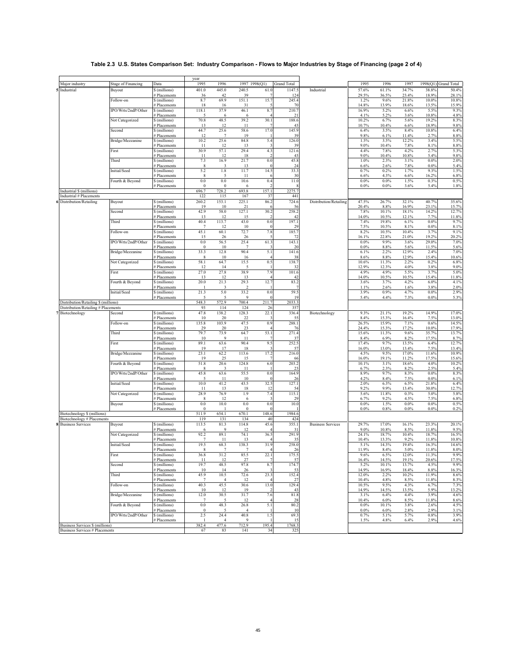# **Table 2.3 U.S. States Comparison Set: Industry Comparison - Flows to Major Industries by Stage of Financing (page 2 of 4)**

| Major industry                                                              | <b>Stage of Financing</b> | Data                          | year<br>1995           | 1996                           | 1997 1998(Q1)  |                                 | <b>Grand Total</b> |                          | 1995             | 1996               | 1997            | 1998(Q1) Grand Total |                |
|-----------------------------------------------------------------------------|---------------------------|-------------------------------|------------------------|--------------------------------|----------------|---------------------------------|--------------------|--------------------------|------------------|--------------------|-----------------|----------------------|----------------|
| Industrial                                                                  | Buyout                    | \$ (millions)                 | 401.0                  | 445.0                          | 240.5          | 61.0                            | 1147.5             | Industrial               | 57.6%            | 61.1%              | 34.7%           | 38.8%                | 50.4%          |
|                                                                             |                           | # Placements                  | 36                     | 42                             | 39             |                                 | 124                |                          | 29.5%            | 36.5%              | 23.4%           | 18.9%                | 28.1%          |
|                                                                             | Follow-on                 | \$ (millions)<br># Placements | 8.7<br>18              | 69.9<br>16                     | 151.1<br>31    | 15.7                            | 245.4<br>70        |                          | 1.2%<br>14.8%    | 9.6%<br>13.9%      | 21.8%<br>18.6%  | 10.0%<br>13.5%       | 10.8%<br>15.9% |
|                                                                             | IPO/Wrts/2ndP/Other       | \$ (millions)                 | 118.1                  | 37.9                           | 46.1           | 8.7                             | 210.7              |                          | 16.9%            | 5.2%               | 6.6%            | 5.5%                 | 9.3%           |
|                                                                             | Not Categorized           | # Placements<br>\$ (millions) | 5<br>70.8              | 6<br>48.5                      | 6<br>39.2      | 30.1                            | 21<br>188.6        |                          | 4.1%<br>10.2%    | 5.2%<br>6.7%       | 3.6%<br>5.6%    | 10.8%<br>19.2%       | 4.8%<br>8.3%   |
|                                                                             |                           | # Placements                  | 13                     | 12                             | 11             |                                 | 43                 |                          | 10.7%            | 10.4%              | 6.6%            | 18.9%                | 9.8%           |
|                                                                             | Second                    | \$ (millions)                 | 44.7                   | 25.6                           | 58.6           | 17.0                            | 145.9              |                          | 6.4%             | 3.5%               | 8.4%            | 10.8%                | 6.4%           |
|                                                                             | Bridge/Mezzanine          | # Placements<br>\$ (millions) | 12<br>10.2             | $\overline{7}$<br>25.6         | 19<br>84.8     | 5.4                             | 39<br>126.0        |                          | 9.8%<br>1.5%     | 6.1%<br>3.5%       | 11.4%<br>12.2%  | 2.7%<br>3.4%         | 8.8%<br>5.5%   |
|                                                                             |                           | # Placements                  | 11                     | 12                             | 13             | $\overline{\mathbf{3}}$         | 39                 |                          | 9.0%             | 10.4%              | 7.8%            | 8.1%                 | 8.8%           |
|                                                                             | First                     | \$ (millions)<br># Placements | 30.9<br>11             | 57.1<br>12                     | 29.4<br>18     | 4.3<br>$\overline{\mathcal{L}}$ | 121.6<br>43        |                          | 4.4%<br>$9.0\%$  | 7.8%<br>10.4%      | 4.2%<br>10.8%   | 2.7%<br>5.4%         | 5.3%<br>9.8%   |
|                                                                             | Third                     | \$ (millions)                 | 7.3                    | 16.9                           | 21.7           | 0.0                             | 45.8               |                          | 1.0%             | 2.3%               | 3.1%            | $0.0\%$              | 2.0%           |
|                                                                             | Initial/Seed              | # Placements<br>\$ (millions) | $\,$ 8 $\,$<br>5.2     | $\overline{\mathbf{3}}$<br>1.8 | 13<br>11.7     | $\Omega$<br>14.5                | 24<br>33.3         |                          | 6.6%<br>0.7%     | 2.6%<br>0.2%       | 7.8%<br>1.7%    | $0.0\%$<br>9.3%      | 5.4%<br>1.5%   |
|                                                                             |                           | # Placements                  | 8                      | $\overline{5}$                 | -11            |                                 | 30                 |                          | 6.6%             | 4.3%               | 6.6%            | 16.2%                | 6.8%           |
|                                                                             | Fourth & Beyond           | \$ (millions)                 | 0.0<br>$\bf{0}$        | $0.0\,$<br>$\overline{0}$      | 10.6           | 0.4                             | 11.0               |                          | 0.0%<br>0.0%     | $0.0\%$<br>$0.0\%$ | 1.5%<br>3.6%    | 0.3%<br>5.4%         | 0.5%           |
| Industrial \$ (millions)                                                    |                           | # Placements                  | 696.7                  | 728.2                          | 6<br>693.8     | 157.1                           | 2275.7             |                          |                  |                    |                 |                      | 1.8%           |
| Industrial # Placements                                                     |                           |                               | 122                    | 115                            | 167            | 37                              | 441                |                          |                  |                    |                 |                      |                |
| Distribution/Retailing                                                      | Buyout                    | \$ (millions)<br># Placements | 260.2<br>19            | 153.1<br>10                    | 225.1<br>21    | 86.2                            | 724.6<br>56        | Distribution/Retailing   | 47.5%<br>20.4%   | 26.7%<br>8.8%      | 32.1%<br>16.9%  | 40.7%<br>23.1%       | 35.6%<br>15.7% |
|                                                                             | Second                    | \$ (millions)                 | 42.9                   | 58.0                           | 127.1          | 30.2                            | 258.2              |                          | 7.8%             | 10.1%              | 18.1%           | 14.2%                | 12.7%          |
|                                                                             | Third                     | # Placements<br>\$ (millions) | 13<br>40.4             | 12<br>113.7                    | 15<br>43.0     | 0.0                             | 42<br>197.1        |                          | 14.0%<br>7.4%    | 10.5%<br>19.8%     | 12.1%<br>6.1%   | 7.7%<br>0.0%         | 11.8%<br>9.7%  |
|                                                                             |                           | # Placements                  | $\overline{7}$         |                                | 10             |                                 | 29                 |                          | 7.5%             | 10.5%              | 8.1%            | 0.0%                 | 8.1%           |
|                                                                             | Follow-on                 | \$ (millions)                 | 45.1                   | 60.1                           | 72.7           | 7.8                             | 185.7              |                          | 8.2%             | 10.5%              | 10.4%           | 3.7%                 | 9.1%           |
|                                                                             | IPO/Wrts/2ndP/Other       | # Placements<br>\$ (millions) | 15<br>0.0              | 26<br>56.5                     | 26<br>25.4     | 61.3                            | 72<br>143.1        |                          | 16.1%<br>$0.0\%$ | 22.8%<br>9.9%      | 21.0%<br>3.6%   | 19.2%<br>29.0%       | 20.2%<br>7.0%  |
|                                                                             |                           | # Placements                  | $\theta$               | 10                             |                |                                 | 20                 |                          | 0.0%             | 8.8%               | 5.6%            | 11.5%                | 5.6%           |
|                                                                             | Bridge/Mezzanine          | \$ (millions)<br># Placements | 33.3<br>8              | 12.8<br>10                     | 90.4<br>16     | 5.1                             | 141.6<br>38        |                          | 6.1%<br>8.6%     | 2.2%<br>8.8%       | 12.9%<br>12.9%  | 2.4%<br>15.4%        | 7.0%<br>10.6%  |
|                                                                             | Not Categorized           | \$ (millions)                 | 58.1                   | 64.7                           | 15.5           | 0.5                             | 138.7              |                          | 10.6%            | 11.3%              | 2.2%            | 0.2%                 | 6.8%           |
|                                                                             | First                     | # Placements<br>\$ (millions) | 12<br>27.0             | 14<br>27.8                     | 38.9           | 7.9                             | 32<br>101.6        |                          | 12.9%<br>4.9%    | 12.3%<br>4.9%      | 4.0%<br>5.5%    | 3.8%<br>3.7%         | 9.0%<br>5.0%   |
|                                                                             |                           | # Placements                  | 13                     | 12                             | 13             |                                 | 42                 |                          | 14.0%            | 10.5%              | 10.5%           | 15.4%                | 11.8%          |
|                                                                             | Fourth & Beyond           | \$ (millions)                 | 20.0                   | 21.3                           | 29.3           | 12.7                            | 83.2               |                          | 3.6%<br>1.1%     | 3.7%<br>2.6%       | 4.2%<br>1.6%    | 6.0%<br>3.8%         | 4.1%           |
|                                                                             | Initial/Seed              | # Placements<br>\$ (millions) | 21.3                   | 5.0                            | 33.2           | 0.0                             | 59.5               |                          | 3.9%             | 0.9%               | 4.7%            | 0.0%                 | 2.0%<br>2.9%   |
|                                                                             |                           | # Placements                  |                        | 572.9                          | 9              |                                 | 19                 |                          | 5.4%             | 4.4%               | 7.3%            | 0.0%                 | 5.3%           |
| Distribution/Retailing \$ (millions)<br>Distribution/Retailing # Placements |                           |                               | 548.3<br>93            | 114                            | 700.4<br>124   | 211.7<br>26                     | 2033.3<br>357      |                          |                  |                    |                 |                      |                |
| Biotechnology                                                               | Second                    | \$ (millions)                 | 47.8                   | 138.2                          | 128.3          | 22.1                            | 336.4              | Biotechnology            | 9.3%             | 21.1%              | 19.2%           | 14.9%                | 17.0%          |
|                                                                             | Follow-on                 | # Placements<br>\$ (millions) | 10<br>135.8            | 20<br>103.9                    | 22<br>47.5     | 0.9                             | 55<br>288.1        |                          | 8.4%<br>26.5%    | 15.3%<br>15.9%     | 16.4%<br>7.1%   | 7.5%<br>0.6%         | 13.0%<br>14.5% |
|                                                                             |                           | # Placements                  | 29                     | 20                             | 23             |                                 | 76                 |                          | 24.4%            | 15.3%              | 17.2%           | 10.0%                | 17.9%          |
|                                                                             | Third                     | \$ (millions)                 | 79.7<br>10             | 73.9<br>9                      | 64.7<br>-11    | 53.1                            | 271.4<br>37        |                          | 15.6%<br>8.4%    | 11.3%<br>6.9%      | 9.6%<br>8.2%    | 35.7%<br>17.5%       | 13.7%          |
|                                                                             | First                     | # Placements<br>\$ (millions) | 89.1                   | 63.6                           | 90.4           | 9.5                             | 252.5              |                          | 17.4%            | 9.7%               | 13.5%           | 6.4%                 | 8.7%<br>12.7%  |
|                                                                             |                           | # Placements                  | 19                     | 17                             | 18             |                                 | 57                 |                          | 16.0%            | 13.0%              | 13.4%<br>17.0%  | 7.5%                 | 13.4%          |
|                                                                             | Bridge/Mezzanine          | \$ (millions)<br># Placements | 23.1<br>19             | 62.2<br>25                     | 113.6<br>15    | 17.2                            | 216.0<br>66        |                          | 4.5%<br>16.0%    | 9.5%<br>19.1%      | 11.2%           | 11.6%<br>17.5%       | 10.9%<br>15.6% |
|                                                                             | Fourth & Beyond           | \$ (millions)                 | 51.8                   | 20.6                           | 124.8          | 6.0                             | 203.2              |                          | 10.1%            | 3.1%               | 18.6%           | 4.0%                 | 10.2%          |
|                                                                             | IPO/Wrts/2ndP/Other       | # Placements<br>\$ (millions) | 8<br>45.8              | 63.6                           | -11<br>55.5    | 0.0                             | 23<br>164.9        |                          | 6.7%<br>8.9%     | 2.3%<br>9.7%       | 8.2%<br>8.3%    | 2.5%<br>$0.0\%$      | 5.4%<br>8.3%   |
|                                                                             |                           | # Placements                  |                        | 11                             | 10             | o                               | 26                 |                          | 4.2%             | 8.4%               | 7.5%            | 0.0%                 | 6.1%           |
|                                                                             | Initial/Seed              | \$ (millions)<br># Placements | 10.0<br>-11            | 41.2<br>13                     | 43.5<br>18     | 32.5<br>12                      | 127.1<br>54        |                          | 2.0%<br>9.2%     | 6.3%<br>9.9%       | 6.5%<br>13.4%   | 21.8%<br>30.0%       | 6.4%<br>12.7%  |
|                                                                             | Not Categorized           | \$ (millions)                 | 28.9                   | 76.9                           | 1.9            | 7.4                             | 115.1              |                          | 5.6%             | 11.8%              | 0.3%            | 5.0%                 | 5.8%           |
|                                                                             | Buyout                    | # Placements<br>\$ (millions) | 8<br>$0.0\,$           | 12<br>10.0                     | 6<br>$0.0\,$   | 0.0                             | 29<br>10.0         |                          | 6.7%<br>0.0%     | 9.2%<br>1.5%       | 4.5%<br>$0.0\%$ | 7.5%<br>$0.0\%$      | 6.8%<br>0.5%   |
|                                                                             |                           | # Placements                  | $\Omega$               |                                | $\theta$       | $\theta$                        |                    |                          | 0.0%             | 0.8%               | $0.0\%$         | 0.0%                 | 0.2%           |
| Biotechnology \$ (millions)<br>Biotechnology # Placements                   |                           |                               | 511.9<br>119           | 654.1<br>131                   | 670.1<br>134   | 148.6<br>40                     | 1984.6<br>424      |                          |                  |                    |                 |                      |                |
| <b>Business Services</b>                                                    | Buyout                    | \$ (millions)                 | 113.5                  | 81.3                           | 114.8          | 45.6                            | 355.1              | <b>Business Services</b> | 29.7%            | 17.0%              | 16.1%           | 23.3%                | 20.1%          |
|                                                                             |                           | # Placements                  | 6                      | 9                              | 12             |                                 | 31                 |                          | 9.0%             | 10.8%              | 8.5%            | 11.8%                | 9.5%           |
|                                                                             | Not Categorized           | \$ (millions)<br># Placements | 92.2<br>7              | 89.1<br>11                     | 74.1<br>13     | 36.5                            | 291.9<br>35        |                          | 24.1%<br>10.4%   | 18.7%<br>13.3%     | 10.4%<br>9.2%   | 18.7%<br>11.8%       | 16.5%<br>10.8% |
|                                                                             | Initial/Seed              | \$ (millions)                 | 19.5                   | 68.3                           | 138.3          | 31.9                            | 258.0              |                          | 5.1%             | 14.3%              | 19.4%           | 16.3%                | 14.6%          |
|                                                                             | First                     | # Placements<br>\$ (millions) | 8<br>36.8              | 7<br>31.2                      | 7<br>85.5      | 4<br>22.1                       | 26<br>175.5        |                          | 11.9%<br>9.6%    | 8.4%<br>6.5%       | 5.0%<br>12.0%   | 11.8%<br>11.3%       | 8.0%<br>9.9%   |
|                                                                             |                           | # Placements                  | 11                     | 12                             | 27             |                                 | 57                 |                          | 16.4%            | 14.5%              | 19.1%           | 20.6%                | 17.5%          |
|                                                                             | Second                    | \$ (millions)<br># Placements | 19.7<br>10             | 48.5<br>14                     | 97.8<br>26     | 8.7                             | 174.7<br>53        |                          | 5.2%<br>14.9%    | 10.1%<br>16.9%     | 13.7%<br>18.4%  | 4.5%<br>8.8%         | 9.9%<br>16.3%  |
|                                                                             | Third                     | \$ (millions)                 | 45.9                   | 10.5                           | 72.6           | 23.3                            | 152.4              |                          | 12.0%            | 2.2%               | 10.2%           | 11.9%                | 8.6%           |
|                                                                             | Follow-on                 | # Placements<br>\$ (millions) | $\overline{7}$<br>40.3 | $\overline{4}$<br>45.5         | 12<br>30.6     | 13.0                            | 27<br>129.4        |                          | 10.4%<br>10.5%   | 4.8%<br>9.5%       | 8.5%<br>4.3%    | 11.8%<br>6.7%        | 8.3%<br>7.3%   |
|                                                                             |                           | # Placements                  | 10                     | 12                             | 19             |                                 | 43                 |                          | 14.9%            | 14.5%              | 13.5%           | 5.9%                 | 13.2%          |
|                                                                             | Bridge/Mezzanine          | \$ (millions)                 | 12.0                   | 30.5                           | 31.7           | 7.6                             | 81.8               |                          | 3.1%             | 6.4%               | 4.4%            | 3.9%                 | 4.6%           |
|                                                                             | Fourth & Beyond           | # Placements<br>\$ (millions) | 7<br>$0.0\,$           | 5<br>48.3                      | 12<br>26.8     | 5.1                             | 28<br>80.2         |                          | 10.4%<br>$0.0\%$ | 6.0%<br>10.1%      | 8.5%<br>3.8%    | 11.8%<br>2.6%        | 8.6%<br>4.5%   |
|                                                                             |                           | # Placements                  | $\boldsymbol{0}$       | 5                              | $\overline{4}$ |                                 | 10                 |                          | $0.0\%$          | 6.0%               | 2.8%            | 2.9%                 | 3.1%           |
|                                                                             | IPO/Wrts/2ndP/Other       | \$ (millions)<br># Placements | 2.5                    | 24.4<br>$\overline{4}$         | 40.8<br>9      | 1.5                             | 69.3<br>15         |                          | 0.7%<br>1.5%     | 5.1%<br>4.8%       | 5.7%<br>6.4%    | 0.8%<br>2.9%         | 3.9%<br>4.6%   |
| Business Services \$ (millions)                                             |                           |                               | 382.4                  | 477.6                          | 712.9          | 195.4                           | 1768.3             |                          |                  |                    |                 |                      |                |
| <b>Business Services # Placements</b>                                       |                           |                               | 67                     | 83                             | 141            | 34                              | 325                |                          |                  |                    |                 |                      |                |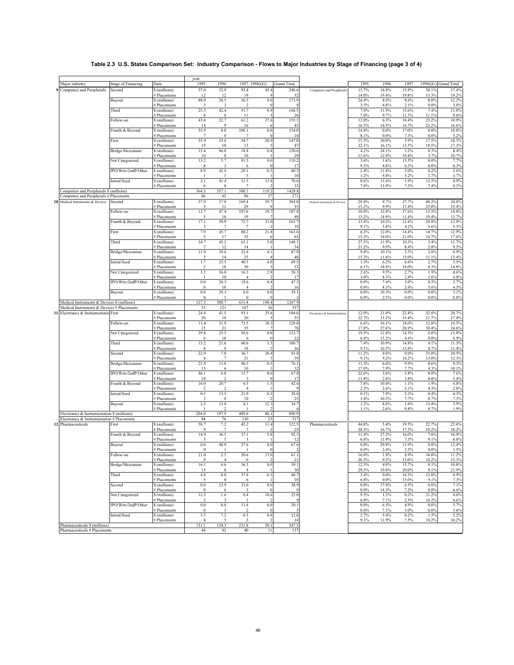# **Table 2.3 U.S. States Comparison Set: Industry Comparison - Flows to Major Industries by Stage of Financing (page 3 of 4)**

|                                                                                           |                           |                               | year                   |                        |                         |                                |                    |                               |                 |                |                |                 |                      |
|-------------------------------------------------------------------------------------------|---------------------------|-------------------------------|------------------------|------------------------|-------------------------|--------------------------------|--------------------|-------------------------------|-----------------|----------------|----------------|-----------------|----------------------|
| Major industry                                                                            | <b>Stage of Financing</b> | Data                          | 1995                   | 1996                   | 1997 1998(Q1)           |                                | <b>Grand Total</b> |                               | 1995            | 1996           | 1997           |                 | 1998(Q1) Grand Total |
| 9 Computers and Peripherals                                                               | Second                    | \$ (millions)<br># Placements | 57.0<br>12             | 52.9<br>12             | 93.4<br>19              | 45.4                           | 248.6<br>52        | Computers and Peripherals     | 15.7%<br>14.0%  | 14.8%<br>19.4% | 15.9%<br>19.8% | 38.1%<br>33.3%  | 17.4%<br>19.2%       |
|                                                                                           | Buyout                    | \$ (millions)                 | 88.9                   | 28.5                   | 56.5                    | 0.0                            | 173.9              |                               | 24.4%           | 8.0%           | 9.6%           | $0.0\%$         | 12.2%                |
|                                                                                           |                           | # Placements                  | 3                      | 3                      | $\overline{2}$          | $\Omega$                       |                    |                               | 3.5%            | 4.8%           | 2.1%           | 0.0%            | 3.0%                 |
|                                                                                           | Third                     | \$ (millions)<br># Placements | 25.5<br>6              | 42.4<br>6              | 91.7<br>11              | 8.9<br>$\overline{\mathbf{3}}$ | 168.5<br>26        |                               | 7.0%<br>7.0%    | 11.9%<br>9.7%  | 15.6%<br>11.5% | 7.4%<br>11.1%   | 11.8%<br>9.6%        |
|                                                                                           | Follow-on                 | \$ (millions)                 | 43.6                   | 22.7                   | 61.2                    | 27.6                           | 155.1              |                               | 12.0%           | 6.3%           | 10.4%          | 23.2%           | 10.9%                |
|                                                                                           |                           | # Placements                  | 14                     | 9                      | 16                      | -6                             | 45                 |                               | 16.3%           | 14.5%          | 16.7%          | 22.2%           | 16.6%                |
|                                                                                           | Fourth & Beyond           | \$ (millions)<br># Placements | 53.9<br>$\overline{7}$ | 0.0<br>$\theta$        | 100.1<br>$\overline{7}$ | 0.0<br>$\Omega$                | 154.0<br>14        |                               | 14.8%<br>8.1%   | 0.0%<br>0.0%   | 17.0%<br>7.3%  | $0.0\%$<br>0.0% | 10.8%<br>5.2%        |
|                                                                                           | First                     | \$ (millions)                 | 55.9                   | 35.6                   | 34.7                    | 20.9                           | 147.0              |                               | 15.3%           | 10.0%          | 5.9%           | 17.5%           | 10.3%                |
|                                                                                           |                           | # Placements                  | 19                     | 10                     | 13                      | 5                              | 47                 |                               | 22.1%           | 16.1%          | 13.5%          | 18.5%           | 17.3%                |
|                                                                                           | Bridge/Mezzanine          | \$ (millions)<br># Placements | 15.4<br>10             | 86.0<br>8              | 18.8<br>10              | 0.4                            | 120.6<br>29        |                               | 4.2%<br>11.6%   | 24.1%<br>12.9% | 3.2%<br>10.4%  | 0.3%<br>3.7%    | 8.4%<br>10.7%        |
|                                                                                           | Not Categorized           | \$ (millions)                 | 13.2                   | 5.7                    | 91.3                    | 0.0                            | 110.2              |                               | 3.6%            | 1.6%           | 15.5%          | 0.0%            | 7.7%                 |
|                                                                                           |                           | # Placements                  | $\,$ 8                 | 3                      | 6                       | $\Omega$                       | 17                 |                               | 9.3%            | 4.8%           | 6.3%           | 0.0%            | 6.3%                 |
|                                                                                           | IPO/Wrts/2ndP/Other       | \$ (millions)<br># Placements | 8.9<br>п               | 42.0<br>3              | 29.1<br>5               | 0.3                            | 80.3<br>10         |                               | 2.4%<br>1.2%    | 11.8%<br>4.8%  | 5.0%<br>5.2%   | 0.2%<br>3.7%    | 5.6%<br>3.7%         |
|                                                                                           | Initial/Seed              | \$ (millions)                 | 2.1                    | 41.4                   | 11.3                    | 15.8                           | 70.6               |                               | 0.6%            | 11.6%          | 1.9%           | 13.3%           | 4.9%                 |
|                                                                                           |                           | # Placements                  | 6                      | 8<br>357.1             | $\overline{7}$          | 2                              | 23                 |                               | 7.0%            | 12.9%          | 7.3%           | 7.4%            | 8.5%                 |
| Computers and Peripherals \$ (millions)<br>Computers and Peripherals # Placements         |                           |                               | 364.3<br>86            | 62                     | 588.1<br>96             | 119.2<br>27                    | 1428.8<br>271      |                               |                 |                |                |                 |                      |
| 10 Medical Instruments & Devices                                                          | Second                    | \$ (millions)                 | 37.9                   | 37.0                   | 169.4                   | 59.7                           | 304.0              | Medical Instruments & Devices | 29.8%           | 9.7%           | 27.7%          | 40.2%           | 24.0%                |
|                                                                                           |                           | # Placements                  | 5                      | 12                     | 29                      | $\mathbf Q$                    | 55                 |                               | 15.2%           | 9.9%           | 17.4%          | 25.0%           | 15.4%                |
|                                                                                           | Follow-on                 | \$ (millions)<br># Placements | 12.7                   | 47.4<br>18             | 107.6<br>19             | 19.7                           | 187.4<br>49        |                               | 10.0%<br>15.2%  | 12.4%<br>14.9% | 17.6%<br>11.4% | 13.3%<br>19.4%  | 14.8%<br>13.7%       |
|                                                                                           | Fourth & Beyond           | \$ (millions)                 | 17.1                   | 39.9                   | 75.7                    | 31.0                           | 163.7              |                               | 13.4%           | 10.5%          | 12.4%          | 20.9%           | 12.9%                |
|                                                                                           | First                     | # Placements<br>\$ (millions) | 7.9                    | $\overline{7}$<br>45.7 | $\overline{7}$<br>88.2  | 21.8                           | 19<br>163.6        |                               | 9.1%<br>6.2%    | 5.8%<br>12.0%  | 4.2%<br>14.4%  | 5.6%<br>14.7%   | 5.3%<br>12.9%        |
|                                                                                           |                           | # Placements                  | 5                      | 17                     | 35                      |                                | 63                 |                               | 15.2%           | 14.0%          | 21.0%          | 16.7%           | 17.6%                |
|                                                                                           | Third                     | \$ (millions)                 | 34.7                   | 45.2                   | 63.1                    | 5.0                            | 148.1              |                               | 27.3%           | 11.9%          | 10.3%          | 3.4%            | 11.7%                |
|                                                                                           | Bridge/Mezzanine          | # Placements<br>\$ (millions) | -7<br>11.9             | 12<br>38.6             | 14<br>32.4              | 4.1                            | 34<br>87.0         |                               | 21.2%<br>9.4%   | 9.9%<br>10.1%  | 8.4%<br>5.3%   | 2.8%<br>2.8%    | 9.5%<br>6.9%         |
|                                                                                           |                           | # Placements                  |                        | 14                     | 25                      |                                | 48                 |                               | 15.2%           | 11.6%          | 15.0%          | 11.1%           | 13.4%                |
|                                                                                           | Initial/Seed              | \$ (millions)                 | 1.7                    | 23.5                   | 40.3                    | 4.0                            | 69.5               |                               | 1.3%            | 6.2%           | 6.6%           | 2.7%            | 5.5%                 |
|                                                                                           | Not Categorized           | # Placements<br>\$ (millions) | 3.3                    | 18<br>36.0             | 30<br>16.3              | $\overline{\mathbf{3}}$<br>2.8 | 53<br>58.3         |                               | 6.1%<br>2.6%    | 14.9%<br>9.5%  | 18.0%<br>2.7%  | 8.3%<br>1.9%    | 14.8%<br>4.6%        |
|                                                                                           |                           | # Placements                  |                        | 10                     | $\overline{4}$          |                                | 17                 |                               | 3.0%            | 8.3%           | 2.4%           | 5.6%            | 4.8%                 |
|                                                                                           | IPO/Wrts/2ndP/Other       | \$ (millions)                 | 0.0<br>$\bf{0}$        | 28.3<br>10             | 18.6<br>$\overline{4}$  | 0.4                            | 47.3<br>16         |                               | 0.0%<br>0.0%    | 7.4%<br>8.3%   | 3.0%<br>2.4%   | 0.3%<br>5.6%    | 3.7%                 |
|                                                                                           | Buyout                    | # Placements<br>\$ (millions) | 0.0                    | 39.1                   | 0.0                     | 0.0                            | 39.1               |                               | 0.0%            | 10.3%          | 0.0%           | 0.0%            | 4.5%<br>3.1%         |
|                                                                                           |                           | # Placements                  | $\bf{0}$               | 3                      | $\mathbf{0}$            | $\Omega$                       |                    |                               | 0.0%            | 2.5%           | 0.0%           | 0.0%            | 0.8%                 |
| Medical Instruments & Devices \$ (millions)<br>Medical Instruments & Devices # Placements |                           |                               | 127.3<br>33            | 380.7<br>121           | 611.4<br>167            | 148.4<br>36                    | 1267.9<br>357      |                               |                 |                |                |                 |                      |
| 11 Electronics & Instrumentatio First                                                     |                           | \$ (millions)                 | 24.4                   | 41.5                   | 93.1                    | 25.6                           | 184.6              | Electronics & Instrumentation | 12.0%           | 21.0%          | 22.8%          | 32.0%           | 20.7%                |
|                                                                                           |                           | # Placements                  | 20                     | 10                     | 20                      |                                | 55                 |                               | 22.7%           | 13.2%          | 15.4%          | 21.7%           | 17.4%                |
|                                                                                           | Follow-on                 | \$ (millions)<br># Placements | 13.4<br>15             | 31.9<br>21             | 73.5<br>35              | 10.3                           | 129.0<br>78        |                               | 6.6%<br>17.0%   | 16.1%<br>27.6% | 18.0%<br>26.9% | 12.8%<br>30.4%  | 14.5%<br>24.6%       |
|                                                                                           | Not Categorized           | \$ (millions)                 | 39.8                   | 25.3                   | 58.6                    | 0.0                            | 123.7              |                               | 19.5%           | 12.8%          | 14.3%          | 0.0%            | 13.9%                |
|                                                                                           |                           | # Placements                  | -6                     | 10                     | 6                       | $\Omega$                       | 22                 |                               | 6.8%            | 13.2%          | 4.6%           | 0.0%            | 6.9%                 |
|                                                                                           | Third                     | \$ (millions)<br># Placements | 15.2<br>8              | 21.6<br>8              | 60.6<br>18              | 3.3                            | 100.7<br>36        |                               | 7.4%<br>9.1%    | 10.9%<br>10.5% | 14.8%<br>13.8% | 4.1%<br>8.7%    | 11.3%<br>11.4%       |
|                                                                                           | Second                    | \$ (millions)                 | 22.9                   | 7.8                    | 36.7                    | 26.4                           | 93.8               |                               | 11.2%           | 4.0%           | $9.0\%$        | 33.0%           | 10.5%                |
|                                                                                           |                           | # Placements                  | -8<br>23.5             | $\overline{7}$<br>11.8 | 21<br>40.3              | 0.5                            | 39<br>76.1         |                               | 9.1%<br>11.5%   | 9.2%<br>6.0%   | 16.2%<br>9.9%  | 13.0%<br>0.6%   | 12.3%                |
|                                                                                           | Bridge/Mezzanine          | \$ (millions)<br># Placements | 15                     | 6                      | 10                      |                                | 32                 |                               | 17.0%           | 7.9%           | 7.7%           | 4.3%            | 8.5%<br>10.1%        |
|                                                                                           | IPO/Wrts/2ndP/Other       | \$ (millions)                 | 46.1                   | 6.0                    | 15.7                    | 0.0                            | 67.8               |                               | 22.6%           | 3.0%           | 3.8%           | 0.0%            | 7.6%                 |
|                                                                                           | Fourth & Beyond           | # Placements<br>\$ (millions) | 10<br>16.0             | -2<br>20.7             | 5<br>4.5                | $\Omega$<br>1.5                | 17<br>42.6         |                               | 11.4%<br>7.8%   | 2.6%<br>10.4%  | 3.8%<br>1.1%   | 0.0%<br>1.9%    | 5.4%<br>4.8%         |
|                                                                                           |                           | # Placements                  |                        |                        | $\overline{4}$          |                                |                    |                               | 2.3%            | 2.6%           | 3.1%           | 4.3%            | 2.8%                 |
|                                                                                           | Initial/Seed              | \$ (millions)                 | 0.3                    | 15.5                   | 21.9                    | 0.3                            | 38.0               |                               | 0.1%            | 7.9%           | 5.3%           | 0.4%            | 4.3%                 |
|                                                                                           | Buyout                    | # Placements<br>\$ (millions) | 3<br>2.5               | 8<br>15.8              | 10<br>4.1               | 12.3                           | 23<br>34.7         |                               | 3.4%<br>1.2%    | 10.5%<br>8.0%  | 7.7%<br>1.0%   | 8.7%<br>15.4%   | 7.3%<br>3.9%         |
|                                                                                           |                           | # Placements                  |                        |                        |                         |                                |                    |                               | 1.1%            | 2.6%           | 0.8%           | 8.7%            | 1.9%                 |
| Electronics & Instrumentation \$ (millions)                                               |                           |                               | 204.0                  | 197.9                  | 409.0                   | 80.1                           | 890.9              |                               |                 |                |                |                 |                      |
| Electronics & Instrumentation # Placements<br>12 Pharmaceuticals                          | First                     | \$ (millions)                 | 88<br>58.7             | 76<br>7.2              | 130<br>45.2             | 23<br>11.4                     | 317<br>122.5       | Pharmaceuticals               | 44.8%           | 5.4%           | 19.5%          | 22.7%           | 22.4%                |
|                                                                                           |                           | # Placements                  | 9                      | $\overline{7}$         | 7                       |                                | 25                 |                               | 20.5%           | 16.7%          | 17.5%          | 18.2%           | 18.2%                |
|                                                                                           | Fourth & Beyond           | \$ (millions)                 | 14.9                   | 36.5                   | 37.1                    | 3.8                            | 92.3               |                               | 11.4%           | 27.2%          | 16.0%          | 7.6%            | 16.9%                |
|                                                                                           | Buyout                    | # Placements<br>\$ (millions) | 3<br>0.0               | 5<br>40.0              | 3<br>27.6               | 0.0                            | 12<br>67.6         |                               | 6.8%<br>0.0%    | 11.9%<br>29.8% | 7.5%<br>11.9%  | 9.1%<br>0.0%    | 8.8%<br>12.4%        |
|                                                                                           |                           | # Placements                  | $\bf{0}$               |                        |                         | $\bf{0}$                       |                    |                               | $0.0\%$         | 2.4%           | 2.5%           | 0.0%            | 1.5%                 |
|                                                                                           | Follow-on                 | \$ (millions)<br># Placements | 21.0<br>9              | 2.5<br>$\overline{4}$  | 20.6<br>6               | 17.0                           | 61.1<br>21         |                               | 16.0%<br>20.5%  | 1.9%<br>9.5%   | 8.9%<br>15.0%  | 34.0%<br>18.2%  | 11.2%<br>15.3%       |
|                                                                                           | Bridge/Mezzanine          | \$ (millions)                 | 16.1                   | 6.6                    | 36.3                    | 0.0                            | 59.1               |                               | 12.3%           | 4.9%           | 15.7%          | 0.1%            | 10.8%                |
|                                                                                           |                           | # Placements                  | 13                     | 8                      | 8                       |                                | 30                 |                               | 29.5%           | 19.0%          | 20.0%          | 9.1%            | 21.9%                |
|                                                                                           | Third                     | \$ (millions)<br># Placements | 4.4<br>3               | $0.0\,$<br>$\bf{0}$    | 37.8<br>6               | 6.5                            | 48.7<br>10         |                               | 3.4%<br>6.8%    | 0.0%<br>0.0%   | 16.3%<br>15.0% | 13.0%<br>9.1%   | 8.9%<br>7.3%         |
|                                                                                           | Second                    | \$ (millions)                 | $0.0\,$                | 23.9                   | 15.0                    | 0.0                            | 38.9               |                               | $0.0\%$         | 17.8%          | 6.5%           | $0.0\%$         | 7.1%                 |
|                                                                                           |                           | # Placements<br>\$ (millions) | $\mathbf{0}$           | 6                      | 3                       | $\Omega$                       | g<br>25.0          |                               | $0.0\%$         | 14.3%          | 7.5%           | 0.0%<br>21.2%   | 6.6%                 |
|                                                                                           | Not Categorized           | # Placements                  | 12.5<br>3              | 1.6<br>3               | 0.4                     | 10.6                           | q                  |                               | 9.5%<br>6.8%    | 1.2%<br>7.1%   | 0.2%<br>2.5%   | 18.2%           | 4.6%<br>6.6%         |
|                                                                                           | IPO/Wrts/2ndP/Other       | \$ (millions)                 | 0.0                    | 8.8                    | 11.4                    | 0.0                            | 20.1               |                               | $0.0\%$         | 6.5%           | 4.9%           | $0.0\%$         | 3.7%                 |
|                                                                                           | Initial/Seed              | # Placements<br>\$ (millions) | $\bf{0}$<br>3.5        | 3<br>7.2               | 0.5                     | $\theta$<br>0.8                | 12.0               |                               | $0.0\%$<br>2.7% | 7.1%<br>5.4%   | 5.0%<br>0.2%   | $0.0\%$<br>1.5% | 3.6%<br>2.2%         |
|                                                                                           |                           | # Placements                  | $\overline{4}$         | 5                      | 3                       | $\overline{\mathcal{L}}$       | 14                 |                               | 9.1%            | 11.9%          | 7.5%           | 18.2%           | 10.2%                |
| Pharmaceuticals \$ (millions)                                                             |                           |                               | 131.1                  | 134.3                  | 231.8                   | 50.1                           | 547.3              |                               |                 |                |                |                 |                      |
| Pharmaceuticals # Placements                                                              |                           |                               | 44                     | 42                     | 40                      | 11                             | 137                |                               |                 |                |                |                 |                      |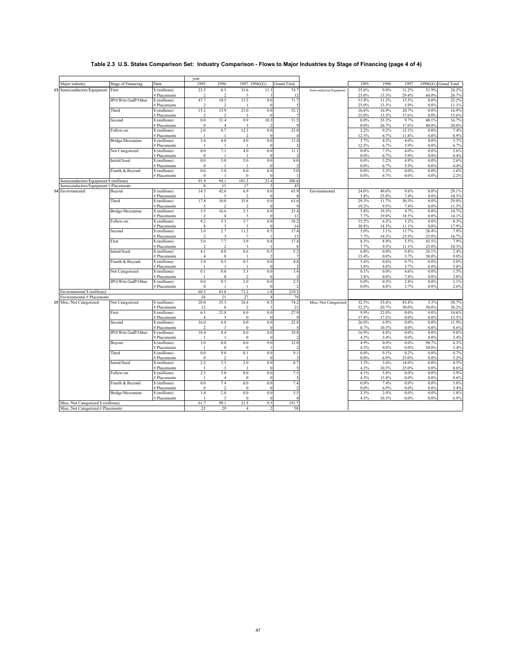# **Table 2.3 U.S. States Comparison Set: Industry Comparison - Flows to Major Industries by Stage of Financing (page 4 of 4)**

|                                                           |                           |                               | year                |                          |                        |                          |                       |                          |                    |                |                |                    |                      |
|-----------------------------------------------------------|---------------------------|-------------------------------|---------------------|--------------------------|------------------------|--------------------------|-----------------------|--------------------------|--------------------|----------------|----------------|--------------------|----------------------|
| Major industry                                            | <b>Stage of Financing</b> | Data                          | 1995                | 1996                     | 1997 1998(Q1)          |                          | <b>Grand Total</b>    |                          | 1995               | 1996           | 1997           |                    | 1998(Q1) Grand Total |
| 13 Semiconductors/Equipment                               | First                     | \$ (millions)                 | 23.5                | 8.5                      | 31.6                   | 11.1                     | 74.7                  | Semiconductors/Equipment | 25.6%              | 9.0%           | 31.2%          | 51.9%              | 24.2%                |
|                                                           |                           | # Placements                  | 2                   | 2                        | 5                      | 3                        | 12                    |                          | 25.0%              | 13.3%          | 29.4%          | 60.0%              | 26.7%                |
|                                                           | IPO/Wrts/2ndP/Other       | \$ (millions)                 | 47.7                | 10.5                     | 13.5                   | 0.0                      | 71.7                  |                          | 51.9%              | 11.2%          | 13.3%          | $0.0\%$            | 23.2%                |
|                                                           |                           | # Placements                  | 2                   | $\overline{2}$           | -1                     | $\sqrt{ }$               | 5                     |                          | 25.0%              | 13.3%          | 5.9%           | 0.0%               | 11.1%                |
|                                                           | Third                     | \$ (millions)                 | 15.2                | 15.9                     | 21.0                   | 0.0                      | 52.1                  |                          | 16.6%              | 16.9%          | 20.7%          | $0.0\%$            | 16.9%                |
|                                                           |                           | # Placements                  | 2                   | $\overline{\mathcal{L}}$ | 3                      | $\overline{0}$           | $\overline{7}$        |                          | 25.0%              | 13.3%          | 17.6%          | $0.0\%$            | 15.6%                |
|                                                           | Second                    | \$ (millions)                 | $0.0\,$             | 31.4                     | 9.9                    | 10.3                     | 51.5                  |                          | $0.0\%$            | 33.3%          | 9.7%           | 48.1%              | 16.7%                |
|                                                           |                           | # Placements                  | $\bf{0}$            | $\overline{4}$           | 3                      | $\overline{\phantom{a}}$ | q                     |                          | $0.0\%$            | 26.7%          | 17.6%          | 40.0%              | 20.0%                |
|                                                           | Follow-on                 | \$ (millions)                 | 2.0                 | 8.7                      | 12.3                   | 0.0                      | 23.0                  |                          | 2.2%               | 9.2%           | 12.1%          | 0.0%               | 7.4%                 |
|                                                           |                           | # Placements                  | $\mathbf{I}$        |                          | 2                      | $\overline{0}$           |                       |                          | 12.5%              | 6.7%           | 11.8%          | 0.0%               | 8.9%                 |
|                                                           | Bridge/Mezzanine          | \$ (millions)                 | 3.4                 | 4.0                      | 4.0                    | 0.0                      | 11.4                  |                          | 3.7%               | 4.3%           | 4.0%           | 0.0%               | 3.7%                 |
|                                                           |                           | # Placements                  | -1                  | $\overline{1}$           | $\mathbf{I}$           | $\overline{0}$           | 3                     |                          | 12.5%              | 6.7%           | 5.9%           | $0.0\%$            | 6.7%                 |
|                                                           | Not Categorized           | \$ (millions)                 | 0.0                 | 7.1                      | 4.0                    | 0.0                      | 11.1                  |                          | $0.0\%$            | 7.5%           | 4.0%           | 0.0%               | 3.6%                 |
|                                                           |                           | # Placements                  | $\bf{0}$            | $\overline{1}$           | $\mathbf{I}$           | $\overline{0}$           | $\overline{2}$        |                          | $0.0\%$            | 6.7%           | 5.9%           | $0.0\%$            | 4.4%                 |
|                                                           | Initial/Seed              | \$ (millions)                 | 0.0                 | 3.0                      | 5.0                    | 0.0                      | 8.0                   |                          | 0.0%               | 3.2%           | 4.9%           | 0.0%               | 2.6%                 |
|                                                           |                           | # Placements                  | $\bf{0}$<br>0.0     | 5.0                      | $\mathbf{I}$<br>0.0    | $\mathbf{0}$<br>0.0      | $\overline{2}$<br>5.0 |                          | $0.0\%$            | 6.7%           | 5.9%           | $0.0\%$            | 4.4%                 |
|                                                           | Fourth & Beyond           | \$ (millions)<br># Placements |                     | $\mathbf{1}$             |                        | $\overline{0}$           |                       |                          | $0.0\%$<br>$0.0\%$ | 5.3%<br>6.7%   | 0.0%<br>0.0%   | $0.0\%$<br>$0.0\%$ | 1.6%                 |
| Semiconductors/Equipment \$ (millions)                    |                           |                               | $\bf{0}$<br>91.9    | 94.1                     | $\bf{0}$<br>101.3      | 21.4                     | 308.6                 |                          |                    |                |                |                    | 2.2%                 |
| Semiconductors/Equipment # Placements                     |                           |                               | 8                   | 15                       | 17                     | 5                        | 45                    |                          |                    |                |                |                    |                      |
| 14 Environmental                                          | Buyout                    | \$ (millions)                 | 14.5                | 42.6                     | 6.9                    | 0.0                      | 63.9                  | Environmental            | 24.0%              | 49.6%          | 9.6%           | 0.0%               | 29.1%                |
|                                                           |                           | # Placements                  | $\mathbf{I}$        | 5                        | 2                      | $\overline{0}$           | 8                     |                          | 3.8%               | 23.8%          | 7.4%           | $0.0\%$            | 10.3%                |
|                                                           | Third                     | \$ (millions)                 | 17.8                | 10.0                     | 35.8                   | 0.0                      | 63.6                  |                          | 29.3%              | 11.7%          | 50.3%          | 0.0%               | 29.0%                |
|                                                           |                           | # Placements                  | 5                   | $\overline{\mathcal{L}}$ | 2                      | $\overline{0}$           | g                     |                          | 19.2%              | 9.5%           | 7.4%           | 0.0%               | 11.5%                |
|                                                           | Bridge/Mezzanine          | \$ (millions)                 | 3.5                 | 16.6                     | 3.3                    | 0.0                      | 23.4                  |                          | 5.8%               | 19.3%          | 4.7%           | $0.0\%$            | 10.7%                |
|                                                           |                           | # Placements                  | 2                   | $\overline{4}$           | 5                      | $\overline{0}$           | -11                   |                          | 7.7%               | 19.0%          | 18.5%          | $0.0\%$            | 14.1%                |
|                                                           | Follow-on                 | \$ (millions)                 | 9.2                 | 5.3                      | 3.7                    | 0.0                      | 18.2                  |                          | 15.2%              | 6.2%           | 5.2%           | $0.0\%$            | 8.3%                 |
|                                                           |                           | # Placements                  | 8                   | 3                        | 3                      | $\overline{0}$           | 14                    |                          | 30.8%              | 14.3%          | 11.1%          | $0.0\%$            | 17.9%                |
|                                                           | Second                    | \$ (millions)                 | 3.0                 | 2.7                      | 11.2                   | 0.5                      | 17.4                  |                          | 5.0%               | 3.1%           | 15.7%          | 28.4%              | 7.9%                 |
|                                                           |                           | # Placements                  | $\mathfrak{D}$      | 3                        | $\tau$                 |                          | 13                    |                          | 7.7%               | 14.3%          | 25.9%          | 25.0%              | 16.7%                |
|                                                           | First                     | \$ (millions)                 | 5.0                 | 7.7                      | 3.9                    | 0.8                      | 17.4                  |                          | 8.3%               | 8.9%           | 5.5%           | 45.5%              | 7.9%                 |
|                                                           |                           | # Placements                  | 2                   | 2                        | 3                      |                          | 8                     |                          | 7.7%               | 9.5%           | 11.1%          | 25.0%              | 10.3%                |
|                                                           | Initial/Seed              | \$ (millions)                 | 4.1                 | $0.0\,$                  | 0.6                    | 0.5                      | 5.2                   |                          | 6.8%               | 0.0%           | 0.8%           | 26.1%              | 2.4%                 |
|                                                           |                           | # Placements                  | 4                   | $\mathbf{0}$             | -1                     | $\mathcal{I}$            | $\overline{7}$        |                          | 15.4%              | $0.0\%$        | 3.7%           | 50.0%              | 9.0%                 |
|                                                           | Fourth & Beyond           | \$ (millions)                 | 3.4                 | 0.5                      | 0.5                    | 0.0                      | 4.4                   |                          | 5.6%               | 0.6%           | 0.7%           | $0.0\%$            | 2.0%                 |
|                                                           |                           | # Placements                  | -1                  | $\mathbf{1}$             |                        | $\Omega$                 | 3                     |                          | 3.8%               | 4.8%           | 3.7%           | 0.0%               | 3.8%                 |
|                                                           | Not Categorized           | \$ (millions)                 | 0.1                 | 0.0                      | 3.3                    | 0.0                      | 3.4                   |                          | 0.1%               | 0.0%           | 4.6%           | $0.0\%$            | 1.5%                 |
|                                                           |                           | # Placements                  | -1                  | $\bf{0}$                 | 2                      | $\overline{0}$           | 3                     |                          | 3.8%               | $0.0\%$        | 7.4%           | $0.0\%$            | 3.8%                 |
|                                                           | IPO/Wrts/2ndP/Other       | \$ (millions)                 | $0.0\,$<br>$\bf{0}$ | 0.5<br>$\mathbf{1}$      | 2.0<br>$\mathbf{I}$    | 0.0<br>$\overline{0}$    | 2.5<br>$\mathcal{L}$  |                          | $0.0\%$            | 0.5%           | 2.8%           | $0.0\%$            | 1.1%                 |
|                                                           |                           | # Placements                  | 60.5                | 85.8                     | 71.2                   | 1.8                      | 219.3                 |                          | $0.0\%$            | 4.8%           | 3.7%           | 0.0%               | 2.6%                 |
| Environmental \$ (millions)<br>Environmental # Placements |                           |                               | 26                  | 21                       | 27                     | $\overline{4}$           | 78                    |                          |                    |                |                |                    |                      |
|                                                           |                           |                               | 20.0                |                          |                        | 0.5                      |                       |                          |                    |                |                | 5.3%               |                      |
| 15 Misc./Not Categorized                                  | Not Categorized           | \$ (millions)                 |                     | 35.3                     | 18.4<br>$\mathfrak{D}$ |                          | 74.2<br>21            | Misc./Not Categorized    | 32.5%<br>52.2%     | 35.6%          | 85.8%<br>50.0% | 50.0%              | 38.7%                |
|                                                           | First                     | # Placements<br>\$ (millions) | 12<br>6.1           | 6<br>21.8                | 0.0                    | 0.0                      | 27.9                  |                          | 9.9%               | 20.7%<br>22.0% | 0.0%           | $0.0\%$            | 36.2%<br>14.6%       |
|                                                           |                           | # Placements                  | $\overline{4}$      | $\overline{5}$           | $\bf{0}$               | $\mathbf{0}$             | g                     |                          | 17.4%              | 17.2%          | 0.0%           | 0.0%               | 15.5%                |
|                                                           | Second                    | \$ (millions)                 | 16.0                | 6.8                      | $0.0\,$                | 0.0                      | 22.8                  |                          | 26.0%              | 6.9%           | 0.0%           | $0.0\%$            | 11.9%                |
|                                                           |                           | # Placements                  | $\mathcal{L}$       | 3                        | $\theta$               | $\sqrt{ }$               |                       |                          | 8.7%               | 10.3%          | $0.0\%$        | $0.0\%$            | 8.6%                 |
|                                                           | IPO/Wrts/2ndP/Other       | \$ (millions)                 | 10.4                | 8.4                      | 0.0                    | 0.0                      | 18.8                  |                          | 16.9%              | 8.4%           | 0.0%           | $0.0\%$            | 9.8%                 |
|                                                           |                           | # Placements                  |                     |                          | $\mathbf{0}$           | $\mathbf{0}$             | $\mathfrak{D}$        |                          | 4.3%               | 3.4%           | 0.0%           | 0.0%               | 3.4%                 |
|                                                           | Buyout                    | \$ (millions)                 | 3.0                 | $0.0\,$                  | 0.0                    | 9.0                      | 12.0                  |                          | 4.9%               | 0.0%           | 0.0%           | 94.7%              | 6.3%                 |
|                                                           |                           | # Placements                  | -1                  | $\mathbf{0}$             | $\bf{0}$               |                          | 2                     |                          | 4.3%               | $0.0\%$        | $0.0\%$        | 50.0%              | 3.4%                 |
|                                                           | Third                     | \$ (millions)                 | $0.0\,$             | 9.0                      | 0.1                    | 0.0                      | 9.1                   |                          | $0.0\%$            | 9.1%           | 0.2%           | $0.0\%$            | 4.7%                 |
|                                                           |                           | # Placements                  | $\bf{0}$            | $\overline{2}$           |                        | $\mathbf{0}$             | 3                     |                          | $0.0\%$            | 6.9%           | 25.0%          | 0.0%               | 5.2%                 |
|                                                           | Initial/Seed              | \$ (millions)                 | 2.2                 | 3.5                      | 3.0                    | 0.0                      | 8.7                   |                          | 3.5%               | 3.6%           | 14.0%          | $0.0\%$            | 4.5%                 |
|                                                           |                           | # Placements                  |                     | $\overline{\mathbf{3}}$  |                        | $\Omega$                 | -5                    |                          | 4.3%               | 10.3%          | 25.0%          | 0.0%               | 8.6%                 |
|                                                           | Follow-on                 | \$ (millions)                 | 2.5                 | 5.0                      | $0.0\,$                | 0.0                      | 7.5                   |                          | 4.1%               | 5.0%           | 0.0%           | $0.0\%$            | 3.9%                 |
|                                                           |                           | # Placements                  | -1                  | $\overline{4}$           | $\bf{0}$               | $\Omega$                 | -5                    |                          | 4.3%               | 13.8%          | $0.0\%$        | 0.0%               | 8.6%                 |
|                                                           | Fourth & Beyond           | \$ (millions)                 | $0.0\,$             | 7.4                      | 0.0                    | 0.0                      | 7.4                   |                          | $0.0\%$            | 7.4%           | 0.0%           | $0.0\%$            | 3.8%                 |
|                                                           |                           | # Placements                  | $\bf{0}$            | $\overline{2}$           | $\bf{0}$               | $\Omega$                 | $\overline{2}$        |                          | $0.0\%$            | 6.9%           | $0.0\%$        | $0.0\%$            | 3.4%                 |
|                                                           | Bridge/Mezzanine          | \$ (millions)                 | 1.4                 | 2.0                      | 0.0                    | 0.0                      | 3.5                   |                          | 2.3%               | 2.0%           | 0.0%           | 0.0%               | 1.8%                 |
|                                                           |                           | # Placements                  | $\mathbf{I}$        | $\overline{\mathbf{3}}$  | $\mathbf{0}$           | $\Omega$                 | $\overline{4}$        |                          | 4.3%               | 10.3%          | $0.0\%$        | 0.0%               | 6.9%                 |
| Misc./Not Categorized \$ (millions)                       |                           |                               | 61.7                | 99.1                     | 21.5                   | 9.5                      | 191.7                 |                          |                    |                |                |                    |                      |
| Misc./Not Categorized # Placements                        |                           |                               | 23                  | 29                       | $\overline{4}$         | 2                        | 58                    |                          |                    |                |                |                    |                      |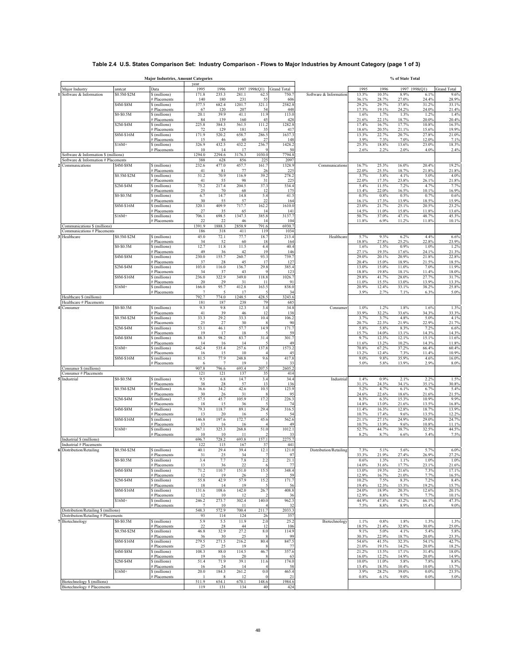# **Table 2.4 U.S. States Comparison Set: Industry Comparison - Flows to Major Industries by Amount Category (page 1 of 3)**

|                                                                             |                         | <b>Major Industries, Amount Categories</b> | vear           |                          |               |                      |                    |                        |                |                | % of State Total |                |                |
|-----------------------------------------------------------------------------|-------------------------|--------------------------------------------|----------------|--------------------------|---------------|----------------------|--------------------|------------------------|----------------|----------------|------------------|----------------|----------------|
| Major Industry                                                              | amtcat                  | Data                                       | 1995           | 1996                     |               | 1997 1998(Q1)        | <b>Grand Total</b> |                        | 1995           | 1996           |                  | 1997 1998(Q1)  | Grand Total    |
| Software & Information                                                      | \$0.5M-\$2M             | \$ (millions)                              | 171.8          | 235.3                    | 281.1         | 62.5                 | 750.               | Software & Information | 13.3%          | 10.3%          | 8.9%             | 6.1%           | 9.6%           |
|                                                                             | $\overline{$4M$-S}8M$   | <b>Placements</b><br>\$ (millions)         | 140<br>377.5   | 180<br>682.4             | 231<br>1201.7 | 55<br>321.1          | 606<br>2582.8      |                        | 36.1%<br>29.2% | 28.7%<br>29.7% | 27.0%<br>37.8%   | 24.4%<br>31.2% | 28.9%<br>33.1% |
|                                                                             |                         | # Placements                               | 67             | 120                      | 207           | 54                   | 448                |                        | 17.3%          | 19.1%          | 24.2%            | 24.0%          | 21.4%          |
|                                                                             | \$0-\$0.5M              | \$ (millions)                              | 20.1<br>84     | 39.9<br>139              | 41.1<br>160   | 11.9<br>45           | 113.0<br>428       |                        | 1.6%<br>21.6%  | 1.7%<br>22.1%  | 1.3%<br>18.7%    | 1.2%<br>20.0%  | 1.4%<br>20.4%  |
|                                                                             | $\overline{$2M$-}$ \$4M | # Placements<br>\$ (millions)              | 225.8          | 384.3                    | 561.5         | 111.2                | 1282.8             |                        | 17.4%          | 16.7%          | 17.7%            | 10.8%          | 16.5%          |
|                                                                             |                         | # Placements                               | 72             | 129                      | 181           | 35                   | 417                |                        | 18.6%          | 20.5%          | 21.1%            | 15.6%          | 19.9%          |
|                                                                             | \$8M-\$16M              | \$ (millions)<br># Placements              | 171.9<br>15    | 520.2<br>46              | 658.7<br>60   | 286.5<br>27          | 1637.3<br>148      |                        | 13.3%<br>3.9%  | 22.7%<br>7.3%  | 20.7%<br>7.0%    | 27.8%<br>12.0% | 21.0%<br>7.1%  |
|                                                                             | $$16M+$                 | \$ (millions)                              | 326.9          | 432.5                    | 432.2         | 236.7                | 1428.2             |                        | 25.3%          | 18.8%          | 13.6%            | 23.0%          | 18.3%          |
| Software & Information \$ (millions)                                        |                         | # Placements                               | 10<br>1294.0   | 14<br>2294.6             | 17<br>3176.3  | Q<br>1030.0          | 50<br>7794.8       |                        | 2.6%           | 2.2%           | 2.0%             | 4.0%           | 2.4%           |
| Software & Information # Placements                                         |                         |                                            | 388            | 628                      | 856           | 225                  | 2097               |                        |                |                |                  |                |                |
| Communications                                                              | \$4M-\$8M               | \$ (millions)<br><b>Placements</b>         | 232.6<br>41    | 477.0<br>81              | 457.7<br>77   | 161.7<br>26          | 1328.9<br>225      | Communications         | 16.7%<br>22.0% | 25.3%<br>25.5% | 16.0%<br>18.7%   | 20.4%<br>21.8% | 19.2%<br>21.8% |
|                                                                             | \$0.5M-\$2M             | \$ (millions)                              | 51.2           | 70.9                     | 116.9         | 39.2                 | 278.2              |                        | 3.7%           | 3.8%           | 4.1%             | 5.0%           | 4.0%           |
|                                                                             |                         | # Placements                               | 41             | 55<br>217.4              | 98            | 31<br>37.3           | 225<br>534.4       |                        | 22.0%<br>5.4%  | 17.3%          | 23.8%            | 26.1%<br>4.7%  | 21.8%          |
|                                                                             | \$2M-\$4M               | \$ (millions)<br><b>Placements</b>         | 75.2<br>25     | 70                       | 204.5<br>68   | 12                   | 175                |                        | 13.4%          | 11.5%<br>22.0% | 7.2%<br>16.5%    | 10.1%          | 7.7%<br>16.9%  |
|                                                                             | \$0-\$0.5M              | \$ (millions)                              | 6.7            | 14.7                     | 14.8          | 5.4                  | 41.5               |                        | 0.5%           | 0.8%           | 0.5%             | 0.7%           | 0.6%           |
|                                                                             | \$8M-\$16M              | <b>Placements</b><br>\$ (millions)         | 30<br>320.1    | 55<br>409.9              | 57<br>717.7   | 22<br>162.2          | 164<br>1610.0      |                        | 16.1%<br>23.0% | 17.3%<br>21.7% | 13.9%<br>25.1%   | 18.5%<br>20.5% | 15.9%<br>23.2% |
|                                                                             |                         | # Placements                               | 27             | 35                       | 65            | 14                   | 141                |                        | 14.5%          | 11.0%          | 15.8%            | 11.8%          | 13.6%          |
|                                                                             | $$16M+$                 | \$ (millions)<br># Placements              | 706.1<br>22    | 698.5<br>22              | 1347.3<br>46  | 385.8<br>14          | 3137.7<br>104      |                        | 50.7%<br>11.8% | 37.0%<br>6.9%  | 47.1%<br>11.2%   | 48.7%<br>11.8% | 45.3%<br>10.1% |
| Communications \$ (millions)                                                |                         |                                            | 1391.9         | 1888.3                   | 2858.9        | 791.6                | 6930.7             |                        |                |                |                  |                |                |
| Communications # Placements<br>Healthcare                                   | \$0.5M-\$2M             | \$ (millions)                              | 186<br>45.0    | 318<br>72.1              | 411<br>77.7   | 119<br>18.7          | 1034<br>213.4      | Healthcare             | 5.7%           | 9.3%           | 6.2%             | 4.4%           | 6.6%           |
|                                                                             |                         | # Placements                               | 34             | 52                       | 60            | 18                   | 164                |                        | 18.8%          | 27.8%          | 25.2%            | 22.8%          | 23.9%          |
|                                                                             | \$0-\$0.5M              | \$ (millions)                              | 12.7           | 11.8                     | 11.5          | 4.4                  | 40.4               |                        | 1.6%           | 1.5%           | 0.9%             | 1.0%           | 1.2%           |
|                                                                             | \$4M-\$8M               | # Placements<br>\$ (millions)              | 49<br>230.0    | 36<br>155.7              | 42<br>260.7   | 19<br>93.3           | 146<br>739.7       |                        | 27.1%<br>29.0% | 19.3%<br>20.1% | 17.6%<br>20.9%   | 24.1%<br>21.8% | 21.3%<br>22.8% |
|                                                                             |                         | # Placements                               | 37             | 28                       | 45            | 17                   | 127                |                        | 20.4%          | 15.0%          | 18.9%            | 21.5%          | 18.5%          |
|                                                                             | $$2M-$4M$               | \$ (millions)<br># Placements              | 103.0<br>34    | 116.0<br>37              | 136.7<br>43   | 29.8<br>$\mathbf{Q}$ | 385.4<br>123       |                        | 13.0%<br>18.8% | 15.0%<br>19.8% | 11.0%<br>18.1%   | 7.0%<br>11.4%  | 11.9%<br>18.0% |
|                                                                             | \$8M-\$16M              | \$ (millions)                              | 236.0          | 322.9                    | 349.0         | 118.8                | 1026.7             |                        | 29.8%          | 41.7%          | 28.0%            | 27.7%          | 31.7%          |
|                                                                             | $$16M+$                 | # Placements<br>\$ (millions)              | 20<br>166.0    | 29<br>95.7               | 31<br>412.8   | 11<br>163.5          | 91<br>838.0        |                        | 11.0%<br>20.9% | 15.5%<br>12.4% | 13.0%<br>33.1%   | 13.9%<br>38.2% | 13.3%<br>25.8% |
|                                                                             |                         | # Placements                               | $\overline{7}$ | 5                        | 17            |                      | 34                 |                        | 3.9%           | 2.7%           | 7.1%             | 6.3%           | 5.0%           |
| Healthcare \$ (millions)<br>Healthcare # Placements                         |                         |                                            | 792.7<br>181   | 774.0<br>187             | 1248.5<br>238 | 428.5<br>79          | 3243.6<br>685      |                        |                |                |                  |                |                |
| Consumer                                                                    | \$0-\$0.5M              | \$ (millions)                              | 9.3            | 9.8                      | 12.3          | 3.4                  | 34.8               | Consumer               | 1.0%           | 1.2%           | 1.8%             | 1.6%           | 1.3%           |
|                                                                             |                         | # Placements                               | 41             | 39                       | 46            | 12                   | 138                |                        | 33.9%          | 32.2%          | 33.6%            | 34.3%          | 33.3%          |
|                                                                             | \$0.5M-\$2M             | \$ (millions)<br># Placements              | 33.3<br>25     | 29.2<br>27               | 33.3<br>30    | 10.4                 | 106.2<br>90        |                        | 3.7%<br>20.7%  | 3.7%<br>22.3%  | 4.8%<br>21.9%    | 5.0%<br>22.9%  | 4.1%<br>21.7%  |
|                                                                             | $$2M-$4M$               | \$ (millions)                              | 53.1           | 46.1                     | 57.7          | 14.9                 | 171.7              |                        | 5.8%           | 5.8%           | 8.3%             | 7.2%           | 6.6%           |
|                                                                             | \$4M-\$8M               | # Placements<br>\$ (millions)              | 19<br>88.3     | 17<br>98.2               | 18<br>83.7    | 31.4                 | 59<br>301.7        |                        | 15.7%<br>9.7%  | 14.0%<br>12.3% | 13.1%<br>12.1%   | 14.3%<br>15.1% | 14.3%<br>11.6% |
|                                                                             |                         | # Placements                               | 14             | 16                       | 14            |                      | 49                 |                        | 11.6%          | 13.2%          | 10.2%            | 14.3%          | 11.8%          |
|                                                                             | $$16M+$                 | \$ (millions)<br># Placements              | 642.4<br>16    | 535.4<br>15              | 257.6<br>10   | 137.8                | 1573.2<br>45       |                        | 70.8%<br>13.2% | 67.2%<br>12.4% | 37.2%<br>7.3%    | 66.4%<br>11.4% | 60.4%<br>10.9% |
|                                                                             | \$8M-\$16M              | \$ (millions)                              | 81.5           | 77.9                     | 248.8         | 9.6                  | 417.8              |                        | $9.0\%$        | 9.8%           | 35.9%            | 4.6%           | 16.0%          |
| Consumer \$ (millions)                                                      |                         | # Placements                               | 6<br>907.8     | $7\phantom{.0}$<br>796.6 | 19<br>693.4   | 207.5                | 33<br>2605.2       |                        | 5.0%           | 5.8%           | 13.9%            | 2.9%           | 8.0%           |
| Consumer # Placements                                                       |                         |                                            | 121            | 121                      | 137           | 35                   | 414                |                        |                |                |                  |                |                |
| Industrial                                                                  | \$0-\$0.5M              | \$ (millions)                              | 9.5            | 6.8                      | 14.7          | 3.4                  | 34.4               | Industrial             | 1.4%           | 0.9%           | 2.1%             | 2.2%           | 1.5%           |
|                                                                             | \$0.5M-\$2M             | # Placements<br>\$ (millions)              | 38<br>36.6     | 28<br>34.2               | 57<br>42.6    | 13<br>10.5           | 136<br>123.9       |                        | 31.1%<br>5.2%  | 24.3%<br>4.7%  | 34.1%<br>6.1%    | 35.1%<br>6.7%  | 30.8%<br>5.4%  |
|                                                                             |                         | # Placements                               | 30             | 26                       | 31            | 8                    | 95                 |                        | 24.6%          | 22.6%          | 18.6%            | 21.6%          | 21.5%          |
|                                                                             | $$2M-$4M$               | \$ (millions)<br># Placements              | 57.5<br>18     | 45.7<br>15               | 105.9<br>36   | 17.2                 | 226.3<br>74        |                        | 8.3%<br>14.8%  | 6.3%<br>13.0%  | 15.3%<br>21.6%   | 10.9%<br>13.5% | 9.9%<br>16.8%  |
|                                                                             | \$4M-\$8M               | \$ (millions)                              | 79.3           | 118.7                    | 89.1          | 29.4                 | 316.5              |                        | 11.4%          | 16.3%          | 12.8%            | 18.7%          | 13.9%          |
|                                                                             | \$8M-\$16M              | # Placements<br>\$ (millions)              | 13<br>146.8    | 20<br>197.6              | 16<br>172.7   | 45.6                 | 54<br>562.6        |                        | 10.7%<br>21.1% | 17.4%<br>27.1% | 9.6%<br>24.9%    | 13.5%<br>29.0% | 12.2%<br>24.7% |
|                                                                             |                         | # Placements                               | 13             | 16                       | 16            |                      | 49                 |                        | 10.7%          | 13.9%          | 9.6%             | 10.8%          | 11.1%          |
|                                                                             | $$16M+$                 | \$ (millions)<br># Placements              | 367.1<br>10    | 325.3<br>10              | 268.8<br>11   | 51.0                 | 1012.1<br>33       |                        | 52.7%<br>8.2%  | 44.7%<br>8.7%  | 38.7%<br>6.6%    | 32.5%<br>5.4%  | 44.5%<br>7.5%  |
| Industrial \$ (millions)                                                    |                         |                                            | 696.7          | 728.2                    | 693.8         | 157.1                | 2275.              |                        |                |                |                  |                |                |
| Industrial # Placements                                                     | \$0.5M-\$2M             |                                            | 122            | 115<br>29.4              | 167           | 37<br>12.1           | 441<br>121.0       | Distribution/Retailing |                |                |                  |                | 6.0%           |
| 6 Distribution/Retailing                                                    |                         | \$ (millions)<br># Placements              | 40.1<br>31     | 25                       | 39.4<br>34    | 7                    | 97                 |                        | 7.3%<br>33.3%  | 5.1%<br>21.9%  | 5.6%<br>27.4%    | 5.7%<br>26.9%  | 27.2%          |
|                                                                             | \$0-\$0.5M              | \$ (millions)                              | 3.4            | 7.7                      | 7.8           | 2.2                  | 21.1               |                        | 0.6%           | 1.3%           | 1.1%             | 1.0%           | 1.0%           |
|                                                                             | \$4M-\$8M               | # Placements<br>\$ (millions)              | 13<br>71.2     | 36<br>110.7              | 22<br>151.0   | 15.5                 | 77<br>348.4        |                        | 14.0%<br>13.0% | 31.6%<br>19.3% | 17.7%<br>21.6%   | 23.1%<br>7.3%  | 21.6%<br>17.1% |
|                                                                             |                         | # Placements                               | 12             | 19                       | 26            |                      | 59                 |                        | 12.9%          | 16.7%          | 21.0%            | 7.7%           | 16.5%          |
|                                                                             | $$2M-$4M$               | \$ (millions)<br># Placements              | 55.8<br>18     | 42.9<br>14               | 57.9<br>19    | 15.2                 | 171.7<br>56        |                        | 10.2%<br>19.4% | 7.5%<br>12.3%  | 8.3%<br>15.3%    | 7.2%<br>19.2%  | 8.4%<br>15.7%  |
|                                                                             | \$8M-\$16M              | \$ (millions)                              | 131.6          | 108.6                    | 142.0         | 26.7                 | 408.8              |                        | 24.0%          | 18.9%          | 20.3%            | 12.6%          | 20.1%          |
|                                                                             | $$16M+$                 | # Placements<br>\$ (millions)              | 12<br>246.2    | 10<br>273.7              | 12<br>302.4   | 140.0                | 36<br>962.3        |                        | 12.9%<br>44.9% | 8.8%<br>47.8%  | 9.7%<br>43.2%    | 7.7%<br>66.1%  | 10.1%<br>47.3% |
|                                                                             |                         | # Placements                               | $\tau$         | 10                       | 11            |                      | 32                 |                        | 7.5%           | 8.8%           | 8.9%             | 15.4%          | 9.0%           |
| Distribution/Retailing \$ (millions)<br>Distribution/Retailing # Placements |                         |                                            | 548.3<br>93    | 572.9<br>114             | 700.4<br>124  | 211.7<br>26          | 2033.3<br>357      |                        |                |                |                  |                |                |
| Biotechnology                                                               | \$0-\$0.5M              | \$ (millions)                              | 5.9            | 5.5                      | 11.9          | $2.0$                | 25.2               | Biotechnology          | 1.1%           | 0.8%           | 1.8%             | 1.3%           | 1.3%           |
|                                                                             |                         | # Placements                               | 22             | 28                       | 44            | 12                   | 106                |                        | 18.5%          | 21.4%          | 32.8%            | 30.0%          | 25.0%          |
|                                                                             | \$0.5M-\$2M             | \$ (millions)<br># Placements              | 46.8<br>36     | 32.9<br>30               | 27.2<br>25    | $8.0\,$<br>8         | 114.9<br>99        |                        | 9.1%<br>30.3%  | 5.0%<br>22.9%  | 4.1%<br>18.7%    | 5.4%<br>20.0%  | 5.8%<br>23.3%  |
|                                                                             | \$8M-\$16M              | \$ (millions)                              | 279.5          | 271.5                    | 216.2         | 80.4                 | 847.5              |                        | 54.6%          | 41.5%          | 32.3%            | 54.1%          | 42.7%          |
|                                                                             | \$4M-\$8M               | # Placements<br>\$ (millions)              | 25<br>108.3    | 25<br>88.0               | 19<br>114.5   | 8<br>46.7            | 77<br>357.6        |                        | 21.0%<br>21.2% | 19.1%<br>13.5% | 14.2%<br>17.1%   | 20.0%<br>31.4% | 18.2%<br>18.0% |
|                                                                             |                         | # Placements                               | 19             | 16                       | 20            | 8                    | 63                 |                        | 16.0%          | 12.2%          | 14.9%            | 20.0%          | 14.9%          |
|                                                                             | \$2M-\$4M               | \$ (millions)<br># Placements              | 51.4<br>16     | 71.9<br>24               | 39.1<br>14    | 11.6                 | 174.0<br>58        |                        | 10.0%<br>13.4% | 11.0%<br>18.3% | 5.8%<br>10.4%    | 7.8%<br>10.0%  | 8.8%<br>13.7%  |
|                                                                             | $$16M+$                 | \$ (millions)                              | 20.0           | 184.3                    | 261.2         | $0.0\,$              | 465.4              |                        | 3.9%           | 28.2%          | 39.0%            | 0.0%           | 23.5%          |
| Biotechnology \$ (millions)                                                 |                         | # Placements                               | 511.9          | 8<br>654.1               | 12<br>670.1   | $\Omega$<br>148.6    | 21<br>1984.6       |                        | 0.8%           | 6.1%           | 9.0%             | 0.0%           | 5.0%           |
| Biotechnology # Placements                                                  |                         |                                            | 119            | 131                      | 134           | 40                   | 424                |                        |                |                |                  |                |                |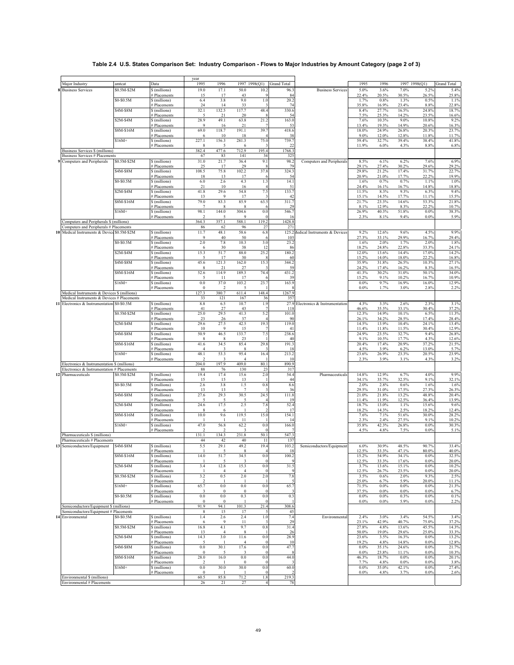# **Table 2.4 U.S. States Comparison Set: Industry Comparison - Flows to Major Industries by Amount Category (page 2 of 3)**

| Major Industry                                                                           |                       | Data                               | year<br>1995                      | 1996                    |                        | 1997 1998(Q1)  | <b>Grand Total</b>     |                               | 1995               | 1996            |                 | 1997 1998(Q1)   | <b>Grand Total</b> |
|------------------------------------------------------------------------------------------|-----------------------|------------------------------------|-----------------------------------|-------------------------|------------------------|----------------|------------------------|-------------------------------|--------------------|-----------------|-----------------|-----------------|--------------------|
| <b>8</b> Business Services                                                               | amtcat<br>\$0.5M-\$2M | \$ (millions)                      | 19.0                              | 17.1                    | 50.0                   | 10.2           | 96.3                   | <b>Business Services</b>      | 5.0%               | 3.6%            | 7.0%            | 5.2%            | 5.4%               |
|                                                                                          |                       | # Placements                       | 15                                | 17                      | 43                     | <b>q</b>       | 84                     |                               | 22.4%              | 20.5%           | 30.5%           | 26.5%           | 25.8%              |
|                                                                                          | \$0-\$0.5M            | \$ (millions)                      | 6.4<br>24                         | 3.8<br>14               | 9.0<br>33              | 1.0<br>-3      | 20.2<br>74             |                               | 1.7%<br>35.8%      | 0.8%<br>16.9%   | 1.3%<br>23.4%   | 0.5%<br>8.8%    | 1.1%<br>22.8%      |
|                                                                                          | \$4M-\$8M             | # Placements<br>\$ (millions)      | 32.1                              | 132.5                   | 117.7                  | 48.4           | 330.6                  |                               | 8.4%               | 27.7%           | 16.5%           | 24.8%           | 18.7%              |
|                                                                                          |                       | # Placements                       | 5                                 | 21                      | 20                     |                | 54                     |                               | 7.5%               | 25.3%           | 14.2%           | 23.5%           | 16.6%              |
|                                                                                          | \$2M-\$4M             | \$ (millions)<br># Placements      | 28.9<br>9                         | 49.1<br>16              | 63.8<br>21             | 21.2<br>-7     | 163.0<br>53            |                               | 7.6%<br>13.4%      | 10.3%<br>19.3%  | 9.0%<br>14.9%   | 10.8%<br>20.6%  | 9.2%<br>16.3%      |
|                                                                                          | \$8M-\$16M            | \$ (millions)                      | 69.0                              | 118.7                   | 191.1                  | 39.7           | 418.6                  |                               | 18.0%              | 24.9%           | 26.8%           | 20.3%           | 23.7%              |
|                                                                                          | $$16M+$               | # Placements<br>\$ (millions)      | 6<br>227.1                        | 10<br>156.3             | 18<br>281.3            | 75.0           | 38<br>739.7            |                               | 9.0%<br>59.4%      | 12.0%<br>32.7%  | 12.8%<br>39.4%  | 11.8%<br>38.4%  | 11.7%<br>41.8%     |
|                                                                                          |                       | # Placements                       | 8                                 | $\overline{5}$          | 6                      |                | 22                     |                               | 11.9%              | 6.0%            | 4.3%            | 8.8%            | 6.8%               |
| Business Services \$ (millions)<br><b>Business Services # Placements</b>                 |                       |                                    | 382.4<br>67                       | 477.6<br>83             | 712.9<br>141           | 195.4<br>34    | 1768.3<br>325          |                               |                    |                 |                 |                 |                    |
| 9 Computers and Peripherals                                                              | \$0.5M-\$2M           | \$ (millions)                      | 31.0                              | 21.7                    | 36.4                   | 9.1            | 98.2                   | Computers and Peripherals     | 8.5%               | 6.1%            | 6.2%            | 7.6%            | 6.9%               |
|                                                                                          | \$4M-\$8M             | <b>Placements</b><br>\$ (millions) | 25<br>108.5                       | 17<br>75.8              | 29<br>102.2            | 37.8           | 79<br>324.3            |                               | 29.1%<br>29.8%     | 27.4%<br>21.2%  | 30.2%<br>17.4%  | 29.6%<br>31.7%  | 29.2%<br>22.7%     |
|                                                                                          |                       | <b>Placements</b>                  | 18                                | 13                      | 17                     |                | 54                     |                               | 20.9%              | 21.0%           | 17.7%           | 22.2%           | 19.9%              |
|                                                                                          | \$0-\$0.5M            | \$ (millions)                      | 6.0<br>21                         | 2.6<br>10               | 4.3<br>16              | 1.3            | 14.1<br>51             |                               | 1.6%<br>24.4%      | 0.7%<br>16.1%   | 0.7%<br>16.7%   | 1.1%<br>14.8%   | 1.0%<br>18.8%      |
|                                                                                          | $$2M-$4M$             | # Placements<br>\$ (millions)      | 41.8                              | 29.6                    | 54.8                   | 7.5            | 133.7                  |                               | 11.5%              | 8.3%            | 9.3%            | 6.3%            | 9.4%               |
|                                                                                          |                       | <b>Placements</b>                  | 13                                | 9                       | 17                     |                | 42                     |                               | 15.1%              | 14.5%           | 17.7%           | 11.1%           | 15.5%              |
|                                                                                          | \$8M-\$16M            | \$ (millions)<br><b>Placements</b> | 79.0<br>$\overline{7}$            | 83.3<br>8               | 85.9<br>8              | 63.5           | 311.7<br>29            |                               | 21.7%<br>8.1%      | 23.3%<br>12.9%  | 14.6%<br>8.3%   | 53.3%<br>22.2%  | 21.8%<br>10.7%     |
|                                                                                          | $$16M+$               | \$ (millions)                      | 98.1                              | 144.0                   | 304.6                  | 0.0            | 546.7                  |                               | 26.9%              | 40.3%           | 51.8%           | 0.0%            | 38.3%              |
| Computers and Peripherals \$ (millions)                                                  |                       | # Placements                       | $\overline{\phantom{a}}$<br>364.3 | $\overline{5}$<br>357.1 | 9<br>588.1             | 119.2          | 16<br>1428.8           |                               | 2.3%               | 8.1%            | 9.4%            | 0.0%            | 5.9%               |
| Computers and Peripherals # Placements                                                   |                       |                                    | 86                                | 62                      | 96                     | 27             | 271                    |                               |                    |                 |                 |                 |                    |
| 10 Medical Instruments & Device \$0.5M-\$2M                                              |                       | \$ (millions)<br># Placements      | 11.7<br>9                         | 48.1<br>40              | 58.6<br>50             | 6.8            | 125.2<br>105           | fedical Instruments & Devices | 9.2%<br>27.3%      | 12.6%<br>33.1%  | 9.6%<br>29.9%   | 4.5%<br>16.7%   | 9.9%<br>29.4%      |
|                                                                                          | \$0-\$0.5M            | \$ (millions)                      | 2.0                               | 7.8                     | 10.3                   | 3.0            | 23.2                   |                               | 1.6%               | 2.0%            | 1.7%            | 2.0%            | 1.8%               |
|                                                                                          | \$2M-\$4M             | # Placements<br>\$ (millions)      | 6<br>15.3                         | 30<br>51.7              | 38<br>88.0             | 12<br>25.2     | 86<br>180.2            |                               | 18.2%<br>12.0%     | 24.8%<br>13.6%  | 22.8%<br>14.4%  | 33.3%<br>17.0%  | 24.1%<br>14.2%     |
|                                                                                          |                       | # Placements                       | 5                                 | 17                      | 30                     |                | 60                     |                               | 15.2%              | 14.0%           | 18.0%           | 22.2%           | 16.8%              |
|                                                                                          | \$4M-\$8M             | \$ (millions)                      | 45.6                              | 121.3                   | 162.0                  | 15.3           | 344.2<br>59            |                               | 35.9%              | 31.8%           | 26.5%           | 10.3%           | 27.1%              |
|                                                                                          | \$8M-\$16M            | <b>Placements</b><br>\$ (millions) | 8<br>52.6                         | 21<br>114.9             | 27<br>189.3            | 74.4           | 431.2                  |                               | 24.2%<br>41.3%     | 17.4%<br>30.2%  | 16.2%<br>31.0%  | 8.3%<br>50.1%   | 16.5%<br>34.0%     |
|                                                                                          |                       | <b>Placements</b>                  | -5                                | -11                     | 17                     |                | 39                     |                               | 15.2%              | 9.1%            | 10.2%           | 16.7%           | 10.9%              |
|                                                                                          | $$16M+$               | \$ (millions)<br># Placements      | $0.0\,$<br>$\overline{0}$         | 37.0<br>2               | 103.2<br>5             | 23.7           | 163.9                  |                               | $0.0\%$<br>0.0%    | 9.7%<br>1.7%    | 16.9%<br>3.0%   | 16.0%<br>2.8%   | 12.9%<br>2.2%      |
| Medical Instruments & Devices \$ (millions)                                              |                       |                                    | 127.3                             | 380.7                   | 611.4                  | 148.4          | 1267.9                 |                               |                    |                 |                 |                 |                    |
| Medical Instruments & Devices # Placements<br>1 Electronics & Instrumentation \$0-\$0.5M |                       | \$ (millions)                      | 33<br>8.8                         | 121<br>6.5              | 167<br>10.7            | 36<br>1.9      | 357<br>27.9            | Electronics & Instrumentation | 4.3%               | 3.3%            | 2.6%            | 2.3%            | 3.1%               |
|                                                                                          |                       | # Placements                       | 41                                | 27                      | 43                     | $\overline{7}$ | 118                    |                               | 46.6%              | 35.5%           | 33.1%           | 30.4%           | 37.2%              |
|                                                                                          | \$0.5M-\$2M           | \$ (millions)<br># Placements      | 25.0<br>23                        | 29.5<br>26              | 41.3<br>37             | 5.2            | 101.0<br>90            |                               | 12.3%<br>26.1%     | 14.9%<br>34.2%  | 10.1%<br>28.5%  | 6.5%<br>17.4%   | 11.3%<br>28.4%     |
|                                                                                          | \$2M-\$4M             | \$ (millions)                      | 29.6                              | 27.5<br>9               | 42.5                   | 19.3           | 119.0                  |                               | 14.5%              | 13.9%           | 10.4%           | 24.1%           | 13.4%              |
|                                                                                          | \$4M-\$8M             | # Placements<br>\$ (millions)      | 10<br>50.9                        | 46.5                    | 15<br>133.7            | 7.5            | 41<br>238.6            |                               | 11.4%<br>24.9%     | 11.8%<br>23.5%  | 11.5%<br>32.7%  | 30.4%<br>9.4%   | 12.9%<br>26.8%     |
|                                                                                          | \$8M-\$16M            | # Placements                       | 8                                 | 8                       | 23                     |                | 40<br>191.3            |                               | 9.1%<br>20.4%      | 10.5%           | 17.7%<br>20.9%  | 4.3%<br>37.2%   | 12.6%              |
|                                                                                          |                       | \$ (millions)<br># Placements      | 41.6<br>$\overline{4}$            | 34.5<br>3               | 85.4<br>8              | 29.8           | 18                     |                               | 4.5%               | 17.4%<br>3.9%   | 6.2%            | 13.0%           | 21.5%<br>5.7%      |
|                                                                                          | $$16M+$               | \$ (millions)<br># Placements      | 48.1<br>$\overline{2}$            | 53.3<br>3               | 95.4<br>$\overline{4}$ | 16.4           | 213.2<br>10            |                               | 23.6%<br>2.3%      | 26.9%<br>3.9%   | 23.3%<br>3.1%   | 20.5%<br>4.3%   | 23.9%<br>3.2%      |
| Electronics & Instrumentation \$ (millions)                                              |                       |                                    | 204.0                             | 197.9                   | 409.0                  | 80.1           | 890.9                  |                               |                    |                 |                 |                 |                    |
| Electronics & Instrumentation # Placements<br>12 Pharmaceuticals                         | \$0.5M-\$2M           | \$ (millions)                      | 88<br>19.4                        | $76\,$<br>17.4          | 130<br>15.6            | 23<br>2.0      | 317<br>54.4            | Pharmaceuticals               | 14.8%              | 12.9%           | 6.7%            | 4.0%            | 9.9%               |
|                                                                                          |                       | # Placements                       | 15                                | 15                      | 13                     |                | 44                     |                               | 34.1%              | 35.7%           | 32.5%           | 9.1%            | 32.1%              |
|                                                                                          | \$0-\$0.5M            | \$ (millions)                      | 2.6<br>13                         | $3.8\,$                 | 1.5<br>$\overline{7}$  | 0.8            | 8.6                    |                               | 2.0%<br>29.5%      | 2.8%<br>31.0%   | 0.6%<br>17.5%   | 1.6%<br>27.3%   | 1.6%               |
|                                                                                          | \$4M-\$8M             | # Placements<br>\$ (millions)      | 27.6                              | 13<br>29.3              | 30.5                   | 24.5           | 36<br>111.8            |                               | 21.0%              | 21.8%           | 13.2%           | 48.8%           | 26.3%<br>20.4%     |
|                                                                                          |                       | # Placements                       | $\overline{5}$                    | $\sim$                  | 5                      |                | 19                     |                               | 11.4%              | 11.9%           | 12.5%           | 36.4%           | 13.9%              |
|                                                                                          | \$2M-\$4M             | \$ (millions)<br># Placements      | 24.6<br>8                         | 17.5<br>6               | 2.5<br>$\mathbf{I}$    | 7.8            | 52.4<br>17             |                               | 18.7%<br>18.2%     | 13.0%<br>14.3%  | 1.1%<br>2.5%    | 15.6%<br>18.2%  | 9.6%<br>12.4%      |
|                                                                                          | \$8M-\$16M            | \$ (millions)                      | 10.0                              | 9.6                     | 119.5                  | 15.0           | 154.1                  |                               | 7.6%               | 7.1%            | 51.6%           | 30.0%           | 28.2%              |
|                                                                                          | $$16M+$               | # Placements<br>\$ (millions)      | 47.0                              | -1<br>56.8              | 11<br>62.2             | 0.0            | 14<br>166.0            |                               | 2.3%<br>35.8%      | 2.4%<br>42.3%   | 27.5%<br>26.8%  | 9.1%<br>0.0%    | 10.2%<br>30.3%     |
|                                                                                          |                       | # Placements                       | -2                                | 2                       | 3                      | $\sqrt{ }$     |                        |                               | 4.5%               | 4.8%            | 7.5%            | $0.0\%$         | 5.1%               |
| Pharmaceuticals \$ (millions)<br>Pharmaceuticals # Placements                            |                       |                                    | 131.1<br>44                       | 134.3<br>42             | 231.8<br>40            | 50.1<br>11     | 547.3<br>137           |                               |                    |                 |                 |                 |                    |
| 13 Semiconductors/Equipment                                                              | S4M-S8M               | \$ (millions)                      | 5.5                               | 29.1                    | 49.2                   | 19.4           | 103.2                  | Semiconductors/Equipment      | 6.0%               | 30.9%           | 48.5%           | 90.7%           | 33.4%              |
|                                                                                          | \$8M-\$16M            | # Placements<br>\$ (millions)      | $\mathbf{1}$<br>14.0              | $\overline{5}$<br>51.7  | 8<br>34.5              | 0.0            | 18<br>100.2            |                               | 12.5%<br>15.2%     | 33.3%<br>54.9%  | 47.1%<br>34.1%  | 80.0%<br>0.0%   | 40.0%<br>32.5%     |
|                                                                                          |                       | # Placements                       |                                   | 5                       | 3                      |                | 9                      |                               | 12.5%              | 33.3%           | 17.6%           | 0.0%            | 20.0%              |
|                                                                                          | $$2M-$4M$             | \$ (millions)<br># Placements      | 3.4                               | 12.8<br>4               | 15.3<br>$\overline{4}$ | 0.0            | 31.5                   |                               | 3.7%<br>12.5%      | 13.6%<br>26.7%  | 15.1%<br>23.5%  | 0.0%<br>0.0%    | 10.2%<br>20.0%     |
|                                                                                          | \$0.5M-\$2M           | \$ (millions)                      | 3.2                               | 0.5                     | 2.0                    | 2.0            | 7.8                    |                               | 3.5%               | 0.6%            | 2.0%            | 9.3%            | 2.5%               |
|                                                                                          | $$16M+$               | # Placements<br>\$ (millions)      | $\overline{2}$<br>65.7            | 0.0                     | 0.0                    | 0.0            | $\overline{5}$<br>65.7 |                               | 25.0%<br>71.5%     | 6.7%<br>$0.0\%$ | 5.9%<br>0.0%    | 20.0%<br>0.0%   | 11.1%<br>21.3%     |
|                                                                                          |                       | # Placements                       | $\overline{\mathbf{3}}$           | $\bf{0}$                | $\Omega$               |                | 3                      |                               | 37.5%              | $0.0\%$         | 0.0%            | 0.0%            | 6.7%               |
|                                                                                          | \$0-\$0.5M            | \$ (millions)<br># Placements      | $0.0\,$<br>$\bf{0}$               | 0.0<br>$\theta$         | 0.3                    | 0.0            | 0.3                    |                               | $0.0\%$<br>$0.0\%$ | $0.0\%$<br>0.0% | 0.3%<br>5.9%    | $0.0\%$<br>0.0% | 0.1%<br>2.2%       |
| Semiconductors/Equipment \$ (millions)                                                   |                       |                                    | 91.9                              | 94.1                    | 101.3                  | 21.4           | 308.6                  |                               |                    |                 |                 |                 |                    |
| Semiconductors/Equipment # Placements<br>4 Environmental                                 | \$0-\$0.5M            | \$ (millions)                      | 8<br>1.4                          | 15<br>2.6               | 17<br>2.4              | 1.0            | 45<br>7.4              | Environmental                 | 2.4%               | 3.0%            | 3.4%            | 54.5%           | 3.4%               |
|                                                                                          |                       | # Placements                       | 6                                 | 9                       | 11                     | -3             | 29                     |                               | 23.1%              | 42.9%           | 40.7%           | 75.0%           | 37.2%              |
|                                                                                          | \$0.5M-\$2M           | \$ (millions)<br># Placements      | 16.8<br>13                        | 4.1<br>4                | 9.7<br>8               | 0.8            | 31.4<br>26             |                               | 27.8%<br>50.0%     | 4.8%<br>19.0%   | 13.6%<br>29.6%  | 45.5%<br>25.0%  | 14.3%<br>33.3%     |
|                                                                                          | \$2M-\$4M             | \$ (millions)                      | 14.3                              | 3.0                     | 11.6                   | 0.0            | 28.9                   |                               | 23.6%              | 3.5%            | 16.3%           | 0.0%            | 13.2%              |
|                                                                                          | \$4M-\$8M             | # Placements<br>\$ (millions)      | 5<br>$0.0\,$                      | 30.1                    | $\overline{4}$<br>17.6 | $0.0\,$        | 10<br>47.7             |                               | 19.2%<br>$0.0\%$   | 4.8%<br>35.1%   | 14.8%<br>24.6%  | 0.0%<br>0.0%    | 12.8%<br>21.7%     |
|                                                                                          |                       | # Placements                       | $\overline{0}$                    | -5                      | 3                      |                | 8                      |                               | 0.0%               | 23.8%           | 11.1%           | 0.0%            | 10.3%              |
|                                                                                          | \$8M-\$16M            | \$ (millions)<br># Placements      | 28.0<br>$\mathcal{D}$             | 16.0                    | $0.0\,$<br>$\Omega$    | $0.0\,$        | 44.0                   |                               | 46.3%<br>7.7%      | 18.7%<br>4.8%   | $0.0\%$<br>0.0% | 0.0%<br>0.0%    | 20.1%<br>3.8%      |
|                                                                                          | $$16M+$               | \$ (millions)                      | $0.0\,$                           | 30.0                    | 30.0                   | $0.0\,$        | 60.0                   |                               | $0.0\%$            | 35.0%           | 42.1%           | 0.0%            | 27.4%              |
| Environmental \$ (millions)                                                              |                       | # Placements                       | $\overline{0}$<br>60.5            | 85.8                    | -1<br>71.2             | 1.8            | 219.3                  |                               | $0.0\%$            | 4.8%            | 3.7%            | 0.0%            | 2.6%               |
| Environmental # Placements                                                               |                       |                                    | 26                                | 21                      | 27                     | $\overline{4}$ | 78                     |                               |                    |                 |                 |                 |                    |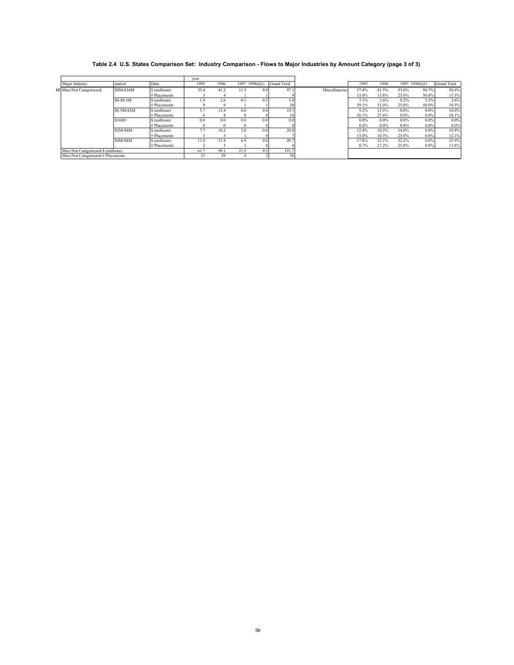# **Table 2.4 U.S. States Comparison Set: Industry Comparison - Flows to Major Industries by Amount Category (page 3 of 3)**

|                                     |             |               | vear |      |               |     |                    |               |         |         |         |               |                    |
|-------------------------------------|-------------|---------------|------|------|---------------|-----|--------------------|---------------|---------|---------|---------|---------------|--------------------|
| Major Industry                      | amtcat      | Data          | 1995 | 1996 | 1997 1998(Q1) |     | <b>Grand Total</b> |               | 1995    | 1996    |         | 1997 1998(Q1) | <b>Grand Total</b> |
| 15 Misc/Not Categoriezed            | \$8M-\$16M  | \$ (millions) | 35.4 | 41.2 | 11.5          | 9.0 | 97.1               | Miscellaneous | 57.4%   | 41.5%   | 53.6%   | 94.7%         | 50.6%              |
|                                     |             | # Placements  |      |      |               |     |                    |               | 13.0%   | 13.8%   | 25.0%   | 50.0%         | 15.5%              |
|                                     | \$0-\$0.5M  | \$ (millions) | 1.9  | 2.6  | 0.1           | 0.5 | 5.0                |               | 3.1%    | 2.6%    | 0.2%    | 5.3%          | 2.6%               |
|                                     |             | # Placements  |      |      |               |     | 20                 |               | 39.1%   | 31.0%   | 25.0%   | 50.0%         | 34.5%              |
|                                     | \$0.5M-\$2M | \$ (millions) | 5.7  | 13.4 | 0.0           | 0.0 | 19.1               |               | 9.2%    | 13.5%   | $0.0\%$ | $0.0\%$       | 10.0%              |
|                                     |             | # Placements  |      |      |               |     |                    |               | 26.1%   | 27.6%   | $0.0\%$ | $0.0\%$       | 24.1%              |
|                                     | $$16M+$     | \$ (millions) | 0.0  | 0.0  | 0.0           | 0.0 | 0.0                |               | $0.0\%$ | $0.0\%$ | $0.0\%$ | $0.0\%$       | $0.0\%$            |
|                                     |             | # Placements  |      |      | $^{\circ}$    |     |                    |               | $0.0\%$ | $0.0\%$ | $0.0\%$ | $0.0\%$       | $0.0\%$            |
|                                     | $S2M-S4M$   | \$ (millions) | 7.7  | 10.2 | 3.0           | 0.0 | 20.8               |               | 12.4%   | 10.3%   | 14.0%   | $0.0\%$       | 10.9%              |
|                                     |             | # Placements  |      |      |               |     |                    |               | 13.0%   | 10.3%   | 25.0%   | $0.0\%$       | 12.1%              |
|                                     | \$4M-\$8M   | \$ (millions) | 11.0 | 31.8 | 6.9           | 0.0 | 49.7               |               | 17.8%   | 32.1%   | 32.2%   | $0.0\%$       | 25.9%              |
|                                     |             | # Placements  |      |      |               |     |                    |               | 8.7%    | 17.2%   | 25.0%   | $0.0\%$       | 13.8%              |
| Misc/Not Categoriezed \$ (millions) |             |               | 61.7 | 99.1 | 21.5          | 9.5 | 191.7              |               |         |         |         |               |                    |
| Misc/Not Categoriezed # Placements  |             |               | 23   | 29   |               |     | 58                 |               |         |         |         |               |                    |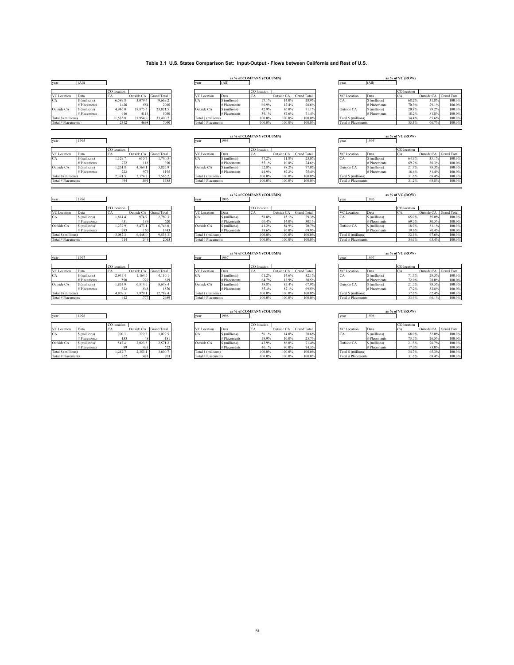#### **Table 3.1 U.S. States Comparison Set: Input-Output - Flows** b**etween California and Rest of U.S.**

### VC Location Data CA Outside CA Grand Total VC Location Data CA Outside CA Grand Total VC Location Data CA Outside CA Grand Total CA \$ (millions) 6,589.8 3,079.4 9,669.2 CA \$ (millions) 57.1% 14.0% 28.9% CA \$ (millions) 68.2% 31.8% 100.0% Outside CA \$ (millions) 4,946.0 18,875.5 23,821.5 Outside CA \$ (millions) 42.9% 86.0% 71.1% Outside CA \$ (millions) 20.8% 79.2% 100.0% Total \$ (millions) 11,535.8 21,954.9 33,490.7 Total \$ (millions) 100.0% 100.0% 100.0% Total \$ (millions) 34.4% 65.6% 100.0% Total # Placements 2342 4698 7040 Total # Placements 100.0% 100.0% 100.0% Total # Placements 33.3% 66.7% 100.0%

|                     |                   | CO location |            |                        |                    |                | CO location |            |             |                     |              | CO location |        |                        |
|---------------------|-------------------|-------------|------------|------------------------|--------------------|----------------|-------------|------------|-------------|---------------------|--------------|-------------|--------|------------------------|
| <b>VC</b> Location  | Data              | ◡           |            | Outside CA Grand Total | VC Location        | Data           |             | Outside CA | Grand Total | <b>VC</b> Location  | Data         | ◡           |        | Outside CA Grand Total |
| CA                  | S (millions)      | 1.129.      | 510.7      | .740.3                 | CA                 | S (millions)   | 47.2%       | 1.8%       | 23.0%       | CA                  | S (millions) | 64.9%       | 35.1%  | 100.0%                 |
|                     | Placements        |             | 118<br>390 |                        | # Placements       | 55.1%          | 10.8%       | 24.6%      |             | # Placements        | 69.7%        | 30.3%       | 100.0% |                        |
| Outside CA          | S (millions)      | .261.8      | 4.564.1    | 5.825.9                | Outside CA         | S (millions)   | 52.8%       | 88.2%      | 77.0%       | Outside CA          | S (millions) | 21.7%       | 78.3%  | 100.0%                 |
|                     | <b>Placements</b> | 222         |            | 195                    |                    | $#$ Placements | 44.9%       | 89.2%      | 75.4%       |                     | # Placements | 18.6%       | 81.4%  | 100.0%                 |
| Total \$ (millions) |                   | 2.391.5     | 5.174.7    | $7.566.2$ +            | Total S (millions) |                | 100.0%      | 100.0%     | 100.0%      | Total \$ (millions) |              | 31.6%       | 68.4%  | 100.0%                 |
| Total # Placements  |                   | 494         | 091        | 1585                   | Total # Placements |                | 100.0%      | 100.0%     | 100.0%      | Total # Placements  |              | 31.2%       | 68.8%  | 100.0%                 |

#### year (All) year (All) year (All) **as % of COMPANY (COLUMN) as % of VC (ROW)**

|               | CO location   |            |                    |                    |                | CO location |                |                    |                     |              | CO location |            |                    |
|---------------|---------------|------------|--------------------|--------------------|----------------|-------------|----------------|--------------------|---------------------|--------------|-------------|------------|--------------------|
| Data          |               | Outside CA | <b>Grand Total</b> | <b>VC</b> Location | Data           | ◡▱          | Outside CA     | <b>Grand Total</b> | VC Location         | Data         |             | Outside CA | <b>Grand Total</b> |
| \$ (millions) | 6,589.8       | 5.079.4    | 9,669.2            | UΑ                 | \$ (millions)  | 57.1%       | 14.0%          | 28.9%              | vи                  | S (millions) |             | 31.8%      | $100.0\%$          |
| Placements    | 1426          | 584        | 2010               |                    | # Placements   |             | 60.9%<br>12.4% | 28.6%              |                     | # Placements | 70.9%       | 29.1%      | 100.0%             |
| \$ (millions) | 4.946.0       | 18,875.5   | 23.821.5           | Outside CA         | \$ (millions)  | 42.9%       | 86.0%          | 71.1%              | Outside CA          | S (millions) | 20.8%       | 79.2%      | 100.0%             |
| Placements    |               | 4114       | 5030               |                    | $#$ Placements | 39.1%       | 87.6%          | 71.4%              |                     | # Placements |             | 81.8%      | 100.0%             |
|               | 11.535.8      | 21.954.9   | 33,490.7           | Total S (millions) |                | 100.0%      | 100.0%         | 100.0%             | Total \$ (millions) |              |             | 65.6%      | 100.0%             |
|               | $234^{\circ}$ | 4698       | 70401              | Total # Placements |                | 100.0%      | 200.004        | 100.0%             | Total # Placements  |              | 22 204      | 66.7%      | 100.0%             |

|                     |                | CO location |            |                    |
|---------------------|----------------|-------------|------------|--------------------|
| <b>VC</b> Location  | Data           | CA          | Outside CA | <b>Grand Total</b> |
| CA                  | \$ (millions)  | 1.129.7     | 610.7      | 1.740.3            |
|                     | $#$ Placements | 272         | 118        | 390                |
| Outside CA          | \$ (millions)  | 1.261.8     | 4.564.1    | 5.825.9            |
|                     | $#$ Placements | 222         | 973        | 1195               |
| Total \$ (millions) |                | 2.391.5     | 5.174.7    | 7.566.2            |

#### year 1995 year as % of VC (ROW)<br>
year 1995 year 1995 year 1995 year 1995 year 1995

|                     |               | CO location |            |                    |                    |              | CO location |                |                    |                     |              | CO location |            |                    |
|---------------------|---------------|-------------|------------|--------------------|--------------------|--------------|-------------|----------------|--------------------|---------------------|--------------|-------------|------------|--------------------|
| <b>VC</b> Location  | Data          | ъm          | Outside CA | <b>Grand Total</b> | VC Location        | Data         | ∼           | Outside CA     | <b>Grand Total</b> | VC Location         | Data         | $\sim$      | Outside CA | <b>Grand Total</b> |
| UA.                 | \$ (millions) | 1.129.      | 610.7      | 1.740.3            | "CA                | S (millions) | 17.2%       | $.1.8^{\circ}$ | 23.0%              | - ICA               | S (millions) | 64.9%       | 35.1%      | 100.0%             |
|                     | Placements    |             |            | 3901               |                    | # Placements |             | 10.8%          | 24.6%              |                     | # Placements | 69.7%       | 30.3%      | 100.0%             |
| Outside CA          | \$ (millions) | .261.8      | .564.1     | 5.825.9            | Outside CA         | S (millions) | 52.8%       | 88.29          | 77.0%              | Outside CA          | S (millions) | 21.7%       | 78.3%      | 100.0%             |
|                     | # Placements  | 222         |            | 1195               |                    | # Placements | 44 9        |                | 75.4%              |                     | # Placements | 18.6%       | 81.4%      | 100.0%             |
| Total \$ (millions) |               | 2.391.5     | 5.174.7    | 7.566.2            | Total S (millions) |              | 100.0%      | 100.0%         | 100.0%             | Total \$ (millions) |              | 31.6%       | 68.4%      | 100.0%             |
| ______              |               | .           | .          | $- - - -$          |                    |              | .           | .              | .                  |                     |              | .           | .          | .                  |

## as % of VC (ROW)<br> **as % of VC (ROW)**<br> **as % of VC (ROW)**<br> **as % of VC (ROW)**<br> **as % of VC (ROW)**<br> **as year**

|                     |               | CO location |            |                    |                    |                | CO location |              |                    |                     |                   | CO location |            |                    |
|---------------------|---------------|-------------|------------|--------------------|--------------------|----------------|-------------|--------------|--------------------|---------------------|-------------------|-------------|------------|--------------------|
| <b>VC</b> Location  | Data          |             | Outside CA | <b>Grand Total</b> | VC Location        | Data           |             | Outside CA   | <b>Grand Total</b> | <b>VC</b> Location  | Data              | vи          | Outside CA | <b>Grand Total</b> |
| A                   | \$ (millions) | 1,814.4     | 974.9      | 2.789.3            | <sup>'</sup> CA    | \$ (millions)  | 58.8%       | 510<br>19.11 | 29.3%              | TUA.                | S (millions)      | 65.0%       | 35.0%      | 100.0%             |
|                     | Placements    |             | 189        | 620                |                    | # Placements   | 60.4%       | 14.0%        | 30.1%              |                     | <b>Placements</b> | 69.5%       | 30.5%      | 100.0%             |
| Outside CA          | \$ (millions) | 1.272.      | 5.473.1    | 5.746.0            | Outside CA         | \$ (millions)  | 41.2%       | 84.9%        | 70.7%              | Outside CA          | S (millions)      | 18.9%       | 81.1%      | 100.0%             |
|                     | # Placements  | 283         | 1160       | 1443               |                    | $#$ Placements | 39.6%       | 86.0%        | 69.9%              |                     | # Placements      | 19.6%       | 80.4%      | 100.0%             |
| Total \$ (millions) |               | 3,087.3     | 5.448.0    | 9,535.3            | Total S (millions) |                | 100.0%      | 100.0%       | 100.0%             | Total \$ (millions) |                   | 32.4%       | 67.6%      | 100.0%             |
| Total # Placements  |               |             | 1349       | 2063               | Total # Placements |                | 100.0%      | 100.0%       | 100.0%             | Total # Placements  |                   | 34.6%       | 65.4%      | 100.0%             |

|                         |               | CO location |            |                    |                              |                | CO location |            |                    |                             |              | CO location |            |                    |
|-------------------------|---------------|-------------|------------|--------------------|------------------------------|----------------|-------------|------------|--------------------|-----------------------------|--------------|-------------|------------|--------------------|
| <b>VC</b> Location      | Data          | ъm          | Outside CA | <b>Grand Total</b> | VC Location                  | Data           |             | Outside CA | <b>Grand Total</b> | <b>VC</b> Location          | Data         | $\sim$      | Outside CA | <b>Grand Total</b> |
| $\sim$ $\sim$<br>-A     | \$ (millions) | 2.945.4     | .164.6     | 4.110.1            | CA                           | \$ (millions)  | 61.2%       | 14.6%      | 32.1%              | - ICA                       | S (millions) | 71.7%       | 28.3%      | 100.0%             |
|                         | Placements    | 590         | 229        | 819                |                              | $#$ Placements | 64.7%       | 12.9%      | 30.5%              |                             | # Placements | 72.0%       | 28.0%      | 100.0%             |
| Outside CA              | S (millions)  | 1.863.9     | 6.814.5    | 8.678.4            | Outside CA                   | \$ (millions)  | 38.8%       | 85.4%      | 67.9%              | Outside CA                  | S (millions) | 21.5%       | 78.5%      | 100.0%             |
|                         | # Placements  | 322         | 1548       | 1870               |                              | # Placements   | 35.3%       | $\cdots$   | 69.5%              |                             | # Placements | 17.2%       | 82.8%      | 100.0%             |
| Total \$ (millions)     |               | 4.809.3     | 7.979.1    | 2.788.4            | Total S (millions)           |                | 100.0%      | 100.0%     | 100.0%             | Total \$ (millions)         |              | 37.6%       | 62.4%      | 100.0%             |
| The child Discovery and |               | 0.12        | 1.777      | 2000               | The collect Division and the |                | 100.00/     | 100.00/    | 100.00/            | The collect Discovery and a |              | 33.00/      | 66.101     | 1.00.00/           |

|                     |               | CO location |            |                    |                    |                | CO location |            |                    |                     |              | CO location |            |                    |
|---------------------|---------------|-------------|------------|--------------------|--------------------|----------------|-------------|------------|--------------------|---------------------|--------------|-------------|------------|--------------------|
| <b>VC</b> Location  | Data          |             | Outside CA | <b>Grand Total</b> | VC Location        | Data           |             | Outside CA | <b>Grand Total</b> | <b>VC</b> Location  | Data         | w           | Outside CA | <b>Grand Total</b> |
| A                   | \$ (millions) | 700.3       | 329.2      | .029.5             | СA                 | \$ (millions)  | 56.1%       | 14.0%      | 28.6%              | іса                 | S (millions) | 68.0%       | 32.0%      | 100.0%             |
|                     | Placements    | 133         |            | 181                |                    | $#$ Placements | 59.9%       | 10.0%      | 25.7%              |                     | # Placements | 73.5%       | 26.5%      | 100.0%             |
| Outside CA          | \$ (millions) | 547.4       | 2.023.8    | 2.571.2            | Outside CA         | \$ (millions)  | 43.9%       | 86.0%      | 71.4%              | Outside CA          | S (millions) | 21.3%       | 78.7%      | 100.0%             |
|                     | Placements    |             | 433        | 522                |                    | $#$ Placements | 40.1%       | 90.0%      | 74.3%              |                     | # Placements | 17.0%       | 83.0%      | 100.0%             |
| Total \$ (millions) |               | 1.247.7     | 2.353.1    | 3.600.7            | Total S (millions) |                | 100.0%      | 100.0%     | 100.0%             | Total \$ (millions) |              | 34.7%       | 65.3%      | 100.0%             |
| Total # Placements  |               |             | 481        | 703                | Total # Placements |                | 100.0%      | 100.0%     | 100 0%             | Total # Placements  |              | 31.6%       | 68.4%      | 100.0%             |

|                     |               | CO location |         |                        |                          |                | CO location |            |             |                     |                   | CO location |            |                    |
|---------------------|---------------|-------------|---------|------------------------|--------------------------|----------------|-------------|------------|-------------|---------------------|-------------------|-------------|------------|--------------------|
| <b>VC</b> Location  | Data          |             |         | Outside CA Grand Total | <b>VC</b> Location       | Data           |             | Outside CA | Grand Total | VC Location         | Data              |             | Outside CA | <b>Grand Total</b> |
| A                   | \$ (millions) | .814.4      | 974.9   | 2.789.3                | $\overline{\phantom{a}}$ | \$ (millions)  | 58.8%       | 15.1%      | 29.3%       | $\sim$              | \$ (millions)     | 65.0%       | 35.0%      | 100.0%             |
|                     | Placements    |             |         | 620                    |                          | # Placements   | 60.4%       | 14.0%      | 30.1%       |                     | <b>Placements</b> | 69.5%       | 30.5%      | 100.0%             |
| Outside CA          | S (millions)  | .272.9      | 5.473.1 | 6.746.0                | Outside CA               | S (millions)   | 41.2%       | 84.9%      | 70.7%       | Outside CA          | S (millions)      | 18.9%       | 81.1%      | 100.0%             |
|                     | # Placements  | 283         | 1160    | 1443                   |                          | $#$ Placements | 39.6%       | 86.0%      | 69.9%       |                     | # Placements      | 19.6%       | 80.4%      | 100.0%             |
| Total \$ (millions) |               | 3.087.3     | 6.448.0 | 9.535.3                | Total S (millions)       |                | 100.0%      | 100.0%     | 100.0%      | Total \$ (millions) |                   | 32.4%       | 67.6%      | 100.0%             |
| Total # Placements  |               |             | 1349    | 20631                  | Total # Placements       |                | 100.0%      | $100.0\%$  | $100.0\%$   | Total # Placements  |                   | 34.6%       | 65.4%      | 100.0%             |
|                     |               |             |         |                        |                          |                |             |            |             |                     |                   |             |            |                    |

#### year 1997 year 1997 year 1997 year 1997 year 1997 year 1997 year 1997 year 1997 year 1997 year 1997 year 1997 year 1997 year 1997 year 1997 year 1997 year 1997 year 1997 year 1997 year 1997 year 1997 year 1997 year 1997 ye

|                     |                   | CO location |                        |          |                    |              | CO location |        |                        |        |                     |                   | CO location |            |             |
|---------------------|-------------------|-------------|------------------------|----------|--------------------|--------------|-------------|--------|------------------------|--------|---------------------|-------------------|-------------|------------|-------------|
| <b>VC</b> Location  | Data              |             | Outside CA Grand Total |          | <b>VC</b> Location | Data         |             |        | Outside CA Grand Total |        | VC Location         | Data              |             | Outside CA | Grand Total |
| A                   | \$ (millions)     | 2.945.4     | .164.6                 | 4.110.1  | C                  | S (millions) |             | 61.2%  | 14.6%                  | 32.1%  |                     | S (millions)      | 71.7%       | 28.3%      | 100.0%      |
|                     | <b>Placements</b> | 590         | 229                    | 819      |                    | # Placements |             | 64.7%  | 12.9%                  | 30.5%  |                     | Placements        | 72.0%       | 28.0%      | 100.0%      |
| Outside CA          | S (millions)      | .863.9      | 6.814.5                | 8.678.4  | Outside CA         | S (millions) |             | 38.8%  | 85.4%                  | 67.9%  | Outside CA          | S (millions)      | 21.5%       | 78.5%      | 100.0%      |
|                     | # Placements      |             | 1548                   | 1870     |                    | # Placements |             | 35.3%  | 87.1%                  | 69.5%  |                     | <b>Placements</b> | 17.2%       | 82.8%      | 100.0%      |
| Total \$ (millions) |                   | 4.809.3     | 7,979.1                | 12,788.4 | Total S (millions) |              |             | 100.0% | 100.0%                 | 100.0% | Total \$ (millions) |                   | 37.6%       | 62.4%      | 100.0%      |
| Total # Placements  |                   |             | 1777                   | 2689     | Total # Placements |              |             | 100.0% | 100.0%                 | 100.0% | Total # Placements  |                   | 33.9%       | 66.1%      | 100.0%      |
|                     |                   |             |                        |          |                    |              |             |        |                        |        |                     |                   |             |            |             |

#### year 1998 year as % of VC (ROW)<br> **as % of VC (ROW)** year 1998 year 1998 year 1998 year 1998

|                     |                   | CO location |         |                        |                    |              | CO location |            |                    |                     |                   | CO location |            |                    |
|---------------------|-------------------|-------------|---------|------------------------|--------------------|--------------|-------------|------------|--------------------|---------------------|-------------------|-------------|------------|--------------------|
| <b>VC</b> Location  | Data              |             |         | Outside CA Grand Total | VC Location        | Data         |             | Outside CA | <b>Grand Total</b> | VC Location         | Data              |             | Outside CA | <b>Grand Total</b> |
| υA.                 | \$ (millions)     | 700.3       | 329.2   | 1.029.5                | C                  | S (millions) | 56.1%       | 14.0%      | 28.6%              | ◡◠                  | S (millions)      | 68.0%       | 32.0%      | 100.0%             |
|                     | Placements        |             |         |                        |                    | Placements   |             | 10.0%      | 25.7%              |                     | Placements        | 73.5%       | 26.5%      | 100.0%             |
| Outside CA          | S (millions)      | 547.4       | 2.023.8 | 2.571.2                | Outside CA         | S (millions) | 43.9%       | 86.0%      | 71.4%              | Outside CA          | S (millions)      | 21.3%       | 78.7%      | 100.0%             |
|                     | <b>Placements</b> |             | 433     | 522                    |                    | Placements   | 40.1%       | 90.0%      | 74.3%              |                     | <b>Placements</b> | 17.0%       | 83.0%      | 100.0%             |
| Total \$ (millions) |                   | 1.247.      | 2.353.1 | 3,600.7                | Total S (millions) |              | 100.0%      | 100.0%     | 100.0%             | Total \$ (millions) |                   | 34.7%       | 65.3%      | 100.0%             |
| Total # Placements  |                   | 222         | 481     | 703                    | Total # Placements |              | 100.0%      | 100.0%     | 100.0%             | Total # Placements  |                   | 31.6%       | 68.4%      | 100.0%             |

|                     |                | CO location |            |                    |
|---------------------|----------------|-------------|------------|--------------------|
| <b>VC</b> Location  | Data           | CA          | Outside CA | <b>Grand Total</b> |
| CA                  | \$ (millions)  | 700.3       | 329.2      | 1.029.5            |
|                     | $#$ Placements | 133         | 48         | 181                |
| Outside CA          | S (millions)   | 547.4       | 2.023.8    | 2.571.2            |
|                     | $#$ Placements | 89          | 433        | 522                |
| Total \$ (millions) |                | 1.247.7     | 2.353.1    | 3.600.7            |
| Total # Placements  |                | 222         | 481        | 703                |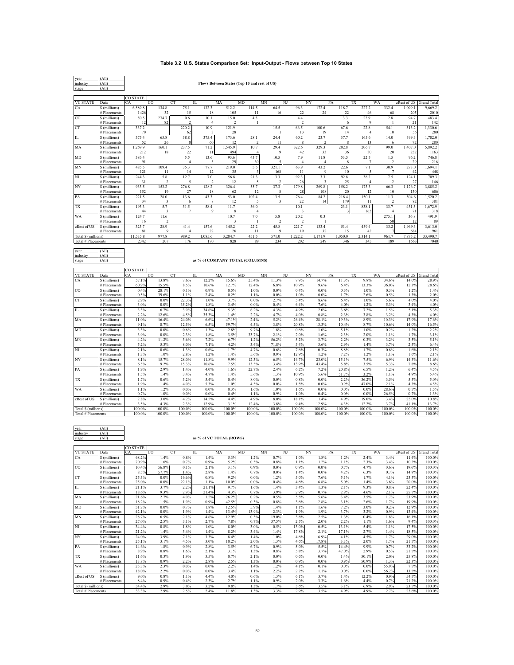## **Table 3.2 U.S. States Comparison Set: Input-Output - Flows** b**etween Top 10 States**

| year                | (AII)                         |                 |               |                   |                         |                         |                                              |                                 |                |                |              |                 |                |                |                         |
|---------------------|-------------------------------|-----------------|---------------|-------------------|-------------------------|-------------------------|----------------------------------------------|---------------------------------|----------------|----------------|--------------|-----------------|----------------|----------------|-------------------------|
| industry            | (AII)                         |                 |               |                   |                         |                         | Flows Between States (Top 10 and rest of US) |                                 |                |                |              |                 |                |                |                         |
| stage               | (AII)                         |                 |               |                   |                         |                         |                                              |                                 |                |                |              |                 |                |                |                         |
|                     |                               |                 |               |                   |                         |                         |                                              |                                 |                |                |              |                 |                |                |                         |
| <b>VC STATE</b>     | Data                          | CO STATE        | CO<br>CT.     | $\Pi$             |                         | MA                      | $\rm MD$<br>MN                               | NJ                              | NY             | PA             | TX           | WA              |                | zRest of US    | <b>Grand Total</b>      |
| CA                  | S (millions)                  | 6,589.8         | 134.8         | 75.1              | 132.3                   | 512.2                   | 114.5                                        | 64.5                            | 96.3           | 172.4          | 118.7        | 227.2           | 332.4          | 1.099.1        | 9,669.2                 |
|                     | # Placements                  | 1426            | 32            | 15                | 18                      | 105                     | 11                                           | 16                              | 22             | 24             | 22           | 46              | 68             | 205            | 2010                    |
| CO                  | \$ (millions)                 | 50.5            | 274.7         | 0.6               | 10.1                    | 15.0                    | 4.5                                          |                                 | 4.4            |                | 3.3          | 22.9            | 2.8            | 94.7           | 483.4                   |
|                     | # Placements                  | 12              | 82            |                   | $\overline{4}$          | 2                       | -1                                           |                                 | 2              |                | 6            | $\mathbf Q$     | 1              | 21             | 142                     |
| <b>CT</b>           | \$ (millions)                 | 337.2           |               | 220.2             | 10.9                    | 121.9                   |                                              | 15.5                            | 66.5           | 100.6          | 67.6         | 22.8            | 54.1           | 313.2          | 1,330.6                 |
|                     | # Placements                  | 70              |               | 62                |                         | 28                      |                                              |                                 | 13             | 19             | 14           | $\overline{4}$  | 10             | 56             | 280                     |
| $\rm IL$            | \$ (millions)                 | 375.4           | 65.8          | 38.8              | 375.4                   | 173.6                   | 28.1                                         | 24.4                            | 60.2           | 23.7           | 37.7         | 165.6           | 14.0           | 399.3          | 1,782.0                 |
|                     | # Placements                  | 52              | 26            |                   | 60                      | 12                      | $\mathfrak{D}$                               | 11                              | 8              | $\mathcal{L}$  | 8            | 13              | 6              | 72             | 280                     |
| MA                  | \$ (millions)                 | 1,269.9         | 160.1         | 237.5             | 71.2                    | 1,545.9                 | 10.7                                         | 29.4                            | 322.6          | 329.3          | 202.8        | 206.7           | 99.0           | 1,407.0        | 5,892.2                 |
|                     | # Placements                  | 212             | 18            | 22                | 11                      | 494                     |                                              | 9                               | 42             | 33             | 36           | 30              | 20             | 232            | 1163                    |
| MD                  | S (millions)                  | 386.4           |               | 5.5               | 13.6                    | 93.6                    | 43.7                                         | 10.5                            | 7.9            | 11.8           | 53.5         | 22.5            | 1.5            | 96.2           | 746.8                   |
|                     | # Placements                  | 91              |               | $\overline{4}$    | $\overline{\mathbf{3}}$ | 29                      | 30                                           | S                               | $\overline{4}$ | $\overline{4}$ | 8            | 7               | $\mathfrak{D}$ | 29             | 216                     |
| <b>MN</b>           | \$ (millions)                 | 485.5           | 109.4         | 35.3              | 77.7                    | 219.0                   | 5.5                                          | 321.1                           | 63.9           | 43.2<br>q      | 22.6         | 7.1             | 30.9           | 273.0          | 1,694.1                 |
|                     | # Placements                  | 121             | 11            | 14                | 12                      | 35                      |                                              | 168                             | 11             |                | 10           | 5               | 7              | 42             | 448                     |
| NJ                  | \$ (millions)                 | 244.3           | 5.8           | 12.7              | 7.0                     | 56.8                    | 21.3                                         | 3.3                             | 92.3           | 3.3            | 92.8         | 38.2            | 7.5            | 124.1          | 709.3                   |
|                     | # Placements                  | 31              |               |                   | $\overline{2}$          | 12                      |                                              |                                 | 26             |                | 25           | $\overline{4}$  | $\overline{2}$ | 27             | 146                     |
| NY                  | \$ (millions)<br># Placements | 933.5<br>152    | 153.2<br>19   | 276.8<br>27       | 128.2<br>18             | 326.4<br>62             | 55.7<br>12                                   | 37.3<br>$\overline{\mathbf{x}}$ | 179.8<br>28    | 269.8<br>108   | 158.2<br>20  | 173.3<br>12     | 66.3<br>10     | 1,126.7<br>130 | 3,885.2<br>606          |
| PA                  | \$ (millions)                 | 221.5           | 28.0          | 13.6              | 43.3                    | 53.0                    | 102.4                                        | 13.5                            | 76.4           | 84.2           | 218.4        | 150.1           | 11.3           | 504.6          | 1.520.2                 |
|                     | # Placements                  | 34              | 3             | 6                 | 8                       | 12                      | $\sim$                                       | 3                               | 22             | 14             | 179          | 11              | 2              | 82             | 381                     |
| TX                  | \$ (millions)                 | 193.3           | 5.7           | 31.5              | 58.4                    | 11.7                    | 36.0                                         |                                 | 10.1           |                | 23.1         | 838.1           | 33.7           | 431.3          | 1,672.9                 |
|                     | # Placements                  | 44              | 3             | $\overline{7}$    | $\overline{9}$          | 8                       | $\overline{4}$                               |                                 | 3              |                |              | 162             |                | 71             | 318                     |
| <b>WA</b>           | \$ (millions)                 | 124.7           | 11.6          |                   |                         | 10.7                    | 7.0                                          | 5.8                             | 20.2           | 0.3            |              |                 | 275.1          | 36.8           | 491.9                   |
|                     | # Placements                  | 16              |               |                   |                         | 3                       |                                              |                                 | $\mathcal{I}$  |                |              |                 | 50             | 12             | 89                      |
| zRest of US         | \$ (millions)                 | 323.7           | 28.9          | 41.4              | 157.6                   | 145.2                   | 22.2                                         | 45.8                            | 221.7          | 133.4          | 51.4         | 439.4           | 33.2           | 1,969.3        | 3,613.0                 |
|                     | # Placements                  | 81              | g             |                   | 22                      | 26                      | 11                                           | 9                               | 19             | 32             | 15           | 42              |                | 684            | 961                     |
| Total \$ (millions) |                               | 11,535.8        | 977.8         | 989.2             | 1,085.6                 | 3.284.7                 | 451.5                                        | 571.0                           | 12222          | 1.171.9        | 1,050.0      | 2,314.1         | 961.7          | 7.875.2        | 33,490.7                |
| Total # Placements  |                               | 234'            | 207           | 176               | 170                     | 825                     | 89                                           | 234                             | 202            | 249            | 340          | 34 <sup>4</sup> | 189            | 166            | 7040                    |
|                     |                               |                 |               |                   |                         |                         |                                              |                                 |                |                |              |                 |                |                |                         |
| year                | (AII)                         |                 |               |                   |                         |                         |                                              |                                 |                |                |              |                 |                |                |                         |
| industry            | (AII)                         |                 |               |                   |                         |                         |                                              |                                 |                |                |              |                 |                |                |                         |
| stage               | (AII)                         |                 |               |                   |                         |                         | as % of COMPANY TOTAL (COLUMNS)              |                                 |                |                |              |                 |                |                |                         |
|                     |                               |                 |               |                   |                         |                         |                                              |                                 |                |                |              |                 |                |                |                         |
|                     |                               | <b>CO STATE</b> |               |                   |                         |                         |                                              |                                 |                |                |              |                 |                |                |                         |
|                     |                               |                 |               |                   |                         |                         |                                              |                                 |                |                |              |                 |                |                |                         |
| <b>VC STATE</b>     | Data                          | CA              | CO            | CT<br>$_{\rm IL}$ |                         | MA                      | MD<br>MN                                     | NJ                              | NY             | PA             | TX           | WA              |                |                | zRest of US Grand Total |
| CA                  | \$ (millions)                 | 57.1%           | 13.8%         | 7.6%              | 12.2%                   | 15.6%                   | 25.4%                                        | 11.3%                           | 7.9%           | 14.7%          | 11.3%        | 9.8%            | 34.6%          | 14.0%          | 28.9%                   |
|                     | # Placements                  | 60.9%           | 15.5%         | 8.5%              | 10.6%                   | 12.7%                   | 12.4%                                        | 6.8%                            | 10.9%          | 9.6%           | 6.4%         | 13.3%           | 36.0%          | 12.3%          | 28.6%                   |
| CO                  | \$ (millions)                 | 0.4%            | 28.1%         | 0.1%              | 0.9%                    | 0.5%                    | 1.0%                                         | $0.0\%$                         | 0.4%           | 0.0%           | 0.3%         | 1.0%            | 0.3%           | 1.2%           | 1.4%                    |
|                     | # Placements                  | 0.5%            | 39.6%         | 1.1%              | 2.4%                    | 0.2%                    | 1.1%                                         | $0.0\%$                         | 1.0%           | 0.0%           | 1.7%         | 2.6%            | 0.5%           | 1.3%           | 2.0%                    |
| CT                  | \$ (millions)                 | 2.9%            | $0.0\%$       | 22.3%             | 1.0%                    | 3.7%                    | 0.0%                                         | 2.7%                            | 5.4%           | 8.6%           | 6.4%         | 1.0%            | 5.6%           | 4.0%           | 4.0%                    |
|                     | # Placements                  | 3.0%            | $0.0\%$       | 35.2%             | 1.8%                    | 3.4%                    | 0.0%                                         | 0.4%                            | 6.4%           | 7.6%           | 4.0%         | 1.2%            | 5.3%           | 3.4%           | 4.0%                    |
| $\rm IL$            | \$ (millions)                 | 3.3%            | 6.7%          | 3.9%              | 34.6%                   | 5.3%                    | 6.2%                                         | 4.3%                            | 4.9%           | 2.0%           | 3.6%         | 7.2%            | 1.5%           | 5.1%           | 5.3%                    |
|                     | # Placements                  | 2.2%            | 12.6%         | 4.5%              | 35.3%                   | 1.4%                    | 2.2%                                         | 4.7%                            | 4.0%           | 0.8%           | 2.3%         | 3.8%            | 3.2%           | 4.3%           | 4.0%                    |
| MA                  | \$ (millions)                 | 11.0%           | 16.4%         | 24.0%             | 6.6%                    | 47.1%                   | 2.4%                                         | 5.2%                            | 26.4%          | 28.1%          | 19.3%        | 8.9%            | 10.3%          | 17.9%          | 17.6%                   |
|                     | # Placements                  | 9.1%            | 8.7%          | 12.5%             | 6.5%                    | 59.7%                   | 4.5%                                         | 3.8%                            | 20.8%          | 13.3%          | 10.4%        | 8.7%            | 10.6%          | 14.0%          | 16.5%                   |
| MD                  | \$ (millions)                 | 3.3%<br>3.9%    | 0.0%<br>0.0%  | 0.6%<br>2.3%      | 1.3%                    | 2.8%<br>3.5%            | 9.7%<br>33.7%                                | 1.8%                            | 0.6%<br>2.0%   | 1.0%<br>1.6%   | 5.1%<br>2.3% | 1.0%<br>2.0%    | 0.2%<br>1.1%   | 1.2%<br>1.7%   | 2.2%                    |
|                     | # Placements                  |                 |               |                   | 1.8%                    |                         |                                              | 2.1%                            |                |                |              |                 |                |                | 3.1%                    |
| MN                  | \$ (millions)                 | 4.2%<br>5.2%    | 11.2%<br>5.3% | 3.6%<br>8.0%      | 7.2%<br>7.1%            | 6.7%<br>4.2%            | 1.2%<br>3.4%                                 | 56.2%<br>71.8%                  | 5.2%<br>5.4%   | 3.7%<br>3.6%   | 2.2%<br>2.9% | 0.3%<br>1.4%    | 3.2%<br>3.7%   | 3.5%<br>2.5%   | 5.1%                    |
| NJ                  | # Placements<br>\$ (millions) | 2.1%            | 0.6%          | 1.3%              | 0.6%                    | 1.7%                    | 4.7%                                         | 0.6%                            | 7.6%           | 0.3%           | 8.8%         | 1.7%            | 0.8%           | 1.6%           | 6.4%<br>2.1%            |
|                     | # Placements                  | 1.3%            | 1.0%          | 2.8%              | 1.2%                    | 1.4%                    | 5.6%                                         | 0.9%                            | 12.9%          | 1.2%           | 7.2%         | 1.2%            | 1.1%           | 1.6%           | 2.1%                    |
| NY                  | \$ (millions)                 | 8.1%            | 15.7%         | 28.0%             | 11.8%                   | 9.9%                    | 12.3%                                        | 6.5%                            | 14.7%          | 23.0%          | 15.1%        | 7.5%            | 6.9%           | 14.3%          | 11.6%                   |
|                     | # Placements                  | 6.5%            | 9.2%          | 15.3%             | 10.6%                   | 7.5%                    | 13.5%                                        | 3.4%                            | 13.9%          | 43.4%          | 5.8%         | 3.5%            | 5.3%           | 7.8%           | 8.6%                    |
| PA                  | \$ (millions)                 | 1.9%            | 2.9%          | 1.4%              | 4.0%                    | 1.6%                    | 22.7%                                        | 2.4%                            | 6.2%           | 7.29           | 20.8%        | $6.5\%$         | 1.2%           | 6.4%           | 4.5%                    |
|                     | # Placements                  | 1.5%            | 1.4%          | 3.4%              | 4.7%                    | 1.4%                    | 5.6%                                         | 1.3%                            | 10.9%          | 5.6%           | 51.7%        | 3.2%            | 1.1%           | 4.9%           | 5.4%                    |
| <b>TX</b>           | \$ (millions)                 | 1.7%            | 0.6%          | 3.2%              | 5.4%                    | 0.4%                    | 8.0%                                         | $0.0\%$                         | 0.8%           | 0.0%           | 2.2%         | 36.2%           | 3.5%           | 5.5%           | 5.0%                    |
|                     | # Placements                  | 1.9%            | 1.4%          | 4.0%              | 5.3%                    | 1.0%                    | 4.5%                                         | 0.0%                            | 1.5%           | 0.0%           | 0.9%         | 47.0%           | 2.1%           | 4.3%           | 4.5%                    |
| <b>WA</b>           | \$ (millions)                 | 1.1%            | 1.2%          | 0.0%              | $0.0\%$                 | 0.3%                    | 1.6%                                         | 1.0%                            | 1.6%           | 0.0%           | $0.0\%$      | $0.0\%$         | 28.6%          | 0.5%           | 1.5%                    |
|                     | # Placements                  | 0.7%            | 1.0%          | 0.0%              | $0.0\%$                 | 0.4%                    | 1.1%                                         | 0.9%                            | 1.0%           | 0.4%           | $0.0\%$      | 0.0%            | 26.5%          | 0.7%           | 1.3%                    |
| zRest of US         | \$ (millions)                 | 2.8%            | 3.0%          | 4.2%              | 14.5%                   | 4.4%                    | 4.9%                                         | 8.0%                            | 18.1%          | 11.4%          | 4.9%         | 19.0%           | 3.4%           | 25.0%          | 10.8%                   |
|                     | # Placements                  | 3.5%            | 4.3%          | 2.3%              | 12.9%                   | 3.1%                    | 12.4%                                        | 3.8%                            | 9.4%           | 12.9%          | 4.3%         | 12.2%           | 3.7%           | 41.1%          | 13.7%                   |
| Total \$ (millions) |                               | 100.0%          | 100.0%        | 100.0%            | 100.0%                  | 100.0%                  | 100.0%                                       | 100.0%                          | 100.0%         | 100.0%         | 100.0%       | 100.0%          | 100.0%         | 100.0%         | 100.0%                  |
| Total # Placements  |                               | 100.0%          | 100.0%        | 100.0%            | 100.0%                  | 100.0%                  | 100.0%                                       | 100.0%                          | 100.0%         | 100.0%         | 100.0%       | 100.0%          | 100.0%         | 100.0%         | 100.0%                  |
|                     |                               |                 |               |                   |                         |                         |                                              |                                 |                |                |              |                 |                |                |                         |
|                     |                               |                 |               |                   |                         |                         |                                              |                                 |                |                |              |                 |                |                |                         |
| year                | (AII)                         |                 |               |                   |                         |                         |                                              |                                 |                |                |              |                 |                |                |                         |
| industry            | (AII)                         |                 |               |                   |                         |                         |                                              |                                 |                |                |              |                 |                |                |                         |
| stage               | (AII)                         |                 |               |                   |                         | as % of VC TOTAL (ROWS) |                                              |                                 |                |                |              |                 |                |                |                         |
|                     |                               | <b>CO STATE</b> |               |                   |                         |                         |                                              |                                 |                |                |              |                 |                |                |                         |
| VC STATE            | Data                          | CА              | $\cap$        | CT<br>IL          |                         | MA                      | MD<br><b>MN</b>                              | NJ                              | NY             | PA             | TX           | WA              |                | zRest of US    | <b>Grand Total</b>      |
| CA                  | S (millions)                  | 68.2%           | 1.4%          | 0.8%              | 1.4%                    | 5.3%                    | 1.2%                                         | 0.7%                            | 1.0%           | 1.8%           | 1.2%         | 2.4%            | 3.4%           | 11.4%          | 100.0%                  |
|                     | # Placements                  | 70.9%           | 1.6%          | 0.7%              | 0.9%                    | 5.2%                    | 0.5%                                         | 0.8%                            | 1.1%           | 1.2%           | 1.1%         | 2.3%            | 3.4%           | 10.2%          | 100.0%                  |
| $_{\rm CO}$         | \$ (millions)                 | 10.4%           | 56.8%         | 0.1%              | 2.1%                    | 3.1%                    | 0.9%                                         | $0.0\%$                         | 0.9%           | 0.0%           | 0.7%         | 4.7%            | 0.6%           | 19.6%          | 100.0%                  |
|                     | # Placements                  | 8.5%            | 57.7%         | 1.4%              | 2.8%                    | 1.4%                    | 0.7%                                         | 0.0%                            | 1.4%           | 0.0%           | 4.2%         | 6.3%            | 0.7%           | 14.8%          | 100.0%                  |

| <b>CO</b>           | \$ (millions) | 10.4% | 56.8% | 0.1%    | 2.1%    | 3.1%  | 0.9%  | 0.0%    | 0.9%  | 0.0%  | 0.7%    | 4.7%    | 0.6%  | 19.6% | 100.0% |
|---------------------|---------------|-------|-------|---------|---------|-------|-------|---------|-------|-------|---------|---------|-------|-------|--------|
|                     | # Placements  | 8.5%  | 57.7% | 1.4%    | 2.8%    | 1.4%  | 0.7%  | $0.0\%$ | 1.4%  | 0.0%  | 4.2%    | 6.3%    | 0.7%  | 14.8% | 100.0% |
| <b>CT</b>           | \$ (millions) | 25.3% | 0.0%  | 16.6%   | 0.8%    | 9.2%  | 0.0%  | 1.2%    | 5.0%  | 7.6%  | 5.1%    | 1.7%    | 4.1%  | 23.5% | 100.0% |
|                     | # Placements  | 25.0% | 0.0%  | 22.1%   | 1.1%    | 10.0% | 0.0%  | 0.4%    | 4.6%  | 6.8%  | 5.0%    | 1.4%    | 3.6%  | 20.0% | 100.0% |
| IL                  | \$ (millions) | 21.1% | 3.7%  | 2.2%    | 21.1%   | 9.7%  | 1.6%  | 1.4%    | 3.4%  | 1.3%  | 2.1%    | 9.3%    | 0.8%  | 22.4% | 100.0% |
|                     | # Placements  | 18.6% | 9.3%  | 2.9%    | 21.4%   | 4.3%  | 0.7%  | 3.9%    | 2.9%  | 0.7%  | 2.9%    | 4.6%    | 2.1%  | 25.7% | 100.0% |
| MA                  | \$ (millions) | 21.6% | 2.7%  | 4.0%    | 1.2%    | 26.2% | 0.2%  | 0.5%    | 5.5%  | 5.6%  | 3.4%    | 3.5%    | 1.7%  | 23.9% | 100.0% |
|                     | # Placements  | 18.2% | 1.5%  | 1.9%    | 0.9%    | 42.5% | 0.3%  | 0.8%    | 3.6%  | 2.8%  | 3.1%    | 2.6%    | 1.7%  | 19.9% | 100.0% |
| <b>MD</b>           | \$ (millions) | 51.7% | 0.0%  | 0.7%    | 1.8%    | 12.5% | 5.9%  | 1.4%    | 1.1%  | 1.6%  | 7.2%    | 3.0%    | 0.2%  | 12.9% | 100.0% |
|                     | # Placements  | 42.1% | 0.0%  | 1.9%    | 1.4%    | 13.4% | 13.9% | 2.3%    | 1.9%  | 1.9%  | 3.7%    | 3.2%    | 0.9%  | 13.4% | 100.0% |
| <b>MN</b>           | \$ (millions) | 28.7% | 6.5%  | 2.1%    | 4.6%    | 12.9% | 0.3%  | 19.0%   | 3.8%  | 2.5%  | 1.3%    | 0.4%    | 1.8%  | 16.1% | 100.0% |
|                     | # Placements  | 27.0% | 2.5%  | 3.1%    | 2.7%    | 7.8%  | 0.7%  | 37.5%   | 2.5%  | 2.0%  | 2.2%    | 1.1%    | 1.6%  | 9.4%  | 100.0% |
| NJ                  | \$ (millions) | 34.4% | 0.8%  | 1.8%    | 1.0%    | 8.0%  | 3.0%  | 0.5%    | 13.0% | 0.5%  | 13.1%   | 5.4%    | 1.1%  | 17.5% | 100.0% |
|                     | # Placements  | 21.2% | 1.4%  | 3.4%    | 1.4%    | 8.2%  | 3.4%  | 1.4%    | 17.8% | 2.1%  | 17.1%   | 2.7%    | 1.4%  | 18.5% | 100.0% |
| <b>NY</b>           | \$ (millions) | 24.0% | 3.9%  | 7.1%    | 3.3%    | 8.4%  | 1.4%  | 1.0%    | 4.6%  | 6.9%  | 4.1%    | 4.5%    | 1.7%  | 29.0% | 100.0% |
|                     | # Placements  | 25.1% | 3.1%  | 4.5%    | 3.0%    | 10.2% | 2.0%  | 1.3%    | 4.6%  | 17.8% | 3.3%    | 2.0%    | 1.7%  | 21.5% | 100.0% |
| PA                  | \$ (millions) | 14.6% | 1.8%  | 0.9%    | 2.8%    | 3.5%  | 6.7%  | 0.9%    | 5.0%  | 5.5%  | 14.4%   | 9.9%    | 0.7%  | 33.2% | 100.0% |
|                     | # Placements  | 8.9%  | 0.8%  | 1.6%    | 2.1%    | 3.1%  | 1.3%  | 0.8%    | 5.8%  | 3.7%  | 47.0%   | 2.9%    | 0.5%  | 21.5% | 100.0% |
| <b>TX</b>           | \$ (millions) | 11.6% | 0.3%  | 1.9%    | 3.5%    | 0.7%  | 2.1%  | $0.0\%$ | 0.6%  | 0.0%  | 1.4%    | 50.1%   | 2.0%  | 25.8% | 100.0% |
|                     | # Placements  | 13.8% | 0.9%  | 2.2%    | 2.8%    | 2.5%  | 1.3%  | $0.0\%$ | 0.9%  | 0.0%  | 0.9%    | 50.9%   | 1.3%  | 22.3% | 100.0% |
| <b>WA</b>           | \$ (millions) | 25.3% | 2.3%  | $0.0\%$ | $0.0\%$ | 2.2%  | 1.4%  | 1.2%    | 4.1%  | 0.1%  | $0.0\%$ | 0.0%    | 55.9% | 7.5%  | 100.0% |
|                     | # Placements  | 18.0% | 2.2%  | $0.0\%$ | $0.0\%$ | 3.4%  | 1.1%  | 2.2%    | 2.2%  | 1.1%  | $0.0\%$ | $0.0\%$ | 56.2% | 13.5% | 100.0% |
| zRest of US         | \$ (millions) | 9.0%  | 0.8%  | 1.1%    | 4.4%    | 4.0%  | 0.6%  | 1.3%    | 6.1%  | 3.7%  | 1.4%    | 12.2%   | 0.9%  | 54.5% | 100.0% |
|                     | # Placements  | 8.4%  | 0.9%  | 0.4%    | 2.3%    | 2.7%  | 1.1%  | 0.9%    | 2.0%  | 3.3%  | 1.6%    | 4.4%    | 0.7%  | 71.2% | 100.0% |
| Total \$ (millions) |               | 34.4% | 2.9%  | 3.0%    | 3.2%    | 9.8%  | 1.3%  | 1.7%    | 3.6%  | 3.5%  | 3.1%    | 6.9%    | 2.9%  | 23.5% | 100.0% |
| Total # Placements  |               | 33.3% | 2.9%  | 2.5%    | 2.4%    | 11.8% | 1.3%  | 3.3%    | 2.9%  | 3.5%  | 4.9%    | 4.9%    | 2.7%  | 23.6% | 100.0% |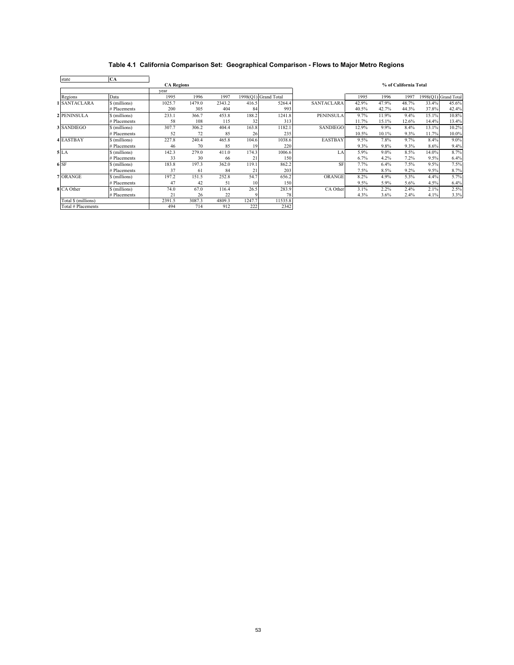# **Table 4.1 California Comparison Set: Geographical Comparison - Flows to Major Metro Regions**

| state               | CA            |                   |        |        |        |                      |                   |       |         |                       |       |                      |
|---------------------|---------------|-------------------|--------|--------|--------|----------------------|-------------------|-------|---------|-----------------------|-------|----------------------|
|                     |               | <b>CA Regions</b> |        |        |        |                      |                   |       |         | % of California Total |       |                      |
|                     |               | vear              |        |        |        |                      |                   |       |         |                       |       |                      |
| Regions             | Data          | 1995              | 1996   | 1997   |        | 1998(Q1) Grand Total |                   | 1995  | 1996    | 1997                  |       | 1998(Q1) Grand Total |
| 1 SANTACLARA        | \$ (millions) | 1025.7            | 1479.0 | 2343.2 | 416.5  | 5264.4               | <b>SANTACLARA</b> | 42.9% | 47.9%   | 48.7%                 | 33.4% | 45.6%                |
|                     | # Placements  | 200               | 305    | 404    | 84     | 993                  |                   | 40.5% | 42.7%   | 44.3%                 | 37.8% | 42.4%                |
| 2 PENINSULA         | \$(millions)  | 233.1             | 366.7  | 453.8  | 188.2  | 1241.8               | <b>PENINSULA</b>  | 9.7%  | 11.9%   | 9.4%                  | 15.1% | 10.8%                |
|                     | # Placements  | 58                | 108    | 115    | 32     | 313                  |                   | 11.7% | 15.1%   | 12.6%                 | 14.4% | 13.4%                |
| 3 SANDIEGO          | \$ (millions) | 307.7             | 306.2  | 404.4  | 163.8  | 1182.1               | SANDIEGO          | 12.9% | 9.9%    | 8.4%                  | 13.1% | 10.2%                |
|                     | # Placements  | 52                | 72     | 85     | 26     | 235                  |                   | 10.5% | 10.1%   | 9.3%                  | 11.7% | 10.0%                |
| <b>4 EASTBAY</b>    | \$(millions)  | 227.8             | 240.4  | 465.8  | 104.6  | 1038.6               | <b>EASTBAY</b>    | 9.5%  | 7.8%    | 9.7%                  | 8.4%  | 9.0%                 |
|                     | # Placements  | 46                | 70     | 85     | 19     | 220                  |                   | 9.3%  | 9.8%    | 9.3%                  | 8.6%  | 9.4%                 |
| 5LA                 | § (millions)  | 142.3             | 279.0  | 411.0  | 174.3  | 1006.6               | LA                | 5.9%  | $9.0\%$ | 8.5%                  | 14.0% | 8.7%                 |
|                     | # Placements  | 33                | 30     | 66     | 21     | 150                  |                   | 6.7%  | 4.2%    | 7.2%                  | 9.5%  | 6.4%                 |
| $6$ SF              | \$ (millions) | 183.8             | 197.3  | 362.0  | 119.1  | 862.2                | <b>SF</b>         | 7.7%  | 6.4%    | 7.5%                  | 9.5%  | 7.5%                 |
|                     | # Placements  | 37                | 61     | 84     | 21     | 203                  |                   | 7.5%  | 8.5%    | 9.2%                  | 9.5%  | 8.7%                 |
| 7 ORANGE            | \$(millions)  | 197.2             | 151.5  | 252.8  | 54.7   | 656.2                | <b>ORANGE</b>     | 8.2%  | 4.9%    | 5.3%                  | 4.4%  | 5.7%                 |
|                     | # Placements  | 47                | 42     | 51     | 10     | 150                  |                   | 9.5%  | 5.9%    | 5.6%                  | 4.5%  | 6.4%                 |
| 8 CA Other          | \$(millions)  | 74.0              | 67.0   | 116.4  | 26.5   | 283.9                | CA Other          | 3.1%  | 2.2%    | 2.4%                  | 2.1%  | 2.5%                 |
|                     | # Placements  | 21                | 26     | 22     | q      | 78                   |                   | 4.3%  | 3.6%    | 2.4%                  | 4.1%  | 3.3%                 |
| Total \$ (millions) |               | 2391.5            | 3087.3 | 4809.3 | 1247.7 | 11535.8              |                   |       |         |                       |       |                      |
| Total # Placements  |               | 494               | 714    | 912    | 222    | 2342                 |                   |       |         |                       |       |                      |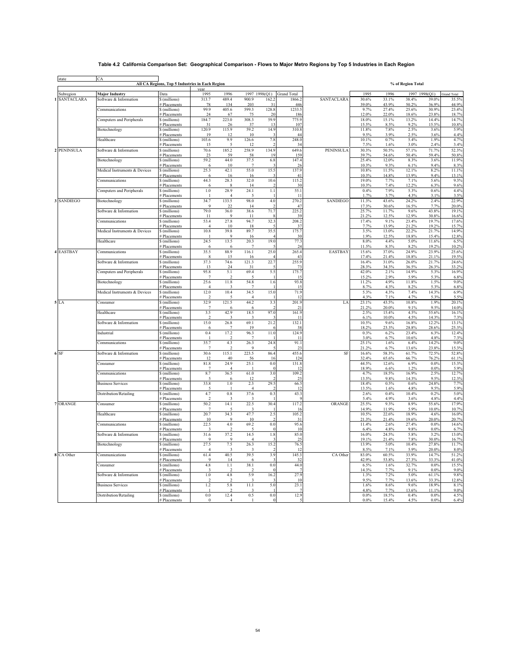## **Table 4.2 California Comparison Set: Geographical Comparison - Flows to Major Metro Regions by Top 5 Industries in Each Region**

 $\overline{\phantom{0}}$ 

| state        |                               | All CA Regions, Top 5 Industries in Each Region |                         |                        |                                 |                                   |                           |                  |                |                | % of Region Total |                       |                    |
|--------------|-------------------------------|-------------------------------------------------|-------------------------|------------------------|---------------------------------|-----------------------------------|---------------------------|------------------|----------------|----------------|-------------------|-----------------------|--------------------|
| Subregion    | <b>Major Industry</b>         | Data                                            | 1995                    | 1996                   |                                 |                                   | 1997 1998(Q1) Grand Total |                  | 1995           | 1996           | 1997              | 1998(Q1)              | <b>Grand Total</b> |
| 1 SANTACLARA | Software & Information        | \$(millions)                                    | 313.7                   | 489.4                  | 900.9                           | 162.2                             | 1866.2                    | SANTACLARA       | 30.6%          | 33.1%          | 38.4%             | 39.0%                 | 35.5%              |
|              | Communications                | # Placements<br>\$ (millions)                   | 78<br>99.9              | 134<br>405.6           | 203<br>599.3                    | 31<br>128.8                       | 446<br>1233.5             |                  | 39.0%<br>9.7%  | 43.9%<br>27.4% | 50.2%<br>25.6%    | 36.9%<br>30.9%        | 44.9%<br>23.4%     |
|              |                               | # Placements<br>\$ (millions)                   | 24<br>184.7             | 67<br>223.0            | 75<br>308.3                     | 20<br>59.9                        | 186<br>775.9              |                  | 12.0%<br>18.0% | 22.0%<br>15.1% | 18.6%<br>13.2%    | 23.8%<br>14.4%        | 18.7%<br>14.7%     |
|              | Computers and Peripherals     | # Placements                                    | 31                      | 26                     | 37                              | 13                                | 107                       |                  | 15.5%          | 8.5%           | 9.2%              | 15.5%                 | 10.8%              |
|              | Biotechnology                 | \$ (millions)                                   | 120.9                   | 115.9                  | 59.2                            | 14.9                              | 310.8<br>44               |                  | 11.8%          | 7.8%           | 2.5%              | 3.6%                  | 5.9%               |
|              | Healthcare                    | # Placements<br>\$ (millions)                   | 19<br>103.6             | 12<br>9.9              | -10<br>126.6                    | $7.8\,$                           | 248.0                     |                  | 9.5%<br>10.1%  | 3.9%<br>0.7%   | 2.5%<br>5.4%      | 3.6%<br>1.9%          | 4.4%<br>4.7%       |
| 2 PENINSULA  |                               | # Placements                                    | 15                      | 5<br>185.2             | 12<br>258.9                     | $\overline{\phantom{a}}$<br>134.9 | 34                        | <b>PENINSULA</b> | 7.5%<br>30.3%  | 1.6%<br>50.5%  | 3.0%<br>57.1%     | 2.4%<br>71.7%         | 3.4%               |
|              | Software & Information        | \$ (millions)<br># Placements                   | 70.6<br>23              | 59                     | 58                              | 1 <b>g</b>                        | 649.6<br>159              |                  | 39.7%          | 54.6%          | 50.4%             | 59.4%                 | 52.3%<br>50.8%     |
|              | Biotechnology                 | \$ (millions)<br># Placements                   | 59.2<br>6               | 44.0<br>10             | 37.5<br>-7                      | 6.8                               | 147.4<br>-26              |                  | 25.4%<br>10.3% | 12.0%<br>9.3%  | 8.3%<br>6.1%      | 3.6%<br>9.4%          | 11.9%<br>8.3%      |
|              | Medical Instruments & Devices | \$ (millions)                                   | 25.3                    | 42.1                   | 55.0                            | 15.5                              | 137.9                     |                  | 10.8%          | 11.5%          | 12.1%             | 8.2%                  | 11.1%              |
|              | Communications                | # Placements<br>\$ (millions)                   | 6<br>44.3               | 16<br>28.3             | -16<br>32.0                     | 10.6                              | $\overline{4}$<br>115.2   |                  | 10.3%<br>19.0% | 14.8%<br>7.7%  | 13.9%<br>7.1%     | 9.4%<br>5.6%          | 13.1%<br>9.3%      |
|              |                               | # Placements                                    | 6                       | 8                      | 14                              |                                   | 30                        |                  | 10.3%          | 7.4%           | 12.2%             | 6.3%                  | 9.6%               |
|              | Computers and Peripherals     | \$ (millions)<br># Placements                   | $1.0\,$<br>$\mathbf{1}$ | 28.9<br>$\overline{4}$ | 24.1<br>$\leq$                  | 1.1                               | 55.1<br>$\Box$            |                  | 0.4%<br>1.7%   | 7.9%<br>3.7%   | 5.3%<br>4.3%      | $0.6^{\circ}$<br>3.1% | 4.4%<br>3.5%       |
| 3 SANDIEGO   | Biotechnology                 | \$ (millions)                                   | 34.7                    | 133.5                  | 98.0                            | 4.0                               | 270.2                     | <b>SANDIEGO</b>  | 11.3%          | 43.6%          | 24.2%             | 2.4%                  | 22.9%              |
|              | Software & Information        | # Placements<br>\$ (millions)                   | g<br>79.0               | 22<br>36.0             | 14<br>38.6                      | 71.7                              | 47<br>225.2               |                  | 17.3%<br>25.7% | 30.6%<br>11.7% | 16.5%<br>9.6%     | 7.7%<br>43.8%         | 20.0%<br>19.1%     |
|              |                               | # Placements                                    | $^{11}$                 | 9                      | -11                             |                                   | 39                        |                  | 21.2%          | 12.5%          | 12.9%             | 30.8%                 | 16.6%              |
|              | Communications                | \$ (millions)<br># Placements                   | 53.4<br>$\overline{4}$  | 27.8<br>10             | 94.7<br>18                      | 32.3                              | 208.2<br>-37              |                  | 17.4%<br>7.7%  | 9.1%<br>13.9%  | 23.4%<br>21.2%    | 19.7%<br>19.2%        | 17.6%<br>15.7%     |
|              | Medical Instruments & Devices | \$ (millions)                                   | 10.8                    | 39.8                   | 89.7                            | 35.5                              | 175.7                     |                  | 3.5%           | 13.0%          | 22.2%             | 21.7%                 | 14.9%              |
|              | Healthcare                    | # Placements<br>\$ (millions)                   | 24.5                    | 13.5                   | 16<br>20.3                      | 19.0                              | 30<br>77.3                |                  | 1.9%<br>8.0%   | 12.5%<br>4.4%  | 18.8%<br>5.0%     | 15.4%<br>11.6%        | 12.8%<br>6.5%      |
|              |                               | # Placements                                    | 6                       | -6                     | $\overline{7}$                  |                                   | 24                        |                  | 11.5%          | 8.3%           | 8.2%              | 19.2%                 | 10.2%              |
| 4 EASTBAY    | Communications                | \$ (millions)<br># Placements                   | 35.5<br>8               | 88.9<br>15             | 116.1<br>16                     | 25.0<br>$\boldsymbol{\Delta}$     | 265.4<br>43               | <b>EASTBAY</b>   | 15.6%<br>17.4% | 37.0%<br>21.4% | 24.9%<br>18.8%    | 23.9%<br>21.1%        | 25.6%<br>19.5%     |
|              | Software & Information        | \$ (millions)                                   | 37.3                    | 74.6                   | 121.3                           | 22.7                              | 255.9                     |                  | 16.4%          | 31.0%          | 26.0%             | 21.7%                 | 24.6%              |
|              | Computers and Peripherals     | # Placements<br>\$ (millions)                   | 13<br>95.8              | 24<br>5.1              | 31<br>69.4                      | 5.5                               | 73<br>175.7               |                  | 28.3%<br>42.0% | 34.3%<br>2.1%  | 36.5%<br>14.9%    | 26.3%<br>5.3%         | 33.2%<br>16.9%     |
|              |                               | # Placements                                    |                         | $\mathcal{I}$          |                                 |                                   | 15                        |                  | 15.2%          | 2.9%           | 5.9%              | 5.3%                  | 6.8%               |
|              | Biotechnology                 | \$ (millions)<br><b>Placements</b>              | 25.6                    | 11.8                   | 54.8                            | 1.6                               | 93.8<br>11                |                  | 11.2%<br>8.7%  | 4.9%<br>4.3%   | 11.8%<br>8.2%     | 1.5%<br>5.3%          | 9.0%<br>6.8%       |
|              | Medical Instruments & Devices | \$ (millions)                                   | 12.0                    | 10.4                   | 34.5                            | 15.0                              | 71.9                      |                  | 5.3%           | 4.3%           | 7.4%              | 14.3%                 | 6.9%               |
| 5LA          | Consumer                      | # Placements<br>\$ (millions)                   | 32.9                    | 5<br>121.5             | $\overline{4}$<br>44.2          | 3.3                               | 12<br>201.9               | LA               | 4.3%<br>23.1%  | 7.1%<br>43.5%  | 4.7%<br>10.8%     | 5.3%<br>1.9%          | 5.5%<br>20.1%      |
|              |                               | # Placements                                    |                         |                        | -6                              |                                   | 2                         |                  | 21.2%          | 20.0%          | 9.1%              | 9.5%                  | 14.0%              |
|              | Healthcare                    | \$ (millions)<br># Placements                   | 3.5                     | 42.9                   | 18.5                            | 97.0                              | 161.9<br>$\mathbf{I}$     |                  | 2.5%<br>6.1%   | 15.4%<br>10.0% | 4.5%<br>4.5%      | 55.6%<br>14.3%        | 16.1%<br>7.3%      |
|              | Software & Information        | \$ (millions)                                   | 15.0                    | 26.8                   | 69.1                            | 21.2                              | 132.1                     |                  | 10.5%          | 9.6%           | 16.8%             | 12.2%                 | 13.1%              |
|              | Industrial                    | # Placements<br>S (millions)                    | 0.4                     | 17.2                   | 19<br>96.3                      | 11.0                              | 38<br>124.9               |                  | 18.2%<br>0.3%  | 23.3%<br>6.2%  | 28.8%<br>23.4%    | 28.6%<br>6.3%         | 25.3%<br>12.4%     |
|              | Communications                | # Placements                                    | 35.7                    | 4.3                    | 26.3                            | 24.8                              | $\mathbf{I}$<br>91.1      |                  | 3.0%<br>25.1%  | 6.7%<br>1.6%   | 10.6%<br>6.4%     | 4.8%<br>14.2%         | 7.3%<br>9.0%       |
|              |                               | \$ (millions)<br># Placements                   |                         |                        | 9                               |                                   | 23                        |                  | 21.2%          | 6.7%           | 13.6%             | 23.8%                 | 15.3%              |
| $6S$ F       | Software & Information        | \$ (millions)                                   | 30.6<br>12              | 115.1<br>40            | 223.5<br>56                     | 86.4<br>16                        | 455.6<br>124              | SF               | 16.6%<br>32.4% | 58.3%<br>65.6% | 61.7%<br>66.7%    | 72.5%<br>76.2%        | 52.8%<br>61.1%     |
|              | Consumer                      | # Placements<br>\$ (millions)                   | 81.8                    | 24.9                   | 25.1                            | 0.0                               | 131.8                     |                  | 44.5%          | 12.6%          | 6.9%              | 0.0%                  | 15.3%              |
|              | Communications                | # Placements<br>\$ (millions)                   | $\overline{7}$<br>8.7   | $\overline{4}$<br>36.5 | 61.0                            | $\Omega$<br>3.0                   | -12<br>109.2              |                  | 18.9%<br>4.7%  | 6.6%<br>18.5%  | 1.2%<br>16.9%     | 0.0%<br>2.5%          | 5.9%<br>12.7%      |
|              |                               | # Placements                                    |                         | 6                      | 12                              |                                   | 2:                        |                  | 13.5%          | 9.8%           | 14.3%             | 9.5%                  | 12.3%              |
|              | <b>Business Services</b>      | \$(millions)<br># Placements                    | 33.8                    | 1.0                    | 2.3<br>$\Delta$                 | 29.5                              | 66.5<br>-12               |                  | 18.4%<br>13.5% | 0.5%<br>1.6%   | 0.6%<br>4.8%      | 24.8%<br>9.5%         | 7.7%<br>5.9%       |
|              | Distribution/Retailing        | S (millions)                                    | 4.7                     | 0.8                    | 37.6                            | 0.3                               | 43.3                      |                  | 2.6%           | 0.4%           | 10.4%             | 0.2%                  | 5.0%               |
| 7 ORANGE     | Consumer                      | # Placements<br>\$ (millions)                   | $\mathcal{I}$<br>50.2   | 3<br>14.1              | 3<br>22.5                       | 30.4                              | 117.2                     | ORANGE           | 5.4%<br>25.5%  | 4.9%<br>9.3%   | 3.6%<br>8.9%      | 4.8%<br>55.6%         | 4.4%<br>17.9%      |
|              |                               | # Placements                                    | $\overline{7}$          |                        | 3                               |                                   | 16                        |                  | 14.9%          | 11.9%          | 5.9%              | 10.0%                 | 10.7%              |
|              | Healthcare                    | \$ (millions)<br># Placements                   | 20.7<br>10              | 34.3<br>9              | 47.7<br>10                      | 2.5                               | 105.2<br>31               |                  | 10.5%<br>21.3% | 22.6%<br>21.4% | 18.9%<br>19.6%    | 4.6%<br>20.0%         | 16.0%<br>20.7%     |
|              | Communications                | \$ (millions)                                   | 22.5                    | 4.0                    | 69.2                            | 0.0                               | 95.6                      |                  | 11.4%          | 2.6%           | 27.4%             | 0.0%                  | 14.6%              |
|              | Software & Information        | # Placements<br>\$ (millions)                   | 3<br>31.6               | 37.2                   | 14.5                            | -0<br>$1.8\,$                     | -10<br>85.0               |                  | 6.4%<br>16.0%  | 4.8%<br>24.5%  | 9.8%<br>5.8%      | 0.0%<br>3.2%          | 6.7%<br>13.0%      |
|              |                               | # Placements                                    | $\mathbf Q$             | $\mathbf{Q}$           | $\boldsymbol{\Delta}$           |                                   | 25                        |                  | 19.1%          | 21.4%          | 7.8%              | 30.0%                 | 16.7%              |
|              | Biotechnology                 | \$ (millions)<br># Placements                   | 27.5<br>$\overline{4}$  | 7.5<br>-3              | 26.3<br>$\overline{\mathbf{3}}$ | 15.2                              | 76.5<br>12                |                  | 13.9%<br>8.5%  | 5.0%<br>7.1%   | 10.4%<br>5.9%     | 27.8%<br>20.0%        | 11.7%<br>8.0%      |
| 8 CA Other   | Communications                | \$ (millions)                                   | 61.4                    | 40.5                   | 39.5                            | 3.9                               | 145.3                     | CA Other         | 83.0%          | 60.5%          | 33.9%             | 14.7%                 | 51.2%              |
|              | Consumer                      | # Placements<br>\$ (millions)                   | 9<br>$4.8\,$            | 14<br>$1.1\,$          | -6<br>38.1                      | $0.0\,$                           | -32<br>44.0               |                  | 42.9%<br>6.5%  | 53.8%<br>1.6%  | 27.3%<br>32.7%    | 33.3%<br>0.0%         | 41.0%<br>15.5%     |
|              |                               | # Placements                                    |                         |                        |                                 |                                   |                           |                  | 14.3%          | 7.7%           | 9.1%              | 0.0%                  | 9.0%               |
|              | Software & Information        | \$ (millions)<br># Placements                   | $1.0\,$                 | 4.8                    | 5.9                             | 16.2                              | 27.9<br>10                |                  | 1.3%<br>9.5%   | 7.2%<br>7.7%   | 5.0%<br>13.6%     | 61.1%<br>33.3%        | 9.8%<br>12.8%      |
|              | <b>Business Services</b>      | \$ (millions)                                   | 1.2                     | 5.8                    | 11.1                            | 5.0                               | 23.1                      |                  | 1.6%           | 8.6%           | 9.6%              | 18.9%                 | 8.1%               |
|              | Distribution/Retailing        | # Placements<br>\$ (millions)                   | $0.0\,$                 | 12.4                   | 0.5                             | 0.0                               | 12.9                      |                  | 4.8%<br>0.0%   | 7.7%<br>18.5%  | 13.6%<br>0.4%     | 11.1%<br>0.0%         | 9.0%<br>4.5%       |
|              |                               | # Placements                                    | $\Omega$                |                        |                                 |                                   |                           |                  | 0.0%           | 15.4%          | 4.5%              | 0.0%                  | 6.4%               |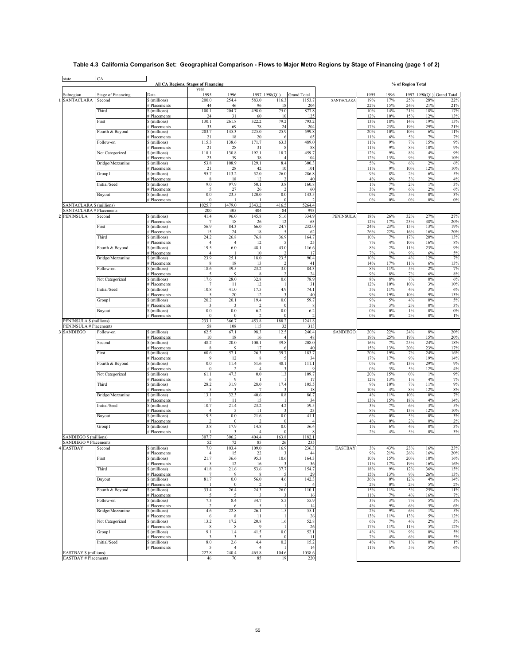# **Table 4.3 California Comparison Set: Geographical Comparison - Flows to Major Metro Regions by Stage of Financing (page 1 of 2)**

| state                                                      | <b>CA</b>                 |                               | <b>All CA Regions, Stages of Financing</b> |                                 |                         |                        |                    |                   |              |              | % of Region Total |              |                      |
|------------------------------------------------------------|---------------------------|-------------------------------|--------------------------------------------|---------------------------------|-------------------------|------------------------|--------------------|-------------------|--------------|--------------|-------------------|--------------|----------------------|
| Subregion                                                  | <b>Stage of Financing</b> | Data                          | vear<br>1995                               | 1996                            | 1997 1998(Q1)           |                        | <b>Grand Total</b> |                   | 1995         | 1996         | 1997              |              | 1998(Q1) Grand Total |
| SANTACLARA                                                 | Second                    | \$ (millions)                 | 200.0                                      | 254.4                           | 583.0                   | 116.3                  | 1153.7             | <b>SANTACLARA</b> | 19%          | 17%          | 25%               | 28%          | 22%                  |
|                                                            | Third                     | # Placements<br>\$ (millions) | 44<br>100.1                                | 46<br>204.7                     | 96<br>498.0             | 18<br>75.0             | 204<br>877.8       |                   | 22%<br>10%   | 15%<br>14%   | 24%<br>21%        | 21%<br>18%   | 21%<br>17%           |
|                                                            |                           | # Placements                  | 24                                         | 31                              | 60                      | 10                     | 125                |                   | 12%          | 10%          | 15%               | 12%          | 13%                  |
|                                                            | First                     | \$ (millions)<br># Placements | 130.1<br>33                                | 261.8<br>69                     | 322.2<br>78             | 79.2<br>24             | 793.2<br>204       |                   | 13%<br>17%   | 18%<br>23%   | 14%<br>19%        | 19%<br>29%   | 15%<br>21%           |
|                                                            | Fourth & Beyond           | \$ (millions)                 | 203.7                                      | 145.3                           | 225.0                   | 25.9                   | 599.8              |                   | 20%          | 10%          | 10%               | 6%           | 11%                  |
|                                                            | Follow-on                 | # Placements<br>\$ (millions) | 21<br>115.3                                | 18<br>138.6                     | 20<br>171.7             | 63.3                   | 65<br>489.0        |                   | 11%<br>11%   | 6%<br>9%     | 5%<br>$7\%$       | 7%<br>15%    | 7%<br>9%             |
|                                                            |                           | <b>Placements</b>             | 21                                         | 28                              | 31                      |                        | 88                 |                   | 11%          | 9%           | $8\%$             | 10%          | 9%                   |
|                                                            | Not Categorized           | \$ (millions)<br># Placements | 118.1<br>23                                | 130.8<br>39                     | 192.1<br>38             | 18.7                   | 459.7<br>104       |                   | 12%<br>12%   | 9%<br>13%    | $8\%$<br>9%       | 4%<br>5%     | 9%<br>10%            |
|                                                            | Bridge/Mezzanine          | \$ (millions)                 | 53.8                                       | 108.9                           | 129.1                   | 8.4                    | 300.3              |                   | 5%           | 7%           | $6\%$             | 2%           | 6%                   |
|                                                            |                           | # Placements<br>\$ (millions) | 21<br>95.7                                 | 28<br>113.2                     | 42<br>52.0              | 10<br>26.0             | 101<br>286.8       |                   | 11%<br>9%    | 9%<br>8%     | 10%<br>2%         | 12%<br>6%    | 10%<br>5%            |
|                                                            | Group1                    | # Placements                  | 8                                          | 18                              | 12                      | 2                      | 40                 |                   | 4%           | 6%           | 3%                | 2%           | 4%                   |
|                                                            | Initial/Seed              | \$ (millions)<br># Placements | 9.0<br>5                                   | 97.9                            | 50.1                    | 3.8                    | 160.8              |                   | $1\%$<br>3%  | 7%<br>9%     | 2%                | $1\%$<br>2%  | 3%<br>6%             |
|                                                            | Buyout                    | \$ (millions)                 | 0.0                                        | 27<br>23.5                      | 26<br>120.0             | 0.0                    | 60<br>143.5        |                   | 0%           | 2%           | 6%<br>5%          | 0%           | 3%                   |
|                                                            |                           | # Placements                  | $\bf{0}$                                   |                                 |                         |                        |                    |                   | $0\%$        | 0%           | $0\%$             | 0%           | 0%                   |
| <b>SANTACLARA \$ (millions)</b><br>SANTACLARA # Placements |                           |                               | 1025.7<br>200                              | 1479.0<br>305                   | 2343.2<br>404           | 416.5<br>84            | 5264.4<br>993      |                   |              |              |                   |              |                      |
| <b>PENINSULA</b>                                           | Second                    | \$ (millions)                 | 41.4                                       | 96.0                            | 145.8                   | 51.6                   | 334.9              | PENINSULA         | 18%          | 26%          | 32%               | 27%          | 27%                  |
|                                                            | First                     | # Placements<br>\$ (millions) | 7<br>56.9                                  | 18<br>84.3                      | 26<br>66.0              | 12<br>24.7             | 63<br>232.0        |                   | 12%<br>24%   | 17%<br>23%   | 23%<br>15%        | 38%<br>13%   | 20%<br>19%           |
|                                                            |                           | # Placements                  | 15                                         | 24                              | 18                      |                        | 62                 |                   | 26%          | 22%          | 16%               | 16%          | 20%                  |
|                                                            | Third                     | \$ (millions)<br># Placements | 24.2<br>$\overline{4}$                     | 26.8<br>$\overline{4}$          | 76.8<br>12              | 36.9                   | 164.7<br>25        |                   | 10%<br>7%    | 7%<br>4%     | 17%<br>10%        | 20%<br>16%   | 13%<br>8%            |
|                                                            | Fourth & Beyond           | \$ (millions)                 | 19.5                                       | 6.0                             | 48.1                    | 43.0                   | 116.6              |                   | $8\%$        | 2%           | 11%               | 23%          | 9%                   |
|                                                            | Bridge/Mezzanine          | # Placements<br>\$ (millions) | $\overline{4}$<br>23.9                     | -1<br>25.1                      | 10<br>18.0              | $\mathfrak{D}$<br>23.5 | 17<br>90.4         |                   | 7%<br>10%    | $1\%$<br>7%  | 9%<br>4%          | 6%<br>12%    | 5%<br>7%             |
|                                                            |                           | # Placements                  | 8                                          | 18                              | 13                      | 2                      | 41                 |                   | 14%          | 17%          | 11%               | 6%           | 13%                  |
|                                                            | Follow-on                 | \$ (millions)<br># Placements | 18.6<br>5                                  | 39.5<br>9                       | 23.2<br>8               | 3.0                    | 84.3<br>24         |                   | $8\%$<br>9%  | 11%<br>8%    | 5%<br>7%          | 2%<br>6%     | 7%<br>8%             |
|                                                            | Not Categorized           | \$ (millions)                 | 17.6                                       | 28.0                            | 32.8                    | 0.6                    | 78.9               |                   | 8%           | 8%           | 7%                | 0%           | 6%                   |
|                                                            | Initial/Seed              | # Placements<br>\$ (millions) | 7<br>10.8                                  | 11<br>41.0                      | 12<br>17.5              | 4.9                    | 31<br>74.1         |                   | 12%<br>5%    | 10%<br>11%   | 10%<br>4%         | 3%<br>3%     | 10%<br>6%            |
|                                                            |                           | # Placements                  | 5                                          | 20                              | 12                      | 3                      | 40                 |                   | $9\%$        | 19%          | 10%               | 9%           | 13%                  |
|                                                            | Group1                    | \$ (millions)                 | 20.2<br>3                                  | 20.1<br>3                       | 19.4<br>$\mathcal{D}$   | 0.0                    | 59.7<br>8          |                   | $9\%$<br>5%  | 5%<br>3%     | 4%<br>2%          | 0%<br>0%     | 5%<br>3%             |
|                                                            | Buyout                    | # Placements<br>\$ (millions) | 0.0                                        | $0.0\,$                         | 6.2                     | 0.0                    | 6.2                |                   | $0\%$        | 0%           | $1\%$             | 0%           | 0%                   |
| PENINSULA \$ (millions)                                    |                           | # Placements                  | $\bf{0}$<br>233.1                          | $\boldsymbol{0}$                | $\overline{2}$<br>453.8 | 188.2                  | 1241.8             |                   | $0\%$        | 0%           | 2%                | 0%           | 1%                   |
| PENINSULA # Placements                                     |                           |                               | 58                                         | 366.7<br>108                    | 115                     | 32                     | 313                |                   |              |              |                   |              |                      |
| <b>SANDIEGO</b>                                            | Follow-on                 | \$ (millions)                 | 62.5                                       | 67.1                            | 98.3                    | 12.5                   | 240.4              | <b>SANDIEGO</b>   | 20%          | 22%          | 24%               | 8%           | 20%                  |
|                                                            | Second                    | # Placements<br>\$ (millions) | 10<br>48.2                                 | 18<br>20.0                      | 16<br>100.1             | 39.8                   | 48<br>208.0        |                   | 19%<br>16%   | 25%<br>7%    | 19%<br>25%        | 15%<br>24%   | 20%<br>18%           |
|                                                            | First                     | # Placements                  | 8                                          | 9                               | 17                      |                        | 40                 |                   | 15%          | 13%          | 20%               | 23%          | 17%                  |
|                                                            |                           | \$ (millions)<br># Placements | 60.6<br>9                                  | 57.1<br>12                      | 26.3<br>8               | 39.7                   | 183.7<br>34        |                   | 20%<br>17%   | 19%<br>17%   | 7%<br>9%          | 24%<br>19%   | 16%<br>14%           |
|                                                            | Fourth & Beyond           | \$ (millions)                 | 0.0                                        | 11.4                            | 51.6                    | 48.1                   | 111.1              |                   | $0\%$        | 4%           | 13%               | 29%          | 9%                   |
|                                                            | Not Categorized           | # Placements<br>\$ (millions) | $\bf{0}$<br>61.1                           | $\overline{\mathbf{c}}$<br>47.3 | $\overline{4}$<br>0.0   | 3<br>1.3               | 109.7              |                   | $0\%$<br>20% | 3%<br>15%    | 5%<br>$0\%$       | 12%<br>$1\%$ | 4%<br>9%             |
|                                                            |                           | # Placements                  | 6                                          | 9                               |                         |                        | 17                 |                   | 12%          | 13%          | 1%                | 4%           | 7%                   |
|                                                            | Third                     | \$ (millions)<br># Placements | 28.2<br>5                                  | 31.9<br>3                       | 28.0                    | 17.4                   | 105.5<br>18        |                   | 9%<br>10%    | 10%<br>4%    | 7%<br>$8\%$       | 11%<br>12%   | 9%<br>8%             |
|                                                            | Bridge/Mezzanine          | \$ (millions)                 | 13.1                                       | 32.3                            | 40.6                    | 0.8                    | 86.7               |                   | 4%           | 11%          | 10%               | 0%           | 7%                   |
|                                                            | Initial/Seed              | # Placements<br>\$ (millions) | 7<br>10.7                                  | 11<br>21.4                      | 15<br>23.2              | 4.2                    | 34<br>59.5         |                   | 13%<br>3%    | 15%<br>7%    | 18%<br>$6\%$      | 4%<br>3%     | 14%<br>5%            |
|                                                            |                           | <b>Placements</b>             | 4                                          | 5                               | 11                      | 3                      | 23                 |                   | $8\%$        | $7\%$        | 13%               | 12%<br>0%    | 10%                  |
|                                                            | Buyout                    | \$ (millions)<br># Placements | 19.5<br>$\mathfrak{D}$                     | $0.0\,$<br>$\bf{0}$             | 21.6<br>$\mathfrak{D}$  | 0.0                    | 41.1<br>4          |                   | $6\%$<br>4%  | $0\%$<br>0%  | 5%<br>2%          | 0%           | 3%<br>2%             |
|                                                            | Group1                    | \$ (millions)<br># Placements | 3.8                                        | 17.9<br>3                       | 14.8<br>$\overline{4}$  | 0.0                    | 36.4               |                   | $1\%$<br>2%  | 6%<br>4%     | 4%<br>5%          | 0%<br>0%     | 3%<br>3%             |
| SANDIEGO \$ (millions)                                     |                           |                               | 307.7                                      | 306.2                           | 404.4                   | 163.8                  | 1182.1             |                   |              |              |                   |              |                      |
| SANDIEGO # Placements                                      |                           |                               | 52                                         | 72                              | 85                      | 26                     | 235                |                   |              |              |                   |              |                      |
| <b>4 EASTBAY</b>                                           | Second                    | \$ (millions)<br># Placements | 7.0<br>$\overline{4}$                      | 103.4<br>15                     | 109.0<br>22             | 16.9                   | 236.3<br>44        | <b>EASTBAY</b>    | 3%<br>9%     | 43%<br>21%   | 23%<br>26%        | 16%<br>16%   | 23%<br>20%           |
|                                                            | First                     | \$ (millions)                 | 21.7                                       | 36.6                            | 95.3                    | 10.6                   | 164.3              |                   | 10%          | 15%          | 20%               | 10%          | 16%                  |
|                                                            | Third                     | # Placements<br>\$ (millions) | 5<br>41.8                                  | 12<br>21.6                      | 16<br>53.6              | 37.7                   | 36<br>154.7        |                   | 11%<br>18%   | 17%<br>9%    | 19%<br>12%        | 16%<br>36%   | 16%<br>15%           |
|                                                            |                           | # Placements                  | $\overline{7}$                             | 9                               | 8                       |                        | 29                 |                   | 15%          | 13%          | 9%                | 26%          | 13%                  |
|                                                            | Buyout                    | \$ (millions)<br># Placements | 81.7                                       | 0.0<br>$\bf{0}$                 | 56.0<br>$\overline{2}$  | 4.6                    | 142.3              |                   | 36%<br>2%    | 0%<br>0%     | 12%<br>2%         | 4%<br>5%     | 14%<br>2%            |
|                                                            | Fourth & Beyond           | \$ (millions)                 | 33.4                                       | 26.4                            | 24.3                    | 26.0                   | 110.1              |                   | 15%          | 11%          | 5%                | 25%          | 11%                  |
|                                                            | Follow-on                 | # Placements<br>\$ (millions) | 5<br>7.3                                   | 5<br>8.4                        | 3<br>34.7               | 5.5                    | 16<br>55.9         |                   | 11%<br>3%    | 7%<br>3%     | 4%<br>7%          | 16%<br>5%    | 7%<br>$5\%$          |
|                                                            |                           | # Placements                  | $\overline{\mathbf{c}}$                    | 6                               | 5                       |                        | 14                 |                   | 4%           | 9%           | $6\%$             | 5%           | 6%                   |
|                                                            | Bridge/Mezzanine          | \$ (millions)<br># Placements | 4.6<br>6                                   | 22.8<br>8                       | 26.1<br>11              | 1.5                    | 55.1<br>26         |                   | 2%<br>13%    | 9%<br>11%    | $6\%$<br>13%      | $1\%$<br>5%  | 5%<br>12%            |
|                                                            | Not Categorized           | \$ (millions)                 | 13.2                                       | 17.2                            | 20.8                    | 1.6                    | 52.8               |                   | 6%           | 7%           | 4%                | 2%           | 5%                   |
|                                                            | Group1                    | # Placements<br>\$ (millions) | 8<br>9.1                                   | 8<br>1.4                        | 9<br>41.5               | 0.0                    | 26<br>52.1         |                   | 17%<br>4%    | 11%<br>$1\%$ | 11%<br>$9\%$      | 5%<br>0%     | 12%<br>5%            |
|                                                            |                           | # Placements                  | 3                                          | $\overline{\mathbf{3}}$         | 5                       |                        | 11                 |                   | 7%           | 4%           | $6\%$             | 0%           | 5%                   |
|                                                            | Initial/Seed              | \$ (millions)<br># Placements | $8.0\,$<br>5                               | 2.6<br>$\overline{4}$           | 4.4<br>$\overline{4}$   | 0.2                    | 15.2<br>14         |                   | 4%<br>11%    | 1%<br>6%     | $1\%$<br>5%       | $0\%$<br>5%  | $1\%$<br>6%          |
| <b>EASTBAY \$ (millions)</b>                               |                           |                               | 227.8                                      | 240.4                           | 465.8                   | 104.6                  | 1038.6             |                   |              |              |                   |              |                      |
| EASTBAY # Placements                                       |                           |                               | 46                                         | 70                              | 85                      | 19                     | 220                |                   |              |              |                   |              |                      |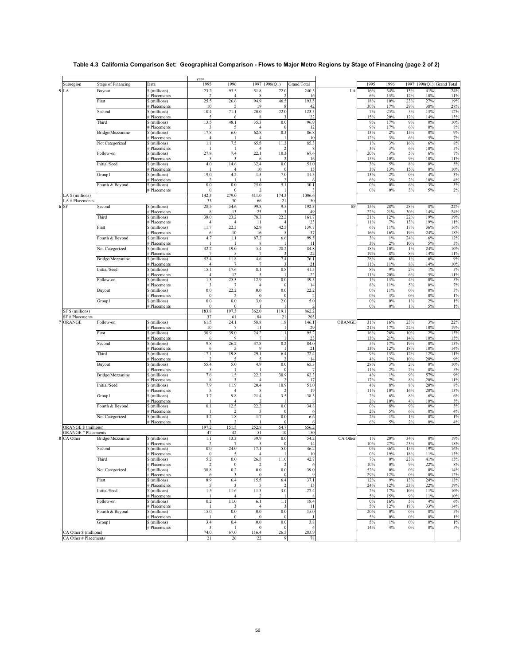# **Table 4.3 California Comparison Set: Geographical Comparison - Flows to Major Metro Regions by Stage of Financing (page 2 of 2)**

|                                                 |                           |                                    | year                               |                          |                           |                                    |                    |          |                |                |                 |                           |              |
|-------------------------------------------------|---------------------------|------------------------------------|------------------------------------|--------------------------|---------------------------|------------------------------------|--------------------|----------|----------------|----------------|-----------------|---------------------------|--------------|
| Subregion                                       | <b>Stage of Financing</b> | Data                               | 1995                               | 1996                     | 1997 1998(Q1)             |                                    | <b>Grand Total</b> |          | 1995           | 1996           |                 | 1997 1998(Q1) Grand Total |              |
| LA                                              | Buyout                    | $\sqrt{\frac{1}{2}}$ (millions)    | 23.2<br>$\overline{2}$             | 93.5<br>$\overline{4}$   | 51.8                      | 72.0                               | 240.5              | LA       | 16%            | 34%            | 13%             | 41%                       | 24%          |
|                                                 | First                     | # Placements<br>\$ (millions)      | 25.5                               | 26.6                     | 8<br>94.9                 | 46.5                               | 16<br>193.5        |          | 6%<br>18%      | 13%<br>10%     | 12%<br>23%      | 10%<br>27%                | 11%<br>19%   |
|                                                 |                           | # Placements                       | 10                                 |                          | 19                        |                                    | 42                 |          | 30%            | 17%            | 29%             | 38%                       | 28%          |
|                                                 | Second                    | \$ (millions)                      | 10.4                               | 71.1                     | 20.0                      | 22.0                               | 123.5              |          | 7%             | 25%            | $5\%$           | 13%                       | 12%          |
|                                                 | Third                     | # Placements<br>\$ (millions)      | 5<br>13.5                          | 6<br>48.1                | 8<br>35.3                 | 0.0                                | 22<br>96.9         |          | 15%<br>9%      | 20%<br>17%     | 12%<br>9%       | 14%<br>0%                 | 15%<br>10%   |
|                                                 |                           | <b>Placements</b>                  | 3                                  | 5                        | 4                         |                                    | 12                 |          | 9%             | 17%            | 6%              | 0%                        | 8%           |
|                                                 | Bridge/Mezzanine          | \$ (millions)                      | 17.8                               | 6.0                      | 62.8                      | 0.3                                | 86.8               |          | 13%            | 2%             | 15%             | 0%                        | 9%           |
|                                                 | Not Categorized           | # Placements                       | $\overline{4}$<br>1.1              | 7.5                      | $\overline{4}$<br>65.5    | 11.3                               | 10<br>85.3         |          | 12%<br>$1\%$   | 3%<br>3%       | 6%<br>16%       | 5%<br>6%                  | 7%<br>8%     |
|                                                 |                           | \$ (millions)<br># Placements      |                                    |                          | $\overline{4}$            |                                    | 8                  |          | 3%             | 3%             | $6\%$           | 10%                       | 5%           |
|                                                 | Follow-on                 | \$ (millions)                      | 27.8                               | 7.4                      | 22.1                      | 10.3                               | 67.6               |          | 20%            | 3%             | $5\%$           | 6%                        | $7\%$        |
|                                                 |                           | # Placements                       | 5                                  | $\overline{\mathbf{3}}$  | 6                         |                                    | 16                 |          | 15%            | 10%            | $9\%$           | 10%                       | 11%          |
|                                                 | Initial/Seed              | \$ (millions)<br># Placements      | $4.0$                              | 14.6<br>$\overline{4}$   | 32.4<br>10                | 0.0<br>$\theta$                    | 51.0<br>15         |          | 3%<br>3%       | 5%<br>13%      | $8\%$<br>15%    | 0%<br>0%                  | 5%<br>10%    |
|                                                 | Group1                    | \$ (millions)                      | 19.0                               | 4.2                      | 1.3                       | 7.0                                | 31.5               |          | 13%            | 2%             | $0\%$           | 4%                        | 3%           |
|                                                 |                           | # Placements                       | 2                                  |                          |                           |                                    |                    |          | 6%             | 3%             | 2%              | 10%                       | 4%           |
|                                                 | Fourth & Beyond           | \$ (millions)                      | $0.0\,$<br>$\theta$                | $0.0\,$                  | 25.0                      | 5.1                                | 30.1               |          | $0\%$          | 0%             | $6\%$           | 3%                        | 3%           |
| LA \$ (millions)                                |                           | # Placements                       | 142.3                              | $\bf{0}$<br>279.0        | $\overline{2}$<br>411.0   | 174.3                              | 1006.6             |          | $0\%$          | $0\%$          | 3%              | $5\%$                     | 2%           |
| LA # Placements                                 |                           |                                    | 33                                 | 30                       | 66                        | 21                                 | 150                |          |                |                |                 |                           |              |
| 6 SF                                            | Second                    | \$ (millions)                      | 28.5                               | 54.6                     | 99.8                      | 9.5                                | 192.3              | SF       | 15%            | 28%            | 28%             | 8%                        | 22%          |
|                                                 | Third                     | # Placements                       | 8<br>38.0                          | 13<br>23.2               | 25<br>78.3                | 22.2                               | 49<br>161.7        |          | 22%<br>21%     | 21%<br>12%     | 30%<br>22%      | 14%<br>19%                | 24%<br>19%   |
|                                                 |                           | \$ (millions)<br># Placements      | $\overline{4}$                     | $\overline{4}$           | 11                        |                                    | 23                 |          | 11%            | 7%             | 13%             | 19%                       | 11%          |
|                                                 | First                     | \$ (millions)                      | 11.7                               | 22.5                     | 62.9                      | 42.5                               | 139.7              |          | 6%             | 11%            | 17%             | 36%                       | 16%          |
|                                                 |                           | # Placements                       | 6                                  | 10                       | 16                        |                                    | 37                 |          | 16%            | 16%            | 19%             | 24%                       | 18%          |
|                                                 | Fourth & Beyond           | \$ (millions)<br><b>Placements</b> | 4.7                                | $1.1\,$                  | 87.2<br>8                 | 6.6                                | 99.5<br>11         |          | 3%<br>3%       | $1\%$<br>2%    | 24%<br>10%      | 6%<br>5%                  | 12%<br>5%    |
|                                                 | Not Categorized           | \$ (millions)                      | 32.2                               | 19.0                     | 5.4                       | 28.2                               | 84.8               |          | 18%            | 10%            | $1\%$           | 24%                       | 10%          |
|                                                 |                           | # Placements                       | $\overline{7}$                     |                          | $\overline{7}$            |                                    | 22                 |          | 19%            | 8%             | $8\%$           | 14%                       | 11%          |
|                                                 | Bridge/Mezzanine          | \$ (millions)                      | 52.4                               | 11.8                     | 4.6                       | 7.4                                | 76.1               |          | 28%            | 6%             | $1\%$           | 6%                        | 9%           |
|                                                 | Initial/Seed              | # Placements<br>\$ (millions)      | $\overline{4}$<br>15.1             | $\overline{7}$<br>17.6   | $\overline{7}$<br>$8.1\,$ | 0.8                                | 21<br>41.5         |          | 11%<br>$8\%$   | 11%<br>9%      | $8\%$<br>$2\%$  | 14%<br>1%                 | 10%<br>$5\%$ |
|                                                 |                           | # Placements                       | $\overline{4}$                     | 12                       | 5                         |                                    | 22                 |          | 11%            | 20%            | $6\%$           | 5%                        | 11%          |
|                                                 | Follow-on                 | \$ (millions)                      | 1.3                                | 25.3                     | 12.9                      | 0.0                                | 39.5               |          | $1\%$          | 13%            | 4%              | 0%                        | 5%           |
|                                                 | Buyout                    | # Placements<br>\$ (millions)      | $\overline{\mathbf{3}}$<br>$0.0\,$ | $\boldsymbol{7}$<br>22.2 | $\overline{4}$<br>$0.0\,$ | $\theta$<br>0.0                    | 14<br>22.2         |          | $8\%$<br>$0\%$ | 11%<br>11%     | 5%<br>$0\%$     | 0%<br>0%                  | 7%<br>3%     |
|                                                 |                           | # Placements                       | $\theta$                           | $\overline{2}$           | $\bf{0}$                  |                                    |                    |          | 0%             | 3%             | $0\%$           | 0%                        | $1\%$        |
|                                                 | Group1                    | \$ (millions)                      | 0.0                                | $0.0\,$                  | 3.0                       | 2.0                                | 5.0                |          | $0\%$          | 0%             | $1\%$           | 2%                        | $1\%$        |
|                                                 |                           | # Placements                       | $\bf{0}$                           | $\boldsymbol{0}$         | -1                        |                                    |                    |          | $0\%$          | $0\%$          | $1\%$           | 5%                        | $1\%$        |
|                                                 |                           |                                    |                                    |                          |                           |                                    |                    |          |                |                |                 |                           |              |
| SF \$ (millions)                                |                           |                                    | 183.8                              | 197.3                    | 362.0                     | 119.1                              | 862.2              |          |                |                |                 |                           |              |
| SF # Placements<br>ORANGE                       | Follow-on                 | \$ (millions)                      | 37<br>61.5                         | 61<br>24.1               | 84<br>58.8                | 21<br>1.8                          | 203<br>146.1       | ORANGE   | 31%            | 16%            | 23%             | 3%                        | 22%          |
|                                                 |                           | # Placements                       | 10                                 | $\overline{7}$           | 11                        |                                    | 29                 |          | 21%            | 17%            | 22%             | 10%                       | 19%          |
|                                                 | First                     | \$ (millions)                      | 30.9                               | 39.0                     | 24.2                      | 1.1                                | 95.2               |          | 16%            | 26%            | 10%             | 2%                        | 15%          |
|                                                 | Second                    | # Placements<br>\$ (millions)      | 6                                  | 9                        | $\overline{7}$            |                                    | 23<br>84.0         |          | 13%<br>5%      | 21%<br>17%     | 14%<br>19%      | 10%<br>0%                 | 15%          |
|                                                 |                           | <b>Placements</b>                  | 9.8<br>6                           | 26.2<br>5                | 47.8<br>9                 | 0.2                                | 21                 |          | 13%            | 12%            | 18%             | 10%                       | 13%<br>14%   |
|                                                 | Third                     | \$ (millions)                      | 17.1                               | 19.8                     | 29.1                      | 6.4                                | 72.4               |          | 9%             | 13%            | 12%             | 12%                       | 11%          |
|                                                 |                           | <b>Placements</b>                  | $\overline{2}$                     | 5                        | 5                         | $\mathcal{I}$                      | 14                 |          | 4%             | 12%            | 10%             | 20%                       | 9%           |
|                                                 | Buyout                    | \$ (millions)<br># Placements      | 55.4<br>5                          | 5.0                      | 4.9                       | 0.0                                | 65.3               |          | 28%<br>11%     | 3%<br>2%       | 2%<br>2%        | 0%<br>0%                  | 10%<br>5%    |
|                                                 | Bridge/Mezzanine          | \$ (millions)                      | 7.6                                | 1.5                      | 22.3                      | 30.9                               | 62.3               |          | 4%             | $1\%$          | $9\%$           | 57%                       | 9%           |
|                                                 |                           | # Placements                       | 8                                  | 3                        | $\overline{4}$            |                                    | 17                 |          | 17%            | 7%             | $8\%$           | 20%                       | 11%          |
|                                                 | Initial/Seed              | \$ (millions)<br># Placements      | 7.9<br>5                           | 11.9<br>$\overline{4}$   | 20.4<br>8                 | 10.9                               | 51.0<br>19         |          | 4%<br>11%      | 8%<br>10%      | $8\%$<br>16%    | 20%<br>20%                | $8\%$<br>13% |
|                                                 | Group1                    | \$ (millions)                      | 3.7                                | 9.8                      | 21.4                      | 3.5                                | 38.5               |          | $2\%$          | 6%             | $8\%$           | 6%                        | 6%           |
|                                                 |                           | # Placements                       |                                    | $\overline{4}$           | C.                        |                                    |                    |          | 2%             | 10%            | 4%              | 10%                       | $5\%$        |
|                                                 | Fourth & Beyond           | \$ (millions)<br># Placements      | 0.1                                | 12.5<br>$\overline{2}$   | 22.2<br>3                 | 0.0                                | 34.8               |          | $0\%$<br>2%    | $8\%$<br>5%    | 9%<br>6%        | 0%<br>0%                  | 5%<br>4%     |
|                                                 | Not Categorized           | \$ (millions)                      | 3.2                                | $1.8\,$                  | 1.7                       | 0.0                                | 6.6                |          | 2%             | $1\%$          | $1\%$           | 0%                        | $1\%$        |
|                                                 |                           | # Placements                       | $\overline{\mathbf{3}}$            | $\overline{2}$           | - 1                       |                                    |                    |          | $6\%$          | 5%             | 2%              | 0%                        | 4%           |
| <b>ORANGE \$ (millions)</b>                     |                           |                                    | 197.2                              | 151.5                    | 252.8                     | 54.7                               | 656.2              |          |                |                |                 |                           |              |
| <b>ORANGE # Placements</b><br>8 CA Other        | Bridge/Mezzanine          | \$ (millions)                      | 47<br>1.1                          | 42<br>13.3               | 51<br>39.9                | 10<br>0.0                          | 150<br>54.2        | CA Other | 1%             | 20%            | 34%             | 0%                        | 19%          |
|                                                 |                           | # Placements                       | $\overline{2}$                     | $\overline{7}$           | 5                         | $\theta$                           | 14                 |          | 10%            | 27%            | 23%             | 0%                        | 18%          |
|                                                 | Second                    | \$ (millions)                      | $0.0\,$                            | 24.0                     | 17.1                      | 5.0                                | 46.2               |          | $0\%$          | 36%            | 15%             | 19%                       | 16%          |
|                                                 |                           | # Placements                       |                                    |                          |                           |                                    |                    |          | $0\%$          | 19%            | 18%             | 11%                       | 13%          |
|                                                 | Third                     | \$ (millions)<br># Placements      | $5.2\,$<br>$\overline{2}$          | $0.0\,$<br>$\bf{0}$      | 26.5<br>2                 | 11.0                               | 42.7<br>-6         |          | $7\%$<br>10%   | $0\%$<br>$0\%$ | 23%<br>9%       | 41%<br>22%                | 15%<br>8%    |
|                                                 | Not Categorized           | \$ (millions)                      | 38.8                               | 0.2                      | $0.0\,$                   | 0.0                                | 39.0               |          | 52%            | 0%             | $0\%$           | 0%                        | 14%          |
|                                                 |                           | # Placements                       | 6                                  | 3                        | $\bf{0}$                  | $\Omega$                           |                    |          | 29%            | 12%            | $0\%$           | $0\%$                     | 12%          |
|                                                 | First                     | \$ (millions)<br># Placements      | 8.9<br>5                           | 6.4<br>3                 | 15.5<br>5                 | 6.4                                | 37.1<br>15         |          | 12%<br>24%     | 9%<br>12%      | 13%<br>23%      | 24%<br>22%                | 13%<br>19%   |
|                                                 | Initial/Seed              | \$ (millions)                      | 1.5                                | 11.6                     | 11.3                      | 3.0                                | 27.4               |          | 2%             | 17%            | 10%             | 11%                       | 10%          |
|                                                 |                           | # Placements                       | 1                                  |                          | $\overline{2}$            |                                    | 8                  |          | 5%             | 15%            | $9\%$           | 11%                       | 10%          |
|                                                 | Follow-on                 | \$ (millions)                      | $0.2\,$<br>$\mathbf{1}$            | 11.0                     | 6.1                       | $1.1\,$<br>$\overline{\mathbf{3}}$ | 18.4               |          | $0\%$          | 16%            | $5\%$           | 4%                        | 6%           |
|                                                 | Fourth & Beyond           | # Placements<br>\$ (millions)      | 15.0                               | 3<br>$0.0\,$             | $\overline{4}$<br>$0.0\,$ | $0.0\,$                            | 11<br>15.0         |          | 5%<br>20%      | 12%<br>$0\%$   | $18\%$<br>$0\%$ | 33%<br>0%                 | 14%<br>5%    |
|                                                 |                           | # Placements                       |                                    | $\bf{0}$                 | $\bf{0}$                  | $\mathbf{0}$                       |                    |          | 5%             | $0\%$          | $0\%$           | 0%                        | $1\%$        |
|                                                 | Group1                    | \$ (millions)                      | 3.4                                | 0.4                      | $0.0\,$                   | $0.0\,$                            | 3.8                |          | 5%             | $1\%$          | $0\%$           | 0%                        | $1\%$        |
| CA Other \$ (millions)<br>CA Other # Placements |                           | # Placements                       | 3<br>74.0                          | $\overline{1}$<br>67.0   | $\boldsymbol{0}$<br>116.4 | $\theta$<br>26.5                   | 283.9              |          | 14%            | 4%             | $0\%$           | 0%                        | 5%           |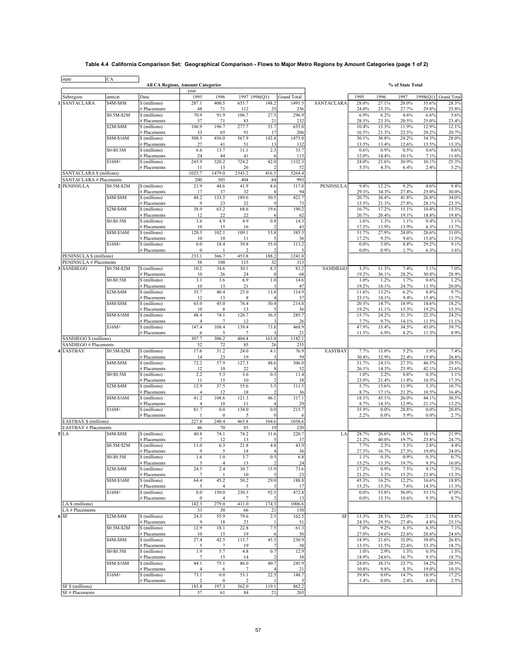## **Table 4.4 California Comparison Set: Geographical Comparison - Flows to Major Metro Regions by Amount Categories (page 1 of 2)**

| state                                                             | CA          | <b>All CA Regions, Amount Categories</b> |                         |                         |                         |                                  |                    |                 |                  |                    | % of State Total |                |                    |
|-------------------------------------------------------------------|-------------|------------------------------------------|-------------------------|-------------------------|-------------------------|----------------------------------|--------------------|-----------------|------------------|--------------------|------------------|----------------|--------------------|
|                                                                   |             |                                          | year                    |                         |                         |                                  |                    |                 |                  |                    |                  |                |                    |
| Subregion                                                         | amtcat      | Data                                     | 1995                    | 1996                    | 1997 1998(Q1)           |                                  | <b>Grand Total</b> |                 | 1995             | 1996               | 1997             | 1998(Q1)       | <b>Grand Total</b> |
| <b>SANTACLARA</b>                                                 | \$4M-\$8M   | \$ (millions)<br># Placements            | 287.1<br>48             | 400.5<br>71             | 655.7<br>112            | 148.2<br>25                      | 1491.5<br>256      | SANTACLARA      | 28.0%<br>24.0%   | 27.1%<br>23.3%     | 28.0%<br>27.7%   | 35.6%<br>29.8% | 28.3%<br>25.8%     |
|                                                                   | \$0.5M-\$2M | \$ (millions)                            | 70.9                    | 91.9                    | 106.7                   | 27.5                             | 296.9              |                 | 6.9%             | 6.2%               | 4.6%             | 6.6%           | 5.6%               |
|                                                                   |             | # Placements                             | 57                      | 71                      | 83                      | 21                               | 232                |                 | 28.5%            | 23.3%              | 20.5%            | 25.0%          | 23.4%              |
|                                                                   | \$2M-\$4M   | \$ (millions)<br># Placements            | 106.9<br>33             | 196.7<br>65             | 277.7<br>91             | 53.7<br>17                       | 635.0<br>206       |                 | 10.4%<br>16.5%   | 13.3%<br>21.3%     | 11.9%<br>22.5%   | 12.9%<br>20.2% | 12.1%<br>20.7%     |
|                                                                   | \$8M-\$16M  | \$ (millions)                            | 308.3                   | 456.0                   | 567.9                   | 142.8                            | 1475.0             |                 | 30.1%            | 30.8%              | 24.2%            | 34.3%          | 28.0%              |
|                                                                   |             | # Placements                             | 27                      | 41                      | 51                      | 13                               | 132                |                 | 13.5%            | 13.4%              | 12.6%            | 15.5%          | 13.3%              |
|                                                                   | \$0-\$0.5M  | \$ (millions)<br># Placements            | 6.6<br>24               | 13.7<br>44              | 11.1<br>41              | 2.3<br>6                         | 33.7<br>115        |                 | 0.6%<br>12.0%    | 0.9%<br>14.4%      | 0.5%<br>10.1%    | 0.6%<br>7.1%   | 0.6%<br>11.6%      |
|                                                                   | $$16M+$     | \$ (millions)                            | 245.9                   | 320.2                   | 724.2                   | 42.0                             | 1332.3             |                 | 24.0%            | 21.6%              | 30.9%            | 10.1%          | 25.3%              |
|                                                                   |             | # Placements                             | 11                      | 13                      | 26                      |                                  | 52                 |                 | 5.5%             | 4.3%               | 6.4%             | 2.4%           | 5.2%               |
| <b>SANTACLARA \$ (millions)</b><br><b>SANTACLARA # Placements</b> |             |                                          | 1025.7<br>200           | 1479.0<br>305           | 2343.2<br>404           | 416.5<br>84                      | 5264.4<br>993      |                 |                  |                    |                  |                |                    |
| <b>PENINSULA</b>                                                  | \$0.5M-\$2M | \$ (millions)                            | 21.9                    | 44.6                    | 41.9                    | 8.6                              | 117.0              | PENINSULA       | 9.4%             | 12.2%              | 9.2%             | 4.6%           | 9.4%               |
|                                                                   |             | # Placements                             | 17                      | 37                      | 32                      |                                  | 94                 |                 | 29.3%            | 34.3%              | 27.8%            | 25.0%          | 30.0%              |
|                                                                   | \$4M-\$8M   | \$ (millions)                            | 48.2<br>9               | 133.5<br>23             | 189.6<br>32             | 50.5<br>9                        | 421.7              |                 | 20.7%<br>15.5%   | 36.4%<br>21.3%     | 41.8%<br>27.8%   | 26.8%<br>28.1% | 34.0%<br>23.3%     |
|                                                                   | \$2M-\$4M   | # Placements<br>\$ (millions)            | 38.9                    | 63.2                    | 68.6                    | 19.6                             | 73<br>190.2        |                 | 16.7%            | 17.2%              | 15.1%            | 10.4%          | 15.3%              |
|                                                                   |             | # Placements                             | 12                      | 22                      | 22                      | 6                                | 62                 |                 | 20.7%            | 20.4%              | 19.1%            | 18.8%          | 19.8%              |
|                                                                   | \$0-\$0.5M  | \$ (millions)<br># Placements            | 3.6<br>10               | 4.9                     | 4.9<br>16               | 0.8                              | 14.3<br>43         |                 | 1.6%<br>17.2%    | 1.3%<br>13.9%      | 1.1%<br>13.9%    | 0.4%<br>6.3%   | 1.1%<br>13.7%      |
|                                                                   | \$8M-\$16M  | \$ (millions)                            | 120.5                   | 15<br>102.1             | 109.1                   | 53.8                             | 385.5              |                 | 51.7%            | 27.9%              | 24.0%            | 28.6%          | 31.0%              |
|                                                                   |             | # Placements                             | 10                      | 10                      | 11                      |                                  | 36                 |                 | 17.2%            | 9.3%               | 9.6%             | 15.6%          | 11.5%              |
|                                                                   | $$16M+$     | \$ (millions)<br># Placements            | 0.0<br>$\mathbf{0}$     | 18.4<br>$\mathbf{1}$    | 39.8<br>$\overline{c}$  | 55.0<br>$\overline{\phantom{a}}$ | 113.2<br>5         |                 | $0.0\%$<br>0.0%  | 5.0%<br>0.9%       | 8.8%<br>1.7%     | 29.2%<br>6.3%  | 9.1%<br>1.6%       |
| PENINSULA \$ (millions)                                           |             |                                          | 233.1                   | 366.7                   | 453.8                   | 188.2                            | 1241.8             |                 |                  |                    |                  |                |                    |
| PENINSULA # Placements                                            |             |                                          | 58                      | 108                     | 115                     | 32                               | 313                |                 |                  |                    |                  |                |                    |
| <b>SANDIEGO</b>                                                   | \$0.5M-\$2M | \$ (millions)                            | 10.2                    | 34.6                    | 30.1                    | 8.3                              | 83.2               | <b>SANDIEGO</b> | 3.3%             | 11.3%              | 7.4%             | 5.1%           | 7.0%               |
|                                                                   | \$0-\$0.5M  | # Placements<br>\$(millions)             | 10<br>3.1               | 26<br>3.6               | 24<br>6.9               | δ<br>1.0                         | 68<br>14.6         |                 | 19.2%<br>1.0%    | 36.1%<br>1.2%      | 28.2%<br>1.7%    | 30.8%<br>0.6%  | 28.9%<br>1.2%      |
|                                                                   |             | # Placements                             | 10                      | 13                      | 21                      | 3                                | 47                 |                 | 19.2%            | 18.1%              | 24.7%            | 11.5%          | 20.0%              |
|                                                                   | \$2M-\$4M   | \$(millions)                             | 35.7                    | 40.4                    | 25.0                    | 13.8                             | 114.9              |                 | 11.6%            | 13.2%              | 6.2%             | 8.4%           | 9.7%               |
|                                                                   | \$4M-\$8M   | # Placements<br>\$ (millions)            | 12<br>63.0              | 13<br>45.0              | 8<br>76.4               | 30.4                             | 37<br>214.8        |                 | 23.1%<br>20.5%   | 18.1%<br>14.7%     | 9.4%<br>18.9%    | 15.4%<br>18.6% | 15.7%<br>18.2%     |
|                                                                   |             | # Placements                             | 10                      | 8                       | 13                      |                                  | 36                 |                 | 19.2%            | 11.1%              | 15.3%            | 19.2%          | 15.3%              |
|                                                                   | \$8M-\$16M  | \$ (millions)                            | 48.4                    | 74.1                    | 126.7                   | 36.5                             | 285.7              |                 | 15.7%            | $24.2\%$           | 31.3%            | 22.3%          | 24.2%              |
|                                                                   | $$16M+$     | # Placements<br>\$ (millions)            | $\overline{4}$<br>147.4 | 7<br>108.4              | 12<br>139.4             | 73.8                             | 26<br>468.9        |                 | 7.7%<br>47.9%    | 9.7%<br>35.4%      | 14.1%<br>34.5%   | 11.5%<br>45.0% | 11.1%<br>39.7%     |
|                                                                   |             | # Placements                             | 6                       | 5                       | 7                       |                                  | 21                 |                 | 11.5%            | 6.9%               | 8.2%             | 11.5%          | 8.9%               |
| SANDIEGO \$ (millions)                                            |             |                                          | 307.7                   | 306.2                   | 404.4                   | 163.8                            | 1182.1             |                 |                  |                    |                  |                |                    |
| <b>SANDIEGO#Placements</b><br><b>4 EASTBAY</b>                    | \$0.5M-\$2M | \$ (millions)                            | 52<br>17.6              | 72<br>31.2              | 85<br>24.0              | 26<br>4.1                        | 235<br>76.9        | <b>EASTBAY</b>  | 7.7%             | 13.0%              | 5.2%             | 3.9%           | 7.4%               |
|                                                                   |             | # Placements                             | 14                      | 23                      | 19                      | 3                                | 59                 |                 | 30.4%            | 32.9%              | 22.4%            | 15.8%          | 26.8%              |
|                                                                   | \$4M-\$8M   | \$ (millions)                            | 72.2                    | 57.9                    | 127.3                   | 48.6                             | 306.0              |                 | 31.7%            | 24.1%              | 27.3%            | 46.5%          | 29.5%              |
|                                                                   | \$0-\$0.5M  | # Placements<br>\$ (millions)            | 12<br>2.2               | 10<br>5.3               | 22<br>3.6               | 0.3                              | 52<br>11.4         |                 | 26.1%<br>1.0%    | 14.3%<br>2.2%      | 25.9%<br>0.8%    | 42.1%<br>0.3%  | 23.6%<br>1.1%      |
|                                                                   |             | # Placements                             | 11                      | 15                      | 10                      |                                  | 38                 |                 | 23.9%            | 21.4%              | 11.8%            | 10.5%          | 17.3%              |
|                                                                   | \$2M-\$4M   | \$ (millions)<br># Placements            | 12.9<br>$\overline{4}$  | 37.5<br>12              | 55.6<br>18              | 5.5<br>$\overline{\phantom{a}}$  | 111.5<br>36        |                 | 5.7%<br>8.7%     | 15.6%<br>17.1%     | 11.9%<br>21.2%   | 5.3%<br>10.5%  | 10.7%<br>16.4%     |
|                                                                   | \$8M-\$16M  | \$(millions)                             | 41.2                    | 108.6                   | 121.3                   | 46.1                             | 317.1              |                 | 18.1%            | 45.1%              | 26.0%            | 44.1%          | 30.5%              |
|                                                                   |             | # Placements                             | $\overline{4}$          | 10                      | 11                      |                                  | 29                 |                 | 8.7%             | 14.3%              | 12.9%            | 21.1%          | 13.2%              |
|                                                                   | $$16M+$     | \$ (millions)<br># Placements            | 81.7                    | 0.0<br>$\boldsymbol{0}$ | 134.0<br>5              | 0.0<br>$\mathbf{0}$              | 215.7              |                 | 35.9%<br>2.2%    | $0.0\%$<br>$0.0\%$ | 28.8%<br>5.9%    | 0.0%<br>0.0%   | 20.8%<br>2.7%      |
| <b>EASTBAY \$ (millions)</b>                                      |             |                                          | 227.8                   | 240.4                   | 465.8                   | 104.6                            | 1038.6             |                 |                  |                    |                  |                |                    |
| <b>EASTBAY # Placements</b>                                       |             |                                          | 46                      | 70                      | 85                      | 19                               | 220                |                 |                  |                    |                  |                |                    |
| 5 LA                                                              | \$4M-\$8M   | \$ (millions)                            | 40.8                    | 74.1                    | 74.2                    | 31.6                             | 220.7              | LA              | 28.7%            | 26.6%              | 18.1%            | 18.1%          | 21.9%              |
|                                                                   | \$0.5M-\$2M | # Placements<br>\$ (millions)            | 7<br>11.0               | 12<br>6.3               | 13<br>21.8              | 4.8                              | 37<br>43.9         |                 | 21.2%<br>7.7%    | 40.0%<br>2.3%      | 19.7%<br>5.3%    | 23.8%<br>2.8%  | 24.7%<br>4.4%      |
|                                                                   |             | # Placements                             | 9                       | 5                       | 18                      | 4                                | 36                 |                 | 27.3%            | 16.7%              | 27.3%            | 19.0%          | 24.0%              |
|                                                                   | \$0-\$0.5M  | \$(millions)<br># Placements             | 1.6<br>5                | 1.0<br>$\overline{4}$   | 3.7<br>13               | 0.5<br>2                         | 6.8<br>24          |                 | 1.1%<br>15.2%    | 0.3%<br>13.3%      | 0.9%<br>19.7%    | 0.3%<br>9.5%   | 0.7%<br>16.0%      |
|                                                                   | \$2M-\$4M   | \$ (millions)                            | 24.5                    | 2.4                     | 30.7                    | 15.9                             | 73.6               |                 | 17.2%            | 0.9%               | 7.5%             | 9.1%           | 7.3%               |
|                                                                   |             | # Placements                             | 7                       |                         | 10                      |                                  | 23                 |                 | 21.2%            | 3.3%               | 15.2%            | 23.8%          | 15.3%              |
|                                                                   | \$8M-\$16M  | \$ (millions)<br># Placements            | 64.4<br>5               | 45.2<br>$\overline{4}$  | 50.2<br>5               | 29.0                             | 188.8<br>17        |                 | 45.3%            | 16.2%              | 12.2%            | 16.6%          | 18.8%<br>11.3%     |
|                                                                   | \$16M+      | \$ (millions)                            | 0.0                     | 150.0                   | 230.3                   | 92.5                             | 472.8              |                 | 15.2%<br>$0.0\%$ | 13.3%<br>53.8%     | 7.6%<br>56.0%    | 14.3%<br>53.1% | 47.0%              |
|                                                                   |             | # Placements                             | $\boldsymbol{0}$        | $\overline{4}$          | 7                       |                                  | 13                 |                 | 0.0%             | 13.3%              | 10.6%            | 9.5%           | 8.7%               |
| LA \$ (millions)                                                  |             |                                          | 142.3                   | 279.0                   | 411.0                   | 174.3                            | 1006.6             |                 |                  |                    |                  |                |                    |
| LA # Placements<br>$6S$ F                                         | $$2M-$4M$   | \$ (millions)                            | 33<br>24.5              | 30<br>55.9              | 66<br>79.6              | 21<br>2.5                        | 150<br>162.5       | SF              | 13.3%            | 28.3%              | 22.0%            | 2.1%           | 18.8%              |
|                                                                   |             | # Placements                             | 9                       | 18                      | 23                      | -1                               | 51                 |                 | 24.3%            | 29.5%              | 27.4%            | 4.8%           | 25.1%              |
|                                                                   | \$0.5M-\$2M | \$ (millions)                            | 12.9                    | 18.1                    | 22.8                    | 7.5                              | 61.3               |                 | 7.0%             | 9.2%               | 6.3%             | 6.3%           | 7.1%               |
|                                                                   | \$4M-\$8M   | # Placements<br>\$(millions)             | 10<br>27.4              | 15<br>42.5              | 19<br>115.7             | 45.3                             | 50<br>230.9        |                 | 27.0%<br>14.9%   | 24.6%<br>21.6%     | 22.6%<br>32.0%   | 28.6%<br>38.0% | 24.6%<br>26.8%     |
|                                                                   |             | # Placements                             | 5                       | 7                       | 19                      |                                  | 38                 |                 | 13.5%            | 11.5%              | 22.6%            | 33.3%          | 18.7%              |
|                                                                   | \$0-\$0.5M  | \$ (millions)                            | 1.9                     | 5.7                     | 4.8                     | 0.7                              | 12.9               |                 | 1.0%             | 2.9%               | 1.3%             | 0.5%           | 1.5%               |
|                                                                   | \$8M-\$16M  | # Placements<br>\$ (millions)            | 7<br>44.1               | 15<br>75.1              | 14<br>86.0              | 40.7                             | 38<br>245.9        |                 | 18.9%<br>24.0%   | 24.6%<br>38.1%     | 16.7%<br>23.7%   | 9.5%<br>34.2%  | 18.7%<br>28.5%     |
|                                                                   |             | # Placements                             | $\overline{4}$          | 6                       | 7                       |                                  | 21                 |                 | 10.8%            | 9.8%               | 8.3%             | 19.0%          | 10.3%              |
|                                                                   | $$16M+$     | \$ (millions)                            | 73.1                    | 0.0                     | 53.1                    | 22.5                             | 148.7              |                 | 39.8%            | 0.0%               | 14.7%            | 18.9%          | 17.2%              |
| SF \$ (millions)                                                  |             | # Placements                             | $\overline{c}$<br>183.8 | $\bf{0}$<br>197.3       | $\overline{c}$<br>362.0 | 119.1                            | 862.2              |                 | 5.4%             | 0.0%               | 2.4%             | 4.8%           | 2.5%               |
| SF # Placements                                                   |             |                                          | 37                      | 61                      | 84                      | 21                               | 203                |                 |                  |                    |                  |                |                    |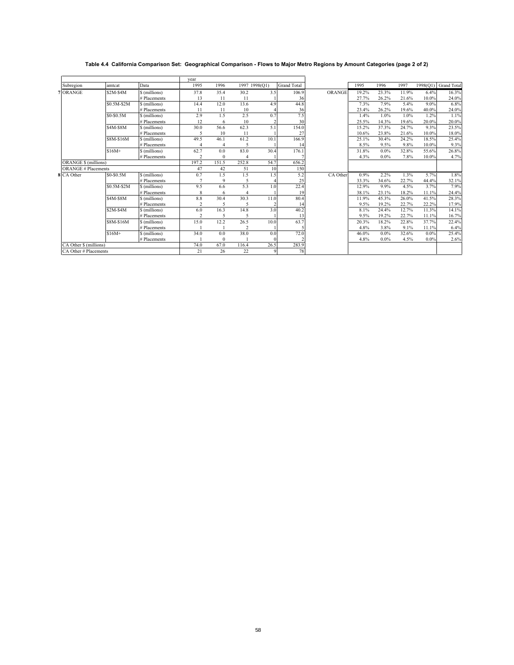## **Table 4.4 California Comparison Set: Geographical Comparison - Flows to Major Metro Regions by Amount Categories (page 2 of 2)**

|                             |             |               | vear           |                          |                |      |                    |               |       |         |       |         |                      |
|-----------------------------|-------------|---------------|----------------|--------------------------|----------------|------|--------------------|---------------|-------|---------|-------|---------|----------------------|
| Subregion                   | amtcat      | Data          | 1995           | 1996                     | 1997 1998(Q1)  |      | <b>Grand Total</b> |               | 1995  | 1996    | 1997  |         | 1998(Q1) Grand Total |
| 7 ORANGE                    | $$2M-S4M$   | \$ (millions) | 37.8           | 35.4                     | 30.2           | 3.5  | 106.9              | <b>ORANGE</b> | 19.2% | 23.3%   | 11.9% | 6.4%    | 16.3%                |
|                             |             | # Placements  | 13             | 11                       | 11             |      | 36                 |               | 27.7% | 26.2%   | 21.6% | 10.0%   | 24.0%                |
|                             | \$0.5M-\$2M | \$ (millions) | 14.4           | 12.0                     | 13.6           | 4.9  | 44.8               |               | 7.3%  | 7.9%    | 5.4%  | 9.0%    | 6.8%                 |
|                             |             | # Placements  | 11             | 11                       | 10             |      | 36                 |               | 23.4% | 26.2%   | 19.6% | 40.0%   | 24.0%                |
|                             | \$0-\$0.5M  | \$ (millions) | 2.9            | 1.5                      | 2.5            | 0.7  | 7.5                |               | 1.4%  | 1.0%    | 1.0%  | 1.2%    | 1.1%                 |
|                             |             | # Placements  | 12             | 6                        | 10             |      | 30                 |               | 25.5% | 14.3%   | 19.6% | 20.0%   | 20.0%                |
|                             | \$4M-\$8M   | \$(millions)  | 30.0           | 56.6                     | 62.3           | 5.1  | 154.0              |               | 15.2% | 37.3%   | 24.7% | 9.3%    | 23.5%                |
|                             |             | # Placements  | 5              | 10                       | 11             |      | 27                 |               | 10.6% | 23.8%   | 21.6% | 10.0%   | 18.0%                |
|                             | \$8M-\$16M  | \$(millions)  | 49.5           | 46.1                     | 61.2           | 10.1 | 166.9              |               | 25.1% | 30.4%   | 24.2% | 18.5%   | 25.4%                |
|                             |             | # Placements  | $\overline{4}$ | $\overline{4}$           | 5              |      | 14                 |               | 8.5%  | 9.5%    | 9.8%  | 10.0%   | 9.3%                 |
|                             | $$16M+$     | \$ (millions) | 62.7           | 0.0                      | 83.0           | 30.4 | 176.1              |               | 31.8% | $0.0\%$ | 32.8% | 55.6%   | 26.8%                |
|                             |             | # Placements  | $\overline{c}$ | $\Omega$                 |                |      |                    |               | 4.3%  | $0.0\%$ | 7.8%  | 10.0%   | 4.7%                 |
| <b>ORANGE \$ (millions)</b> |             |               | 197.2          | 151.5                    | 252.8          | 54.7 | 656.2              |               |       |         |       |         |                      |
| <b>ORANGE # Placements</b>  |             |               | 47             | 42                       | 51             | 10   | 150                |               |       |         |       |         |                      |
| 8 CA Other                  | \$0-\$0.5M  | \$ (millions) | 0.7            | 1.5                      | 1.5            | 1.5  | 5.2                | CA Other      | 0.9%  | 2.2%    | 1.3%  | 5.7%    | 1.8%                 |
|                             |             | # Placements  | 7              | 9                        | 5              |      | 25                 |               | 33.3% | 34.6%   | 22.7% | 44.4%   | 32.1%                |
|                             | \$0.5M-\$2M | \$ (millions) | 9.5            | 6.6                      | 5.3            | 1.0  | 22.4               |               | 12.9% | 9.9%    | 4.5%  | 3.7%    | 7.9%                 |
|                             |             | # Placements  | 8              | 6                        |                |      | 19                 |               | 38.1% | 23.1%   | 18.2% | 11.1%   | 24.4%                |
|                             | \$4M-\$8M   | \$ (millions) | 8.8            | 30.4                     | 30.3           | 11.0 | 80.4               |               | 11.9% | 45.3%   | 26.0% | 41.5%   | 28.3%                |
|                             |             | # Placements  | 2              |                          | 5              |      | 14                 |               | 9.5%  | 19.2%   | 22.7% | 22.2%   | 17.9%                |
|                             | $$2M-S4M$   | \$ (millions) | 6.0            | 16.3                     | 14.8           | 3.0  | 40.2               |               | 8.1%  | 24.4%   | 12.7% | 11.3%   | 14.1%                |
|                             |             | # Placements  | $\overline{c}$ | $\overline{\phantom{0}}$ |                |      | 13                 |               | 9.5%  | 19.2%   | 22.7% | 11.1%   | 16.7%                |
|                             | \$8M-\$16M  | \$ (millions) | 15.0           | 12.2                     | 26.5           | 10.0 | 63.7               |               | 20.3% | 18.2%   | 22.8% | 37.7%   | 22.4%                |
|                             |             | # Placements  |                |                          | $\overline{2}$ |      |                    |               | 4.8%  | 3.8%    | 9.1%  | 11.1%   | 6.4%                 |
|                             | $$16M+$     | \$ (millions) | 34.0           | 0.0                      | 38.0           | 0.0  | 72.0               |               | 46.0% | $0.0\%$ | 32.6% | $0.0\%$ | 25.4%                |
|                             |             | # Placements  |                | $\theta$                 |                |      |                    |               | 4.8%  | $0.0\%$ | 4.5%  | 0.0%    | 2.6%                 |
| CA Other \$ (millions)      |             |               | 74.0           | 67.0                     | 116.4          | 26.5 | 283.9              |               |       |         |       |         |                      |
| CA Other # Placements       |             |               | 21             | 26                       | 22             | 9    | 78                 |               |       |         |       |         |                      |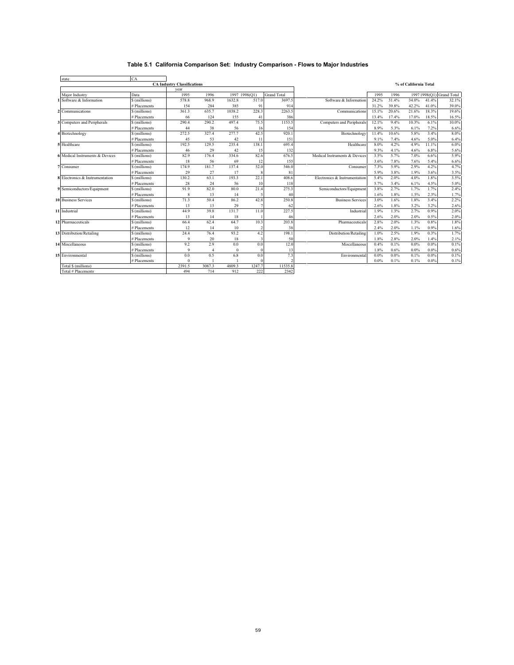# **Table 5.1 California Comparison Set: Industry Comparison - Flows to Major Industries**

| state                           | <b>CA</b>     |                                    |        |               |                |                    |                               |         |         |                       |       |                           |
|---------------------------------|---------------|------------------------------------|--------|---------------|----------------|--------------------|-------------------------------|---------|---------|-----------------------|-------|---------------------------|
|                                 |               | <b>CA Industry Classifications</b> |        |               |                |                    |                               |         |         | % of California Total |       |                           |
|                                 |               | year                               |        |               |                |                    |                               |         |         |                       |       |                           |
| Maior Industry                  | Data          | 1995                               | 1996   | 1997 1998(Q1) |                | <b>Grand Total</b> |                               | 1995    | 1996    |                       |       | 1997 1998(O1) Grand Total |
| 1 Software & Information        | \$ (millions) | 578.8                              | 968.9  | 1632.8        | 517.0          | 3697.5             | Software & Information        | 24.2%   | 31.4%   | 34.0%                 | 41.4% | 32.1%                     |
|                                 | # Placements  | 154                                | 284    | 385           | 9              | 914                |                               | 31.2%   | 39.8%   | 42.2%                 | 41.0% | 39.0%                     |
| 2 Communications                | \$ (millions) | 361.3                              | 635.7  | 1038.2        | 228.3          | 2263.5             | Communications                | 15.1%   | 20.6%   | 21.6%                 | 18.3% | 19.6%                     |
|                                 | # Placements  | 66                                 | 124    | 155           | 4 <sub>1</sub> | 386                |                               | 13.4%   | 17.4%   | 17.0%                 | 18.5% | 16.5%                     |
| 3 Computers and Peripherals     | \$ (millions) | 290.4                              | 290.2  | 497.4         | 75.5           | 1153.5             | Computers and Peripherals     | 12.1%   | 9.4%    | 10.3%                 | 6.1%  | 10.0%                     |
|                                 | # Placements  | 44                                 | 38     | 56            | 16             | 154                |                               | 8.9%    | 5.3%    | 6.1%                  | 7.2%  | 6.6%                      |
| 4 Biotechnology                 | \$ (millions) | 272.5                              | 327.4  | 277.7         | 42.5           | 920.1              | Biotechnology                 | 11.4%   | 10.6%   | 5.8%                  | 3.4%  | 8.0%                      |
|                                 | # Placements  | 45                                 | 53     | 42            | 11             | 151                |                               | 9.1%    | 7.4%    | 4.6%                  | 5.0%  | 6.4%                      |
| 5 Healthcare                    | \$ (millions) | 192.5                              | 129.5  | 235.4         | 138.1          | 695.4              | Healthcare                    | 8.0%    | 4.2%    | 4.9%                  | 11.1% | 6.0%                      |
|                                 | # Placements  | 46                                 | 29     | 42            | 15             | 132                |                               | 9.3%    | 4.1%    | 4.6%                  | 6.8%  | 5.6%                      |
| 6 Medical Instruments & Devices | \$ (millions) | 82.9                               | 176.4  | 334.6         | 82.6           | 676.5              | Medical Instruments & Devices | 3.5%    | 5.7%    | 7.0%                  | 6.6%  | 5.9%                      |
|                                 | # Placements  | 18                                 | 56     | 69            | 12             | 155                |                               | 3.6%    | 7.8%    | 7.6%                  | 5.4%  | 6.6%                      |
| 7 Consumer                      | \$ (millions) | 174.9                              | 181.7  | 137.4         | 52.0           | 546.0              | Consumer                      | 7.3%    | 5.9%    | 2.9%                  | 4.2%  | 4.7%                      |
|                                 | # Placements  | 29                                 | 27     | 17            |                | 81                 |                               | 5.9%    | 3.8%    | 1.9%                  | 3.6%  | 3.5%                      |
| 8 Electronics & Instrumentation | \$ (millions) | 130.2                              | 63.1   | 193.3         | 22.1           | 408.6              | Electronics & Instrumentation | 5.4%    | 2.0%    | 4.0%                  | 1.8%  | 3.5%                      |
|                                 | # Placements  | 28                                 | 24     | 56            | 10             | 118                |                               | 5.7%    | 3.4%    | 6.1%                  | 4.5%  | 5.0%                      |
| 9 Semiconductors/Equipment      | \$ (millions) | 91.9                               | 82.0   | 80.0          | 21.4           | 275.3              | Semiconductors/Equipment      | 3.8%    | 2.7%    | 1.7%                  | 1.7%  | 2.4%                      |
|                                 | # Placements  | 8                                  | 13     | 14            |                | 40                 |                               | 1.6%    | 1.8%    | 1.5%                  | 2.3%  | 1.7%                      |
| <b>10 Business Services</b>     | \$ (millions) | 71.3                               | 50.4   | 86.2          | 42.8           | 250.8              | <b>Business Services</b>      | 3.0%    | 1.6%    | 1.8%                  | 3.4%  | 2.2%                      |
|                                 | # Placements  | 13                                 | 13     | 29            |                | 62                 |                               | 2.6%    | 1.8%    | 3.2%                  | 3.2%  | 2.6%                      |
| 11 Industrial                   | \$ (millions) | 44.9                               | 39.8   | 131.7         | 11.0           | 227.5              | Industrial                    | 1.9%    | 1.3%    | 2.7%                  | 0.9%  | 2.0%                      |
|                                 | # Placements  | 13                                 | 14     | 18            |                | 46                 |                               | 2.6%    | 2.0%    | 2.0%                  | 0.5%  | 2.0%                      |
| 12 Pharmaceuticals              | \$ (millions) | 66.4                               | 62.4   | 64.7          | 10.3           | 203.8              | Pharmaceuticals               | 2.8%    | 2.0%    | 1.3%                  | 0.8%  | 1.8%                      |
|                                 | # Placements  | 12                                 | 14     | 10            |                | 38                 |                               | 2.4%    | 2.0%    | 1.1%                  | 0.9%  | 1.6%                      |
| 13 Distribution/Retailing       | \$ (millions) | 24.4                               | 76.4   | 93.2          | 4.2            | 198.1              | Distribution/Retailing        | 1.0%    | 2.5%    | 1.9%                  | 0.3%  | 1.7%                      |
|                                 | # Placements  | $\mathbf Q$                        | 20     | 18            |                | 50                 |                               | 1.8%    | 2.8%    | 2.0%                  | 1.4%  | 2.1%                      |
| 14 Miscellaneous                | \$ (millions) | 9.2                                | 2.9    | 0.0           | 0.0            | 12.0               | Miscellaneous                 | 0.4%    | 0.1%    | 0.0%                  | 0.0%  | 0.1%                      |
|                                 | # Placements  | $\mathbf Q$                        |        | $\Omega$      |                | 13                 |                               | 1.8%    | 0.6%    | 0.0%                  | 0.0%  | 0.6%                      |
| 15 Environmental                | \$ (millions) | 0.0                                | 0.5    | 6.8           | 0.0            | 7.3                | Environmental                 | 0.0%    | $0.0\%$ | 0.1%                  | 0.0%  | 0.1%                      |
|                                 | # Placements  | $\theta$                           |        |               |                |                    |                               | $0.0\%$ | 0.1%    | 0.1%                  | 0.0%  | 0.1%                      |
| Total \$ (millions)             |               | 2391.5                             | 3087.3 | 4809.3        | 1247.7         | 11535.8            |                               |         |         |                       |       |                           |
| Total # Placements              |               | 494                                | 714    | 912           | 222            | 2342               |                               |         |         |                       |       |                           |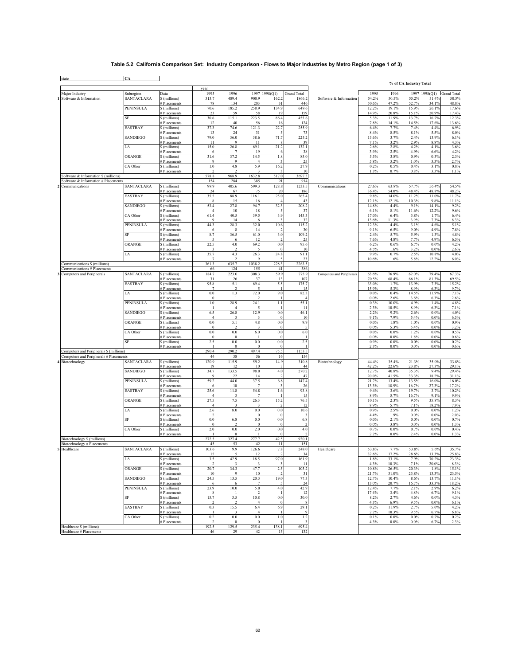## **Table 5.2 California Comparison Set: Industry Comparison - Flows to Major Industries by Metro Region (page 1 of 3)**

|                                         |                   |                                    | year                    |                        |                         |                 |                          |                           |                 |                 | % of CA Industry Total |                           |                |
|-----------------------------------------|-------------------|------------------------------------|-------------------------|------------------------|-------------------------|-----------------|--------------------------|---------------------------|-----------------|-----------------|------------------------|---------------------------|----------------|
| Major Industry                          | Subregion         | Data                               | 1995                    | 1996                   |                         | 1997 1998(Q1)   | <b>Grand Total</b>       |                           | 1995            | 1996            |                        | 1997 1998(Q1) Grand Total |                |
| Software & Information                  | <b>SANTACLARA</b> | \$ (millions)                      | 313.7                   | 489.4                  | 900.9                   | 162.2           | 1866.2                   | Software & Information    | 54.2%           | 50.5%           | 55.2%                  | 31.4%                     | 50.5%          |
|                                         | <b>PENINSULA</b>  | <b>Placements</b><br>\$ (millions) | 78<br>70.6              | 134<br>185.2           | 203<br>258.9            | 31<br>134.9     | 446<br>649.6             |                           | 50.6%<br>12.2%  | 47.2%<br>19.1%  | 52.7%<br>15.9%         | 34.1%<br>26.1%            | 48.8%<br>17.6% |
|                                         |                   | # Placements                       | 23                      | 59                     | 58                      | 19              | 159                      |                           | 14.9%           | 20.8%           | 15.1%                  | 20.9%                     | 17.4%          |
|                                         | SF                | \$ (millions)                      | 30.6                    | 115.1                  | 223.5                   | 86.4            | 455.6                    |                           | 5.3%            | 11.9%           | 13.7%                  | 16.7%                     | 12.3%          |
|                                         | <b>EASTBAY</b>    | # Placements<br>\$(millions)       | 12<br>37.3              | 40<br>74.6             | 56<br>121.3             | 16<br>22.7      | 124<br>255.9             |                           | 7.8%<br>6.4%    | 14.1%<br>7.7%   | 14.5%<br>7.4%          | 17.6%<br>4.4%             | 13.6%<br>6.9%  |
|                                         |                   | # Placements                       | 13                      | 24                     | 31                      |                 | 73                       |                           | 8.4%            | 8.5%            | 8.1%                   | 5.5%                      | 8.0%           |
|                                         | SANDIEGO          | \$ (millions)<br># Placements      | 79.0<br>11              | 36.0<br>$\overline{9}$ | 38.6<br>11              | 71.7            | 225.2<br>39              |                           | 13.6%<br>7.1%   | 3.7%<br>3.2%    | 2.4%<br>2.9%           | 13.9%<br>8.8%             | 6.1%<br>4.3%   |
|                                         | LA                | \$ (millions)                      | 15.0                    | 26.8                   | 69.1                    | 21.2            | 132.1                    |                           | 2.6%            | 2.8%            | 4.2%                   | 4.1%                      | 3.6%           |
|                                         |                   | # Placements                       | 6                       | $\overline{7}$         | 19                      |                 | 38                       |                           | 3.9%            | 2.5%            | 4.9%                   | 6.6%                      | 4.2%           |
|                                         | ORANGE            | \$ (millions)<br># Placements      | 31.6<br>9               | 37.2<br>-9             | 14.5<br>4               | 1.8             | 85.0<br>25               |                           | 5.5%<br>5.8%    | 3.8%<br>3.2%    | 0.9%<br>1.0%           | 0.3%<br>3.3%              | 2.3%<br>2.7%   |
|                                         | CA Other          | \$ (millions)                      | $1.0$                   | 4.8                    | 5.9                     | 16.2            | 27.9                     |                           | 0.2%            | 0.5%            | 0.4%                   | 3.1%                      | 0.8%           |
| Software & Information \$ (millions)    |                   | # Placements                       | 578.8                   | 968.9                  | 3<br>1632.8             | 517.0           | 10<br>3697.5             |                           | 1.3%            | 0.7%            | 0.8%                   | 3.3%                      | 1.1%           |
| Software & Information # Placements     |                   |                                    | 154                     | 284                    | 385                     | 91              | 914                      |                           |                 |                 |                        |                           |                |
| Communications                          | <b>SANTACLARA</b> | \$ (millions)                      | 99.9                    | 405.6                  | 599.3                   | 128.8           | 1233.5                   | Communications            | 27.6%           | 63.8%           | 57.7%                  | 56.4%                     | 54.5%          |
|                                         | <b>EASTBAY</b>    | # Placements<br>\$ (millions)      | 24<br>35.5              | 67<br>88.9             | 75<br>116.1             | 20<br>25.0      | 186<br>265.4             |                           | 36.4%<br>9.8%   | 54.0%<br>14.0%  | 48.4%<br>11.2%         | 48.8%<br>11.0%            | 48.2%<br>11.7% |
|                                         |                   | # Placements                       | 8                       | 15                     | 16                      |                 | 43                       |                           | 12.1%           | 12.1%           | 10.3%                  | 9.8%                      | 11.1%          |
|                                         | SANDIEGO          | \$ (millions)<br># Placements      | 53.4<br>$\overline{4}$  | 27.8<br>10             | 94.7<br>18              | 32.3            | 208.2<br>37              |                           | 14.8%<br>6.1%   | 4.4%<br>8.1%    | 9.1%<br>11.6%          | 14.1%<br>12.2%            | 9.2%<br>9.6%   |
|                                         | CA Other          | \$ (millions)                      | 61.4                    | 40.5                   | 39.5                    | 3.9             | 145.3                    |                           | 17.0%           | 6.4%            | 3.8%                   | 1.7%                      | 6.4%           |
|                                         |                   | # Placements                       | 9                       | 14                     | 6                       |                 | 32                       |                           | 13.6%           | 11.3%           | 3.9%                   | 7.3%                      | 8.3%           |
|                                         | <b>PENINSULA</b>  | \$ (millions)<br># Placements      | 44.3<br>6               | 28.3                   | 32.0<br>14              | 10.6            | 115.2<br>30              |                           | 12.3%<br>9.1%   | 4.4%<br>6.5%    | 3.1%<br>9.0%           | 4.6%<br>4.9%              | 5.1%<br>7.8%   |
|                                         | SF                | \$ (millions)                      | 8.7                     | 36.5                   | 61.0                    | 3.0             | 109.2                    |                           | 2.4%            | 5.7%            | 5.9%                   | 1.3%                      | 4.8%           |
|                                         | ORANGE            | # Placements<br>\$ (millions)      | 5<br>22.5               | 6<br>$4.0\,$           | 12<br>69.2              | 0.0             | 25<br>95.6               |                           | 7.6%<br>6.2%    | 4.8%<br>0.6%    | 7.7%<br>6.7%           | 4.9%<br>0.0%              | 6.5%<br>4.2%   |
|                                         |                   | # Placements                       |                         |                        | 5                       | $^{\circ}$      | 10                       |                           | 4.5%            | 1.6%            | 3.2%                   | 0.0%                      | 2.6%           |
|                                         | LA                | \$ (millions)                      | 35.7                    | 4.3                    | 26.3                    | 24.8            | 91.1                     |                           | 9.9%            | 0.7%            | 2.5%                   | 10.8%                     | 4.0%           |
| Communications \$ (millions)            |                   | # Placements                       | $\overline{7}$<br>361.3 | $\mathcal{D}$<br>635.7 | $\mathbf Q$<br>1038.2   | 228.            | 23<br>2263.5             |                           | 10.6%           | 1.6%            | 5.8%                   | 12.2%                     | 6.0%           |
| Communications # Placements             |                   |                                    | 66                      | 124                    | 155                     | 41              | 386                      |                           |                 |                 |                        |                           |                |
| Computers and Peripherals<br>3          | <b>SANTACLARA</b> | \$ (millions)                      | 184.7                   | 223.0                  | 308.3                   | 59.9            | 775.9                    | Computers and Peripherals | 63.6%           | 76.9%           | 62.0%                  | 79.4%<br>81.3%            | 67.3%          |
|                                         | EASTBAY           | # Placements<br>\$ (millions)      | 31<br>95.8              | 26<br>5.1              | 37<br>69.4              | 11<br>5.5       | 107<br>175.7             |                           | 70.5%<br>33.0%  | 68.4%<br>1.7%   | 66.1%<br>13.9%         | 7.3%                      | 69.5%<br>15.2% |
|                                         |                   | # Placements                       | $\overline{7}$          | $\overline{2}$         | 5                       |                 | 15                       |                           | 15.9%           | 5.3%            | 8.9%                   | 6.3%                      | 9.7%           |
|                                         | LA                | \$ (millions)<br># Placements      | 0.0<br>$\Omega$         | 1.3                    | 72.0                    | 9.0             | 82.3                     |                           | 0.0%<br>0.0%    | 0.4%<br>2.6%    | 14.5%<br>3.6%          | 11.9%<br>6.3%             | 7.1%<br>2.6%   |
|                                         | <b>PENINSULA</b>  | \$ (millions)                      | 1.0                     | 28.9                   | 24.1                    | 1.1             | 55.1                     |                           | 0.3%            | 10.0%           | 4.9%                   | 1.4%                      | 4.8%           |
|                                         | <b>SANDIEGO</b>   | # Placements                       |                         | $\overline{4}$         |                         |                 | 11                       |                           | 2.3%            | 10.5%           | 8.9%                   | 6.3%                      | 7.1%           |
|                                         |                   | \$ (millions)<br># Placements      | 6.5<br>$\overline{4}$   | 26.8<br>3              | 12.9<br>-3              | 0.0<br>-0       | 46.1<br>10               |                           | 2.2%<br>9.1%    | 9.2%<br>7.9%    | 2.6%<br>5.4%           | 0.0%<br>0.0%              | 4.0%<br>6.5%   |
|                                         | ORANGE            | \$ (millions)                      | 0.0                     | 5.1                    | $4.8\,$                 | 0.0             | 9.9                      |                           | 0.0%            | 1.8%            | 1.0%                   | $0.0\%$                   | 0.9%           |
|                                         | CA Other          | # Placements<br>\$ (millions)      | $\Omega$<br>0.0         | $\mathcal{D}$<br>0.0   | 3<br>6.0                | $\Omega$<br>0.0 | $\sim$<br>6.0            |                           | 0.0%<br>$0.0\%$ | 5.3%<br>$0.0\%$ | 5.4%<br>1.2%           | $0.0\%$<br>0.0%           | 3.2%<br>0.5%   |
|                                         |                   | # Placements                       | $\bf{0}$                | $\Omega$               |                         |                 |                          |                           | 0.0%            | 0.0%            | 1.8%                   | 0.0%                      | 0.6%           |
|                                         | $\rm{SF}$         | \$ (millions)                      | 2.5                     | 0.0                    | $0.0\,$                 | 0.0             | 2.5                      |                           | 0.9%            | 0.0%            | $0.0\%$                | 0.0%                      | 0.2%           |
| Computers and Peripherals \$ (millions) |                   | # Placements                       | $\overline{1}$<br>290.4 | $\theta$<br>290.2      | $\overline{0}$<br>497.4 | 75.5            | $\overline{1}$<br>1153.5 |                           | 2.3%            | 0.0%            | 0.0%                   | $0.0\%$                   | 0.6%           |
| Computers and Peripherals # Placements  |                   |                                    | 44                      | 38                     | 56                      | 16              | 154                      |                           |                 |                 |                        |                           |                |
| 4 Biotechnology                         | SANTACLARA        | \$ (millions)                      | 120.9                   | 115.9                  | 59.2                    | 14.9            | 310.8                    | Biotechnology             | 44.4%           | 35.4%           | 21.3%                  | 35.0%                     | 33.8%          |
|                                         | <b>SANDIEGO</b>   | # Placements<br>\$ (millions)      | 19<br>34.7              | 12<br>133.5            | 10<br>98.0              | 4.0             | 44<br>270.2              |                           | 42.2%<br>12.7%  | 22.6%<br>40.8%  | 23.8%<br>35.3%         | 27.3%<br>9.4%             | 29.1%<br>29.4% |
|                                         |                   | # Placements                       | $\mathbf{Q}$            | 22                     | 14                      |                 | 47                       |                           | 20.0%           | 41.5%           | 33.3%                  | 18.2%                     | 31.1%          |
|                                         | <b>PENINSULA</b>  | \$ (millions)<br># Placements      | 59.2<br>6               | 44.0<br>10             | 37.5                    | 6.8             | 147.4<br>26              |                           | 21.7%<br>13.3%  | 13.4%<br>18.9%  | 13.5%<br>16.7%         | 16.0%<br>27.3%            | 16.0%<br>17.2% |
|                                         | <b>EASTBAY</b>    | \$ (millions)                      | 25.6                    | 11.8                   | 54.8                    | 1.6             | 93.8                     |                           | 9.4%            | 3.6%            | 19.7%                  | 3.7%                      | 10.2%          |
|                                         |                   | # Placements                       | $\overline{4}$<br>27.5  |                        | 7                       |                 | 15                       |                           | 8.9%<br>10.1%   | 5.7%<br>2.3%    | 16.7%<br>9.5%          | 9.1%<br>35.8%             | 9.9%<br>8.3%   |
|                                         | ORANGE            | \$ (millions)<br># Placements      | $\overline{4}$          | 7.5<br>3               | 26.3<br>3               | 15.2            | 76.5<br>12               |                           | 8.9%            | 5.7%            | 7.1%                   | 18.2%                     | 7.9%           |
|                                         | LA                | \$ (millions)                      | 2.6                     | 8.0                    | $0.0\,$                 | 0.0             | 10.6                     |                           | 0.9%            | 2.5%            | $0.0\%$                | 0.0%                      | 1.2%           |
|                                         | SF                | # Placements<br>\$ (millions)      | 0.0                     | 6.8                    | $\mathbf{0}$<br>$0.0\,$ | 0.0             | 6.8                      |                           | 4.4%<br>0.0%    | 1.9%<br>2.1%    | $0.0\%$<br>$0.0\%$     | 0.0%<br>0.0%              | 2.0%<br>0.7%   |
|                                         |                   | <b>Placements</b>                  | $\overline{0}$          | $\mathcal{D}$          | $\mathbf{0}$            |                 |                          |                           | 0.0%            | 3.8%            | 0.0%                   | $0.0\%$                   | 1.3%           |
|                                         | CA Other          | \$ (millions)                      | 2.0                     | 0.0                    | $2.0\,$                 | 0.0             | 4.0                      |                           | 0.7%            | 0.0%            | 0.7%                   | 0.0%                      | 0.4%           |
| Biotechnology \$ (millions)             |                   | # Placements                       | 272.5                   | $\Omega$<br>327.4      | 277.7                   | 42.5            | 920.1                    |                           | 2.2%            | $0.0\%$         | 2.4%                   | 0.0%                      | 1.3%           |
| Biotechnology # Placements              |                   |                                    | 45                      | 53                     | 42                      | 11              | 151                      |                           |                 |                 |                        |                           |                |
| Healthcare                              | SANTACLARA        | \$ (millions)                      | 03.6<br>15              | 9.9<br>$\sim$          | 126.6<br>12             | 78              | 248.0<br>34              | Healthcare                | 53.8%<br>32.6%  | 17.2%           | 53.8%<br>28.6%         | 13.3%                     | 35.7%<br>25.8% |
|                                         | LA                | # Placements<br>\$ (millions)      | 3.5                     | 42.9                   | 18.5                    | 97.0            | 161.9                    |                           | 1.8%            | 33.1%           | 7.9%                   | 70.2%                     | 23.3%          |
|                                         |                   | # Placements                       | $\mathcal{D}$           | $\mathbf{3}$           | 3                       |                 | 11                       |                           | 4.3%            | 10.3%           | 7.1%                   | 20.0%                     | 8.3%           |
|                                         | ORANGE            | \$ (millions)<br># Placements      | 20.7<br>10              | 34.3<br>$\overline{9}$ | 47.7<br>10              | 2.5             | 105.2<br>31              |                           | 10.8%<br>21.7%  | 26.5%<br>31.0%  | 20.3%<br>23.8%         | 1.8%<br>13.3%             | 15.1%<br>23.5% |
|                                         | <b>SANDIEGO</b>   | \$ (millions)                      | 24.5                    | 13.5                   | 20.3                    | 19.0            | 77.3                     |                           | 12.7%           | 10.4%           | 8.6%                   | 13.7%                     | 11.1%          |
|                                         |                   | # Placements                       | -6                      | -6                     | 7                       |                 | 24                       |                           | 13.0%           | 20.7%           | 16.7%                  | 33.3%                     | 18.2%          |
|                                         | <b>PENINSULA</b>  | \$ (millions)<br># Placements      | 23.9<br>8               | 10.0                   | 5.0<br>$\overline{2}$   | 4.0             | 42.9<br>12               |                           | 12.4%<br>17.4%  | 7.7%<br>3.4%    | 2.1%<br>4.8%           | 2.9%<br>6.7%              | 6.2%<br>9.1%   |
|                                         | SF                | \$ (millions)                      | 15.7                    | 3.5                    | 10.8                    | 0.0             | 30.0                     |                           | 8.2%            | 2.7%            | 4.6%                   | 0.0%                      | 4.3%           |
|                                         | EASTBAY           | # Placements<br>\$ (millions)      | 0.3                     | 15.5                   | $\overline{4}$<br>6.4   | 6.9             | 8<br>29.1                |                           | 4.3%<br>0.2%    | 6.9%<br>11.9%   | 9.5%<br>2.7%           | 0.0%<br>5.0%              | 6.1%<br>4.2%   |
|                                         |                   | # Placements                       |                         | $\mathbf{3}$           | $\overline{4}$          |                 |                          |                           | 2.2%            | 10.3%           | 9.5%                   | 6.7%                      | 6.8%           |
|                                         | CA Other          | \$ (millions)                      | 0.2                     | 0.0                    | $0.0\,$                 | 1.0             | 1.2                      |                           | 0.1%            | $0.0\%$         | $0.0\%$                | 0.7%                      | 0.2%           |
| Healthcare \$ (millions)                |                   | # Placements                       | 192.5                   | $\theta$<br>129.5      | $\theta$<br>235.4       | 138.1           | 695.4                    |                           | 4.3%            | 0.0%            | $0.0\%$                | 6.7%                      | 2.3%           |
| Healthcare # Placements                 |                   |                                    | 46                      | 29                     | 42                      | 15              | 132                      |                           |                 |                 |                        |                           |                |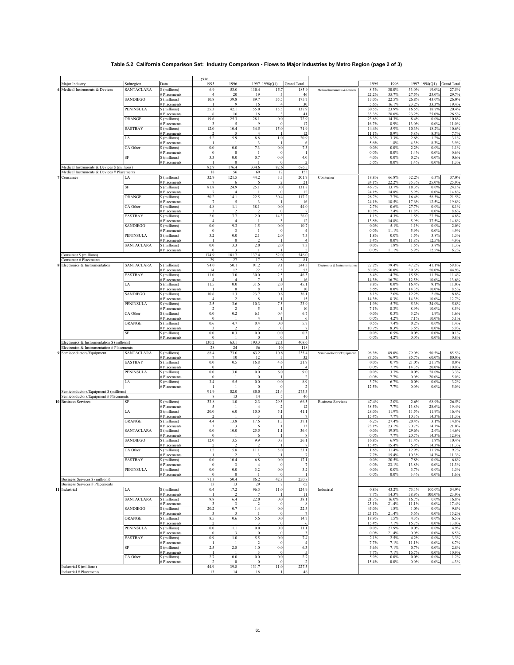## **Table 5.2 California Comparison Set: Industry Comparison - Flows to Major Industries by Metro Region (page 2 of 3)**

|                                                                                           |                         |                               | year                      |                        |                        |                           |                             |                               |                 |                  |                    |                  |                                    |
|-------------------------------------------------------------------------------------------|-------------------------|-------------------------------|---------------------------|------------------------|------------------------|---------------------------|-----------------------------|-------------------------------|-----------------|------------------|--------------------|------------------|------------------------------------|
| Major Industry<br>6 Medical Instruments & Devices                                         | Subregion<br>SANTACLARA | Data<br>\$ (millions)         | 1995<br>6.9               | 1996<br>53.0           | 1997 1998(Q1)<br>110.4 | 15.7                      | <b>Grand Total</b><br>185.9 |                               | 1995<br>8.3%    | 1996<br>30.0%    | 33.0%              | 19.0%            | 1997 1998(Q1) Grand Total<br>27.5% |
|                                                                                           |                         | # Placements                  | $\overline{4}$            | 20                     | 19                     |                           | 46                          | Medical Instruments & Devices | 22.2%           | 35.7%            | 27.5%              | 25.0%            | 29.7%                              |
|                                                                                           | SANDIEGO                | \$ (millions)<br># Placements | 10.8                      | 39.8<br>9              | 89.7<br>16             | 35.5                      | 175.7<br>30                 |                               | 13.0%<br>5.6%   | 22.5%<br>16.1%   | 26.8%<br>23.2%     | 43.0%<br>33.3%   | 26.0%<br>19.4%                     |
|                                                                                           | PENINSULA               | \$ (millions)                 | 25.3                      | 42.1                   | 55.0                   | 15.5                      | 137.9                       |                               | 30.5%           | 23.9%            | 16.5%              | 18.7%            | 20.4%                              |
|                                                                                           | ORANGE                  | # Placements<br>\$ (millions) | 6<br>19.6                 | 16<br>25.3             | 16<br>28.1             | 0.0                       | 41<br>72.9                  |                               | 33.3%<br>23.6%  | 28.6%<br>14.3%   | 23.2%<br>8.4%      | 25.0%<br>$0.0\%$ | 26.5%<br>10.8%                     |
|                                                                                           | <b>EASTBAY</b>          | # Placements                  | 3<br>12.0                 | $\overline{5}$<br>10.4 | 9<br>34.5              | $\Omega$<br>15.0          | 17                          |                               | 16.7%<br>14.4%  | 8.9%<br>5.9%     | 13.0%<br>10.3%     | 0.0%<br>18.2%    | 11.0%<br>10.6%                     |
|                                                                                           |                         | \$ (millions)<br># Placements |                           |                        | $\overline{4}$         |                           | 71.9<br>12                  |                               | 11.1%           | 8.9%             | 5.8%               | 8.3%             | 7.7%                               |
|                                                                                           | LA                      | \$ (millions)                 | 5.2                       | 5.9                    | 8.8<br>3               | 1.0                       | 20.9                        |                               | 6.3%<br>5.6%    | 3.3%<br>1.8%     | 2.6%<br>4.3%       | 1.2%<br>8.3%     | 3.1%<br>3.9%                       |
|                                                                                           | CA Other                | # Placements<br>\$ (millions) | $\rm 0.0$                 | $\rm 0.0$              | 7.3                    | 0.0                       | 7.3                         |                               | $0.0\%$         | $0.0\%$          | 2.2%               | $0.0\%$          | 1.1%                               |
|                                                                                           | SF                      | # Placements<br>\$ (millions) | $\Omega$<br>3.3           | $\Omega$<br>0.0        | 0.7                    | $\Omega$<br>$\rm 0.0$     | 4.0                         |                               | $0.0\%$<br>4.0% | 0.0%<br>0.0%     | 1.4%<br>0.2%       | 0.0%<br>$0.0\%$  | 0.6%<br>0.6%                       |
|                                                                                           |                         | # Placements                  |                           | $\theta$               |                        | $\bf{0}$                  |                             |                               | 5.6%            | $0.0\%$          | 1.4%               | $0.0\%$          | 1.3%                               |
| Medical Instruments & Devices \$ (millions)<br>Medical Instruments & Devices # Placements |                         |                               | 82.9<br>18                | 176.4<br>56            | 334.6<br>69            | 82.6<br>12                | 676.5<br>155                |                               |                 |                  |                    |                  |                                    |
| 7 Consumer                                                                                | LA                      | \$ (millions)                 | 32.9                      | 121.5                  | 44.2                   | 3.3                       | 201.9                       | Consumer                      | 18.8%           | 66.8%            | 32.2%              | 6.3%             | 37.0%                              |
|                                                                                           | SF                      | # Placements<br>\$ (millions) | $81.8\,$                  | 24.9                   | 6<br>25.1              | 0.0                       | $\overline{2}$<br>131.8     |                               | 24.1%<br>46.7%  | 22.2%<br>13.7%   | 35.3%<br>18.3%     | 25.0%<br>0.0%    | 25.9%<br>24.1%                     |
|                                                                                           |                         | # Placements                  |                           |                        |                        | $\Omega$                  | 12                          |                               | 24.1%           | 14.8%            | 5.9%               | $0.0\%$          | 14.8%                              |
|                                                                                           | ORANGE                  | \$(millions)<br># Placements  | 50.2                      | 14.1                   | 22.5                   | 30.4                      | 117.2<br>16                 |                               | 28.7%<br>24.1%  | 7.7%<br>18.5%    | 16.4%<br>17.6%     | 58.5%<br>12.5%   | 21.5%<br>19.8%                     |
|                                                                                           | CA Other                | \$(millions)                  | 4.8                       | 1.1                    | 38.1                   | 0.0<br>$\mathbf{0}$       | 44.0                        |                               | 2.7%<br>10.3%   | 0.6%             | 27.7%              | 0.0%<br>0.0%     | 8.1%                               |
|                                                                                           | <b>EASTBAY</b>          | # Placements<br>\$ (millions) | 2.0                       | 7.7                    | 2.0                    | 14.3                      | 26.0                        |                               | 1.1%            | 7.4%<br>4.3%     | 11.8%<br>1.5%      | 27.5%            | 8.6%<br>4.8%                       |
|                                                                                           | SANDIEGO                | # Placements<br>\$ (millions) | $\rm 0.0$                 | 9.3                    | 1.5                    | $\rm 0.0$                 | 12<br>10.7                  |                               | 13.8%<br>0.0%   | 14.8%<br>5.1%    | 5.9%<br>1.1%       | 37.5%<br>$0.0\%$ | 14.8%<br>2.0%                      |
|                                                                                           |                         | # Placements                  | $\Omega$                  | $\ddot{3}$             |                        | $\Omega$                  |                             |                               | 0.0%            | 11.1%            | 5.9%               | 0.0%             | 4.9%                               |
|                                                                                           | <b>PENINSULA</b>        | \$ (millions)<br># Placements | 3.2                       | 0.0<br>$\theta$        | 2.1                    | 2.0                       | 7.3                         |                               | 1.8%<br>3.4%    | $0.0\%$<br>0.0%  | 1.5%<br>11.8%      | 3.8%<br>12.5%    | 1.3%<br>4.9%                       |
|                                                                                           | SANTACLARA              | \$ (millions)                 | $0.0\,$                   | 3.3                    | 2.0                    | 2.0                       | 7.3                         |                               | 0.0%            | 1.8%             | 1.5%               | 3.8%             | 1.3%                               |
| Consumer \$ (millions)                                                                    |                         | # Placements                  | $\theta$<br>174.9         | 3<br>181.7             | 137.4                  | 52.0                      | 546.0                       |                               | 0.0%            | 11.1%            | 5.9%               | 12.5%            | 6.2%                               |
| Consumer # Placements                                                                     |                         |                               | 29                        | 27                     | 17                     | 8                         | 81                          |                               |                 |                  |                    |                  |                                    |
| 8 Electronics & Instrumentation                                                           | SANTACLARA              | \$ (millions)<br># Placements | 94.0<br>-14               | 50.1<br>12             | 91.2<br>22             | 9.1                       | 244.3<br>53                 | Electronics & Instrumentation | 72.2%<br>50.0%  | 79.4%<br>50.0%   | 47.2%<br>39.3%     | 41.1%<br>50.0%   | 59.8%<br>44.9%                     |
|                                                                                           | <b>EASTBAY</b>          | \$ (millions)                 | 11.0<br>$\overline{4}$    | 3.0<br>$\overline{4}$  | 30.0                   | 2.5                       | 46.5                        |                               | 8.4%            | 4.7%             | 15.5%              | 11.3%            | 11.4%                              |
|                                                                                           | LA                      | # Placements<br>\$ (millions) | 11.5                      | $0.0\,$                | 31.6                   | 2.0                       | 16<br>45.1                  |                               | 14.3%<br>8.8%   | 16.7%<br>0.0%    | 12.5%<br>16.4%     | 10.0%<br>9.1%    | 13.6%<br>11.0%                     |
|                                                                                           | SANDIEGO                | # Placements<br>\$ (millions) | 10.6                      | $\bf{0}$<br>1.3        | -8<br>23.7             | 0.6                       | 10<br>36.1                  |                               | 3.6%<br>8.1%    | 0.0%<br>2.0%     | 14.3%<br>12.2%     | 10.0%<br>2.6%    | 8.5%<br>8.8%                       |
|                                                                                           |                         | # Placements                  | $\overline{4}$            | $\mathcal{L}$          | -8                     | -1                        | -15                         |                               | 14.3%           | 8.3%             | 14.3%              | 10.0%            | 12.7%                              |
|                                                                                           | PENINSULA               | \$ (millions)<br># Placements | 2.5<br>$\mathfrak{D}$     | 3.6<br>$\mathcal{D}$   | 10.3                   | 7.5                       | 23.9<br>10                  |                               | 1.9%<br>7.1%    | 5.7%<br>8.3%     | 5.3%<br>8.9%       | 34.0%<br>10.0%   | 5.8%<br>8.5%                       |
|                                                                                           | CA Other                | \$ (millions)                 | $0.0\,$                   | 0.2                    | 6.1                    | 0.4                       | 6.7                         |                               | 0.0%            | 0.3%             | 3.2%               | 1.9%             | 1.6%                               |
|                                                                                           | ORANGE                  | # Placements<br>\$ (millions) | $\mathbf{0}$<br>0.6       | 4.7                    | 0.4                    | 0.0                       | 5.7                         |                               | 0.0%<br>0.5%    | 4.2%<br>7.4%     | 7.1%<br>0.2%       | 10.0%<br>0.0%    | 5.1%<br>1.4%                       |
|                                                                                           |                         | # Placements                  |                           |                        |                        | $\Omega$                  |                             |                               | 10.7%           | 8.3%             | 3.6%               | $0.0\%$          | 5.9%                               |
|                                                                                           | SF                      | \$ (millions)<br># Placements | $\rm 0.0$<br>$\Omega$     | 0.3                    | 0.0<br>$\mathbf{0}$    | 0.0<br>$\Omega$           | 0.3                         |                               | 0.0%<br>0.0%    | 0.5%<br>4.2%     | $0.0\%$<br>$0.0\%$ | $0.0\%$<br>0.0%  | 0.1%<br>0.8%                       |
| Electronics & Instrumentation \$ (millions)<br>Electronics & Instrumentation # Placements |                         |                               | 130.2<br>28               | 63.1<br>24             | 193.3<br>56            | 22.1<br>10                | 408.6<br>118                |                               |                 |                  |                    |                  |                                    |
| 9 Semiconductors/Equipment                                                                | SANTACLARA              | \$ (millions)                 | 88.4                      | 73.0                   | 63.2                   | 10.8                      | 235.4                       | Semiconductors/Equipment      | 96.3%           | 89.0%            | 79.0%              | 50.5%            | 85.5%                              |
|                                                                                           | EASTBAY                 | # Placements<br>\$ (millions) | $0.0\,$                   | 10<br>0.5              | 12<br>16.8             | 4.6                       | 32<br>21.9                  |                               | 87.5%<br>0.0%   | 76.9%<br>0.7%    | 85.7%<br>21.0%     | 60.0%<br>21.5%   | 80.0%<br>8.0%                      |
|                                                                                           |                         | # Placements                  | $\mathbf{0}$              |                        |                        |                           |                             |                               | 0.0%            | 7.7%             | 14.3%              | 20.0%            | 10.0%                              |
|                                                                                           | <b>PENINSULA</b>        | \$ (millions)<br># Placements | $\rm 0.0$<br>$\Omega$     | 3.0                    | 0.0<br>$\Omega$        | 6.0                       | 9.0                         |                               | 0.0%<br>0.0%    | 3.7%<br>7.7%     | $0.0\%$<br>0.0%    | 28.0%<br>20.0%   | 3.3%<br>5.0%                       |
|                                                                                           | LA                      | \$ (millions)                 | 3.4                       | 5.5                    | 0.0                    | 0.0                       | 8.9                         |                               | 3.7%            | 6.7%             | 0.0%               | 0.0%             | 3.2%                               |
| Semiconductors/Equipment \$ (millions)                                                    |                         | # Placements                  | 91.9                      | 82.0                   | $\Omega$<br>80.0       | $\Omega$<br>21.4          | 275.3                       |                               | 12.5%           | 7.7%             | $0.0\%$            | $0.0\%$          | 5.0%                               |
| Semiconductors/Equipment # Placements                                                     |                         |                               | 8                         | 13                     | 14                     | 5                         | 40                          |                               |                 |                  |                    |                  |                                    |
| <b>10 Business Services</b>                                                               | SF                      | \$ (millions)<br># Placements | 33.8<br>5                 | 1.0                    | 2.3<br>$\overline{4}$  | 29.5                      | 66.5<br>12                  | <b>Business Services</b>      | 47.4%<br>38.5%  | 2.0%<br>7.7%     | 2.6%<br>13.8%      | 68.9%<br>28.6%   | 26.5%<br>19.4%                     |
|                                                                                           | LA                      | \$ (millions)                 | 20.0                      | 6.0                    | 10.0                   | 5.1                       | 41.1                        |                               | 28.0%           | 11.9%            | 11.5%              | 11.9%            | 16.4%                              |
|                                                                                           | ORANGE                  | # Placements<br>\$ (millions) | 4.4                       | 13.8                   | 17.6                   | 1.3                       | 37.1                        |                               | 15.4%<br>6.2%   | 7.7%<br>27.4%    | 10.3%<br>20.4%     | 14.3%<br>3.1%    | 11.3%<br>14.8%                     |
|                                                                                           | SANTACLARA              | # Placements<br>\$ (millions) | 3<br>0.0                  | 10.0                   | -6<br>25.5             | 1.1                       | 13<br>36.6                  |                               | 23.1%<br>0.0%   | 23.1%<br>19.8%   | 20.7%<br>29.6%     | 14.3%<br>2.6%    | 21.0%<br>14.6%                     |
|                                                                                           |                         | # Placements                  | $\mathbf{0}$              |                        | -6                     |                           |                             |                               | 0.0%            | 7.7%             | 20.7%              | 14.3%            | 12.9%                              |
|                                                                                           | SANDIEGO                | \$ (millions)<br># Placements | 12.0<br>$\overline{2}$    | 3.5<br>$\overline{2}$  | 9.9<br>$\mathcal{D}$   | 0.8                       | 26.1                        |                               | 16.8%<br>15.4%  | 6.9%<br>15.4%    | 11.4%<br>6.9%      | 1.9%<br>14.3%    | 10.4%<br>11.3%                     |
|                                                                                           | CA Other                | \$ (millions)                 | 1.2                       | 5.8                    | 11.1                   | 5.0                       | 23.1                        |                               | 1.6%            | 11.4%            | 12.9%              | 11.7%            | 9.2%                               |
|                                                                                           | EASTBAY                 | # Placements<br>\$ (millions) | 0.0                       | 10.4                   | 6.8                    | $0.0\,$                   | 17.1                        |                               | 7.7%<br>$0.0\%$ | 15.4%<br>20.5%   | 10.3%<br>7.8%      | 14.3%<br>0.0%    | 11.3%<br>6.8%                      |
|                                                                                           | <b>PENINSULA</b>        | # Placements<br>\$ (millions) | $\mathbf{0}$<br>$\rm 0.0$ | 0.0                    | $\overline{4}$<br>3.2  | $\mathbf{0}$<br>0.0       | 3.2                         |                               | 0.0%<br>0.0%    | 23.1%<br>$0.0\%$ | 13.8%<br>3.7%      | $0.0\%$<br>0.0%  | 11.3%<br>1.3%                      |
|                                                                                           |                         | # Placements                  | $\mathbf{0}$              | $\bf{0}$               | $\mathbf{1}$           | $\mathbf{0}$              | $\overline{1}$              |                               | 0.0%            | 0.0%             | 3.4%               | $0.0\%$          | 1.6%                               |
| <b>Business Services \$ (millions)</b><br><b>Business Services # Placements</b>           |                         |                               | 71.3<br>13                | 50.4<br>13             | 86.2<br>29             | 42.8                      | 250.8<br>62                 |                               |                 |                  |                    |                  |                                    |
| 1 Industrial                                                                              | LA                      | \$ (millions)                 | 0.4                       | 17.2                   | 96.3                   | 11.0                      | 124.9                       | Industrial                    | 0.8%            | 43.2%            | 73.1%              | 100.0%           | 54.9%                              |
|                                                                                           | <b>SANTACLARA</b>       | # Placements<br>\$ (millions) | $9.8\,$                   | 6.4                    | $\tau$<br>22.0         | 0.0                       | 11<br>38.1                  |                               | 7.7%<br>21.7%   | 14.3%<br>16.0%   | 38.9%<br>16.7%     | 100.0%<br>0.0%   | 23.9%<br>16.8%                     |
|                                                                                           |                         | # Placements                  | 3                         | 3                      |                        | $\mathbf{0}$              |                             |                               | 23.1%           | 21.4%            | 11.1%              | 0.0%             | 17.4%                              |
|                                                                                           | SANDIEGO                | \$ (millions)<br># Placements | 20.2                      | 0.7<br>3               | 1.4                    | $0.0\,$<br>$\overline{0}$ | 22.3                        |                               | 45.0%<br>23.1%  | 1.8%<br>21.4%    | 1.0%<br>5.6%       | 0.0%<br>0.0%     | 9.8%<br>15.2%                      |
|                                                                                           | ORANGE                  | \$ (millions)                 | 8.5                       | 0.6                    | 5.6                    | 0.0                       | 14.7                        |                               | 18.9%           | 1.5%             | 4.3%               | 0.0%             | 6.5%                               |
|                                                                                           | <b>PENINSULA</b>        | # Placements<br>\$ (millions) | $\rm 0.0$                 | 11.1                   | $0.0\,$                | $\Omega$<br>0.0           | 11.1                        |                               | 15.4%<br>0.0%   | 7.1%<br>27.9%    | 16.7%<br>$0.0\%$   | 0.0%<br>0.0%     | 13.0%<br>4.9%                      |
|                                                                                           | <b>EASTBAY</b>          | # Placements                  | $\Omega$<br>0.9           | $\mathbf{3}$           | $\theta$               | $\bf{0}$<br>0.0           |                             |                               | 0.0%            | 21.4%<br>2.5%    | $0.0\%$<br>4.2%    | 0.0%<br>$0.0\%$  | 6.5%                               |
|                                                                                           |                         | \$ (millions)<br># Placements |                           | $1.0\,$                | 5.5                    | $\mathbf{0}$              | 7.4                         |                               | 2.1%<br>7.7%    | 7.1%             | 11.1%              | 0.0%             | 3.3%<br>8.7%                       |
|                                                                                           | SF                      | \$ (millions)<br># Placements | 2.5                       | 2.8                    | $1.0\,$                | $\rm 0.0$<br>$\mathbf{0}$ | 6.3                         |                               | 5.6%<br>7.7%    | 7.1%<br>7.1%     | 0.7%<br>16.7%      | 0.0%<br>0.0%     | 2.8%<br>10.9%                      |
|                                                                                           | CA Other                | \$ (millions)                 | 2.7                       | $\rm 0.0$              | $0.0\,$                | $\rm 0.0$                 | 2.7                         |                               | 5.9%            | $0.0\%$          | $0.0\%$            | $0.0\%$          | 1.2%                               |
| Industrial \$ (millions)                                                                  |                         | # Placements                  | $\overline{2}$<br>44.9    | $\bf{0}$<br>39.8       | $\mathbf{0}$<br>131.7  | $\mathbf{0}$<br>11.0      | 227.5                       |                               | 15.4%           | 0.0%             | $0.0\%$            | $0.0\%$          | 4.3%                               |
| Industrial # Placements                                                                   |                         |                               | 13                        | 14                     | 18                     | $\mathbf{1}$              | 46                          |                               |                 |                  |                    |                  |                                    |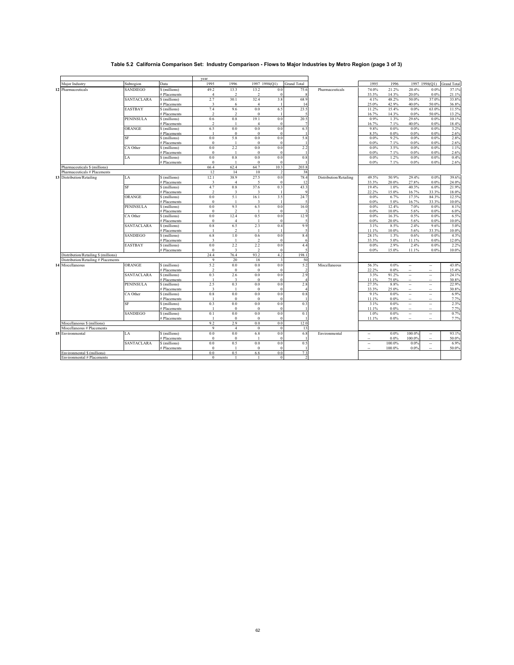## **Table 5.2 California Comparison Set: Industry Comparison - Flows to Major Industries by Metro Region (page 3 of 3)**

|                                      |                   |                               | year                |                         |                          |                         |                    |                        |                          |              |                          |                          |                    |
|--------------------------------------|-------------------|-------------------------------|---------------------|-------------------------|--------------------------|-------------------------|--------------------|------------------------|--------------------------|--------------|--------------------------|--------------------------|--------------------|
| Major Industry                       | Subregion         | Data                          | 1995                | 1996                    |                          | 1997 1998(Q1)           | <b>Grand Total</b> |                        | 1995                     | 1996         |                          | 1997 1998(O1)            | <b>Grand Total</b> |
| 12 Pharmaceuticals                   | <b>SANDIEGO</b>   | \$ (millions)                 | 49.2                | 13.3                    | 13.2                     | 0.0                     | 75.6               | Pharmaceuticals        | 74.0%                    | 21.2%        | 20.4%                    | $0.0\%$                  | 37.1%              |
|                                      |                   | # Placements                  | $\overline{4}$      | $\mathfrak{D}$          | $\mathfrak{D}$           | $\Omega$                |                    |                        | 33.3%                    | 14.3%        | 20.0%                    | 0.0%                     | 21.1%              |
|                                      | <b>SANTACLARA</b> | \$ (millions)                 | 2.7                 | 30.1                    | 32.4                     | 3.8                     | 68.9               |                        | 4.1%                     | 48.2%        | 50.0%                    | 37.0%                    | 33.8%              |
|                                      |                   | # Placements                  | 3                   | 6                       | $\overline{4}$           |                         | 14                 |                        | 25.0%                    | 42.9%        | 40.0%                    | 50.0%                    | 36.8%              |
|                                      | <b>EASTBAY</b>    | \$ (millions)                 | 7.4                 | 9.6                     | $0.0\,$                  | 6.5                     | 23.5               |                        | 11.2%                    | 15.4%        | 0.0%                     | 63.0%                    | 11.5%              |
|                                      |                   | # Placements                  | $\mathcal{L}$       | $\mathcal{I}$           | $\theta$                 |                         |                    |                        | 16.7%                    | 14.3%        | 0.0%                     | 50.0%                    | 13.2%              |
|                                      | PENINSULA         | \$ (millions)                 | 0.6                 | $0.8\,$                 | 19.1                     | 0.0                     | 20.5               |                        | 0.9%                     | 1.3%         | 29.6%                    | 0.0%                     | 10.1%              |
|                                      |                   | # Placements                  | $\mathfrak{D}$      |                         | $\overline{4}$           |                         |                    |                        | 16.7%                    | 7.1%         | 40.0%                    | 0.0%                     | 18.4%              |
|                                      | ORANGE            | \$ (millions)                 | 6.5                 | $0.0\,$                 | $0.0\,$                  | 0.0                     | 6.5                |                        | 9.8%                     | 0.0%         | 0.0%                     | $0.0\%$                  | 3.2%               |
|                                      |                   | # Placements                  |                     | $\bf{0}$                | $\bf{0}$                 | $\Omega$                |                    |                        | 8.3%                     | $0.0\%$      | $0.0\%$                  | $0.0\%$                  | 2.6%               |
|                                      | SF                | \$ (millions)                 | 0.0                 | 5.8                     | $0.0\,$                  | 0.0                     | 5.8                |                        | 0.0%                     | 9.2%         | 0.0%                     | $0.0\%$                  | 2.8%               |
|                                      | CA Other          | # Placements                  | $\mathbf{0}$<br>0.0 | $\mathbf{1}$<br>2.2     | $\mathbf{0}$<br>0.0      | $\Omega$<br>0.0         | 2.2                |                        | 0.0%<br>0.0%             | 7.1%         | $0.0\%$                  | $0.0\%$<br>0.0%          | 2.6%               |
|                                      |                   | \$ (millions)                 | $\Omega$            |                         |                          |                         |                    |                        |                          | 3.5%         | 0.0%                     |                          | 1.1%               |
|                                      | LA                | # Placements                  | 0.0                 | 0.8                     | $\mathbf{0}$<br>$0.0\,$  | $\Omega$<br>0.0         | 0.8                |                        | $0.0\%$<br>0.0%          | 7.1%<br>1.2% | $0.0\%$<br>0.0%          | 0.0%<br>0.0%             | 2.6%<br>0.4%       |
|                                      |                   | \$ (millions)<br># Placements | $\mathbf{0}$        |                         | $\theta$                 | $\Omega$                |                    |                        | 0.0%                     | 7.1%         | $0.0\%$                  | $0.0\%$                  | 2.6%               |
| Pharmaceuticals \$ (millions)        |                   |                               | 66.4                | 62.4                    | 64.7                     | 10.3                    | 203.8              |                        |                          |              |                          |                          |                    |
| Pharmaceuticals # Placements         |                   |                               | 12                  | 14                      | 10                       | $\mathcal{I}$           | 38                 |                        |                          |              |                          |                          |                    |
| 13 Distribution/Retailing            | LA                | \$ (millions)                 | 12.1                | 38.9                    | 27.5                     | 0.0                     | 78.4               | Distribution/Retailing | 49.5%                    | 50.9%        | 29.4%                    | 0.0%                     | 39.6%              |
|                                      |                   | # Placements                  | 3                   | $\overline{4}$          | $\overline{\phantom{a}}$ |                         | 12                 |                        | 33.3%                    | 20.0%        | 27.8%                    | 0.0%                     | 24.0%              |
|                                      | SF                | \$ (millions)                 | 4.7                 | 0.8                     | 37.6                     | 0.3                     | 43.3               |                        | 19.4%                    | 1.0%         | 40.3%                    | 6.0%                     | 21.9%              |
|                                      |                   | # Placements                  | $\mathfrak{D}$      | 3                       | $\overline{\mathbf{3}}$  |                         |                    |                        | 22.2%                    | 15.0%        | 16.7%                    | 33.3%                    | 18.0%              |
|                                      | ORANGE            | \$ (millions)                 | 0.0                 | 5.1                     | 16.1                     | 3.5                     | 24.7               |                        | 0.0%                     | 6.7%         | 17.3%                    | 84.3%                    | 12.5%              |
|                                      |                   | # Placements                  | $\mathbf{0}$        | $\overline{1}$          | 3                        |                         |                    |                        | 0.0%                     | 5.0%         | 16.7%                    | 33.3%                    | 10.0%              |
|                                      | <b>PENINSULA</b>  | \$ (millions)                 | 0.0                 | 9.5                     | 6.5                      | 0.0                     | 16.0               |                        | 0.0%                     | 12.4%        | 7.0%                     | 0.0%                     | 8.1%               |
|                                      |                   | # Placements                  | $\mathbf{0}$        | $\overline{2}$          |                          | $\Omega$                |                    |                        | 0.0%                     | 10.0%        | 5.6%                     | $0.0\%$                  | 6.0%               |
|                                      | CA Other          | \$ (millions)                 | 0.0                 | 12.4                    | 0.5                      | 0.0                     | 12.9               |                        | 0.0%                     | 16.3%        | 0.5%                     | 0.0%                     | 6.5%               |
|                                      |                   | # Placements                  | $\Omega$            | Δ                       |                          |                         |                    |                        | 0.0%                     | 20.0%        | 5.6%                     | 0.0%                     | 10.0%              |
|                                      | <b>SANTACLARA</b> | \$ (millions)                 | 0.8                 | 6.5                     | 2.3                      | 0.4                     | 9.9                |                        | 3.1%                     | 8.5%         | 2.4%                     | 9.6%                     | 5.0%               |
|                                      |                   | # Placements                  |                     | $\mathcal{P}$           |                          |                         |                    |                        | 11.1%                    | 10.0%        | 5.6%                     | 33.3%                    | 10.0%              |
|                                      | SANDIEGO          | \$ (millions)                 | 6.8                 | 1.0                     | 0.6                      | 0.0                     | 8.4                |                        | 28.1%                    | 1.3%         | 0.6%                     | 0.0%                     | 4.3%               |
|                                      |                   | # Placements                  | 3                   | $\overline{1}$          | $\overline{2}$           | $\theta$                | 6                  |                        | 33.3%                    | 5.0%         | 11.1%                    | 0.0%                     | 12.0%              |
|                                      | <b>EASTBAY</b>    | \$ (millions)                 | 0.0                 | 2.2                     | 2.2                      | 0.0                     | 4.4                |                        | $0.0\%$                  | 2.9%         | 2.4%                     | 0.0%                     | 2.2%               |
|                                      |                   | # Placements                  | $\Omega$            | $\overline{\mathbf{3}}$ | $\mathfrak{D}$           | $\Omega$                |                    |                        | 0.0%                     | 15.0%        | 11.1%                    | $0.0\%$                  | 10.0%              |
| Distribution/Retailing \$ (millions) |                   |                               | 24.4                | 76.4                    | 93.2                     | 4.2                     | 198.1              |                        |                          |              |                          |                          |                    |
| Distribution/Retailing # Placements  |                   |                               | $\mathbf Q$         | 20                      | 18                       | $\overline{\mathbf{3}}$ | 50                 |                        |                          |              |                          |                          |                    |
| 14 Miscellaneous                     | ORANGE            | \$ (millions)                 | 5.2                 | 0.0                     | $0.0\,$                  | 0.0                     | 5.2                | Miscellaneous          | 56.3%                    | 0.0%         | ۰.                       | $\overline{\phantom{a}}$ | 43.0%              |
|                                      |                   | # Placements                  | $\mathfrak{D}$      | $\bf{0}$                | $\mathbf{0}$             | $\Omega$                | $\mathcal{L}$      |                        | 22.2%                    | 0.0%         | --                       | $\sim$                   | 15.4%              |
|                                      | SANTACLARA        | \$ (millions)                 | 0.3                 | 2.6                     | $0.0\,$                  | 0.0                     | 2.9                |                        | 3.3%                     | 91.2%        |                          |                          | 24.1%              |
|                                      |                   | # Placements                  |                     | 3                       | $\mathbf{0}$             | $\Omega$                |                    |                        | 11.1%                    | 75.0%        | $\sim$                   | $\sim$                   | 30.8%              |
|                                      | PENINSULA         | \$ (millions)                 | 2.5                 | 0.3                     | $0.0\,$                  | 0.0                     | 2.8                |                        | 27.3%                    | 8.8%         | ٠.                       | $\overline{\phantom{a}}$ | 22.9%              |
|                                      |                   | # Placements                  | 3                   |                         | $\mathbf{0}$             | $\Omega$                |                    |                        | 33.3%                    | 25.0%        | $\overline{a}$           | ÷.                       | 30.8%              |
|                                      | CA Other          | \$ (millions)                 | 0.8                 | 0.0                     | 0.0                      | 0.0                     | 0.8                |                        | 9.1%                     | $0.0\%$      |                          |                          | 6.9%               |
|                                      |                   | # Placements                  | $\overline{1}$      | $\bf{0}$                | $\bf{0}$                 | $\theta$                |                    |                        | 11.1%                    | 0.0%         | ٠.                       | ٠.                       | 7.7%               |
|                                      | SF                | \$ (millions)                 | 0.3                 | 0.0                     | 0.0                      | 0.0                     | 0.3                |                        | 3.1%                     | 0.0%         | $\overline{\phantom{a}}$ | $\overline{\phantom{a}}$ | 2.3%               |
|                                      |                   | # Placements                  |                     | $\mathbf{0}$            | $\mathbf{0}$             |                         |                    |                        | 11.1%                    | 0.0%         | ٠.                       | $\sim$                   | 7.7%               |
|                                      | SANDIEGO          | \$ (millions)                 | 0.1                 | 0.0                     | 0.0                      | 0.0                     | 0.1                |                        | 1.0%                     | $0.0\%$      | ٠.                       | $\ddotsc$                | 0.7%               |
|                                      |                   | # Placements                  |                     | $\theta$                | $\mathbf{0}$             | $\Omega$                |                    |                        | 11.1%                    | 0.0%         | $\overline{\phantom{a}}$ | $\sim$                   | 7.7%               |
| Miscellaneous \$ (millions)          |                   |                               | 9.2                 | 2.9                     | 0.0                      | 0.0                     | 12.0               |                        |                          |              |                          |                          |                    |
| Miscellaneous # Placements           |                   |                               | 9                   | $\overline{4}$          | $\mathbf{0}$             | $\theta$                | 13                 |                        |                          |              |                          |                          |                    |
| 15 Environmental                     | LA                | \$ (millions)                 | 0.0                 | 0.0                     | 6.8                      | 0.0                     | 6.8                | Environmental          | $\overline{\phantom{a}}$ | $0.0\%$      | 100.0%                   | $\overline{\phantom{a}}$ | 93.1%              |
|                                      |                   | # Placements                  | $\mathbf{0}$        | $\mathbf{0}$            |                          | $\Omega$                |                    |                        | Ξ.                       | 0.0%         | 100.0%                   | ٠.                       | 50.0%              |
|                                      | <b>SANTACLARA</b> | \$ (millions)                 | 0.0                 | 0.5<br>$\overline{1}$   | $0.0\,$                  | 0.0                     | 0.5                |                        | $\overline{\phantom{a}}$ | 100.0%       | 0.0%                     | $\ldots$                 | 6.9%               |
| Environmental \$ (millions)          |                   | # Placements                  | $\mathbf{0}$<br>0.0 | 0.5                     | $\mathbf{0}$<br>6.8      | $\Omega$<br>0.0         | 7.3                |                        |                          | 100.0%       | 0.0%                     | ۰.                       | 50.0%              |
| Environmental # Placements           |                   |                               | $\mathbf{0}$        | $\blacksquare$          |                          | $\Omega$                | $\mathfrak{D}$     |                        |                          |              |                          |                          |                    |
|                                      |                   |                               |                     |                         |                          |                         |                    |                        |                          |              |                          |                          |                    |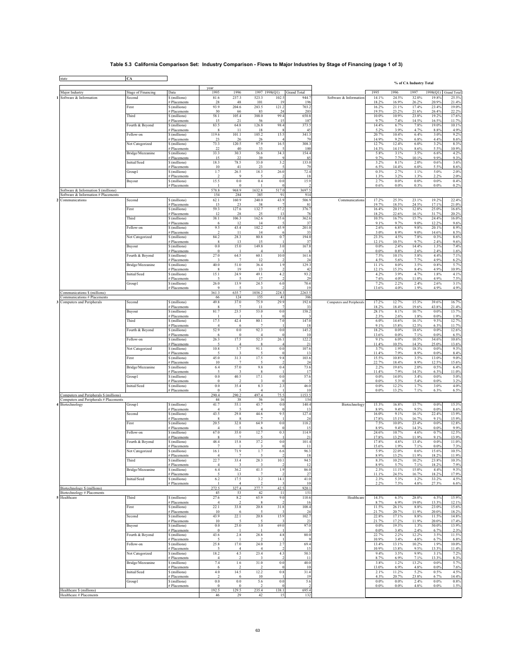## **Table 5.3 California Comparison Set: Industry Comparison - Flows to Major Industries by Stage of Financing (page 1 of 3)**

| state                                                       | CA                 |                               |                                  |                        |                        |             |                    |                           |                  |                 | % of CA Industry Total |                |                |
|-------------------------------------------------------------|--------------------|-------------------------------|----------------------------------|------------------------|------------------------|-------------|--------------------|---------------------------|------------------|-----------------|------------------------|----------------|----------------|
| Major Industry                                              | Stage of Financing | Data                          | year<br>1995                     | 1996                   | 1997 1998(Q1)          |             | <b>Grand Total</b> |                           | 1995             | 1996            | 1997                   | 1998(Q1)       | Grand Total    |
| Software & Information                                      | Second             | \$ (millions)                 | 81.6                             | 237.3                  | 523.3                  | 102.5       | 944.7              | Software & Information    | 14.1%            | 24.5%           | 32.0%                  | 19.8%          | 25.5%          |
|                                                             | First              | # Placements<br>\$ (millions) | 28<br>93.9                       | 48<br>204.6            | 101<br>283.5           | 19<br>121.2 | 196<br>703.2       |                           | 18.2%<br>16.2%   | 16.9%<br>21.1%  | 26.2%<br>17.4%         | 20.9%<br>23.4% | 21.4%<br>19.0% |
|                                                             |                    | # Placements                  | 30                               | 66                     | 83                     | $^{24}$     | 203                |                           | 19.5%            | 23.2%           | 21.6%                  | 26.4%          | 22.2%          |
|                                                             | Third              | \$ (millions)<br># Placements | 58.1<br>15                       | 105.4<br>21            | 388.0<br>56            | 99.4<br>15  | 650.8<br>107       |                           | $10.0\%$<br>9.7% | 10.9%<br>7.4%   | 23.8%<br>14.5%         | 19.2%<br>16.5% | 17.6%<br>11.7% |
|                                                             | Fourth & Beyond    | \$ (millions)                 | 83.5                             | 64.8                   | 126.8                  | 98.4        | 373.5              |                           | 14.4%            | 6.7%            | 7.8%                   | 19.0%          | 10.1%          |
|                                                             | Follow-on          | # Placements<br>\$ (millions) | 8<br>119.6                       | 11<br>101.1            | 18<br>105.2            | 15.5        | 45<br>341.3        |                           | 5.2%<br>20.7%    | 3.9%<br>10.4%   | 4.7%<br>6.4%           | 8.8%<br>3.0%   | 4.9%<br>9.2%   |
|                                                             |                    | # Placements                  | 23                               | 26                     | 26                     |             | 79                 |                           | 14.9%            | 9.2%            | 6.8%                   | 4.4%           | 8.6%           |
|                                                             | Not Categorized    | \$ (millions)<br># Placements | 73.3<br>22                       | 120.5<br>40            | 97.9<br>33             | 16.5        | 308.3<br>100       |                           | 12.7%<br>14.3%   | 12.4%<br>14.1%  | 6.0%<br>8.6%           | 3.2%<br>5.5%   | 8.3%<br>10.9%  |
|                                                             | Bridge/Mezzanine   | \$ (millions)                 | 33.3                             | 30.3                   | 56.6                   | 34.3        | 154.4              |                           | 5.8%             | 3.1%            | 3.5%                   | 6.6%           | 4.2%           |
|                                                             | Initial/Seed       | # Placements<br>\$ (millions) | 15<br>18.3                       | 22<br>78.5             | 39<br>33.0             | 3.2         | 85<br>133.0        |                           | 9.7%<br>3.2%     | 7.7%<br>8.1%    | 10.1%<br>2.0%          | 9.9%<br>0.6%   | 9.3%<br>3.6%   |
|                                                             |                    | # Placements                  | 10                               | 41                     | 23                     |             | 79                 |                           | 6.5%             | 14.4%           | 6.0%                   | 5.5%           | 8.6%           |
|                                                             | Group1             | \$ (millions)<br># Placements | 1.7                              | 26.5<br>9              | 18.3                   | 26.0        | 72.4<br>18         |                           | 0.3%<br>1.3%     | 2.7%<br>3.2%    | 1.1%<br>1.3%           | 5.0%<br>2.2%   | 2.0%<br>2.0%   |
|                                                             | Buyout             | \$ (millions)                 | 15.5                             | $\rm 0.0$              | 0.4                    | 0.0         | 15.9               |                           | 2.7%             | $0.0\%$         | 0.0%                   | 0.0%           | 0.4%           |
| Software & Information \$ (millions)                        |                    | # Placements                  | 578.8                            | $\Omega$<br>968.9      | 1632.8                 | 517.0       | 3697.5             |                           | 0.6%             | 0.0%            | 0.3%                   | 0.0%           | 0.2%           |
| Software & Information # Placements                         |                    |                               | 154                              | 284                    | 385                    | 91          | 914                |                           |                  |                 | 23.1%                  |                |                |
| Communications                                              | Second             | \$ (millions)<br># Placements | 62.1<br>13                       | 160.9<br>23            | 240.0<br>38            | 43.9        | 506.9<br>81        | Communications            | 17.2%<br>19.7%   | 25.3%<br>18.5%  | 24.5%                  | 19.2%<br>17.1% | 22.4%<br>21.0% |
|                                                             | First              | \$ (millions)                 | 59.3<br>12                       | 127.6<br>28            | 132.7<br>25            | 57.2<br>13  | 376.7<br>78        |                           | 16.4%<br>18.2%   | 20.1%<br>22.6%  | 12.8%<br>16.1%         | 25.0%<br>31.7% | 16.6%<br>20.2% |
|                                                             | Third              | # Placements<br>\$ (millions) | 38.1                             | 106.3                  | 162.6                  | 55.6        | 362.6              |                           | 10.5%            | 16.7%           | 15.7%                  | 24.4%          | 16.0%          |
|                                                             | Follow-on          | # Placements<br>\$ (millions) | 6<br>9.5                         | 12<br>43.4             | 14<br>102.2            | 45.9        | 37<br>201.0        |                           | 9.1%<br>2.6%     | 9.7%<br>6.8%    | 9.0%<br>9.8%           | 12.2%<br>20.1% | 9.6%<br>8.9%   |
|                                                             |                    | # Placements                  | $\mathcal{D}$                    | -11                    | 14                     |             | 33                 |                           | 3.0%             | 8.9%            | 9.0%                   | 14.6%          | 8.5%           |
|                                                             | Not Categorized    | \$ (millions)<br># Placements | 84.2<br>8                        | 28.3<br>13             | 80.8<br>15             | 0.7         | 194.0<br>37        |                           | 23.3%<br>12.1%   | 4.5%<br>10.5%   | 7.8%<br>9.7%           | 0.3%<br>2.4%   | 8.6%<br>9.6%   |
|                                                             | Buyout             | \$ (millions)                 | $0.0\,$                          | 15.0                   | 149.8                  | 3.0         | 167.8              |                           | 0.0%             | 2.4%            | 14.4%                  | 1.3%           | 7.4%           |
|                                                             | Fourth & Beyond    | # Placements<br>\$ (millions) | $\overline{0}$<br>27.0           | -1<br>64.5             | $\overline{4}$<br>60.1 | 10.0        | -6<br>161.6        |                           | 0.0%<br>7.5%     | 0.8%<br>10.1%   | 2.6%<br>5.8%           | 2.4%<br>4.4%   | 1.6%<br>7.1%   |
|                                                             |                    | # Placements                  |                                  |                        | 12                     |             | 24                 |                           | 4.5%             | 5.6%            | 7.7%                   | 4.9%           | 6.2%           |
|                                                             | Bridge/Mezzanine   | \$ (millions)<br># Placements | 40.0<br>8                        | 51.0<br>19             | 36.4<br>13             | 1.9         | 129.3<br>42        |                           | 11.1%<br>12.1%   | 8.0%<br>15.3%   | 3.5%<br>8.4%           | 0.8%<br>4.9%   | 5.7%<br>10.9%  |
|                                                             | Initial/Seed       | \$ (millions)                 | 15.1                             | 24.9                   | 49.1                   | 4.2         | 93.2               |                           | 4.2%             | 3.9%            | 4.7%                   | 1.8%           | 4.1%           |
|                                                             | Group1             | # Placements<br>\$ (millions) | 26.0                             | 13.9                   | 17<br>24.5             | 6.0         | 29<br>70.4         |                           | 7.6%<br>7.2%     | 4.0%<br>2.2%    | 11.0%<br>2.4%          | 4.9%<br>2.6%   | 7.5%<br>3.1%   |
|                                                             |                    | # Placements                  | $\mathbf Q$                      | 5                      | 3                      |             | 19                 |                           | 13.6%            | 4.0%            | 1.9%                   | 4.9%           | 4.9%           |
| Communications \$ (millions)<br>Communications # Placements |                    |                               | 361.3<br>66                      | 635.7<br>124           | 1038.2<br>155          | 228.3<br>41 | 2263.5<br>386      |                           |                  |                 |                        |                |                |
| Computers and Peripherals                                   | Second             | \$ (millions)                 | 49.8                             | 37.0                   | 75.9                   | 29.9        | 192.6              | Computers and Peripherals | 17.2%            | 12.7%           | 15.3%                  | 39.6%          | 16.7%          |
|                                                             | Buyout             | # Placements<br>\$ (millions) | 8<br>81.7                        | $\overline{7}$<br>23.5 | 11<br>53.0             | 0.0         | 33<br>158.2        |                           | 18.2%<br>28.1%   | 18.4%<br>8.1%   | 19.6%<br>10.7%         | 43.8%<br>0.0%  | 21.4%<br>13.7% |
|                                                             | Third              | # Placements                  | 17.5                             | 42.4                   | 80.1                   | 7.0         | 147.0              |                           | 2.3%<br>6.0%     | 2.6%            | 1.8%                   | 0.0%<br>9.3%   | 1.9%<br>12.7%  |
|                                                             |                    | \$ (millions)<br># Placements | $\overline{4}$                   | 6                      | $\overline{7}$         |             | 18                 |                           | 9.1%             | 14.6%<br>15.8%  | 16.1%<br>12.5%         | 6.3%           | 11.7%          |
|                                                             | Fourth & Beyond    | \$ (millions)<br># Placements | 52.9                             | $\rm 0.0$<br>$\bf{0}$  | 92.3<br>$\overline{4}$ | 0.0         | 145.2<br>10        |                           | 18.2%<br>13.6%   | $0.0\%$<br>0.0% | 18.6%<br>7.1%          | 0.0%<br>0.0%   | 12.6%<br>6.5%  |
|                                                             | Follow-on          | \$ (millions)                 | 26.3                             | 17.5                   | 52.3                   | 26.1        | 122.2              |                           | 9.1%             | 6.0%            | 10.5%                  | 34.6%          | 10.6%          |
|                                                             | Not Categorized    | # Placements<br>\$ (millions) | 10.8                             | 4<br>5.7               | 8<br>91.1              | 0.0         | 21<br>107.6        |                           | 11.4%<br>3.7%    | 10.5%<br>1.9%   | 14.3%<br>18.3%         | 25.0%<br>0.0%  | 13.6%<br>9.3%  |
|                                                             |                    | # Placements                  |                                  |                        |                        |             | 13                 |                           | 11.4%            | 7.9%            | 8.9%                   | 0.0%           | 8.4%           |
|                                                             | First              | \$ (millions)<br># Placements | 45.0<br>10                       | 31.3<br>$\overline{7}$ | 17.5                   | 9.8         | 103.6<br>24        |                           | 15.5%<br>22.7%   | 10.8%<br>18.4%  | 3.5%<br>8.9%           | 13.0%<br>12.5% | 9.0%<br>15.6%  |
|                                                             | Bridge/Mezzanine   | \$ (millions)                 | $6.4$                            | 57.0                   | 9.8                    | 0.4         | 73.6               |                           | 2.2%             | 19.6%           | 2.0%                   | 0.5%           | 6.4%           |
|                                                             | Group1             | # Placements<br>\$ (millions) | 5<br>$\rm 0.0$                   | -3<br>40.5             | 8<br>17.1              | 0.0         | 17<br>57.6         |                           | 11.4%<br>$0.0\%$ | 7.9%<br>14.0%   | 14.3%<br>3.4%          | 6.3%<br>0.0%   | 11.0%<br>5.0%  |
|                                                             |                    | # Placements                  | $\overline{0}$                   |                        |                        |             |                    |                           | 0.0%             | 5.3%            | 5.4%                   | 0.0%           | 3.2%           |
|                                                             | Initial/Seed       | \$ (millions)<br># Placements | $0.0\,$<br>$\theta$              | 35.4<br>5              | 8.3<br>$\overline{4}$  | 2.3         | 46.0<br>10         |                           | 0.0%<br>0.0%     | 12.2%<br>13.2%  | 1.7%<br>7.1%           | 3.0%<br>6.3%   | 4.0%<br>6.5%   |
| Computers and Peripherals \$ (millions)                     |                    |                               | 290.4<br>44                      | 290.2<br>38            | 497.4<br>56            | 75.5<br>16  | 1153.5<br>154      |                           |                  |                 |                        |                |                |
| Computers and Peripherals # Placements<br>4 Biotechnology   | Group l            | \$ (millions)                 | 41.7                             | 55.1                   | 43.7                   | 0.0         | 140.4              | Biotechnology             | 15.3%            | 16.8%           | 15.7%                  | 0.0%           | 15.3%          |
|                                                             | Second             | # Placements<br>\$ (millions) | 43.5                             | 29.8                   | 44.6                   | 9.5         | 13<br>127.4        |                           | 8.9%<br>16.0%    | 9.4%<br>9.1%    | 9.5%<br>16.1%          | 0.0%<br>22.4%  | 8.6%<br>13.9%  |
|                                                             |                    | # Placements                  |                                  |                        |                        |             | 24                 |                           | 17.8%            | 15.1%           | 16.7%                  | 9.1%           | 15.9%          |
|                                                             | First              | \$ (millions)<br># Placements | 20.5<br>$\overline{4}$           | 32.8<br>5              | 64.9<br>6              | 0.0         | 118.2<br>15        |                           | 7.5%<br>8.9%     | 10.0%<br>9.4%   | 23.4%<br>14.3%         | 0.0%<br>0.0%   | 12.8%<br>9.9%  |
|                                                             | Follow-on          | \$ (millions)                 | 67.0                             | 35.0                   | 12.7                   | 0.3         | 114.9              |                           | 24.6%            | 10.7%           | 4.6%                   | 0.7%           | 12.5%          |
|                                                             | Fourth & Beyond    | # Placements<br>\$ (millions) | -8<br>48.4                       | 15.8                   | 37.2                   | 0.0         | 21<br>101.4        |                           | 17.8%<br>17.8%   | 13.2%<br>4.8%   | 11.9%<br>13.4%         | 9.1%<br>0.0%   | 13.9%<br>11.0% |
|                                                             |                    | # Placements                  | 7                                |                        | 3                      |             | 11                 |                           | 15.6%            | 1.9%            | 7.1%                   | 0.0%           | 7.3%           |
|                                                             | Not Categorized    | \$ (millions)<br># Placements | 16.1                             | 71.9                   | 1.7                    | 6.6         | 96.3<br>18         |                           | 5.9%<br>8.9%     | 22.0%<br>13.2%  | 0.6%<br>11.9%          | 15.6%<br>18.2% | 10.5%<br>11.9% |
|                                                             | Third              | S (millions)                  | 22.7                             | 33.4                   | 28.3                   | 10.1        | 94.5               |                           | 8.3%             | 10.2%           | 10.2%                  | 23.8%          | 10.3%          |
|                                                             | Bridge/Mezzanine   | # Placements<br>\$ (millions) | 4<br>6.4                         | 3<br>36.2              | -3<br>41.5             | 1.9         | 12<br>86.0         |                           | 8.9%<br>2.3%     | 5.7%<br>11.1%   | 7.1%<br>15.0%          | 18.2%<br>4.4%  | 7.9%<br>9.3%   |
|                                                             | Initial/Seed       | # Placements<br>\$ (millions) | $\overline{\phantom{1}}$<br>6.2  | 13<br>17.5             | -7<br>3.2              | 14.1        | 27<br>41.0         |                           | 11.1%<br>2.3%    | 24.5%<br>5.3%   | 16.7%<br>1.2%          | 18.2%<br>33.2% | 17.9%<br>4.5%  |
|                                                             |                    | # Placements                  |                                  | $\overline{4}$         | $\overline{2}$         |             | 10                 |                           | 2.2%             | 7.5%            | 4.8%                   | 27.3%          | 6.6%           |
| Biotechnology \$ (millions)<br>Biotechnology # Placements   |                    |                               | 272.5<br>45                      | 327.4<br>53            | 277.7<br>42            | 42.5<br>-11 | 920.1<br>151       |                           |                  |                 |                        |                |                |
| Healthcare                                                  | Third              | \$ (millions)                 | 27.6                             | 8.2                    | 65.9                   | 9.0         | 110.6              | Healthcare                | 14.3%            | 6.3%            | 28.0%                  | 6.5%           | 15.9%          |
|                                                             | First              | # Placements<br>\$ (millions) | $\overline{4}$<br>22.1           | 33.8                   | 8<br>$20.8\,$          | 31.8        | 16<br>108.4        |                           | 8.7%<br>11.5%    | 6.9%<br>26.1%   | 19.0%<br>8.8%          | 13.3%<br>23.0% | 12.1%<br>15.6% |
|                                                             |                    | # Placements                  | 10                               | 6                      | 5                      |             | 24                 |                           | 21.7%            | 20.7%           | 11.9%                  | 20.0%          | 18.2%          |
|                                                             | Second             | \$ (millions)<br># Placements | 43.9<br>10                       | 22.1<br>5              | 20.8<br>5              | 15.9        | 102.7<br>23        |                           | 22.8%<br>21.7%   | 17.1%<br>17.2%  | 8.8%<br>11.9%          | 11.5%<br>20.0% | 14.8%<br>17.4% |
|                                                             | Buyout             | \$ (millions)                 | $\rm 0.0$                        | 25.0                   | $3.0\,$                | 69.0        | 97.0               |                           | $0.0\%$          | 19.3%           | 1.3%                   | 50.0%          | 13.9%          |
|                                                             | Fourth & Beyond    | # Placements<br>\$ (millions) | $\overline{0}$<br>43.6           | $2.8\,$                | 28.8                   | 4.8         | 80.0               |                           | 0.0%<br>22.7%    | 3.4%<br>2.2%    | 2.4%<br>12.2%          | 6.7%<br>3.5%   | 2.3%<br>11.5%  |
|                                                             |                    | # Placements                  |                                  |                        |                        |             |                    |                           | 10.9%            | 3.4%            | 4.8%                   | 6.7%           | 6.8%           |
|                                                             | Follow-on          | \$ (millions)<br># Placements | 25.8<br>$\overline{\phantom{1}}$ | 17.0<br>$\overline{4}$ | 24.0<br>$\overline{4}$ | 2.7         | 69.4<br>15         |                           | 13.4%<br>10.9%   | 13.1%<br>13.8%  | 10.2%<br>9.5%          | 1.9%<br>13.3%  | 10.0%<br>11.4% |
|                                                             | Not Categorized    | \$ (millions)                 | 18.2                             | 4.5                    | 23.4                   | 4.3         | 50.3               |                           | 9.4%             | 3.5%            | 9.9%                   | 3.1%           | 7.2%           |
|                                                             | Bridge/Mezzanine   | # Placements<br>\$ (millions) | $\overline{4}$<br>7.4            | 1.6                    | 31.0                   | 0.0         | 11<br>40.0         |                           | 8.7%<br>3.8%     | 6.9%<br>1.2%    | 7.1%<br>13.2%          | 13.3%<br>0.0%  | 8.3%<br>5.7%   |
|                                                             |                    | # Placements                  | 6                                |                        |                        |             | 10                 |                           | 13.0%            | 6.9%            | 4.8%                   | 0.0%           | 7.6%           |
|                                                             | Initial/Seed       | \$ (millions)<br># Placements | 4.0<br>$\mathcal{L}$             | 14.5                   | 12.2<br>10             | 0.8         | 31.4<br>19         |                           | 2.1%<br>4.3%     | 11.2%<br>20.7%  | 5.2%<br>23.8%          | 0.5%<br>6.7%   | 4.5%<br>14.4%  |
|                                                             | Group1             | \$ (millions)                 | $0.0\,$<br>$\theta$              | $\rm 0.0$              | 5.6                    | 0.0         | 5.6                |                           | $0.0\%$          | $0.0\%$         | 2.4%                   | 0.0%           | 0.8%           |
| Healthcare \$ (millions)                                    |                    | # Placements                  | 192.5                            | $\bf{0}$<br>129.5      | 235.4                  | 138.1       | 695.4              |                           | 0.0%             | $0.0\%$         | 4.8%                   | $0.0\%$        | 1.5%           |
| Healthcare # Placements                                     |                    |                               | 46                               | 29                     | 42                     | 15          | 132                |                           |                  |                 |                        |                |                |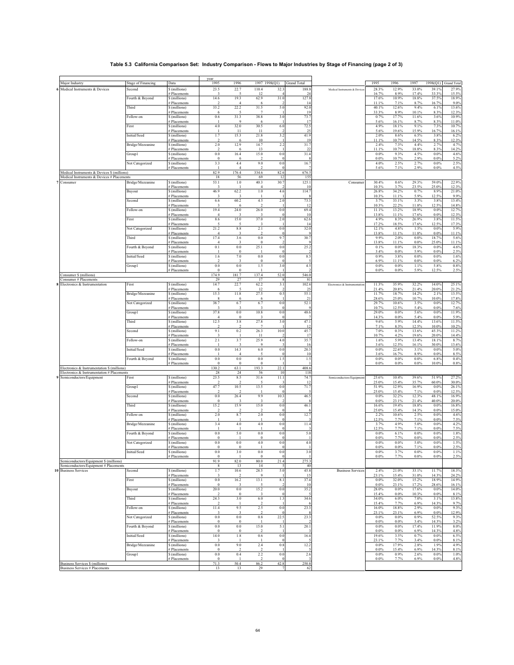## **Table 5.3 California Comparison Set: Industry Comparison - Flows to Major Industries by Stage of Financing (page 2 of 3)**

|                                                                          |                           |                                   | year                          |                        |                                     |                     |                         |                               |                  |                  |                 |                |                    |
|--------------------------------------------------------------------------|---------------------------|-----------------------------------|-------------------------------|------------------------|-------------------------------------|---------------------|-------------------------|-------------------------------|------------------|------------------|-----------------|----------------|--------------------|
| Major Industry                                                           | <b>Stage of Financing</b> | Data                              | 1995                          | 1996                   | 1997 1998(Q1)                       |                     | Grand Total             |                               | 1995             | 1996             | 1997            | 1998(Q1)       | <b>Grand Total</b> |
| 6 Medical Instruments & Devices                                          | Second                    | S (millions)<br># Placements      | 23.5                          | 22.7                   | 110.4<br>12                         | 32.3                | 188.8<br>$\overline{2}$ | Medical Instruments & Device  | 28.3%<br>16.7%   | 12.9%<br>8.9%    | 33.0%<br>17.4%  | 39.1%<br>33.3% | 27.9%<br>15.5%     |
|                                                                          | Fourth & Beyond           | S (millions)                      | 14.6                          | 19.3                   | 62.9                                | 31.0                | 127.8                   |                               | 17.6%            | 10.9%            | 18.8%           | 37.5%          | 18.9%              |
|                                                                          | Third                     | # Placements<br>S (millions)      | 33.2                          | $\overline{4}$<br>22.2 | 6<br>31.5                           | 5.0                 | 14<br>92.0              |                               | 11.1%<br>40.1%   | 7.1%<br>12.6%    | 8.7%<br>9.4%    | 16.7%<br>6.1%  | 9.0%<br>13.6%      |
|                                                                          |                           | # Placements                      | 6                             | 5                      | 7                                   |                     | 19                      |                               | 33.3%            | 8.9%             | 10.1%           | 8.3%           | 12.3%              |
|                                                                          | Follow-on                 | S (millions)<br># Placements      | $0.6\,$                       | 31.3<br>9              | 38.8<br>6                           | 3.0                 | 73.7<br>17              |                               | 0.7%<br>5.6%     | 17.7%<br>16.1%   | 11.6%<br>8.7%   | 3.6%<br>8.3%   | 10.9%<br>11.0%     |
|                                                                          | First                     | \$ (millions)<br># Placements     | 4.0                           | 32.0<br>11             | 30.5<br>11                          | 6.0                 | 72.5<br>$2^{i}$         |                               | 4.9%<br>5.6%     | 18.1%<br>19.6%   | 9.1%<br>15.9%   | 7.3%<br>16.7%  | 10.7%<br>16.1%     |
|                                                                          | Initial/Seed              | \$ (millions)                     | 1.7                           | 15.3                   | 21.8                                | 3.2                 | 41.9                    |                               | 2.0%             | 8.6%             | 6.5%            | 3.8%           | 6.2%               |
|                                                                          | Bridge/Mezzanine          | # Placements<br>\$ (millions)     | $\mathcal{L}$<br>2.0          | 6<br>12.9              | 10<br>14.7                          | 2.2                 | 19<br>31.7              |                               | 11.1%<br>2.4%    | 10.7%<br>7.3%    | 14.5%<br>4.4%   | 8.3%<br>2.7%   | 12.3%<br>4.7%      |
|                                                                          |                           | # Placements                      |                               | 16.4                   | 13                                  | 0.0                 | $\overline{2}$<br>31.4  |                               | 11.1%            | 10.7%            | 18.8%           | 8.3%           | 14.2%              |
|                                                                          | Group1                    | \$ (millions)<br># Placements     | 0.0<br>$\Omega$               | 6                      | 15.0                                |                     |                         |                               | 0.0%<br>0.0%     | 9.3%<br>10.7%    | 4.5%<br>2.9%    | 0.0%<br>0.0%   | 4.6%<br>5.2%       |
|                                                                          | Not Categorized           | \$ (millions)<br># Placements     | 3.3                           | 4.4                    | 9.0                                 | 0.0                 | 16.7                    |                               | 4.0%<br>5.6%     | 2.5%<br>7.1%     | 2.7%<br>2.9%    | 0.0%<br>0.0%   | 2.5%<br>4.5%       |
| Medical Instruments & Devices \$ (millions)                              |                           |                                   | 82.9                          | 176.4                  | 334.6                               | 82.6                | 676.5                   |                               |                  |                  |                 |                |                    |
| Medical Instruments & Devices # Placements<br>7 Consumer                 | Bridge/Mezzanine          | S (millions)                      | 18<br>53.1                    | 56<br>$1.0$            | 69<br>40.3                          | 12<br>30.7          | 155<br>125.1            | Consumer                      | 30.4%            | 0.6%             | 29.3%           | 59.0%          | 22.9%              |
|                                                                          | Buyout                    | <b>Placements</b><br>S (millions) | 46.9                          | 62.2                   | $1.0\,$                             | 4.6                 | 10<br>114.7             |                               | 10.3%<br>26.8%   | 3.7%<br>34.2%    | 23.5%<br>0.7%   | 25.0%<br>8.9%  | 12.3%<br>21.0%     |
|                                                                          |                           | # Placements                      | 3                             | $\mathbf{3}$           |                                     |                     |                         |                               | 10.3%            | 11.1%            | 5.9%            | 12.5%          | 9.9%               |
|                                                                          | Second                    | \$ (millions)<br># Placements     | 6.6                           | 60.2                   | 4.5                                 | 2.0                 | 73.3<br>12              |                               | 3.7%<br>10.3%    | 33.1%<br>22.2%   | 3.3%<br>11.8%   | 3.8%<br>12.5%  | 13.4%<br>14.8%     |
|                                                                          | Follow-on                 | \$ (millions)                     | 19.4                          | 24.0                   | 26.0                                | 0.0                 | 69.4                    |                               | 11.1%            | 13.2%            | 18.9%           | 0.0%           | 12.7%              |
|                                                                          | First                     | # Placements<br>S (millions)      | $\overline{4}$<br>8.6         | 15.0                   | 37.0                                | 2.0                 | 10<br>62.6              |                               | 13.8%<br>4.9%    | 11.1%<br>8.3%    | 17.6%<br>26.9%  | 0.0%<br>3.8%   | 12.3%<br>11.5%     |
|                                                                          | Not Categorized           | # Placements<br>S (millions)      | 21.2                          | $8.8\,$                | -3<br>2.1                           | 0.0                 | 14<br>32.0              |                               | 17.2%<br>12.1%   | 18.5%<br>4.8%    | 17.6%<br>1.5%   | 12.5%<br>0.0%  | 17.3%<br>5.9%      |
|                                                                          |                           | # Placements                      | $\overline{4}$                | 3                      | 2                                   |                     |                         |                               | 13.8%            | 11.1%            | 11.8%           | 0.0%           | 11.1%              |
|                                                                          | Third                     | \$ (millions)<br># Placements     | 17.4<br>$\overline{4}$        | 3.6<br>3               | $0.0\,$<br>$\bf{0}$                 | 9.7                 | 30.7                    |                               | 9.9%<br>13.8%    | 2.0%<br>11.1%    | 0.0%<br>$0.0\%$ | 18.7%<br>25.0% | 5.6%<br>11.1%      |
|                                                                          | Fourth & Beyond           | \$ (millions)                     | 0.1                           | $0.0\,$                | 25.1                                | 0.0                 | 25.2                    |                               | 0.1%             | $0.0\%$          | 18.3%           | 0.0%           | 4.6%               |
|                                                                          | Initial/Seed              | # Placements<br>\$ (millions)     | 1.6                           | $\Omega$<br>7.0        | $0.0\,$                             | 0.0                 | 8.5                     |                               | 3.4%<br>0.9%     | 0.0%<br>3.8%     | 5.9%<br>0.0%    | 0.0%<br>0.0%   | 2.5%<br>1.6%       |
|                                                                          | Group1                    | # Placements<br>\$ (millions)     | $\mathcal{L}$<br>$\rm 0.0$    | 3<br>$\rm 0.0$         | $\overline{0}$<br>1.5               | 3.0                 | 4.5                     |                               | 6.9%<br>0.0%     | 11.1%<br>$0.0\%$ | 0.0%<br>1.1%    | 0.0%<br>5.8%   | 6.2%<br>0.8%       |
|                                                                          |                           | # Placements                      | $\Omega$                      |                        |                                     |                     |                         |                               | 0.0%             | 0.0%             | 5.9%            | 12.5%          | 2.5%               |
| Consumer \$ (millions)<br>Consumer # Placements                          |                           |                                   | 174.9<br>29                   | 181.7<br>27            | 137.4<br>17                         | 52.0                | 546.0<br>81             |                               |                  |                  |                 |                |                    |
| 8 Electronics & Instrumentation                                          | First                     | \$ (millions)                     | 14.7                          | 22.7<br>5              | 62.2                                | 3.1                 | 102.6                   | Electronics & Instrumentation | 11.3%            | 35.9%            | 32.2%           | 14.0%          | 25.1%              |
|                                                                          | Bridge/Mezzanine          | # Placements<br>S (millions)      | 6<br>15.3                     | 11.8                   | 12<br>27.5                          | 0.5                 | 25<br>55.1              |                               | 21.4%<br>11.7%   | 20.8%<br>18.7%   | 21.4%<br>14.2%  | 20.0%<br>2.1%  | 21.2%<br>13.5%     |
|                                                                          | Not Categorized           | # Placements<br>\$ (millions)     | 8<br>38.7                     | 6<br>6.7               | 6<br>6.7                            | 0.0                 | 21<br>52.1              |                               | 28.6%<br>29.7%   | 25.0%<br>10.6%   | 10.7%<br>3.5%   | 10.0%<br>0.0%  | 17.8%<br>12.7%     |
|                                                                          |                           | <b>Placements</b>                 |                               | 3                      |                                     |                     |                         |                               | 10.7%            | 12.5%            | 5.4%            | 0.0%           | 7.6%               |
|                                                                          | Group1                    | S (millions)<br># Placements      | 37.8<br>$\overline{4}$        | $\rm 0.0$<br>$\bf{0}$  | 10.8<br>$\overline{\mathbf{3}}$     | 0.0                 | 48.6                    |                               | 29.0%<br>14.3%   | $0.0\%$<br>0.0%  | 5.6%<br>5.4%    | 0.0%<br>0.0%   | 11.9%<br>5.9%      |
|                                                                          | Third                     | \$ (millions)                     | 12.5                          | 3.8                    | 27.8                                | 3.0                 | 47.1                    |                               | 9.6%             | 5.9%             | 14.4%           | 13.6%          | 11.5%              |
|                                                                          | Second                    | # Placements<br>\$ (millions)     | 9.1                           | 0.2                    | 26.3                                | 10.0                | 12<br>45.7              |                               | 7.1%<br>7.0%     | 8.3%<br>0.3%     | 12.5%<br>13.6%  | 10.0%<br>45.3% | 10.2%<br>11.2%     |
|                                                                          | Follow-on                 | # Placements<br>S (millions)      | 2.1                           | 3.7                    | 11<br>25.9                          | 4.0                 | 17<br>35.7              |                               | 10.7%<br>1.6%    | 4.2%<br>5.9%     | 19.6%<br>13.4%  | 20.0%<br>18.1% | 14.4%<br>8.7%      |
|                                                                          |                           | # Placements                      |                               | $\mathbf{3}$           | 9                                   |                     | 16                      |                               | 3.6%             | 12.5%            | 16.1%           | 30.0%          | 13.6%              |
|                                                                          | Initial/Seed              | \$ (millions)<br># Placements     | $0.0\,$                       | 14.3<br>$\overline{4}$ | $6.0\,$<br>5                        | 0.0                 | 20.3<br>10              |                               | 0.0%<br>3.6%     | 22.6%<br>16.7%   | 3.1%<br>8.9%    | 0.0%<br>0.0%   | 5.0%<br>8.5%       |
|                                                                          | Fourth & Beyond           | \$ (millions)<br># Placements     | $\rm 0.0$<br>$\theta$         | $\rm 0.0$<br>$\bf{0}$  | $\rm 0.0$<br>$\bf{0}$               | 1.5                 | 1.5                     |                               | 0.0%<br>0.0%     | $0.0\%$<br>0.0%  | $0.0\%$<br>0.0% | 6.8%<br>10.0%  | 0.4%<br>0.8%       |
| Electronics & Instrumentation \$ (millions)                              |                           |                                   | 130.2                         | 63.1                   | 193.3                               | 22.1                | 408.6                   |                               |                  |                  |                 |                |                    |
| Electronics & Instrumentation # Placements<br>9 Semiconductors/Equipment | First                     | \$ (millions)                     | $\sqrt{28}$<br>23.5           | $24\,$<br>8.5          | 56<br>31.6                          | 10<br>11.1          | 118<br>74.7             | Semiconductors/Equipment      | 25.6%            | 10.4%            | 39.6%           | 51.9%          | 27.2%              |
|                                                                          | Group1                    | # Placements<br>\$ (millions)     | 47.7                          | 10.5                   | 13.5                                | 0.0                 | -12<br>71.7             |                               | 25.0%<br>51.9%   | 15.4%<br>12.9%   | 35.7%<br>16.9%  | 60.0%<br>0.0%  | 30.0%<br>26.1%     |
|                                                                          |                           | # Placements                      | -2                            | $\mathcal{I}$          |                                     |                     |                         |                               | 25.0%            | 15.4%            | 7.1%            | 0.0%           | 12.5%              |
|                                                                          | Second                    | S (millions)<br># Placements      | 0.0<br>$\theta$               | 26.4<br>3              | 9.9<br>3                            | 10.3                | 46.5                    |                               | 0.0%<br>0.0%     | 32.2%<br>23.1%   | 12.3%<br>21.4%  | 48.1%<br>40.0% | 16.9%<br>20.0%     |
|                                                                          | Third                     | \$ (millions)                     | 15.2                          | 15.9                   | 15.0                                | 0.0                 | 46.1                    |                               | 16.6%            | 19.4%            | 18.8%           | 0.0%           | 16.8%              |
|                                                                          | Follow-on                 | # Placements<br>\$ (millions)     | $\mathcal{D}$<br>$2.0\,$      | $\mathcal{D}$<br>8.7   | $\mathcal{D}$<br>$2.0\,$            | 0.0                 | 12.7                    |                               | 25.0%<br>2.2%    | 15.4%<br>10.6%   | 14.3%<br>2.5%   | 0.0%<br>0.0%   | 15.0%<br>4.6%      |
|                                                                          | Bridge/Mezzanine          | # Placements<br>\$ (millions)     | 3.4                           | 4.0                    | 4.0                                 | 0.0                 | 11.4                    |                               | 12.5%<br>3.7%    | 7.7%<br>4.9%     | 7.1%<br>5.0%    | 0.0%<br>0.0%   | 7.5%<br>4.2%       |
|                                                                          |                           | <b>Placements</b>                 |                               |                        |                                     |                     |                         |                               | 12.5%            | 7.7%             | 7.1%            | 0.0%           | 7.5%               |
|                                                                          | Fourth & Beyond           | S (millions)<br># Placements      | $\rm 0.0$<br>$\theta$         | 5.0                    | $\rm 0.0$<br>$\Omega$               | 0.0                 | 5.0                     |                               | 0.0%<br>0.0%     | 6.1%<br>7.7%     | $0.0\%$<br>0.0% | 0.0%<br>0.0%   | 1.8%<br>2.5%       |
|                                                                          | Not Categorized           | \$ (millions)<br># Placements     | $0.0\,$<br>$\overline{0}$     | $\rm 0.0$<br>$\bf{0}$  | 4.0                                 | 0.0                 | 4.0                     |                               | 0.0%<br>0.0%     | $0.0\%$<br>0.0%  | 5.0%<br>7.1%    | 0.0%<br>0.0%   | 1.5%<br>2.5%       |
|                                                                          | Initial/Seed              | \$ (millions)                     | 0.0                           | 3.0                    | $\rm 0.0$                           | 0.0                 | 3.0                     |                               | 0.0%             | 3.7%             | 0.0%            | 0.0%           | 1.1%               |
| Semiconductors/Equipment \$ (millions)                                   |                           | # Placements                      | $\theta$<br>91.9              | 82.0                   | $\mathbf{0}$<br>80.0                | $\mathbf 0$<br>21.4 | 275.3                   |                               | $0.0\%$          | 7.7%             | $0.0\%$         | 0.0%           | 2.5%               |
| Semiconductors/Equipment # Placements<br><b>Business Services</b>        | Second                    | \$ (millions)                     | 8<br>1.7                      | 13                     | 14<br>28.5                          | 5<br>5.0            | 40<br>45.8              | <b>Business Services</b>      | 2.4%             | 21.0%            | 33.1%           | 11.7%          | 18.3%              |
|                                                                          |                           | # Placements                      | 3                             | 10.6                   | 9                                   |                     | 15                      |                               | 23.1%            | 15.4%            | 31.0%           | 14.3%          | 24.2%              |
|                                                                          | First                     | \$ (millions)<br># Placements     | $\rm 0.0$<br>$\Omega$         | 16.2                   | 13.1                                | 8.1                 | 37.4<br>10              |                               | 0.0%<br>0.0%     | 32.0%<br>23.1%   | 15.2%<br>17.2%  | 18.9%<br>28.6% | 14.9%<br>16.1%     |
|                                                                          | Buyout                    | \$ (millions)                     | 20.0                          | $\rm 0.0$              | 15.2                                | 0.0                 | 35.2                    |                               | 28.0%            | $0.0\%$          | 17.6%           | 0.0%           | 14.0%              |
|                                                                          | Third                     | # Placements<br>\$ (millions)     | 24.3                          | $\bf{0}$<br>$3.0\,$    | 3<br>$6.0\,$                        | 1.3                 | 34.6                    |                               | 15.4%<br>34.0%   | 0.0%<br>6.0%     | 10.3%<br>7.0%   | 0.0%<br>3.1%   | 8.1%<br>13.8%      |
|                                                                          | Follow-on                 | # Placements<br>\$ (millions)     | 11.4                          | 9.5                    | 2.5                                 | $_{0.0}$            | 23.3                    |                               | 15.4%<br>16.0%   | 7.7%<br>18.8%    | 6.9%<br>2.9%    | 14.3%<br>0.0%  | 9.7%<br>9.3%       |
|                                                                          |                           | # Placements                      | 3                             | 3                      | $\overline{2}$                      |                     | $\mathbf{\mathcal{R}}$  |                               | 23.1%            | 23.1%            | 6.9%            | 0.0%           | 12.9%              |
|                                                                          | Not Categorized           | \$ (millions)<br># Placements     | 0.0<br>$\theta$               | $\rm 0.0$<br>$\bf{0}$  | $0.8\,$<br>-1                       | 22.5                | 23.3                    |                               | 0.0%<br>0.0%     | 0.0%<br>0.0%     | 0.9%<br>3.4%    | 52.5%<br>14.3% | 9.3%<br>3.2%       |
|                                                                          | Fourth & Beyond           | \$ (millions)                     | $\rm 0.0$                     | $\rm 0.0$              | 15.0                                | 5.1                 | 20.1                    |                               | $0.0\%$          | $0.0\%$          | 17.4%           | 11.9%          | 8.0%               |
|                                                                          | Initial/Seed              | # Placements<br>\$ (millions)     | $\boldsymbol{0}$<br>14.0      | $\bf{0}$<br>$1.8\,$    | $\overline{2}$<br>$0.6\,$           | 0.0                 | 16.4                    |                               | 0.0%<br>19.6%    | 0.0%<br>3.5%     | 6.9%<br>0.7%    | 14.3%<br>0.0%  | 4.8%<br>6.5%       |
|                                                                          | Bridge/Mezzanine          | # Placements<br>\$ (millions)     | 0.0                           | 9.0                    | 2.4                                 | 0.8                 | 12.2                    |                               | 23.1%<br>$0.0\%$ | 7.7%<br>17.9%    | 3.4%<br>2.8%    | 0.0%<br>1.9%   | 8.1%<br>4.9%       |
|                                                                          |                           | # Placements                      | $\theta$                      |                        |                                     |                     |                         |                               | 0.0%             | 15.4%            | 6.9%            | 14.3%          | 8.1%               |
|                                                                          | Group1                    | \$ (millions)<br># Placements     | $\rm 0.0$<br>$\boldsymbol{0}$ | 0.4                    | $2.2\,$<br>$\overline{\phantom{a}}$ | 0.0                 | 2.6                     |                               | 0.0%<br>$0.0\%$  | 0.9%<br>7.7%     | 2.6%<br>6.9%    | 0.0%<br>0.0%   | 1.0%<br>4.8%       |
| Business Services \$ (millions)<br>Business Services # Placements        |                           |                                   | 71.3<br>13                    | 50.4<br>13             | 86.2<br>29                          | 42.8<br>7           | 250.8<br>62             |                               |                  |                  |                 |                |                    |
|                                                                          |                           |                                   |                               |                        |                                     |                     |                         |                               |                  |                  |                 |                |                    |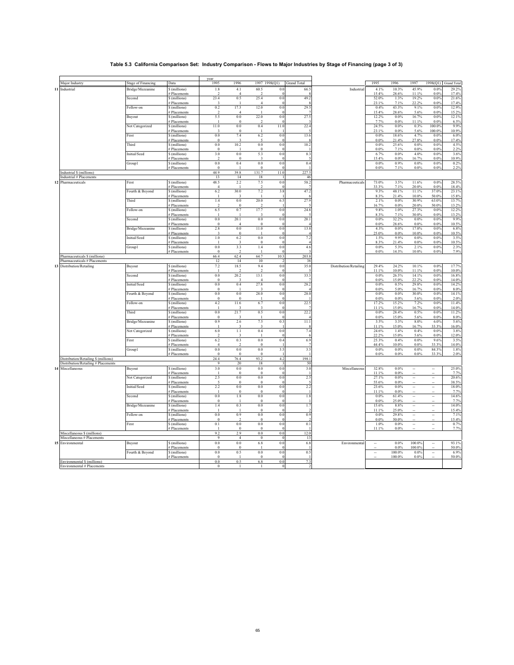## **Table 5.3 California Comparison Set: Industry Comparison - Flows to Major Industries by Stage of Financing (page 3 of 3)**

|                                      |                           |                               | year                     |                       |                         |               |                    |                        |                          |               |                              |                          |               |
|--------------------------------------|---------------------------|-------------------------------|--------------------------|-----------------------|-------------------------|---------------|--------------------|------------------------|--------------------------|---------------|------------------------------|--------------------------|---------------|
| Major Industry                       | <b>Stage of Financing</b> | Data                          | 1995                     | 1996                  | 1997 1998(Q1)           |               | <b>Grand Total</b> |                        | 1995                     | 1996          | 1997                         | 1998(Q1)                 | Grand Total   |
| 11 Industrial                        | Bridge/Mezzanine          | \$ (millions)                 | $1.8\,$                  | 4.1                   | 60.5                    | 0.0           | 66.5               | Industrial             | 4.1%                     | 10.3%         | 45.9%                        | 0.0%                     | 29.2%         |
|                                      |                           | # Placements                  | $\overline{\phantom{a}}$ | $\overline{4}$        |                         |               |                    |                        | 15.4%                    | 28.6%         | 11.1%                        | $0.0\%$                  | 17.4%         |
|                                      | Second                    | \$ (millions)                 | 23.4                     | 0.5                   | 25.4                    | 0.0           | 49.2               |                        | 52.0%                    | 1.3%          | 19.2%                        | 0.0%                     | 21.6%         |
|                                      |                           | # Placements                  |                          |                       |                         |               |                    |                        | 23.1%                    | 7.1%          | 22.2%                        | 0.0%                     | 17.4%         |
|                                      | Follow-on                 | \$ (millions)                 | 0.2                      | 17.3                  | 12.0                    | 0.0           | 29.5               |                        | 0.4%                     | 43.3%         | 9.1%                         | 0.0%                     | 12.9%         |
|                                      |                           | # Placements                  |                          | $\boldsymbol{\Delta}$ |                         |               |                    |                        | 15.4%                    | 28.6%         | 5.6%                         | 0.0%                     | 15.2%         |
|                                      | Buyout                    | \$ (millions)                 | 5.5                      | 0.0                   | 22.0                    | 0.0           | 27.5               |                        | 12.2%                    | $0.0\%$       | 16.7%                        | $0.0\%$<br>0.0%          | 12.1%         |
|                                      |                           | # Placements                  | 11.0                     | $\theta$<br>0.0       |                         |               |                    |                        | 7.7%<br>24.5%            | 0.0%          | 11.1%<br>0.3%                |                          | 6.5%<br>9.9%  |
|                                      | Not Categorized           | \$ (millions)                 |                          | $\theta$              | 0.4                     | 11.0          | 22.4               |                        |                          | $0.0\%$       |                              | 100.0%                   |               |
|                                      | First                     | # Placements<br>\$ (millions) | 3<br>0.0                 | 7.4                   |                         | 0.0           | 13.6               |                        | 23.1%<br>0.0%            | 0.0%<br>18.6% | 5.6%<br>4.7%                 | 100.0%<br>0.0%           | 10.9%<br>6.0% |
|                                      |                           | # Placements                  | $\theta$                 |                       | 6.2                     | $\Omega$      |                    |                        | 0.0%                     | 21.4%         | 27.8%                        | $0.0\%$                  | 17.4%         |
|                                      | Third                     | \$ (millions)                 | 0.0                      | 10.2                  | 0.0                     | 0.0           | 10.2               |                        | 0.0%                     | 25.6%         | 0.0%                         | 0.0%                     | 4.5%          |
|                                      |                           | # Placements                  | $\overline{0}$           |                       | $\overline{0}$          |               |                    |                        | 0.0%                     | 7.1%          | 0.0%                         | 0.0%                     | 2.2%          |
|                                      | Initial/Seed              | \$ (millions)                 | 3.0                      | 0.0                   | 5.3                     | 0.0           | 8.3                |                        | 6.7%                     | $0.0\%$       | 4.0%                         | 0.0%                     | 3.6%          |
|                                      |                           | # Placements                  | $\overline{2}$           | $\boldsymbol{0}$      | $\overline{\mathbf{3}}$ | $\epsilon$    |                    |                        | 15.4%                    | 0.0%          | 16.7%                        | 0.0%                     | 10.9%         |
|                                      | Group1                    | \$ (millions)                 | 0.0                      | 0.4                   | 0.0                     | 0.0           | 0.4                |                        | 0.0%                     | 0.9%          | $0.0\%$                      | 0.0%                     | 0.2%          |
|                                      |                           | # Placements                  | $\overline{0}$           |                       | $\overline{0}$          |               |                    |                        | 0.0%                     | 7.1%          | $0.0\%$                      | $0.0\%$                  | 2.2%          |
| Industrial \$ (millions)             |                           |                               | 44.9                     | 39.8                  | 131.7                   | 11.0          | 227.5              |                        |                          |               |                              |                          |               |
| Industrial # Placements              |                           |                               | 13                       | 14                    | 18                      |               | 46                 |                        |                          |               |                              |                          |               |
| 12 Pharmaceuticals                   | First                     | \$ (millions)                 | 48.5                     | 2.2                   | 7.5                     | 0.0           | 58.2               | Pharmaceuticals        | 73.0%                    | 3.5%          | 11.6%                        | 0.0%                     | 28.5%         |
|                                      |                           | <b>Placements</b>             | $\Delta$                 |                       |                         |               |                    |                        | 33.3%                    | 7.1%          | 20.0%                        | 0.0%                     | 18.4%         |
|                                      | Fourth & Beyond           | \$ (millions)                 | 6.2                      | 30.0                  | 7.2                     | 3.8           | 47.2               |                        | 9.3%                     | 48.1%         | 11.1%                        | 37.0%                    | 23.1%         |
|                                      |                           | # Placements                  |                          |                       | $\mathbf{I}$            |               |                    |                        | 8.3%                     | 21.4%         | 10.0%                        | 50.0%                    | 15.8%         |
|                                      | Third                     | \$ (millions)                 | 1.4                      | 0.0                   | 20.0                    | 6.5           | 27.9               |                        | 2.1%                     | $0.0\%$       | 30.9%                        | 63.0%                    | 13.7%         |
|                                      |                           | # Placements                  |                          | $\Omega$              |                         |               |                    |                        | 16.7%                    | 0.0%          | 20.0%                        | 50.0%                    | 13.2%         |
|                                      | Follow-on                 | \$ (millions)                 | 6.5                      | 0.7                   | 17.7                    | 0.0           | 24.8               |                        | 9.8%                     | 1.0%          | 27.3%                        | 0.0%                     | 12.2%         |
|                                      |                           | # Placements                  |                          |                       |                         |               |                    |                        | 8.3%                     | 7.1%          | 30.0%                        | $0.0\%$                  | 13.2%         |
|                                      | Second                    | \$ (millions)                 | 0.0                      | 20.1                  | 0.0                     | 0.0           | 20.1               |                        | 0.0%                     | 32.2%         | 0.0%                         | 0.0%                     | 9.9%          |
|                                      |                           | # Placements                  | $\overline{0}$           | $\overline{4}$        | $\theta$                | $\sqrt{ }$    |                    |                        | 0.0%                     | 28.6%         | $0.0\%$                      | 0.0%                     | 10.5%         |
|                                      | Bridge/Mezzanine          | \$ (millions)                 | 2.8                      | 0.0                   | 11.0                    | 0.0           | 13.8               |                        | 4.3%                     | 0.0%          | 17.0%                        | 0.0%                     | 6.8%          |
|                                      | Initial/Seed              | # Placements                  | 3<br>1.0                 | $\bf{0}$<br>6.2       | 0.0                     | 0.0           |                    |                        | 25.0%<br>1.5%            | 0.0%<br>9.9%  | 10.0%<br>0.0%                | $0.0\%$<br>0.0%          | 10.5%<br>3.5% |
|                                      |                           | \$ (millions)                 |                          |                       | $\theta$                | €             | 7.2                |                        |                          |               |                              |                          |               |
|                                      | Group1                    | # Placements<br>\$ (millions) | 0.0                      | 3.3                   | 1.4                     | 0.0           | 4.6                |                        | 8.3%<br>$0.0\%$          | 21.4%<br>5.3% | 0.0%<br>2.1%                 | 0.0%<br>0.0%             | 10.5%<br>2.3% |
|                                      |                           | # Placements                  | $\bf{0}$                 | $\mathcal{D}$         |                         |               |                    |                        | 0.0%                     | 14.3%         | 10.0%                        | 0.0%                     | 7.9%          |
| Pharmaceuticals \$ (millions)        |                           |                               | 66.4                     | 62.4                  | 64.7                    | 10.3          | 203.8              |                        |                          |               |                              |                          |               |
| Pharmaceuticals # Placements         |                           |                               | 12                       | 14                    | 10                      | $\mathcal{I}$ | 38                 |                        |                          |               |                              |                          |               |
| 13 Distribution/Retailing            | Buyout                    | \$ (millions)                 | 7.2                      | 18.5                  | 9.4                     | 0.0           | 35.0               | Distribution/Retailing | 29.4%                    | 24.2%         | 10.1%                        | 0.0%                     | 17.7%         |
|                                      |                           | # Placements                  | $\blacksquare$           |                       | $\overline{2}$          |               |                    |                        | 11.1%                    | 10.0%         | 11.1%                        | 0.0%                     | 10.0%         |
|                                      | Second                    | \$ (millions)                 | 0.0                      | 20.2                  | 13.1                    | 0.0           | 33.3               |                        | 0.0%                     | 26.5%         | 14.1%                        | 0.0%                     | 16.8%         |
|                                      |                           | # Placements                  | $\overline{0}$           |                       | $\Delta$                |               |                    |                        | 0.0%                     | 15.0%         | 22.2%                        | 0.0%                     | 14.0%         |
|                                      | Initial/Seed              | \$ (millions)                 | 0.0                      | 0.4                   | 27.8                    | 0.0           | 28.2               |                        | 0.0%                     | 0.5%          | 29.8%                        | 0.0%                     | 14.2%         |
|                                      |                           | # Placements                  | $\overline{0}$           |                       | 3                       | $\epsilon$    |                    |                        | 0.0%                     | 5.0%          | 16.7%                        | 0.0%                     | 8.0%          |
|                                      | Fourth & Beyond           | \$ (millions)                 | 0.0                      | 0.0                   | 28.0                    | 0.0           | 28.0               |                        | 0.0%                     | 0.0%          | 30.0%                        | 0.0%                     | 14.1%         |
|                                      |                           | # Placements                  | $\theta$                 | $\theta$              | -1                      |               |                    |                        | 0.0%                     | 0.0%          | 5.6%                         | 0.0%                     | 2.0%          |
|                                      | Follow-on                 | \$ (millions)                 | 4.2                      | 11.6                  | 6.7                     | 0.0           | 22.5               |                        | 17.2%                    | 15.2%         | 7.2%                         | 0.0%                     | 11.4%         |
|                                      |                           | # Placements                  |                          |                       |                         | £             |                    |                        | 11.1%                    | 15.0%         | 16.7%                        | 0.0%                     | 14.0%         |
|                                      | Third                     | \$ (millions)                 | 0.0                      | 21.7                  | 0.5                     | 0.0           | 22.2               |                        | $0.0\%$                  | 28.4%         | 0.5%                         | 0.0%                     | 11.2%         |
|                                      |                           | # Placements                  | $\bf{0}$                 |                       |                         |               |                    |                        | 0.0%                     | 15.0%         | 5.6%                         | 0.0%                     | 8.0%          |
|                                      | Bridge/Mezzanine          | \$ (millions)                 | 0.9                      | 2.6                   | 7.5                     | 0.3           | 11.1               |                        | 3.5%                     | 3.3%          | 8.0%                         | 6.0%                     | 5.6%          |
|                                      |                           | # Placements                  |                          |                       |                         |               |                    |                        | 11.1%                    | 15.0%         | 16.7%                        | 33.3%                    | 16.0%         |
|                                      | Not Categorized           | \$ (millions)                 | 6.0<br>$\mathcal{D}$     | 1.1                   | 0.4                     | 0.0           | 7.4                |                        | 24.6%<br>22.2%           | 1.4%<br>15.0% | 0.4%<br>5.6%                 | 0.0%<br>0.0%             | 3.8%          |
|                                      | First                     | # Placements                  | 6.2                      | 0.3                   | 0.0                     | 0.4           | 6.9                |                        | 25.3%                    | 0.4%          | 0.0%                         | 9.6%                     | 12.0%<br>3.5% |
|                                      |                           | \$ (millions)<br># Placements | $\overline{4}$           | $\mathcal{D}$         | $\boldsymbol{0}$        |               |                    |                        | 44.4%                    | $10.0\%$      | $0.0\%$                      | 33.3%                    | 14.0%         |
|                                      | Group1                    | S (millions)                  | 0.0                      | 0.0                   | 0.0                     | 3.5           | 3.5                |                        | 0.0%                     | $0.0\%$       | $0.0\%$                      | 84.3%                    | 1.8%          |
|                                      |                           | # Placements                  | $\overline{0}$           | $\overline{0}$        | $\overline{0}$          |               |                    |                        | $0.0\%$                  | 0.0%          | $0.0\%$                      | 33.3%                    | 2.0%          |
| Distribution/Retailing \$ (millions) |                           |                               | 24.4                     | 76.4                  | 93.2                    | 4.2           | 198.1              |                        |                          |               |                              |                          |               |
| Distribution/Retailing # Placements  |                           |                               | 9                        | 20                    | 18                      |               | 50                 |                        |                          |               |                              |                          |               |
| 14 Miscellaneous                     | Buyout                    | \$ (millions)                 | 3.0                      | 0.0                   | 0.0                     | 0.0           | 3.0                | Miscellaneous          | 32.8%                    | 0.0%          |                              | $\ddot{\phantom{a}}$     | 25.0%         |
|                                      |                           | # Placements                  |                          | $\Omega$              | $\Omega$                | <b>C</b>      |                    |                        | 11.1%                    | 0.0%          |                              |                          | 7.7%          |
|                                      | Not Categorized           | \$ (millions)                 | 2.5                      | $0.0\,$               | $\rm 0.0$               | 0.0           | 2.5                |                        | 27.1%                    | $0.0\%$       | $\frac{1}{2}$                | $\overline{\phantom{a}}$ | 20.6%         |
|                                      |                           | # Placements                  |                          | $\Omega$              | $\Omega$                |               |                    |                        | 55.6%                    | 0.0%          |                              |                          | 38.5%         |
|                                      | Initial/Seed              | \$ (millions)                 | 2.2                      | $0.0\,$               | $0.0\,$                 | 0.0           | 2.2                |                        | 23.6%                    | $0.0\%$       |                              | $\ddot{\phantom{a}}$     | 18.0%         |
|                                      |                           | # Placements                  |                          | $\bf{0}$              | $\theta$                | £             |                    |                        | 11.1%                    | 0.0%          |                              |                          | 7.7%          |
|                                      | Second                    | \$ (millions)                 | 0.0                      | 1.8                   | 0.0                     | 0.0           | 1.8                |                        | $0.0\%$                  | 61.4%         | $\overline{\phantom{a}}$     | $\overline{a}$           | 14.6%         |
|                                      |                           | # Placements                  | $\overline{0}$           |                       | $\theta$                | £             |                    |                        | 0.0%                     | 25.0%         |                              |                          | 7.7%          |
|                                      | Bridge/Mezzanine          | S (millions)                  | 1.4                      | 0.3                   | 0.0                     | 0.0           | 1.7                |                        | 15.6%                    | 8.8%          | $\ddot{\phantom{a}}$         | $\overline{\phantom{a}}$ | 14.0%         |
|                                      |                           | # Placements                  |                          |                       | $\boldsymbol{0}$        |               |                    |                        | 11.1%                    | 25.0%         |                              |                          | 15.4%         |
|                                      | Follow-on                 | S (millions)                  | 0.0                      | 0.9<br>$\overline{2}$ | 0.0                     | 0.0           | 0.9                |                        | 0.0%                     | 29.8%         | $\overline{\phantom{a}}$     | $\overline{\phantom{a}}$ | 7.1%          |
|                                      | First                     | # Placements<br>\$ (millions) | $\,0\,$<br>0.1           | $0.0\,$               | $\bf{0}$<br>0.0         | 0.0           | 0.1                |                        | 0.0%<br>1.0%             | 50.0%<br>0.0% | <br>$\overline{\phantom{a}}$ | $\ddot{\phantom{a}}$     | 15.4%<br>0.7% |
|                                      |                           | # Placements                  |                          | $\bf{0}$              | $\overline{0}$          |               |                    |                        | 11.1%                    | 0.0%          |                              |                          | 7.7%          |
| Miscellaneous \$ (millions)          |                           |                               | 9.2                      | 2.9                   | 0.0                     | 0.0           | 12.0               |                        |                          |               |                              |                          |               |
| Miscellaneous # Placements           |                           |                               | $\overline{9}$           | $\overline{4}$        | $\mathbf{0}$            | $\epsilon$    | 13                 |                        |                          |               |                              |                          |               |
| 15 Environmental                     | Buyout                    | \$ (millions)                 | $0.0\,$                  | $0.0\,$               | $6.8\,$                 | 0.0           | $6.8\,$            | Environmental          |                          | $0.0\%$       | 100.0%                       |                          | 93.1%         |
|                                      |                           | # Placements                  | $\theta$                 | $\theta$              |                         |               |                    |                        |                          | 0.0%          | 100.0%                       |                          | 50.0%         |
|                                      | Fourth & Beyond           | \$ (millions)                 | 0.0                      | 0.5                   | $0.0\,$                 | 0.0           | 0.5                |                        | $\overline{\phantom{a}}$ | 100.0%        | 0.0%                         | $\overline{\phantom{a}}$ | 6.9%          |
|                                      |                           | # Placements                  | $\theta$                 |                       | $\Omega$                |               |                    |                        |                          | 100.0%        | 0.0%                         |                          | 50.0%         |
| Environmental \$ (millions)          |                           |                               | 0.0                      | 0.5                   | 6.8                     | $\rm 0.0$     | 7.3                |                        |                          |               |                              |                          |               |
| Environmental # Placements           |                           |                               | $\theta$                 | $\mathbf{I}$          | $\mathbf{I}$            | $\mathbf 0$   | $\overline{z}$     |                        |                          |               |                              |                          |               |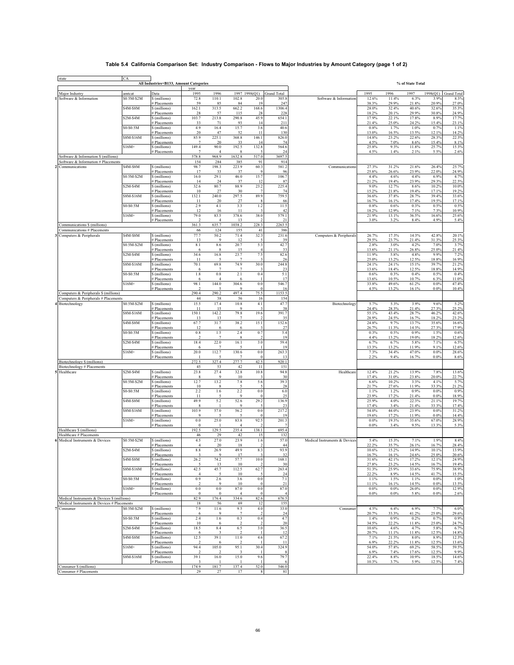## **Table 5.4 California Comparison Set: Industry Comparison - Flows to Major Industries by Amount Category (page 1 of 2)**

| vear<br>1996<br>1997 1998(Q1)<br><b>Grand Total</b><br>1995<br>1996<br>1997<br>1998(Q1)<br>Major Industry<br>amtcat<br>Data<br>1995<br><b>Grand Total</b><br>\$0.5M-\$2M<br>\$ (millions)<br>110.1<br>102.8<br>12.6%<br>11.4%<br>6.3%<br>3.9%<br>Software & Information<br>72.8<br>20.0<br>305.8<br>Software & Information<br>29.9%<br>21.8%<br>20.9%<br># Placements<br>59<br>85<br>84<br>19<br>247<br>38.3%<br>\$4M-\$8M<br>162.1<br>313.5<br>662.2<br>168.6<br>1306.4<br>28.0%<br>32.4%<br>40.6%<br>32.6%<br>35.3%<br>\$ (millions)<br>115<br>28<br>228<br>18.2%<br>20.1%<br>29.9%<br>30.8%<br># Placements<br>28<br>57<br>45.9<br>654.1<br>$$2M-S4M$<br>103.7<br>213.8<br>290.8<br>17.9%<br>22.1%<br>17.8%<br>8.9%<br>\$ (millions)<br>71<br>93<br>211<br>21.4%<br>25.0%<br>24.2%<br>15.4%<br>23.1%<br># Placements<br>33<br>14<br>\$0-\$0.5M<br>4.9<br>16.4<br>15.7<br>3.6<br>40.6<br>0.8%<br>1.7%<br>1.0%<br>0.7%<br>\$ (millions)<br>11<br>13.0%<br>16.5%<br>13.5%<br>14.2%<br># Placements<br>20<br>47<br>52<br>130<br>12.1%<br>85.9<br>225.1<br>146.1<br>22.3%<br>\$8M-\$16M<br>\$ (millions)<br>368.8<br>826.0<br>14.8%<br>23.2%<br>22.6%<br>28.3%<br>4.5%<br>7.0%<br>8.6%<br>15.4%<br># Placements<br>7<br>20<br>33<br>14<br>74<br>$$16M+$<br>149.4<br>132.8<br>\$ (millions)<br>90.0<br>192.5<br>564.6<br>25.8%<br>9.3%<br>11.8%<br>25.7%<br>1.4%<br>4.5%<br>2.1%<br>5.5%<br># Placements<br>$\overline{7}$<br>$\overline{4}$<br>24<br>2.6%<br>578.8<br>968.9<br>1632.8<br>517.0<br>3697.5<br>Software & Information \$ (millions)<br>91<br>914<br>Software & Information # Placements<br>154<br>284<br>385<br>\$4M-\$8M<br>98.7<br>198.3<br>223.9<br>60.3<br>581.2<br>27.3%<br>31.2%<br>25.7%<br>\$ (millions)<br>21.6%<br>26.4%<br>Communications<br>Communications<br>25.8%<br>26.6%<br>23.9%<br># Placements<br>17<br>9<br>96<br>22.0%<br>24.9%<br>33<br>37<br>\$0.5M-\$2M<br>16.0<br>29.1<br>15.7<br>106.7<br>4.4%<br>4.6%<br>4.4%<br>6.9%<br>\$(millions)<br>46.0<br>23.9%<br># Placements<br>24<br>37<br>87<br>21.2%<br>19.4%<br>29.3%<br>22.5%<br>14<br>12<br>\$2M-\$4M<br>32.6<br>80.7<br>88.9<br>23.2<br>225.4<br>9.0%<br>12.7%<br>8.6%<br>10.2%<br>10.0%<br>\$ (millions)<br># Placements<br>10<br>27<br>30<br>74<br>15.2%<br>21.8%<br>19.4%<br>17.1%<br>240.0<br>297.5<br>89.9<br>759.5<br>\$8M-\$16M<br>132.1<br>36.6%<br>37.8%<br>28.7%<br>39.4%<br>33.6%<br>\$ (millions)<br>17.1%<br>20<br>16.7%<br>17.4%<br>19.5%<br># Placements<br>11<br>27<br>66<br>16.1%<br>\$0-\$0.5M<br>4.1<br>3.3<br>1.2<br>11.5<br>0.5%<br>\$ (millions)<br>2.9<br>0.8%<br>0.6%<br>0.3%<br>10.9%<br>12<br>16<br>11<br>42<br>18.2%<br>12.9%<br>7.1%<br>7.3%<br># Placements<br>$$16M+$<br>79.0<br>83.5<br>38.0<br>579.1<br>21.9%<br>13.1%<br>36.5%<br>25.6%<br>\$ (millions)<br>378.6<br>16.6%<br>3.0%<br>3.2%<br>8.4%<br>4.9%<br># Placements<br>$\overline{4}$<br>13<br>21<br>361.3<br>1038.2<br>228.3<br>2263.5<br>Communications \$ (millions)<br>635.7<br>386<br>66<br>124<br>155<br>41<br>Communications # Placements<br>\$4M-\$8M<br>77.7<br>50.2<br>71.4<br>32.3<br>17.3%<br>14.3%<br>Computers & Peripherals<br>\$ (millions)<br>231.6<br>Computers & Peripherals<br>26.7%<br>42.8%<br>29.5%<br>23.7%<br>21.4%<br># Placements<br>13<br>9<br>12<br>39<br>31.3%<br>3.7%<br>\$0.5M-\$2M<br>$8.1\,$<br>8.6<br>5.3<br>42.7<br>2.8%<br>3.0%<br>4.2%<br>7.0%<br>\$ (millions)<br>20.7<br>33<br>13.6%<br>21.1%<br>26.8%<br>25.0%<br># Placements<br>15<br>$\overline{4}$<br>6<br>8<br>$$2M-$4M$<br>34.6<br>7.5<br>82.6<br>11.9%<br>4.8%<br>7.2%<br>\$ (millions)<br>16.8<br>23.7<br>5.8%<br>9.9%<br>13.2%<br>12.5%<br># Placements<br>11<br>26<br>25.0%<br>18.8%<br>16.9%<br>30.0<br>244.8<br>\$8M-\$16M<br>\$ (millions)<br>70.1<br>69.8<br>74.9<br>24.1%<br>24.1%<br>15.1%<br>39.7%<br>$\overline{7}$<br>13.6%<br>18.4%<br>12.5%<br>18.8%<br>14.9%<br># Placements<br>6<br>$\overline{7}$<br>23<br>\$0-\$0.5M<br>$1.8\,$<br>$\rm 0.8$<br>2.1<br>0.4<br>5.1<br>0.4%<br>0.5%<br>0.4%<br>\$ (millions)<br>0.6%<br>0.3%<br>10.5%<br>10.7%<br>6.3%<br>13.6%<br># Placements<br>17<br>6<br>$\overline{4}$<br>6<br>$$16M+$<br>98.1<br>144.0<br>$\rm 0.0$<br>546.7<br>33.8%<br>61.2%<br>47.4%<br>\$ (millions)<br>304.6<br>49.6%<br>0.0%<br># Placements<br>$\overline{2}$<br>5<br>9<br>$\bf{0}$<br>4.5%<br>13.2%<br>16.1%<br>0.0%<br>10.4%<br>16<br>497.4<br>Computers & Peripherals \$ (millions)<br>290.4<br>290.2<br>75.5<br>1153.5<br>Computers & Peripherals # Placements<br>44<br>38<br>56<br>16<br>154<br>\$0.5M-\$2M<br>15.5<br>17.4<br>10.8<br>4.1<br>47.7<br>5.3%<br>3.9%<br>Biotechnology<br>\$ (millions)<br>Biotechnology<br>5.7%<br>9.6%<br>5.2%<br># Placements<br>24.4%<br>28.3%<br>21.4%<br>27.3%<br>11<br>15<br>9<br>38<br>19.6<br>\$8M-\$16M<br>\$ (millions)<br>150.1<br>142.2<br>79.8<br>391.7<br>55.1%<br>43.4%<br>28.7%<br>46.2%<br>28.9%<br>24.5%<br>16.7%<br>23.2%<br># Placements<br>13<br>13<br>$\overline{7}$<br>35<br>18.2%<br>\$4M-\$8M<br>67.7<br>31.7<br>38.2<br>15.1<br>152.6<br>24.8%<br>9.7%<br>13.7%<br>35.6%<br>\$ (millions)<br>26.7%<br>11.3%<br>14.3%<br>27.3%<br>17.9%<br># Placements<br>12<br>27<br>6<br>6<br>1.5<br>0.7<br>5.4<br>\$0-\$0.5M<br>\$ (millions)<br>0.8<br>2.4<br>0.3%<br>0.5%<br>0.9%<br>1.5%<br>0.6%<br>19<br>4.4%<br>13.2%<br>19.0%<br>18.2%<br># Placements<br>22.0<br>\$2M-\$4M<br>\$ (millions)<br>18.4<br>16.1<br>3.0<br>59.4<br>6.7%<br>6.7%<br>5.8%<br>7.1%<br>13.3%<br>13.2%<br>11.9%<br>9.1%<br>12.6%<br># Placements<br>6<br>$\overline{7}$<br>19<br>-5<br>$$16M+$<br>20.0<br>112.7<br>130.6<br>$\rm 0.0$<br>263.3<br>7.3%<br>34.4%<br>0.0%<br>47.0%<br>\$ (millions)<br>2.2%<br>9.4%<br>16.7%<br>0.0%<br>$\theta$<br>8.6%<br># Placements<br>-7<br>-13<br>272.5<br>327.4<br>277.7<br>920.1<br>Biotechnology \$ (millions)<br>42.5<br>53<br>Biotechnology # Placements<br>45<br>42<br>11<br>151<br>$$2M-S4M$<br>23.8<br>27.4<br>32.8<br>10.8<br>94.8<br>Healthcare<br>12.4%<br>21.2%<br>13.9%<br>7.8%<br>13.6%<br>Healthcare<br>\$ (millions)<br># Placements<br>9<br>10<br>30<br>17.4%<br>31.0%<br>23.8%<br>20.0%<br>22.7%<br>8<br>$\ddot{\mathbf{3}}$<br>\$0.5M-\$2M<br>12.7<br>13.2<br>10.2%<br>3.3%<br>4.1%<br>\$ (millions)<br>7.8<br>5.6<br>39.3<br>6.6%<br>28<br>21.7%<br>27.6%<br>11.9%<br>33.3%<br>21.2%<br># Placements<br>10<br>8<br>\$0-\$0.5M<br>$0.0\,$<br>0.9%<br>2.2<br>1.6<br>2.2<br>1.2%<br>\$ (millions)<br>6.0<br>1.1%<br>0.0%<br>25<br>21.4%<br>0.0%<br># Placements<br>11<br>5<br>9<br>$\Omega$<br>23.9%<br>17.2%<br>\$4M-\$8M<br>49.9<br>5.2<br>29.2<br>136.9<br>25.9%<br>4.0%<br>22.3%<br>21.1%<br>19.7%<br>52.6<br>\$ (millions)<br># Placements<br>8<br>$\mathbf{Q}$<br>23<br>17.4%<br>3.4%<br>21.4%<br>33.3%<br>-1<br>\$8M-\$16M<br>103.9<br>57.0<br>$\rm 0.0$<br>217.2<br>23.9%<br>0.0%<br>\$ (millions)<br>56.2<br>54.0%<br>44.0%<br>19.6%<br>17.2%<br>11.9%<br>0.0%<br>14.4%<br># Placements<br>9<br>5<br>$\overline{0}$<br>19<br>$$16M+$<br>25.0<br>83.8<br>92.5<br>201.3<br>$0.0\,$<br>0.0%<br>19.3%<br>35.6%<br>67.0%<br>\$ (millions)<br>$0.0\%$<br>9.5%<br>13.3%<br>3.4%<br># Placements<br>$\mathbf{0}$<br>$\overline{4}$<br>129.5<br>Healthcare \$ (millions)<br>192.5<br>235.4<br>138.1<br>695.4<br>Healthcare # Placements<br>29<br>42<br>15<br>132<br>46<br>1.6<br>57.0<br>\$0.5M-\$2M<br>4.5<br>27.0<br>23.9<br>15.3%<br>7.1%<br>1.9%<br>Medical Instruments & Devices<br>\$ (millions)<br>Medical Instruments & Devices<br>5.4%<br>22.2%<br>35.7%<br>16.7%<br>20<br>26.1%<br>28.4%<br># Placements<br>$\overline{4}$<br>18<br>44<br>\$2M-\$4M<br>$8.8\,$<br>26.9<br>49.9<br>8.3<br>93.9<br>15.2%<br>14.9%<br>10.1%<br>\$ (millions)<br>10.6%<br># Placements<br>17<br>32<br>16.7%<br>16.1%<br>24.6%<br>25.0%<br>\$4M-\$8M<br>\$ (millions)<br>26.2<br>74.2<br>57.7<br>10.0<br>168.1<br>31.6%<br>42.1%<br>17.2%<br>12.1%<br>24.9%<br># Placements<br>30<br>27.8%<br>23.2%<br>14.5%<br>16.7%<br>13<br>10<br>62.7<br>42.5<br>51.3%<br>\$8M-\$16M<br>45.7<br>112.5<br>263.4<br>25.9%<br>33.6%<br>75.9%<br>\$ (millions)<br>22.2%<br>8.9%<br>14.5%<br>15.5%<br>24<br>41.7%<br># Placements<br>$\overline{4}$<br>10<br>5<br>\$0-\$0.5M<br>0.9<br>2.6<br>3.6<br>$0.0\,$<br>7.1<br>1.1%<br>1.5%<br>1.1%<br>\$ (millions)<br>0.0%<br># Placements<br>$\mathfrak{D}$<br>9<br>10<br>21<br>11.1%<br>16.1%<br>14.5%<br>0.0%<br>13.5%<br>$\mathbf{0}$<br>$$16M+$<br>0.0<br>$0.0\,$<br>87.0<br>$0.0\,$<br>87.0<br>0.0%<br>$0.0\%$<br>26.0%<br>$0.0\%$<br>12.9%<br>\$ (millions)<br># Placements<br>$\bf{0}$<br>$\bf{0}$<br>0.0%<br>$0.0\%$<br>5.8%<br>0.0%<br>$\overline{4}$<br>$\overline{0}$<br>$\overline{4}$<br>Medical Instruments & Devices \$ (millions)<br>82.9<br>176.4<br>334.6<br>82.6<br>676.5<br>Medical Instruments & Devices # Placements<br>155<br>18<br>56<br>69<br>12<br>4.5%<br>7.7%<br>\$0.5M-\$2M<br>\$ (millions)<br>7.9<br>11.6<br>9.5<br>4.0<br>33.0<br>Consumer<br>6.4%<br>6.9%<br>Consumer<br>20.7%<br>41.2%<br>$\overline{7}$<br>33.3%<br>25.0%<br># Placements<br>6<br>$\mathbf Q$<br>$\overline{2}$<br>24<br>\$0-\$0.5M<br>2.4<br>1.6<br>0.3<br>0.4<br>4.7<br>0.9%<br>0.7%<br>0.9%<br>\$ (millions)<br>1.4%<br>0.2%<br>34.5%<br>22.2%<br>11.8%<br>10<br>20<br>25.0%<br># Placements<br>6<br>$$2M-$4M$<br>\$ (millions)<br>18.5<br>8.4<br>6.5<br>3.0<br>36.5<br>10.6%<br>4.6%<br>4.7%<br>5.8%<br># Placements<br>20.7%<br>11.1%<br>11.8%<br>12.5%<br>14.8%<br>$\mathbf{3}$<br>12<br>6<br>\$4M-\$8M<br>12.5<br>39.1<br>11.0<br>4.6<br>67.2<br>7.1%<br>21.5%<br>8.0%<br>8.9%<br>\$ (millions)<br>22.2%<br>11.8%<br>12.5%<br># Placements<br>$\mathfrak{D}$<br>11<br>6.9%<br>-6<br>2<br>$$16M+$<br>105.0<br>324.9<br>69.2%<br>58.5%<br>59.5%<br>94.4<br>95.1<br>30.4<br>54.0%<br>57.8%<br>\$ (millions)<br>12.5%<br>6.9%<br>7.4%<br>17.6%<br># Placements<br>$\mathcal{D}$<br>$\boldsymbol{\mathsf{R}}$<br>$\overline{2}$<br>3<br>-1<br>\$8M-\$16M<br>39.1<br>\$ (millions)<br>16.0<br>15.0<br>9.6<br>79.7<br>22.4%<br>8.8%<br>10.9%<br>18.5%<br>14.6% | state | CA | All Industries+B133, Amount Categories |                     |  |  |       |      | % of State Total |       |       |
|----------------------------------------------------------------------------------------------------------------------------------------------------------------------------------------------------------------------------------------------------------------------------------------------------------------------------------------------------------------------------------------------------------------------------------------------------------------------------------------------------------------------------------------------------------------------------------------------------------------------------------------------------------------------------------------------------------------------------------------------------------------------------------------------------------------------------------------------------------------------------------------------------------------------------------------------------------------------------------------------------------------------------------------------------------------------------------------------------------------------------------------------------------------------------------------------------------------------------------------------------------------------------------------------------------------------------------------------------------------------------------------------------------------------------------------------------------------------------------------------------------------------------------------------------------------------------------------------------------------------------------------------------------------------------------------------------------------------------------------------------------------------------------------------------------------------------------------------------------------------------------------------------------------------------------------------------------------------------------------------------------------------------------------------------------------------------------------------------------------------------------------------------------------------------------------------------------------------------------------------------------------------------------------------------------------------------------------------------------------------------------------------------------------------------------------------------------------------------------------------------------------------------------------------------------------------------------------------------------------------------------------------------------------------------------------------------------------------------------------------------------------------------------------------------------------------------------------------------------------------------------------------------------------------------------------------------------------------------------------------------------------------------------------------------------------------------------------------------------------------------------------------------------------------------------------------------------------------------------------------------------------------------------------------------------------------------------------------------------------------------------------------------------------------------------------------------------------------------------------------------------------------------------------------------------------------------------------------------------------------------------------------------------------------------------------------------------------------------------------------------------------------------------------------------------------------------------------------------------------------------------------------------------------------------------------------------------------------------------------------------------------------------------------------------------------------------------------------------------------------------------------------------------------------------------------------------------------------------------------------------------------------------------------------------------------------------------------------------------------------------------------------------------------------------------------------------------------------------------------------------------------------------------------------------------------------------------------------------------------------------------------------------------------------------------------------------------------------------------------------------------------------------------------------------------------------------------------------------------------------------------------------------------------------------------------------------------------------------------------------------------------------------------------------------------------------------------------------------------------------------------------------------------------------------------------------------------------------------------------------------------------------------------------------------------------------------------------------------------------------------------------------------------------------------------------------------------------------------------------------------------------------------------------------------------------------------------------------------------------------------------------------------------------------------------------------------------------------------------------------------------------------------------------------------------------------------------------------------------------------------------------------------------------------------------------------------------------------------------------------------------------------------------------------------------------------------------------------------------------------------------------------------------------------------------------------------------------------------------------------------------------------------------------------------------------------------------------------------------------------------------------------------------------------------------------------------------------------------------------------------------------------------------------------------------------------------------------------------------------------------------------------------------------------------------------------------------------------------------------------------------------------------------------------------------------------------------------------------------------------------------------------------------------------------------------------------------------------------------------------------------------------------------------------------------------------------------------------------------------------------------------------------------------------------------------------------------------------------------------------------------------------------------------------------------------------------------------------------------------------------------------------------------------------------------------------------------------------------------------------------------------------------------------------------------------------------------------------------------------------------------------------------------------------------------------------------------------------------------------------------------------------------------------------------------------------------------------------------------------------------------------------------------------------------------------------------------------------------------------------------------------------------------------------------------------------------------------------------------------------------------------------------------------------------------------------------------------------------------------------------------------------------------------------------------------------------------------------------------------------------------------------------------------------------------------------------------------------------------------------------------------------------------------------------------------------------------------------------------------------------------------------------------------------------------------------------------------------------------------------------------------------------------------------------------------------------------------------------------------------------------------------------------------------------------------------------------------------------------------------------------------------------------------------------------------------------------------------------------------------------------------------------------------------------------------------------------------------------------------------------------------------------------------------------------------------------------------------------------------------------------------------------------------------------------------------------------------------------------------------------------------------------------------------------------------------------------------------------------------------------------------------------------------------------------------------------------------------------------------------------------------------------------------------------------------------------------------------------------------------------------------------------------------------------------------------------------------------------------|-------|----|----------------------------------------|---------------------|--|--|-------|------|------------------|-------|-------|
|                                                                                                                                                                                                                                                                                                                                                                                                                                                                                                                                                                                                                                                                                                                                                                                                                                                                                                                                                                                                                                                                                                                                                                                                                                                                                                                                                                                                                                                                                                                                                                                                                                                                                                                                                                                                                                                                                                                                                                                                                                                                                                                                                                                                                                                                                                                                                                                                                                                                                                                                                                                                                                                                                                                                                                                                                                                                                                                                                                                                                                                                                                                                                                                                                                                                                                                                                                                                                                                                                                                                                                                                                                                                                                                                                                                                                                                                                                                                                                                                                                                                                                                                                                                                                                                                                                                                                                                                                                                                                                                                                                                                                                                                                                                                                                                                                                                                                                                                                                                                                                                                                                                                                                                                                                                                                                                                                                                                                                                                                                                                                                                                                                                                                                                                                                                                                                                                                                                                                                                                                                                                                                                                                                                                                                                                                                                                                                                                                                                                                                                                                                                                                                                                                                                                                                                                                                                                                                                                                                                                                                                                                                                                                                                                                                                                                                                                                                                                                                                                                                                                                                                                                                                                                                                                                                                                                                                                                                                                                                                                                                                                                                                                                                                                                                                                                                                                                                                                                                                                                                                                                                                                                                                                                                                                                                                                                                                                                                                                                                                                                                                                                                                                                                                                                                                                                                                                                                                                                                                                                                                                                                                                                                                                                                                                                                                                                                                                                                                                                                                  |       |    |                                        |                     |  |  |       |      |                  |       |       |
|                                                                                                                                                                                                                                                                                                                                                                                                                                                                                                                                                                                                                                                                                                                                                                                                                                                                                                                                                                                                                                                                                                                                                                                                                                                                                                                                                                                                                                                                                                                                                                                                                                                                                                                                                                                                                                                                                                                                                                                                                                                                                                                                                                                                                                                                                                                                                                                                                                                                                                                                                                                                                                                                                                                                                                                                                                                                                                                                                                                                                                                                                                                                                                                                                                                                                                                                                                                                                                                                                                                                                                                                                                                                                                                                                                                                                                                                                                                                                                                                                                                                                                                                                                                                                                                                                                                                                                                                                                                                                                                                                                                                                                                                                                                                                                                                                                                                                                                                                                                                                                                                                                                                                                                                                                                                                                                                                                                                                                                                                                                                                                                                                                                                                                                                                                                                                                                                                                                                                                                                                                                                                                                                                                                                                                                                                                                                                                                                                                                                                                                                                                                                                                                                                                                                                                                                                                                                                                                                                                                                                                                                                                                                                                                                                                                                                                                                                                                                                                                                                                                                                                                                                                                                                                                                                                                                                                                                                                                                                                                                                                                                                                                                                                                                                                                                                                                                                                                                                                                                                                                                                                                                                                                                                                                                                                                                                                                                                                                                                                                                                                                                                                                                                                                                                                                                                                                                                                                                                                                                                                                                                                                                                                                                                                                                                                                                                                                                                                                                                                                  |       |    |                                        |                     |  |  |       |      |                  |       | 8.3%  |
|                                                                                                                                                                                                                                                                                                                                                                                                                                                                                                                                                                                                                                                                                                                                                                                                                                                                                                                                                                                                                                                                                                                                                                                                                                                                                                                                                                                                                                                                                                                                                                                                                                                                                                                                                                                                                                                                                                                                                                                                                                                                                                                                                                                                                                                                                                                                                                                                                                                                                                                                                                                                                                                                                                                                                                                                                                                                                                                                                                                                                                                                                                                                                                                                                                                                                                                                                                                                                                                                                                                                                                                                                                                                                                                                                                                                                                                                                                                                                                                                                                                                                                                                                                                                                                                                                                                                                                                                                                                                                                                                                                                                                                                                                                                                                                                                                                                                                                                                                                                                                                                                                                                                                                                                                                                                                                                                                                                                                                                                                                                                                                                                                                                                                                                                                                                                                                                                                                                                                                                                                                                                                                                                                                                                                                                                                                                                                                                                                                                                                                                                                                                                                                                                                                                                                                                                                                                                                                                                                                                                                                                                                                                                                                                                                                                                                                                                                                                                                                                                                                                                                                                                                                                                                                                                                                                                                                                                                                                                                                                                                                                                                                                                                                                                                                                                                                                                                                                                                                                                                                                                                                                                                                                                                                                                                                                                                                                                                                                                                                                                                                                                                                                                                                                                                                                                                                                                                                                                                                                                                                                                                                                                                                                                                                                                                                                                                                                                                                                                                                                  |       |    |                                        |                     |  |  |       |      |                  |       | 27.0% |
|                                                                                                                                                                                                                                                                                                                                                                                                                                                                                                                                                                                                                                                                                                                                                                                                                                                                                                                                                                                                                                                                                                                                                                                                                                                                                                                                                                                                                                                                                                                                                                                                                                                                                                                                                                                                                                                                                                                                                                                                                                                                                                                                                                                                                                                                                                                                                                                                                                                                                                                                                                                                                                                                                                                                                                                                                                                                                                                                                                                                                                                                                                                                                                                                                                                                                                                                                                                                                                                                                                                                                                                                                                                                                                                                                                                                                                                                                                                                                                                                                                                                                                                                                                                                                                                                                                                                                                                                                                                                                                                                                                                                                                                                                                                                                                                                                                                                                                                                                                                                                                                                                                                                                                                                                                                                                                                                                                                                                                                                                                                                                                                                                                                                                                                                                                                                                                                                                                                                                                                                                                                                                                                                                                                                                                                                                                                                                                                                                                                                                                                                                                                                                                                                                                                                                                                                                                                                                                                                                                                                                                                                                                                                                                                                                                                                                                                                                                                                                                                                                                                                                                                                                                                                                                                                                                                                                                                                                                                                                                                                                                                                                                                                                                                                                                                                                                                                                                                                                                                                                                                                                                                                                                                                                                                                                                                                                                                                                                                                                                                                                                                                                                                                                                                                                                                                                                                                                                                                                                                                                                                                                                                                                                                                                                                                                                                                                                                                                                                                                                                  |       |    |                                        |                     |  |  |       |      |                  |       | 24.9% |
|                                                                                                                                                                                                                                                                                                                                                                                                                                                                                                                                                                                                                                                                                                                                                                                                                                                                                                                                                                                                                                                                                                                                                                                                                                                                                                                                                                                                                                                                                                                                                                                                                                                                                                                                                                                                                                                                                                                                                                                                                                                                                                                                                                                                                                                                                                                                                                                                                                                                                                                                                                                                                                                                                                                                                                                                                                                                                                                                                                                                                                                                                                                                                                                                                                                                                                                                                                                                                                                                                                                                                                                                                                                                                                                                                                                                                                                                                                                                                                                                                                                                                                                                                                                                                                                                                                                                                                                                                                                                                                                                                                                                                                                                                                                                                                                                                                                                                                                                                                                                                                                                                                                                                                                                                                                                                                                                                                                                                                                                                                                                                                                                                                                                                                                                                                                                                                                                                                                                                                                                                                                                                                                                                                                                                                                                                                                                                                                                                                                                                                                                                                                                                                                                                                                                                                                                                                                                                                                                                                                                                                                                                                                                                                                                                                                                                                                                                                                                                                                                                                                                                                                                                                                                                                                                                                                                                                                                                                                                                                                                                                                                                                                                                                                                                                                                                                                                                                                                                                                                                                                                                                                                                                                                                                                                                                                                                                                                                                                                                                                                                                                                                                                                                                                                                                                                                                                                                                                                                                                                                                                                                                                                                                                                                                                                                                                                                                                                                                                                                                                  |       |    |                                        |                     |  |  |       |      |                  |       | 17.7% |
|                                                                                                                                                                                                                                                                                                                                                                                                                                                                                                                                                                                                                                                                                                                                                                                                                                                                                                                                                                                                                                                                                                                                                                                                                                                                                                                                                                                                                                                                                                                                                                                                                                                                                                                                                                                                                                                                                                                                                                                                                                                                                                                                                                                                                                                                                                                                                                                                                                                                                                                                                                                                                                                                                                                                                                                                                                                                                                                                                                                                                                                                                                                                                                                                                                                                                                                                                                                                                                                                                                                                                                                                                                                                                                                                                                                                                                                                                                                                                                                                                                                                                                                                                                                                                                                                                                                                                                                                                                                                                                                                                                                                                                                                                                                                                                                                                                                                                                                                                                                                                                                                                                                                                                                                                                                                                                                                                                                                                                                                                                                                                                                                                                                                                                                                                                                                                                                                                                                                                                                                                                                                                                                                                                                                                                                                                                                                                                                                                                                                                                                                                                                                                                                                                                                                                                                                                                                                                                                                                                                                                                                                                                                                                                                                                                                                                                                                                                                                                                                                                                                                                                                                                                                                                                                                                                                                                                                                                                                                                                                                                                                                                                                                                                                                                                                                                                                                                                                                                                                                                                                                                                                                                                                                                                                                                                                                                                                                                                                                                                                                                                                                                                                                                                                                                                                                                                                                                                                                                                                                                                                                                                                                                                                                                                                                                                                                                                                                                                                                                                                  |       |    |                                        |                     |  |  |       |      |                  |       | 1.1%  |
|                                                                                                                                                                                                                                                                                                                                                                                                                                                                                                                                                                                                                                                                                                                                                                                                                                                                                                                                                                                                                                                                                                                                                                                                                                                                                                                                                                                                                                                                                                                                                                                                                                                                                                                                                                                                                                                                                                                                                                                                                                                                                                                                                                                                                                                                                                                                                                                                                                                                                                                                                                                                                                                                                                                                                                                                                                                                                                                                                                                                                                                                                                                                                                                                                                                                                                                                                                                                                                                                                                                                                                                                                                                                                                                                                                                                                                                                                                                                                                                                                                                                                                                                                                                                                                                                                                                                                                                                                                                                                                                                                                                                                                                                                                                                                                                                                                                                                                                                                                                                                                                                                                                                                                                                                                                                                                                                                                                                                                                                                                                                                                                                                                                                                                                                                                                                                                                                                                                                                                                                                                                                                                                                                                                                                                                                                                                                                                                                                                                                                                                                                                                                                                                                                                                                                                                                                                                                                                                                                                                                                                                                                                                                                                                                                                                                                                                                                                                                                                                                                                                                                                                                                                                                                                                                                                                                                                                                                                                                                                                                                                                                                                                                                                                                                                                                                                                                                                                                                                                                                                                                                                                                                                                                                                                                                                                                                                                                                                                                                                                                                                                                                                                                                                                                                                                                                                                                                                                                                                                                                                                                                                                                                                                                                                                                                                                                                                                                                                                                                                                  |       |    |                                        |                     |  |  |       |      |                  |       |       |
|                                                                                                                                                                                                                                                                                                                                                                                                                                                                                                                                                                                                                                                                                                                                                                                                                                                                                                                                                                                                                                                                                                                                                                                                                                                                                                                                                                                                                                                                                                                                                                                                                                                                                                                                                                                                                                                                                                                                                                                                                                                                                                                                                                                                                                                                                                                                                                                                                                                                                                                                                                                                                                                                                                                                                                                                                                                                                                                                                                                                                                                                                                                                                                                                                                                                                                                                                                                                                                                                                                                                                                                                                                                                                                                                                                                                                                                                                                                                                                                                                                                                                                                                                                                                                                                                                                                                                                                                                                                                                                                                                                                                                                                                                                                                                                                                                                                                                                                                                                                                                                                                                                                                                                                                                                                                                                                                                                                                                                                                                                                                                                                                                                                                                                                                                                                                                                                                                                                                                                                                                                                                                                                                                                                                                                                                                                                                                                                                                                                                                                                                                                                                                                                                                                                                                                                                                                                                                                                                                                                                                                                                                                                                                                                                                                                                                                                                                                                                                                                                                                                                                                                                                                                                                                                                                                                                                                                                                                                                                                                                                                                                                                                                                                                                                                                                                                                                                                                                                                                                                                                                                                                                                                                                                                                                                                                                                                                                                                                                                                                                                                                                                                                                                                                                                                                                                                                                                                                                                                                                                                                                                                                                                                                                                                                                                                                                                                                                                                                                                                                  |       |    |                                        |                     |  |  |       |      |                  |       | 8.1%  |
|                                                                                                                                                                                                                                                                                                                                                                                                                                                                                                                                                                                                                                                                                                                                                                                                                                                                                                                                                                                                                                                                                                                                                                                                                                                                                                                                                                                                                                                                                                                                                                                                                                                                                                                                                                                                                                                                                                                                                                                                                                                                                                                                                                                                                                                                                                                                                                                                                                                                                                                                                                                                                                                                                                                                                                                                                                                                                                                                                                                                                                                                                                                                                                                                                                                                                                                                                                                                                                                                                                                                                                                                                                                                                                                                                                                                                                                                                                                                                                                                                                                                                                                                                                                                                                                                                                                                                                                                                                                                                                                                                                                                                                                                                                                                                                                                                                                                                                                                                                                                                                                                                                                                                                                                                                                                                                                                                                                                                                                                                                                                                                                                                                                                                                                                                                                                                                                                                                                                                                                                                                                                                                                                                                                                                                                                                                                                                                                                                                                                                                                                                                                                                                                                                                                                                                                                                                                                                                                                                                                                                                                                                                                                                                                                                                                                                                                                                                                                                                                                                                                                                                                                                                                                                                                                                                                                                                                                                                                                                                                                                                                                                                                                                                                                                                                                                                                                                                                                                                                                                                                                                                                                                                                                                                                                                                                                                                                                                                                                                                                                                                                                                                                                                                                                                                                                                                                                                                                                                                                                                                                                                                                                                                                                                                                                                                                                                                                                                                                                                                                  |       |    |                                        |                     |  |  |       |      |                  |       | 15.3% |
|                                                                                                                                                                                                                                                                                                                                                                                                                                                                                                                                                                                                                                                                                                                                                                                                                                                                                                                                                                                                                                                                                                                                                                                                                                                                                                                                                                                                                                                                                                                                                                                                                                                                                                                                                                                                                                                                                                                                                                                                                                                                                                                                                                                                                                                                                                                                                                                                                                                                                                                                                                                                                                                                                                                                                                                                                                                                                                                                                                                                                                                                                                                                                                                                                                                                                                                                                                                                                                                                                                                                                                                                                                                                                                                                                                                                                                                                                                                                                                                                                                                                                                                                                                                                                                                                                                                                                                                                                                                                                                                                                                                                                                                                                                                                                                                                                                                                                                                                                                                                                                                                                                                                                                                                                                                                                                                                                                                                                                                                                                                                                                                                                                                                                                                                                                                                                                                                                                                                                                                                                                                                                                                                                                                                                                                                                                                                                                                                                                                                                                                                                                                                                                                                                                                                                                                                                                                                                                                                                                                                                                                                                                                                                                                                                                                                                                                                                                                                                                                                                                                                                                                                                                                                                                                                                                                                                                                                                                                                                                                                                                                                                                                                                                                                                                                                                                                                                                                                                                                                                                                                                                                                                                                                                                                                                                                                                                                                                                                                                                                                                                                                                                                                                                                                                                                                                                                                                                                                                                                                                                                                                                                                                                                                                                                                                                                                                                                                                                                                                                                  |       |    |                                        |                     |  |  |       |      |                  |       |       |
|                                                                                                                                                                                                                                                                                                                                                                                                                                                                                                                                                                                                                                                                                                                                                                                                                                                                                                                                                                                                                                                                                                                                                                                                                                                                                                                                                                                                                                                                                                                                                                                                                                                                                                                                                                                                                                                                                                                                                                                                                                                                                                                                                                                                                                                                                                                                                                                                                                                                                                                                                                                                                                                                                                                                                                                                                                                                                                                                                                                                                                                                                                                                                                                                                                                                                                                                                                                                                                                                                                                                                                                                                                                                                                                                                                                                                                                                                                                                                                                                                                                                                                                                                                                                                                                                                                                                                                                                                                                                                                                                                                                                                                                                                                                                                                                                                                                                                                                                                                                                                                                                                                                                                                                                                                                                                                                                                                                                                                                                                                                                                                                                                                                                                                                                                                                                                                                                                                                                                                                                                                                                                                                                                                                                                                                                                                                                                                                                                                                                                                                                                                                                                                                                                                                                                                                                                                                                                                                                                                                                                                                                                                                                                                                                                                                                                                                                                                                                                                                                                                                                                                                                                                                                                                                                                                                                                                                                                                                                                                                                                                                                                                                                                                                                                                                                                                                                                                                                                                                                                                                                                                                                                                                                                                                                                                                                                                                                                                                                                                                                                                                                                                                                                                                                                                                                                                                                                                                                                                                                                                                                                                                                                                                                                                                                                                                                                                                                                                                                                                                  |       |    |                                        |                     |  |  |       |      |                  |       |       |
|                                                                                                                                                                                                                                                                                                                                                                                                                                                                                                                                                                                                                                                                                                                                                                                                                                                                                                                                                                                                                                                                                                                                                                                                                                                                                                                                                                                                                                                                                                                                                                                                                                                                                                                                                                                                                                                                                                                                                                                                                                                                                                                                                                                                                                                                                                                                                                                                                                                                                                                                                                                                                                                                                                                                                                                                                                                                                                                                                                                                                                                                                                                                                                                                                                                                                                                                                                                                                                                                                                                                                                                                                                                                                                                                                                                                                                                                                                                                                                                                                                                                                                                                                                                                                                                                                                                                                                                                                                                                                                                                                                                                                                                                                                                                                                                                                                                                                                                                                                                                                                                                                                                                                                                                                                                                                                                                                                                                                                                                                                                                                                                                                                                                                                                                                                                                                                                                                                                                                                                                                                                                                                                                                                                                                                                                                                                                                                                                                                                                                                                                                                                                                                                                                                                                                                                                                                                                                                                                                                                                                                                                                                                                                                                                                                                                                                                                                                                                                                                                                                                                                                                                                                                                                                                                                                                                                                                                                                                                                                                                                                                                                                                                                                                                                                                                                                                                                                                                                                                                                                                                                                                                                                                                                                                                                                                                                                                                                                                                                                                                                                                                                                                                                                                                                                                                                                                                                                                                                                                                                                                                                                                                                                                                                                                                                                                                                                                                                                                                                                                  |       |    |                                        |                     |  |  |       |      |                  |       |       |
|                                                                                                                                                                                                                                                                                                                                                                                                                                                                                                                                                                                                                                                                                                                                                                                                                                                                                                                                                                                                                                                                                                                                                                                                                                                                                                                                                                                                                                                                                                                                                                                                                                                                                                                                                                                                                                                                                                                                                                                                                                                                                                                                                                                                                                                                                                                                                                                                                                                                                                                                                                                                                                                                                                                                                                                                                                                                                                                                                                                                                                                                                                                                                                                                                                                                                                                                                                                                                                                                                                                                                                                                                                                                                                                                                                                                                                                                                                                                                                                                                                                                                                                                                                                                                                                                                                                                                                                                                                                                                                                                                                                                                                                                                                                                                                                                                                                                                                                                                                                                                                                                                                                                                                                                                                                                                                                                                                                                                                                                                                                                                                                                                                                                                                                                                                                                                                                                                                                                                                                                                                                                                                                                                                                                                                                                                                                                                                                                                                                                                                                                                                                                                                                                                                                                                                                                                                                                                                                                                                                                                                                                                                                                                                                                                                                                                                                                                                                                                                                                                                                                                                                                                                                                                                                                                                                                                                                                                                                                                                                                                                                                                                                                                                                                                                                                                                                                                                                                                                                                                                                                                                                                                                                                                                                                                                                                                                                                                                                                                                                                                                                                                                                                                                                                                                                                                                                                                                                                                                                                                                                                                                                                                                                                                                                                                                                                                                                                                                                                                                                  |       |    |                                        |                     |  |  |       |      |                  |       | 4.7%  |
|                                                                                                                                                                                                                                                                                                                                                                                                                                                                                                                                                                                                                                                                                                                                                                                                                                                                                                                                                                                                                                                                                                                                                                                                                                                                                                                                                                                                                                                                                                                                                                                                                                                                                                                                                                                                                                                                                                                                                                                                                                                                                                                                                                                                                                                                                                                                                                                                                                                                                                                                                                                                                                                                                                                                                                                                                                                                                                                                                                                                                                                                                                                                                                                                                                                                                                                                                                                                                                                                                                                                                                                                                                                                                                                                                                                                                                                                                                                                                                                                                                                                                                                                                                                                                                                                                                                                                                                                                                                                                                                                                                                                                                                                                                                                                                                                                                                                                                                                                                                                                                                                                                                                                                                                                                                                                                                                                                                                                                                                                                                                                                                                                                                                                                                                                                                                                                                                                                                                                                                                                                                                                                                                                                                                                                                                                                                                                                                                                                                                                                                                                                                                                                                                                                                                                                                                                                                                                                                                                                                                                                                                                                                                                                                                                                                                                                                                                                                                                                                                                                                                                                                                                                                                                                                                                                                                                                                                                                                                                                                                                                                                                                                                                                                                                                                                                                                                                                                                                                                                                                                                                                                                                                                                                                                                                                                                                                                                                                                                                                                                                                                                                                                                                                                                                                                                                                                                                                                                                                                                                                                                                                                                                                                                                                                                                                                                                                                                                                                                                                                  |       |    |                                        |                     |  |  |       |      |                  |       |       |
|                                                                                                                                                                                                                                                                                                                                                                                                                                                                                                                                                                                                                                                                                                                                                                                                                                                                                                                                                                                                                                                                                                                                                                                                                                                                                                                                                                                                                                                                                                                                                                                                                                                                                                                                                                                                                                                                                                                                                                                                                                                                                                                                                                                                                                                                                                                                                                                                                                                                                                                                                                                                                                                                                                                                                                                                                                                                                                                                                                                                                                                                                                                                                                                                                                                                                                                                                                                                                                                                                                                                                                                                                                                                                                                                                                                                                                                                                                                                                                                                                                                                                                                                                                                                                                                                                                                                                                                                                                                                                                                                                                                                                                                                                                                                                                                                                                                                                                                                                                                                                                                                                                                                                                                                                                                                                                                                                                                                                                                                                                                                                                                                                                                                                                                                                                                                                                                                                                                                                                                                                                                                                                                                                                                                                                                                                                                                                                                                                                                                                                                                                                                                                                                                                                                                                                                                                                                                                                                                                                                                                                                                                                                                                                                                                                                                                                                                                                                                                                                                                                                                                                                                                                                                                                                                                                                                                                                                                                                                                                                                                                                                                                                                                                                                                                                                                                                                                                                                                                                                                                                                                                                                                                                                                                                                                                                                                                                                                                                                                                                                                                                                                                                                                                                                                                                                                                                                                                                                                                                                                                                                                                                                                                                                                                                                                                                                                                                                                                                                                                                  |       |    |                                        |                     |  |  |       |      |                  |       | 19.2% |
|                                                                                                                                                                                                                                                                                                                                                                                                                                                                                                                                                                                                                                                                                                                                                                                                                                                                                                                                                                                                                                                                                                                                                                                                                                                                                                                                                                                                                                                                                                                                                                                                                                                                                                                                                                                                                                                                                                                                                                                                                                                                                                                                                                                                                                                                                                                                                                                                                                                                                                                                                                                                                                                                                                                                                                                                                                                                                                                                                                                                                                                                                                                                                                                                                                                                                                                                                                                                                                                                                                                                                                                                                                                                                                                                                                                                                                                                                                                                                                                                                                                                                                                                                                                                                                                                                                                                                                                                                                                                                                                                                                                                                                                                                                                                                                                                                                                                                                                                                                                                                                                                                                                                                                                                                                                                                                                                                                                                                                                                                                                                                                                                                                                                                                                                                                                                                                                                                                                                                                                                                                                                                                                                                                                                                                                                                                                                                                                                                                                                                                                                                                                                                                                                                                                                                                                                                                                                                                                                                                                                                                                                                                                                                                                                                                                                                                                                                                                                                                                                                                                                                                                                                                                                                                                                                                                                                                                                                                                                                                                                                                                                                                                                                                                                                                                                                                                                                                                                                                                                                                                                                                                                                                                                                                                                                                                                                                                                                                                                                                                                                                                                                                                                                                                                                                                                                                                                                                                                                                                                                                                                                                                                                                                                                                                                                                                                                                                                                                                                                                                  |       |    |                                        |                     |  |  |       |      |                  |       |       |
|                                                                                                                                                                                                                                                                                                                                                                                                                                                                                                                                                                                                                                                                                                                                                                                                                                                                                                                                                                                                                                                                                                                                                                                                                                                                                                                                                                                                                                                                                                                                                                                                                                                                                                                                                                                                                                                                                                                                                                                                                                                                                                                                                                                                                                                                                                                                                                                                                                                                                                                                                                                                                                                                                                                                                                                                                                                                                                                                                                                                                                                                                                                                                                                                                                                                                                                                                                                                                                                                                                                                                                                                                                                                                                                                                                                                                                                                                                                                                                                                                                                                                                                                                                                                                                                                                                                                                                                                                                                                                                                                                                                                                                                                                                                                                                                                                                                                                                                                                                                                                                                                                                                                                                                                                                                                                                                                                                                                                                                                                                                                                                                                                                                                                                                                                                                                                                                                                                                                                                                                                                                                                                                                                                                                                                                                                                                                                                                                                                                                                                                                                                                                                                                                                                                                                                                                                                                                                                                                                                                                                                                                                                                                                                                                                                                                                                                                                                                                                                                                                                                                                                                                                                                                                                                                                                                                                                                                                                                                                                                                                                                                                                                                                                                                                                                                                                                                                                                                                                                                                                                                                                                                                                                                                                                                                                                                                                                                                                                                                                                                                                                                                                                                                                                                                                                                                                                                                                                                                                                                                                                                                                                                                                                                                                                                                                                                                                                                                                                                                                                  |       |    |                                        |                     |  |  |       |      |                  |       | 0.5%  |
|                                                                                                                                                                                                                                                                                                                                                                                                                                                                                                                                                                                                                                                                                                                                                                                                                                                                                                                                                                                                                                                                                                                                                                                                                                                                                                                                                                                                                                                                                                                                                                                                                                                                                                                                                                                                                                                                                                                                                                                                                                                                                                                                                                                                                                                                                                                                                                                                                                                                                                                                                                                                                                                                                                                                                                                                                                                                                                                                                                                                                                                                                                                                                                                                                                                                                                                                                                                                                                                                                                                                                                                                                                                                                                                                                                                                                                                                                                                                                                                                                                                                                                                                                                                                                                                                                                                                                                                                                                                                                                                                                                                                                                                                                                                                                                                                                                                                                                                                                                                                                                                                                                                                                                                                                                                                                                                                                                                                                                                                                                                                                                                                                                                                                                                                                                                                                                                                                                                                                                                                                                                                                                                                                                                                                                                                                                                                                                                                                                                                                                                                                                                                                                                                                                                                                                                                                                                                                                                                                                                                                                                                                                                                                                                                                                                                                                                                                                                                                                                                                                                                                                                                                                                                                                                                                                                                                                                                                                                                                                                                                                                                                                                                                                                                                                                                                                                                                                                                                                                                                                                                                                                                                                                                                                                                                                                                                                                                                                                                                                                                                                                                                                                                                                                                                                                                                                                                                                                                                                                                                                                                                                                                                                                                                                                                                                                                                                                                                                                                                                                  |       |    |                                        |                     |  |  |       |      |                  |       |       |
|                                                                                                                                                                                                                                                                                                                                                                                                                                                                                                                                                                                                                                                                                                                                                                                                                                                                                                                                                                                                                                                                                                                                                                                                                                                                                                                                                                                                                                                                                                                                                                                                                                                                                                                                                                                                                                                                                                                                                                                                                                                                                                                                                                                                                                                                                                                                                                                                                                                                                                                                                                                                                                                                                                                                                                                                                                                                                                                                                                                                                                                                                                                                                                                                                                                                                                                                                                                                                                                                                                                                                                                                                                                                                                                                                                                                                                                                                                                                                                                                                                                                                                                                                                                                                                                                                                                                                                                                                                                                                                                                                                                                                                                                                                                                                                                                                                                                                                                                                                                                                                                                                                                                                                                                                                                                                                                                                                                                                                                                                                                                                                                                                                                                                                                                                                                                                                                                                                                                                                                                                                                                                                                                                                                                                                                                                                                                                                                                                                                                                                                                                                                                                                                                                                                                                                                                                                                                                                                                                                                                                                                                                                                                                                                                                                                                                                                                                                                                                                                                                                                                                                                                                                                                                                                                                                                                                                                                                                                                                                                                                                                                                                                                                                                                                                                                                                                                                                                                                                                                                                                                                                                                                                                                                                                                                                                                                                                                                                                                                                                                                                                                                                                                                                                                                                                                                                                                                                                                                                                                                                                                                                                                                                                                                                                                                                                                                                                                                                                                                                                  |       |    |                                        |                     |  |  |       |      |                  |       | 5.4%  |
|                                                                                                                                                                                                                                                                                                                                                                                                                                                                                                                                                                                                                                                                                                                                                                                                                                                                                                                                                                                                                                                                                                                                                                                                                                                                                                                                                                                                                                                                                                                                                                                                                                                                                                                                                                                                                                                                                                                                                                                                                                                                                                                                                                                                                                                                                                                                                                                                                                                                                                                                                                                                                                                                                                                                                                                                                                                                                                                                                                                                                                                                                                                                                                                                                                                                                                                                                                                                                                                                                                                                                                                                                                                                                                                                                                                                                                                                                                                                                                                                                                                                                                                                                                                                                                                                                                                                                                                                                                                                                                                                                                                                                                                                                                                                                                                                                                                                                                                                                                                                                                                                                                                                                                                                                                                                                                                                                                                                                                                                                                                                                                                                                                                                                                                                                                                                                                                                                                                                                                                                                                                                                                                                                                                                                                                                                                                                                                                                                                                                                                                                                                                                                                                                                                                                                                                                                                                                                                                                                                                                                                                                                                                                                                                                                                                                                                                                                                                                                                                                                                                                                                                                                                                                                                                                                                                                                                                                                                                                                                                                                                                                                                                                                                                                                                                                                                                                                                                                                                                                                                                                                                                                                                                                                                                                                                                                                                                                                                                                                                                                                                                                                                                                                                                                                                                                                                                                                                                                                                                                                                                                                                                                                                                                                                                                                                                                                                                                                                                                                                                  |       |    |                                        |                     |  |  |       |      |                  |       |       |
|                                                                                                                                                                                                                                                                                                                                                                                                                                                                                                                                                                                                                                                                                                                                                                                                                                                                                                                                                                                                                                                                                                                                                                                                                                                                                                                                                                                                                                                                                                                                                                                                                                                                                                                                                                                                                                                                                                                                                                                                                                                                                                                                                                                                                                                                                                                                                                                                                                                                                                                                                                                                                                                                                                                                                                                                                                                                                                                                                                                                                                                                                                                                                                                                                                                                                                                                                                                                                                                                                                                                                                                                                                                                                                                                                                                                                                                                                                                                                                                                                                                                                                                                                                                                                                                                                                                                                                                                                                                                                                                                                                                                                                                                                                                                                                                                                                                                                                                                                                                                                                                                                                                                                                                                                                                                                                                                                                                                                                                                                                                                                                                                                                                                                                                                                                                                                                                                                                                                                                                                                                                                                                                                                                                                                                                                                                                                                                                                                                                                                                                                                                                                                                                                                                                                                                                                                                                                                                                                                                                                                                                                                                                                                                                                                                                                                                                                                                                                                                                                                                                                                                                                                                                                                                                                                                                                                                                                                                                                                                                                                                                                                                                                                                                                                                                                                                                                                                                                                                                                                                                                                                                                                                                                                                                                                                                                                                                                                                                                                                                                                                                                                                                                                                                                                                                                                                                                                                                                                                                                                                                                                                                                                                                                                                                                                                                                                                                                                                                                                                                  |       |    |                                        |                     |  |  |       |      |                  |       | 20.1% |
|                                                                                                                                                                                                                                                                                                                                                                                                                                                                                                                                                                                                                                                                                                                                                                                                                                                                                                                                                                                                                                                                                                                                                                                                                                                                                                                                                                                                                                                                                                                                                                                                                                                                                                                                                                                                                                                                                                                                                                                                                                                                                                                                                                                                                                                                                                                                                                                                                                                                                                                                                                                                                                                                                                                                                                                                                                                                                                                                                                                                                                                                                                                                                                                                                                                                                                                                                                                                                                                                                                                                                                                                                                                                                                                                                                                                                                                                                                                                                                                                                                                                                                                                                                                                                                                                                                                                                                                                                                                                                                                                                                                                                                                                                                                                                                                                                                                                                                                                                                                                                                                                                                                                                                                                                                                                                                                                                                                                                                                                                                                                                                                                                                                                                                                                                                                                                                                                                                                                                                                                                                                                                                                                                                                                                                                                                                                                                                                                                                                                                                                                                                                                                                                                                                                                                                                                                                                                                                                                                                                                                                                                                                                                                                                                                                                                                                                                                                                                                                                                                                                                                                                                                                                                                                                                                                                                                                                                                                                                                                                                                                                                                                                                                                                                                                                                                                                                                                                                                                                                                                                                                                                                                                                                                                                                                                                                                                                                                                                                                                                                                                                                                                                                                                                                                                                                                                                                                                                                                                                                                                                                                                                                                                                                                                                                                                                                                                                                                                                                                                                  |       |    |                                        |                     |  |  |       |      |                  |       | 25.3% |
|                                                                                                                                                                                                                                                                                                                                                                                                                                                                                                                                                                                                                                                                                                                                                                                                                                                                                                                                                                                                                                                                                                                                                                                                                                                                                                                                                                                                                                                                                                                                                                                                                                                                                                                                                                                                                                                                                                                                                                                                                                                                                                                                                                                                                                                                                                                                                                                                                                                                                                                                                                                                                                                                                                                                                                                                                                                                                                                                                                                                                                                                                                                                                                                                                                                                                                                                                                                                                                                                                                                                                                                                                                                                                                                                                                                                                                                                                                                                                                                                                                                                                                                                                                                                                                                                                                                                                                                                                                                                                                                                                                                                                                                                                                                                                                                                                                                                                                                                                                                                                                                                                                                                                                                                                                                                                                                                                                                                                                                                                                                                                                                                                                                                                                                                                                                                                                                                                                                                                                                                                                                                                                                                                                                                                                                                                                                                                                                                                                                                                                                                                                                                                                                                                                                                                                                                                                                                                                                                                                                                                                                                                                                                                                                                                                                                                                                                                                                                                                                                                                                                                                                                                                                                                                                                                                                                                                                                                                                                                                                                                                                                                                                                                                                                                                                                                                                                                                                                                                                                                                                                                                                                                                                                                                                                                                                                                                                                                                                                                                                                                                                                                                                                                                                                                                                                                                                                                                                                                                                                                                                                                                                                                                                                                                                                                                                                                                                                                                                                                                                  |       |    |                                        |                     |  |  |       |      |                  |       | 21.4% |
|                                                                                                                                                                                                                                                                                                                                                                                                                                                                                                                                                                                                                                                                                                                                                                                                                                                                                                                                                                                                                                                                                                                                                                                                                                                                                                                                                                                                                                                                                                                                                                                                                                                                                                                                                                                                                                                                                                                                                                                                                                                                                                                                                                                                                                                                                                                                                                                                                                                                                                                                                                                                                                                                                                                                                                                                                                                                                                                                                                                                                                                                                                                                                                                                                                                                                                                                                                                                                                                                                                                                                                                                                                                                                                                                                                                                                                                                                                                                                                                                                                                                                                                                                                                                                                                                                                                                                                                                                                                                                                                                                                                                                                                                                                                                                                                                                                                                                                                                                                                                                                                                                                                                                                                                                                                                                                                                                                                                                                                                                                                                                                                                                                                                                                                                                                                                                                                                                                                                                                                                                                                                                                                                                                                                                                                                                                                                                                                                                                                                                                                                                                                                                                                                                                                                                                                                                                                                                                                                                                                                                                                                                                                                                                                                                                                                                                                                                                                                                                                                                                                                                                                                                                                                                                                                                                                                                                                                                                                                                                                                                                                                                                                                                                                                                                                                                                                                                                                                                                                                                                                                                                                                                                                                                                                                                                                                                                                                                                                                                                                                                                                                                                                                                                                                                                                                                                                                                                                                                                                                                                                                                                                                                                                                                                                                                                                                                                                                                                                                                                                  |       |    |                                        |                     |  |  |       |      |                  |       |       |
|                                                                                                                                                                                                                                                                                                                                                                                                                                                                                                                                                                                                                                                                                                                                                                                                                                                                                                                                                                                                                                                                                                                                                                                                                                                                                                                                                                                                                                                                                                                                                                                                                                                                                                                                                                                                                                                                                                                                                                                                                                                                                                                                                                                                                                                                                                                                                                                                                                                                                                                                                                                                                                                                                                                                                                                                                                                                                                                                                                                                                                                                                                                                                                                                                                                                                                                                                                                                                                                                                                                                                                                                                                                                                                                                                                                                                                                                                                                                                                                                                                                                                                                                                                                                                                                                                                                                                                                                                                                                                                                                                                                                                                                                                                                                                                                                                                                                                                                                                                                                                                                                                                                                                                                                                                                                                                                                                                                                                                                                                                                                                                                                                                                                                                                                                                                                                                                                                                                                                                                                                                                                                                                                                                                                                                                                                                                                                                                                                                                                                                                                                                                                                                                                                                                                                                                                                                                                                                                                                                                                                                                                                                                                                                                                                                                                                                                                                                                                                                                                                                                                                                                                                                                                                                                                                                                                                                                                                                                                                                                                                                                                                                                                                                                                                                                                                                                                                                                                                                                                                                                                                                                                                                                                                                                                                                                                                                                                                                                                                                                                                                                                                                                                                                                                                                                                                                                                                                                                                                                                                                                                                                                                                                                                                                                                                                                                                                                                                                                                                                                  |       |    |                                        |                     |  |  |       |      |                  |       | 21.2% |
|                                                                                                                                                                                                                                                                                                                                                                                                                                                                                                                                                                                                                                                                                                                                                                                                                                                                                                                                                                                                                                                                                                                                                                                                                                                                                                                                                                                                                                                                                                                                                                                                                                                                                                                                                                                                                                                                                                                                                                                                                                                                                                                                                                                                                                                                                                                                                                                                                                                                                                                                                                                                                                                                                                                                                                                                                                                                                                                                                                                                                                                                                                                                                                                                                                                                                                                                                                                                                                                                                                                                                                                                                                                                                                                                                                                                                                                                                                                                                                                                                                                                                                                                                                                                                                                                                                                                                                                                                                                                                                                                                                                                                                                                                                                                                                                                                                                                                                                                                                                                                                                                                                                                                                                                                                                                                                                                                                                                                                                                                                                                                                                                                                                                                                                                                                                                                                                                                                                                                                                                                                                                                                                                                                                                                                                                                                                                                                                                                                                                                                                                                                                                                                                                                                                                                                                                                                                                                                                                                                                                                                                                                                                                                                                                                                                                                                                                                                                                                                                                                                                                                                                                                                                                                                                                                                                                                                                                                                                                                                                                                                                                                                                                                                                                                                                                                                                                                                                                                                                                                                                                                                                                                                                                                                                                                                                                                                                                                                                                                                                                                                                                                                                                                                                                                                                                                                                                                                                                                                                                                                                                                                                                                                                                                                                                                                                                                                                                                                                                                                                  |       |    |                                        |                     |  |  |       |      |                  |       |       |
|                                                                                                                                                                                                                                                                                                                                                                                                                                                                                                                                                                                                                                                                                                                                                                                                                                                                                                                                                                                                                                                                                                                                                                                                                                                                                                                                                                                                                                                                                                                                                                                                                                                                                                                                                                                                                                                                                                                                                                                                                                                                                                                                                                                                                                                                                                                                                                                                                                                                                                                                                                                                                                                                                                                                                                                                                                                                                                                                                                                                                                                                                                                                                                                                                                                                                                                                                                                                                                                                                                                                                                                                                                                                                                                                                                                                                                                                                                                                                                                                                                                                                                                                                                                                                                                                                                                                                                                                                                                                                                                                                                                                                                                                                                                                                                                                                                                                                                                                                                                                                                                                                                                                                                                                                                                                                                                                                                                                                                                                                                                                                                                                                                                                                                                                                                                                                                                                                                                                                                                                                                                                                                                                                                                                                                                                                                                                                                                                                                                                                                                                                                                                                                                                                                                                                                                                                                                                                                                                                                                                                                                                                                                                                                                                                                                                                                                                                                                                                                                                                                                                                                                                                                                                                                                                                                                                                                                                                                                                                                                                                                                                                                                                                                                                                                                                                                                                                                                                                                                                                                                                                                                                                                                                                                                                                                                                                                                                                                                                                                                                                                                                                                                                                                                                                                                                                                                                                                                                                                                                                                                                                                                                                                                                                                                                                                                                                                                                                                                                                                                  |       |    |                                        |                     |  |  |       |      |                  |       | 11.0% |
|                                                                                                                                                                                                                                                                                                                                                                                                                                                                                                                                                                                                                                                                                                                                                                                                                                                                                                                                                                                                                                                                                                                                                                                                                                                                                                                                                                                                                                                                                                                                                                                                                                                                                                                                                                                                                                                                                                                                                                                                                                                                                                                                                                                                                                                                                                                                                                                                                                                                                                                                                                                                                                                                                                                                                                                                                                                                                                                                                                                                                                                                                                                                                                                                                                                                                                                                                                                                                                                                                                                                                                                                                                                                                                                                                                                                                                                                                                                                                                                                                                                                                                                                                                                                                                                                                                                                                                                                                                                                                                                                                                                                                                                                                                                                                                                                                                                                                                                                                                                                                                                                                                                                                                                                                                                                                                                                                                                                                                                                                                                                                                                                                                                                                                                                                                                                                                                                                                                                                                                                                                                                                                                                                                                                                                                                                                                                                                                                                                                                                                                                                                                                                                                                                                                                                                                                                                                                                                                                                                                                                                                                                                                                                                                                                                                                                                                                                                                                                                                                                                                                                                                                                                                                                                                                                                                                                                                                                                                                                                                                                                                                                                                                                                                                                                                                                                                                                                                                                                                                                                                                                                                                                                                                                                                                                                                                                                                                                                                                                                                                                                                                                                                                                                                                                                                                                                                                                                                                                                                                                                                                                                                                                                                                                                                                                                                                                                                                                                                                                                                  |       |    |                                        |                     |  |  |       |      |                  |       |       |
|                                                                                                                                                                                                                                                                                                                                                                                                                                                                                                                                                                                                                                                                                                                                                                                                                                                                                                                                                                                                                                                                                                                                                                                                                                                                                                                                                                                                                                                                                                                                                                                                                                                                                                                                                                                                                                                                                                                                                                                                                                                                                                                                                                                                                                                                                                                                                                                                                                                                                                                                                                                                                                                                                                                                                                                                                                                                                                                                                                                                                                                                                                                                                                                                                                                                                                                                                                                                                                                                                                                                                                                                                                                                                                                                                                                                                                                                                                                                                                                                                                                                                                                                                                                                                                                                                                                                                                                                                                                                                                                                                                                                                                                                                                                                                                                                                                                                                                                                                                                                                                                                                                                                                                                                                                                                                                                                                                                                                                                                                                                                                                                                                                                                                                                                                                                                                                                                                                                                                                                                                                                                                                                                                                                                                                                                                                                                                                                                                                                                                                                                                                                                                                                                                                                                                                                                                                                                                                                                                                                                                                                                                                                                                                                                                                                                                                                                                                                                                                                                                                                                                                                                                                                                                                                                                                                                                                                                                                                                                                                                                                                                                                                                                                                                                                                                                                                                                                                                                                                                                                                                                                                                                                                                                                                                                                                                                                                                                                                                                                                                                                                                                                                                                                                                                                                                                                                                                                                                                                                                                                                                                                                                                                                                                                                                                                                                                                                                                                                                                                                  |       |    |                                        |                     |  |  |       |      |                  |       |       |
|                                                                                                                                                                                                                                                                                                                                                                                                                                                                                                                                                                                                                                                                                                                                                                                                                                                                                                                                                                                                                                                                                                                                                                                                                                                                                                                                                                                                                                                                                                                                                                                                                                                                                                                                                                                                                                                                                                                                                                                                                                                                                                                                                                                                                                                                                                                                                                                                                                                                                                                                                                                                                                                                                                                                                                                                                                                                                                                                                                                                                                                                                                                                                                                                                                                                                                                                                                                                                                                                                                                                                                                                                                                                                                                                                                                                                                                                                                                                                                                                                                                                                                                                                                                                                                                                                                                                                                                                                                                                                                                                                                                                                                                                                                                                                                                                                                                                                                                                                                                                                                                                                                                                                                                                                                                                                                                                                                                                                                                                                                                                                                                                                                                                                                                                                                                                                                                                                                                                                                                                                                                                                                                                                                                                                                                                                                                                                                                                                                                                                                                                                                                                                                                                                                                                                                                                                                                                                                                                                                                                                                                                                                                                                                                                                                                                                                                                                                                                                                                                                                                                                                                                                                                                                                                                                                                                                                                                                                                                                                                                                                                                                                                                                                                                                                                                                                                                                                                                                                                                                                                                                                                                                                                                                                                                                                                                                                                                                                                                                                                                                                                                                                                                                                                                                                                                                                                                                                                                                                                                                                                                                                                                                                                                                                                                                                                                                                                                                                                                                                                  |       |    |                                        |                     |  |  |       |      |                  |       |       |
|                                                                                                                                                                                                                                                                                                                                                                                                                                                                                                                                                                                                                                                                                                                                                                                                                                                                                                                                                                                                                                                                                                                                                                                                                                                                                                                                                                                                                                                                                                                                                                                                                                                                                                                                                                                                                                                                                                                                                                                                                                                                                                                                                                                                                                                                                                                                                                                                                                                                                                                                                                                                                                                                                                                                                                                                                                                                                                                                                                                                                                                                                                                                                                                                                                                                                                                                                                                                                                                                                                                                                                                                                                                                                                                                                                                                                                                                                                                                                                                                                                                                                                                                                                                                                                                                                                                                                                                                                                                                                                                                                                                                                                                                                                                                                                                                                                                                                                                                                                                                                                                                                                                                                                                                                                                                                                                                                                                                                                                                                                                                                                                                                                                                                                                                                                                                                                                                                                                                                                                                                                                                                                                                                                                                                                                                                                                                                                                                                                                                                                                                                                                                                                                                                                                                                                                                                                                                                                                                                                                                                                                                                                                                                                                                                                                                                                                                                                                                                                                                                                                                                                                                                                                                                                                                                                                                                                                                                                                                                                                                                                                                                                                                                                                                                                                                                                                                                                                                                                                                                                                                                                                                                                                                                                                                                                                                                                                                                                                                                                                                                                                                                                                                                                                                                                                                                                                                                                                                                                                                                                                                                                                                                                                                                                                                                                                                                                                                                                                                                                                  |       |    |                                        |                     |  |  |       |      |                  |       | 25.2% |
|                                                                                                                                                                                                                                                                                                                                                                                                                                                                                                                                                                                                                                                                                                                                                                                                                                                                                                                                                                                                                                                                                                                                                                                                                                                                                                                                                                                                                                                                                                                                                                                                                                                                                                                                                                                                                                                                                                                                                                                                                                                                                                                                                                                                                                                                                                                                                                                                                                                                                                                                                                                                                                                                                                                                                                                                                                                                                                                                                                                                                                                                                                                                                                                                                                                                                                                                                                                                                                                                                                                                                                                                                                                                                                                                                                                                                                                                                                                                                                                                                                                                                                                                                                                                                                                                                                                                                                                                                                                                                                                                                                                                                                                                                                                                                                                                                                                                                                                                                                                                                                                                                                                                                                                                                                                                                                                                                                                                                                                                                                                                                                                                                                                                                                                                                                                                                                                                                                                                                                                                                                                                                                                                                                                                                                                                                                                                                                                                                                                                                                                                                                                                                                                                                                                                                                                                                                                                                                                                                                                                                                                                                                                                                                                                                                                                                                                                                                                                                                                                                                                                                                                                                                                                                                                                                                                                                                                                                                                                                                                                                                                                                                                                                                                                                                                                                                                                                                                                                                                                                                                                                                                                                                                                                                                                                                                                                                                                                                                                                                                                                                                                                                                                                                                                                                                                                                                                                                                                                                                                                                                                                                                                                                                                                                                                                                                                                                                                                                                                                                                  |       |    |                                        |                     |  |  |       |      |                  |       | 42.6% |
|                                                                                                                                                                                                                                                                                                                                                                                                                                                                                                                                                                                                                                                                                                                                                                                                                                                                                                                                                                                                                                                                                                                                                                                                                                                                                                                                                                                                                                                                                                                                                                                                                                                                                                                                                                                                                                                                                                                                                                                                                                                                                                                                                                                                                                                                                                                                                                                                                                                                                                                                                                                                                                                                                                                                                                                                                                                                                                                                                                                                                                                                                                                                                                                                                                                                                                                                                                                                                                                                                                                                                                                                                                                                                                                                                                                                                                                                                                                                                                                                                                                                                                                                                                                                                                                                                                                                                                                                                                                                                                                                                                                                                                                                                                                                                                                                                                                                                                                                                                                                                                                                                                                                                                                                                                                                                                                                                                                                                                                                                                                                                                                                                                                                                                                                                                                                                                                                                                                                                                                                                                                                                                                                                                                                                                                                                                                                                                                                                                                                                                                                                                                                                                                                                                                                                                                                                                                                                                                                                                                                                                                                                                                                                                                                                                                                                                                                                                                                                                                                                                                                                                                                                                                                                                                                                                                                                                                                                                                                                                                                                                                                                                                                                                                                                                                                                                                                                                                                                                                                                                                                                                                                                                                                                                                                                                                                                                                                                                                                                                                                                                                                                                                                                                                                                                                                                                                                                                                                                                                                                                                                                                                                                                                                                                                                                                                                                                                                                                                                                                                  |       |    |                                        |                     |  |  |       |      |                  |       | 16.6% |
|                                                                                                                                                                                                                                                                                                                                                                                                                                                                                                                                                                                                                                                                                                                                                                                                                                                                                                                                                                                                                                                                                                                                                                                                                                                                                                                                                                                                                                                                                                                                                                                                                                                                                                                                                                                                                                                                                                                                                                                                                                                                                                                                                                                                                                                                                                                                                                                                                                                                                                                                                                                                                                                                                                                                                                                                                                                                                                                                                                                                                                                                                                                                                                                                                                                                                                                                                                                                                                                                                                                                                                                                                                                                                                                                                                                                                                                                                                                                                                                                                                                                                                                                                                                                                                                                                                                                                                                                                                                                                                                                                                                                                                                                                                                                                                                                                                                                                                                                                                                                                                                                                                                                                                                                                                                                                                                                                                                                                                                                                                                                                                                                                                                                                                                                                                                                                                                                                                                                                                                                                                                                                                                                                                                                                                                                                                                                                                                                                                                                                                                                                                                                                                                                                                                                                                                                                                                                                                                                                                                                                                                                                                                                                                                                                                                                                                                                                                                                                                                                                                                                                                                                                                                                                                                                                                                                                                                                                                                                                                                                                                                                                                                                                                                                                                                                                                                                                                                                                                                                                                                                                                                                                                                                                                                                                                                                                                                                                                                                                                                                                                                                                                                                                                                                                                                                                                                                                                                                                                                                                                                                                                                                                                                                                                                                                                                                                                                                                                                                                                                  |       |    |                                        |                     |  |  |       |      |                  |       |       |
|                                                                                                                                                                                                                                                                                                                                                                                                                                                                                                                                                                                                                                                                                                                                                                                                                                                                                                                                                                                                                                                                                                                                                                                                                                                                                                                                                                                                                                                                                                                                                                                                                                                                                                                                                                                                                                                                                                                                                                                                                                                                                                                                                                                                                                                                                                                                                                                                                                                                                                                                                                                                                                                                                                                                                                                                                                                                                                                                                                                                                                                                                                                                                                                                                                                                                                                                                                                                                                                                                                                                                                                                                                                                                                                                                                                                                                                                                                                                                                                                                                                                                                                                                                                                                                                                                                                                                                                                                                                                                                                                                                                                                                                                                                                                                                                                                                                                                                                                                                                                                                                                                                                                                                                                                                                                                                                                                                                                                                                                                                                                                                                                                                                                                                                                                                                                                                                                                                                                                                                                                                                                                                                                                                                                                                                                                                                                                                                                                                                                                                                                                                                                                                                                                                                                                                                                                                                                                                                                                                                                                                                                                                                                                                                                                                                                                                                                                                                                                                                                                                                                                                                                                                                                                                                                                                                                                                                                                                                                                                                                                                                                                                                                                                                                                                                                                                                                                                                                                                                                                                                                                                                                                                                                                                                                                                                                                                                                                                                                                                                                                                                                                                                                                                                                                                                                                                                                                                                                                                                                                                                                                                                                                                                                                                                                                                                                                                                                                                                                                                                  |       |    |                                        |                     |  |  |       |      |                  |       | 12.6% |
|                                                                                                                                                                                                                                                                                                                                                                                                                                                                                                                                                                                                                                                                                                                                                                                                                                                                                                                                                                                                                                                                                                                                                                                                                                                                                                                                                                                                                                                                                                                                                                                                                                                                                                                                                                                                                                                                                                                                                                                                                                                                                                                                                                                                                                                                                                                                                                                                                                                                                                                                                                                                                                                                                                                                                                                                                                                                                                                                                                                                                                                                                                                                                                                                                                                                                                                                                                                                                                                                                                                                                                                                                                                                                                                                                                                                                                                                                                                                                                                                                                                                                                                                                                                                                                                                                                                                                                                                                                                                                                                                                                                                                                                                                                                                                                                                                                                                                                                                                                                                                                                                                                                                                                                                                                                                                                                                                                                                                                                                                                                                                                                                                                                                                                                                                                                                                                                                                                                                                                                                                                                                                                                                                                                                                                                                                                                                                                                                                                                                                                                                                                                                                                                                                                                                                                                                                                                                                                                                                                                                                                                                                                                                                                                                                                                                                                                                                                                                                                                                                                                                                                                                                                                                                                                                                                                                                                                                                                                                                                                                                                                                                                                                                                                                                                                                                                                                                                                                                                                                                                                                                                                                                                                                                                                                                                                                                                                                                                                                                                                                                                                                                                                                                                                                                                                                                                                                                                                                                                                                                                                                                                                                                                                                                                                                                                                                                                                                                                                                                                                  |       |    |                                        |                     |  |  |       |      |                  |       | 6.5%  |
|                                                                                                                                                                                                                                                                                                                                                                                                                                                                                                                                                                                                                                                                                                                                                                                                                                                                                                                                                                                                                                                                                                                                                                                                                                                                                                                                                                                                                                                                                                                                                                                                                                                                                                                                                                                                                                                                                                                                                                                                                                                                                                                                                                                                                                                                                                                                                                                                                                                                                                                                                                                                                                                                                                                                                                                                                                                                                                                                                                                                                                                                                                                                                                                                                                                                                                                                                                                                                                                                                                                                                                                                                                                                                                                                                                                                                                                                                                                                                                                                                                                                                                                                                                                                                                                                                                                                                                                                                                                                                                                                                                                                                                                                                                                                                                                                                                                                                                                                                                                                                                                                                                                                                                                                                                                                                                                                                                                                                                                                                                                                                                                                                                                                                                                                                                                                                                                                                                                                                                                                                                                                                                                                                                                                                                                                                                                                                                                                                                                                                                                                                                                                                                                                                                                                                                                                                                                                                                                                                                                                                                                                                                                                                                                                                                                                                                                                                                                                                                                                                                                                                                                                                                                                                                                                                                                                                                                                                                                                                                                                                                                                                                                                                                                                                                                                                                                                                                                                                                                                                                                                                                                                                                                                                                                                                                                                                                                                                                                                                                                                                                                                                                                                                                                                                                                                                                                                                                                                                                                                                                                                                                                                                                                                                                                                                                                                                                                                                                                                                                                  |       |    |                                        |                     |  |  |       |      |                  |       | 28.6% |
|                                                                                                                                                                                                                                                                                                                                                                                                                                                                                                                                                                                                                                                                                                                                                                                                                                                                                                                                                                                                                                                                                                                                                                                                                                                                                                                                                                                                                                                                                                                                                                                                                                                                                                                                                                                                                                                                                                                                                                                                                                                                                                                                                                                                                                                                                                                                                                                                                                                                                                                                                                                                                                                                                                                                                                                                                                                                                                                                                                                                                                                                                                                                                                                                                                                                                                                                                                                                                                                                                                                                                                                                                                                                                                                                                                                                                                                                                                                                                                                                                                                                                                                                                                                                                                                                                                                                                                                                                                                                                                                                                                                                                                                                                                                                                                                                                                                                                                                                                                                                                                                                                                                                                                                                                                                                                                                                                                                                                                                                                                                                                                                                                                                                                                                                                                                                                                                                                                                                                                                                                                                                                                                                                                                                                                                                                                                                                                                                                                                                                                                                                                                                                                                                                                                                                                                                                                                                                                                                                                                                                                                                                                                                                                                                                                                                                                                                                                                                                                                                                                                                                                                                                                                                                                                                                                                                                                                                                                                                                                                                                                                                                                                                                                                                                                                                                                                                                                                                                                                                                                                                                                                                                                                                                                                                                                                                                                                                                                                                                                                                                                                                                                                                                                                                                                                                                                                                                                                                                                                                                                                                                                                                                                                                                                                                                                                                                                                                                                                                                                                  |       |    |                                        |                     |  |  |       |      |                  |       |       |
|                                                                                                                                                                                                                                                                                                                                                                                                                                                                                                                                                                                                                                                                                                                                                                                                                                                                                                                                                                                                                                                                                                                                                                                                                                                                                                                                                                                                                                                                                                                                                                                                                                                                                                                                                                                                                                                                                                                                                                                                                                                                                                                                                                                                                                                                                                                                                                                                                                                                                                                                                                                                                                                                                                                                                                                                                                                                                                                                                                                                                                                                                                                                                                                                                                                                                                                                                                                                                                                                                                                                                                                                                                                                                                                                                                                                                                                                                                                                                                                                                                                                                                                                                                                                                                                                                                                                                                                                                                                                                                                                                                                                                                                                                                                                                                                                                                                                                                                                                                                                                                                                                                                                                                                                                                                                                                                                                                                                                                                                                                                                                                                                                                                                                                                                                                                                                                                                                                                                                                                                                                                                                                                                                                                                                                                                                                                                                                                                                                                                                                                                                                                                                                                                                                                                                                                                                                                                                                                                                                                                                                                                                                                                                                                                                                                                                                                                                                                                                                                                                                                                                                                                                                                                                                                                                                                                                                                                                                                                                                                                                                                                                                                                                                                                                                                                                                                                                                                                                                                                                                                                                                                                                                                                                                                                                                                                                                                                                                                                                                                                                                                                                                                                                                                                                                                                                                                                                                                                                                                                                                                                                                                                                                                                                                                                                                                                                                                                                                                                                                                  |       |    |                                        |                     |  |  |       |      |                  |       |       |
|                                                                                                                                                                                                                                                                                                                                                                                                                                                                                                                                                                                                                                                                                                                                                                                                                                                                                                                                                                                                                                                                                                                                                                                                                                                                                                                                                                                                                                                                                                                                                                                                                                                                                                                                                                                                                                                                                                                                                                                                                                                                                                                                                                                                                                                                                                                                                                                                                                                                                                                                                                                                                                                                                                                                                                                                                                                                                                                                                                                                                                                                                                                                                                                                                                                                                                                                                                                                                                                                                                                                                                                                                                                                                                                                                                                                                                                                                                                                                                                                                                                                                                                                                                                                                                                                                                                                                                                                                                                                                                                                                                                                                                                                                                                                                                                                                                                                                                                                                                                                                                                                                                                                                                                                                                                                                                                                                                                                                                                                                                                                                                                                                                                                                                                                                                                                                                                                                                                                                                                                                                                                                                                                                                                                                                                                                                                                                                                                                                                                                                                                                                                                                                                                                                                                                                                                                                                                                                                                                                                                                                                                                                                                                                                                                                                                                                                                                                                                                                                                                                                                                                                                                                                                                                                                                                                                                                                                                                                                                                                                                                                                                                                                                                                                                                                                                                                                                                                                                                                                                                                                                                                                                                                                                                                                                                                                                                                                                                                                                                                                                                                                                                                                                                                                                                                                                                                                                                                                                                                                                                                                                                                                                                                                                                                                                                                                                                                                                                                                                                                  |       |    |                                        |                     |  |  |       |      |                  |       |       |
|                                                                                                                                                                                                                                                                                                                                                                                                                                                                                                                                                                                                                                                                                                                                                                                                                                                                                                                                                                                                                                                                                                                                                                                                                                                                                                                                                                                                                                                                                                                                                                                                                                                                                                                                                                                                                                                                                                                                                                                                                                                                                                                                                                                                                                                                                                                                                                                                                                                                                                                                                                                                                                                                                                                                                                                                                                                                                                                                                                                                                                                                                                                                                                                                                                                                                                                                                                                                                                                                                                                                                                                                                                                                                                                                                                                                                                                                                                                                                                                                                                                                                                                                                                                                                                                                                                                                                                                                                                                                                                                                                                                                                                                                                                                                                                                                                                                                                                                                                                                                                                                                                                                                                                                                                                                                                                                                                                                                                                                                                                                                                                                                                                                                                                                                                                                                                                                                                                                                                                                                                                                                                                                                                                                                                                                                                                                                                                                                                                                                                                                                                                                                                                                                                                                                                                                                                                                                                                                                                                                                                                                                                                                                                                                                                                                                                                                                                                                                                                                                                                                                                                                                                                                                                                                                                                                                                                                                                                                                                                                                                                                                                                                                                                                                                                                                                                                                                                                                                                                                                                                                                                                                                                                                                                                                                                                                                                                                                                                                                                                                                                                                                                                                                                                                                                                                                                                                                                                                                                                                                                                                                                                                                                                                                                                                                                                                                                                                                                                                                                                  |       |    |                                        |                     |  |  |       |      |                  |       | 5.7%  |
|                                                                                                                                                                                                                                                                                                                                                                                                                                                                                                                                                                                                                                                                                                                                                                                                                                                                                                                                                                                                                                                                                                                                                                                                                                                                                                                                                                                                                                                                                                                                                                                                                                                                                                                                                                                                                                                                                                                                                                                                                                                                                                                                                                                                                                                                                                                                                                                                                                                                                                                                                                                                                                                                                                                                                                                                                                                                                                                                                                                                                                                                                                                                                                                                                                                                                                                                                                                                                                                                                                                                                                                                                                                                                                                                                                                                                                                                                                                                                                                                                                                                                                                                                                                                                                                                                                                                                                                                                                                                                                                                                                                                                                                                                                                                                                                                                                                                                                                                                                                                                                                                                                                                                                                                                                                                                                                                                                                                                                                                                                                                                                                                                                                                                                                                                                                                                                                                                                                                                                                                                                                                                                                                                                                                                                                                                                                                                                                                                                                                                                                                                                                                                                                                                                                                                                                                                                                                                                                                                                                                                                                                                                                                                                                                                                                                                                                                                                                                                                                                                                                                                                                                                                                                                                                                                                                                                                                                                                                                                                                                                                                                                                                                                                                                                                                                                                                                                                                                                                                                                                                                                                                                                                                                                                                                                                                                                                                                                                                                                                                                                                                                                                                                                                                                                                                                                                                                                                                                                                                                                                                                                                                                                                                                                                                                                                                                                                                                                                                                                                                  |       |    |                                        |                     |  |  |       |      |                  |       | 0.9%  |
|                                                                                                                                                                                                                                                                                                                                                                                                                                                                                                                                                                                                                                                                                                                                                                                                                                                                                                                                                                                                                                                                                                                                                                                                                                                                                                                                                                                                                                                                                                                                                                                                                                                                                                                                                                                                                                                                                                                                                                                                                                                                                                                                                                                                                                                                                                                                                                                                                                                                                                                                                                                                                                                                                                                                                                                                                                                                                                                                                                                                                                                                                                                                                                                                                                                                                                                                                                                                                                                                                                                                                                                                                                                                                                                                                                                                                                                                                                                                                                                                                                                                                                                                                                                                                                                                                                                                                                                                                                                                                                                                                                                                                                                                                                                                                                                                                                                                                                                                                                                                                                                                                                                                                                                                                                                                                                                                                                                                                                                                                                                                                                                                                                                                                                                                                                                                                                                                                                                                                                                                                                                                                                                                                                                                                                                                                                                                                                                                                                                                                                                                                                                                                                                                                                                                                                                                                                                                                                                                                                                                                                                                                                                                                                                                                                                                                                                                                                                                                                                                                                                                                                                                                                                                                                                                                                                                                                                                                                                                                                                                                                                                                                                                                                                                                                                                                                                                                                                                                                                                                                                                                                                                                                                                                                                                                                                                                                                                                                                                                                                                                                                                                                                                                                                                                                                                                                                                                                                                                                                                                                                                                                                                                                                                                                                                                                                                                                                                                                                                                                                  |       |    |                                        |                     |  |  |       |      |                  |       | 18.9% |
|                                                                                                                                                                                                                                                                                                                                                                                                                                                                                                                                                                                                                                                                                                                                                                                                                                                                                                                                                                                                                                                                                                                                                                                                                                                                                                                                                                                                                                                                                                                                                                                                                                                                                                                                                                                                                                                                                                                                                                                                                                                                                                                                                                                                                                                                                                                                                                                                                                                                                                                                                                                                                                                                                                                                                                                                                                                                                                                                                                                                                                                                                                                                                                                                                                                                                                                                                                                                                                                                                                                                                                                                                                                                                                                                                                                                                                                                                                                                                                                                                                                                                                                                                                                                                                                                                                                                                                                                                                                                                                                                                                                                                                                                                                                                                                                                                                                                                                                                                                                                                                                                                                                                                                                                                                                                                                                                                                                                                                                                                                                                                                                                                                                                                                                                                                                                                                                                                                                                                                                                                                                                                                                                                                                                                                                                                                                                                                                                                                                                                                                                                                                                                                                                                                                                                                                                                                                                                                                                                                                                                                                                                                                                                                                                                                                                                                                                                                                                                                                                                                                                                                                                                                                                                                                                                                                                                                                                                                                                                                                                                                                                                                                                                                                                                                                                                                                                                                                                                                                                                                                                                                                                                                                                                                                                                                                                                                                                                                                                                                                                                                                                                                                                                                                                                                                                                                                                                                                                                                                                                                                                                                                                                                                                                                                                                                                                                                                                                                                                                                                  |       |    |                                        |                     |  |  |       |      |                  |       | 17.4% |
|                                                                                                                                                                                                                                                                                                                                                                                                                                                                                                                                                                                                                                                                                                                                                                                                                                                                                                                                                                                                                                                                                                                                                                                                                                                                                                                                                                                                                                                                                                                                                                                                                                                                                                                                                                                                                                                                                                                                                                                                                                                                                                                                                                                                                                                                                                                                                                                                                                                                                                                                                                                                                                                                                                                                                                                                                                                                                                                                                                                                                                                                                                                                                                                                                                                                                                                                                                                                                                                                                                                                                                                                                                                                                                                                                                                                                                                                                                                                                                                                                                                                                                                                                                                                                                                                                                                                                                                                                                                                                                                                                                                                                                                                                                                                                                                                                                                                                                                                                                                                                                                                                                                                                                                                                                                                                                                                                                                                                                                                                                                                                                                                                                                                                                                                                                                                                                                                                                                                                                                                                                                                                                                                                                                                                                                                                                                                                                                                                                                                                                                                                                                                                                                                                                                                                                                                                                                                                                                                                                                                                                                                                                                                                                                                                                                                                                                                                                                                                                                                                                                                                                                                                                                                                                                                                                                                                                                                                                                                                                                                                                                                                                                                                                                                                                                                                                                                                                                                                                                                                                                                                                                                                                                                                                                                                                                                                                                                                                                                                                                                                                                                                                                                                                                                                                                                                                                                                                                                                                                                                                                                                                                                                                                                                                                                                                                                                                                                                                                                                                                  |       |    |                                        |                     |  |  |       |      |                  |       | 31.2% |
|                                                                                                                                                                                                                                                                                                                                                                                                                                                                                                                                                                                                                                                                                                                                                                                                                                                                                                                                                                                                                                                                                                                                                                                                                                                                                                                                                                                                                                                                                                                                                                                                                                                                                                                                                                                                                                                                                                                                                                                                                                                                                                                                                                                                                                                                                                                                                                                                                                                                                                                                                                                                                                                                                                                                                                                                                                                                                                                                                                                                                                                                                                                                                                                                                                                                                                                                                                                                                                                                                                                                                                                                                                                                                                                                                                                                                                                                                                                                                                                                                                                                                                                                                                                                                                                                                                                                                                                                                                                                                                                                                                                                                                                                                                                                                                                                                                                                                                                                                                                                                                                                                                                                                                                                                                                                                                                                                                                                                                                                                                                                                                                                                                                                                                                                                                                                                                                                                                                                                                                                                                                                                                                                                                                                                                                                                                                                                                                                                                                                                                                                                                                                                                                                                                                                                                                                                                                                                                                                                                                                                                                                                                                                                                                                                                                                                                                                                                                                                                                                                                                                                                                                                                                                                                                                                                                                                                                                                                                                                                                                                                                                                                                                                                                                                                                                                                                                                                                                                                                                                                                                                                                                                                                                                                                                                                                                                                                                                                                                                                                                                                                                                                                                                                                                                                                                                                                                                                                                                                                                                                                                                                                                                                                                                                                                                                                                                                                                                                                                                                                  |       |    |                                        |                     |  |  |       |      |                  |       | 28.9% |
|                                                                                                                                                                                                                                                                                                                                                                                                                                                                                                                                                                                                                                                                                                                                                                                                                                                                                                                                                                                                                                                                                                                                                                                                                                                                                                                                                                                                                                                                                                                                                                                                                                                                                                                                                                                                                                                                                                                                                                                                                                                                                                                                                                                                                                                                                                                                                                                                                                                                                                                                                                                                                                                                                                                                                                                                                                                                                                                                                                                                                                                                                                                                                                                                                                                                                                                                                                                                                                                                                                                                                                                                                                                                                                                                                                                                                                                                                                                                                                                                                                                                                                                                                                                                                                                                                                                                                                                                                                                                                                                                                                                                                                                                                                                                                                                                                                                                                                                                                                                                                                                                                                                                                                                                                                                                                                                                                                                                                                                                                                                                                                                                                                                                                                                                                                                                                                                                                                                                                                                                                                                                                                                                                                                                                                                                                                                                                                                                                                                                                                                                                                                                                                                                                                                                                                                                                                                                                                                                                                                                                                                                                                                                                                                                                                                                                                                                                                                                                                                                                                                                                                                                                                                                                                                                                                                                                                                                                                                                                                                                                                                                                                                                                                                                                                                                                                                                                                                                                                                                                                                                                                                                                                                                                                                                                                                                                                                                                                                                                                                                                                                                                                                                                                                                                                                                                                                                                                                                                                                                                                                                                                                                                                                                                                                                                                                                                                                                                                                                                                                  |       |    |                                        |                     |  |  |       |      |                  |       | 5.3%  |
|                                                                                                                                                                                                                                                                                                                                                                                                                                                                                                                                                                                                                                                                                                                                                                                                                                                                                                                                                                                                                                                                                                                                                                                                                                                                                                                                                                                                                                                                                                                                                                                                                                                                                                                                                                                                                                                                                                                                                                                                                                                                                                                                                                                                                                                                                                                                                                                                                                                                                                                                                                                                                                                                                                                                                                                                                                                                                                                                                                                                                                                                                                                                                                                                                                                                                                                                                                                                                                                                                                                                                                                                                                                                                                                                                                                                                                                                                                                                                                                                                                                                                                                                                                                                                                                                                                                                                                                                                                                                                                                                                                                                                                                                                                                                                                                                                                                                                                                                                                                                                                                                                                                                                                                                                                                                                                                                                                                                                                                                                                                                                                                                                                                                                                                                                                                                                                                                                                                                                                                                                                                                                                                                                                                                                                                                                                                                                                                                                                                                                                                                                                                                                                                                                                                                                                                                                                                                                                                                                                                                                                                                                                                                                                                                                                                                                                                                                                                                                                                                                                                                                                                                                                                                                                                                                                                                                                                                                                                                                                                                                                                                                                                                                                                                                                                                                                                                                                                                                                                                                                                                                                                                                                                                                                                                                                                                                                                                                                                                                                                                                                                                                                                                                                                                                                                                                                                                                                                                                                                                                                                                                                                                                                                                                                                                                                                                                                                                                                                                                                                  |       |    |                                        |                     |  |  |       |      |                  |       |       |
|                                                                                                                                                                                                                                                                                                                                                                                                                                                                                                                                                                                                                                                                                                                                                                                                                                                                                                                                                                                                                                                                                                                                                                                                                                                                                                                                                                                                                                                                                                                                                                                                                                                                                                                                                                                                                                                                                                                                                                                                                                                                                                                                                                                                                                                                                                                                                                                                                                                                                                                                                                                                                                                                                                                                                                                                                                                                                                                                                                                                                                                                                                                                                                                                                                                                                                                                                                                                                                                                                                                                                                                                                                                                                                                                                                                                                                                                                                                                                                                                                                                                                                                                                                                                                                                                                                                                                                                                                                                                                                                                                                                                                                                                                                                                                                                                                                                                                                                                                                                                                                                                                                                                                                                                                                                                                                                                                                                                                                                                                                                                                                                                                                                                                                                                                                                                                                                                                                                                                                                                                                                                                                                                                                                                                                                                                                                                                                                                                                                                                                                                                                                                                                                                                                                                                                                                                                                                                                                                                                                                                                                                                                                                                                                                                                                                                                                                                                                                                                                                                                                                                                                                                                                                                                                                                                                                                                                                                                                                                                                                                                                                                                                                                                                                                                                                                                                                                                                                                                                                                                                                                                                                                                                                                                                                                                                                                                                                                                                                                                                                                                                                                                                                                                                                                                                                                                                                                                                                                                                                                                                                                                                                                                                                                                                                                                                                                                                                                                                                                                                  |       |    |                                        |                     |  |  |       |      |                  |       | 8.4%  |
|                                                                                                                                                                                                                                                                                                                                                                                                                                                                                                                                                                                                                                                                                                                                                                                                                                                                                                                                                                                                                                                                                                                                                                                                                                                                                                                                                                                                                                                                                                                                                                                                                                                                                                                                                                                                                                                                                                                                                                                                                                                                                                                                                                                                                                                                                                                                                                                                                                                                                                                                                                                                                                                                                                                                                                                                                                                                                                                                                                                                                                                                                                                                                                                                                                                                                                                                                                                                                                                                                                                                                                                                                                                                                                                                                                                                                                                                                                                                                                                                                                                                                                                                                                                                                                                                                                                                                                                                                                                                                                                                                                                                                                                                                                                                                                                                                                                                                                                                                                                                                                                                                                                                                                                                                                                                                                                                                                                                                                                                                                                                                                                                                                                                                                                                                                                                                                                                                                                                                                                                                                                                                                                                                                                                                                                                                                                                                                                                                                                                                                                                                                                                                                                                                                                                                                                                                                                                                                                                                                                                                                                                                                                                                                                                                                                                                                                                                                                                                                                                                                                                                                                                                                                                                                                                                                                                                                                                                                                                                                                                                                                                                                                                                                                                                                                                                                                                                                                                                                                                                                                                                                                                                                                                                                                                                                                                                                                                                                                                                                                                                                                                                                                                                                                                                                                                                                                                                                                                                                                                                                                                                                                                                                                                                                                                                                                                                                                                                                                                                                                  |       |    |                                        |                     |  |  |       |      |                  |       | 13.9% |
|                                                                                                                                                                                                                                                                                                                                                                                                                                                                                                                                                                                                                                                                                                                                                                                                                                                                                                                                                                                                                                                                                                                                                                                                                                                                                                                                                                                                                                                                                                                                                                                                                                                                                                                                                                                                                                                                                                                                                                                                                                                                                                                                                                                                                                                                                                                                                                                                                                                                                                                                                                                                                                                                                                                                                                                                                                                                                                                                                                                                                                                                                                                                                                                                                                                                                                                                                                                                                                                                                                                                                                                                                                                                                                                                                                                                                                                                                                                                                                                                                                                                                                                                                                                                                                                                                                                                                                                                                                                                                                                                                                                                                                                                                                                                                                                                                                                                                                                                                                                                                                                                                                                                                                                                                                                                                                                                                                                                                                                                                                                                                                                                                                                                                                                                                                                                                                                                                                                                                                                                                                                                                                                                                                                                                                                                                                                                                                                                                                                                                                                                                                                                                                                                                                                                                                                                                                                                                                                                                                                                                                                                                                                                                                                                                                                                                                                                                                                                                                                                                                                                                                                                                                                                                                                                                                                                                                                                                                                                                                                                                                                                                                                                                                                                                                                                                                                                                                                                                                                                                                                                                                                                                                                                                                                                                                                                                                                                                                                                                                                                                                                                                                                                                                                                                                                                                                                                                                                                                                                                                                                                                                                                                                                                                                                                                                                                                                                                                                                                                                                  |       |    |                                        |                     |  |  |       |      |                  |       | 20.6% |
|                                                                                                                                                                                                                                                                                                                                                                                                                                                                                                                                                                                                                                                                                                                                                                                                                                                                                                                                                                                                                                                                                                                                                                                                                                                                                                                                                                                                                                                                                                                                                                                                                                                                                                                                                                                                                                                                                                                                                                                                                                                                                                                                                                                                                                                                                                                                                                                                                                                                                                                                                                                                                                                                                                                                                                                                                                                                                                                                                                                                                                                                                                                                                                                                                                                                                                                                                                                                                                                                                                                                                                                                                                                                                                                                                                                                                                                                                                                                                                                                                                                                                                                                                                                                                                                                                                                                                                                                                                                                                                                                                                                                                                                                                                                                                                                                                                                                                                                                                                                                                                                                                                                                                                                                                                                                                                                                                                                                                                                                                                                                                                                                                                                                                                                                                                                                                                                                                                                                                                                                                                                                                                                                                                                                                                                                                                                                                                                                                                                                                                                                                                                                                                                                                                                                                                                                                                                                                                                                                                                                                                                                                                                                                                                                                                                                                                                                                                                                                                                                                                                                                                                                                                                                                                                                                                                                                                                                                                                                                                                                                                                                                                                                                                                                                                                                                                                                                                                                                                                                                                                                                                                                                                                                                                                                                                                                                                                                                                                                                                                                                                                                                                                                                                                                                                                                                                                                                                                                                                                                                                                                                                                                                                                                                                                                                                                                                                                                                                                                                                                  |       |    |                                        |                     |  |  |       |      |                  |       | 19.4% |
|                                                                                                                                                                                                                                                                                                                                                                                                                                                                                                                                                                                                                                                                                                                                                                                                                                                                                                                                                                                                                                                                                                                                                                                                                                                                                                                                                                                                                                                                                                                                                                                                                                                                                                                                                                                                                                                                                                                                                                                                                                                                                                                                                                                                                                                                                                                                                                                                                                                                                                                                                                                                                                                                                                                                                                                                                                                                                                                                                                                                                                                                                                                                                                                                                                                                                                                                                                                                                                                                                                                                                                                                                                                                                                                                                                                                                                                                                                                                                                                                                                                                                                                                                                                                                                                                                                                                                                                                                                                                                                                                                                                                                                                                                                                                                                                                                                                                                                                                                                                                                                                                                                                                                                                                                                                                                                                                                                                                                                                                                                                                                                                                                                                                                                                                                                                                                                                                                                                                                                                                                                                                                                                                                                                                                                                                                                                                                                                                                                                                                                                                                                                                                                                                                                                                                                                                                                                                                                                                                                                                                                                                                                                                                                                                                                                                                                                                                                                                                                                                                                                                                                                                                                                                                                                                                                                                                                                                                                                                                                                                                                                                                                                                                                                                                                                                                                                                                                                                                                                                                                                                                                                                                                                                                                                                                                                                                                                                                                                                                                                                                                                                                                                                                                                                                                                                                                                                                                                                                                                                                                                                                                                                                                                                                                                                                                                                                                                                                                                                                                                  |       |    |                                        |                     |  |  |       |      |                  |       | 38.9% |
|                                                                                                                                                                                                                                                                                                                                                                                                                                                                                                                                                                                                                                                                                                                                                                                                                                                                                                                                                                                                                                                                                                                                                                                                                                                                                                                                                                                                                                                                                                                                                                                                                                                                                                                                                                                                                                                                                                                                                                                                                                                                                                                                                                                                                                                                                                                                                                                                                                                                                                                                                                                                                                                                                                                                                                                                                                                                                                                                                                                                                                                                                                                                                                                                                                                                                                                                                                                                                                                                                                                                                                                                                                                                                                                                                                                                                                                                                                                                                                                                                                                                                                                                                                                                                                                                                                                                                                                                                                                                                                                                                                                                                                                                                                                                                                                                                                                                                                                                                                                                                                                                                                                                                                                                                                                                                                                                                                                                                                                                                                                                                                                                                                                                                                                                                                                                                                                                                                                                                                                                                                                                                                                                                                                                                                                                                                                                                                                                                                                                                                                                                                                                                                                                                                                                                                                                                                                                                                                                                                                                                                                                                                                                                                                                                                                                                                                                                                                                                                                                                                                                                                                                                                                                                                                                                                                                                                                                                                                                                                                                                                                                                                                                                                                                                                                                                                                                                                                                                                                                                                                                                                                                                                                                                                                                                                                                                                                                                                                                                                                                                                                                                                                                                                                                                                                                                                                                                                                                                                                                                                                                                                                                                                                                                                                                                                                                                                                                                                                                                                                  |       |    |                                        |                     |  |  |       |      |                  |       | 1.0%  |
|                                                                                                                                                                                                                                                                                                                                                                                                                                                                                                                                                                                                                                                                                                                                                                                                                                                                                                                                                                                                                                                                                                                                                                                                                                                                                                                                                                                                                                                                                                                                                                                                                                                                                                                                                                                                                                                                                                                                                                                                                                                                                                                                                                                                                                                                                                                                                                                                                                                                                                                                                                                                                                                                                                                                                                                                                                                                                                                                                                                                                                                                                                                                                                                                                                                                                                                                                                                                                                                                                                                                                                                                                                                                                                                                                                                                                                                                                                                                                                                                                                                                                                                                                                                                                                                                                                                                                                                                                                                                                                                                                                                                                                                                                                                                                                                                                                                                                                                                                                                                                                                                                                                                                                                                                                                                                                                                                                                                                                                                                                                                                                                                                                                                                                                                                                                                                                                                                                                                                                                                                                                                                                                                                                                                                                                                                                                                                                                                                                                                                                                                                                                                                                                                                                                                                                                                                                                                                                                                                                                                                                                                                                                                                                                                                                                                                                                                                                                                                                                                                                                                                                                                                                                                                                                                                                                                                                                                                                                                                                                                                                                                                                                                                                                                                                                                                                                                                                                                                                                                                                                                                                                                                                                                                                                                                                                                                                                                                                                                                                                                                                                                                                                                                                                                                                                                                                                                                                                                                                                                                                                                                                                                                                                                                                                                                                                                                                                                                                                                                                                  |       |    |                                        |                     |  |  |       |      |                  |       |       |
|                                                                                                                                                                                                                                                                                                                                                                                                                                                                                                                                                                                                                                                                                                                                                                                                                                                                                                                                                                                                                                                                                                                                                                                                                                                                                                                                                                                                                                                                                                                                                                                                                                                                                                                                                                                                                                                                                                                                                                                                                                                                                                                                                                                                                                                                                                                                                                                                                                                                                                                                                                                                                                                                                                                                                                                                                                                                                                                                                                                                                                                                                                                                                                                                                                                                                                                                                                                                                                                                                                                                                                                                                                                                                                                                                                                                                                                                                                                                                                                                                                                                                                                                                                                                                                                                                                                                                                                                                                                                                                                                                                                                                                                                                                                                                                                                                                                                                                                                                                                                                                                                                                                                                                                                                                                                                                                                                                                                                                                                                                                                                                                                                                                                                                                                                                                                                                                                                                                                                                                                                                                                                                                                                                                                                                                                                                                                                                                                                                                                                                                                                                                                                                                                                                                                                                                                                                                                                                                                                                                                                                                                                                                                                                                                                                                                                                                                                                                                                                                                                                                                                                                                                                                                                                                                                                                                                                                                                                                                                                                                                                                                                                                                                                                                                                                                                                                                                                                                                                                                                                                                                                                                                                                                                                                                                                                                                                                                                                                                                                                                                                                                                                                                                                                                                                                                                                                                                                                                                                                                                                                                                                                                                                                                                                                                                                                                                                                                                                                                                                                  |       |    |                                        |                     |  |  |       |      |                  |       | 2.6%  |
|                                                                                                                                                                                                                                                                                                                                                                                                                                                                                                                                                                                                                                                                                                                                                                                                                                                                                                                                                                                                                                                                                                                                                                                                                                                                                                                                                                                                                                                                                                                                                                                                                                                                                                                                                                                                                                                                                                                                                                                                                                                                                                                                                                                                                                                                                                                                                                                                                                                                                                                                                                                                                                                                                                                                                                                                                                                                                                                                                                                                                                                                                                                                                                                                                                                                                                                                                                                                                                                                                                                                                                                                                                                                                                                                                                                                                                                                                                                                                                                                                                                                                                                                                                                                                                                                                                                                                                                                                                                                                                                                                                                                                                                                                                                                                                                                                                                                                                                                                                                                                                                                                                                                                                                                                                                                                                                                                                                                                                                                                                                                                                                                                                                                                                                                                                                                                                                                                                                                                                                                                                                                                                                                                                                                                                                                                                                                                                                                                                                                                                                                                                                                                                                                                                                                                                                                                                                                                                                                                                                                                                                                                                                                                                                                                                                                                                                                                                                                                                                                                                                                                                                                                                                                                                                                                                                                                                                                                                                                                                                                                                                                                                                                                                                                                                                                                                                                                                                                                                                                                                                                                                                                                                                                                                                                                                                                                                                                                                                                                                                                                                                                                                                                                                                                                                                                                                                                                                                                                                                                                                                                                                                                                                                                                                                                                                                                                                                                                                                                                                                  |       |    |                                        |                     |  |  |       |      |                  |       |       |
|                                                                                                                                                                                                                                                                                                                                                                                                                                                                                                                                                                                                                                                                                                                                                                                                                                                                                                                                                                                                                                                                                                                                                                                                                                                                                                                                                                                                                                                                                                                                                                                                                                                                                                                                                                                                                                                                                                                                                                                                                                                                                                                                                                                                                                                                                                                                                                                                                                                                                                                                                                                                                                                                                                                                                                                                                                                                                                                                                                                                                                                                                                                                                                                                                                                                                                                                                                                                                                                                                                                                                                                                                                                                                                                                                                                                                                                                                                                                                                                                                                                                                                                                                                                                                                                                                                                                                                                                                                                                                                                                                                                                                                                                                                                                                                                                                                                                                                                                                                                                                                                                                                                                                                                                                                                                                                                                                                                                                                                                                                                                                                                                                                                                                                                                                                                                                                                                                                                                                                                                                                                                                                                                                                                                                                                                                                                                                                                                                                                                                                                                                                                                                                                                                                                                                                                                                                                                                                                                                                                                                                                                                                                                                                                                                                                                                                                                                                                                                                                                                                                                                                                                                                                                                                                                                                                                                                                                                                                                                                                                                                                                                                                                                                                                                                                                                                                                                                                                                                                                                                                                                                                                                                                                                                                                                                                                                                                                                                                                                                                                                                                                                                                                                                                                                                                                                                                                                                                                                                                                                                                                                                                                                                                                                                                                                                                                                                                                                                                                                                                  |       |    |                                        |                     |  |  |       |      |                  |       | 6.0%  |
|                                                                                                                                                                                                                                                                                                                                                                                                                                                                                                                                                                                                                                                                                                                                                                                                                                                                                                                                                                                                                                                                                                                                                                                                                                                                                                                                                                                                                                                                                                                                                                                                                                                                                                                                                                                                                                                                                                                                                                                                                                                                                                                                                                                                                                                                                                                                                                                                                                                                                                                                                                                                                                                                                                                                                                                                                                                                                                                                                                                                                                                                                                                                                                                                                                                                                                                                                                                                                                                                                                                                                                                                                                                                                                                                                                                                                                                                                                                                                                                                                                                                                                                                                                                                                                                                                                                                                                                                                                                                                                                                                                                                                                                                                                                                                                                                                                                                                                                                                                                                                                                                                                                                                                                                                                                                                                                                                                                                                                                                                                                                                                                                                                                                                                                                                                                                                                                                                                                                                                                                                                                                                                                                                                                                                                                                                                                                                                                                                                                                                                                                                                                                                                                                                                                                                                                                                                                                                                                                                                                                                                                                                                                                                                                                                                                                                                                                                                                                                                                                                                                                                                                                                                                                                                                                                                                                                                                                                                                                                                                                                                                                                                                                                                                                                                                                                                                                                                                                                                                                                                                                                                                                                                                                                                                                                                                                                                                                                                                                                                                                                                                                                                                                                                                                                                                                                                                                                                                                                                                                                                                                                                                                                                                                                                                                                                                                                                                                                                                                                                                  |       |    |                                        |                     |  |  |       |      |                  |       | 29.6% |
|                                                                                                                                                                                                                                                                                                                                                                                                                                                                                                                                                                                                                                                                                                                                                                                                                                                                                                                                                                                                                                                                                                                                                                                                                                                                                                                                                                                                                                                                                                                                                                                                                                                                                                                                                                                                                                                                                                                                                                                                                                                                                                                                                                                                                                                                                                                                                                                                                                                                                                                                                                                                                                                                                                                                                                                                                                                                                                                                                                                                                                                                                                                                                                                                                                                                                                                                                                                                                                                                                                                                                                                                                                                                                                                                                                                                                                                                                                                                                                                                                                                                                                                                                                                                                                                                                                                                                                                                                                                                                                                                                                                                                                                                                                                                                                                                                                                                                                                                                                                                                                                                                                                                                                                                                                                                                                                                                                                                                                                                                                                                                                                                                                                                                                                                                                                                                                                                                                                                                                                                                                                                                                                                                                                                                                                                                                                                                                                                                                                                                                                                                                                                                                                                                                                                                                                                                                                                                                                                                                                                                                                                                                                                                                                                                                                                                                                                                                                                                                                                                                                                                                                                                                                                                                                                                                                                                                                                                                                                                                                                                                                                                                                                                                                                                                                                                                                                                                                                                                                                                                                                                                                                                                                                                                                                                                                                                                                                                                                                                                                                                                                                                                                                                                                                                                                                                                                                                                                                                                                                                                                                                                                                                                                                                                                                                                                                                                                                                                                                                                                  |       |    |                                        |                     |  |  |       |      |                  |       | 24.7% |
|                                                                                                                                                                                                                                                                                                                                                                                                                                                                                                                                                                                                                                                                                                                                                                                                                                                                                                                                                                                                                                                                                                                                                                                                                                                                                                                                                                                                                                                                                                                                                                                                                                                                                                                                                                                                                                                                                                                                                                                                                                                                                                                                                                                                                                                                                                                                                                                                                                                                                                                                                                                                                                                                                                                                                                                                                                                                                                                                                                                                                                                                                                                                                                                                                                                                                                                                                                                                                                                                                                                                                                                                                                                                                                                                                                                                                                                                                                                                                                                                                                                                                                                                                                                                                                                                                                                                                                                                                                                                                                                                                                                                                                                                                                                                                                                                                                                                                                                                                                                                                                                                                                                                                                                                                                                                                                                                                                                                                                                                                                                                                                                                                                                                                                                                                                                                                                                                                                                                                                                                                                                                                                                                                                                                                                                                                                                                                                                                                                                                                                                                                                                                                                                                                                                                                                                                                                                                                                                                                                                                                                                                                                                                                                                                                                                                                                                                                                                                                                                                                                                                                                                                                                                                                                                                                                                                                                                                                                                                                                                                                                                                                                                                                                                                                                                                                                                                                                                                                                                                                                                                                                                                                                                                                                                                                                                                                                                                                                                                                                                                                                                                                                                                                                                                                                                                                                                                                                                                                                                                                                                                                                                                                                                                                                                                                                                                                                                                                                                                                                                  |       |    |                                        |                     |  |  |       |      |                  |       | 6.7%  |
|                                                                                                                                                                                                                                                                                                                                                                                                                                                                                                                                                                                                                                                                                                                                                                                                                                                                                                                                                                                                                                                                                                                                                                                                                                                                                                                                                                                                                                                                                                                                                                                                                                                                                                                                                                                                                                                                                                                                                                                                                                                                                                                                                                                                                                                                                                                                                                                                                                                                                                                                                                                                                                                                                                                                                                                                                                                                                                                                                                                                                                                                                                                                                                                                                                                                                                                                                                                                                                                                                                                                                                                                                                                                                                                                                                                                                                                                                                                                                                                                                                                                                                                                                                                                                                                                                                                                                                                                                                                                                                                                                                                                                                                                                                                                                                                                                                                                                                                                                                                                                                                                                                                                                                                                                                                                                                                                                                                                                                                                                                                                                                                                                                                                                                                                                                                                                                                                                                                                                                                                                                                                                                                                                                                                                                                                                                                                                                                                                                                                                                                                                                                                                                                                                                                                                                                                                                                                                                                                                                                                                                                                                                                                                                                                                                                                                                                                                                                                                                                                                                                                                                                                                                                                                                                                                                                                                                                                                                                                                                                                                                                                                                                                                                                                                                                                                                                                                                                                                                                                                                                                                                                                                                                                                                                                                                                                                                                                                                                                                                                                                                                                                                                                                                                                                                                                                                                                                                                                                                                                                                                                                                                                                                                                                                                                                                                                                                                                                                                                                                                  |       |    |                                        |                     |  |  |       |      |                  |       | 12.3% |
|                                                                                                                                                                                                                                                                                                                                                                                                                                                                                                                                                                                                                                                                                                                                                                                                                                                                                                                                                                                                                                                                                                                                                                                                                                                                                                                                                                                                                                                                                                                                                                                                                                                                                                                                                                                                                                                                                                                                                                                                                                                                                                                                                                                                                                                                                                                                                                                                                                                                                                                                                                                                                                                                                                                                                                                                                                                                                                                                                                                                                                                                                                                                                                                                                                                                                                                                                                                                                                                                                                                                                                                                                                                                                                                                                                                                                                                                                                                                                                                                                                                                                                                                                                                                                                                                                                                                                                                                                                                                                                                                                                                                                                                                                                                                                                                                                                                                                                                                                                                                                                                                                                                                                                                                                                                                                                                                                                                                                                                                                                                                                                                                                                                                                                                                                                                                                                                                                                                                                                                                                                                                                                                                                                                                                                                                                                                                                                                                                                                                                                                                                                                                                                                                                                                                                                                                                                                                                                                                                                                                                                                                                                                                                                                                                                                                                                                                                                                                                                                                                                                                                                                                                                                                                                                                                                                                                                                                                                                                                                                                                                                                                                                                                                                                                                                                                                                                                                                                                                                                                                                                                                                                                                                                                                                                                                                                                                                                                                                                                                                                                                                                                                                                                                                                                                                                                                                                                                                                                                                                                                                                                                                                                                                                                                                                                                                                                                                                                                                                                                                  |       |    |                                        |                     |  |  |       |      |                  |       | 13.6% |
|                                                                                                                                                                                                                                                                                                                                                                                                                                                                                                                                                                                                                                                                                                                                                                                                                                                                                                                                                                                                                                                                                                                                                                                                                                                                                                                                                                                                                                                                                                                                                                                                                                                                                                                                                                                                                                                                                                                                                                                                                                                                                                                                                                                                                                                                                                                                                                                                                                                                                                                                                                                                                                                                                                                                                                                                                                                                                                                                                                                                                                                                                                                                                                                                                                                                                                                                                                                                                                                                                                                                                                                                                                                                                                                                                                                                                                                                                                                                                                                                                                                                                                                                                                                                                                                                                                                                                                                                                                                                                                                                                                                                                                                                                                                                                                                                                                                                                                                                                                                                                                                                                                                                                                                                                                                                                                                                                                                                                                                                                                                                                                                                                                                                                                                                                                                                                                                                                                                                                                                                                                                                                                                                                                                                                                                                                                                                                                                                                                                                                                                                                                                                                                                                                                                                                                                                                                                                                                                                                                                                                                                                                                                                                                                                                                                                                                                                                                                                                                                                                                                                                                                                                                                                                                                                                                                                                                                                                                                                                                                                                                                                                                                                                                                                                                                                                                                                                                                                                                                                                                                                                                                                                                                                                                                                                                                                                                                                                                                                                                                                                                                                                                                                                                                                                                                                                                                                                                                                                                                                                                                                                                                                                                                                                                                                                                                                                                                                                                                                                                                  |       |    |                                        |                     |  |  |       |      |                  |       | 9.9%  |
|                                                                                                                                                                                                                                                                                                                                                                                                                                                                                                                                                                                                                                                                                                                                                                                                                                                                                                                                                                                                                                                                                                                                                                                                                                                                                                                                                                                                                                                                                                                                                                                                                                                                                                                                                                                                                                                                                                                                                                                                                                                                                                                                                                                                                                                                                                                                                                                                                                                                                                                                                                                                                                                                                                                                                                                                                                                                                                                                                                                                                                                                                                                                                                                                                                                                                                                                                                                                                                                                                                                                                                                                                                                                                                                                                                                                                                                                                                                                                                                                                                                                                                                                                                                                                                                                                                                                                                                                                                                                                                                                                                                                                                                                                                                                                                                                                                                                                                                                                                                                                                                                                                                                                                                                                                                                                                                                                                                                                                                                                                                                                                                                                                                                                                                                                                                                                                                                                                                                                                                                                                                                                                                                                                                                                                                                                                                                                                                                                                                                                                                                                                                                                                                                                                                                                                                                                                                                                                                                                                                                                                                                                                                                                                                                                                                                                                                                                                                                                                                                                                                                                                                                                                                                                                                                                                                                                                                                                                                                                                                                                                                                                                                                                                                                                                                                                                                                                                                                                                                                                                                                                                                                                                                                                                                                                                                                                                                                                                                                                                                                                                                                                                                                                                                                                                                                                                                                                                                                                                                                                                                                                                                                                                                                                                                                                                                                                                                                                                                                                                                  |       |    | # Placements                           | $\ddot{\mathbf{3}}$ |  |  | 10.3% | 3.7% | 5.9%             | 12.5% | 7.4%  |
| 52.0<br>174.9<br>181.7<br>137.4<br>546.0<br>Consumer \$ (millions)<br>Consumer # Placements<br>29<br>27<br>17<br>8<br>81                                                                                                                                                                                                                                                                                                                                                                                                                                                                                                                                                                                                                                                                                                                                                                                                                                                                                                                                                                                                                                                                                                                                                                                                                                                                                                                                                                                                                                                                                                                                                                                                                                                                                                                                                                                                                                                                                                                                                                                                                                                                                                                                                                                                                                                                                                                                                                                                                                                                                                                                                                                                                                                                                                                                                                                                                                                                                                                                                                                                                                                                                                                                                                                                                                                                                                                                                                                                                                                                                                                                                                                                                                                                                                                                                                                                                                                                                                                                                                                                                                                                                                                                                                                                                                                                                                                                                                                                                                                                                                                                                                                                                                                                                                                                                                                                                                                                                                                                                                                                                                                                                                                                                                                                                                                                                                                                                                                                                                                                                                                                                                                                                                                                                                                                                                                                                                                                                                                                                                                                                                                                                                                                                                                                                                                                                                                                                                                                                                                                                                                                                                                                                                                                                                                                                                                                                                                                                                                                                                                                                                                                                                                                                                                                                                                                                                                                                                                                                                                                                                                                                                                                                                                                                                                                                                                                                                                                                                                                                                                                                                                                                                                                                                                                                                                                                                                                                                                                                                                                                                                                                                                                                                                                                                                                                                                                                                                                                                                                                                                                                                                                                                                                                                                                                                                                                                                                                                                                                                                                                                                                                                                                                                                                                                                                                                                                                                                         |       |    |                                        |                     |  |  |       |      |                  |       |       |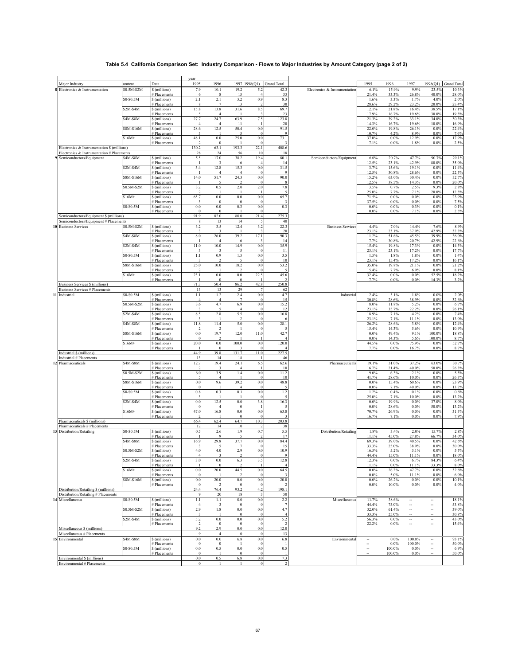## **Table 5.4 California Comparison Set: Industry Comparison - Flows to Major Industries by Amount Category (page 2 of 2)**

|                                                           |                         |                                          | year                             |                        |                             |                         |                           |                               |                |                 |                          |                          |                      |
|-----------------------------------------------------------|-------------------------|------------------------------------------|----------------------------------|------------------------|-----------------------------|-------------------------|---------------------------|-------------------------------|----------------|-----------------|--------------------------|--------------------------|----------------------|
| Major Industry                                            | amtcat                  | Data                                     | 1995                             | 1996                   |                             |                         | 1997 1998(Q1) Grand Total |                               | 1995           | 1996            | 1997                     |                          | 1998(Q1) Grand Total |
| 8 Electronics & Instrumentation                           | \$0.5M-\$2M             | \$ (millions)                            | 7.9                              | 10.1                   | 19.2                        | 5.2                     | 42.3                      | Electronics & Instrumentation | 6.1%           | 15.9%           | 9.9%                     | 23.5%                    | 10.3%                |
|                                                           | \$0-\$0.5M              | # Placements<br>\$ (millions)            | 6<br>2.1                         | -8<br>2.1              | 15<br>3.2                   | $\overline{4}$<br>0.9   | 33<br>8.3                 |                               | 21.4%<br>1.6%  | 33.3%<br>3.3%   | 26.8%<br>1.7%            | 40.0%<br>4.0%            | 28.0%<br>2.0%        |
|                                                           |                         | # Placements                             | 8                                | $\overline{7}$         | 13                          |                         | 30                        |                               | 28.6%          | 29.2%           | 23.2%                    | 20.0%                    | 25.4%                |
|                                                           | \$2M-\$4M               | \$ (millions)                            | 15.8                             | 13.8                   | 31.6                        | 8.5                     | 69.7                      |                               | 12.1%          | 21.8%           | 16.4%                    | 38.5%                    | 17.1%                |
|                                                           | \$4M-\$8M               | # Placements                             | 27.7                             | 24.7                   | 11<br>63.9                  |                         | 23<br>123.8               |                               | 17.9%<br>21.3% | 16.7%<br>39.2%  | 19.6%                    | 30.0%                    | 19.5%<br>30.3%       |
|                                                           |                         | \$ (millions)<br># Placements            | $\overline{4}$                   | $\overline{4}$         | 11                          | 7.5                     | 20                        |                               | 14.3%          | 16.7%           | 33.1%<br>19.6%           | 34.0%<br>10.0%           | 16.9%                |
|                                                           | \$8M-\$16M              | \$ (millions)                            | 28.6                             | 12.5                   | 50.4                        | 0.0                     | 91.5                      |                               | 22.0%          | 19.8%           | 26.1%                    | 0.0%                     | 22.4%                |
|                                                           |                         | <b>Placements</b>                        | 3                                |                        |                             |                         |                           |                               | 10.7%          | 4.2%            | 8.9%                     | 0.0%                     | 7.6%                 |
|                                                           | $$16M+$                 | \$ (millions)<br># Placements            | 48.1                             | $0.0\,$<br>$\bf{0}$    | 25.0                        | 0.0<br>$\Omega$         | 73.1                      |                               | 37.0%<br>7.1%  | 0.0%<br>$0.0\%$ | 12.9%<br>1.8%            | 0.0%<br>0.0%             | 17.9%<br>2.5%        |
| Electronics & Instrumentation \$ (millions)               |                         |                                          | 130.2                            | 63.1                   | 193.3                       | 22.1                    | 408.6                     |                               |                |                 |                          |                          |                      |
| Electronics & Instrumentation # Placements                |                         |                                          | 28                               | 24                     | 56                          | 10                      | 118                       |                               |                |                 |                          |                          |                      |
| 9 Semiconductors/Equipment                                | \$4M-\$8M               | \$ (millions)                            | 5.5                              | 17.0                   | 38.2                        | 19.4                    | 80.1                      | Semiconductors/Equipment      | 6.0%           | 20.7%           | 47.7%                    | 90.7%                    | 29.1%                |
|                                                           | $\overline{$2M$-}$ \$4M | <b>Placements</b><br>$\delta$ (millions) | -1<br>3.4                        | 3<br>12.8              | 6<br>15.3                   | $0.0\,$                 | 14<br>31.5                |                               | 12.5%<br>3.7%  | 23.1%<br>15.6%  | 42.9%<br>19.1%           | 80.0%<br>0.0%            | 35.0%<br>11.4%       |
|                                                           |                         | # Placements                             |                                  | $\overline{4}$         | $\overline{4}$              | $\Omega$                | <b>Q</b>                  |                               | 12.5%          | 30.8%           | 28.6%                    | 0.0%                     | 22.5%                |
|                                                           | \$8M-\$16M              | \$ (millions)                            | 14.0                             | 51.7                   | 24.3                        | $0.0\,$                 | 90.0                      |                               | 15.2%          | 63.0%           | 30.4%                    | 0.0%                     | 32.7%                |
|                                                           | \$0.5M-\$2M             | # Placements<br>\$ (millions)            | 3.2                              | 0.5                    | 2.0                         | 2.0                     | 7.8                       |                               | 12.5%<br>3.5%  | 38.5%<br>0.7%   | 14.3%<br>2.5%            | 0.0%<br>9.3%             | 20.0%<br>2.8%        |
|                                                           |                         | # Placements                             | $\overline{\mathbf{c}}$          |                        |                             |                         |                           |                               | 25.0%          | 7.7%            | 7.1%                     | 20.0%                    | 12.5%                |
|                                                           | $$16M+$                 | \$ (millions)                            | 65.7                             | $\rm 0.0$              | $\rm 0.0$                   | 0.0                     | 65.7                      |                               | 71.5%          | $0.0\%$         | $0.0\%$                  | 0.0%                     | 23.9%                |
|                                                           | \$0-\$0.5M              | # Placements<br>\$ (millions)            | 3<br>$0.0\,$                     | $\Omega$<br>0.0        | $\theta$<br>0.3             | $\Omega$<br>0.0         | 0.3                       |                               | 37.5%<br>0.0%  | 0.0%<br>$0.0\%$ | $0.0\%$<br>0.3%          | 0.0%<br>0.0%             | 7.5%<br>0.1%         |
|                                                           |                         | # Placements                             | $\bf{0}$                         | $\bf{0}$               |                             |                         |                           |                               | 0.0%           | $0.0\%$         | 7.1%                     | 0.0%                     | 2.5%                 |
| Semiconductors/Equipment \$ (millions)                    |                         |                                          | 91.9                             | 82.0                   | 80.0                        | 21.4                    | 275.3                     |                               |                |                 |                          |                          |                      |
| Semiconductors/Equipment # Placements                     |                         |                                          | 8                                | 13                     | 14                          |                         | 40                        |                               |                |                 |                          |                          |                      |
| <b>10 Business Services</b>                               | \$0.5M-\$2M             | \$ (millions)<br>Placements              | 3.2                              | 3.5<br>3               | 12.4<br>11                  | 3.2                     | 22.3<br>20                | <b>Business Services</b>      | 4.4%<br>23.1%  | 7.0%<br>23.1%   | 14.4%<br>37.9%           | 7.6%<br>42.9%            | 8.9%<br>32.3%        |
|                                                           | \$4M-\$8M               | \$ (millions)                            | 8.0                              | 26.0                   | 39.2                        | 17.1                    | 90.3                      |                               | 11.2%          | 51.6%           | 45.5%                    | 39.9%                    | 36.0%                |
|                                                           |                         | # Placements                             |                                  | $\overline{4}$         | 6                           |                         | 14                        |                               | 7.7%           | 30.8%           | 20.7%                    | 42.9%                    | 22.6%                |
|                                                           | $$2M-S4M$               | \$(millions)                             | 11.0                             | 10.0                   | 14.9                        | 0.0                     | 35.9                      |                               | 15.4%          | 19.8%           | 17.3%                    | 0.0%                     | 14.3%                |
|                                                           | \$0-\$0.5M              | # Placements<br>\$ (millions)            | 1.1                              | 0.9                    | 1.5                         | 0.0                     | 11<br>3.5                 |                               | 23.1%<br>1.5%  | 23.1%<br>1.8%   | 17.2%<br>1.8%            | 0.0%<br>0.0%             | 17.7%<br>1.4%        |
|                                                           |                         | # Placements                             | 3                                | $\overline{2}$         | 5                           | $\Omega$                | 10                        |                               | 23.1%          | 15.4%           | 17.2%                    | 0.0%                     | 16.1%                |
|                                                           | \$8M-\$16M              | \$ (millions)                            | 25.0                             | 10.0                   | 18.2                        | 0.0                     | 53.2                      |                               | 35.0%          | 19.8%           | 21.1%                    | 0.0%                     | 21.2%                |
|                                                           | $$16M+$                 | # Placements<br>\$ (millions)            | 2<br>23.1                        | $\rm 0.0$              | $\overline{2}$<br>$\rm 0.0$ | 22.5                    | 45.6                      |                               | 15.4%<br>32.4% | 7.7%<br>0.0%    | 6.9%<br>$0.0\%$          | 0.0%<br>52.5%            | 8.1%<br>18.2%        |
|                                                           |                         | <b>Placements</b>                        |                                  | $\Omega$               | $\theta$                    |                         |                           |                               | 7.7%           | 0.0%            | 0.0%                     | 14.3%                    | 3.2%                 |
| <b>Business Services \$ (millions)</b>                    |                         |                                          | 71.3                             | 50.4                   | 86.2                        | 42.8                    | 250.8                     |                               |                |                 |                          |                          |                      |
| <b>Business Services # Placements</b>                     |                         |                                          | 13                               | 13                     | 29                          |                         | 62                        |                               |                |                 |                          |                          |                      |
| Industrial                                                | \$0-\$0.5M              | \$ (millions)<br><b>Placements</b>       | 1.1<br>$\overline{4}$            | 1.2<br>$\overline{4}$  | 2.4<br>$\overline{7}$       | 0.0<br>$\Omega$         | 4.7<br>15                 | Industrial                    | 2.4%<br>30.8%  | 3.1%<br>28.6%   | 1.8%<br>38.9%            | 0.0%<br>0.0%             | 2.0%<br>32.6%        |
|                                                           | \$0.5M-\$2M             | \$(millions)                             | 3.6                              | 4.7                    | 6.9                         | 0.0                     | 15.2                      |                               | 8.0%           | 11.8%           | 5.2%                     | 0.0%                     | 6.7%                 |
|                                                           |                         | <b>Placements</b>                        | 3                                | $\sim$                 | $\overline{4}$              | $\Omega$                | 12                        |                               | 23.1%          | 35.7%           | 22.2%                    | 0.0%                     | 26.1%                |
|                                                           | $$2M-$4M$               | \$ (millions)<br># Placements            | 8.5<br>3                         | 2.8                    | 5.5<br>$\mathcal{D}$        | $0.0\,$                 | 16.8                      |                               | 18.9%<br>23.1% | 7.1%<br>7.1%    | 4.2%<br>11.1%            | 0.0%<br>0.0%             | 7.4%<br>13.0%        |
|                                                           | \$4M-\$8M               | \$ (millions)                            | 11.8                             | 11.4                   | 5.0                         | $\rm 0.0$               | 28.1                      |                               | 26.2%          | 28.6%           | 3.8%                     | 0.0%                     | 12.4%                |
|                                                           |                         | # Placements                             | $\mathfrak{D}$                   | $\mathcal{D}$          |                             |                         |                           |                               | 15.4%          | 14.3%           | 5.6%                     | 0.0%                     | 10.9%                |
|                                                           | \$8M-\$16M              | \$ (millions)<br># Placements            | $0.0\,$<br>$\mathbf{0}$          | 19.7<br>$\overline{2}$ | 12.0                        | 11.0                    | 42.7                      |                               | 0.0%<br>0.0%   | 49.4%<br>14.3%  | 9.1%<br>5.6%             | 100.0%<br>100.0%         | 18.8%<br>8.7%        |
|                                                           | $$16M+$                 | \$ (millions)                            | 20.0                             | $\rm 0.0$              | 100.0                       | $0.0\,$                 | 120.0                     |                               | 44.5%          | 0.0%            | 75.9%                    | 0.0%                     | 52.7%                |
|                                                           |                         | # Placements                             |                                  | $\theta$               |                             |                         |                           |                               | 7.7%           | 0.0%            | 16.7%                    | 0.0%                     | 8.7%                 |
| Industrial \$ (millions)<br>Industrial # Placements       |                         |                                          | 44.9<br>13                       | 39.8<br>14             | 131.7<br>18                 | 11.0                    | 227.5<br>46               |                               |                |                 |                          |                          |                      |
| 12 Pharmaceuticals                                        | \$4M-\$8M               | \$ (millions)                            | 12.7                             | 19.4                   | 24.1                        | 6.5                     | 62.6                      | Pharmaceuticals               | 19.1%          | 31.0%           | 37.2%                    | 63.0%                    | 30.7%                |
|                                                           |                         | <b>Placements</b>                        |                                  | 3                      | $\overline{4}$              |                         | 10                        |                               | 16.7%          | 21.4%           | 40.0%                    | 50.0%                    | 26.3%                |
|                                                           | \$0.5M-\$2M             | \$ (millions)                            | 6.0                              | 3.9                    | 1.4                         | 0.0                     | 11.2                      |                               | 9.0%           | 6.3%            | 2.1%                     | 0.0%                     | 5.5%                 |
|                                                           | \$8M-\$16M              | Placements<br>\$ (millions)              | $\sim$<br>$0.0\,$                | $\overline{4}$<br>9.6  | 39.2                        | 0.0                     | 10<br>48.8                |                               | 41.7%<br>0.0%  | 28.6%<br>15.4%  | 10.0%<br>60.6%           | 0.0%<br>0.0%             | 26.3%<br>23.9%       |
|                                                           |                         | <b>Placements</b>                        | $\mathbf{0}$                     |                        | $\overline{4}$              |                         |                           |                               | 0.0%           | 7.1%            | 40.0%                    | 0.0%                     | 13.2%                |
|                                                           | \$0-\$0.5M              | \$(millions)                             | $0.8\,$                          | 0.3                    | 0.1                         | 0.0                     | 1.2                       |                               | 1.2%           | 0.4%            | 0.1%                     | 0.0%                     | 0.6%                 |
|                                                           | $$2M-S4M$               | # Placements<br>\$(millions)             | $\ddot{\mathbf{3}}$<br>$\rm 0.0$ | -1<br>12.5             | 0.0                         | $\Omega$<br>3.8         | 16.3                      |                               | 25.0%<br>0.0%  | 7.1%<br>19.9%   | 10.0%<br>$0.0\%$         | 0.0%<br>37.0%            | 13.2%<br>8.0%        |
|                                                           |                         | # Placements                             | $\bf{0}$                         | $\overline{4}$         | $\mathbf{0}$                |                         |                           |                               | 0.0%           | 28.6%           | 0.0%                     | 50.0%                    | 13.2%                |
|                                                           | $$16M+$                 | \$ (millions)                            | 47.0                             | 16.8                   | 0.0                         | 0.0                     | 63.8                      |                               | 70.7%          | 26.9%           | 0.0%                     | 0.0%                     | 31.3%                |
| Pharmaceuticals \$ (millions)                             |                         | # Placements                             | 66.4                             | 62.4                   | $\mathbf{0}$<br>64.7        | 10.3                    | 203.8                     |                               | 16.7%          | 7.1%            | 0.0%                     | 0.0%                     | 7.9%                 |
| Pharmaceuticals # Placements                              |                         |                                          | 12                               | 14                     | $10\,$                      | $\overline{\mathbf{c}}$ | 38                        |                               |                |                 |                          |                          |                      |
| 13 Distribution/Retailing                                 | \$0-\$0.5M              | \$ (millions)                            | 0.5                              | 2.6                    | 1.9                         | 0.7                     | 5.5                       | Distribution/Retailing        | 1.8%           | 3.4%            | 2.0%                     | 15.7%                    | 2.8%                 |
|                                                           |                         | <b>Placements</b>                        | $\overline{1}$                   | $\mathbf Q$            | $\sim$                      |                         | 17                        |                               | 11.1%          | 45.0%           | 27.8%                    | 66.7%                    | 34.0%                |
|                                                           | \$4M-\$8M               | \$(millions)<br># Placements             | 16.9                             | 29.8                   | 37.7                        | 0.0                     | 84.4<br>15                |                               | 69.3%<br>33.3% | 39.0%<br>25.0%  | 40.5%<br>38.9%           | 0.0%<br>0.0%             | 42.6%<br>30.0%       |
|                                                           | \$0.5M-\$2M             | \$ (millions)                            | 4.0                              | 4.0                    | 2.9                         | 0.0                     | 10.9                      |                               | 16.5%          | 5.2%            | 3.1%                     | 0.0%                     | 5.5%                 |
|                                                           |                         | # Placements                             | $\overline{4}$                   |                        | $\mathcal{I}$               | $\bf 0$                 |                           |                               | 44.4%          | 15.0%           | 11.1%                    | $0.0\%$                  | 18.0%                |
|                                                           | $$2M-S4M$               | \$ (millions)<br># Placements            | 3.0                              | 0.0<br>$\theta$        | 6.3<br>$\mathcal{D}$        | 3.5                     | 12.8<br>$\overline{4}$    |                               | 12.3%<br>11.1% | 0.0%<br>0.0%    | 6.7%<br>11.1%            | 84.3%<br>33.3%           | 6.4%<br>8.0%         |
|                                                           | $$16M+$                 | \$ (millions)                            | $\rm 0.0$                        | 20.0                   | 44.5                        | 0.0                     | 64.5                      |                               | 0.0%           | 26.2%           | 47.7%                    | $0.0\%$                  | 32.6%                |
|                                                           |                         | # Placements                             | $\mathbf{0}$                     |                        | $\mathcal{I}$               | $\Omega$                | 3                         |                               | 0.0%           | 5.0%            | 11.1%                    | 0.0%                     | 6.0%                 |
|                                                           | \$8M-\$16M              | \$ (millions)<br># Placements            | 0.0<br>$\bf{0}$                  | 20.0                   | 0.0<br>$\mathbf{0}$         | $\rm 0.0$               | 20.0                      |                               | 0.0%<br>0.0%   | 26.2%<br>10.0%  | $0.0\%$<br>$0.0\%$       | 0.0%<br>0.0%             | 10.1%<br>4.0%        |
| Distribution/Retailing \$ (millions)                      |                         |                                          | 24.4                             | 76.4                   | 93.2                        | 4.2                     | 198.1                     |                               |                |                 |                          |                          |                      |
| Distribution/Retailing # Placements                       |                         |                                          | 9                                | 20                     | 18                          | $\mathbf{3}$            | 50                        |                               |                |                 |                          |                          |                      |
| 4 Miscellaneous                                           | \$0-\$0.5M              | \$ (millions)                            | 1.1                              | $1.1\,$                | $0.0\,$                     | $\rm 0.0$               | 2.2                       | Miscellaneous                 | 11.7%          | 38.6%           | $\ddot{\phantom{a}}$     | ۰.                       | 18.1%                |
|                                                           | \$0.5M-\$2M             | # Placements<br>\$ (millions)            | $\overline{4}$<br>2.9            | 3<br>1.8               | $\bf{0}$<br>$\rm 0.0$       | $\bf{0}$<br>0.0         | $\overline{7}$<br>4.7     |                               | 44.4%<br>32.0% | 75.0%<br>61.4%  | $\overline{\phantom{a}}$ | $\overline{\phantom{a}}$ | 53.8%<br>39.0%       |
|                                                           |                         | # Placements                             |                                  |                        | $\overline{0}$              |                         | $\overline{4}$            |                               | 33.3%          | 25.0%           | ٠.                       |                          | 30.8%                |
|                                                           | $$2M-S4M$               | \$ (millions)                            | 5.2                              | $\rm 0.0$              | $\rm 0.0$                   | 0.0                     | 5.2                       |                               | 56.3%          | 0.0%            | ۰.                       |                          | 43.0%                |
|                                                           |                         | # Placements                             | $\overline{2}$                   | $\bf{0}$               | $\bf{0}$                    |                         |                           |                               | 22.2%          | $0.0\%$         |                          | --                       | 15.4%                |
| Miscellaneous \$ (millions)<br>Miscellaneous # Placements |                         |                                          | 9.2<br>9                         | 2.9<br>$\overline{4}$  | $0.0\,$<br>$\bf{0}$         | $0.0\,$<br>$\Omega$     | 12.0<br>13                |                               |                |                 |                          |                          |                      |
| <b>5</b> Environmental                                    | \$4M-\$8M               | \$ (millions)                            | $0.0\,$                          | 0.0                    | 6.8                         | 0.0                     | 6.8                       | Environmental                 | ۰.             | 0.0%            | 100.0%                   | --                       | 93.1%                |
|                                                           |                         | Placements                               | $\bf{0}$                         | $\bf{0}$               | $\overline{1}$              | $\Omega$                |                           |                               |                | 0.0%            | 100.0%                   |                          | 50.0%                |
|                                                           | \$0-\$0.5M              | \$ (millions)                            | $0.0\,$                          | 0.5                    | 0.0                         | 0.0                     | 0.5                       |                               | ۰.             | 100.0%          | 0.0%                     | ۰.                       | 6.9%                 |
| Environmental \$ (millions)                               |                         | # Placements                             | $\bf{0}$<br>$\rm 0.0$            | 0.5                    | $\mathbf{0}$<br>$6.8\,$     | 0.0                     | 7.3                       |                               |                | 100.0%          | 0.0%                     |                          | 50.0%                |
| Environmental # Placements                                |                         |                                          | $\boldsymbol{0}$                 | $\mathbf{1}$           | -1                          | $\boldsymbol{0}$        | $\sqrt{2}$                |                               |                |                 |                          |                          |                      |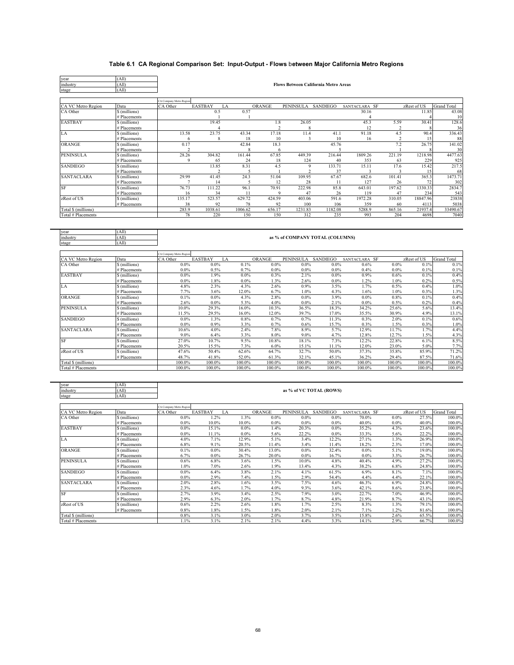## **Table 6.1 CA Regional Comparison Set: Input-Output - Flows** b**etween Major California Metro Regions**

| year                | (All)                         |                                             |                         |               |                         |                                 |              |                 |                                 |                 |                    |
|---------------------|-------------------------------|---------------------------------------------|-------------------------|---------------|-------------------------|---------------------------------|--------------|-----------------|---------------------------------|-----------------|--------------------|
| industry            | (All)                         | <b>Flows Between California Metro Areas</b> |                         |               |                         |                                 |              |                 |                                 |                 |                    |
| stage               | (AII)                         |                                             |                         |               |                         |                                 |              |                 |                                 |                 |                    |
|                     |                               |                                             |                         |               |                         |                                 |              |                 |                                 |                 |                    |
|                     |                               | CA Company Metro Region                     |                         |               |                         |                                 |              |                 |                                 |                 |                    |
| CA VC Metro Region  | Data                          | CA Other                                    | <b>EASTBAY</b><br>LA    |               | <b>ORANGE</b>           | <b>PENINSULA</b>                | SANDIEGO     | SANTACLARA SF   |                                 | zRest of US     | <b>Grand Total</b> |
| CA Other            | \$ (millions)                 |                                             | 0.5                     | 0.57          |                         |                                 |              | 30.16           |                                 | 11.85           | 43.08              |
|                     | # Placements                  |                                             |                         |               |                         |                                 |              | 4               |                                 |                 | 10                 |
| <b>EASTBAY</b>      | \$ (millions)                 |                                             | 19.45<br>$\overline{4}$ |               | 1.8                     | 26.05                           |              | 45.3            | 5.59<br>$\overline{\mathbf{c}}$ | 30.41           | 128.6              |
| LA                  | # Placements<br>\$ (millions) | 13.58                                       | 23.75                   | 43.34         | $\overline{c}$<br>17.18 | 8<br>11.4                       | 41.1         | 12<br>91.18     | 4.5                             | 90.4            | 36<br>336.43       |
| <b>ORANGE</b>       | # Placements                  | 6                                           | 8                       | 18            | 10                      | 3                               | 10           | 16              | $\overline{\mathbf{c}}$         | 15              | 88                 |
|                     | \$ (millions)                 | 0.17                                        |                         | 42.84         | 18.3                    |                                 | 45.76        |                 | 7.2                             | 26.75           | 141.02             |
|                     | # Placements                  | $\mathcal{D}$                               |                         | 8             | 6                       |                                 | $\varsigma$  |                 |                                 |                 | 30                 |
| <b>PENINSULA</b>    | \$ (millions)                 | 28.26                                       | 304.82                  | 161.44        | 67.85                   | 449.39                          | 216.44       | 1809.26         | 221.19                          | 1218.98         | 4477.63            |
|                     | # Placements                  | 9                                           | 65                      | 24            | 18                      | 124                             | 40           | 353             | 63                              | 229             | 925                |
| <b>SANDIEGO</b>     | \$ (millions)                 |                                             | 13.85                   | 8.31          | 4.5                     | 9                               | 133.71       | 15.11           | 17.6                            | 15.42           | 217.5              |
|                     | # Placements                  |                                             | $\overline{\mathbf{c}}$ | 5             |                         |                                 | 37           | 3               | 3                               | 15              | 68                 |
| <b>SANTACLARA</b>   | \$ (millions)                 | 29.99                                       | 41.45                   | 24.3          | 51.04                   | 109.95                          | 67.67        | 682.6           | 101.41                          | 365.3           | 1473.71            |
|                     | # Placements                  | $\overline{7}$                              | 14                      | 5             | 12                      | 28                              | 11           | 127             | 26                              | 72              | 302                |
| <b>SF</b>           | \$ (millions)                 | 76.73                                       | 111.22                  | 96.1          | 70.91<br>q              | 222.98                          | 85.8         | 643.01          | 197.62                          | 1330.33         | 2834.7             |
| zRest of US         | # Placements<br>\$ (millions) | 16<br>135.17                                | 34<br>523.57            | 11<br>629.72  | 424.59                  | 47<br>403.06                    | 26<br>591.6  | 119<br>1972.28  | 47<br>310.05                    | 234<br>18847.96 | 543<br>23838       |
|                     | # Placements                  | 38                                          | 92                      | 78            | 92                      | 100                             | 106          | 359             | 60                              | 4113            | 5038               |
| Total \$ (millions) |                               | 283.9                                       | 1038.61                 | 1006.62       | 656.17                  | 1231.83                         | 1182.08      | 5288.9          | 865.16                          | 21937.4         | 33490.67           |
| Total # Placements  |                               | 78                                          | 220                     | 150           | 150                     | 312                             | 235          | 993             | 204                             | 4698            | 7040               |
|                     |                               |                                             |                         |               |                         |                                 |              |                 |                                 |                 |                    |
|                     |                               |                                             |                         |               |                         |                                 |              |                 |                                 |                 |                    |
| year                | (All)                         |                                             |                         |               |                         |                                 |              |                 |                                 |                 |                    |
| industry            | (A  )                         |                                             |                         |               |                         | as % of COMPANY TOTAL (COLUMNS) |              |                 |                                 |                 |                    |
| stage               | (A  )                         |                                             |                         |               |                         |                                 |              |                 |                                 |                 |                    |
|                     |                               |                                             |                         |               |                         |                                 |              |                 |                                 |                 |                    |
|                     |                               | <b>A Company Metro Region</b>               |                         |               |                         |                                 |              |                 |                                 |                 |                    |
| CA VC Metro Region  | Data                          | CA Other                                    | <b>EASTBAY</b><br>LA    |               | ORANGE                  | <b>PENINSULA</b>                | SANDIEGO     | SANTACLARA SF   |                                 | zRest of US     | <b>Grand Total</b> |
| CA Other            | \$ (millions)                 | $0.0\%$                                     | 0.0%                    | 0.1%          | $0.0\%$                 |                                 |              |                 |                                 |                 |                    |
| <b>EASTBAY</b>      | # Placements<br>\$ (millions) | 0.0%                                        | 0.5%                    |               |                         | $0.0\%$                         | 0.0%         | 0.6%            | $0.0\%$                         | 0.1%            | 0.1%               |
|                     |                               |                                             |                         | 0.7%          | 0.0%                    | $0.0\%$                         | $0.0\%$      | 0.4%            | 0.0%                            | 0.1%            | 0.1%               |
| LA                  |                               | 0.0%                                        | 1.9%                    | 0.0%          | 0.3%                    | 2.1%                            | 0.0%         | 0.9%            | 0.6%                            | 0.1%            | 0.4%               |
|                     | # Placements                  | 0.0%                                        | 1.8%                    | 0.0%          | 1.3%                    | 2.6%                            | 0.0%         | 1.2%            | 1.0%                            | 0.2%            | 0.5%               |
|                     | \$ (millions)                 | 4.8%                                        | 2.3%                    | 4.3%          | 2.6%                    | 0.9%                            | 3.5%         | 1.7%            | 0.5%                            | 0.4%            | 1.0%               |
|                     | # Placements                  | 7.7%                                        | 3.6%                    | 12.0%         | 6.7%                    | 1.0%                            | 4.3%         | 1.6%            | 1.0%                            | 0.3%            | 1.3%               |
| ORANGE              | \$ (millions)                 | 0.1%                                        | 0.0%<br>0.0%            | 4.3%          | 2.8%                    | $0.0\%$                         | 3.9%<br>2.1% | $0.0\%$<br>0.0% | 0.8%                            | 0.1%<br>0.2%    | 0.4%               |
| <b>PENINSULA</b>    | # Placements<br>\$ (millions) | 2.6%<br>10.0%                               | 29.3%                   | 5.3%<br>16.0% | 4.0%<br>10.3%           | $0.0\%$<br>36.5%                | 18.3%        | 34.2%           | 0.5%<br>25.6%                   | 5.6%            | 0.4%<br>13.4%      |
|                     | # Placements                  | 11.5%                                       | 29.5%                   | 16.0%         | 12.0%                   | 39.7%                           | 17.0%        | 35.5%           | 30.9%                           | 4.9%            | 13.1%              |
| <b>SANDIEGO</b>     | \$ (millions)                 | $0.0\%$                                     | 1.3%                    | 0.8%          | 0.7%                    | 0.7%                            | 11.3%        | 0.3%            | 2.0%                            | 0.1%            | 0.6%               |
|                     | # Placements                  | 0.0%                                        | 0.9%                    | 3.3%          | 0.7%                    | 0.6%                            | 15.7%        | 0.3%            | 1.5%                            | 0.3%            | 1.0%               |
| <b>SANTACLARA</b>   | \$ (millions)                 | 10.6%                                       | 4.0%                    | 2.4%          | 7.8%                    | 8.9%                            | 5.7%         | 12.9%           | 11.7%                           | 1.7%            | 4.4%               |
|                     | # Placements                  | 9.0%                                        | 6.4%                    | 3.3%          | 8.0%                    | 9.0%                            | 4.7%         | 12.8%           | 12.7%                           | 1.5%            | 4.3%               |
| SF                  | \$ (millions)                 | 27.0%                                       | 10.7%                   | 9.5%          | 10.8%                   | 18.1%                           | 7.3%         | 12.2%           | 22.8%                           | 6.1%            | 8.5%               |
|                     | # Placements                  | 20.5%                                       | 15.5%                   | 7.3%          | 6.0%                    | 15.1%                           | 11.1%        | 12.0%           | 23.0%                           | 5.0%            | 7.7%               |
| zRest of US         | \$ (millions)                 | 47.6%                                       | 50.4%                   | 62.6%         | 64.7%                   | 32.7%                           | 50.0%        | 37.3%           | 35.8%                           | 85.9%           | 71.2%              |
|                     | # Placements                  | 48.7%                                       | 41.8%                   | 52.0%         | 61.3%                   | 32.1%                           | 45.1%        | 36.2%           | 29.4%                           | 87.5%           | 71.6%              |
| Total \$ (millions) |                               | 100.0%                                      | 100.0%                  | 100.0%        | 100.0%                  | 100.0%                          | 100.0%       | 100.0%          | 100.0%                          | 100.0%          | 100.0%             |
| Total # Placements  |                               | 100.0%                                      | 100.0%                  | 100.0%        | 100.0%                  | 100.0%                          | 100.0%       | 100.0%          | 100.0%                          | 100.0%          | 100.0%             |
|                     |                               |                                             |                         |               |                         |                                 |              |                 |                                 |                 |                    |
| year                | (All)                         |                                             |                         |               |                         |                                 |              |                 |                                 |                 |                    |
| industry            | (All)                         |                                             |                         |               |                         | as % of VC TOTAL (ROWS)         |              |                 |                                 |                 |                    |
| stage               | (All)                         |                                             |                         |               |                         |                                 |              |                 |                                 |                 |                    |
|                     |                               |                                             |                         |               |                         |                                 |              |                 |                                 |                 |                    |

|                     |               | CA Company Metro Region |                |         |         |         |                  |                 |               |         |             |                    |
|---------------------|---------------|-------------------------|----------------|---------|---------|---------|------------------|-----------------|---------------|---------|-------------|--------------------|
| CA VC Metro Region  | Data          | CA Other                | <b>EASTBAY</b> | LA      |         | ORANGE  | <b>PENINSULA</b> | <b>SANDIEGO</b> | SANTACLARA SF |         | zRest of US | <b>Grand Total</b> |
| CA Other            | \$ (millions) |                         | $0.0\%$        | 1.2%    | 1.3%    | $0.0\%$ | $0.0\%$          | $0.0\%$         | 70.0%         | 0.0%    | 27.5%       | 100.0%             |
|                     | # Placements  |                         | $0.0\%$        | 10.0%   | 10.0%   | $0.0\%$ | $0.0\%$          | $0.0\%$         | 40.0%         | $0.0\%$ | 40.0%       | 100.0%             |
| <b>EASTBAY</b>      | \$ (millions) |                         | $0.0\%$        | 15.1%   | $0.0\%$ | 1.4%    | 20.3%            | $0.0\%$         | 35.2%         | 4.3%    | 23.6%       | 100.0%             |
|                     | # Placements  |                         | $0.0\%$        | 11.1%   | $0.0\%$ | 5.6%    | 22.2%            | $0.0\%$         | 33.3%         | 5.6%    | 22.2%       | 100.0%             |
| LA                  | \$ (millions) |                         | 4.0%           | 7.1%    | 12.9%   | 5.1%    | 3.4%             | 12.2%           | 27.1%         | 1.3%    | 26.9%       | 100.0%             |
|                     | # Placements  |                         | 6.8%           | 9.1%    | 20.5%   | 1.4%    | 3.4%             | 11.4%           | 18.2%         | 2.3%    | 17.0%       | 100.0%             |
| <b>ORANGE</b>       | \$ (millions) |                         | 0.1%           | $0.0\%$ | 30.4%   | 13.0%   | $0.0\%$          | 32.4%           | $0.0\%$       | 5.1%    | 19.0%       | 100.0%             |
|                     | # Placements  |                         | 6.7%           | $0.0\%$ | 26.7%   | 20.0%   | $0.0\%$          | 16.7%           | $0.0\%$       | 3.3%    | 26.7%       | 100.0%             |
| <b>PENINSULA</b>    | \$(millions)  |                         | 0.6%           | 6.8%    | 3.6%    | 1.5%    | 10.0%            | 4.8%            | 40.4%         | 4.9%    | 27.2%       | 100.0%             |
|                     | # Placements  |                         | $.0\%$         | 7.0%    | 2.6%    | 1.9%    | 13.4%            | 4.3%            | 38.2%         | 6.8%    | 24.8%       | 100.0%             |
| <b>SANDIEGO</b>     | \$ (millions) |                         | $0.0\%$        | 6.4%    | 3.8%    | 2.1%    | 4.1%             | 61.5%           | 6.9%          | 8.1%    | 7.1%        | 100.0%             |
|                     | # Placements  |                         | $0.0\%$        | 2.9%    | 7.4%    | 1.5%    | 2.9%             | 54.4%           | 4.4%          | 4.4%    | 22.1%       | 100.0%             |
| <b>SANTACLARA</b>   | \$(millions)  |                         | 2.0%           | 2.8%    | 1.6%    | 3.5%    | 7.5%             | 4.6%            | 46.3%         | 6.9%    | 24.8%       | 100.0%             |
|                     | # Placements  |                         | 2.3%           | 4.6%    | 1.7%    | $4.0\%$ | 9.3%             | 3.6%            | 42.1%         | 8.6%    | 23.8%       | 100.0%             |
| <b>SF</b>           | \$ (millions) |                         | 2.7%           | 3.9%    | 3.4%    | 2.5%    | 7.9%             | $3.0\%$         | 22.7%         | 7.0%    | 46.9%       | 100.0%             |
|                     | # Placements  |                         | 2.9%           | 6.3%    | 2.0%    | 1.7%    | 8.7%             | 4.8%            | 21.9%         | 8.7%    | 43.1%       | 100.0%             |
| zRest of US         | § (millions)  |                         | 0.6%           | 2.2%    | 2.6%    | 1.8%    | 1.7%             | 2.5%            | 8.3%          | 1.3%    | 79.1%       | 100.0%             |
|                     | # Placements  |                         | 0.8%           | 1.8%    | 1.5%    | 1.8%    | 2.0%             | 2.1%            | 7.1%          | 1.2%    | 81.6%       | 100.0%             |
| Total \$ (millions) |               |                         | 0.8%           | 3.1%    | 3.0%    | 2.0%    | 3.7%             | 3.5%            | 15.8%         | 2.6%    | 65.5%       | 100.0%             |
| Total # Placements  |               |                         | 1.1%           | 3.1%    | 2.1%    | 2.1%    | 4.4%             | 3.3%            | 14.1%         | 2.9%    | 66.7%       | 100.0%             |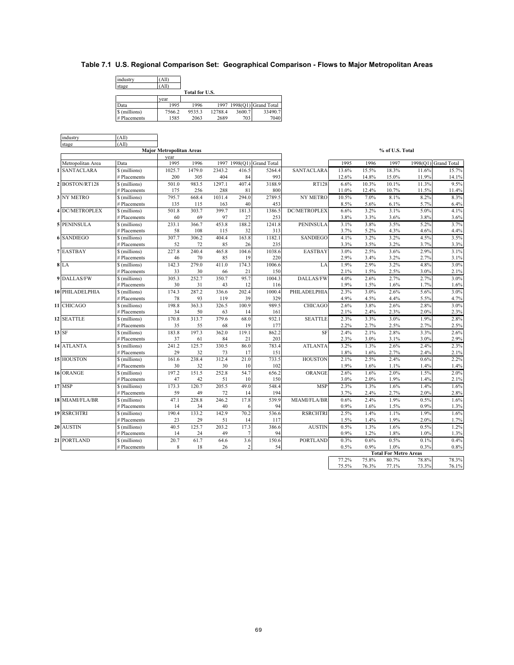## **Table 7.1 U.S. Regional Comparison Set: Geographical Comparison - Flows to Major Metropolitan Areas**

industry (All) stage (All)  $\frac{\text{year}}{1995}$ Data 1995 1996 1997 1998(Q1) Grand Total \$ (millions) 7566.2 9535.3 12788.4 3600.7 33490.7 **Data** 1995 1996 1997 1998(Q1) Grand Total<br>
S (millions) 1995 1996 129788.4 3600.7<br>
# Placements 1585 2063 2689 703 7040 **Total for U.S.**

| industry               | (A11)                         |                                 |        |        |            |                           |                 |       |       |                              |              |                      |
|------------------------|-------------------------------|---------------------------------|--------|--------|------------|---------------------------|-----------------|-------|-------|------------------------------|--------------|----------------------|
| stage                  | (A11)                         |                                 |        |        |            |                           |                 |       |       |                              |              |                      |
|                        |                               | <b>Major Metropolitan Areas</b> |        |        |            |                           |                 |       |       | % of U.S. Total              |              |                      |
|                        |                               | year                            |        |        |            |                           |                 |       |       |                              |              |                      |
| Metropolitan Area      | Data                          | 1995                            | 1996   |        |            | 1997 1998(O1) Grand Total |                 | 1995  | 1996  | 1997                         |              | 1998(Q1) Grand Total |
| <b>SANTACLARA</b><br>1 | \$(millions)                  | 1025.7                          | 1479.0 | 2343.2 | 416.5      | 5264.4                    | SANTACLARA      | 13.6% | 15.5% | 18.3%                        | 11.6%        | 15.7%                |
|                        | # Placements                  | 200                             | 305    | 404    | 84         | 993                       |                 | 12.6% | 14.8% | 15.0%                        | 11.9%        | 14.1%                |
| 2 BOSTON/RT128         | \$ (millions)                 | 501.0                           | 983.5  | 1297.1 | 407.4      | 3188.9                    | RT128           | 6.6%  | 10.3% | 10.1%                        | 11.3%        | 9.5%                 |
|                        | # Placements                  | 175                             | 256    | 288    | 81         | 800                       |                 | 11.0% | 12.4% | 10.7%                        | 11.5%        | 11.4%                |
| 3 NY METRO             | \$ (millions)                 | 795.7                           | 668.4  | 1031.4 | 294.0      | 2789.5                    | NY METRO        | 10.5% | 7.0%  | 8.1%                         | 8.2%         | 8.3%                 |
|                        | # Placements                  | 135                             | 115    | 163    | 40         | 453                       |                 | 8.5%  | 5.6%  | 6.1%                         | 5.7%         | 6.4%                 |
| <b>4 DC/METROPLEX</b>  | \$ (millions)                 | 501.8                           | 303.7  | 399.7  | 181.3      | 1386.5                    | DC/METROPLEX    | 6.6%  | 3.2%  | 3.1%                         | 5.0%         | 4.1%                 |
|                        | # Placements                  | 60                              | 69     | 97     | 27         | 253                       |                 | 3.8%  | 3.3%  | 3.6%                         | 3.8%         | 3.6%                 |
| <b>5 PENINSULA</b>     | \$ (millions)                 | 233.1                           | 366.7  | 453.8  | 188.2      | 1241.8                    | PENINSULA       | 3.1%  | 3.8%  | 3.5%                         | 5.2%         | 3.7%                 |
|                        | # Placements                  | 58                              | 108    | 115    | 32         | 313                       |                 | 3.7%  | 5.2%  | 4.3%                         | 4.6%         | 4.4%                 |
| <b>6 SANDIEGO</b>      | \$ (millions)                 | 307.7                           | 306.2  | 404.4  | 163.8      | 1182.1                    | SANDIEGO        | 4.1%  | 3.2%  | 3.2%                         | 4.5%         | 3.5%                 |
|                        | # Placements                  | 52                              | 72     | 85     | 26         | 235                       |                 | 3.3%  | 3.5%  | 3.2%                         | 3.7%         | 3.3%                 |
| <b>7 EASTBAY</b>       | \$(millions)                  | 227.8                           | 240.4  | 465.8  | 104.6      | 1038.6                    | <b>EASTBAY</b>  | 3.0%  | 2.5%  | 3.6%                         | 2.9%         | 3.1%                 |
|                        | # Placements                  | 46                              | 70     | 85     | 19         | 220                       |                 | 2.9%  | 3.4%  | 3.2%                         | 2.7%         | 3.1%                 |
| $8$ LA                 | \$(millions)                  | 142.3                           | 279.0  | 411.0  | 174.3      | 1006.6                    | LA              | 1.9%  | 2.9%  | 3.2%                         | 4.8%         | 3.0%                 |
|                        | # Placements                  | 33                              | 30     | 66     | 21         | 150                       |                 | 2.1%  | 1.5%  | 2.5%                         | 3.0%         | 2.1%                 |
| 9 DALLAS/FW            | \$ (millions)                 | 305.3                           | 252.7  | 350.7  | 95.7       | 1004.3                    | DALLAS/FW       | 4.0%  | 2.6%  | 2.7%                         | 2.7%         | 3.0%                 |
|                        | # Placements                  | 30                              | 31     | 43     | 12         | 116                       |                 | 1.9%  | 1.5%  | 1.6%                         | 1.7%         | 1.6%                 |
| 10 PHILADELPHIA        | \$(millions)                  | 174.3                           | 287.2  | 336.6  | 202.4      | 1000.4                    | PHILADELPHIA    | 2.3%  | 3.0%  | 2.6%                         | 5.6%         | 3.0%                 |
|                        | # Placements                  | 78                              | 93     | 119    | 39         | 329                       |                 | 4.9%  | 4.5%  | 4.4%                         | 5.5%         | 4.7%                 |
| 11 CHICAGO             | \$ (millions)                 | 198.8                           | 363.3  | 326.5  | 100.9      | 989.5                     | CHICAGO         | 2.6%  | 3.8%  | 2.6%                         | 2.8%         | 3.0%                 |
|                        | # Placements                  | 34                              | 50     | 63     | 14         | 161                       |                 | 2.1%  | 2.4%  | 2.3%                         | 2.0%         | 2.3%                 |
| 12 SEATTLE             | \$ (millions)                 | 170.8                           | 313.7  | 379.6  | 68.0       | 932.1                     | <b>SEATTLE</b>  | 2.3%  | 3.3%  | 3.0%                         | 1.9%         | 2.8%                 |
|                        | # Placements                  | 35                              | 55     | 68     | 19         | 177                       |                 | 2.2%  | 2.7%  | 2.5%                         | 2.7%         | 2.5%                 |
| 13 SF                  | \$(millions)                  | 183.8                           | 197.3  | 362.0  | 119.1      | 862.2                     | SF              | 2.4%  | 2.1%  | 2.8%                         | 3.3%         | 2.6%                 |
|                        | # Placements                  | 37                              | 61     | 84     | 21         | 203                       |                 | 2.3%  | 3.0%  | 3.1%                         | 3.0%         | 2.9%                 |
| 14 ATLANTA             |                               |                                 | 125.7  | 330.5  |            |                           |                 | 3.2%  | 1.3%  |                              |              | 2.3%                 |
|                        | \$ (millions)<br># Placements | 241.2<br>29                     | 32     | 73     | 86.0<br>17 | 783.4<br>151              | <b>ATLANTA</b>  | 1.8%  | 1.6%  | 2.6%<br>2.7%                 | 2.4%<br>2.4% | 2.1%                 |
| 15 HOUSTON             |                               |                                 |        |        |            |                           |                 |       |       |                              |              |                      |
|                        | \$ (millions)                 | 161.6                           | 238.4  | 312.4  | 21.0       | 733.5                     | <b>HOUSTON</b>  | 2.1%  | 2.5%  | 2.4%                         | 0.6%         | 2.2%                 |
|                        | # Placements                  | 30                              | 32     | 30     | 10         | 102                       |                 | 1.9%  | 1.6%  | 1.1%                         | 1.4%         | 1.4%                 |
| 16 ORANGE              | \$(millions)                  | 197.2                           | 151.5  | 252.8  | 54.7       | 656.2                     | ORANGE          | 2.6%  | 1.6%  | 2.0%                         | 1.5%         | 2.0%                 |
|                        | # Placements                  | 47                              | 42     | 51     | 10         | 150                       |                 | 3.0%  | 2.0%  | 1.9%                         | 1.4%         | 2.1%                 |
| $17$ MSP               | \$ (millions)                 | 173.3                           | 120.7  | 205.5  | 49.0       | 548.4                     | <b>MSP</b>      | 2.3%  | 1.3%  | 1.6%                         | 1.4%         | 1.6%                 |
|                        | # Placements                  | 59                              | 49     | 72     | 14         | 194                       |                 | 3.7%  | 2.4%  | 2.7%                         | 2.0%         | 2.8%                 |
| 18 MIAMI/FLA/BR        | \$ (millions)                 | 47.1                            | 228.8  | 246.2  | 17.8       | 539.9                     | MIAMI/FLA/BR    | 0.6%  | 2.4%  | 1.9%                         | 0.5%         | 1.6%                 |
|                        | # Placements                  | 14                              | 34     | 40     | 6          | 94                        |                 | 0.9%  | 1.6%  | 1.5%                         | 0.9%         | 1.3%                 |
| 19 RSRCHTRI            | \$ (millions)                 | 190.4                           | 133.2  | 142.9  | 70.2       | 536.6                     | <b>RSRCHTRI</b> | 2.5%  | 1.4%  | 1.1%                         | 1.9%         | 1.6%                 |
|                        | # Placements                  | 23                              | 29     | 51     | 14         | 117                       |                 | 1.5%  | 1.4%  | 1.9%                         | 2.0%         | 1.7%                 |
| 20 AUSTIN              | \$ (millions)                 | 40.5                            | 125.7  | 203.2  | 17.3       | 386.6                     | <b>AUSTIN</b>   | 0.5%  | 1.3%  | 1.6%                         | 0.5%         | 1.2%                 |
|                        | # Placements                  | 14                              | 24     | 49     | 7          | 94                        |                 | 0.9%  | 1.2%  | 1.8%                         | 1.0%         | 1.3%                 |
| 21 PORTLAND            | \$ (millions)                 | 20.7                            | 61.7   | 64.6   | 3.6        | 150.6                     | <b>PORTLAND</b> | 0.3%  | 0.6%  | 0.5%                         | 0.1%         | 0.4%                 |
|                        | # Placements                  | 8                               | 18     | 26     | 2          | 54                        |                 | 0.5%  | 0.9%  | 1.0%                         | 0.3%         | 0.8%                 |
|                        |                               |                                 |        |        |            |                           |                 |       |       | <b>Total For Metro Areas</b> |              |                      |
|                        |                               |                                 |        |        |            |                           |                 | 77.2% | 75.8% | 80.7%                        | 78.8%        | 78.3%                |
|                        |                               |                                 |        |        |            |                           |                 | 75.5% | 76.3% | 77.1%                        | 73.3%        | 76.1%                |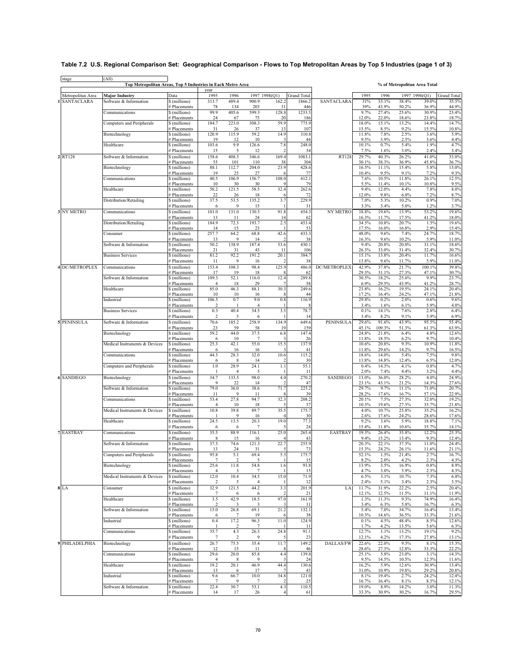## **Table 7.2 U.S. Regional Comparison Set: Geographical Comparison - Flows to Top Metropolitan Areas by Top 5 Industries (page 1 of 3)**

|                    |                               |                               | year                    |                |                        |                         |                    |                  |                |                 |                |                |                    |
|--------------------|-------------------------------|-------------------------------|-------------------------|----------------|------------------------|-------------------------|--------------------|------------------|----------------|-----------------|----------------|----------------|--------------------|
| Metropolitan Area  | Major Industry                | Data                          | 1995                    | 1996           | 1997 1998(Q1)          |                         | <b>Grand Total</b> |                  | 1995           | 1996            |                | 1997 1998(Q1)  | <b>Grand Total</b> |
| <b>SANTACLARA</b>  | Software & Information        | \$ (millions)                 | 313.7                   | 489.4          | 900.9                  | 162.2                   | 1866.2             | SANTACLARA       | 31%            | 33.1%           | 38.4%          | 39.0%          | 35.5%              |
|                    |                               | # Placements                  | 78                      | 134            | 203                    | 31                      | 446                |                  | 39%            | 43.9%           | 50.2%          | 36.9%          | 44.9%              |
|                    | Communications                | \$ (millions)<br># Placements | 99.9<br>24              | 405.6<br>67    | 599.3<br>75            | 128.8<br>20             | 1233.5<br>186      |                  | 9.7%<br>12.0%  | 27.4%<br>22.0%  | 25.6%<br>18.6% | 30.9%<br>23.8% | 23.4%<br>18.7%     |
|                    | Computers and Peripherals     | \$ (millions)                 | 184.7                   | 223.0          | 308.3                  | 59.9                    | 775.9              |                  | 18.0%          | 15.1%           | 13.2%          | 14.4%          | 14.7%              |
|                    |                               | # Placements                  | 31                      | 26             | 37                     | 13                      | 107                |                  | 15.5%          | 8.5%            | 9.2%           | 15.5%          | 10.8%              |
|                    | Biotechnology                 | \$ (millions)                 | 120.9                   | 115.9          | 59.2                   | 14.9                    | 310.8              |                  | 11.8%          | 7.8%            | 2.5%           | 3.6%           | 5.9%               |
|                    | Healthcare                    | # Placements<br>\$ (millions) | 19<br>103.6             | 12<br>9.9      | 10<br>126.6            | 7.8                     | 44<br>248.0        |                  | 9.5%<br>10.1%  | 3.9%<br>0.7%    | 2.5%<br>5.4%   | 3.6%<br>1.9%   | 4.4%<br>4.7%       |
|                    |                               | # Placements                  | 15                      | 5              | 12                     | $\overline{\mathbf{c}}$ | 34                 |                  | 7.5%           | 1.6%            | 3.0%           | 2.4%           | 3.4%               |
| 2 RT128            | Software & Information        | \$(millions)                  | 158.6                   | 408.5          | 346.6                  | 169.4                   | 1083.1             | RT128            | 29.7%          | 40.3%           | 26.2%          | 41.0%          | 33.0%              |
|                    |                               | # Placements                  | 55                      | 101            | 110                    | 38                      | 304                |                  | 30.1%          | 38.3%           | 36.9%          | 45.8%          | 36.7%              |
|                    | Biotechnology                 | \$(millions)                  | 88.1<br>19              | 112.7<br>25    | 204.0<br>27            | 23.9                    | 428.6<br>77        |                  | 16.5%<br>10.4% | 11.1%<br>9.5%   | 15.4%<br>9.1%  | 5.8%<br>7.2%   | 13.0%<br>9.3%      |
|                    | Communications                | # Placements<br>\$ (millions) | 40.5                    | 106.9          | 156.7                  | 108.0                   | 412.1              |                  | 7.6%           | 10.5%           | 11.8%          | 26.1%          | 12.5%              |
|                    |                               | # Placements                  | 10                      | 30             | 30                     |                         | 79                 |                  | 5.5%           | 11.4%           | 10.1%          | 10.8%          | 9.5%               |
|                    | Healthcare                    | \$ (millions)                 | 50.2                    | 121.5          | 58.5                   | 32.4                    | 262.6              |                  | 9.4%           | 12.0%           | 4.4%           | 7.8%           | 8.0%               |
|                    | Distribution/Retailing        | # Placements<br>\$ (millions) | 22<br>37.5              | 26<br>53.5     | 18<br>135.2            | 3.7                     | 72<br>229.9        |                  | 12.0%<br>7.0%  | 9.8%<br>5.3%    | 6.0%<br>10.2%  | 7.2%<br>0.9%   | 8.7%<br>7.0%       |
|                    |                               | # Placements                  | 6                       | 9              | 15                     |                         | 31                 |                  | 3.3%           | 3.4%            | 5.0%           | 1.2%           | 3.7%               |
| 3 NY METRO         | Communications                | \$ (millions)                 | 101.0                   | 131.0          | 130.5                  | 91.8                    | 454.3              | <b>NY METRO</b>  | 18.8%          | 19.6%           | 13.9%          | 53.2%          | 19.6%              |
|                    |                               | # Placements                  | 13                      | 11             | 24                     | 14                      | 62                 |                  | 16.3%          | 11.7%           | 17.5%          | 41.2%          | 18.0%              |
|                    | Distribution/Retailing        | \$ (millions)<br># Placements | 184.9<br>14             | 72.3<br>15     | 193.7<br>23            | 2.5                     | 453.4<br>53        |                  | 34.5%<br>17.5% | 10.8%<br>16.0%  | 20.7%<br>16.8% | 1.5%<br>2.9%   | 19.6%<br>15.4%     |
|                    | Consumer                      | \$(millions)                  | 257.7                   | 64.2           | 68.8                   | 42.6                    | 433.3              |                  | 48.0%          | 9.6%            | 7.4%           | 24.7%          | 18.7%              |
|                    |                               | # Placements                  | 13                      | 9              | 14                     |                         | 38                 |                  | 16.3%          | 9.6%            | 10.2%          | 5.9%           | 11.0%              |
|                    | Software & Information        | \$ (millions)                 | 50.2                    | 138.9          | 187.4                  | 53.6                    | 430.1<br>106       |                  | 9.4%<br>26.3%  | 20.8%           | 20.0%          | 31.1%          | 18.6%<br>30.7%     |
|                    | <b>Business Services</b>      | # Placements<br>\$ (millions) | 21<br>81.2              | 31<br>92.2     | 43<br>191.2            | 11<br>20.1              | 384.7              |                  | 15.1%          | 33.0%<br>13.8%  | 31.4%<br>20.4% | 32.4%<br>11.7% | 16.6%              |
|                    |                               | # Placements                  | 11                      | 9              | 16                     | 2                       | 38                 |                  | 13.8%          | 9.6%            | 11.7%          | 5.9%           | 11.0%              |
| 4 DC/METROPLEX     | Communications                | \$ (millions)                 | 153.4                   | 108.3          | 98.4                   | 125.9                   | 486.0              | DC/METROPLEX     | 42.9%          | 37.8%           | 21.7%          | 100.1%         | 39.8%              |
|                    | Software & Information        | # Placements                  | 17                      | 19<br>52.1     | 18                     |                         | 62                 |                  | 29.3%<br>30.5% | 31.1%           | 27.3%          | 47.1%          | 30.7%<br>23.7%     |
|                    |                               | \$(millions)<br># Placements  | 109.3<br>$\overline{4}$ | 18             | 116.0<br>29            | 12.4                    | 289.8<br>58        |                  | 6.9%           | 18.2%<br>29.5%  | 25.6%<br>43.9% | 9.9%<br>41.2%  | 28.7%              |
|                    | Healthcare                    | \$(millions)                  | 85.0                    | 46.3           | 88.1                   | 30.3                    | 249.6              |                  | 23.8%          | 16.2%           | 19.5%          | 24.1%          | 20.4%              |
|                    |                               | # Placements                  | 10                      | 10             | 16                     |                         | 44                 |                  | 17.2%          | 16.4%           | 24.2%          | 47.1%          | 21.8%              |
|                    | Industrial                    | \$ (millions)<br># Placements | 106.5<br>2              | 0.7            | 9.0<br>$\overline{4}$  | 0.8                     | 116.9              |                  | 29.8%<br>3.4%  | 0.2%<br>1.6%    | 2.0%<br>6.1%   | 0.6%<br>5.9%   | 9.6%<br>4.0%       |
|                    | <b>Business Services</b>      | \$ (millions)                 | 0.3                     | 40.4           | 34.5                   | 3.5                     | 78.7               |                  | 0.1%           | 14.1%           | 7.6%           | 2.8%           | 6.4%               |
|                    |                               | # Placements                  | 2                       | 5              | 6                      |                         | 14                 |                  | 3.4%           | 8.2%            | 9.1%           | 5.9%           | 6.9%               |
| <b>5 PENINSULA</b> | Software & Information        | \$ (millions)                 | 70.6                    | 185.2          | 258.9                  | 134.9                   | 649.6              | PENINSULA        | 29.6%          | 91.6%           | 43.9%          | 95.5%          | 55.4%              |
|                    | Biotechnology                 | # Placements<br>\$ (millions) | 23<br>59.2              | 59<br>44.0     | 58<br>37.5             | 19<br>6.8               | 159<br>147.4       |                  | 45.1%<br>24.8% | 109.3%<br>21.8% | 51.3%<br>6.4%  | 61.3%<br>4.8%  | 63.9%<br>12.6%     |
|                    |                               | # Placements                  | 6                       | 10             | $\overline{7}$         |                         | 26                 |                  | 11.8%          | 18.5%           | 6.2%           | 9.7%           | 10.4%              |
|                    | Medical Instruments & Devices | \$ (millions)                 | 25.3                    | 42.1           | 55.0                   | 15.5                    | 137.9              |                  | $10.6\%$       | 20.8%           | 9.3%           | 10.9%          | 11.8%              |
|                    |                               | # Placements                  | 6                       | 16             | 16                     | 10.6                    | 41<br>115.2        |                  | 11.8%          | 29.6%           | 14.2%          | 9.7%           | 16.5%              |
|                    | Communications                | \$ (millions)<br># Placements | 44.3<br>6               | 28.3<br>8      | 32.0<br>14             |                         | 30                 |                  | 18.6%<br>11.8% | 14.0%<br>14.8%  | 5.4%<br>12.4%  | 7.5%<br>6.5%   | 9.8%<br>12.0%      |
|                    | Computers and Peripherals     | \$ (millions)                 | $1.0\,$                 | 28.9           | 24.1                   | 1.1                     | 55.1               |                  | 0.4%           | 14.3%           | 4.1%           | 0.8%           | 4.7%               |
|                    |                               | # Placements                  | $\mathbf{1}$            | $\overline{4}$ | 5                      |                         | 11                 |                  | 2.0%           | 7.4%            | 4.4%           | 3.2%           | 4.4%               |
| <b>6 SANDIEGO</b>  | Biotechnology                 | \$(millions)                  | 34.7<br>9               | 133.5<br>22    | 98.0<br>14             | 4.0                     | 270.2<br>47        | SANDIEGO         | 13.0%<br>23.1% | 36.0%<br>43.1%  | 28.2%<br>21.2% | 4.0%<br>14.3%  | 24.9%<br>27.6%     |
|                    | Software & Information        | # Placements<br>\$(millions)  | 79.0                    | 36.0           | 38.6                   | 71.7                    | 225.2              |                  | 29.7%          | 9.7%            | 11.1%          | 71.0%          | 20.7%              |
|                    |                               | # Placements                  | 11                      | 9              | 11                     |                         | 39                 |                  | 28.2%          | 17.6%           | 16.7%          | 57.1%          | 22.9%              |
|                    | Communications                | \$(millions)                  | 53.4                    | 27.8           | 94.7                   | 32.3                    | 208.2              |                  | 20.1%          | 7.5%            | 27.3%          | 32.0%          | 19.2%              |
|                    | Medical Instruments & Devices | # Placements<br>\$ (millions) | $\overline{4}$<br>10.8  | 10<br>39.8     | 18<br>89.7             | 35.5                    | 37<br>175.7        |                  | 10.3%<br>4.0%  | 19.6%<br>10.7%  | 27.3%<br>25.8% | 35.7%<br>35.2% | 21.8%<br>16.2%     |
|                    |                               | # Placements                  |                         | 9              | 16                     |                         | 30                 |                  | 2.6%           | 17.6%           | 24.2%          | 28.6%          | 17.6%              |
|                    | Healthcare                    | \$(millions)                  | 24.5                    | 13.5           | 20.3                   | 19.0                    | 77.3               |                  | 9.2%           | 3.6%            | 5.9%           | 18.8%          | 7.1%               |
|                    |                               | # Placements                  | 6<br>35.5               | 6              | 7                      | 25.0                    | 24                 |                  | 15.4%          | 11.8%           | 10.6%          | 35.7%          | 14.1%<br>25.3%     |
| <b>7 EASTBAY</b>   | Communications                | \$(millions)<br># Placements  | 8                       | 88.9<br>15     | 116.1<br>16            |                         | 265.4<br>43        | <b>EASTBAY</b>   | 19.3%<br>9.4%  | 26.4%<br>15.2%  | 35.8%<br>13.4% | 12.2%<br>9.3%  | 12.4%              |
|                    | Software & Information        | \$ (millions)                 | 37.3                    | 74.6           | 121.3                  | 22.7                    | 255.9              |                  | 20.3%          | 22.1%           | 37.5%          | 11.0%          | 24.4%              |
|                    |                               | # Placements                  | 13                      | 24             | 31                     |                         | 73                 |                  | 15.3%          | 24.2%           | 26.1%          | 11.6%          | 21.1%              |
|                    | Computers and Peripherals     | \$ (millions)<br># Placements | 95.8<br>7               | 5.1<br>2       | 69.4<br>5              | 5.5                     | 175.7<br>15        |                  | 52.1%<br>8.2%  | 1.5%<br>2.0%    | 21.4%<br>4.2%  | 2.7%<br>2.3%   | 16.7%<br>4.3%      |
|                    | Biotechnology                 | \$ (millions)                 | 25.6                    | 11.8           | 54.8                   | 1.6                     | 93.8               |                  | 13.9%          | 3.5%            | 16.9%          | 0.8%           | 8.9%               |
|                    |                               | # Placements                  | 4                       | 3              | 7                      |                         | 15                 |                  | 4.7%           | 3.0%            | 5.9%           | 2.3%           | 4.3%               |
|                    | Medical Instruments & Devices | \$ (millions)                 | 12.0<br>2               | 10.4           | 34.5                   | 15.0                    | 71.9               |                  | 6.5%           | 3.1%            | 10.7%          | 7.3%           | 6.8%               |
| 8 LA               | Consumer                      | # Placements<br>\$ (millions) | 32.9                    | 5<br>121.5     | $\overline{4}$<br>44.2 | 3.3                     | 12<br>201.9        | LA               | 2.4%<br>11.7%  | 5.1%<br>31.9%   | 3.4%<br>22.2%  | 2.3%<br>2.5%   | 3.5%<br>20.4%      |
|                    |                               | # Placements                  | 7                       | 6              | 6                      |                         | 21                 |                  | 12.1%          | 12.5%           | 11.5%          | 11.1%          | 11.9%              |
|                    | Healthcare                    | \$ (millions)                 | 3.5                     | 42.9           | 18.5                   | 97.0                    | 161.9              |                  | 1.3%           | 11.3%           | 9.3%           | 74.9%          | 16.4%              |
|                    | Software & Information        | # Placements<br>\$ (millions) | 2<br>15.0               | 3<br>26.8      | 3<br>69.1              | 21.2                    | -11<br>132.1       |                  | 3.4%<br>5.4%   | 6.3%<br>7.0%    | 5.8%<br>34.7%  | 16.7%<br>16.4% | 6.3%<br>13.4%      |
|                    |                               | # Placements                  | 6                       | 7              | 19                     |                         | 38                 |                  | 10.3%          | 14.6%           | 36.5%          | 33.3%          | 21.6%              |
|                    | Industrial                    | \$ (millions)                 | 0.4                     | 17.2           | 96.3                   | 11.0                    | 124.9              |                  | 0.1%           | 4.5%            | 48.4%          | 8.5%           | 12.6%              |
|                    |                               | # Placements                  |                         | 4.3            | $\overline{7}$         | 24.8                    | 11                 |                  | 1.7%           | 4.2%            | 13.5%          | 5.6%           | 6.3%               |
|                    | Communications                | \$ (millions)<br># Placements | 35.7<br>7               | $\overline{2}$ | 26.3<br>9              | 5                       | 91.1<br>23         |                  | 12.7%<br>12.1% | 1.1%<br>4.2%    | 13.2%<br>17.3% | 19.1%<br>27.8% | 9.2%<br>13.1%      |
| 9 PHILADELPHIA     | Biotechnology                 | \$ (millions)                 | 26.7                    | 75.5           | 35.4                   | 11.7                    | 149.2              | <b>DALLAS/FW</b> | 22.6%          | 22.0%           | 9.5%           | 8.1%           | 15.3%              |
|                    |                               | # Placements                  | 12                      | 15             | 11                     |                         | 46                 |                  | 28.6%          | 27.3%           | 12.8%          | 33.3%          | 22.2%              |
|                    | Communications                | \$ (millions)                 | 29.6<br>$\overline{4}$  | 20.0           | 85.8                   | 4.4<br>3                | 139.8              |                  | 25.1%          | 5.8%            | 23.0%          | 3.1%           | 14.3%              |
|                    | Healthcare                    | # Placements<br>\$ (millions) | 19.2                    | 8<br>20.1      | 9<br>46.9              | 44.4                    | 24<br>130.6        |                  | 9.5%<br>16.2%  | 14.5%<br>5.9%   | 10.5%<br>12.6% | 12.5%<br>30.9% | 11.6%<br>13.4%     |
|                    |                               | # Placements                  | 13                      | 6              | 17                     |                         | 43                 |                  | 31.0%          | 10.9%           | 19.8%          | 29.2%          | 20.8%              |
|                    | Industrial                    | \$ (millions)                 | 9.6                     | 66.7           | 10.0                   | 34.8                    | 121.0              |                  | 8.1%           | 19.4%           | 2.7%           | 24.2%          | 12.4%              |
|                    | Software & Information        | # Placements<br>\$ (millions) | $\tau$<br>22.4          | 9<br>30.7      | 7<br>53.1              | 4.3                     | 25<br>110.5        |                  | 16.7%<br>19.0% | 16.4%<br>8.9%   | 8.1%<br>14.2%  | 8.3%<br>3.0%   | 12.1%<br>11.3%     |
|                    |                               | # Placements                  | 14                      | 17             | 26                     | $\overline{4}$          | 61                 |                  | 33.3%          | 30.9%           | 30.2%          | 16.7%          | 29.5%              |

stage (All) **Top Metropolitan Areas, Top 5 Industries in Each Metro Area % of Metropolitan Area Total**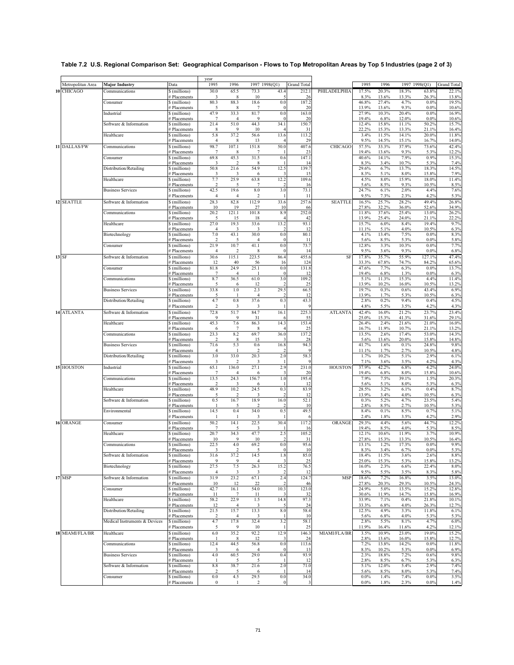|                   |                               |                               | year                            |                        |                                  |                                |                         |                |                |                |                |                 |                    |
|-------------------|-------------------------------|-------------------------------|---------------------------------|------------------------|----------------------------------|--------------------------------|-------------------------|----------------|----------------|----------------|----------------|-----------------|--------------------|
| Metropolitan Area | <b>Major Industry</b>         | Data                          | 1995                            | 1996                   |                                  | 1997 1998(Q1)                  | <b>Grand Total</b>      |                | 1995           | 1996           |                | 1997 1998(Q1)   | <b>Grand Total</b> |
| 10 CHICAGO        | Communications                | \$ (millions)                 | 30.0                            | 65.5                   | 73.3                             | 43.4                           | 212.1                   | PHILADELPHIA   | 17.5%          | 20.3%          | 18.3%          | 63.8%           | 22.1%              |
|                   | Consumer                      | # Placements<br>\$ (millions) | 3<br>80.3                       | 8<br>88.3              | 10<br>18.6                       | 5<br>0.0                       | 26<br>187.2             |                | 8.3%<br>46.8%  | 13.6%<br>27.4% | 13.3%<br>4.7%  | 26.3%<br>0.0%   | 13.8%<br>19.5%     |
|                   |                               | # Placements                  | 5<br>47.9                       | 8<br>33.3              | 7<br>81.7                        | $\Omega$<br>0.0                | 20<br>163.0             |                | 13.9%<br>27.9% | 13.6%<br>10.3% | 9.3%           | 0.0%<br>0.0%    | 10.6%<br>16.9%     |
|                   | Industrial                    | \$ (millions)<br># Placements | $\overline{7}$                  | 4                      | $\mathbf Q$                      | $\theta$                       | 20                      |                | 19.4%          | 6.8%           | 20.4%<br>12.0% | 0.0%            | 10.6%              |
|                   | Software & Information        | \$(millions)<br># Placements  | 21.4                            | 51.0<br>9              | 44.3<br>10                       | 34.1                           | 150.7                   |                | 12.4%          | 15.8%          | 11.1%          | 50.2%           | 15.7%              |
|                   | Healthcare                    | \$ (millions)                 | 8<br>5.8                        | 37.2                   | 56.6                             | 13.6                           | 31<br>113.2             |                | 22.2%<br>3.4%  | 15.3%<br>11.5% | 13.3%<br>14.1% | 21.1%<br>20.0%  | 16.4%<br>11.8%     |
|                   |                               | # Placements                  | $\overline{4}$                  | 8                      | 13                               |                                | 29                      |                | 9.5%           | 14.5%          | 15.1%          | 16.7%           | 14.0%              |
| 11 DALLAS/FW      | Communications                | \$(millions)<br># Placements  | 98.7<br>7                       | 107.1<br>8             | 151.8<br>7                       | 50.0                           | 407.6<br>23             | CHICAGO        | 57.5%<br>19.4% | 33.3%<br>13.6% | 37.9%<br>9.3%  | 73.6%<br>5.3%   | 42.4%<br>12.2%     |
|                   | Consumer                      | \$ (millions)                 | 69.8                            | 45.3                   | 31.5                             | 0.6                            | 147.1                   |                | 40.6%          | 14.1%          | 7.9%           | 0.9%            | 15.3%              |
|                   | Distribution/Retailing        | # Placements<br>\$ (millions) | 3<br>50.8                       | 21.6                   | 54.9                             | 12.5                           | 14<br>139.7             |                | 8.3%<br>29.6%  | 3.4%<br>6.7%   | 10.7%<br>13.7% | 5.3%<br>18.3%   | 7.4%<br>14.5%      |
|                   |                               | # Placements                  | 3                               | 3                      | 6                                | 3                              | 15                      |                | 8.3%           | 5.1%           | 8.0%           | 15.8%           | 7.9%               |
|                   | Healthcare                    | \$(millions)<br># Placements  | 7.7<br>$\overline{\mathbf{c}}$  | 25.9<br>5              | 63.8                             | 12.2                           | 109.6<br>16             |                | 4.5%<br>5.6%   | 8.0%<br>8.5%   | 15.9%<br>9.3%  | 18.0%<br>10.5%  | 11.4%<br>8.5%      |
|                   | <b>Business Services</b>      | \$(millions)                  | 42.5                            | 19.6                   | 8.0                              | 3.0                            | 73.1                    |                | 24.7%          | 6.1%           | 2.0%           | 4.4%            | 7.6%               |
| 12 SEATTLE        | Software & Information        | # Placements<br>\$(millions)  | $\overline{4}$<br>28.3          | $\overline{4}$<br>82.8 | $\overline{\mathbf{c}}$<br>112.9 | 33.6                           | 11<br>257.6             | <b>SEATTLE</b> | 9.5%<br>16.5%  | 7.3%<br>25.7%  | 2.3%<br>28.2%  | 4.2%<br>49.4%   | 5.3%<br>26.8%      |
|                   |                               | # Placements                  | 10                              | 19                     | 27                               | 10                             | 66                      |                | 27.8%          | 32.2%          | 36.0%          | 52.6%           | 34.9%              |
|                   | Communications                | \$ (millions)<br># Placements | 20.2<br>5                       | 121.1<br>15            | 101.8<br>18                      | 8.9<br>4                       | 252.0<br>42             |                | 11.8%<br>13.9% | 37.6%<br>25.4% | 25.4%<br>24.0% | 13.0%<br>21.1%  | 26.2%<br>22.2%     |
|                   | Healthcare                    | \$(millions)                  | 27.0                            | 19.3                   | 33.6                             | 13.2                           | 93.1                    |                | 15.7%          | 6.0%           | 8.4%           | 19.4%           | 9.7%               |
|                   | Biotechnology                 | # Placements<br>\$(millions)  | $\overline{4}$<br>7.0           | 3<br>43.1              | 3<br>30.0                        | 2<br>$0.0\,$                   | -12<br>80.1             |                | 11.1%<br>4.1%  | 5.1%<br>13.4%  | 4.0%<br>7.5%   | 10.5%<br>0.0%   | 6.3%<br>8.3%       |
|                   |                               | # Placements                  | $\overline{2}$                  | 5                      | 4                                |                                | 11                      |                | 5.6%           | 8.5%           | 5.3%           | $0.0\%$         | 5.8%               |
|                   | Consumer                      | \$ (millions)<br># Placements | 21.9<br>$\overline{4}$          | 10.7<br>2              | 41.1<br>8                        | 0.0<br>$\Omega$                | 73.7<br>14              |                | 12.8%<br>9.5%  | 3.3%<br>3.6%   | 10.3%<br>9.3%  | 0.0%<br>0.0%    | 7.7%<br>6.8%       |
| 13 SF             | Software & Information        | \$(millions)                  | 30.6                            | 115.1                  | 223.5                            | 86.4                           | 455.6                   | SF             | 17.8%          | 35.7%          | 55.9%          | 127.1%          | 47.4%              |
|                   | Consumer                      | # Placements<br>\$ (millions) | 12<br>81.8                      | 40<br>24.9             | 56<br>25.1                       | 16<br>0.0                      | 124<br>131.8            |                | 33.3%<br>47.6% | 67.8%<br>7.7%  | 74.7%<br>6.3%  | 84.2%<br>0.0%   | 65.6%<br>13.7%     |
|                   |                               | # Placements                  | -7                              | 4                      |                                  |                                | 12                      |                | 19.4%          | 6.8%           | 1.3%           | $0.0\%$         | 6.3%               |
|                   | Communications                | \$(millions)<br># Placements  | 8.7<br>5                        | 36.5<br>6              | 61.0<br>12                       | 3.0<br>2                       | 109.2<br>25             |                | 5.1%<br>13.9%  | 11.3%<br>10.2% | 15.3%<br>16.0% | 4.4%<br>10.5%   | 11.4%<br>13.2%     |
|                   | <b>Business Services</b>      | \$ (millions)                 | 33.8                            | 1.0                    | 2.3                              | 29.5                           | 66.5                    |                | 19.7%          | 0.3%           | 0.6%           | 43.4%           | 6.9%               |
|                   | Distribution/Retailing        | # Placements<br>\$(millions)  | 5<br>4.7                        | 0.8                    | $\overline{4}$<br>37.6           | 0.3                            | 12<br>43.3              |                | 13.9%<br>2.8%  | 1.7%<br>0.2%   | 5.3%<br>9.4%   | 10.5%<br>0.4%   | 6.3%<br>4.5%       |
|                   |                               | # Placements                  | $\overline{2}$                  | 3                      | 3                                |                                | <b>C</b>                |                | 4.8%           | 5.5%           | 3.5%           | 4.2%            | 4.3%               |
| 14 ATLANTA        | Software & Information        | \$ (millions)<br># Placements | 72.8<br>9                       | 51.7<br>$\mathbf Q$    | 84.7<br>31                       | 16.1<br>-6                     | 225.3<br>55             | <b>ATLANTA</b> | 42.4%<br>25.0% | 16.0%<br>15.3% | 21.2%<br>41.3% | 23.7%<br>31.6%  | 23.4%<br>29.1%     |
|                   | Healthcare                    | \$ (millions)                 | 45.3                            | 7.6                    | 86.3                             | 14.3                           | 153.4                   |                | 26.4%          | 2.4%           | 21.6%          | 21.0%           | 16.0%              |
|                   | Communications                | # Placements<br>\$ (millions) | 6<br>23.3                       | 8.2                    | 8<br>69.7                        | 36.0                           | 2 <sup>2</sup><br>137.2 |                | 16.7%<br>13.5% | 11.9%<br>2.6%  | 10.7%<br>17.4% | 21.1%<br>53.0%  | 13.2%<br>14.3%     |
|                   |                               | # Placements                  | 2                               | 8                      | 15                               | 3                              | 28                      |                | 5.6%           | 13.6%          | 20.0%          | 15.8%           | 14.8%              |
|                   | <b>Business Services</b>      | \$ (millions)<br># Placements | 71.6<br>4                       | 5.3                    | 0.6<br>$\mathcal{D}$             | 16.8                           | 94.3<br><b>C</b>        |                | 41.7%<br>11.1% | 1.6%<br>1.7%   | 0.1%<br>2.7%   | 24.8%<br>10.5%  | 9.8%<br>4.8%       |
|                   | Distribution/Retailing        | \$(millions)                  | 3.0                             | 33.0                   | 20.3                             | 2.0                            | 58.3                    |                | 1.7%           | 10.2%          | 5.1%           | 2.9%            | 6.1%               |
| 15 HOUSTON        | Industrial                    | # Placements<br>\$ (millions) | 3<br>65.1                       | 2<br>136.0             | 3<br>27.1                        | 2.9                            | 231.0                   | <b>HOUSTON</b> | 7.1%<br>37.9%  | 3.6%<br>42.2%  | 3.5%<br>6.8%   | 4.2%<br>4.2%    | 4.3%<br>24.0%      |
|                   |                               | # Placements                  | $\overline{7}$                  | 4<br>24.3              | 6                                | р                              | 20<br>195.4             |                | 19.4%          | 6.8%           | 8.0%           | 15.8%<br>1.5%   | 10.6%              |
|                   | Communications                | \$(millions)<br># Placements  | 13.5<br>$\overline{\mathbf{c}}$ | 3                      | 156.7<br>6                       | 1.0                            | 12                      |                | 7.9%<br>5.6%   | 7.5%<br>5.1%   | 39.1%<br>8.0%  | 5.3%            | 20.3%<br>6.3%      |
|                   | Healthcare                    | \$ (millions)<br># Placements | 48.9<br>5                       | 10.2<br>2              | 24.5                             | 0.3                            | 83.9<br>12              |                | 28.5%<br>13.9% | 3.2%<br>3.4%   | 6.1%<br>4.0%   | 0.4%<br>10.5%   | 8.7%<br>6.3%       |
|                   | Software & Information        | \$ (millions)                 | 0.5                             | 16.7                   | 18.9                             | 16.0                           | 52.1                    |                | 0.3%           | 5.2%           | 4.7%           | 23.5%           | 5.4%               |
|                   | Environmental                 | # Placements<br>\$(millions)  | 14.5                            | 5<br>0.4               | $\overline{\mathbf{c}}$<br>34.0  | 0.5                            | 10<br>49.5              |                | 2.8%<br>8.4%   | 8.5%<br>0.1%   | 2.7%<br>8.5%   | 10.5%<br>0.7%   | 5.3%<br>5.1%       |
|                   |                               | # Placements                  | $\overline{1}$                  | -1                     | 3                                |                                |                         |                | 2.4%           | 1.8%           | 3.5%           | 4.2%            | 2.9%               |
| 16 ORANGE         | Consumer                      | \$ (millions)<br># Placements | 50.2<br>7                       | 14.1                   | 22.5                             | 30.4                           | 117.2<br>16             | ORANGE         | 29.3%<br>19.4% | 4.4%<br>8.5%   | 5.6%<br>4.0%   | 44.7%<br>5.3%   | 12.2%<br>8.5%      |
|                   | Healthcare                    | \$ (millions)                 | 20.7                            | 34.3                   | 47.7                             | 2.5                            | 105.2                   |                | 12.1%          | 10.6%          | 11.9%          | 3.7%            | 10.9%              |
|                   | Communications                | # Placements<br>\$ (millions) | 10<br>22.5                      | 9<br>4.0               | 10<br>69.2                       | 0.0                            | 31<br>95.6              |                | 27.8%<br>13.1% | 15.3%<br>1.2%  | 13.3%<br>17.3% | 10.5%<br>0.0%   | 16.4%<br>9.9%      |
|                   |                               | # Placements                  | 3                               | 2                      | 5                                | $\boldsymbol{0}$               | 10                      |                | 8.3%           | 3.4%           | 6.7%           | 0.0%            | 5.3%               |
|                   | Software & Information        | \$ (millions)<br># Placements | 31.6<br>9                       | 37.2<br>9              | 14.5<br>$\overline{4}$           | 1.8<br>$\overline{\mathbf{3}}$ | 85.0<br>25              |                | 18.4%<br>25.0% | 11.5%<br>15.3% | 3.6%<br>5.3%   | 2.6%<br>15.8%   | 8.8%<br>13.2%      |
|                   | Biotechnology                 | \$ (millions)                 | 27.5                            | 7.5                    | 26.3                             | 15.2                           | 76.5                    |                | 16.0%          | 2.3%           | 6.6%           | 22.4%           | 8.0%               |
| <b>17 MSP</b>     | Software & Information        | # Placements<br>\$(millions)  | 4<br>31.9                       | 3<br>23.2              | 3<br>67.1                        | 2.4                            | 12<br>124.7             | MSP            | 9.5%<br>18.6%  | 5.5%<br>7.2%   | 3.5%<br>16.8%  | 8.3%<br>3.5%    | 5.8%<br>13.0%      |
|                   |                               | # Placements                  | 10                              | 12                     | 22                               |                                | 46                      |                | 27.8%          | 20.3%          | 29.3%          | 10.5%           | 24.3%              |
|                   | Consumer                      | \$ (millions)<br># Placements | 42.7<br>11                      | 16.1<br>7              | 54.0<br>11                       | 10.3                           | 123.0<br>32             |                | 24.9%<br>30.6% | 5.0%<br>11.9%  | 13.5%<br>14.7% | 15.2%<br>15.8%  | 12.8%<br>16.9%     |
|                   | Healthcare                    | \$ (millions)                 | 58.2                            | 22.9                   | 1.5                              | 14.8                           | 97.3                    |                | 33.9%          | 7.1%           | 0.4%           | 21.8%           | 10.1%              |
|                   | Distribution/Retailing        | # Placements<br>\$ (millions) | 12<br>21.5                      | 4<br>15.7              | 3<br>13.3                        | 8.0                            | 24<br>58.4              |                | 33.3%<br>12.5% | 6.8%<br>4.9%   | 4.0%<br>3.3%   | 26.3%<br>11.8%  | 12.7%<br>6.1%      |
|                   |                               | # Placements                  | $\overline{2}$                  | 4                      | 3                                |                                | 10                      |                | 5.6%           | 6.8%           | 4.0%           | 5.3%            | 5.3%               |
|                   | Medical Instruments & Devices | \$ (millions)<br># Placements | 4.7<br>5                        | 17.8<br>9              | 32.4<br>10                       | 3.2                            | 58.1<br>25              |                | 2.8%<br>11.9%  | 5.5%<br>16.4%  | 8.1%<br>11.6%  | 4.7%<br>4.2%    | 6.0%<br>12.1%      |
| 18 MIAMI/FLA/BR   | Healthcare                    | \$ (millions)                 | 6.0                             | 35.2                   | 92.2                             | 12.9                           | 146.3                   | MIAMI/FLA/BR   | 3.5%           | 10.9%          | 23.0%          | 19.0%           | 15.2%              |
|                   | Communications                | # Placements<br>\$ (millions) | 12.4                            | 8<br>44.5              | 12<br>56.8                       | 0.0                            | 24<br>113.6             |                | 2.8%<br>7.2%   | 13.6%<br>13.8% | 16.0%<br>14.2% | 15.8%<br>0.0%   | 12.7%<br>11.8%     |
|                   |                               | # Placements                  | 3                               | 6                      | 4                                | $\boldsymbol{0}$               | 13                      |                | 8.3%           | 10.2%          | 5.3%           | 0.0%            | 6.9%               |
|                   | <b>Business Services</b>      | \$ (millions)<br># Placements | 4.0                             | 60.5<br>5              | 29.0<br>5                        | 0.4                            | 93.9<br>12              |                | 2.3%<br>2.8%   | 18.8%<br>8.5%  | 7.2%<br>6.7%   | 0.6%<br>5.3%    | 9.8%<br>6.3%       |
|                   | Software & Information        | \$ (millions)                 | 8.8                             | 38.7                   | 21.6                             | 2.0                            | 71.0                    |                | 5.1%           | 12.0%          | 5.4%           | 2.9%            | 7.4%               |
|                   | Consumer                      | # Placements<br>\$ (millions) | 2<br>$0.0\,$                    | 5<br>4.5               | 6<br>29.5                        | $0.0\,$                        | 14<br>34.0              |                | 5.6%<br>0.0%   | 8.5%<br>1.4%   | 8.0%<br>7.4%   | 5.3%<br>$0.0\%$ | 7.4%<br>3.5%       |
|                   |                               | # Placements                  | $\bf{0}$                        | $\mathbf{1}$           | $\overline{2}$                   | $\theta$                       | -3                      |                | $0.0\%$        | 1.8%           | 2.3%           | 0.0%            | 1.4%               |

## **Table 7.2 U.S. Regional Comparison Set: Geographical Comparison - Flows to Top Metropolitan Areas by Top 5 Industries (page 2 of 3)**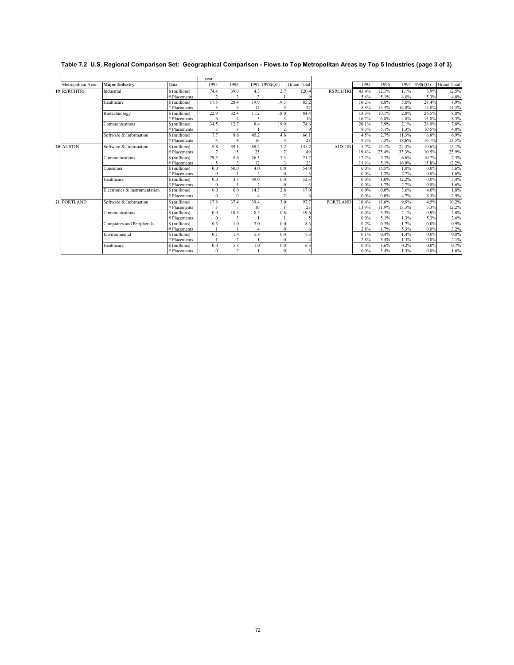| Table 7.2 U.S. Regional Comparison Set: Geographical Comparison - Flows to Top Metropolitan Areas by Top 5 Industries (page 3 of 3) |  |  |
|-------------------------------------------------------------------------------------------------------------------------------------|--|--|
|                                                                                                                                     |  |  |

|                    |                               |               | vear           |                |               |      |                    |                 |         |       |       |               |                    |
|--------------------|-------------------------------|---------------|----------------|----------------|---------------|------|--------------------|-----------------|---------|-------|-------|---------------|--------------------|
| Metropolitan Area  | <b>Major Industry</b>         | Data          | 1995           | 1996           | 1997 1998(Q1) |      | <b>Grand Total</b> |                 | 1995    | 1996  |       | 1997 1998(Q1) | <b>Grand Total</b> |
| <b>19 RSRCHTRI</b> | Industrial                    | \$ (millions) | 74.4           | 39.0           | 4.3           | 2.7  | 120.4              | <b>RSRCHTRI</b> | 43.4%   | 12.1% | 1.1%  | 3.9%          | 12.5%              |
|                    |                               | # Placements  | $\overline{2}$ |                |               |      |                    |                 | 5.6%    | 5.1%  | 4.0%  | 5.3%          | 4.8%               |
|                    | Healthcare                    | \$ (millions) | 17.5           | 28.4           | 19.9          | 19.3 | 85.2               |                 | 10.2%   | 8.8%  | 5.0%  | 28.4%         | 8.9%               |
|                    |                               | # Placements  | 3              | 9              | 12            |      | 27                 |                 | 8.3%    | 15.3% | 16.0% | 15.8%         | 14.3%              |
|                    | Biotechnology                 | \$ (millions) | 22.9           | 32.4           | 11.2          | 18.0 | 84.4               |                 | 13.3%   | 10.1% | 2.8%  | 26.5%         | 8.8%               |
|                    |                               | # Placements  | 6              | $\overline{4}$ |               |      | 16                 |                 | 16.7%   | 6.8%  | 4.0%  | 15.8%         | 8.5%               |
|                    | Communications                | \$ (millions) | 34.5           | 12.7           | 8.4           | 19.0 | 74.6               |                 | 20.1%   | 3.9%  | 2.1%  | 28.0%         | 7.8%               |
|                    |                               | # Placements  | 3              |                |               |      |                    |                 | 8.3%    | 5.1%  | 1.3%  | 10.5%         | 4.8%               |
|                    | Software & Information        | \$ (millions) | 7.7            | 8.6            | 45.2          | 4.6  | 66.1               |                 | 4.5%    | 2.7%  | 11.3% | 6.8%          | 6.9%               |
|                    |                               | # Placements  |                |                | 16            |      | 28                 |                 | 9.5%    | 7.3%  | 18.6% | 16.7%         | 13.5%              |
| 20 AUSTIN          | Software & Information        | \$ (millions) | 9.8            | 39.1           | 89.2          | 7.2  | 145.2              | <b>AUSTIN</b>   | 5.7%    | 12.1% | 22.3% | 10.6%         | 15.1%              |
|                    |                               | # Placements  | $\overline{7}$ | 15             | 25            |      | 49                 |                 | 19.4%   | 25.4% | 33.3% | 10.5%         | 25.9%              |
|                    | Communications                | \$ (millions) | 29.5           | 8.6            | 26.3          | 7.3  | 71.7               |                 | 17.2%   | 2.7%  | 6.6%  | 10.7%         | 7.5%               |
|                    |                               | # Placements  |                |                | 12            |      | 23                 |                 | 13.9%   | 5.1%  | 16.0% | 15.8%         | 12.2%              |
|                    | Consumer                      | \$ (millions) | 0.0            | 50.0           | 4.0           | 0.0  | 54.0               |                 | 0.0%    | 15.5% | 1.0%  | 0.0%          | 5.6%               |
|                    |                               | # Placements  | $\theta$       |                | 2             |      |                    |                 | $0.0\%$ | 1.7%  | 2.7%  | 0.0%          | 1.6%               |
|                    | Healthcare                    | \$ (millions) | 0.0            | 3.3            | 49.0          | 0.0  | 52.3               |                 | 0.0%    | 1.0%  | 12.2% | 0.0%          | 5.4%               |
|                    |                               | # Placements  | $\theta$       |                |               |      |                    |                 | $0.0\%$ | 1.7%  | 2.7%  | 0.0%          | 1.6%               |
|                    | Electronics & Instrumentation | \$ (millions) | 0.0            | 0.0            | 14.3          | 2.8  | 17.0               |                 | 0.0%    | 0.0%  | 3.6%  | 4.0%          | 1.8%               |
|                    |                               | # Placements  | $\theta$       | $\bf{0}$       |               |      |                    |                 | $0.0\%$ | 0.0%  | 4.7%  | 8.3%          | 2.9%               |
| 21 PORTLAND        | Software & Information        | \$ (millions) | 17.8           | 37.4           | 39.4          | 3.0  | 97.7               | <b>PORTLAND</b> | 10.4%   | 11.6% | 9.9%  | 4.5%          | 10.2%              |
|                    |                               | # Placements  | 5              |                | 10            |      | 23                 |                 | 13.9%   | 11.9% | 13.3% | 5.3%          | 12.2%              |
|                    | Communications                | \$ (millions) | 0.0            | 10.5           | 8.5           | 0.6  | 19.6               |                 | $0.0\%$ | 3.3%  | 2.1%  | 0.9%          | 2.0%               |
|                    |                               | # Placements  | $\mathbf{0}$   | 3              |               |      |                    |                 | $0.0\%$ | 5.1%  | 1.3%  | 5.3%          | 2.6%               |
|                    | Computers and Peripherals     | \$ (millions) | 0.3            | 1.0            | 7.0           | 0.0  | 8.3                |                 | 0.2%    | 0.3%  | 1.7%  | 0.0%          | 0.9%               |
|                    |                               | # Placements  |                |                |               |      | 6                  |                 | 2.8%    | 1.7%  | 5.3%  | 0.0%          | 3.2%               |
|                    | Environmental                 | \$ (millions) | 0.1            | 1.4            | 5.8           | 0.0  | 7.3                |                 | 0.1%    | 0.4%  | 1.4%  | 0.0%          | 0.8%               |
|                    |                               | # Placements  |                | $\overline{2}$ |               |      |                    |                 | 2.8%    | 3.4%  | 1.3%  | 0.0%          | 2.1%               |
|                    | Healthcare                    | \$ (millions) | 0.0            | 5.3            | 1.0           | 0.0  | 6.3                |                 | 0.0%    | 1.6%  | 0.2%  | 0.0%          | 0.7%               |
|                    |                               | # Placements  | $\theta$       | $\overline{c}$ |               |      | 3                  |                 | $0.0\%$ | 3.4%  | 1.3%  | $0.0\%$       | 1.6%               |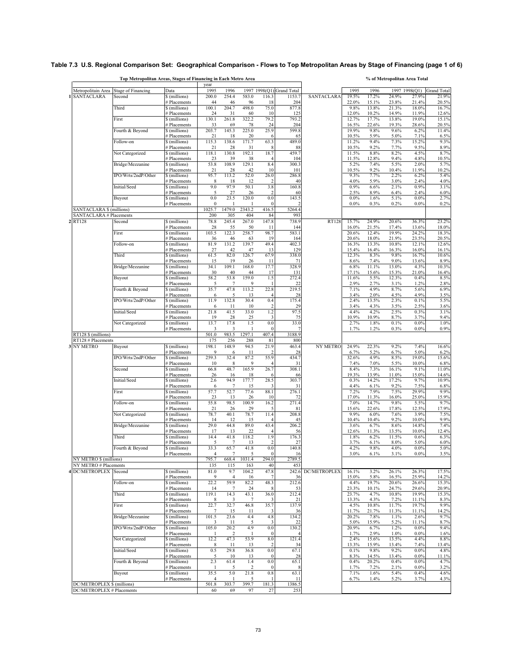#### **Table 7.3 U.S. Regional Comparison Set: Geographical Comparison - Flows to Top Metropolitan Areas by Stage of Financing (page 1 of 6)**

|                                                 | Top Metropolitan Areas, Stages of Financing in Each Metro Area |                               | year                    |                |              |                       |                           |                    |                |                | % of Metropolitan Area Total |                |                |
|-------------------------------------------------|----------------------------------------------------------------|-------------------------------|-------------------------|----------------|--------------|-----------------------|---------------------------|--------------------|----------------|----------------|------------------------------|----------------|----------------|
| Metropolitain Area                              | <b>Stage of Financing</b>                                      | Data                          | 1995                    | 1996           |              |                       | 1997 1998(Q1) Grand Total |                    | 1995           | 1996           |                              | 1997 1998(Q1)  | Grand Total    |
| <b>SANTACLARA</b><br>1                          | Second                                                         | \$ (millions)                 | 200.0                   | 254.4          | 583.0        | 116.3                 | 1153.7                    | <b>SANTACLARA</b>  | 19.5%          | 17.2%          | 24.9%                        | 27.9%          | 21.9%          |
|                                                 |                                                                | # Placements                  | 44                      | 46             | 96           | 18                    | 204                       |                    | 22.0%          | 15.1%          | 23.8%                        | 21.4%          | 20.5%          |
|                                                 | Third                                                          | \$(millions)<br># Placements  | 100.1<br>24             | 204.7<br>31    | 498.0<br>60  | 75.0<br>10            | 877.8<br>125              |                    | 9.8%<br>12.0%  | 13.8%<br>10.2% | 21.3%<br>14.9%               | 18.0%<br>11.9% | 16.7%<br>12.6% |
|                                                 | First                                                          | \$(millions)                  | 130.1                   | 261.8          | 322.2        | 79.2                  | 793.2                     |                    | 12.7%          | 17.7%          | 13.8%                        | 19.0%          | 15.1%          |
|                                                 |                                                                | # Placements                  | 33                      | 69             | 78           | 24                    | 204                       |                    | 16.5%          | 22.6%          | 19.3%                        | 28.6%          | 20.5%          |
|                                                 | Fourth & Beyond                                                | \$ (millions)                 | 203.7                   | 145.3          | 225.0        | 25.9                  | 599.8                     |                    | 19.9%          | 9.8%           | 9.6%<br>5.0%                 | 6.2%           | 11.4%          |
|                                                 | Follow-on                                                      | # Placements<br>\$ (millions) | 21<br>115.3             | 18<br>138.6    | 20<br>171.7  | 63.3                  | 65<br>489.0               |                    | 10.5%<br>11.2% | 5.9%<br>9.4%   | 7.3%                         | 7.1%<br>15.2%  | 6.5%<br>9.3%   |
|                                                 |                                                                | # Placements                  | 21                      | 28             | 31           |                       | 88                        |                    | 10.5%          | 9.2%           | 7.7%                         | 9.5%           | 8.9%           |
|                                                 | Not Categorized                                                | \$(millions)                  | 118.1                   | 130.8          | 192.1        | 18.7                  | 459.7                     |                    | 11.5%          | 8.8%           | 8.2%                         | 4.5%           | 8.7%           |
|                                                 | Bridge/Mezzanine                                               | # Placements<br>\$ (millions) | 23<br>53.8              | 39<br>108.9    | 38<br>129.1  | 4<br>8.4              | 104<br>300.3              |                    | 11.5%<br>5.2%  | 12.8%<br>7.4%  | 9.4%<br>5.5%                 | 4.8%<br>2.0%   | 10.5%<br>5.7%  |
|                                                 |                                                                | # Placements                  | 21                      | 28             | 42           | 10                    | 101                       |                    | 10.5%          | 9.2%           | 10.4%                        | 11.9%          | 10.2%          |
|                                                 | IPO/Wrts/2ndP/Other                                            | \$(millions)                  | 95.7                    | 113.2          | 52.0         | 26.0                  | 286.8                     |                    | 9.3%           | 7.7%           | 2.2%                         | 6.2%           | 5.4%           |
|                                                 |                                                                | # Placements                  | 8                       | 18             | 12           | 2                     | 40                        |                    | 4.0%           | 5.9%           | 3.0%                         | 2.4%           | 4.0%           |
|                                                 | Initial/Seed                                                   | \$(millions)<br># Placements  | 9.0<br>5                | 97.9<br>27     | 50.1<br>26   | 3.8                   | 160.8<br>60               |                    | 0.9%<br>2.5%   | 6.6%<br>8.9%   | 2.1%<br>6.4%                 | 0.9%<br>2.4%   | 3.1%<br>6.0%   |
|                                                 | Buyout                                                         | \$(millions)                  | 0.0                     | 23.5           | 120.0        | 0.0                   | 143.5                     |                    | 0.0%           | 1.6%           | 5.1%                         | 0.0%           | 2.7%           |
|                                                 |                                                                | # Placements                  | $\bf{0}$                | -1             |              | $\theta$              |                           |                    | $0.0\%$        | 0.3%           | 0.2%                         | 0.0%           | 0.2%           |
| SANTACLARA \$ (millions)                        |                                                                |                               | 1025.7                  | 1479.0         | 2343.2       | 416.5                 | 5264.4                    |                    |                |                |                              |                |                |
| <b>SANTACLARA # Placements</b><br>2 RT128       | Second                                                         | \$ (millions)                 | 200<br>78.8             | 305<br>245.4   | 404<br>267.0 | 84<br>147.8           | 993<br>738.9              | <b>RT128</b>       | 15.7%          | 24.9%          | 20.6%                        | 36.3%          | 23.2%          |
|                                                 |                                                                | # Placements                  | 28                      | 55             | 50           | 11                    | 144                       |                    | 16.0%          | 21.5%          | 17.4%                        | 13.6%          | 18.0%          |
|                                                 | First                                                          | \$(millions)                  | 103.5                   | 122.3          | 258.7        | 98.7                  | 583.1                     |                    | 20.6%          | 12.4%          | 19.9%                        | 24.2%          | 18.3%          |
|                                                 |                                                                | # Placements                  | 36                      | 46             | 63           | 19                    | 164                       |                    | 20.6%          | 18.0%          | 21.9%                        | 23.5%          | 20.5%          |
|                                                 | Follow-on                                                      | \$(millions)<br># Placements  | 81.9<br>27              | 131.2<br>42    | 139.7<br>47  | 49.4<br>13            | 402.3<br>129              |                    | 16.3%<br>15.4% | 13.3%<br>16.4% | 10.8%<br>16.3%               | 12.1%<br>16.0% | 12.6%<br>16.1% |
|                                                 | Third                                                          | \$(millions)                  | 61.5                    | 82.0           | 126.7        | 67.9                  | 338.0                     |                    | 12.3%          | 8.3%           | 9.8%                         | 16.7%          | 10.6%          |
|                                                 |                                                                | # Placements                  | 15                      | 19             | 26           | 11                    | 71                        |                    | 8.6%           | 7.4%           | 9.0%                         | 13.6%          | 8.9%           |
|                                                 | Bridge/Mezzanine                                               | \$ (millions)                 | 34.1                    | 109.1          | 168.0        | 17.7                  | 328.9                     |                    | 6.8%           | 11.1%          | 13.0%                        | 4.3%           | 10.3%          |
|                                                 | Buyout                                                         | # Placements<br>\$ (millions) | 30<br>58.2              | 40<br>53.8     | 44<br>159.0  | 17<br>1.5             | 131<br>272.4              |                    | 17.1%<br>11.6% | 15.6%<br>5.5%  | 15.3%<br>12.3%               | 21.0%<br>0.4%  | 16.4%<br>8.5%  |
|                                                 |                                                                | # Placements                  | 5                       | $\tau$         | 9            |                       | 22                        |                    | 2.9%           | 2.7%           | 3.1%                         | 1.2%           | 2.8%           |
|                                                 | Fourth & Beyond                                                | \$(millions)                  | 35.7                    | 47.8           | 113.2        | 22.8                  | 219.5                     |                    | 7.1%           | 4.9%           | 8.7%                         | 5.6%           | 6.9%           |
|                                                 | IPO/Wrts/2ndP/Other                                            | # Placements<br>\$ (millions) | 6<br>11.9               | 5<br>132.8     | 13<br>30.4   | $\overline{4}$<br>0.4 | 28<br>175.4               |                    | 3.4%<br>2.4%   | 2.0%<br>13.5%  | 4.5%<br>2.3%                 | 4.9%<br>0.1%   | 3.5%<br>5.5%   |
|                                                 |                                                                | # Placements                  | 6                       | 11             | 10           |                       | 29                        |                    | 3.4%           | 4.3%           | 3.5%                         | 2.5%           | 3.6%           |
|                                                 | Initial/Seed                                                   | \$ (millions)                 | 21.8                    | 41.5           | 33.0         | 1.2                   | 97.5                      |                    | 4.4%           | 4.2%           | 2.5%                         | 0.3%           | 3.1%           |
|                                                 |                                                                | # Placements                  | 19                      | 28             | 25           | 3                     | 75                        |                    | 10.9%          | 10.9%          | 8.7%                         | 3.7%           | 9.4%           |
|                                                 | Not Categorized                                                | \$(millions)<br># Placements  | 13.7<br>3               | 17.8<br>3      | 1.5          | 0.0<br>$\theta$       | 33.0                      |                    | 2.7%<br>1.7%   | 1.8%<br>1.2%   | 0.1%<br>0.3%                 | 0.0%<br>0.0%   | 1.0%<br>0.9%   |
| RT128 \$ (millions)                             |                                                                |                               | 501.0                   | 983.5          | 1297.1       | 407.4                 | 3188.9                    |                    |                |                |                              |                |                |
| RT128 # Placements                              |                                                                |                               | 175                     | 256            | 288          | 81                    | 800                       |                    |                |                |                              |                |                |
| 3 NY METRO                                      | Buyout                                                         | \$(millions)                  | 198.1                   | 148.9          | 94.5         | 21.9                  | 463.4                     | <b>NY METRO</b>    | 24.9%          | 22.3%          | 9.2%                         | 7.4%           | 16.6%          |
|                                                 | IPO/Wrts/2ndP/Other                                            | # Placements<br>\$ (millions) | 9<br>259.3              | 6<br>32.4      | 11<br>87.2   | 55.9                  | 28<br>434.7               |                    | 6.7%<br>32.6%  | 5.2%<br>4.9%   | 6.7%<br>8.5%                 | 5.0%<br>19.0%  | 6.2%<br>15.6%  |
|                                                 |                                                                | # Placements                  | 10                      | 8              | 9            |                       | 31                        |                    | 7.4%           | 7.0%           | 5.5%                         | 10.0%          | 6.8%           |
|                                                 | Second                                                         | \$(millions)                  | 66.8                    | 48.7           | 165.9        | 26.7                  | 308.1                     |                    | 8.4%           | 7.3%           | 16.1%                        | 9.1%           | 11.0%          |
|                                                 | Initial/Seed                                                   | # Placements<br>\$(millions)  | 26<br>2.6               | 16<br>94.9     | 18<br>177.7  | 6<br>28.5             | 66<br>303.7               |                    | 19.3%<br>0.3%  | 13.9%<br>14.2% | 11.0%<br>17.2%               | 15.0%<br>9.7%  | 14.6%<br>10.9% |
|                                                 |                                                                | # Placements                  | 6                       | 7              | 15           |                       | 31                        |                    | 4.4%           | 6.1%           | 9.2%                         | 7.5%           | 6.8%           |
|                                                 | First                                                          | \$(millions)                  | 57.7                    | 52.7           | 77.6         | 88.1                  | 276.1                     |                    | 7.2%           | 7.9%           | 7.5%                         | 29.9%          | 9.9%           |
|                                                 |                                                                | # Placements                  | 23                      | 13             | 26           | 10                    | 72                        |                    | 17.0%          | 11.3%          | 16.0%                        | 25.0%          | 15.9%          |
|                                                 | Follow-on                                                      | \$ (millions)<br># Placements | 55.8<br>21              | 98.5<br>26     | 100.9<br>29  | 16.2<br>5             | 271.4<br>81               |                    | 7.0%<br>15.6%  | 14.7%<br>22.6% | 9.8%<br>17.8%                | 5.5%<br>12.5%  | 9.7%<br>17.9%  |
|                                                 | Not Categorized                                                | \$(millions)                  | 78.7                    | 40.1           | 78.7         | 11.4                  | 208.8                     |                    | 9.9%           | 6.0%           | 7.6%                         | 3.9%           | 7.5%           |
|                                                 |                                                                | # Placements                  | 14                      | 12             | 15           |                       | 45                        |                    | 10.4%          | 10.4%          | 9.2%                         | 10.0%          | 9.9%           |
|                                                 | Bridge/Mezzanine                                               | \$ (millions)                 | 29.0                    | 44.8           | 89.0         | 43.4                  | 206.2                     |                    | 3.6%           | 6.7%           | 8.6%                         | 14.8%          | 7.4%           |
|                                                 | Third                                                          | # Placements<br>\$(millions)  | 17<br>14.4              | 13<br>41.8     | 22<br>118.2  | 1.9                   | 56<br>176.3               |                    | 12.6%<br>1.8%  | 11.3%<br>6.2%  | 13.5%<br>11.5%               | 10.0%<br>0.6%  | 12.4%<br>6.3%  |
|                                                 |                                                                | # Placements                  | 5                       | $\overline{7}$ | 13           |                       | 27                        |                    | 3.7%           | 6.1%           | 8.0%                         | 5.0%           | 6.0%           |
|                                                 | Fourth & Beyond                                                | \$ (millions)                 | 33.3                    | 65.7           | 41.8         | 0.0                   | 140.8                     |                    | 4.2%           | 9.8%           | 4.0%                         | $0.0\%$        | 5.0%           |
|                                                 |                                                                | # Placements                  | $\overline{4}$<br>795.7 | 7<br>668.4     | 5<br>1031.4  | $\bf{0}$<br>294.0     | 16<br>2789.5              |                    | 3.0%           | 6.1%           | 3.1%                         | $0.0\%$        | 3.5%           |
| NY METRO \$ (millions)<br>NY METRO # Placements |                                                                |                               | 135                     | 115            | 163          | 40                    | 453                       |                    |                |                |                              |                |                |
| <b>4 DC/METROPLEX</b>                           | Second                                                         | \$ (millions)                 | 81.0                    | 9.7            | 104.2        | 47.8                  |                           | 242.6 DC/METROPLEX | 16.1%          | 3.2%           | 26.1%                        | 26.3%          | 17.5%          |
|                                                 |                                                                | # Placements                  | 9                       | $\overline{4}$ | 16           |                       | 36                        |                    | 15.0%          | 5.8%           | 16.5%                        | 25.9%          | 14.2%          |
|                                                 | Follow-on                                                      | \$ (millions)                 | 22.2                    | 59.9           | 82.2         | 48.3                  | 212.6                     |                    | 4.4%           | 19.7%          | 20.6%                        | 26.6%          | 15.3%          |
|                                                 | Third                                                          | # Placements<br>\$ (millions) | 14<br>119.1             | 7<br>14.3      | 24<br>43.1   | 36.0                  | 53<br>212.4               |                    | 23.3%<br>23.7% | 10.1%<br>4.7%  | 24.7%<br>10.8%               | 29.6%<br>19.9% | 20.9%<br>15.3% |
|                                                 |                                                                | # Placements                  | 8                       | 3              | 7            | 3                     | 21                        |                    | 13.3%          | 4.3%           | 7.2%                         | 11.1%          | 8.3%           |
|                                                 | First                                                          | \$(millions)                  | 22.7                    | 32.7           | 46.8         | 35.7                  | 137.9                     |                    | 4.5%           | 10.8%          | 11.7%                        | 19.7%          | 9.9%           |
|                                                 |                                                                | # Placements                  | 7                       | 15             | 11           | 3                     | 36                        |                    | 11.7%          | 21.7%          | 11.3%                        | 11.1%          | 14.2%          |
|                                                 | Bridge/Mezzanine                                               | \$ (millions)<br># Placements | 101.5<br>3              | 23.6<br>11     | 4.4<br>5     | 4.8<br>3              | 134.2<br>22               |                    | 20.2%<br>5.0%  | 7.8%<br>15.9%  | 1.1%<br>5.2%                 | 2.6%<br>11.1%  | 9.7%<br>8.7%   |
|                                                 | IPO/Wrts/2ndP/Other                                            | \$ (millions)                 | 105.0                   | 20.2           | 4.9          | 0.0                   | 130.2                     |                    | 20.9%          | 6.7%           | 1.2%                         | 0.0%           | 9.4%           |
|                                                 |                                                                | # Placements                  |                         | $\overline{2}$ | -1           | $\mathbf{0}$          |                           |                    | 1.7%           | 2.9%           | 1.0%                         | 0.0%           | 1.6%           |
|                                                 | Not Categorized                                                | \$(millions)                  | 12.2                    | 47.3           | 53.9         | 8.0                   | 121.4                     |                    | 2.4%           | 15.6%          | 13.5%                        | 4.4%           | 8.8%           |
|                                                 | Initial/Seed                                                   | # Placements<br>\$(millions)  | 8<br>0.5                | 11<br>29.8     | 13<br>36.8   | 0.0                   | 34<br>67.1                |                    | 13.3%<br>0.1%  | 15.9%<br>9.8%  | 13.4%<br>9.2%                | 7.4%<br>0.0%   | 13.4%<br>4.8%  |
|                                                 |                                                                | # Placements                  | 5                       | 10             | 13           | $\bf{0}$              | 28                        |                    | 8.3%           | 14.5%          | 13.4%                        | 0.0%           | 11.1%          |
|                                                 | Fourth & Beyond                                                | \$(millions)                  | 2.3                     | 61.4           | 1.4          | 0.0                   | 65.1                      |                    | 0.4%           | 20.2%          | 0.4%                         | 0.0%           | 4.7%           |
|                                                 |                                                                | # Placements                  | 1                       | 5              | 2            | $\theta$              | 8                         |                    | 1.7%           | 7.2%           | 2.1%                         | 0.0%           | 3.2%           |
|                                                 | Buyout                                                         | \$(millions)<br># Placements  | 35.5<br>$\overline{4}$  | 5.0<br>1       | 21.8<br>5    | 0.8                   | 63.1<br>11                |                    | 7.1%<br>6.7%   | 1.6%<br>1.4%   | 5.4%<br>5.2%                 | 0.4%<br>3.7%   | 4.6%<br>4.3%   |
| DC/METROPLEX \$ (millions)                      |                                                                |                               | 501.8                   | 303.7          | 399.7        | 181.3                 | 1386.5                    |                    |                |                |                              |                |                |
| DC/METROPLEX # Placements                       |                                                                |                               | 60                      | 69             | 97           | 27                    | 253                       |                    |                |                |                              |                |                |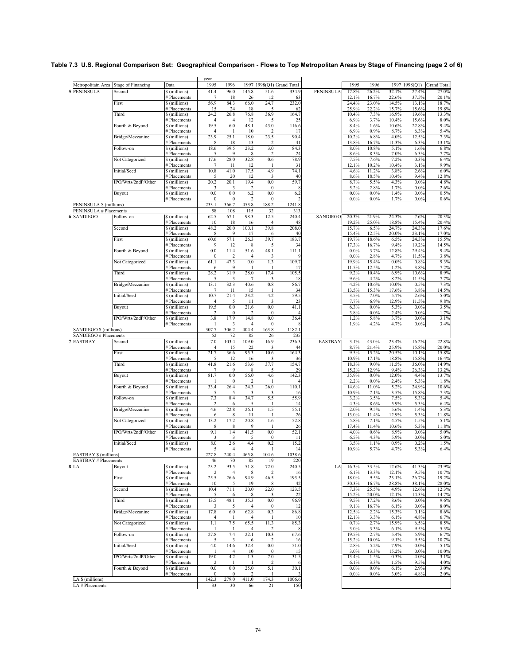|                                    |                     |                                    | year                  |                        |                                |                     |                           |                  |                |                 |                |                |                    |
|------------------------------------|---------------------|------------------------------------|-----------------------|------------------------|--------------------------------|---------------------|---------------------------|------------------|----------------|-----------------|----------------|----------------|--------------------|
| Metropolitain Area                 | Stage of Financing  | Data                               | 1995                  | 1996                   |                                |                     | 1997 1998(Q1) Grand Total |                  | 1995           | 1996            |                | 1997 1998(Q1)  | <b>Grand Total</b> |
| <b>PENINSULA</b>                   | Second              | \$ (millions)                      | 41.4                  | 96.0                   | 145.8                          | 51.6                | 334.9                     | <b>PENINSULA</b> | 17.8%          | 26.2%           | 32.1%          | 27.4%          | 27.0%              |
|                                    | First               | # Placements<br>\$(millions)       | 7<br>56.9             | 18<br>84.3             | 26<br>66.0                     | 12<br>24.7          | 63<br>232.0               |                  | 12.1%<br>24.4% | 16.7%<br>23.0%  | 22.6%<br>14.5% | 37.5%<br>13.1% | 20.1%<br>18.7%     |
|                                    |                     | # Placements                       | 15                    | 24                     | 18                             | 5                   | 62                        |                  | 25.9%          | 22.2%           | 15.7%          | 15.6%          | 19.8%              |
|                                    | Third               | \$(millions)                       | 24.2                  | 26.8                   | 76.8                           | 36.9                | 164.7                     |                  | 10.4%          | 7.3%            | 16.9%          | 19.6%          | 13.3%              |
|                                    | Fourth & Beyond     | # Placements<br>\$(millions)       | 4<br>19.5             | $\overline{4}$<br>6.0  | 12<br>48.1                     | 43.0                | 25<br>116.6               |                  | 6.9%<br>8.4%   | 3.7%<br>1.6%    | 10.4%<br>10.6% | 15.6%<br>22.8% | 8.0%<br>9.4%       |
|                                    |                     | # Placements                       | 4                     | -1                     | 10                             | 2                   | 17                        |                  | 6.9%           | 0.9%            | 8.7%           | 6.3%           | 5.4%               |
|                                    | Bridge/Mezzanine    | \$(millions)                       | 23.9                  | 25.1                   | 18.0                           | 23.5<br>2           | 90.4<br>41                |                  | 10.2%          | 6.8%            | 4.0%           | 12.5%          | 7.3%               |
|                                    | Follow-on           | <b>Placements</b><br>\$ (millions) | 8<br>18.6             | 18<br>39.5             | 13<br>23.2                     | 3.0                 | 84.3                      |                  | 13.8%<br>8.0%  | 16.7%<br>10.8%  | 11.3%<br>5.1%  | 6.3%<br>1.6%   | 13.1%<br>6.8%      |
|                                    |                     | <b>Placements</b>                  | 5                     | 9                      | 8                              | 2                   | 24                        |                  | 8.6%           | 8.3%            | 7.0%           | 6.3%           | 7.7%               |
|                                    | Not Categorized     | \$(millions)                       | 17.6                  | 28.0                   | 32.8                           | 0.6                 | 78.9                      |                  | 7.5%           | 7.6%            | 7.2%           | 0.3%           | 6.4%               |
|                                    | Initial/Seed        | # Placements<br>\$(millions)       | 7<br>10.8             | 11<br>41.0             | 12<br>17.5                     | 4.9                 | 31<br>74.1                |                  | 12.1%<br>4.6%  | 10.2%<br>11.2%  | 10.4%<br>3.8%  | 3.1%<br>2.6%   | 9.9%<br>6.0%       |
|                                    |                     | # Placements                       | 5                     | 20                     | 12                             | 3                   | 40                        |                  | 8.6%           | 18.5%           | 10.4%          | 9.4%           | 12.8%              |
|                                    | IPO/Wrts/2ndP/Other | \$(millions)                       | 20.2                  | 20.1                   | 19.4                           | 0.0                 | 59.7                      |                  | 8.7%           | 5.5%            | 4.3%           | $0.0\%$        | 4.8%               |
|                                    | Buyout              | # Placements<br>\$(millions)       | 3<br>0.0              | 3<br>0.0               | $\overline{\mathbf{c}}$<br>6.2 | 0.0                 | 8<br>6.2                  |                  | 5.2%<br>0.0%   | 2.8%<br>$0.0\%$ | 1.7%<br>1.4%   | 0.0%<br>0.0%   | 2.6%<br>0.5%       |
|                                    |                     | # Placements                       | 0                     | $\mathbf{0}$           | $\overline{\mathbf{c}}$        | $\theta$            | $\overline{\mathbf{c}}$   |                  | $0.0\%$        | $0.0\%$         | 1.7%           | $0.0\%$        | 0.6%               |
| PENINSULA \$ (millions)            |                     |                                    | 233.1                 | 366.7                  | 453.8                          | 188.2               | 1241.8                    |                  |                |                 |                |                |                    |
| PENINSULA # Placements<br>SANDIEGO | Follow-on           | \$ (millions)                      | 58<br>62.5            | 108<br>67.1            | 115<br>98.3                    | 32<br>12.5          | 313<br>240.4              | SANDIEGO         | 20.3%          | 21.9%           | 24.3%          | 7.6%           | 20.3%              |
|                                    |                     | # Placements                       | 10                    | 18                     | 16                             | 4                   | 48                        |                  | 19.2%          | 25.0%           | 18.8%          | 15.4%          | 20.4%              |
|                                    | Second              | \$(millions)                       | 48.2                  | 20.0                   | 100.1                          | 39.8                | 208.0                     |                  | 15.7%          | 6.5%            | 24.7%          | 24.3%          | 17.6%              |
|                                    | First               | # Placements<br>\$(millions)       | 8<br>60.6             | 9<br>57.1              | 17<br>26.3                     | 6<br>39.7           | 40<br>183.7               |                  | 15.4%<br>19.7% | 12.5%<br>18.6%  | 20.0%<br>6.5%  | 23.1%<br>24.3% | 17.0%<br>15.5%     |
|                                    |                     | # Placements                       | 9                     | 12                     | 8                              | 5                   | 34                        |                  | 17.3%          | 16.7%           | 9.4%           | 19.2%          | 14.5%              |
|                                    | Fourth & Beyond     | \$(millions)                       | 0.0                   | 11.4                   | 51.6                           | 48.1                | 111.1                     |                  | 0.0%           | 3.7%            | 12.8%          | 29.4%          | 9.4%               |
|                                    | Not Categorized     | # Placements<br>\$(millions)       | $\Omega$<br>61.1      | 2<br>47.3              | $\overline{4}$<br>0.0          | 3<br>1.3            | q<br>109.7                |                  | 0.0%<br>19.9%  | 2.8%<br>15.4%   | 4.7%<br>0.0%   | 11.5%<br>0.8%  | 3.8%<br>9.3%       |
|                                    |                     | # Placements                       | 6                     | 9                      | -1                             |                     | 17                        |                  | 11.5%          | 12.5%           | 1.2%           | 3.8%           | 7.2%               |
|                                    | Third               | \$(millions)                       | 28.2                  | 31.9                   | 28.0                           | 17.4                | 105.5                     |                  | 9.2%           | 10.4%           | 6.9%           | 10.6%          | 8.9%               |
|                                    | Bridge/Mezzanine    | # Placements                       | 5<br>13.1             | 3<br>32.3              | 7<br>40.6                      | 3<br>0.8            | 18<br>86.7                |                  | 9.6%<br>4.2%   | 4.2%<br>10.6%   | 8.2%<br>10.0%  | 11.5%<br>0.5%  | 7.7%<br>7.3%       |
|                                    |                     | \$ (millions)<br># Placements      | $7\phantom{.0}$       | 11                     | 15                             |                     | 34                        |                  | 13.5%          | 15.3%           | 17.6%          | 3.8%           | 14.5%              |
|                                    | Initial/Seed        | \$(millions)                       | 10.7                  | 21.4                   | 23.2                           | 4.2                 | 59.5                      |                  | 3.5%           | 7.0%            | 5.7%           | 2.6%           | 5.0%               |
|                                    | Buyout              | # Placements<br>\$(millions)       | 4<br>19.5             | 5<br>0.0               | 11<br>21.6                     | 3<br>0.0            | 23<br>41.1                |                  | 7.7%<br>6.3%   | 6.9%<br>$0.0\%$ | 12.9%<br>5.3%  | 11.5%<br>0.0%  | 9.8%<br>3.5%       |
|                                    |                     | # Placements                       | 2                     | $\boldsymbol{0}$       | $\overline{\mathbf{c}}$        | $\boldsymbol{0}$    |                           |                  | 3.8%           | $0.0\%$         | 2.4%           | 0.0%           | 1.7%               |
|                                    | IPO/Wrts/2ndP/Other | \$(millions)                       | 3.8                   | 17.9                   | 14.8                           | 0.0                 | 36.4                      |                  | 1.2%           | 5.8%            | 3.7%           | 0.0%           | 3.1%               |
| SANDIEGO \$ (millions)             |                     | # Placements                       | 307.7                 | 3<br>306.2             | $\overline{4}$<br>404.4        | $\epsilon$<br>163.8 | 1182.1                    |                  | 1.9%           | 4.2%            | 4.7%           | $0.0\%$        | 3.4%               |
| <b>SANDIEGO</b> # Placements       |                     |                                    | 52                    | 72                     | 85                             | 26                  | 235                       |                  |                |                 |                |                |                    |
| <b>EASTBAY</b>                     | Second              | \$ (millions)                      | 7.0                   | 103.4                  | 109.0                          | 16.9                | 236.3                     | <b>EASTBAY</b>   | 3.1%           | 43.0%           | 23.4%          | 16.2%          | 22.8%              |
|                                    |                     | # Placements                       | 4                     | 15<br>36.6             | 22<br>95.3                     |                     | 44                        |                  | 8.7%<br>9.5%   | 21.4%           | 25.9%<br>20.5% | 15.8%          | 20.0%              |
|                                    | First               | \$(millions)<br># Placements       | 21.7<br>5             | 12                     | 16                             | 10.6                | 164.3<br>36               |                  | 10.9%          | 15.2%<br>17.1%  | 18.8%          | 10.1%<br>15.8% | 15.8%<br>16.4%     |
|                                    | Third               | \$(millions)                       | 41.8                  | 21.6                   | 53.6                           | 37.7                | 154.7                     |                  | 18.3%          | 9.0%            | 11.5%          | 36.0%          | 14.9%              |
|                                    |                     | # Placements                       | 7<br>81.7             | 9<br>0.0               | 8<br>56.0                      | 5<br>4.6            | 29<br>142.3               |                  | 15.2%<br>35.9% | 12.9%<br>0.0%   | 9.4%<br>12.0%  | 26.3%<br>4.4%  | 13.2%<br>13.7%     |
|                                    | Buyout              | \$(millions)<br># Placements       |                       | $\bf{0}$               | $\overline{\mathbf{c}}$        |                     |                           |                  | 2.2%           | 0.0%            | 2.4%           | 5.3%           | 1.8%               |
|                                    | Fourth & Beyond     | \$(millions)                       | 33.4                  | 26.4                   | 24.3                           | 26.0                | 110.1                     |                  | 14.6%          | 11.0%           | 5.2%           | 24.9%          | 10.6%              |
|                                    | Follow-on           | # Placements                       | 5                     | 5<br>8.4               | 3<br>34.7                      | 3                   | 16                        |                  | 10.9%          | 7.1%<br>3.5%    | 3.5%<br>7.5%   | 15.8%          | 7.3%               |
|                                    |                     | \$ (millions)<br># Placements      | 7.3<br>$\overline{2}$ | 6                      | 5                              | 5.5                 | 55.9<br>14                |                  | 3.2%<br>4.3%   | 8.6%            | 5.9%           | 5.3%<br>5.3%   | 5.4%<br>6.4%       |
|                                    | Bridge/Mezzanine    | \$ (millions)                      | 4.6                   | 22.8                   | 26.1                           | 1.5                 | 55.1                      |                  | 2.0%           | 9.5%            | 5.6%           | 1.4%           | 5.3%               |
|                                    | Not Categorized     | # Placements                       | 6<br>13.2             | 8<br>17.2              | 11<br>20.8                     |                     | 26<br>52.8                |                  | 13.0%          | 11.4%<br>7.1%   | 12.9%<br>4.5%  | 5.3%<br>1.5%   | 11.8%              |
|                                    |                     | \$(millions)<br># Placements       | 8                     | 8                      | 9                              | 1.6                 | 26                        |                  | 5.8%<br>17.4%  | 11.4%           | 10.6%          | 5.3%           | 5.1%<br>11.8%      |
|                                    | IPO/Wrts/2ndP/Other | \$(millions)                       | 9.1                   | 1.4                    | 41.5                           | 0.0                 | 52.1                      |                  | 4.0%           | 0.6%            | 8.9%           | 0.0%           | 5.0%               |
|                                    |                     | # Placements                       | 3<br>8.0              | 3<br>2.6               | 5<br>4.4                       | $\theta$            | 11                        |                  | 6.5%<br>3.5%   | 4.3%<br>1.1%    | 5.9%<br>0.9%   | $0.0\%$        | 5.0%               |
|                                    | Initial/Seed        | \$(millions)<br># Placements       | 5                     | $\overline{4}$         | $\overline{4}$                 | 0.2<br>-1           | 15.2<br>14                |                  | 10.9%          | 5.7%            | 4.7%           | 0.2%<br>5.3%   | 1.5%<br>6.4%       |
| <b>EASTBAY \$ (millions)</b>       |                     |                                    | 227.8                 | 240.4                  | 465.8                          | 104.6               | 1038.6                    |                  |                |                 |                |                |                    |
| <b>EASTBAY # Placements</b>        |                     |                                    | 46                    | 70                     | 85                             | 19                  | 220                       |                  |                |                 |                |                |                    |
| <b>8</b> LA                        | Buyout              | \$(millions)<br># Placements       | 23.2<br>2             | 93.5<br>$\overline{4}$ | 51.8<br>8                      | 72.0                | 240.5<br>16               | LA               | 16.3%<br>6.1%  | 33.5%<br>13.3%  | 12.6%<br>12.1% | 41.3%<br>9.5%  | 23.9%<br>10.7%     |
|                                    | First               | \$(millions)                       | 25.5                  | 26.6                   | 94.9                           | 46.5                | 193.5                     |                  | 18.0%          | 9.5%            | 23.1%          | 26.7%          | 19.2%              |
|                                    |                     | # Placements                       | 10                    | 5                      | 19                             |                     | 42                        |                  | 30.3%          | 16.7%           | 28.8%          | 38.1%          | 28.0%              |
|                                    | Second              | \$(millions)<br># Placements       | 10.4<br>5             | 71.1<br>6              | 20.0                           | 22.0                | 123.5<br>22               |                  | 7.3%<br>15.2%  | 25.5%<br>20.0%  | 4.9%<br>12.1%  | 12.6%<br>14.3% | 12.3%<br>14.7%     |
|                                    | Third               | \$(millions)                       | 13.5                  | 48.1                   | 8<br>35.3                      | 0.0                 | 96.9                      |                  | 9.5%           | 17.2%           | 8.6%           | $0.0\%$        | 9.6%               |
|                                    |                     | # Placements                       | 3                     | 5                      | 4                              | $\theta$            | 12                        |                  | 9.1%           | 16.7%           | 6.1%           | 0.0%           | 8.0%               |
|                                    | Bridge/Mezzanine    | \$ (millions)                      | 17.8                  | 6.0                    | 62.8                           | 0.3                 | 86.8                      |                  | 12.5%          | 2.2%            | 15.3%          | 0.1%           | 8.6%               |
|                                    | Not Categorized     | # Placements<br>\$(millions)       | 4<br>1.1              | -1<br>7.5              | 4<br>65.5                      | 11.3                | 10<br>85.3                |                  | 12.1%<br>0.7%  | 3.3%<br>2.7%    | 6.1%<br>15.9%  | 4.8%<br>6.5%   | 6.7%<br>8.5%       |
|                                    |                     | # Placements                       |                       |                        | 4                              |                     | 8                         |                  | $3.0\%$        | 3.3%            | 6.1%           | 9.5%           | 5.3%               |
|                                    | Follow-on           | \$ (millions)                      | 27.8                  | 7.4                    | 22.1                           | 10.3                | 67.6                      |                  | 19.5%          | 2.7%            | 5.4%           | 5.9%           | 6.7%               |
|                                    | Initial/Seed        | # Placements<br>\$ (millions)      | 5<br>4.0              | 3<br>14.6              | 6<br>32.4                      | 0.0                 | 16<br>51.0                |                  | 15.2%<br>2.8%  | 10.0%<br>5.2%   | 9.1%<br>7.9%   | 9.5%<br>0.0%   | 10.7%<br>5.1%      |
|                                    |                     | # Placements                       |                       | 4                      | 10                             | -0                  | 15                        |                  | 3.0%           | 13.3%           | 15.2%          | $0.0\%$        | 10.0%              |
|                                    | IPO/Wrts/2ndP/Other | \$ (millions)                      | 19.0                  | 4.2                    | 1.3                            | 7.0                 | 31.5                      |                  | 13.4%          | 1.5%            | 0.3%           | 4.0%           | 3.1%               |
|                                    | Fourth & Beyond     | # Placements<br>\$(millions)       | 2<br>0.0              | 0.0                    | 25.0                           | 5.1                 | -6<br>30.1                |                  | 6.1%<br>0.0%   | 3.3%<br>$0.0\%$ | 1.5%<br>6.1%   | 9.5%<br>2.9%   | 4.0%<br>3.0%       |
|                                    |                     | # Placements                       | 0                     | $\bf{0}$               | $\overline{2}$                 |                     | 3                         |                  | $0.0\%$        | $0.0\%$         | 3.0%           | 4.8%           | 2.0%               |
| LA \$ (millions)                   |                     |                                    | 142.3                 | 279.0                  | 411.0                          | 174.3               | 1006.6                    |                  |                |                 |                |                |                    |
| LA # Placements                    |                     |                                    | 33                    | 30                     | 66                             | 21                  | 150                       |                  |                |                 |                |                |                    |

#### **Table 7.3 U.S. Regional Comparison Set: Geographical Comparison - Flows to Top Metropolitan Areas by Stage of Financing (page 2 of 6)**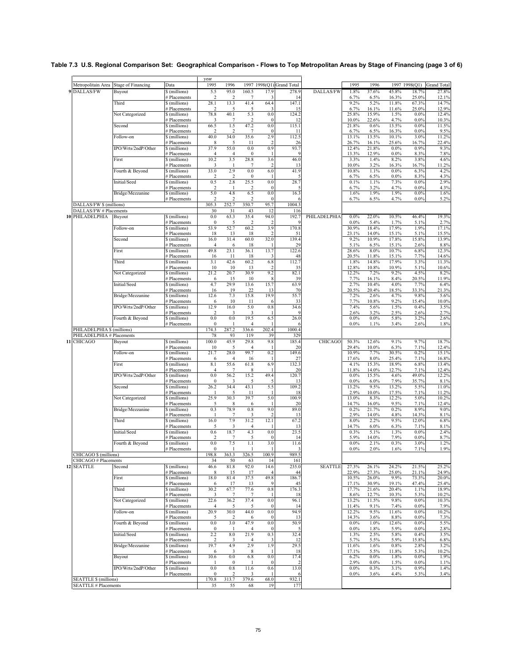|                                               |                     |                                    | year                   |                        |                                 |                           |                           |                |                 |                 |                 |                 |                    |
|-----------------------------------------------|---------------------|------------------------------------|------------------------|------------------------|---------------------------------|---------------------------|---------------------------|----------------|-----------------|-----------------|-----------------|-----------------|--------------------|
| Metropolitain Area                            | Stage of Financing  | Data                               | 1995                   | 1996                   |                                 |                           | 1997 1998(Q1) Grand Total |                | 1995            | 1996            |                 | 1997 1998(Q1)   | <b>Grand Total</b> |
| <b>DALLAS/FW</b><br>9                         | Buyout              | \$(millions)<br># Placements       | 5.5<br>$\overline{2}$  | 95.0<br>$\overline{2}$ | 160.5<br>$\overline{7}$         | 17.9<br>3                 | 278.9<br>14               | DALLAS/FW      | 1.8%<br>6.7%    | 37.6%<br>6.5%   | 45.8%<br>16.3%  | 18.7%<br>25.0%  | 27.8%<br>12.1%     |
|                                               | Third               | \$(millions)                       | 28.1                   | 13.3                   | 41.4                            | 64.4                      | 147.1                     |                | 9.2%            | 5.2%            | 11.8%           | 67.3%           | 14.7%              |
|                                               | Not Categorized     | # Placements<br>\$(millions)       | 2<br>78.8              | 5<br>40.1              | 5<br>5.3                        | 3<br>0.0                  | 15<br>124.2               |                | 6.7%<br>25.8%   | 16.1%<br>15.9%  | 11.6%<br>1.5%   | 25.0%<br>0.0%   | 12.9%<br>12.4%     |
|                                               |                     | Placements                         | 3                      | 7                      | $\overline{2}$                  | $\mathbf{0}$              | 12                        |                | 10.0%           | 22.6%           | 4.7%            | 0.0%            | 10.3%              |
|                                               | Second              | \$(millions)                       | 66.5                   | 1.5                    | 47.2                            | 0.0                       | 115.1                     |                | 21.8%           | 0.6%            | 13.5%           | 0.0%            | 11.5%              |
|                                               | Follow-on           | # Placements<br>\$ (millions)      | 2<br>40.0              | 2<br>34.0              | 7<br>35.6                       | $\mathbf{0}$<br>2.9       | 11<br>112.5               |                | 6.7%<br>13.1%   | 6.5%<br>13.5%   | 16.3%<br>10.1%  | $0.0\%$<br>3.0% | 9.5%<br>11.2%      |
|                                               |                     | # Placements                       | 8                      | 5                      | 11                              | $\overline{c}$            | 26                        |                | 26.7%           | 16.1%           | 25.6%           | 16.7%           | 22.4%              |
|                                               | IPO/Wrts/2ndP/Other | \$(millions)                       | 37.9                   | 55.0                   | 0.0                             | 0.9                       | 93.7                      |                | 12.4%           | 21.8%           | 0.0%            | 0.9%            | 9.3%               |
|                                               | First               | # Placements<br>\$(millions)       | $\overline{4}$<br>10.2 | $\overline{4}$<br>3.5  | $\boldsymbol{0}$<br>28.8        | -1<br>3.6                 | 46.0                      |                | 13.3%<br>3.3%   | 12.9%<br>1.4%   | $0.0\%$<br>8.2% | 8.3%<br>3.8%    | 7.8%<br>4.6%       |
|                                               |                     | Placements                         | 3                      | 1                      | 7                               | $\overline{c}$            | 13                        |                | 10.0%           | 3.2%            | 16.3%           | 16.7%           | 11.2%              |
|                                               | Fourth & Beyond     | \$ (millions)                      | 33.0<br>2              | 2.9                    | 0.0                             | 6.0<br>-1                 | 41.9                      |                | 10.8%           | 1.1%            | 0.0%<br>0.0%    | 6.3%            | 4.2%               |
|                                               | Initial/Seed        | # Placements<br>\$(millions)       | 0.5                    | $\overline{c}$<br>2.8  | $\bf{0}$<br>25.5                | 0.0                       | 5<br>28.7                 |                | 6.7%<br>0.1%    | 6.5%<br>1.1%    | 7.3%            | 8.3%<br>0.0%    | 4.3%<br>2.9%       |
|                                               |                     | # Placements                       | $\overline{2}$         |                        | $\overline{2}$                  | $\mathbf{0}$              |                           |                | 6.7%            | 3.2%            | 4.7%            | 0.0%            | 4.3%               |
|                                               | Bridge/Mezzanine    | \$ (millions)<br># Placements      | 5.0<br>$\overline{c}$  | 4.8<br>$\overline{c}$  | 6.5<br>$\overline{\mathbf{c}}$  | 0.0<br>$\mathbf{0}$       | 16.3<br>6                 |                | 1.6%<br>6.7%    | 1.9%<br>6.5%    | 1.9%<br>4.7%    | 0.0%<br>0.0%    | 1.6%<br>5.2%       |
| DALLAS/FW \$ (millions)                       |                     |                                    | 305.3                  | 252.7                  | 350.7                           | 95.7                      | 1004.3                    |                |                 |                 |                 |                 |                    |
| DALLAS/FW # Placements                        |                     |                                    | 30                     | 31                     | 43                              | 12                        | 116                       |                |                 |                 |                 |                 |                    |
| PHILADELPHIA                                  | Buyout              | \$(millions)                       | 0.0                    | 63.3<br>5              | 35.4<br>$\overline{\mathbf{c}}$ | 94.0                      | 192.7<br>-9               | PHILADELPHIA   | $0.0\%$<br>0.0% | 22.0%<br>5.4%   | 10.5%<br>1.7%   | 46.4%<br>5.1%   | 19.3%<br>2.7%      |
|                                               | Follow-on           | # Placements<br>\$ (millions)      | $\bf{0}$<br>53.9       | 52.7                   | 60.2                            | 3.9                       | 170.8                     |                | 30.9%           | 18.4%           | 17.9%           | 1.9%            | 17.1%              |
|                                               |                     | <b>Placements</b>                  | 18                     | 13                     | 18                              | $\overline{2}$            | 51                        |                | 23.1%           | 14.0%           | 15.1%           | 5.1%            | 15.5%              |
|                                               | Second              | \$(millions)<br># Placements       | 16.0<br>4              | 31.4<br>6              | 60.0<br>18                      | 32.0                      | 139.4<br>29               |                | 9.2%<br>5.1%    | 10.9%<br>6.5%   | 17.8%<br>15.1%  | 15.8%<br>2.6%   | 13.9%<br>8.8%      |
|                                               | First               | \$(millions)                       | 49.8                   | 23.1                   | 36.1                            | 13.7                      | 122.6                     |                | 28.6%           | 8.0%            | 10.7%           | 6.8%            | 12.3%              |
|                                               |                     | <b>Placements</b>                  | 16                     | 11                     | 18                              | 3                         | 48                        |                | 20.5%           | 11.8%           | 15.1%           | 7.7%            | 14.6%              |
|                                               | Third               | \$(millions)<br># Placements       | 3.1<br>10              | 42.6<br>10             | 60.2<br>13                      | 6.8<br>$\overline{2}$     | 112.7<br>35               |                | 1.8%<br>12.8%   | 14.8%<br>10.8%  | 17.9%<br>10.9%  | 3.3%<br>5.1%    | 11.3%<br>10.6%     |
|                                               | Not Categorized     | \$ (millions)                      | 21.2                   | 20.7                   | 30.9                            | 9.2                       | 82.1                      |                | 12.2%           | 7.2%            | 9.2%            | 4.5%            | 8.2%               |
|                                               |                     | # Placements                       | 6                      | 15                     | 10                              | 8                         | 39                        |                | 7.7%            | 16.1%           | 8.4%            | 20.5%           | 11.9%              |
|                                               | Initial/Seed        | \$(millions)<br># Placements       | 4.7<br>16              | 29.9<br>19             | 13.6<br>22                      | 15.7<br>13                | 63.9<br>70                |                | 2.7%<br>20.5%   | 10.4%<br>20.4%  | 4.0%<br>18.5%   | 7.7%<br>33.3%   | 6.4%<br>21.3%      |
|                                               | Bridge/Mezzanine    | \$ (millions)                      | 12.6                   | 7.3                    | 15.8                            | 19.9                      | 55.7                      |                | 7.2%            | 2.6%            | 4.7%            | 9.8%            | 5.6%               |
|                                               | IPO/Wrts/2ndP/Other | <b>Placements</b><br>\$ (millions) | 6                      | 10                     | 11<br>5.0                       | 6<br>0.8                  | 33<br>34.6                |                | 7.7%            | 10.8%           | 9.2%<br>1.5%    | 15.4%<br>0.4%   | 10.0%              |
|                                               |                     | # Placements                       | 12.9<br>2              | 16.0<br>3              | 3                               | -1                        | 9                         |                | 7.4%<br>2.6%    | 5.6%<br>3.2%    | 2.5%            | 2.6%            | 3.5%<br>2.7%       |
|                                               | Fourth & Beyond     | \$(millions)                       | 0.0                    | 0.0                    | 19.5                            | 6.5                       | 26.0                      |                | 0.0%            | $0.0\%$         | 5.8%            | 3.2%            | 2.6%               |
| PHILADELPHIA \$ (millions)                    |                     | # Placements                       | $\bf{0}$<br>174.3      | -1<br>287.2            | $\overline{4}$<br>336.6         | 202.4                     | 1000.4                    |                | 0.0%            | 1.1%            | 3.4%            | 2.6%            | 1.8%               |
| PHILADELPHIA # Placements                     |                     |                                    | 78                     | 93                     | 119                             | 39                        | 329                       |                |                 |                 |                 |                 |                    |
| 11 CHICAGO                                    | Buyout              | \$(millions)                       | 100.0                  | 45.9                   | 29.8                            | 9.8                       | 185.4                     | <b>CHICAGO</b> | 50.3%           | 12.6%           | 9.1%            | 9.7%            | 18.7%              |
|                                               | Follow-on           | <b>Placements</b><br>\$ (millions) | 10<br>21.7             | 5<br>28.0              | 4<br>99.7                       | 0.2                       | 20<br>149.6               |                | 29.4%<br>10.9%  | 10.0%<br>7.7%   | 6.3%<br>30.5%   | 7.1%<br>0.2%    | 12.4%<br>15.1%     |
|                                               |                     | # Placements                       | 6                      | 4                      | 16                              | -1                        | 27                        |                | 17.6%           | 8.0%            | 25.4%           | 7.1%            | 16.8%              |
|                                               | First               | \$(millions)                       | 8.1                    | 55.6                   | 61.8                            | 6.9                       | 132.3                     |                | 4.1%            | 15.3%           | 18.9%           | 6.8%            | 13.4%              |
|                                               | IPO/Wrts/2ndP/Other | # Placements<br>\$ (millions)      | 4<br>0.0               | 7<br>56.2              | 8<br>15.2                       | 49.4                      | 20<br>120.7               |                | 11.8%<br>0.0%   | 14.0%<br>15.5%  | 12.7%<br>4.6%   | 7.1%<br>49.0%   | 12.4%<br>12.2%     |
|                                               |                     | # Placements                       | $\bf{0}$               | 3                      | 5                               | 5                         | 13                        |                | $0.0\%$         | 6.0%            | 7.9%            | 35.7%           | 8.1%               |
|                                               | Second              | \$(millions)                       | 26.2                   | 34.4<br>5              | 43.1<br>11                      | 5.5                       | 109.2<br>18               |                | 13.2%<br>2.9%   | 9.5%<br>10.0%   | 13.2%<br>17.5%  | 5.5%<br>7.1%    | 11.0%<br>11.2%     |
|                                               | Not Categorized     | # Placements<br>\$(millions)       | 25.9                   | 30.3                   | 39.7                            | 5.0                       | 100.9                     |                | 13.0%           | 8.3%            | 12.2%           | 5.0%            | 10.2%              |
|                                               |                     | # Placements                       | 5                      | 8                      | 6                               |                           | 20                        |                | 14.7%           | 16.0%           | 9.5%            | 7.1%            | 12.4%              |
|                                               | Bridge/Mezzanine    | \$ (millions)<br># Placements      | 0.3<br>-1              | 78.9<br>$\overline{7}$ | 0.8<br>3                        | 9.0<br>$\overline{c}$     | 89.0<br>13                |                | 0.2%<br>2.9%    | 21.7%<br>14.0%  | 0.2%<br>4.8%    | 8.9%<br>14.3%   | 9.0%<br>8.1%       |
|                                               | Third               | \$(millions)                       | 16.0                   | 7.9                    | 31.2                            | 12.1                      | 67.2                      |                | 8.0%            | 2.2%            | 9.5%            | 12.0%           | 6.8%               |
|                                               |                     | # Placements                       | 5                      | 3                      | 4                               |                           | 13                        |                | 14.7%           | 6.0%            | 6.3%            | 7.1%            | 8.1%               |
|                                               | Initial/Seed        | \$(millions)<br>Placements         | 0.6<br>$\overline{2}$  | 18.7<br>7              | 4.3<br>5                        | 0.0<br>$\mathbf{0}$       | 23.5<br>14                |                | 0.3%<br>5.9%    | 5.1%<br>14.0%   | 1.3%<br>7.9%    | 0.0%<br>0.0%    | 2.4%<br>8.7%       |
|                                               | Fourth & Beyond     | \$(millions)                       | 0.0                    | 7.5                    | 1.1                             | 3.0                       | 11.6                      |                | $0.0\%$         | 2.1%            | 0.3%            | 3.0%            | 1.2%               |
|                                               |                     | # Placements                       | $\boldsymbol{0}$       | -1                     | 1                               |                           | 3                         |                | $0.0\%$         | 2.0%            | 1.6%            | 7.1%            | 1.9%               |
| CHICAGO \$ (millions)<br>CHICAGO # Placements |                     |                                    | 198.8<br>34            | 363.3<br>50            | 326.5<br>63                     | 100.9<br>14               | 989.5<br>161              |                |                 |                 |                 |                 |                    |
| 12 SEATTLE                                    | Second              | \$(millions)                       | 46.6                   | 81.8                   | 92.0                            | 14.6                      | 235.0                     | <b>SEATTLE</b> | 27.3%           | 26.1%           | 24.2%           | 21.5%           | 25.2%              |
|                                               |                     | # Placements                       | 8                      | 15                     | 17                              | 4                         | 44                        |                | 22.9%           | 27.3%           | 25.0%           | 21.1%           | 24.9%              |
|                                               | First               | \$(millions)<br># Placements       | 18.0<br>6              | 81.4<br>17             | 37.5<br>13                      | 49.8<br>9                 | 186.7<br>45               |                | 10.5%<br>17.1%  | 26.0%<br>30.9%  | 9.9%<br>19.1%   | 73.3%<br>47.4%  | 20.0%<br>25.4%     |
|                                               | Third               | \$(millions)                       | 30.2                   | 67.7                   | 77.6                            | 0.8                       | 176.3                     |                | 17.7%           | 21.6%           | 20.4%           | 1.1%            | 18.9%              |
|                                               |                     | # Placements                       | 3                      | 7                      | 7                               |                           | 18                        |                | 8.6%            | 12.7%           | 10.3%           | 5.3%            | 10.2%              |
|                                               | Not Categorized     | \$(millions)<br># Placements       | 22.6<br>$\overline{4}$ | 36.2<br>5              | 37.4<br>5                       | $0.0\,$<br>$\bf{0}$       | 96.1<br>14                |                | 13.2%<br>11.4%  | 11.5%<br>9.1%   | 9.8%<br>7.4%    | 0.0%<br>0.0%    | 10.3%<br>7.9%      |
|                                               | Follow-on           | \$(millions)                       | 20.9                   | 30.0                   | 44.0                            | $0.0\,$                   | 94.9                      |                | 12.2%           | 9.5%            | 11.6%           | $0.0\%$         | 10.2%              |
|                                               | Fourth & Beyond     | # Placements<br>\$(millions)       | 5<br>$0.0\,$           | 2<br>3.0               | 6<br>47.9                       | $\mathbf{0}$<br>$\rm 0.0$ | 13<br>50.9                |                | 14.3%<br>0.0%   | 3.6%<br>1.0%    | 8.8%<br>12.6%   | 0.0%<br>$0.0\%$ | 7.3%<br>5.5%       |
|                                               |                     | # Placements                       | 0                      |                        | 4                               | $\bf{0}$                  | 5                         |                | 0.0%            | 1.8%            | 5.9%            | 0.0%            | 2.8%               |
|                                               | Initial/Seed        | \$(millions)                       | 2.2                    | 8.0                    | 21.9                            | 0.3                       | 32.4                      |                | 1.3%            | 2.5%            | 5.8%            | 0.4%            | 3.5%               |
|                                               | Bridge/Mezzanine    | # Placements<br>\$ (millions)      | 2<br>19.7              | 3<br>4.9               | 4<br>2.9                        | 3<br>1.9                  | 12<br>29.5                |                | 5.7%<br>11.6%   | 5.5%<br>1.6%    | 5.9%<br>0.8%    | 15.8%<br>2.8%   | 6.8%<br>3.2%       |
|                                               |                     | # Placements                       | 6                      | 3                      | 8                               | -1                        | 18                        |                | 17.1%           | 5.5%            | 11.8%           | 5.3%            | 10.2%              |
|                                               | Buyout              | \$(millions)                       | 10.6                   | 0.0                    | 6.8                             | $0.0\,$                   | 17.4                      |                | 6.2%            | $0.0\%$         | 1.8%            | $0.0\%$         | 1.9%               |
|                                               | IPO/Wrts/2ndP/Other | # Placements<br>\$ (millions)      | 0.0                    | $\bf{0}$<br>0.8        | 1<br>11.6                       | $\bf{0}$<br>0.6           | 2<br>13.0                 |                | 2.9%<br>0.0%    | $0.0\%$<br>0.3% | 1.5%<br>3.1%    | 0.0%<br>0.9%    | 1.1%<br>1.4%       |
|                                               |                     | # Placements                       | $\bf{0}$               | $\overline{c}$         | 3                               |                           | 6                         |                | $0.0\%$         | 3.6%            | 4.4%            | 5.3%            | 3.4%               |
| <b>SEATTLE \$ (millions)</b>                  |                     |                                    | 170.8                  | 313.7                  | 379.6                           | 68.0                      | 932.1                     |                |                 |                 |                 |                 |                    |
| <b>SEATTLE # Placements</b>                   |                     |                                    | 35                     | 55                     | 68                              | 19                        | 177                       |                |                 |                 |                 |                 |                    |

#### **Table 7.3 U.S. Regional Comparison Set: Geographical Comparison - Flows to Top Metropolitan Areas by Stage of Financing (page 3 of 6)**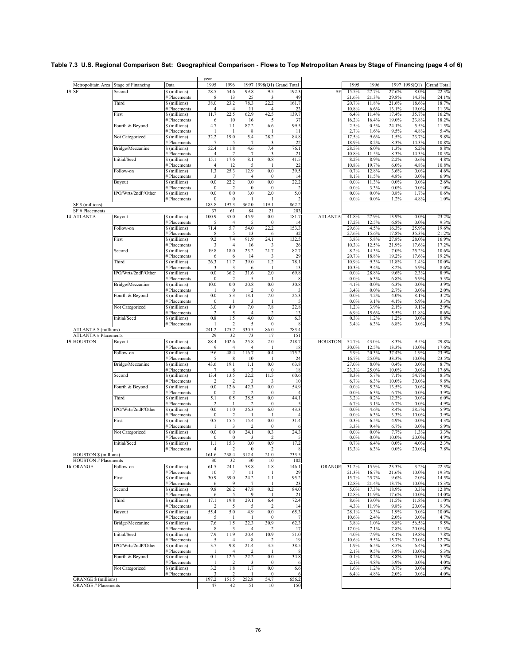|                                                            |                     |                                    | year                  |                         |                                 |                         |                           |                |                 |                 |                |                  |                    |
|------------------------------------------------------------|---------------------|------------------------------------|-----------------------|-------------------------|---------------------------------|-------------------------|---------------------------|----------------|-----------------|-----------------|----------------|------------------|--------------------|
| Metropolitain Area                                         | Stage of Financing  | Data                               | 1995                  | 1996                    |                                 |                         | 1997 1998(Q1) Grand Total |                | 1995            | 1996            |                | 1997 1998(Q1)    | <b>Grand Total</b> |
| SF<br>13                                                   | Second              | \$(millions)                       | 28.5                  | 54.6                    | 99.8                            | 9.5<br>3                | 192.3<br>49               | SF             | 15.5%           | 27.7%           | 27.6%          | 8.0%             | 22.3%<br>24.1%     |
|                                                            | Third               | # Placements<br>\$(millions)       | 8<br>38.0             | 13<br>23.2              | 25<br>78.3                      | 22.2                    | 161.7                     |                | 21.6%<br>20.7%  | 21.3%<br>11.8%  | 29.8%<br>21.6% | 14.3%<br>18.6%   | 18.7%              |
|                                                            |                     | # Placements                       | 4                     | 4                       | 11                              | $\overline{4}$          | 23                        |                | 10.8%           | 6.6%            | 13.1%          | 19.0%            | 11.3%              |
|                                                            | First               | \$(millions)                       | 11.7                  | 22.5                    | 62.9                            | 42.5<br>5               | 139.7<br>37               |                | 6.4%            | 11.4%<br>16.4%  | 17.4%<br>19.0% | 35.7%<br>23.8%   | 16.2%<br>18.2%     |
|                                                            | Fourth & Beyond     | Placements<br>\$ (millions)        | 6<br>4.7              | 10<br>1.1               | 16<br>87.2                      | 6.6                     | 99.5                      |                | 16.2%<br>2.5%   | 0.5%            | 24.1%          | 5.5%             | 11.5%              |
|                                                            |                     | # Placements                       | H                     | П                       | 8                               |                         | 11                        |                | 2.7%            | 1.6%            | 9.5%           | 4.8%             | 5.4%               |
|                                                            | Not Categorized     | \$ (millions)                      | 32.2                  | 19.0                    | 5.4                             | 28.2                    | 84.8                      |                | 17.5%           | 9.6%            | 1.5%           | 23.7%            | 9.8%               |
|                                                            | Bridge/Mezzanine    | <b>Placements</b><br>\$ (millions) | 7<br>52.4             | 5<br>11.8               | 7<br>4.6                        | 3<br>7.4                | 22<br>76.1                |                | 18.9%<br>28.5%  | 8.2%<br>6.0%    | 8.3%<br>1.3%   | 14.3%<br>6.2%    | 10.8%<br>8.8%      |
|                                                            |                     | # Placements                       | $\overline{4}$        | 7                       | 7                               | 3                       | 21                        |                | 10.8%           | 11.5%           | 8.3%           | 14.3%            | 10.3%              |
|                                                            | Initial/Seed        | \$(millions)                       | 15.1                  | 17.6                    | 8.1                             | 0.8                     | 41.5                      |                | 8.2%            | 8.9%            | 2.2%           | 0.6%             | 4.8%               |
|                                                            | Follow-on           | Placements<br>$\delta$ (millions)  | $\overline{4}$<br>1.3 | 12<br>25.3              | 5<br>12.9                       | -1<br>0.0               | 22<br>39.5                |                | 10.8%<br>0.7%   | 19.7%<br>12.8%  | 6.0%<br>3.6%   | 4.8%<br>0.0%     | 10.8%<br>4.6%      |
|                                                            |                     | # Placements                       | 3                     | 7                       | $\overline{4}$                  | $\mathbf{0}$            | 14                        |                | 8.1%            | 11.5%           | 4.8%           | 0.0%             | 6.9%               |
|                                                            | Buyout              | \$(millions)                       | 0.0                   | 22.2                    | 0.0                             | 0.0                     | 22.2<br>$\overline{2}$    |                | 0.0%            | 11.3%           | 0.0%           | 0.0%             | 2.6%               |
|                                                            | IPO/Wrts/2ndP/Other | # Placements<br>\$(millions)       | $\bf{0}$<br>0.0       | $\overline{2}$<br>0.0   | $\boldsymbol{0}$<br>3.0         | $\mathbf{0}$<br>2.0     | 5.0                       |                | 0.0%<br>0.0%    | 3.3%<br>$0.0\%$ | 0.0%<br>0.8%   | 0.0%<br>1.7%     | 1.0%<br>0.6%       |
|                                                            |                     | # Placements                       | $\bf{0}$              | $\theta$                | 1                               |                         | 2                         |                | 0.0%            | $0.0\%$         | 1.2%           | 4.8%             | 1.0%               |
| SF \$ (millions)                                           |                     |                                    | 183.8                 | 197.3                   | 362.0                           | 119.1                   | 862.2                     |                |                 |                 |                |                  |                    |
| SF # Placements<br><b>ATLANTA</b>                          | Buyout              | \$(millions)                       | 37<br>100.9           | 61<br>35.0              | 84<br>45.9                      | 21<br>0.0               | 203<br>181.7              | <b>ATLANTA</b> | 41.8%           | 27.9%           | 13.9%          | 0.0%             | 23.2%              |
|                                                            |                     | # Placements                       | 5                     | 4                       |                                 | $\Omega$                | 14                        |                | 17.2%           | 12.5%           | 6.8%           | 0.0%             | 9.3%               |
|                                                            | Follow-on           | \$ (millions)                      | 71.4                  | 5.7                     | 54.0                            | 22.2                    | 153.3                     |                | 29.6%           | 4.5%            | 16.3%          | 25.9%            | 19.6%              |
|                                                            | First               | <b>Placements</b><br>\$(millions)  | 8<br>9.2              | 5<br>7.4                | 13<br>91.9                      | 6<br>24.1               | 32<br>132.5               |                | 27.6%<br>3.8%   | 15.6%<br>5.8%   | 17.8%<br>27.8% | 35.3%<br>28.0%   | 21.2%<br>16.9%     |
|                                                            |                     | # Placements                       | 3                     | 4                       | 16                              | 3                       | 26                        |                | 10.3%           | 12.5%           | 21.9%          | 17.6%            | 17.2%              |
|                                                            | Second              | \$(millions)                       | 19.8                  | 18.0                    | 23.2                            | 21.7                    | 82.7                      |                | 8.2%            | 14.3%           | 7.0%           | 25.2%            | 10.6%              |
|                                                            | Third               | <b>Placements</b><br>\$(millions)  | 6<br>26.3             | 6<br>11.7               | 14<br>39.0                      | 3<br>1.2                | 29<br>78.1                |                | 20.7%<br>10.9%  | 18.8%<br>9.3%   | 19.2%<br>11.8% | 17.6%<br>1.4%    | 19.2%<br>10.0%     |
|                                                            |                     | # Placements                       | 3                     | 3                       | 6                               | -1                      | 13                        |                | 10.3%           | 9.4%            | 8.2%           | 5.9%             | 8.6%               |
|                                                            | IPO/Wrts/2ndP/Other | \$ (millions)                      | 0.0                   | 36.2                    | 31.6                            | 2.0                     | 69.8                      |                | 0.0%            | 28.8%           | 9.6%           | 2.3%             | 8.9%               |
|                                                            | Bridge/Mezzanine    | # Placements<br>\$(millions)       | $\bf{0}$<br>10.0      | $\overline{2}$<br>0.0   | 5<br>20.8                       | -1<br>0.0               | 8<br>30.8                 |                | 0.0%<br>4.1%    | 6.3%<br>$0.0\%$ | 6.8%<br>6.3%   | 5.9%<br>0.0%     | 5.3%<br>3.9%       |
|                                                            |                     | # Placements                       | -1                    | $\bf{0}$                | 2                               | $\mathbf{0}$            | в                         |                | 3.4%            | $0.0\%$         | 2.7%           | 0.0%             | 2.0%               |
|                                                            | Fourth & Beyond     | \$(millions)                       | 0.0                   | 5.3                     | 13.1                            | 7.0                     | 25.3                      |                | 0.0%            | 4.2%            | 4.0%           | 8.1%             | 3.2%               |
|                                                            | Not Categorized     | Placements<br>\$(millions)         | $\bf{0}$<br>3.0       | 4.9                     | 3<br>7.0                        | -1<br>7.8               | 5<br>22.8                 |                | 0.0%<br>1.2%    | 3.1%<br>3.9%    | 4.1%<br>2.1%   | 5.9%<br>9.1%     | 3.3%<br>2.9%       |
|                                                            |                     | # Placements                       | 2                     | 5                       | $\overline{4}$                  | $\overline{\mathbf{c}}$ | 13                        |                | 6.9%            | 15.6%           | 5.5%           | 11.8%            | 8.6%               |
|                                                            | Initial/Seed        | \$(millions)                       | 0.8                   | 1.5                     | 4.0                             | 0.0                     | 6.3                       |                | 0.3%            | 1.2%            | 1.2%           | 0.0%             | 0.8%               |
| <b>ATLANTA \$ (millions)</b>                               |                     | # Placements                       | -1<br>241.2           | $\overline{2}$<br>125.7 | 5<br>330.5                      | $\mathbf{0}$<br>86.0    | 8<br>783.4                |                | 3.4%            | 6.3%            | 6.8%           | $0.0\%$          | 5.3%               |
| <b>ATLANTA # Placements</b>                                |                     |                                    | 29                    | 32                      | 73                              | 17                      | 151                       |                |                 |                 |                |                  |                    |
| 15 HOUSTON                                                 | Buyout              | \$(millions)                       | 88.4<br>9             | 102.6                   | 25.8                            | 2.0                     | 218.7                     | <b>HOUSTON</b> | 54.7%           | 43.0%           | 8.3%           | 9.5%             | 29.8%              |
|                                                            | Follow-on           | † Placements<br>\$ (millions)      | 9.6                   | 4<br>48.4               | 4<br>116.7                      | 0.4                     | 18<br>175.2               |                | 30.0%<br>5.9%   | 12.5%<br>20.3%  | 13.3%<br>37.4% | 10.0%<br>1.9%    | 17.6%<br>23.9%     |
|                                                            |                     | # Placements                       | 5                     | 8                       | 10                              |                         | 24                        |                | 16.7%           | 25.0%           | 33.3%          | 10.0%            | 23.5%              |
|                                                            | Bridge/Mezzanine    | \$ (millions)                      | 43.6                  | 19.1                    | 1.1                             | 0.0                     | 63.8                      |                | 27.0%           | 8.0%            | 0.4%           | $0.0\%$          | 8.7%               |
|                                                            | Second              | # Placements<br>\$(millions)       | 7<br>13.4             | 8<br>13.5               | 3<br>22.2                       | $\bf{0}$<br>11.5        | 18<br>60.6                |                | 23.3%<br>8.3%   | 25.0%<br>5.7%   | 10.0%<br>7.1%  | 0.0%<br>54.7%    | 17.6%<br>8.3%      |
|                                                            |                     | # Placements                       | 2                     | 2                       | 3                               | 3                       | 10                        |                | 6.7%            | 6.3%            | 10.0%          | 30.0%            | 9.8%               |
|                                                            | Fourth & Beyond     | \$(millions)                       | 0.0                   | 12.6                    | 42.3                            | 0.0                     | 54.9                      |                | 0.0%            | 5.3%            | 13.5%          | $0.0\%$          | 7.5%               |
|                                                            | Third               | # Placements<br>\$(millions)       | $\bf{0}$<br>5.1       | 2<br>0.5                | $\overline{\mathbf{c}}$<br>38.5 | $\boldsymbol{0}$<br>0.0 | $\overline{4}$<br>44.1    |                | 0.0%<br>3.2%    | 6.3%<br>0.2%    | 6.7%<br>12.3%  | 0.0%<br>0.0%     | 3.9%<br>6.0%       |
|                                                            |                     | # Placements                       | 2                     |                         | $\overline{\mathbf{c}}$         | $\Omega$                |                           |                | 6.7%            | 3.1%            | 6.7%           | 0.0%             | 4.9%               |
|                                                            | IPO/Wrts/2ndP/Other | \$ (millions)<br># Placements      | 0.0<br>$\mathbf{0}$   | 11.0<br>$\overline{2}$  | 26.3                            | 6.0                     | 43.3                      |                | 0.0%<br>0.0%    | 4.6%<br>6.3%    | 8.4%<br>3.3%   | 28.5%<br>10.0%   | 5.9%<br>3.9%       |
|                                                            | First               | \$(millions)                       | 0.5                   | 15.5                    | 15.4                            | 0.0                     | 31.4                      |                | 0.3%            | 6.5%            | 4.9%           | $0.0\%$          | 4.3%               |
|                                                            |                     | # Placements                       | -1                    | 3                       | 2                               | $\mathbf{0}$            | 6                         |                | 3.3%            | 9.4%            | 6.7%           | 0.0%             | 5.9%               |
|                                                            | Not Categorized     | \$ (millions)                      | 0.0<br>$\mathbf{0}$   | 0.0<br>$\theta$         | 24.1<br>3                       | 0.3<br>$\overline{2}$   | 24.3                      |                | 0.0%<br>0.0%    | $0.0\%$<br>0.0% | 7.7%<br>10.0%  | 1.3%<br>20.0%    | 3.3%<br>4.9%       |
|                                                            | Initial/Seed        | Placements<br>\$(millions)         | 1.1                   | 15.3                    | 0.0                             | 0.9                     | 17.2                      |                | 0.7%            | 6.4%            | 0.0%           | 4.0%             | 2.3%               |
|                                                            |                     | # Placements                       | 4                     | 2                       | $\theta$                        | 2                       | 8                         |                | 13.3%           | 6.3%            | $0.0\%$        | 20.0%            | 7.8%               |
| <b>HOUSTON</b> § (millions)<br><b>HOUSTON # Placements</b> |                     |                                    | 161.6                 | 238.4                   | 312.4                           | 21.0<br>10              | 733.5<br>102              |                |                 |                 |                |                  |                    |
| 16 ORANGE                                                  | Follow-on           | \$(millions)                       | 30<br>61.5            | 32<br>24.1              | 30<br>58.8                      | 1.8                     | 146.1                     | ORANGE         | 31.2%           | 15.9%           | 23.3%          | 3.2%             | 22.3%              |
|                                                            |                     | # Placements                       | 10                    | 7                       | 11                              | -1                      | 29                        |                | 21.3%           | 16.7%           | 21.6%          | 10.0%            | 19.3%              |
|                                                            | First               | \$(millions)                       | 30.9                  | 39.0                    | 24.2                            | 1.1                     | 95.2                      |                | 15.7%           | 25.7%           | 9.6%           | 2.0%             | 14.5%              |
|                                                            | Second              | # Placements<br>$s$ (millions)     | 6<br>9.8              | 9<br>26.2               | 7<br>47.8                       | 1<br>0.2                | 23<br>84.0                |                | 12.8%<br>5.0%   | 21.4%<br>17.3%  | 13.7%<br>18.9% | 10.0%<br>0.3%    | 15.3%<br>12.8%     |
|                                                            |                     | # Placements                       | 6                     | 5                       | 9                               | -1                      | 21                        |                | 12.8%           | 11.9%           | 17.6%          | 10.0%            | 14.0%              |
|                                                            | Third               | \$(millions)                       | 17.1                  | 19.8                    | 29.1                            | 6.4                     | 72.4                      |                | 8.6%            | 13.0%           | 11.5%          | 11.8%            | 11.0%              |
|                                                            | Buyout              | # Placements<br>\$(millions)       | 2<br>55.4             | 5<br>5.0                | 5<br>4.9                        | 2<br>$0.0\,$            | 14<br>65.3                |                | 4.3%<br>28.1%   | 11.9%<br>3.3%   | 9.8%<br>1.9%   | 20.0%<br>0.0%    | 9.3%<br>10.0%      |
|                                                            |                     | # Placements                       | 5                     |                         |                                 | $\mathbf{0}$            | 7                         |                | 10.6%           | 2.4%            | 2.0%           | 0.0%             | 4.7%               |
|                                                            | Bridge/Mezzanine    | \$ (millions)                      | 7.6                   | 1.5                     | 22.3                            | 30.9                    | 62.3                      |                | 3.8%            | 1.0%            | 8.8%           | 56.5%            | 9.5%               |
|                                                            | Initial/Seed        | # Placements<br>\$(millions)       | 8<br>7.9              | 3<br>11.9               | 4<br>20.4                       | 10.9                    | 17<br>51.0                |                | 17.0%<br>4.0%   | 7.1%<br>7.9%    | 7.8%<br>8.1%   | 20.0%<br>19.8%   | 11.3%<br>7.8%      |
|                                                            |                     | # Placements                       | 5                     | 4                       | 8                               | 2                       | 19                        |                | 10.6%           | 9.5%            | 15.7%          | 20.0%            | 12.7%              |
|                                                            | IPO/Wrts/2ndP/Other | \$ (millions)                      | 3.7                   | 9.8                     | 21.4                            | 3.5                     | 38.5                      |                | 1.9%            | 6.5%            | 8.5%           | 6.4%             | 5.9%               |
|                                                            | Fourth & Beyond     | # Placements<br>\$(millions)       | -1<br>0.1             | 4<br>12.5               | $\overline{c}$<br>22.2          | -1<br>$0.0\,$           | 8<br>34.8                 |                | 2.1%<br>$0.1\%$ | 9.5%<br>8.2%    | 3.9%<br>8.8%   | 10.0%<br>$0.0\%$ | 5.3%<br>5.3%       |
|                                                            |                     | # Placements                       | -1                    | 2                       | 3                               | 0                       | 6                         |                | 2.1%            | 4.8%            | 5.9%           | 0.0%             | 4.0%               |
|                                                            | Not Categorized     | \$ (millions)                      | 3.2                   | 1.8                     | 1.7                             | 0.0                     | 6.6                       |                | 1.6%            | 1.2%            | 0.7%           | 0.0%             | 1.0%               |
| <b>ORANGE \$ (millions)</b>                                |                     | # Placements                       | 3<br>197.2            | $\overline{2}$<br>151.5 | 1<br>252.8                      | $\bf{0}$<br>54.7        | 6<br>656.2                |                | 6.4%            | 4.8%            | 2.0%           | 0.0%             | 4.0%               |
| <b>ORANGE # Placements</b>                                 |                     |                                    | 47                    | 42                      | 51                              | $10$                    | 150                       |                |                 |                 |                |                  |                    |
|                                                            |                     |                                    |                       |                         |                                 |                         |                           |                |                 |                 |                |                  |                    |

#### **Table 7.3 U.S. Regional Comparison Set: Geographical Comparison - Flows to Top Metropolitan Areas by Stage of Financing (page 4 of 6)**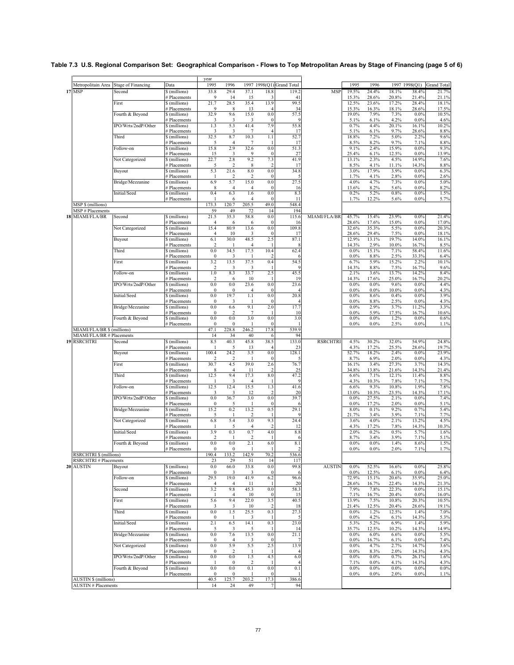|                                                             |                           |                               | year                    |                       |                         |                       |                           |                 |                    |                |                |                |                    |
|-------------------------------------------------------------|---------------------------|-------------------------------|-------------------------|-----------------------|-------------------------|-----------------------|---------------------------|-----------------|--------------------|----------------|----------------|----------------|--------------------|
| Metropolitain Area                                          | <b>Stage of Financing</b> | Data                          | 1995                    | 1996                  |                         |                       | 1997 1998(Q1) Grand Total |                 | 1995               | 1996           |                | 1997 1998(Q1)  | <b>Grand Total</b> |
| <b>17 MSP</b>                                               | Second                    | \$ (millions)                 | 33.8                    | 29.4                  | 37.1                    | 18.8                  | 119.2                     | <b>MSP</b>      | 19.5%              | 24.4%          | 18.1%          | 38.4%          | 21.7%              |
|                                                             | First                     | # Placements<br>\$(millions)  | 9<br>21.7               | 14<br>28.5            | 15<br>35.4              | 13.9                  | 41<br>99.5                |                 | 15.3%<br>12.5%     | 28.6%<br>23.6% | 20.8%<br>17.2% | 21.4%<br>28.4% | 21.1%<br>18.1%     |
|                                                             |                           | # Placements                  | 9                       | 8                     | 13                      |                       | 34                        |                 | 15.3%              | 16.3%          | 18.1%          | 28.6%          | 17.5%              |
|                                                             | Fourth & Beyond           | \$ (millions)                 | 32.9                    | 9.6                   | 15.0                    | 0.0                   | 57.5                      |                 | 19.0%              | 7.9%           | 7.3%           | $0.0\%$        | 10.5%              |
|                                                             |                           | # Placements                  | 3                       | 3                     | 3                       | $\Omega$              |                           |                 | 5.1%               | 6.1%           | 4.2%           | 0.0%           | 4.6%               |
|                                                             | IPO/Wrts/2ndP/Other       | \$ (millions)                 | 1.3                     | 5.3<br>3              | 41.4<br>7               | 7.9                   | 55.8<br>17                |                 | 0.7%<br>5.1%       | 4.4%<br>6.1%   | 20.1%<br>9.7%  | 16.1%<br>28.6% | 10.2%              |
|                                                             | Third                     | # Placements<br>\$(millions)  | 3<br>32.5               | 8.7                   | 10.3                    | 1.1                   | 52.7                      |                 | 18.8%              | 7.2%           | 5.0%           | 2.2%           | 8.8%<br>9.6%       |
|                                                             |                           | # Placements                  | 5                       | $\overline{4}$        | 7                       |                       | 17                        |                 | 8.5%               | 8.2%           | 9.7%           | 7.1%           | 8.8%               |
|                                                             | Follow-on                 | \$ (millions)                 | 15.8                    | 2.9                   | 32.6                    | 0.0                   | 51.3                      |                 | 9.1%               | 2.4%           | 15.9%          | $0.0\%$        | 9.3%               |
|                                                             |                           | # Placements                  | 15                      | 3                     | 9                       | $\mathbf{0}$          | 27                        |                 | 25.4%              | 6.1%           | 12.5%          | 0.0%           | 13.9%              |
|                                                             | Not Categorized           | \$(millions)<br># Placements  | 22.7<br>5               | 2.8<br>$\overline{2}$ | 9.2<br>8                | 7.3<br>2              | 41.9<br>17                |                 | 13.1%<br>8.5%      | 2.3%<br>4.1%   | 4.5%<br>11.1%  | 14.9%<br>14.3% | 7.6%<br>8.8%       |
|                                                             | Buyout                    | \$ (millions)                 | 5.3                     | 21.6                  | 8.0                     | 0.0                   | 34.8                      |                 | 3.0%               | 17.9%          | 3.9%           | 0.0%           | 6.3%               |
|                                                             |                           | # Placements                  | -1                      | $\overline{2}$        | 2                       | $\mathbf{0}$          |                           |                 | 1.7%               | 4.1%           | 2.8%           | 0.0%           | 2.6%               |
|                                                             | Bridge/Mezzanine          | \$(millions)                  | 6.9                     | 5.7                   | 15.0                    | 0.0                   | 27.5                      |                 | 4.0%               | 4.7%           | 7.3%           | 0.0%           | 5.0%               |
|                                                             | Initial/Seed              | # Placements<br>\$(millions)  | 8<br>0.4                | $\overline{4}$<br>6.3 | $\overline{4}$<br>1.6   | $\Omega$<br>0.0       | 16<br>8.3                 |                 | 13.6%<br>0.2%      | 8.2%<br>5.2%   | 5.6%<br>0.8%   | 0.0%<br>0.0%   | 8.2%<br>1.5%       |
|                                                             |                           | # Placements                  |                         | 6                     | $\overline{4}$          | $\mathbf{0}$          | 11                        |                 | 1.7%               | 12.2%          | 5.6%           | 0.0%           | 5.7%               |
| MSP \$ (millions)                                           |                           |                               | 173.3                   | 120.7                 | 205.5                   | 49.0                  | 548.4                     |                 |                    |                |                |                |                    |
| <b>MSP#Placements</b>                                       |                           |                               | 59                      | 49                    | 72                      | 14                    | 194                       |                 |                    |                |                |                |                    |
| MIAMI/FLA/BR<br>18                                          | Second                    | \$ (millions)                 | 21.5                    | 35.3                  | 58.8                    | 0.0                   | 115.6                     | MIAMI/FLA/BR    | 45.7%              | 15.4%          | 23.9%          | $0.0\%$        | 21.4%              |
|                                                             |                           | # Placements                  | $\overline{4}$          | 6                     | 6<br>13.6               | $\mathbf{0}$<br>0.0   | 16<br>109.8               |                 | 28.6%<br>32.6%     | 17.6%<br>35.3% | 15.0%          | 0.0%<br>0.0%   | 17.0%<br>20.3%     |
|                                                             | Not Categorized           | \$(millions)<br># Placements  | 15.4<br>$\overline{4}$  | 80.9<br>10            | 3                       | $\Omega$              | 17                        |                 | 28.6%              | 29.4%          | 5.5%<br>7.5%   | 0.0%           | 18.1%              |
|                                                             | Buyout                    | \$(millions)                  | 6.1                     | 30.0                  | 48.5                    | 2.5                   | 87.1                      |                 | 12.9%              | 13.1%          | 19.7%          | 14.0%          | 16.1%              |
|                                                             |                           | # Placements                  | $\overline{\mathbf{c}}$ |                       | $\overline{4}$          |                       | 8                         |                 | 14.3%              | 2.9%           | 10.0%          | 16.7%          | 8.5%               |
|                                                             | Third                     | \$(millions)                  | 0.0<br>$\mathbf{0}$     | 34.5                  | 17.5                    | 10.4                  | 62.4                      |                 | 0.0%<br>0.0%       | 15.1%          | 7.1%<br>2.5%   | 58.4%          | 11.6%              |
|                                                             | First                     | # Placements<br>\$(millions)  | 3.2                     | 3<br>13.5             | 37.5                    | 0.4                   | 6<br>54.5                 |                 | 6.7%               | 8.8%<br>5.9%   | 15.2%          | 33.3%<br>2.2%  | 6.4%<br>10.1%      |
|                                                             |                           | # Placements                  | $\overline{2}$          | 3                     | 3                       |                       |                           |                 | 14.3%              | 8.8%           | 7.5%           | 16.7%          | 9.6%               |
|                                                             | Follow-on                 | \$ (millions)                 | 1.0                     | 8.3                   | 33.7                    | 2.5                   | 45.5                      |                 | 2.1%               | 3.6%           | 13.7%          | 14.2%          | 8.4%               |
|                                                             | IPO/Wrts/2ndP/Other       | # Placements                  | 2<br>0.0                | 6<br>0.0              | 10<br>23.6              | 0.0                   | 19<br>23.6                |                 | 14.3%<br>0.0%      | 17.6%<br>0.0%  | 25.0%<br>9.6%  | 16.7%<br>0.0%  | 20.2%<br>4.4%      |
|                                                             |                           | \$ (millions)<br># Placements | $\bf{0}$                | $\mathbf{0}$          | $\overline{4}$          | $\mathbf{0}$          |                           |                 | 0.0%               | $0.0\%$        | 10.0%          | $0.0\%$        | 4.3%               |
|                                                             | Initial/Seed              | \$(millions)                  | 0.0                     | 19.7                  | 1.1                     | 0.0                   | 20.8                      |                 | 0.0%               | 8.6%           | 0.4%           | 0.0%           | 3.9%               |
|                                                             |                           | # Placements                  | $\mathbf{0}$            | 3                     | -1                      | $\Omega$              |                           |                 | 0.0%               | 8.8%           | 2.5%           | 0.0%           | 4.3%               |
|                                                             | Bridge/Mezzanine          | \$ (millions)<br># Placements | 0.0<br>$\bf{0}$         | 6.6<br>2              | 9.1<br>7                | 2.0                   | 17.7<br>10                |                 | 0.0%<br>0.0%       | 2.9%<br>5.9%   | 3.7%<br>17.5%  | 11.2%<br>16.7% | 3.3%<br>10.6%      |
|                                                             | Fourth & Beyond           | \$(millions)                  | 0.0                     | 0.0                   | 3.0                     | 0.0                   | 3.0                       |                 | 0.0%               | 0.0%           | 1.2%           | 0.0%           | 0.6%               |
|                                                             |                           | # Placements                  | $\mathbf{0}$            | $\mathbf{0}$          | -1                      | $\Omega$              |                           |                 | 0.0%               | $0.0\%$        | 2.5%           | 0.0%           | 1.1%               |
| MIAMI/FLA/BR \$ (millions)                                  |                           |                               | 47.1                    | 228.8                 | 246.2                   | 17.8                  | 539.9                     |                 |                    |                |                |                |                    |
| MIAMI/FLA/BR # Placements                                   |                           |                               | 14                      | 34                    | 40                      | 6                     | 94                        |                 |                    |                |                |                |                    |
| <b>19 RSRCHTRI</b>                                          | Second                    | \$ (millions)<br># Placements | 8.5                     | 40.3<br>5             | 45.8<br>13              | 38.5<br>4             | 133.0<br>23               | <b>RSRCHTRI</b> | 4.5%<br>4.3%       | 30.2%<br>17.2% | 32.0%<br>25.5% | 54.9%<br>28.6% | 24.8%<br>19.7%     |
|                                                             | Buyout                    | \$(millions)                  | 100.4                   | 24.2                  | 3.5                     | 0.0                   | 128.1                     |                 | 52.7%              | 18.2%          | 2.4%           | 0.0%           | 23.9%              |
|                                                             |                           | # Placements                  | $\overline{\mathbf{c}}$ | 2                     |                         | $\Omega$              |                           |                 | 8.7%               | 6.9%           | 2.0%           | $0.0\%$        | 4.3%               |
|                                                             | First                     | \$(millions)                  | 30.7                    | 4.5                   | 39.0                    | 2.6<br>-2             | 76.7                      |                 | 16.1%              | 3.4%           | 27.3%          | 3.7%           | 14.3%              |
|                                                             | Third                     | # Placements<br>\$(millions)  | 8<br>12.5               | 4<br>9.4              | 11<br>17.3              | 8.0                   | 25<br>47.2                |                 | 34.8%<br>6.6%      | 13.8%<br>7.1%  | 21.6%<br>12.1% | 14.3%<br>11.4% | 21.4%<br>8.8%      |
|                                                             |                           | # Placements                  |                         | 3                     | $\overline{4}$          |                       | <sup>q</sup>              |                 | 4.3%               | 10.3%          | 7.8%           | 7.1%           | 7.7%               |
|                                                             | Follow-on                 | \$ (millions)                 | 12.5                    | 12.4                  | 15.5                    | 1.3                   | 41.6                      |                 | 6.6%               | 9.3%           | 10.8%          | 1.9%           | 7.8%               |
|                                                             |                           | # Placements                  | 3                       | 3                     | 12                      | $\overline{2}$        | 20                        |                 | 13.0%              | 10.3%          | 23.5%          | 14.3%          | 17.1%              |
|                                                             | IPO/Wrts/2ndP/Other       | \$ (millions)<br># Placements | 0.0<br>$\mathbf{0}$     | 36.7<br>5             | 3.0                     | 0.0<br>$\Omega$       | 39.7                      |                 | 0.0%<br>0.0%       | 27.5%<br>17.2% | 2.1%<br>2.0%   | 0.0%<br>0.0%   | 7.4%<br>5.1%       |
|                                                             | Bridge/Mezzanine          | \$ (millions)                 | 15.2                    | 0.2                   | 13.2                    | 0.5                   | 29.1                      |                 | 8.0%               | 0.1%           | 9.2%           | 0.7%           | 5.4%               |
|                                                             |                           | # Placements                  | 5                       | -1                    | 2                       |                       |                           |                 | 21.7%              | 3.4%           | 3.9%           | 7.1%           | 7.7%               |
|                                                             | Not Categorized           | \$(millions)                  | 6.8                     | 5.4                   | 3.0                     | 9.3                   | 24.4                      |                 | 3.6%               | 4.0%           | 2.1%           | 13.2%          | 4.5%               |
|                                                             | Initial/Seed              | # Placements<br>\$ (millions) | 3.9                     | 5<br>0.3              | $\overline{4}$<br>0.7   | $\overline{2}$<br>4.0 | 12<br>8.8                 |                 | 4.3%<br>2.0%       | 17.2%<br>0.2%  | 7.8%<br>0.5%   | 14.3%<br>5.7%  | 10.3%<br>1.6%      |
|                                                             |                           | # Placements                  | $\overline{\mathbf{c}}$ |                       | $\overline{2}$          | -1                    | -6                        |                 | 8.7%               | 3.4%           | 3.9%           | 7.1%           | 5.1%               |
|                                                             | Fourth & Beyond           | \$ (millions)                 | 0.0                     | 0.0                   | 2.1                     | 6.0                   | 8.1                       |                 | 0.0%               | 0.0%           | 1.4%           | 8.6%           | 1.5%               |
|                                                             |                           | # Placements                  | $\boldsymbol{0}$        | $\bf{0}$              | 1                       |                       | $\overline{c}$            |                 | 0.0%               | $0.0\%$        | 2.0%           | 7.1%           | 1.7%               |
| <b>RSRCHTRI \$ (millions)</b><br><b>RSRCHTRI#Placements</b> |                           |                               | 190.4<br>23             | 133.2<br>29           | 142.9<br>51             | /V.2<br>14            | <b>220.0</b><br>117       |                 |                    |                |                |                |                    |
| 20 AUSTIN                                                   | Buyout                    | \$(millions)                  | 0.0                     | 66.0                  | 33.8                    | $0.0\,$               | 99.8                      | <b>AUSTIN</b>   | $0.0\%$            | 52.5%          | 16.6%          | $0.0\%$        | 25.8%              |
|                                                             |                           | # Placements                  | $\bf{0}$                | 3                     | 3                       | $\mathbf{0}$          | 6                         |                 | 0.0%               | 12.5%          | 6.1%           | 0.0%           | 6.4%               |
|                                                             | Follow-on                 | \$ (millions)                 | 29.5                    | 19.0                  | 41.9                    | 6.2                   | 96.6                      |                 | 72.9%              | 15.1%          | 20.6%          | 35.9%          | 25.0%              |
|                                                             |                           | # Placements                  | $\overline{4}$          | $\overline{4}$        | 11                      |                       | 20                        |                 | 28.6%              | 16.7%          | 22.4%          | 14.3%          | 21.3%              |
|                                                             | Second                    | \$(millions)<br># Placements  | 3.2<br>1                | 9.8<br>$\overline{4}$ | 45.3<br>10              | 0.0<br>$\mathbf{0}$   | 58.3<br>15                |                 | 7.9%<br>7.1%       | 7.8%<br>16.7%  | 22.3%<br>20.4% | 0.0%<br>0.0%   | 15.1%<br>16.0%     |
|                                                             | First                     | \$ (millions)                 | 5.6                     | 9.4                   | 22.0                    | 3.5                   | 40.5                      |                 | 13.9%              | 7.5%           | 10.8%          | 20.3%          | 10.5%              |
|                                                             |                           | # Placements                  | 3                       | 3                     | 10                      | $\overline{2}$        | 18                        |                 | 21.4%              | 12.5%          | 20.4%          | 28.6%          | 19.1%              |
|                                                             | Third                     | \$ (millions)                 | $0.0\,$                 | 1.5                   | 25.5                    | 0.3                   | 27.3                      |                 | 0.0%               | 1.2%           | 12.5%          | 1.4%           | 7.0%               |
|                                                             | Initial/Seed              | # Placements<br>\$ (millions) | $\bf{0}$<br>2.1         | 6.5                   | 3<br>14.1               | 0.3                   | 23.0                      |                 | 0.0%<br>5.3%       | 4.2%<br>5.2%   | 6.1%<br>6.9%   | 14.3%<br>1.4%  | 5.3%<br>5.9%       |
|                                                             |                           | # Placements                  | 5                       | 3                     | 5                       |                       | -14                       |                 | 35.7%              | 12.5%          | 10.2%          | 14.3%          | 14.9%              |
|                                                             | Bridge/Mezzanine          | \$ (millions)                 | 0.0                     | 7.6                   | 13.5                    | $0.0\,$               | 21.1                      |                 | 0.0%               | 6.0%           | 6.6%           | $0.0\%$        | 5.5%               |
|                                                             |                           | # Placements                  | $\bf{0}$                | 4                     | 3                       | $\Omega$              | -7                        |                 | 0.0%               | 16.7%          | 6.1%           | $0.0\%$        | 7.4%               |
|                                                             | Not Categorized           | \$ (millions)<br># Placements | 0.0<br>0                | 5.9<br>2              | 5.5<br>1                | 2.5<br>-1             | 13.9<br>4                 |                 | $0.0\%$<br>$0.0\%$ | 4.7%<br>8.3%   | 2.7%<br>2.0%   | 14.7%<br>14.3% | 3.6%<br>4.3%       |
|                                                             | IPO/Wrts/2ndP/Other       | \$ (millions)                 | $0.0\,$                 | 0.0                   | 1.5                     | 4.5                   | 6.0                       |                 | 0.0%               | $0.0\%$        | 0.7%           | 26.1%          | 1.6%               |
|                                                             |                           | # Placements                  |                         | $\bf{0}$              | $\overline{\mathbf{c}}$ |                       | $\overline{4}$            |                 | 7.1%               | $0.0\%$        | 4.1%           | 14.3%          | 4.3%               |
|                                                             | Fourth & Beyond           | \$ (millions)                 | 0.0                     | 0.0                   | 0.1                     | 0.0                   | 0.1                       |                 | 0.0%               | $0.0\%$        | 0.0%           | 0.0%           | 0.0%               |
| <b>AUSTIN \$ (millions)</b>                                 |                           | # Placements                  | 0<br>40.5               | 0<br>125.7            | 203.2                   | $\Omega$<br>17.3      | 386.6                     |                 | $0.0\%$            | $0.0\%$        | 2.0%           | 0.0%           | 1.1%               |
| <b>AUSTIN # Placements</b>                                  |                           |                               | 14                      | 24                    | 49                      | 7                     | 94                        |                 |                    |                |                |                |                    |
|                                                             |                           |                               |                         |                       |                         |                       |                           |                 |                    |                |                |                |                    |

#### **Table 7.3 U.S. Regional Comparison Set: Geographical Comparison - Flows to Top Metropolitan Areas by Stage of Financing (page 5 of 6)**

 $\overline{\phantom{0}}$ 

 $\blacksquare$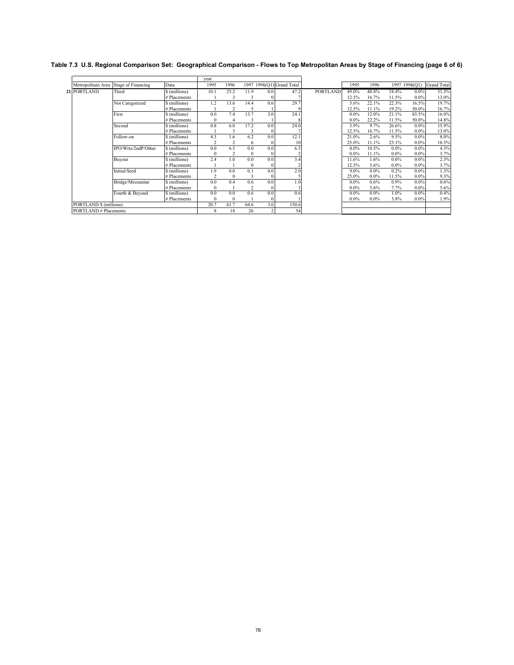|                            |                           |               | year           |                |                          |          |                           |                 |         |         |         |               |                    |
|----------------------------|---------------------------|---------------|----------------|----------------|--------------------------|----------|---------------------------|-----------------|---------|---------|---------|---------------|--------------------|
| Metropolitain Area         | <b>Stage of Financing</b> | Data          | 1995           | 1996           |                          |          | 1997 1998(Q1) Grand Total |                 | 1995    | 1996    |         | 1997 1998(Q1) | <b>Grand Total</b> |
| 21 PORTLAND                | Third                     | \$ (millions) | 10.1           | 25.2           | 11.9                     | 0.0      | 47.2                      | <b>PORTLAND</b> | 49.0%   | 40.8%   | 18.4%   | $0.0\%$       | 31.3%              |
|                            |                           | # Placements  |                |                |                          | 0        |                           |                 | 12.5%   | 16.7%   | 11.5%   | $0.0\%$       | 13.0%              |
|                            | Not Categorized           | \$ (millions) | 1.2            | 13.6           | 14.4                     | 0.6      | 29.7                      |                 | 5.6%    | 22.1%   | 22.3%   | 16.5%         | 19.7%              |
|                            |                           | # Placements  |                |                | 5                        |          |                           |                 | 12.5%   | 11.1%   | 19.2%   | 50.0%         | 16.7%              |
|                            | First                     | \$ (millions) | 0.0            | 7.4            | 13.7                     | 3.0      | 24.1                      |                 | $0.0\%$ | 12.0%   | 21.1%   | 83.5%         | 16.0%              |
|                            |                           | # Placements  | $\mathbf{0}$   |                |                          |          |                           |                 | $0.0\%$ | 22.2%   | 11.5%   | 50.0%         | 14.8%              |
|                            | Second                    | \$ (millions) | 0.8            | 6.0            | 17.2                     | 0.0      | 24.0                      |                 | 3.9%    | 9.7%    | 26.6%   | $0.0\%$       | 15.9%              |
|                            |                           | # Placements  |                |                |                          | $\Omega$ |                           |                 | 12.5%   | 16.7%   | 11.5%   | $0.0\%$       | 13.0%              |
|                            | Follow-on                 | \$ (millions) | 4.3            | 1.6            | 6.2                      | 0.0      | 12.1                      |                 | 21.0%   | 2.6%    | 9.5%    | $0.0\%$       | 8.0%               |
|                            |                           | # Placements  | $\overline{2}$ | $\overline{c}$ | 6                        | $\Omega$ | 10                        |                 | 25.0%   | 11.1%   | 23.1%   | $0.0\%$       | 18.5%              |
|                            | IPO/Wrts/2ndP/Other       | \$ (millions) | 0.0            | 6.5            | 0.0                      | 0.0      | 6.5                       |                 | $0.0\%$ | 10.5%   | $0.0\%$ | $0.0\%$       | 4.3%               |
|                            |                           | # Placements  | $\mathbf{0}$   | 2              | $\mathbf{0}$             | $\Omega$ |                           |                 | $0.0\%$ | 11.1%   | $0.0\%$ | $0.0\%$       | 3.7%               |
|                            | Buyout                    | \$ (millions) | 2.4            | 1.0            | 0.0                      | 0.0      | 3.4                       |                 | 11.6%   | 1.6%    | $0.0\%$ | $0.0\%$       | 2.3%               |
|                            |                           | # Placements  |                |                | $\mathbf{0}$             | $\Omega$ |                           |                 | 12.5%   | 5.6%    | $0.0\%$ | $0.0\%$       | 3.7%               |
|                            | Initial/Seed              | \$ (millions) | 1.9            | 0.0            | 0.1                      | 0.0      | 2.0                       |                 | $9.0\%$ | $0.0\%$ | 0.2%    | $0.0\%$       | 1.3%               |
|                            |                           | # Placements  | $\overline{2}$ | $\Omega$       |                          | $\Omega$ |                           |                 | 25.0%   | $0.0\%$ | 11.5%   | $0.0\%$       | 9.3%               |
|                            | Bridge/Mezzanine          | \$ (millions) | 0.0            | 0.4            | 0.6                      | 0.0      | 1.0                       |                 | $0.0\%$ | 0.6%    | 0.9%    | $0.0\%$       | 0.6%               |
|                            |                           | # Placements  | $\Omega$       |                | $\overline{\phantom{a}}$ | $\Omega$ |                           |                 | $0.0\%$ | 5.6%    | 7.7%    | $0.0\%$       | 5.6%               |
|                            | Fourth & Beyond           | \$ (millions) | 0.0            | 0.0            | 0.6                      | 0.0      | 0.6                       |                 | $0.0\%$ | $0.0\%$ | $1.0\%$ | $0.0\%$       | 0.4%               |
|                            |                           | # Placements  | $\Omega$       | $\Omega$       |                          | $\Omega$ |                           |                 | $0.0\%$ | $0.0\%$ | 3.8%    | $0.0\%$       | 1.9%               |
| PORTLAND \$ (millions)     |                           |               | 20.7           | 61.7           | 64.6                     | 3.6      | 150.6                     |                 |         |         |         |               |                    |
| <b>PORTLAND#Placements</b> |                           |               | 8              | 18             | 26                       |          | 54                        |                 |         |         |         |               |                    |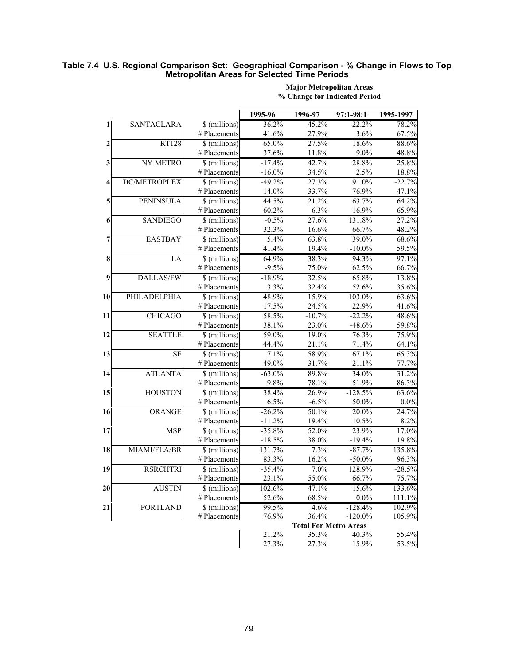#### **Table 7.4 U.S. Regional Comparison Set: Geographical Comparison - % Change in Flows to Top Metropolitan Areas for Selected Time Periods**

|                  |                  |                | 1995-96   | 1996-97                      | 97:1-98:1  | 1995-1997 |
|------------------|------------------|----------------|-----------|------------------------------|------------|-----------|
| 1                | SANTACLARA       | \$ (millions)  | 36.2%     | 45.2%                        | 22.2%      | 78.2%     |
|                  |                  | # Placements   | 41.6%     | 27.9%                        | 3.6%       | 67.5%     |
| $\boldsymbol{2}$ | <b>RT128</b>     | \$ (millions)  | 65.0%     | 27.5%                        | 18.6%      | 88.6%     |
|                  |                  | # Placements   | 37.6%     | 11.8%                        | 9.0%       | 48.8%     |
| 3                | NY METRO         | \$ (millions)  | $-17.4%$  | 42.7%                        | 28.8%      | 25.8%     |
|                  |                  | # Placements   | $-16.0\%$ | 34.5%                        | 2.5%       | 18.8%     |
| 4                | DC/METROPLEX     | \$ (millions)  | $-49.2%$  | 27.3%                        | 91.0%      | $-22.7%$  |
|                  |                  | # Placements   | 14.0%     | 33.7%                        | 76.9%      | 47.1%     |
| 5                | PENINSULA        | \$ (millions)  | 44.5%     | 21.2%                        | 63.7%      | 64.2%     |
|                  |                  | # Placements   | 60.2%     | 6.3%                         | 16.9%      | 65.9%     |
| 6                | <b>SANDIEGO</b>  | \$ (millions)  | $-0.5%$   | 27.6%                        | 131.8%     | 27.2%     |
|                  |                  | # Placements   | 32.3%     | 16.6%                        | 66.7%      | 48.2%     |
| 7                | <b>EASTBAY</b>   | \$ (millions)  | 5.4%      | 63.8%                        | 39.0%      | 68.6%     |
|                  |                  | # Placements   | 41.4%     | 19.4%                        | $-10.0\%$  | 59.5%     |
| 8                | LA               | \$ (millions)  | 64.9%     | 38.3%                        | 94.3%      | 97.1%     |
|                  |                  | # Placements   | $-9.5%$   | 75.0%                        | 62.5%      | 66.7%     |
| 9                | <b>DALLAS/FW</b> | \$ (millions)  | $-18.9%$  | 32.5%                        | 65.8%      | 13.8%     |
|                  |                  | # Placements   | 3.3%      | 32.4%                        | 52.6%      | 35.6%     |
| 10               | PHILADELPHIA     | \$ (millions)  | 48.9%     | 15.9%                        | 103.0%     | 63.6%     |
|                  |                  | # Placements   | 17.5%     | 24.5%                        | 22.9%      | 41.6%     |
| 11               | <b>CHICAGO</b>   | \$ (millions)  | 58.5%     | $-10.7%$                     | $-22.2%$   | 48.6%     |
|                  |                  | # Placements   | 38.1%     | 23.0%                        | $-48.6%$   | 59.8%     |
| 12               | <b>SEATTLE</b>   | \$ (millions)  | 59.0%     | 19.0%                        | 76.3%      | 75.9%     |
|                  |                  | # Placements   | 44.4%     | 21.1%                        | 71.4%      | 64.1%     |
| 13               | <b>SF</b>        | \$ (millions)  | 7.1%      | 58.9%                        | 67.1%      | 65.3%     |
|                  |                  | # Placements   | 49.0%     | 31.7%                        | 21.1%      | 77.7%     |
| 14               | <b>ATLANTA</b>   | \$ (millions)  | $-63.0\%$ | 89.8%                        | 34.0%      | 31.2%     |
|                  |                  | # Placements   | 9.8%      | 78.1%                        | 51.9%      | 86.3%     |
| 15               | <b>HOUSTON</b>   | \$ (millions)  | 38.4%     | 26.9%                        | $-128.5%$  | 63.6%     |
|                  |                  | # Placements   | 6.5%      | $-6.5\%$                     | 50.0%      | $0.0\%$   |
| 16               | ORANGE           | \$ (millions)  | $-26.2%$  | 50.1%                        | 20.0%      | 24.7%     |
|                  |                  | # Placements   | $-11.2%$  | 19.4%                        | 10.5%      | 8.2%      |
| 17               | <b>MSP</b>       | \$ (millions)  | $-35.8%$  | 52.0%                        | 23.9%      | 17.0%     |
|                  |                  | # Placements   | $-18.5%$  | 38.0%                        | $-19.4%$   | 19.8%     |
| 18               | MIAMI/FLA/BR     | \$ (millions)  | 131.7%    | 7.3%                         | $-87.7%$   | 135.8%    |
|                  |                  | # Placements   | 83.3%     | 16.2%                        | $-50.0\%$  | 96.3%     |
| 19               | <b>RSRCHTRI</b>  | $$$ (millions) | $-35.4%$  | 7.0%                         | 128.9%     | $-28.5%$  |
|                  |                  | # Placements   | 23.1%     | 55.0%                        | 66.7%      | 75.7%     |
| 20               | <b>AUSTIN</b>    | \$ (millions)  | 102.6%    | 47.1%                        | 15.6%      | 133.6%    |
|                  |                  | # Placements   | 52.6%     | 68.5%                        | $0.0\%$    | 111.1%    |
| 21               | <b>PORTLAND</b>  | \$ (millions)  | 99.5%     | 4.6%                         | $-128.4%$  | 102.9%    |
|                  |                  | # Placements   | 76.9%     | 36.4%                        | $-120.0\%$ | 105.9%    |
|                  |                  |                |           | <b>Total For Metro Areas</b> |            |           |
|                  |                  |                | 21.2%     | 35.3%                        | 40.3%      | 55.4%     |
|                  |                  |                | 27.3%     | 27.3%                        | 15.9%      | 53.5%     |

#### **% Change for Indicated Period Major Metropolitan Areas**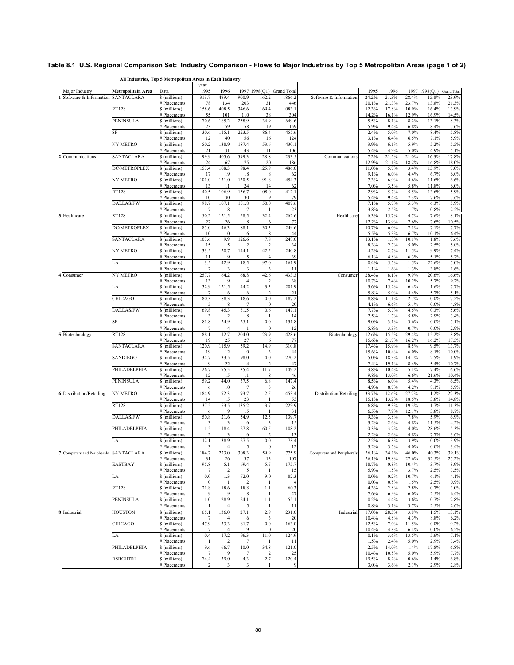## **Table 8.1 U.S. Regional Comparison Set: Industry Comparison - Flows to Major Industries by Top 5 Metropolitan Areas (page 1 of 2)**

**All Industries, Top 5 Metropolitan Areas in Each Industry**

|                                        |                    |                               | year                    |                         |                 |                                 |                           |                           |                |                |                |                  |                    |
|----------------------------------------|--------------------|-------------------------------|-------------------------|-------------------------|-----------------|---------------------------------|---------------------------|---------------------------|----------------|----------------|----------------|------------------|--------------------|
| Major Industry                         | Metropolitain Area | Data                          | 1995                    | 1996                    |                 |                                 | 1997 1998(Q1) Grand Total |                           | 1995           | 1996           |                | 1997 1998(Q1)    | <b>Grand Total</b> |
| Software & Information                 | SANTACLARA         | \$ (millions)                 | 313.7                   | 489.4                   | 900.9           | 162.2                           | 1866.2                    | Software & Information    | 24.2%          | 21.3%          | 28.4%          | 15.8%            | 23.9%              |
|                                        | <b>RT128</b>       | # Placements<br>\$(millions)  | 78<br>158.6             | 134<br>408.5            | 203<br>346.6    | 31<br>169.4                     | 446<br>1083.1             |                           | 20.1%<br>12.3% | 21.3%<br>17.8% | 23.7%<br>10.9% | 13.8%<br>16.4%   | 21.3%<br>13.9%     |
|                                        |                    | # Placements                  | 55                      | 101                     | 110             | 38                              | 304                       |                           | 14.2%          | 16.1%          | 12.9%          | 16.9%            | 14.5%              |
|                                        | PENINSULA          | \$ (millions)                 | 70.6                    | 185.2                   | 258.9           | 134.9                           | 649.6                     |                           | 5.5%           | 8.1%           | 8.2%           | 13.1%            | 8.3%               |
|                                        |                    | <b>Placements</b>             | 23                      | 59                      | 58              | 19                              | 159                       |                           | 5.9%           | 9.4%           | 6.8%           | 8.4%             | 7.6%               |
|                                        | SF                 | \$ (millions)                 | 30.6                    | 115.1                   | 223.5           | 86.4                            | 455.6                     |                           | 2.4%           | 5.0%           | 7.0%           | 8.4%             | 5.8%               |
|                                        | NY METRO           | # Placements<br>\$(millions)  | 12<br>50.2              | 40<br>138.9             | 56<br>187.4     | 16<br>53.6                      | 124<br>430.1              |                           | 3.1%<br>3.9%   | 6.4%<br>6.1%   | 6.5%<br>5.9%   | 7.1%<br>5.2%     | 5.9%<br>5.5%       |
|                                        |                    | # Placements                  | 21                      | 31                      | 43              | 11                              | 106                       |                           | 5.4%           | 4.9%           | 5.0%           | 4.9%             | 5.1%               |
| 2 Communications                       | SANTACLARA         | \$ (millions)                 | 99.9                    | 405.6                   | 599.3           | 128.8                           | 1233.5                    | Communications            | 7.2%           | 21.5%          | 21.0%          | 16.3%            | 17.8%              |
|                                        |                    | # Placements                  | 24                      | 67                      | 75              | 20                              | 186                       |                           | 12.9%          | 21.1%          | 18.2%          | 16.8%            | 18.0%              |
|                                        | DC/METROPLEX       | \$ (millions)                 | 153.4                   | 108.3                   | 98.4            | 125.9                           | 486.0                     |                           | 11.0%          | 5.7%           | 3.4%           | 15.9%            | 7.0%               |
|                                        | NY METRO           | # Placements<br>\$(millions)  | 17<br>101.0             | 19<br>131.0             | 18<br>130.5     | 8<br>91.8                       | 62<br>454.3               |                           | 9.1%<br>7.3%   | 6.0%<br>6.9%   | 4.4%<br>4.6%   | 6.7%<br>11.6%    | 6.0%<br>6.6%       |
|                                        |                    | # Placements                  | 13                      | 11                      | 24              | 14                              | 62                        |                           | 7.0%           | 3.5%           | 5.8%           | 11.8%            | 6.0%               |
|                                        | <b>RT128</b>       | \$(millions)                  | 40.5                    | 106.9                   | 156.7           | 108.0                           | 412.1                     |                           | 2.9%           | 5.7%           | 5.5%           | 13.6%            | 5.9%               |
|                                        |                    | # Placements                  | 10                      | 30                      | 30              | 9                               | 79                        |                           | 5.4%           | 9.4%           | 7.3%           | 7.6%             | 7.6%               |
|                                        | DALLAS/FW          | \$ (millions)                 | 98.7                    | 107.1                   | 151.8           | 50.0                            | 407.6                     |                           | 7.1%           | 5.7%           | 5.3%           | 6.3%             | 5.9%               |
|                                        |                    | # Placements                  | 7                       | 8                       | 7<br>58.5       |                                 | 23                        |                           | 3.8%           | 2.5%           | 1.7%<br>4.7%   | 0.8%             | 2.2%               |
| 3 Healthcare                           | RT128              | \$(millions)<br># Placements  | 50.2<br>22              | 121.5<br>26             | 18              | 32.4<br>6                       | 262.6<br>72               | Healthcare                | 6.3%<br>12.2%  | 15.7%<br>13.9% | 7.6%           | 7.6%<br>7.6%     | 8.1%<br>10.5%      |
|                                        | DC/METROPLEX       | \$ (millions)                 | 85.0                    | 46.3                    | 88.1            | 30.3                            | 249.6                     |                           | 10.7%          | 6.0%           | 7.1%           | 7.1%             | 7.7%               |
|                                        |                    | <b>Placements</b>             | 10                      | 10                      | 16              | 8                               | 44                        |                           | 5.5%           | 5.3%           | 6.7%           | 10.1%            | 6.4%               |
|                                        | SANTACLARA         | \$ (millions)                 | 103.6                   | 9.9                     | 126.6           | 7.8                             | 248.0                     |                           | 13.1%          | 1.3%           | 10.1%          | 1.8%             | 7.6%               |
|                                        |                    | # Placements                  | 15                      | 5                       | 12              |                                 | 34                        |                           | 8.3%           | 2.7%           | 5.0%           | 2.5%             | 5.0%               |
|                                        | NY METRO           | \$(millions)<br># Placements  | 33.5<br>11              | 20.7<br>9               | 144.1<br>15     | 42.5<br>$\overline{4}$          | 240.8<br>39               |                           | 4.2%<br>6.1%   | 2.7%<br>4.8%   | 11.5%<br>6.3%  | 9.9%<br>5.1%     | 7.4%<br>5.7%       |
|                                        | LA                 | \$ (millions)                 | 3.5                     | 42.9                    | 18.5            | 97.0                            | 161.9                     |                           | 0.4%           | 5.5%           | 1.5%           | 22.6%            | 5.0%               |
|                                        |                    | <b>Placements</b>             | $\overline{\mathbf{c}}$ | 3                       | 3               | 3                               | 11                        |                           | 1.1%           | 1.6%           | 1.3%           | 3.8%             | 1.6%               |
| 4 Consumer                             | NY METRO           | \$(millions)                  | 257.7                   | 64.2                    | 68.8            | 42.6                            | 433.3                     | Consumer                  | 28.4%          | 8.1%           | 9.9%           | 20.6%            | 16.6%              |
|                                        |                    | # Placements                  | 13                      | 9                       | 14              |                                 | 38                        |                           | 10.7%          | 7.4%           | 10.2%          | 5.7%             | 9.2%               |
|                                        | LA                 | \$ (millions)                 | 32.9                    | 121.5                   | 44.2            | 3.3<br>$\overline{\phantom{a}}$ | 201.9                     |                           | 3.6%           | 15.2%          | 6.4%           | 1.6%             | 7.7%               |
|                                        | <b>CHICAGO</b>     | # Placements<br>\$ (millions) | $\overline{7}$<br>80.3  | 6<br>88.3               | 6<br>18.6       | 0.0                             | 21<br>187.2               |                           | 5.8%<br>8.8%   | 5.0%<br>11.1%  | 4.4%<br>2.7%   | 5.7%<br>0.0%     | 5.1%<br>7.2%       |
|                                        |                    | <b>Placements</b>             | 5                       | 8                       | 7               | $\Omega$                        | 20                        |                           | 4.1%           | 6.6%           | 5.1%           | $0.0\%$          | 4.8%               |
|                                        | <b>DALLAS/FW</b>   | \$ (millions)                 | 69.8                    | 45.3                    | 31.5            | 0.6                             | 147.1                     |                           | 7.7%           | 5.7%           | 4.5%           | 0.3%             | 5.6%               |
|                                        |                    | # Placements                  | 3                       | 2                       | 8               |                                 | 14                        |                           | 2.5%           | 1.7%           | 5.8%           | 2.9%             | 3.4%               |
|                                        | SF                 | \$ (millions)                 | 81.8                    | 24.9                    | 25.1            | 0.0                             | 131.8                     |                           | 9.0%           | 3.1%           | 3.6%           | 0.0%             | 5.1%               |
| 5 Biotechnology                        | RT128              | # Placements<br>\$(millions)  | 7<br>88.1               | $\overline{4}$<br>112.7 | 204.0           | $\mathbf{0}$<br>23.9            | 12<br>428.6               | Biotechnology             | 5.8%<br>12.6%  | 3.3%<br>15.5%  | 0.7%<br>29.4%  | $0.0\%$<br>15.2% | 2.9%<br>18.8%      |
|                                        |                    | # Placements                  | 19                      | 25                      | 27              | 6                               | 77                        |                           | 15.6%          | 21.7%          | 16.2%          | 16.2%            | 17.5%              |
|                                        | SANTACLARA         | \$(millions)                  | 120.9                   | 115.9                   | 59.2            | 14.9                            | 310.8                     |                           | 17.4%          | 15.9%          | 8.5%           | 9.5%             | 13.7%              |
|                                        |                    | # Placements                  | 19                      | 12                      | 10              | 3                               | 44                        |                           | 15.6%          | 10.4%          | 6.0%           | 8.1%             | 10.0%              |
|                                        | <b>SANDIEGO</b>    | \$ (millions)<br># Placements | 34.7<br>9               | 133.5<br>22             | 98.0<br>14      | 4.0<br>7                        | 270.2<br>47               |                           | 5.0%<br>7.4%   | 18.3%<br>19.1% | 14.1%<br>8.4%  | 2.5%<br>5.4%     | 11.9%<br>10.7%     |
|                                        | PHILADELPHIA       | \$(millions)                  | 26.7                    | 75.5                    | 35.4            | 11.7                            | 149.2                     |                           | 3.8%           | 10.4%          | 5.1%           | 7.4%             | 6.6%               |
|                                        |                    | # Placements                  | 12                      | 15                      | 11              |                                 | 46                        |                           | 9.8%           | 13.0%          | 6.6%           | 21.6%            | 10.4%              |
|                                        | PENINSULA          | \$ (millions)                 | 59.2                    | 44.0                    | 37.5            | 6.8                             | 147.4                     |                           | 8.5%           | 6.0%           | 5.4%           | 4.3%             | 6.5%               |
|                                        |                    | # Placements                  | 6                       | 10                      | $7\phantom{.0}$ | 3                               | 26                        |                           | 4.9%           | 8.7%           | 4.2%           | 8.1%             | 5.9%               |
| 6 Distribution/Retailing               | <b>NY METRO</b>    | \$ (millions)<br># Placements | 184.9<br>14             | 72.3<br>15              | 193.7<br>23     | 2.5                             | 453.4<br>53               | Distribution/Retailing    | 33.7%<br>15.1% | 12.6%<br>13.2% | 27.7%<br>18.5% | 1.2%<br>3.8%     | 22.3%<br>14.8%     |
|                                        | <b>RT128</b>       | \$ (millions)                 | 37.5                    | 53.5                    | 135.2           | 3.7                             | 229.9                     |                           | 6.8%           | 9.3%           | 19.3%          | 1.7%             | 11.3%              |
|                                        |                    | # Placements                  | 6                       | 9                       | 15              |                                 | 31                        |                           | 6.5%           | 7.9%           | 12.1%          | 3.8%             | 8.7%               |
|                                        | DALLAS/FW          | \$ (millions)                 | 50.8                    | 21.6                    | 54.9            | 12.5                            | 139.7                     |                           | 9.3%           | 3.8%           | 7.8%           | 5.9%             | 6.9%               |
|                                        |                    | # Placements                  | 3                       | 3                       | 6               | 3                               | 15                        |                           | 3.2%           | 2.6%           | 4.8%           | 11.5%            | 4.2%               |
|                                        | PHILADELPHIA       | \$(millions)<br># Placements  | 1.5<br>$\overline{2}$   | 18.4<br>3               | 27.8<br>6       | 60.5                            | 108.2<br>13               |                           | 0.3%<br>2.2%   | 3.2%<br>2.6%   | 4.0%<br>4.8%   | 28.6%<br>7.7%    | 5.3%<br>3.6%       |
|                                        | LA                 | \$ (millions)                 | 12.1                    | 38.9                    | 27.5            | 0.0                             | 78.4                      |                           | 2.2%           | 6.8%           | 3.9%           | 0.0%             | 3.9%               |
|                                        |                    | # Placements                  | 3                       | $\overline{4}$          | 5               | $\boldsymbol{0}$                | 12                        |                           | 3.2%           | 3.5%           | 4.0%           | 0.0%             | 3.4%               |
| 7 Computers and Peripherals SANTACLARA |                    | \$ (millions)                 | 184.7                   | 223.0                   | 308.3           | 59.9                            | 775.9                     | Computers and Peripherals | 36.1%          | 34.1%          | 46.0%          | 40.3%            | 39.1%              |
|                                        |                    | † Placements                  | 31                      | 26                      |                 | 12                              | 107                       |                           | 26.1%          | 19.8%          | 27.6%          | 32.5%            | 25.2%              |
|                                        | <b>EASTBAY</b>     | \$(millions)<br># Placements  | 95.8<br>7               | 5.1<br>$\overline{2}$   | 69.4<br>5       | 5.5                             | 175.7<br>15               |                           | 18.7%<br>5.9%  | 0.8%<br>1.5%   | 10.4%<br>3.7%  | 3.7%<br>2.5%     | 8.9%<br>3.5%       |
|                                        | LA                 | \$ (millions)                 | 0.0                     | 1.3                     | 72.0            | 9.0                             | 82.3                      |                           | $0.0\%$        | 0.2%           | 10.7%          | 6.1%             | 4.1%               |
|                                        |                    | # Placements                  | $\bf{0}$                | -1                      | 2               |                                 | $\overline{4}$            |                           | 0.0%           | 0.8%           | 1.5%           | 2.5%             | 0.9%               |
|                                        | RT128              | \$(millions)                  | 21.8                    | 18.6                    | 18.8            | 1.1                             | 60.3                      |                           | 4.3%           | 2.8%           | 2.8%           | 0.7%             | 3.0%               |
|                                        |                    | # Placements                  | 9                       | 9                       | 8               |                                 | 27                        |                           | 7.6%           | 6.9%           | 6.0%           | 2.5%             | 6.4%               |
|                                        | PENINSULA          | \$ (millions)<br># Placements | 1.0<br>-1               | 28.9<br>$\overline{4}$  | 24.1<br>5       | 1.1                             | 55.1<br>11                |                           | 0.2%<br>0.8%   | 4.4%<br>3.1%   | 3.6%<br>3.7%   | 0.7%<br>2.5%     | 2.8%<br>2.6%       |
| 8 Industrial                           | <b>HOUSTON</b>     | \$ (millions)                 | 65.1                    | 136.0                   | 27.1            | 2.9                             | 231.0                     | Industrial                | 17.0%          | 28.5%          | 3.8%           | 1.5%             | 13.1%              |
|                                        |                    | # Placements                  | 7                       |                         | 6               | 3                               | 20                        |                           | 10.4%          | 4.8%           | 4.3%           | 8.8%             | 6.2%               |
|                                        | <b>CHICAGO</b>     | \$(millions)                  | 47.9                    | 33.3                    | 81.7            | 0.0                             | 163.0                     |                           | 12.5%          | 7.0%           | 11.5%          | 0.0%             | 9.2%               |
|                                        |                    | # Placements                  | 7                       | 4                       | 9               | $\Omega$                        | 20                        |                           | 10.4%          | 4.8%           | 6.4%           | 0.0%             | 6.2%               |
|                                        | LA                 | \$ (millions)                 | 0.4                     | 17.2                    | 96.3<br>7       | 11.0                            | 124.9                     |                           | 0.1%           | 3.6%           | 13.5%          | 5.6%<br>2.9%     | 7.1%               |
|                                        | PHILADELPHIA       | # Placements<br>\$(millions)  | 9.6                     | 66.7                    | 10.0            | 34.8                            | 11<br>121.0               |                           | 1.5%<br>2.5%   | 2.4%<br>14.0%  | 5.0%<br>1.4%   | 17.8%            | 3.4%<br>6.8%       |
|                                        |                    | # Placements                  | $\overline{7}$          | 9                       | 7               |                                 | 25                        |                           | 10.4%          | 10.8%          | 5.0%           | 5.9%             | 7.7%               |
|                                        | <b>RSRCHTRI</b>    | \$ (millions)                 | 74.4                    | 39.0                    | 4.3             | 2.7                             | 120.4                     |                           | 19.5%          | 8.2%           | 0.6%           | 1.4%             | 6.8%               |
|                                        |                    | # Placements                  | $\overline{c}$          | 3                       | 3               | -1                              | 9                         |                           | 3.0%           | 3.6%           | 2.1%           | 2.9%             | 2.8%               |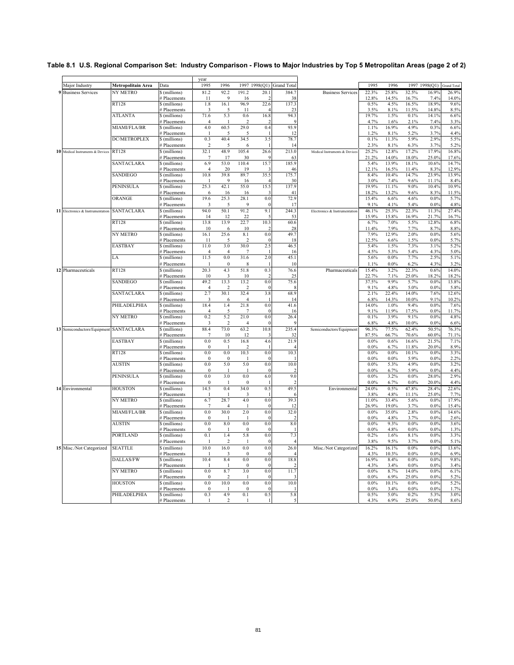|                                  |                     |                                    | vear            | 1996                            |                        |                 |                           |                               |                |                |                |                  |                    |
|----------------------------------|---------------------|------------------------------------|-----------------|---------------------------------|------------------------|-----------------|---------------------------|-------------------------------|----------------|----------------|----------------|------------------|--------------------|
| Major Industry                   | Metropolitain Area  | Data                               | 1995            |                                 |                        |                 | 1997 1998(Q1) Grand Total |                               | 1995           | 1996           |                | 1997 1998(Q1)    | <b>Grand Total</b> |
| 9 Business Services              | NY METRO            | \$(millions)<br># Placements       | 81.2<br>11      | 92.2<br>$\mathbf{Q}$            | 191.2<br>16            | 20.1            | 384.7<br>38               | <b>Business Services</b>      | 22.3%<br>12.8% | 25.8%<br>14.5% | 32.5%<br>16.7% | 16.9%<br>7.4%    | 26.9%<br>14.0%     |
|                                  | <b>RT128</b>        | \$(millions)                       | 1.8             | 16.1                            | 96.9                   | 22.6            | 137.3                     |                               | 0.5%           | 4.5%           | 16.5%          | 18.9%            | 9.6%               |
|                                  |                     | # Placements                       |                 |                                 | 11                     |                 |                           |                               | 3.5%           | 8.1%           | 11.5%          | 14.8%            | 8.5%               |
|                                  | <b>ATLANTA</b>      | \$(millions)                       | 71.6            | 5.3                             | 0.6                    | 16.8            | 94.3                      |                               | 19.7%          | 1.5%           | 0.1%           | 14.1%            | 6.6%               |
|                                  |                     | Placements                         | $\overline{4}$  |                                 | 2                      |                 |                           |                               | 4.7%           | 1.6%           | 2.1%           | 7.49             | 3.3%               |
|                                  | MIAMI/FLA/BR        | \$(millions)                       | 4.0             | 60.5                            | 29.0                   | 0.4             | 93.9                      |                               | 1.1%           | 16.9%          | 4.9%           | 0.3%             | 6.6%               |
|                                  | <b>DC/METROPLEX</b> | Placements                         | -1<br>0.3       | 5<br>40.4                       | 5<br>34.5              | 3.5             | 12<br>78.7                |                               | 1.2%<br>0.1%   | 8.1%<br>11.3%  | 5.2%<br>5.9%   | 3.7%<br>2.9%     | 4.4%<br>5.5%       |
|                                  |                     | \$(millions)<br># Placements       | $\overline{2}$  | 5                               | 6                      |                 | 14                        |                               | 2.3%           | 8.1%           | 6.3%           | 3.7%             | 5.2%               |
| 10 Medical Instruments & Devices | RT128               | \$ (millions)                      | 32.1            | 48.9                            | 105.4                  | 26.6            | 213.0                     | Medical Instruments & Devices | 25.2%          | 12.8%          | 17.2%          | 17.9%            | 16.8%              |
|                                  |                     | # Placements                       | $\overline{7}$  | 17                              | 30                     |                 | 63                        |                               | 21.2%          | 14.0%          | 18.0%          | 25.0%            | 17.6%              |
|                                  | SANTACLARA          | \$ (millions)                      | 6.9             | 53.0                            | 110.4                  | 15.7            | 185.9                     |                               | 5.4%           | 13.9%          | 18.1%          | 10.6%            | 14.7%              |
|                                  |                     | # Placements                       | 4               | 20                              | 19                     |                 | 46                        |                               | 12.1%          | 16.5%          | 11.4%          | 8.3%             | 12.9%              |
|                                  | <b>SANDIEGO</b>     | \$ (millions)                      | 10.8            | 39.8                            | 89.7                   | 35.5            | 175.7                     |                               | 8.4%           | 10.4%          | 14.7%          | 23.9%            | 13.9%              |
|                                  |                     | # Placements                       | -1              | $\mathbf Q$                     | 16                     |                 | 30                        |                               | 3.0%           | 7.4%           | 9.6%           | 11.1%            | 8.4%               |
|                                  | <b>PENINSULA</b>    | \$ (millions)<br># Placements      | 25.3<br>6       | 42.1<br>16                      | 55.0<br>16             | 15.5            | 137.9<br>$\overline{4}$   |                               | 19.9%<br>18.2% | 11.1%<br>13.2% | 9.0%<br>9.6%   | 10.4%<br>8.3%    | 10.9%<br>11.5%     |
|                                  | ORANGE              | \$(millions)                       | 19.6            | 25.3                            | 28.1                   | 0.0             | 72.9                      |                               | 15.4%          | 6.6%           | 4.6%           | 0.0%             | 5.7%               |
|                                  |                     | # Placements                       | 3               | 5                               | 9                      | $\Omega$        | 17                        |                               | 9.1%           | 4.1%           | 5.4%           | $0.0\%$          | 4.8%               |
| 11 Electronics & Instrumentation | SANTACLARA          | \$(millions)                       | 94.0            | 50.1                            | 91.2                   | 9.1             | 244.3                     | Electronics & Instrumentation | 46.1%          | 25.3%          | 22.3%          | 11.3%            | 27.4%              |
|                                  |                     | # Placements                       | 14              | 12                              | 22                     |                 | 53                        |                               | 15.9%          | 15.8%          | 16.9%          | 21.7%            | 16.7%              |
|                                  | <b>RT128</b>        | \$ (millions)                      | 13.8            | 13.9                            | 22.7                   | 10.3            | 60.6                      |                               | 6.7%           | 7.0%           | 5.5%           | 12.8%            | 6.8%               |
|                                  |                     | # Placements                       | 10              | 6                               | 10                     |                 | 28                        |                               | 11.4%          | 7.9%           | 7.7%           | 8.7%             | 8.8%               |
|                                  | <b>NY METRO</b>     | \$ (millions)                      | 16.1            | 25.6                            | 8.1                    | 0.0             | 49.7                      |                               | 7.9%           | 12.9%          | 2.0%           | $0.0\%$          | 5.6%               |
|                                  | <b>EASTBAY</b>      | # Placements<br>S (millions)       | 11<br>11.0      | $\overline{\phantom{0}}$<br>3.0 | $\overline{2}$<br>30.0 | $\Omega$<br>2.5 | 18<br>46.5                |                               | 12.5%<br>5.4%  | 6.6%<br>1.5%   | 1.5%<br>7.3%   | 0.0%<br>3.1%     | 5.7%<br>5.2%       |
|                                  |                     | † Placements                       | $\overline{4}$  | $\overline{4}$                  | 7                      |                 | 16                        |                               | 4.5%           | 5.3%           | 5.4%           | 4.3%             | 5.0%               |
|                                  | LA                  | \$(millions)                       | 11.5            | 0.0                             | 31.6                   | 2.0             | 45.1                      |                               | 5.6%           | 0.0%           | 7.7%           | 2.5%             | 5.1%               |
|                                  |                     | # Placements                       |                 | $\mathbf{0}$                    | 8                      |                 | 10                        |                               | 1.1%           | 0.0%           | 6.2%           | 4.3%             | 3.2%               |
| 12 Pharmaceuticals               | <b>RT128</b>        | § (millions)                       | 20.3            | 4.3                             | 51.8                   | 0.3             | 76.6                      | Pharmaceuticals               | 15.4%          | 3.2%           | 22.3%          | 0.6%             | 14.0%              |
|                                  |                     | # Placements                       | 10              | 3                               | 10                     | -2              | $2^{i}$                   |                               | 22.7%          | 7.1%           | 25.0%          | 18.2%            | 18.2%              |
|                                  | <b>SANDIEGO</b>     | \$ (millions)                      | 49.2            | 13.3                            | 13.2                   | 0.0             | 75.6                      |                               | 37.5%          | 9.9%           | 5.7%           | 0.0%             | 13.8%              |
|                                  |                     | # Placements                       | $\overline{4}$  | $\mathcal{P}$                   | $\overline{c}$         | $\Omega$        |                           |                               | 9.1%           | 4.8%           | 5.0%           | 0.0%             | 5.8%               |
|                                  | SANTACLARA          | \$ (millions)<br># Placements      | 2.7<br>3        | 30.1<br>6                       | 32.4<br>$\overline{4}$ | 3.8             | 68.9<br>14                |                               | 2.1%<br>6.8%   | 22.4%<br>14.3% | 14.0%<br>10.0% | 7.6%<br>9.1%     | 12.6%<br>10.2%     |
|                                  | PHILADELPHIA        | \$ (millions)                      | 18.4            | 1.4                             | 21.8                   | 0.0             | 41.6                      |                               | 14.0%          | 1.0%           | 9.4%           | 0.0%             | 7.6%               |
|                                  |                     | # Placements                       | $\overline{4}$  | 5                               | 7                      | $\Omega$        | 16                        |                               | 9.1%           | 11.9%          | 17.5%          | 0.0%             | 11.7%              |
|                                  | NY METRO            | \$ (millions)                      | 0.2             | 5.2                             | 21.0                   | 0.0             | 26.4                      |                               | 0.1%           | 3.9%           | 9.1%           | 0.0%             | 4.8%               |
|                                  |                     | # Placements                       | 3               | $\overline{2}$                  | $\overline{4}$         | $\Omega$        |                           |                               | 6.8%           | 4.8%           | 10.0%          | $0.0\%$          | 6.6%               |
| 13 Semiconductors/Equipment      | <b>SANTACLARA</b>   | \$ (millions)                      | 88.4            | 73.0                            | 63.2                   | 10.8            | 235.4                     | Semiconductors/Equipment      | 96.3%          | 77.5%          | 62.4%          | 50.5%            | 76.3%              |
|                                  |                     | Placements                         | $\overline{7}$  | 10                              | 12                     |                 | 32                        |                               | 87.5%          | 66.7%          | 70.6%          | 60.0%            | 71.1%              |
|                                  | <b>EASTBAY</b>      | \$ (millions)                      | 0.0             | 0.5                             | 16.8                   | 4.6             | 21.9<br>$\overline{A}$    |                               | $0.0\%$        | 0.6%           | 16.6%          | 21.5%<br>20.0%   | 7.1%<br>8.9%       |
|                                  | <b>RT128</b>        | # Placements<br>\$ (millions)      | $\Omega$<br>0.0 | -1<br>0.0                       | -2<br>10.3             | 0.0             | 10.3                      |                               | 0.0%<br>0.0%   | 6.7%<br>0.0%   | 11.8%<br>10.1% | 0.0%             | 3.3%               |
|                                  |                     | # Placements                       | $\Omega$        | $\Omega$                        | -1                     | $\Omega$        |                           |                               | 0.0%           | $0.0\%$        | 5.9%           | 0.0%             | 2.2%               |
|                                  | <b>AUSTIN</b>       | \$ (millions)                      | $0.0\,$         | 5.0                             | 5.0                    | 0.0             | 10.0                      |                               | 0.0%           | 5.3%           | 4.9%           | 0.0%             | 3.2%               |
|                                  |                     | # Placements                       | $\overline{0}$  | -1                              | -1                     | $\Omega$        | っ                         |                               | 0.0%           | 6.7%           | 5.9%           | 0.0%             | 4.4%               |
|                                  | <b>PENINSULA</b>    | \$ (millions)                      | 0.0             | 3.0                             | 0.0                    | 6.0             | 9.0                       |                               | 0.0%           | 3.2%           | 0.0%           | 28.0%            | 2.9%               |
|                                  |                     | # Placements                       | $\mathbf{0}$    | -1                              | $\mathbf{0}$           |                 | 2                         |                               | 0.0%           | 6.7%           | 0.0%           | 20.0%            | 4.4%               |
| 14 Environmental                 | <b>HOUSTON</b>      | \$(millions)                       | 14.5            | 0.4                             | 34.0                   | 0.5             | 49.5                      | Environmental                 | 24.0%          | 0.5%           | 47.8%          | 28.4%            | 22.6%              |
|                                  | NY METRO            | # Placements<br>\$(millions)       | 6.7             | 28.7                            | 3<br>4.0               | 0.0             | 39.3                      |                               | 3.8%<br>11.0%  | 4.8%<br>33.4%  | 11.1%<br>5.6%  | 25.0%<br>$0.0\%$ | 7.7%<br>17.9%      |
|                                  |                     | Placements                         | 7               | $\overline{4}$                  |                        | $\mathcal{L}$   | 12                        |                               | 26.9%          | 19.0%          | 3.7%           | $0.0\%$          | 15.4%              |
|                                  | MIAMI/FLA/BR        | \$(millions)                       | 0.0             | 30.0                            | 2.0                    | 0.0             | 32.0                      |                               | $0.0\%$        | 35.0%          | 2.8%           | $0.0\%$          | 14.6%              |
|                                  |                     | Placements                         | $\bf{0}$        |                                 | п                      | $\Omega$        | 2                         |                               | 0.0%           | 4.8%           | 3.7%           | $0.0\%$          | $2.6^{\circ}$      |
|                                  | <b>AUSTIN</b>       | \$(millions)                       | 0.0             | 8.0                             | 0.0                    | 0.0             | 8.0                       |                               | $0.0\%$        | 9.3%           | 0.0%           | 0.0%             | 3.6%               |
|                                  |                     | <b>Placements</b>                  | $\Omega$        |                                 | $\Omega$               | $\Omega$        |                           |                               | 0.0%           | 4.8%           | $0.0\%$        | $0.0\%$          | 1.3%               |
|                                  | <b>PORTLAND</b>     | \$ (millions)                      | 0.1             | 1.4                             | 5.8                    | 0.0             | 7.3                       |                               | 0.2%           | 1.6%           | 8.1%           | 0.0%             | 3.3%               |
|                                  |                     | # Placements                       | $\mathbf{1}$    | $\overline{2}$                  | -1                     | $\theta$        |                           |                               | 3.8%           | 9.5%           | 3.7%           | 0.0%             | 5.1%               |
| 15 Misc./Not Categorized         | <b>SEATTLE</b>      | \$ (millions)<br><b>Placements</b> | 10.0            | 16.0<br>3                       | 0.0<br>$\Omega$        | 0.0<br>$\Omega$ | 26.0                      | Misc./Not Categorized         | 16.2%<br>4.3%  | 16.1%<br>10.3% | 0.0%<br>0.0%   | 0.0%<br>0.0%     | 13.6%<br>6.9%      |
|                                  | DALLAS/FW           | \$(millions)                       | 10.4            | 8.4                             | 0.0                    | 0.0             | 18.8                      |                               | 16.9%          | 8.4%           | 0.0%           | $0.0\%$          | 9.8%               |
|                                  |                     | # Placements                       | -1              | -1                              | $\Omega$               | $\Omega$        |                           |                               | 4.3%           | 3.4%           | 0.0%           | 0.0%             | 3.4%               |
|                                  | NY METRO            | \$(millions)                       | 0.0             | 8.7                             | 3.0                    | 0.0             | 11.7                      |                               | $0.0\%$        | 8.7%           | 14.0%          | 0.0%             | 6.1%               |
|                                  |                     | # Placements                       | $\mathbf{0}$    |                                 |                        | $\theta$        |                           |                               | 0.0%           | 6.9%           | 25.0%          | 0.0%             | 5.2%               |
|                                  | <b>HOUSTON</b>      | \$(millions)                       | 0.0             | 10.0                            | 0.0                    | 0.0             | 10.0                      |                               | $0.0\%$        | 10.1%          | 0.0%           | 0.0%             | 5.2%               |
|                                  |                     | # Placements                       | $\Omega$        |                                 | $\Omega$               | $\Omega$        |                           |                               | 0.0%           | 3.4%           | $0.0\%$        | $0.0\%$          | 1.7%               |
|                                  | PHILADELPHIA        | \$ (millions)<br># Placements      | 0.3<br>1        | 4.9<br>$\overline{2}$           | 0.1<br>-1              | 0.5             | 5.8                       |                               | 0.5%<br>4.3%   | 5.0%<br>6.9%   | 0.2%<br>25.0%  | 5.3%<br>50.0%    | 3.0%<br>8.6%       |
|                                  |                     |                                    |                 |                                 |                        |                 |                           |                               |                |                |                |                  |                    |

## **Table 8.1 U.S. Regional Comparison Set: Industry Comparison - Flows to Major Industries by Top 5 Metropolitan Areas (page 2 of 2)**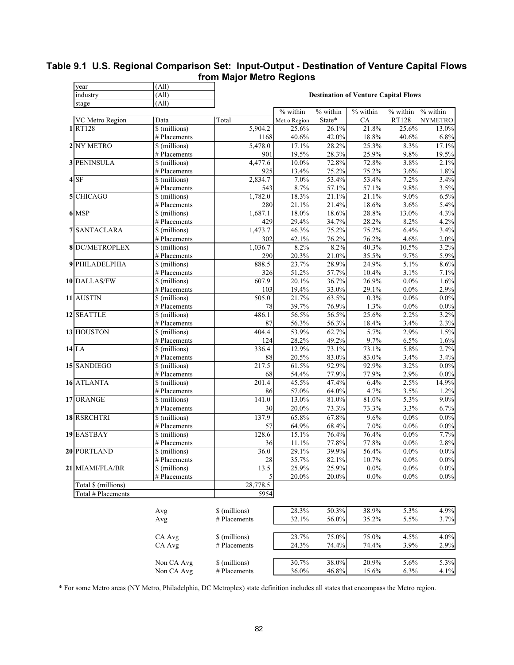| year                  | (All)                         |                |                                 |                |                                             |                             |                    |
|-----------------------|-------------------------------|----------------|---------------------------------|----------------|---------------------------------------------|-----------------------------|--------------------|
| industry              | (All)                         |                |                                 |                | <b>Destination of Venture Capital Flows</b> |                             |                    |
| stage                 | (All)                         |                |                                 |                |                                             |                             |                    |
|                       |                               |                | $\overline{\frac{9}{6}}$ within | % within       | % within                                    | $\sqrt{\frac{9}{6}}$ within | % within           |
| VC Metro Region       | Data                          | Total          | Metro Region                    | State*         | CA                                          | RT128                       | <b>NYMETRO</b>     |
| 1RT128                | \$ (millions)                 | 5,904.2        | 25.6%                           | 26.1%          | 21.8%                                       | 25.6%                       | 13.0%              |
|                       | # Placements                  | 1168           | 40.6%                           | 42.0%          | 18.8%                                       | 40.6%                       | 6.8%               |
| 2 NY METRO            | \$ (millions)                 | 5,478.0        | 17.1%                           | 28.2%          | 25.3%                                       | 8.3%                        | 17.1%              |
| <b>3 PENINSULA</b>    | # Placements<br>\$ (millions) | 901<br>4,477.6 | 19.5%<br>10.0%                  | 28.3%<br>72.8% | 25.9%<br>72.8%                              | 9.8%<br>3.8%                | 19.5%<br>2.1%      |
|                       | # Placements                  | 925            | 13.4%                           | 75.2%          | 75.2%                                       | 3.6%                        | 1.8%               |
| $4$ SF                | \$ (millions)                 | 2,834.7        | 7.0%                            | 53.4%          | 53.4%                                       | 7.2%                        | 3.4%               |
|                       | # Placements                  | 543            | 8.7%                            | 57.1%          | 57.1%                                       | 9.8%                        | 3.5%               |
| 5 CHICAGO             | \$ (millions)                 | 1,782.0        | 18.3%                           | 21.1%          | 21.1%                                       | $9.0\%$                     | 6.5%               |
|                       | # Placements                  | 280            | 21.1%                           | 21.4%          | 18.6%                                       | 3.6%                        | 5.4%               |
| 6 MSP                 | \$ (millions)                 | 1,687.1        | 18.0%                           | 18.6%          | 28.8%                                       | 13.0%                       | 4.3%               |
|                       | # Placements                  | 429            | 29.4%                           | 34.7%          | 28.2%                                       | 8.2%                        | 4.2%               |
| <b>7 SANTACLARA</b>   | \$ (millions)                 | 1,473.7        | 46.3%                           | 75.2%          | 75.2%                                       | 6.4%                        | 3.4%               |
|                       | # Placements                  | 302            | 42.1%                           | 76.2%          | 76.2%                                       | 4.6%                        | 2.0%               |
| <b>8 DC/METROPLEX</b> | \$ (millions)                 | 1,036.7        | 8.2%                            | 8.2%           | 40.3%                                       | 10.5%                       | 3.2%               |
|                       | # Placements                  | 290            | 20.3%                           | 21.0%          | 35.5%                                       | 9.7%                        | 5.9%               |
| 9 PHILADELPHIA        | \$ (millions)                 | 888.5          | 23.7%                           | 28.9%          | 24.9%                                       | 5.1%                        | 8.6%               |
|                       | # Placements                  | 326            | 51.2%                           | 57.7%          | 10.4%                                       | 3.1%                        | 7.1%               |
| 10 DALLAS/FW          | \$ (millions)                 | 607.9          | 20.1%                           | 36.7%          | 26.9%                                       | $0.0\%$                     | 1.6%               |
|                       | # Placements                  | 103            | 19.4%                           | 33.0%          | 29.1%                                       | $0.0\%$                     | 2.9%               |
| 11 AUSTIN             | \$ (millions)                 | 505.0          | 21.7%                           | 63.5%          | 0.3%                                        | $0.0\%$                     | $0.0\%$            |
|                       | # Placements                  | 78             | 39.7%                           | 76.9%          | 1.3%                                        | $0.0\%$                     | 0.0%               |
| 12 SEATTLE            | \$ (millions)                 | 486.1          | 56.5%                           | 56.5%          | 25.6%                                       | 2.2%                        | 3.2%               |
|                       | # Placements                  | 87             | 56.3%                           | 56.3%          | 18.4%                                       | 3.4%                        | 2.3%               |
| 13 HOUSTON            | \$ (millions)                 | 404.4          | 53.9%                           | 62.7%          | 5.7%                                        | 2.9%                        | 1.5%               |
|                       | # Placements                  | 124            | 28.2%                           | 49.2%          | 9.7%                                        | 6.5%                        | 1.6%               |
| 14 LA                 | \$ (millions)                 | 336.4          | 12.9%                           | 73.1%          | 73.1%                                       | 5.8%                        | 2.7%               |
|                       | # Placements                  | 88             | 20.5%                           | 83.0%          | 83.0%                                       | 3.4%                        | 3.4%               |
| 15 SANDIEGO           | \$ (millions)                 | 217.5          | 61.5%                           | 92.9%          | 92.9%                                       | 3.2%                        | $0.0\%$            |
|                       | # Placements                  | 68             | 54.4%                           | 77.9%          | 77.9%                                       | 2.9%                        | $0.0\%$            |
| 16 ATLANTA            | \$ (millions)                 | 201.4          | 45.5%                           | 47.4%          | 6.4%                                        | 2.5%                        | 14.9%              |
|                       | # Placements                  | 86             | 57.0%                           | 64.0%          | 4.7%                                        | 3.5%                        | 1.2%               |
| 17 ORANGE             | \$ (millions)                 | 141.0          | 13.0%                           | 81.0%          | 81.0%                                       | 5.3%                        | $9.0\%$            |
|                       | # Placements                  | 30             | 20.0%                           | 73.3%          | 73.3%                                       | 3.3%                        | 6.7%               |
| 18 RSRCHTRI           | \$ (millions)                 | 137.9          | 65.8%                           | 67.8%          | 9.6%                                        | $0.0\%$                     | $0.0\%$            |
|                       | # Placements                  | 57<br>128.6    | 64.9%                           | 68.4%          | 7.0%                                        | $0.0\%$                     | $0.0\%$            |
| 19 EASTBAY            | \$ (millions)                 |                | 15.1%                           | 76.4%          | 76.4%                                       | $0.0\%$                     | 7.7%               |
| 20 PORTLAND           | # Placements<br>\$ (millions) | 36<br>36.0     | 11.1%<br>29.1%                  | 77.8%<br>39.9% | 77.8%<br>56.4%                              | $0.0\%$<br>$0.0\%$          | 2.8%<br>$0.0\%$    |
|                       | # Placements                  |                |                                 |                | 10.7%                                       |                             |                    |
| 21 MIAMI/FLA/BR       | \$ (millions)                 | $28\,$<br>13.5 | 35.7%<br>25.9%                  | 82.1%<br>25.9% | $0.0\%$                                     | $0.0\%$<br>$0.0\%$          | $0.0\%$<br>$0.0\%$ |
|                       | # Placements                  |                | 20.0%                           | 20.0%          | $0.0\%$                                     | $0.0\%$                     | $0.0\%$            |
| Total \$ (millions)   |                               | 28,778.5       |                                 |                |                                             |                             |                    |
| Total # Placements    |                               | 5954           |                                 |                |                                             |                             |                    |
|                       |                               |                |                                 |                |                                             |                             |                    |
|                       | Avg                           | \$ (millions)  | 28.3%                           | 50.3%          | 38.9%                                       | 5.3%                        | 4.9%               |
|                       | Avg                           | # Placements   | 32.1%                           | 56.0%          | 35.2%                                       | 5.5%                        | 3.7%               |
|                       |                               |                |                                 |                |                                             |                             |                    |
|                       | CA Avg                        | \$ (millions)  | 23.7%                           | 75.0%          | 75.0%                                       | 4.5%                        | 4.0%               |
|                       | CA Avg                        | # Placements   | 24.3%                           | 74.4%          | 74.4%                                       | 3.9%                        | $2.9\%$            |
|                       |                               |                |                                 |                |                                             |                             |                    |
|                       | Non CA Avg                    | \$ (millions)  | 30.7%                           | 38.0%          | 20.9%                                       | 5.6%                        | 5.3%               |
|                       | Non CA Avg                    | # Placements   | 36.0%                           | 46.8%          | 15.6%                                       | 6.3%                        | 4.1%               |
|                       |                               |                |                                 |                |                                             |                             |                    |

# **Table 9.1 U.S. Regional Comparison Set: Input-Output - Destination of Venture Capital Flows from Major Metro Regions**

\* For some Metro areas (NY Metro, Philadelphia, DC Metroplex) state definition includes all states that encompass the Metro region.